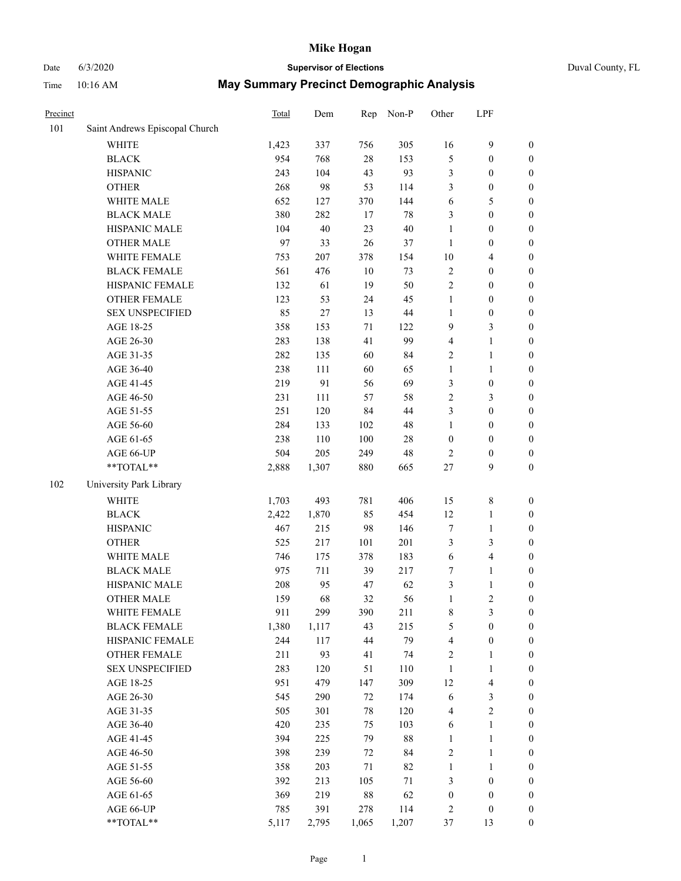|  | Duval County, FL |
|--|------------------|
|--|------------------|

| Date     | 6/3/2020                       |                                                  | <b>Supervisor of Elections</b> |         |           |                  |                  |                  | Duval County, FL |
|----------|--------------------------------|--------------------------------------------------|--------------------------------|---------|-----------|------------------|------------------|------------------|------------------|
| Time     | 10:16 AM                       | <b>May Summary Precinct Demographic Analysis</b> |                                |         |           |                  |                  |                  |                  |
| Precinct |                                | Total                                            | Dem                            |         | Rep Non-P | Other            | <b>LPF</b>       |                  |                  |
| 101      | Saint Andrews Episcopal Church |                                                  |                                |         |           |                  |                  |                  |                  |
|          | WHITE                          | 1,423                                            | 337                            | 756     | 305       | 16               | $\boldsymbol{9}$ | $\boldsymbol{0}$ |                  |
|          | <b>BLACK</b>                   | 954                                              | 768                            | $28\,$  | 153       | 5                | $\boldsymbol{0}$ | $\boldsymbol{0}$ |                  |
|          | <b>HISPANIC</b>                | 243                                              | 104                            | 43      | 93        | $\mathfrak{Z}$   | $\boldsymbol{0}$ | $\boldsymbol{0}$ |                  |
|          | <b>OTHER</b>                   | 268                                              | 98                             | 53      | 114       | 3                | $\boldsymbol{0}$ | $\boldsymbol{0}$ |                  |
|          | WHITE MALE                     | 652                                              | 127                            | 370     | 144       | 6                | 5                | $\boldsymbol{0}$ |                  |
|          | <b>BLACK MALE</b>              | 380                                              | 282                            | 17      | 78        | $\mathfrak{Z}$   | $\boldsymbol{0}$ | $\boldsymbol{0}$ |                  |
|          | HISPANIC MALE                  | 104                                              | 40                             | 23      | 40        | $\mathbf{1}$     | $\boldsymbol{0}$ | $\boldsymbol{0}$ |                  |
|          | <b>OTHER MALE</b>              | 97                                               | 33                             | 26      | 37        | $\mathbf{1}$     | $\boldsymbol{0}$ | $\boldsymbol{0}$ |                  |
|          | WHITE FEMALE                   | 753                                              | 207                            | 378     | 154       | $10\,$           | $\overline{4}$   | $\boldsymbol{0}$ |                  |
|          | <b>BLACK FEMALE</b>            | 561                                              | 476                            | 10      | 73        | $\sqrt{2}$       | $\boldsymbol{0}$ | $\boldsymbol{0}$ |                  |
|          | HISPANIC FEMALE                | 132                                              | 61                             | 19      | 50        | $\sqrt{2}$       | $\boldsymbol{0}$ | $\boldsymbol{0}$ |                  |
|          | <b>OTHER FEMALE</b>            | 123                                              | 53                             | 24      | 45        | $\mathbf{1}$     | $\boldsymbol{0}$ | $\boldsymbol{0}$ |                  |
|          | <b>SEX UNSPECIFIED</b>         | 85                                               | $27\,$                         | 13      | 44        | $\mathbf 1$      | $\boldsymbol{0}$ | $\boldsymbol{0}$ |                  |
|          | AGE 18-25                      | 358                                              | 153                            | $71\,$  | 122       | 9                | $\mathfrak{Z}$   | $\boldsymbol{0}$ |                  |
|          | AGE 26-30                      | 283                                              | 138                            | 41      | 99        | $\overline{4}$   | $\mathbf{1}$     | $\boldsymbol{0}$ |                  |
|          | AGE 31-35                      | 282                                              | 135                            | 60      | 84        | $\sqrt{2}$       | $\mathbf{1}$     | $\boldsymbol{0}$ |                  |
|          | AGE 36-40                      | 238                                              | 111                            | 60      | 65        | $\mathbf{1}$     | $\mathbf{1}$     | $\boldsymbol{0}$ |                  |
|          | AGE 41-45                      | 219                                              | 91                             | 56      | 69        | $\mathfrak{Z}$   | $\boldsymbol{0}$ | $\boldsymbol{0}$ |                  |
|          | AGE 46-50                      | 231                                              | 111                            | 57      | 58        | $\mathbf{2}$     | $\mathfrak{Z}$   | $\boldsymbol{0}$ |                  |
|          | AGE 51-55                      | 251                                              | 120                            | 84      | 44        | 3                | $\boldsymbol{0}$ | $\boldsymbol{0}$ |                  |
|          | AGE 56-60                      | 284                                              | 133                            | 102     | 48        | $\mathbf{1}$     | $\boldsymbol{0}$ | $\boldsymbol{0}$ |                  |
|          | AGE 61-65                      | 238                                              | 110                            | $100\,$ | 28        | $\boldsymbol{0}$ | $\boldsymbol{0}$ | $\boldsymbol{0}$ |                  |
|          | AGE 66-UP                      | 504                                              | 205                            | 249     | 48        | $\sqrt{2}$       | $\boldsymbol{0}$ | $\boldsymbol{0}$ |                  |
|          | **TOTAL**                      | 2,888                                            | 1,307                          | 880     | 665       | 27               | $\mathbf{9}$     | $\mathbf{0}$     |                  |
| 102      | University Park Library        |                                                  |                                |         |           |                  |                  |                  |                  |
|          | <b>WHITE</b>                   | 1,703                                            | 493                            | 781     | 406       | 15               | $\,$ 8 $\,$      | $\boldsymbol{0}$ |                  |
|          | $_{\rm BLACK}$                 | 2,422                                            | 1,870                          | 85      | 454       | 12               | $\mathbf{1}$     | $\boldsymbol{0}$ |                  |
|          | <b>HISPANIC</b>                | 467                                              | 215                            | 98      | 146       | $\tau$           | $\mathbf{1}$     | $\boldsymbol{0}$ |                  |
|          | <b>OTHER</b>                   | 525                                              | 217                            | 101     | 201       | $\mathfrak{Z}$   | $\mathfrak z$    | $\boldsymbol{0}$ |                  |
|          | WHITE MALE                     | 746                                              | 175                            | 378     | 183       | $\sqrt{6}$       | $\overline{4}$   | $\boldsymbol{0}$ |                  |
|          | <b>BLACK MALE</b>              | 975                                              | 711                            | 39      | 217       | $\boldsymbol{7}$ | $\mathbf{1}$     | $\boldsymbol{0}$ |                  |
|          | HISPANIC MALE                  | 208                                              | 95                             | $47\,$  | 62        | $\mathfrak{Z}$   | $\mathbf 1$      | $\boldsymbol{0}$ |                  |
|          | <b>OTHER MALE</b>              | 159                                              | 68                             | 32      | 56        | $\mathbf{1}$     | $\sqrt{2}$       | $\boldsymbol{0}$ |                  |
|          | WHITE FEMALE                   | 911                                              | 299                            | 390     | 211       | 8                | 3                | $\boldsymbol{0}$ |                  |
|          | <b>BLACK FEMALE</b>            | 1,380                                            | 1,117                          | 43      | 215       | 5                | $\mathbf{0}$     | $\mathbf{0}$     |                  |

HISPANIC FEMALE 244 117 44 79 4 0 0 OTHER FEMALE 211 93 41 74 2 1 0 SEX UNSPECIFIED 283 120 51 110 1 1 0 AGE 18-25 951 479 147 309 12 4 0 AGE 26-30 545 290 72 174 6 3 0 AGE 31-35 505 301 78 120 4 2 0 AGE 36-40 420 235 75 103 6 1 0 AGE 41-45 394 225 79 88 1 1 0 AGE 46-50 398 239 72 84 2 1 0 AGE 51-55 358 203 71 82 1 1 0 AGE 56-60 392 213 105 71 3 0 0 AGE 61-65 369 219 88 62 0 0 0 AGE 66-UP 785 391 278 114 2 0 0 \*\*TOTAL\*\* 5,117 2,795 1,065 1,207 37 13 0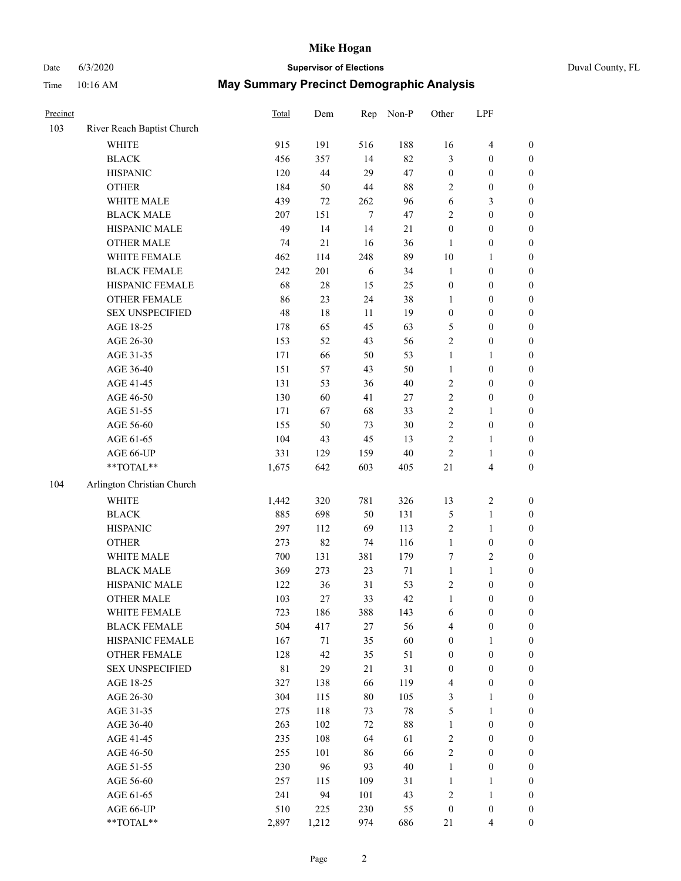## Date 6/3/2020 **Supervisor of Elections** Duval County, FL

| Precinct |                            | <b>Total</b> | Dem    | Rep    | Non-P  | Other            | LPF                     |                  |
|----------|----------------------------|--------------|--------|--------|--------|------------------|-------------------------|------------------|
| 103      | River Reach Baptist Church |              |        |        |        |                  |                         |                  |
|          | <b>WHITE</b>               | 915          | 191    | 516    | 188    | 16               | $\overline{\mathbf{4}}$ | 0                |
|          | <b>BLACK</b>               | 456          | 357    | 14     | 82     | 3                | $\boldsymbol{0}$        | $\boldsymbol{0}$ |
|          | <b>HISPANIC</b>            | 120          | 44     | 29     | 47     | $\boldsymbol{0}$ | $\boldsymbol{0}$        | $\boldsymbol{0}$ |
|          | <b>OTHER</b>               | 184          | 50     | 44     | $88\,$ | 2                | $\boldsymbol{0}$        | $\boldsymbol{0}$ |
|          | WHITE MALE                 | 439          | $72\,$ | 262    | 96     | 6                | $\mathfrak{Z}$          | $\boldsymbol{0}$ |
|          | <b>BLACK MALE</b>          | 207          | 151    | $\tau$ | 47     | $\overline{c}$   | $\boldsymbol{0}$        | $\boldsymbol{0}$ |
|          | HISPANIC MALE              | 49           | 14     | 14     | 21     | $\boldsymbol{0}$ | $\boldsymbol{0}$        | $\boldsymbol{0}$ |
|          | <b>OTHER MALE</b>          | 74           | 21     | 16     | 36     | $\mathbf{1}$     | $\boldsymbol{0}$        | $\boldsymbol{0}$ |
|          | WHITE FEMALE               | 462          | 114    | 248    | 89     | $10\,$           | $\mathbf{1}$            | $\boldsymbol{0}$ |
|          | <b>BLACK FEMALE</b>        | 242          | 201    | 6      | 34     | $\mathbf{1}$     | $\boldsymbol{0}$        | 0                |
|          | HISPANIC FEMALE            | 68           | $28\,$ | 15     | 25     | $\boldsymbol{0}$ | $\boldsymbol{0}$        | 0                |
|          | <b>OTHER FEMALE</b>        | 86           | 23     | 24     | 38     | $\mathbf{1}$     | $\boldsymbol{0}$        | $\boldsymbol{0}$ |
|          | <b>SEX UNSPECIFIED</b>     | 48           | 18     | 11     | 19     | $\boldsymbol{0}$ | $\boldsymbol{0}$        | $\boldsymbol{0}$ |
|          | AGE 18-25                  | 178          | 65     | 45     | 63     | 5                | $\boldsymbol{0}$        | $\boldsymbol{0}$ |
|          | AGE 26-30                  | 153          | 52     | 43     | 56     | 2                | $\boldsymbol{0}$        | $\boldsymbol{0}$ |
|          | AGE 31-35                  | 171          | 66     | 50     | 53     | $\mathbf{1}$     | $\mathbf{1}$            | $\boldsymbol{0}$ |
|          | AGE 36-40                  | 151          | 57     | 43     | 50     | $\mathbf{1}$     | $\boldsymbol{0}$        | $\boldsymbol{0}$ |
|          | AGE 41-45                  | 131          | 53     | 36     | $40\,$ | $\sqrt{2}$       | $\boldsymbol{0}$        | $\boldsymbol{0}$ |
|          | AGE 46-50                  | 130          | 60     | 41     | 27     | $\sqrt{2}$       | $\boldsymbol{0}$        | $\boldsymbol{0}$ |
|          | AGE 51-55                  | 171          | 67     | 68     | 33     | $\sqrt{2}$       | $\mathbf{1}$            | $\boldsymbol{0}$ |
|          | AGE 56-60                  | 155          | 50     | 73     | 30     | $\sqrt{2}$       | $\boldsymbol{0}$        | 0                |
|          | AGE 61-65                  | 104          | 43     | 45     | 13     | $\mathbf{2}$     | $\mathbf{1}$            | 0                |
|          | AGE 66-UP                  | 331          | 129    | 159    | $40\,$ | $\sqrt{2}$       | $\mathbf{1}$            | $\boldsymbol{0}$ |
|          | $**TOTAL**$                | 1,675        | 642    | 603    | 405    | 21               | $\overline{\mathbf{4}}$ | $\boldsymbol{0}$ |
| 104      | Arlington Christian Church |              |        |        |        |                  |                         |                  |
|          | <b>WHITE</b>               | 1,442        | 320    | 781    | 326    | 13               | $\sqrt{2}$              | $\boldsymbol{0}$ |
|          | <b>BLACK</b>               | 885          | 698    | 50     | 131    | 5                | $\mathbf{1}$            | $\boldsymbol{0}$ |
|          | <b>HISPANIC</b>            | 297          | 112    | 69     | 113    | $\overline{c}$   | $\mathbf{1}$            | $\boldsymbol{0}$ |
|          | <b>OTHER</b>               | 273          | 82     | 74     | 116    | $\mathbf{1}$     | $\boldsymbol{0}$        | $\boldsymbol{0}$ |
|          | WHITE MALE                 | 700          | 131    | 381    | 179    | $\tau$           | $\overline{2}$          | $\boldsymbol{0}$ |
|          | <b>BLACK MALE</b>          | 369          | 273    | 23     | $71\,$ | $\mathbf{1}$     | $\mathbf{1}$            | $\boldsymbol{0}$ |
|          | HISPANIC MALE              | 122          | 36     | 31     | 53     | $\overline{c}$   | $\boldsymbol{0}$        | 0                |
|          | <b>OTHER MALE</b>          | 103          | 27     | 33     | 42     | $\mathbf{1}$     | $\boldsymbol{0}$        | $\boldsymbol{0}$ |
|          | WHITE FEMALE               | 723          | 186    | 388    | 143    | 6                | $\boldsymbol{0}$        | 0                |
|          | <b>BLACK FEMALE</b>        | 504          | 417    | $27\,$ | 56     | 4                | $\boldsymbol{0}$        | $\boldsymbol{0}$ |
|          | HISPANIC FEMALE            | 167          | $71\,$ | 35     | 60     | $\boldsymbol{0}$ | $\mathbf{1}$            | $\overline{0}$   |
|          | OTHER FEMALE               | 128          | 42     | 35     | 51     | $\boldsymbol{0}$ | $\boldsymbol{0}$        | $\overline{0}$   |
|          | <b>SEX UNSPECIFIED</b>     | $8\sqrt{1}$  | 29     | 21     | 31     | $\boldsymbol{0}$ | $\boldsymbol{0}$        | 0                |
|          | AGE 18-25                  | 327          | 138    | 66     | 119    | 4                | $\boldsymbol{0}$        | 0                |
|          | AGE 26-30                  | 304          | 115    | 80     | 105    | 3                | $\mathbf{1}$            | 0                |
|          | AGE 31-35                  | 275          | 118    | 73     | $78\,$ | 5                | $\mathbf{1}$            | 0                |
|          | AGE 36-40                  | 263          | 102    | 72     | $88\,$ | $\mathbf{1}$     | $\boldsymbol{0}$        | 0                |
|          | AGE 41-45                  | 235          | 108    | 64     | 61     | $\sqrt{2}$       | $\boldsymbol{0}$        | 0                |
|          | AGE 46-50                  | 255          | 101    | 86     | 66     | $\sqrt{2}$       | $\boldsymbol{0}$        | 0                |
|          | AGE 51-55                  | 230          | 96     | 93     | 40     | $\mathbf{1}$     | $\boldsymbol{0}$        | $\boldsymbol{0}$ |
|          | AGE 56-60                  | 257          | 115    | 109    | 31     | $\mathbf{1}$     | $\mathbf{1}$            | $\boldsymbol{0}$ |
|          | AGE 61-65                  | 241          | 94     | 101    | 43     | $\overline{c}$   | $\mathbf{1}$            | $\boldsymbol{0}$ |
|          | AGE 66-UP                  | 510          | 225    | 230    | 55     | $\boldsymbol{0}$ | $\boldsymbol{0}$        | $\boldsymbol{0}$ |
|          | **TOTAL**                  | 2,897        | 1,212  | 974    | 686    | 21               | $\overline{4}$          | $\boldsymbol{0}$ |
|          |                            |              |        |        |        |                  |                         |                  |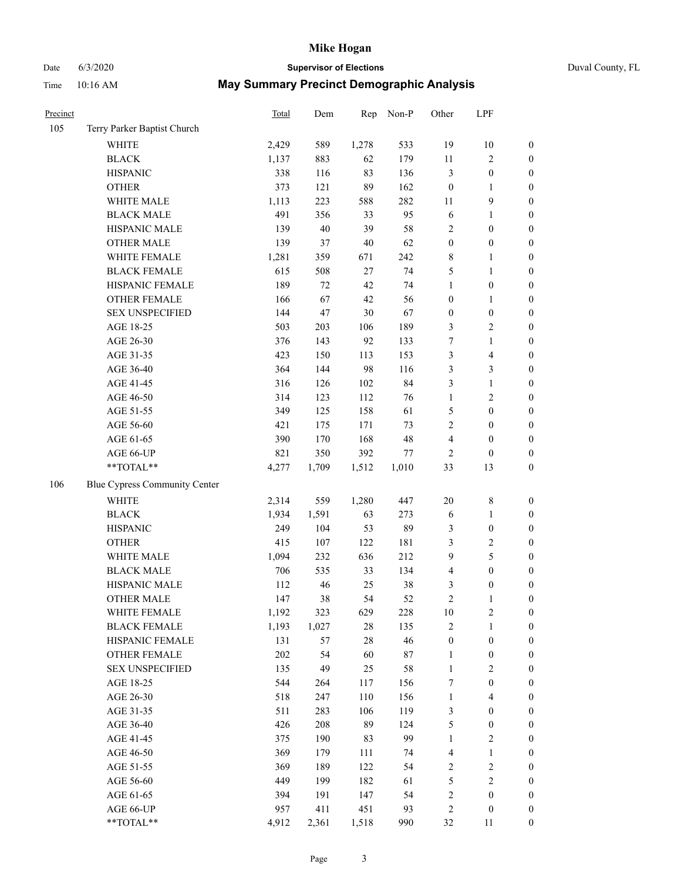# Date 6/3/2020 **Supervisor of Elections** Duval County, FL

| Precinct |                               | Total | Dem    | Rep    | Non-P  | Other            | LPF              |                  |
|----------|-------------------------------|-------|--------|--------|--------|------------------|------------------|------------------|
| 105      | Terry Parker Baptist Church   |       |        |        |        |                  |                  |                  |
|          | <b>WHITE</b>                  | 2,429 | 589    | 1,278  | 533    | 19               | 10               | $\boldsymbol{0}$ |
|          | <b>BLACK</b>                  | 1,137 | 883    | 62     | 179    | $11\,$           | $\sqrt{2}$       | $\boldsymbol{0}$ |
|          | <b>HISPANIC</b>               | 338   | 116    | 83     | 136    | 3                | $\boldsymbol{0}$ | $\boldsymbol{0}$ |
|          | <b>OTHER</b>                  | 373   | 121    | 89     | 162    | $\boldsymbol{0}$ | 1                | $\boldsymbol{0}$ |
|          | WHITE MALE                    | 1,113 | 223    | 588    | 282    | 11               | 9                | $\boldsymbol{0}$ |
|          | <b>BLACK MALE</b>             | 491   | 356    | 33     | 95     | $\sqrt{6}$       | $\mathbf{1}$     | $\boldsymbol{0}$ |
|          | HISPANIC MALE                 | 139   | $40\,$ | 39     | 58     | 2                | $\boldsymbol{0}$ | $\boldsymbol{0}$ |
|          | <b>OTHER MALE</b>             | 139   | 37     | $40\,$ | 62     | $\boldsymbol{0}$ | $\boldsymbol{0}$ | $\boldsymbol{0}$ |
|          | WHITE FEMALE                  | 1,281 | 359    | 671    | 242    | 8                | 1                | $\boldsymbol{0}$ |
|          | <b>BLACK FEMALE</b>           | 615   | 508    | 27     | 74     | 5                | $\mathbf{1}$     | 0                |
|          | HISPANIC FEMALE               | 189   | 72     | 42     | 74     | $\mathbf{1}$     | $\boldsymbol{0}$ | $\boldsymbol{0}$ |
|          | <b>OTHER FEMALE</b>           | 166   | 67     | 42     | 56     | $\boldsymbol{0}$ | $\mathbf{1}$     | $\boldsymbol{0}$ |
|          | <b>SEX UNSPECIFIED</b>        | 144   | 47     | 30     | 67     | $\boldsymbol{0}$ | $\boldsymbol{0}$ | $\boldsymbol{0}$ |
|          | AGE 18-25                     | 503   | 203    | 106    | 189    | 3                | $\sqrt{2}$       | $\boldsymbol{0}$ |
|          | AGE 26-30                     | 376   | 143    | 92     | 133    | 7                | $\mathbf{1}$     | $\boldsymbol{0}$ |
|          | AGE 31-35                     | 423   | 150    | 113    | 153    | 3                | $\overline{4}$   | $\boldsymbol{0}$ |
|          | AGE 36-40                     | 364   | 144    | 98     | 116    | 3                | 3                | $\boldsymbol{0}$ |
|          | AGE 41-45                     | 316   | 126    | 102    | 84     | 3                | $\mathbf{1}$     | $\boldsymbol{0}$ |
|          | AGE 46-50                     | 314   | 123    | 112    | 76     | $\mathbf{1}$     | $\sqrt{2}$       | $\boldsymbol{0}$ |
|          | AGE 51-55                     | 349   | 125    | 158    | 61     | 5                | $\boldsymbol{0}$ | 0                |
|          | AGE 56-60                     | 421   | 175    | 171    | 73     | 2                | $\boldsymbol{0}$ | $\boldsymbol{0}$ |
|          | AGE 61-65                     | 390   | 170    | 168    | 48     | 4                | $\boldsymbol{0}$ | $\boldsymbol{0}$ |
|          | AGE 66-UP                     | 821   | 350    | 392    | $77\,$ | $\overline{2}$   | $\boldsymbol{0}$ | $\boldsymbol{0}$ |
|          | $**TOTAL**$                   | 4,277 | 1,709  | 1,512  | 1,010  | 33               | 13               | $\boldsymbol{0}$ |
| 106      | Blue Cypress Community Center |       |        |        |        |                  |                  |                  |
|          | WHITE                         | 2,314 | 559    | 1,280  | 447    | $20\,$           | $\,$ $\,$        | $\boldsymbol{0}$ |
|          | <b>BLACK</b>                  | 1,934 | 1,591  | 63     | 273    | 6                | $\mathbf{1}$     | $\boldsymbol{0}$ |
|          | <b>HISPANIC</b>               | 249   | 104    | 53     | 89     | 3                | $\boldsymbol{0}$ | $\boldsymbol{0}$ |
|          | <b>OTHER</b>                  | 415   | 107    | 122    | 181    | 3                | $\sqrt{2}$       | $\boldsymbol{0}$ |
|          | WHITE MALE                    | 1,094 | 232    | 636    | 212    | 9                | 5                | $\boldsymbol{0}$ |
|          | <b>BLACK MALE</b>             | 706   | 535    | 33     | 134    | 4                | $\boldsymbol{0}$ | $\boldsymbol{0}$ |
|          | HISPANIC MALE                 | 112   | 46     | 25     | 38     | 3                | $\boldsymbol{0}$ | 0                |
|          | <b>OTHER MALE</b>             | 147   | 38     | 54     | 52     | $\overline{c}$   | 1                | $\boldsymbol{0}$ |
|          | WHITE FEMALE                  | 1,192 | 323    | 629    | 228    | 10               | $\boldsymbol{2}$ | $\boldsymbol{0}$ |
|          | <b>BLACK FEMALE</b>           | 1,193 | 1,027  | 28     | 135    | 2                | $\mathbf{1}$     | $\boldsymbol{0}$ |
|          | HISPANIC FEMALE               | 131   | 57     | 28     | 46     | $\boldsymbol{0}$ | $\boldsymbol{0}$ | $\overline{0}$   |
|          | <b>OTHER FEMALE</b>           | 202   | 54     | 60     | $87\,$ | $\mathbf{1}$     | $\boldsymbol{0}$ | 0                |
|          | <b>SEX UNSPECIFIED</b>        | 135   | 49     | 25     | 58     | $\mathbf{1}$     | $\sqrt{2}$       | 0                |
|          | AGE 18-25                     | 544   | 264    | 117    | 156    | 7                | $\boldsymbol{0}$ | 0                |
|          | AGE 26-30                     | 518   | 247    | 110    | 156    | $\mathbf{1}$     | $\overline{4}$   | 0                |
|          | AGE 31-35                     | 511   | 283    | 106    | 119    | 3                | $\boldsymbol{0}$ | 0                |
|          | AGE 36-40                     | 426   | 208    | 89     | 124    | 5                | $\boldsymbol{0}$ | 0                |
|          | AGE 41-45                     | 375   | 190    | 83     | 99     | $\mathbf{1}$     | $\sqrt{2}$       | 0                |
|          | AGE 46-50                     | 369   | 179    | 111    | 74     | 4                | $\mathbf{1}$     | 0                |
|          | AGE 51-55                     | 369   | 189    | 122    | 54     | 2                | $\sqrt{2}$       | $\boldsymbol{0}$ |
|          | AGE 56-60                     | 449   | 199    | 182    | 61     | 5                | $\sqrt{2}$       | $\boldsymbol{0}$ |
|          | AGE 61-65                     | 394   | 191    | 147    | 54     | 2                | $\boldsymbol{0}$ | $\boldsymbol{0}$ |
|          | AGE 66-UP                     | 957   | 411    | 451    | 93     | $\overline{c}$   | $\boldsymbol{0}$ | 0                |
|          | **TOTAL**                     | 4,912 | 2,361  | 1,518  | 990    | 32               | 11               | $\boldsymbol{0}$ |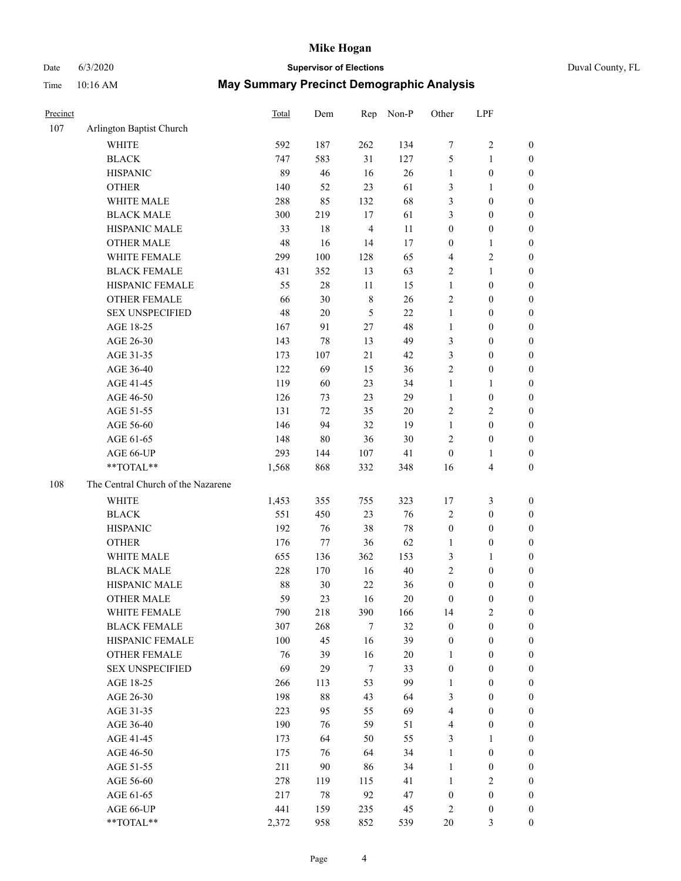Time 10:16 AM

## Date 6/3/2020 **Supervisor of Elections**

|  | Duval County, FL |  |
|--|------------------|--|
|--|------------------|--|

|  |  | May Summary Precinct Demographic Analysis |  |
|--|--|-------------------------------------------|--|
|--|--|-------------------------------------------|--|

| Precinct |                                    | <b>Total</b> | Dem | Rep            | Non-P  | Other            | LPF                     |                  |
|----------|------------------------------------|--------------|-----|----------------|--------|------------------|-------------------------|------------------|
| 107      | Arlington Baptist Church           |              |     |                |        |                  |                         |                  |
|          | <b>WHITE</b>                       | 592          | 187 | 262            | 134    | 7                | $\sqrt{2}$              | 0                |
|          | <b>BLACK</b>                       | 747          | 583 | 31             | 127    | 5                | $\mathbf{1}$            | 0                |
|          | <b>HISPANIC</b>                    | 89           | 46  | 16             | 26     | $\mathbf{1}$     | $\boldsymbol{0}$        | $\boldsymbol{0}$ |
|          | <b>OTHER</b>                       | 140          | 52  | 23             | 61     | 3                | $\mathbf{1}$            | $\boldsymbol{0}$ |
|          | WHITE MALE                         | 288          | 85  | 132            | 68     | 3                | $\boldsymbol{0}$        | $\boldsymbol{0}$ |
|          | <b>BLACK MALE</b>                  | 300          | 219 | 17             | 61     | 3                | $\boldsymbol{0}$        | $\boldsymbol{0}$ |
|          | HISPANIC MALE                      | 33           | 18  | $\overline{4}$ | 11     | $\boldsymbol{0}$ | $\boldsymbol{0}$        | $\boldsymbol{0}$ |
|          | <b>OTHER MALE</b>                  | 48           | 16  | 14             | 17     | $\boldsymbol{0}$ | $\mathbf{1}$            | $\boldsymbol{0}$ |
|          | WHITE FEMALE                       | 299          | 100 | 128            | 65     | 4                | $\overline{c}$          | $\boldsymbol{0}$ |
|          | <b>BLACK FEMALE</b>                | 431          | 352 | 13             | 63     | 2                | $\mathbf{1}$            | $\boldsymbol{0}$ |
|          | HISPANIC FEMALE                    | 55           | 28  | 11             | 15     | $\mathbf{1}$     | $\boldsymbol{0}$        | 0                |
|          | <b>OTHER FEMALE</b>                | 66           | 30  | $\,$ 8 $\,$    | 26     | $\mathbf{2}$     | $\boldsymbol{0}$        | $\boldsymbol{0}$ |
|          | <b>SEX UNSPECIFIED</b>             | 48           | 20  | 5              | 22     | $\mathbf{1}$     | $\boldsymbol{0}$        | $\boldsymbol{0}$ |
|          | AGE 18-25                          | 167          | 91  | $27\,$         | 48     | $\mathbf{1}$     | $\boldsymbol{0}$        | $\boldsymbol{0}$ |
|          | AGE 26-30                          | 143          | 78  | 13             | 49     | 3                | $\boldsymbol{0}$        | $\boldsymbol{0}$ |
|          | AGE 31-35                          | 173          | 107 | 21             | 42     | 3                | $\boldsymbol{0}$        | $\boldsymbol{0}$ |
|          | AGE 36-40                          | 122          | 69  | 15             | 36     | $\mathfrak{2}$   | $\boldsymbol{0}$        | $\boldsymbol{0}$ |
|          | AGE 41-45                          | 119          | 60  | 23             | 34     | $\mathbf{1}$     | $\mathbf{1}$            | $\boldsymbol{0}$ |
|          | AGE 46-50                          | 126          | 73  | 23             | 29     | $\mathbf{1}$     | $\boldsymbol{0}$        | $\boldsymbol{0}$ |
|          | AGE 51-55                          | 131          | 72  | 35             | $20\,$ | 2                | $\sqrt{2}$              | $\boldsymbol{0}$ |
|          | AGE 56-60                          | 146          | 94  | 32             | 19     | $\mathbf{1}$     | $\boldsymbol{0}$        | 0                |
|          | AGE 61-65                          | 148          | 80  | 36             | 30     | $\overline{c}$   | $\boldsymbol{0}$        | 0                |
|          | AGE 66-UP                          | 293          | 144 | 107            | 41     | $\boldsymbol{0}$ | $\mathbf{1}$            | $\boldsymbol{0}$ |
|          | **TOTAL**                          | 1,568        | 868 | 332            | 348    | 16               | $\overline{\mathbf{4}}$ | $\boldsymbol{0}$ |
| 108      | The Central Church of the Nazarene |              |     |                |        |                  |                         |                  |
|          | <b>WHITE</b>                       | 1,453        | 355 | 755            | 323    | 17               | $\mathfrak{Z}$          | $\boldsymbol{0}$ |
|          | <b>BLACK</b>                       | 551          | 450 | 23             | 76     | $\overline{c}$   | $\boldsymbol{0}$        | $\boldsymbol{0}$ |
|          | <b>HISPANIC</b>                    | 192          | 76  | 38             | 78     | $\boldsymbol{0}$ | $\boldsymbol{0}$        | $\boldsymbol{0}$ |
|          | <b>OTHER</b>                       | 176          | 77  | 36             | 62     | $\mathbf{1}$     | $\boldsymbol{0}$        | $\boldsymbol{0}$ |
|          | WHITE MALE                         | 655          | 136 | 362            | 153    | 3                | $\mathbf{1}$            | $\boldsymbol{0}$ |
|          | <b>BLACK MALE</b>                  | 228          | 170 | 16             | $40\,$ | $\overline{c}$   | $\boldsymbol{0}$        | $\boldsymbol{0}$ |
|          | HISPANIC MALE                      | 88           | 30  | $22\,$         | 36     | $\boldsymbol{0}$ | $\boldsymbol{0}$        | 0                |
|          | <b>OTHER MALE</b>                  | 59           | 23  | 16             | 20     | $\boldsymbol{0}$ | $\boldsymbol{0}$        | $\boldsymbol{0}$ |
|          | WHITE FEMALE                       | 790          | 218 | 390            | 166    | 14               | 2                       | 0                |
|          | <b>BLACK FEMALE</b>                | 307          | 268 | 7              | 32     | $\boldsymbol{0}$ | $\boldsymbol{0}$        | $\overline{0}$   |
|          | HISPANIC FEMALE                    | 100          | 45  | 16             | 39     | $\boldsymbol{0}$ | $\boldsymbol{0}$        | $\overline{0}$   |
|          | OTHER FEMALE                       | 76           | 39  | 16             | 20     | $\mathbf{1}$     | $\boldsymbol{0}$        | $\overline{0}$   |
|          | <b>SEX UNSPECIFIED</b>             | 69           | 29  | $\tau$         | 33     | $\boldsymbol{0}$ | $\boldsymbol{0}$        | 0                |
|          | AGE 18-25                          | 266          | 113 | 53             | 99     | $\mathbf{1}$     | $\boldsymbol{0}$        | $\theta$         |
|          | AGE 26-30                          | 198          | 88  | 43             | 64     | 3                | $\boldsymbol{0}$        | 0                |
|          | AGE 31-35                          | 223          | 95  | 55             | 69     | 4                | $\boldsymbol{0}$        | 0                |
|          | AGE 36-40                          | 190          | 76  | 59             | 51     | 4                | $\boldsymbol{0}$        | 0                |
|          | AGE 41-45                          | 173          | 64  | 50             | 55     | 3                | $\mathbf{1}$            | 0                |
|          | AGE 46-50                          | 175          | 76  | 64             | 34     | $\mathbf{1}$     | $\boldsymbol{0}$        | 0                |
|          | AGE 51-55                          | 211          | 90  | 86             | 34     | $\mathbf{1}$     | $\boldsymbol{0}$        | 0                |
|          | AGE 56-60                          | 278          | 119 | 115            | 41     | 1                | $\sqrt{2}$              | $\overline{0}$   |
|          | AGE 61-65                          | 217          | 78  | 92             | 47     | $\boldsymbol{0}$ | $\boldsymbol{0}$        | $\boldsymbol{0}$ |
|          | AGE 66-UP                          | 441          | 159 | 235            | 45     | $\overline{c}$   | $\boldsymbol{0}$        | $\boldsymbol{0}$ |
|          | **TOTAL**                          | 2,372        | 958 | 852            | 539    | $20\,$           | 3                       | $\boldsymbol{0}$ |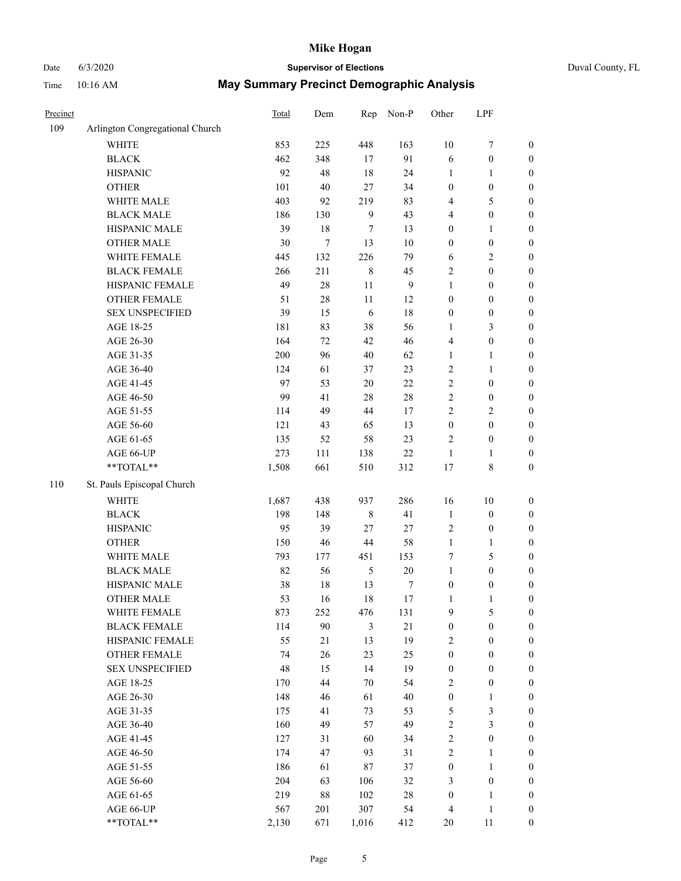## Date 6/3/2020 **Supervisor of Elections** Duval County, FL

| Precinct |                                                           | Total | Dem    | Rep            | Non-P            | Other                   | LPF              |                  |
|----------|-----------------------------------------------------------|-------|--------|----------------|------------------|-------------------------|------------------|------------------|
| 109      | Arlington Congregational Church                           |       |        |                |                  |                         |                  |                  |
|          | <b>WHITE</b>                                              | 853   | 225    | 448            | 163              | 10                      | $\boldsymbol{7}$ | 0                |
|          | <b>BLACK</b>                                              | 462   | 348    | 17             | 91               | 6                       | $\boldsymbol{0}$ | $\boldsymbol{0}$ |
|          | <b>HISPANIC</b>                                           | 92    | 48     | 18             | 24               | 1                       | 1                | $\boldsymbol{0}$ |
|          | <b>OTHER</b>                                              | 101   | 40     | 27             | 34               | $\boldsymbol{0}$        | $\boldsymbol{0}$ | $\boldsymbol{0}$ |
|          | WHITE MALE                                                | 403   | 92     | 219            | 83               | 4                       | 5                | $\boldsymbol{0}$ |
|          | <b>BLACK MALE</b>                                         | 186   | 130    | 9              | 43               | 4                       | $\boldsymbol{0}$ | $\boldsymbol{0}$ |
|          | HISPANIC MALE                                             | 39    | 18     | 7              | 13               | 0                       | $\mathbf{1}$     | $\boldsymbol{0}$ |
|          | <b>OTHER MALE</b>                                         | 30    | $\tau$ | 13             | 10               | 0                       | $\boldsymbol{0}$ | $\boldsymbol{0}$ |
|          | WHITE FEMALE                                              | 445   | 132    | 226            | 79               | 6                       | $\sqrt{2}$       | $\boldsymbol{0}$ |
|          | <b>BLACK FEMALE</b>                                       | 266   | 211    | $\,$ 8 $\,$    | 45               | 2                       | $\boldsymbol{0}$ | $\boldsymbol{0}$ |
|          | HISPANIC FEMALE                                           | 49    | 28     | $11\,$         | $\boldsymbol{9}$ | $\mathbf{1}$            | $\boldsymbol{0}$ | $\boldsymbol{0}$ |
|          | OTHER FEMALE                                              | 51    | 28     | $11\,$         | 12               | 0                       | $\boldsymbol{0}$ | $\boldsymbol{0}$ |
|          | <b>SEX UNSPECIFIED</b>                                    | 39    | 15     | 6              | 18               | $\boldsymbol{0}$        | $\boldsymbol{0}$ | $\boldsymbol{0}$ |
|          | AGE 18-25                                                 | 181   | 83     | 38             | 56               | 1                       | $\mathfrak{Z}$   | $\boldsymbol{0}$ |
|          | AGE 26-30                                                 | 164   | 72     | 42             | 46               | 4                       | $\boldsymbol{0}$ | $\boldsymbol{0}$ |
|          | AGE 31-35                                                 | 200   | 96     | 40             | 62               | $\mathbf{1}$            | $\mathbf{1}$     | $\boldsymbol{0}$ |
|          | AGE 36-40                                                 | 124   | 61     | 37             | 23               | $\overline{c}$          | $\mathbf{1}$     | $\boldsymbol{0}$ |
|          | AGE 41-45                                                 | 97    | 53     | $20\,$         | $22\,$           | $\overline{c}$          | $\boldsymbol{0}$ | $\boldsymbol{0}$ |
|          | AGE 46-50                                                 | 99    | 41     | $28\,$         | $28\,$           | $\overline{c}$          | $\boldsymbol{0}$ | $\boldsymbol{0}$ |
|          | AGE 51-55                                                 | 114   | 49     | 44             | 17               | $\overline{c}$          | $\sqrt{2}$       | $\boldsymbol{0}$ |
|          | AGE 56-60                                                 | 121   | 43     | 65             | 13               | $\boldsymbol{0}$        | $\boldsymbol{0}$ | $\boldsymbol{0}$ |
|          | AGE 61-65                                                 | 135   | 52     | 58             | 23               | 2                       | $\boldsymbol{0}$ | $\boldsymbol{0}$ |
|          | AGE 66-UP                                                 | 273   | 111    | 138            | $22\,$           | $\mathbf{1}$            | 1                | $\boldsymbol{0}$ |
|          | $\mathrm{*}\mathrm{*}\mathrm{TOTAL} \mathrm{*}\mathrm{*}$ | 1,508 | 661    | 510            | 312              | 17                      | $\,$ 8 $\,$      | $\boldsymbol{0}$ |
| 110      | St. Pauls Episcopal Church                                |       |        |                |                  |                         |                  |                  |
|          | <b>WHITE</b>                                              | 1,687 | 438    | 937            | 286              | 16                      | 10               | $\boldsymbol{0}$ |
|          | <b>BLACK</b>                                              | 198   | 148    | $\,$ $\,$      | 41               | $\mathbf{1}$            | $\boldsymbol{0}$ | $\boldsymbol{0}$ |
|          | <b>HISPANIC</b>                                           | 95    | 39     | 27             | $27\,$           | 2                       | $\boldsymbol{0}$ | $\boldsymbol{0}$ |
|          | <b>OTHER</b>                                              | 150   | 46     | 44             | 58               | $\mathbf{1}$            | $\mathbf{1}$     | $\boldsymbol{0}$ |
|          | WHITE MALE                                                | 793   | 177    | 451            | 153              | 7                       | 5                | $\boldsymbol{0}$ |
|          | <b>BLACK MALE</b>                                         | 82    | 56     | $\mathfrak{S}$ | 20               | $\mathbf{1}$            | $\boldsymbol{0}$ | $\boldsymbol{0}$ |
|          | HISPANIC MALE                                             | 38    | 18     | 13             | 7                | $\boldsymbol{0}$        | $\boldsymbol{0}$ | $\boldsymbol{0}$ |
|          | <b>OTHER MALE</b>                                         | 53    | 16     | 18             | 17               | 1                       | $\mathbf{1}$     | $\boldsymbol{0}$ |
|          | WHITE FEMALE                                              | 873   | 252    | 476            | 131              | 9                       | 5                | 0                |
|          | <b>BLACK FEMALE</b>                                       | 114   | 90     | 3              | $21\,$           | $\boldsymbol{0}$        | $\boldsymbol{0}$ | $\overline{0}$   |
|          | HISPANIC FEMALE                                           | 55    | $21\,$ | 13             | 19               | 2                       | $\boldsymbol{0}$ | $\overline{0}$   |
|          | OTHER FEMALE                                              | 74    | 26     | 23             | 25               | $\boldsymbol{0}$        | $\boldsymbol{0}$ | $\overline{0}$   |
|          | <b>SEX UNSPECIFIED</b>                                    | 48    | 15     | 14             | 19               | $\boldsymbol{0}$        | $\boldsymbol{0}$ | 0                |
|          | AGE 18-25                                                 | 170   | 44     | 70             | 54               | 2                       | $\boldsymbol{0}$ | 0                |
|          | AGE 26-30                                                 | 148   | 46     | 61             | 40               | $\boldsymbol{0}$        | $\mathbf{1}$     | 0                |
|          | AGE 31-35                                                 | 175   | 41     | 73             | 53               | 5                       | $\mathfrak z$    | 0                |
|          | AGE 36-40                                                 | 160   | 49     | 57             | 49               | $\overline{\mathbf{c}}$ | $\mathfrak{Z}$   | 0                |
|          | AGE 41-45                                                 | 127   | 31     | 60             | 34               | $\mathbf{2}$            | $\boldsymbol{0}$ | 0                |
|          | AGE 46-50                                                 | 174   | 47     | 93             | 31               | $\mathbf{2}$            | 1                | 0                |
|          | AGE 51-55                                                 | 186   | 61     | 87             | 37               | $\boldsymbol{0}$        | $\mathbf{1}$     | 0                |
|          | AGE 56-60                                                 | 204   | 63     | 106            | 32               | 3                       | $\boldsymbol{0}$ | 0                |
|          | AGE 61-65                                                 | 219   | 88     | 102            | 28               | $\boldsymbol{0}$        | $\mathbf{1}$     | 0                |
|          | AGE 66-UP                                                 | 567   | 201    | 307            | 54               | 4                       | $\mathbf{1}$     | 0                |
|          | **TOTAL**                                                 | 2,130 | 671    | 1,016          | 412              | 20                      | 11               | $\boldsymbol{0}$ |
|          |                                                           |       |        |                |                  |                         |                  |                  |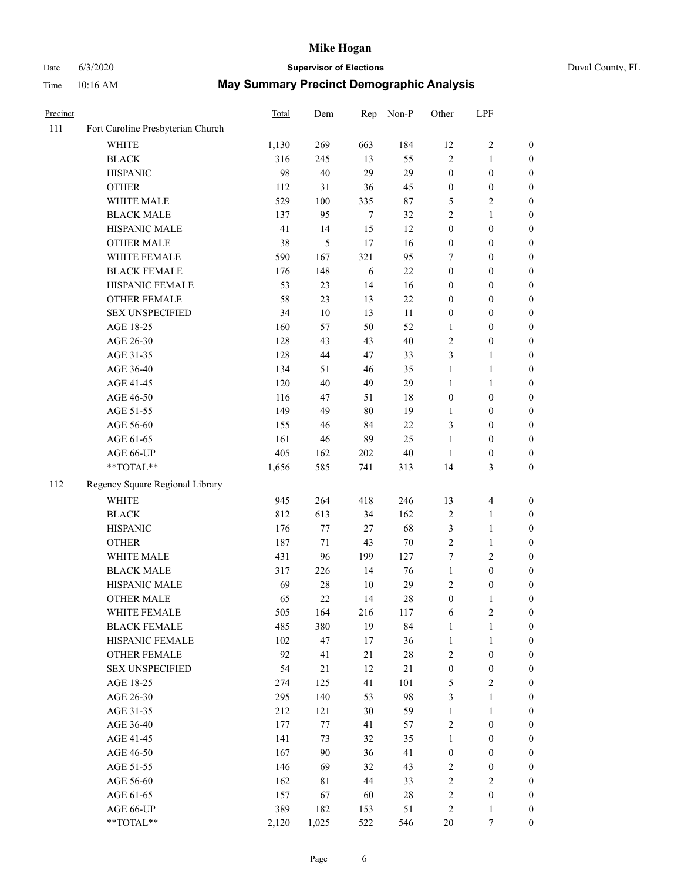# Date 6/3/2020 **Supervisor of Elections** Duval County, FL

| Precinct |                                   | <b>Total</b> | Dem           |            | Rep Non-P | Other                   | LPF              |                  |
|----------|-----------------------------------|--------------|---------------|------------|-----------|-------------------------|------------------|------------------|
| 111      | Fort Caroline Presbyterian Church |              |               |            |           |                         |                  |                  |
|          | <b>WHITE</b>                      | 1,130        | 269           | 663        | 184       | 12                      | $\sqrt{2}$       | 0                |
|          | <b>BLACK</b>                      | 316          | 245           | 13         | 55        | $\overline{c}$          | $\mathbf{1}$     | 0                |
|          | <b>HISPANIC</b>                   | 98           | 40            | 29         | 29        | $\boldsymbol{0}$        | $\boldsymbol{0}$ | $\boldsymbol{0}$ |
|          | <b>OTHER</b>                      | 112          | 31            | 36         | 45        | $\boldsymbol{0}$        | $\boldsymbol{0}$ | $\boldsymbol{0}$ |
|          | WHITE MALE                        | 529          | 100           | 335        | 87        | 5                       | $\sqrt{2}$       | $\boldsymbol{0}$ |
|          | <b>BLACK MALE</b>                 | 137          | 95            | 7          | 32        | $\overline{c}$          | $\mathbf{1}$     | $\boldsymbol{0}$ |
|          | HISPANIC MALE                     | 41           | 14            | 15         | 12        | $\boldsymbol{0}$        | $\boldsymbol{0}$ | $\boldsymbol{0}$ |
|          | <b>OTHER MALE</b>                 | 38           | $\mathfrak s$ | 17         | 16        | $\boldsymbol{0}$        | $\boldsymbol{0}$ | $\boldsymbol{0}$ |
|          | WHITE FEMALE                      | 590          | 167           | 321        | 95        | 7                       | $\boldsymbol{0}$ | $\boldsymbol{0}$ |
|          | <b>BLACK FEMALE</b>               | 176          | 148           | $\sqrt{6}$ | $22\,$    | 0                       | $\boldsymbol{0}$ | 0                |
|          | HISPANIC FEMALE                   | 53           | 23            | 14         | 16        | 0                       | $\boldsymbol{0}$ | 0                |
|          | OTHER FEMALE                      | 58           | 23            | 13         | 22        | 0                       | $\boldsymbol{0}$ | 0                |
|          | <b>SEX UNSPECIFIED</b>            | 34           | 10            | 13         | $11\,$    | $\boldsymbol{0}$        | $\boldsymbol{0}$ | $\boldsymbol{0}$ |
|          | AGE 18-25                         | 160          | 57            | 50         | 52        | 1                       | $\boldsymbol{0}$ | $\boldsymbol{0}$ |
|          | AGE 26-30                         | 128          | 43            | 43         | 40        | $\overline{\mathbf{c}}$ | $\boldsymbol{0}$ | $\boldsymbol{0}$ |
|          | AGE 31-35                         | 128          | $44\,$        | 47         | 33        | 3                       | $\mathbf{1}$     | $\boldsymbol{0}$ |
|          | AGE 36-40                         | 134          | 51            | 46         | 35        | 1                       | $\mathbf{1}$     | $\boldsymbol{0}$ |
|          | AGE 41-45                         | 120          | $40\,$        | 49         | 29        | $\mathbf{1}$            | $\mathbf{1}$     | $\boldsymbol{0}$ |
|          | AGE 46-50                         | 116          | 47            | 51         | 18        | $\boldsymbol{0}$        | $\boldsymbol{0}$ | $\boldsymbol{0}$ |
|          | AGE 51-55                         | 149          | 49            | 80         | 19        | 1                       | $\boldsymbol{0}$ | 0                |
|          | AGE 56-60                         | 155          | 46            | 84         | $22\,$    | 3                       | $\boldsymbol{0}$ | 0                |
|          | AGE 61-65                         | 161          | 46            | 89         | 25        | $\mathbf{1}$            | $\boldsymbol{0}$ | 0                |
|          | AGE 66-UP                         | 405          | 162           | 202        | 40        | $\mathbf{1}$            | $\boldsymbol{0}$ | $\boldsymbol{0}$ |
|          | $\mathrm{``TOTAL}^{\mathrm{**}}$  | 1,656        | 585           | 741        | 313       | 14                      | 3                | $\boldsymbol{0}$ |
| 112      | Regency Square Regional Library   |              |               |            |           |                         |                  |                  |
|          | <b>WHITE</b>                      | 945          | 264           | 418        | 246       | 13                      | $\overline{4}$   | $\boldsymbol{0}$ |
|          | <b>BLACK</b>                      | 812          | 613           | 34         | 162       | $\overline{\mathbf{c}}$ | $\mathbf{1}$     | $\boldsymbol{0}$ |
|          | <b>HISPANIC</b>                   | 176          | 77            | 27         | 68        | 3                       | $\mathbf{1}$     | $\boldsymbol{0}$ |
|          | <b>OTHER</b>                      | 187          | $71\,$        | 43         | 70        | $\overline{c}$          | $\mathbf{1}$     | $\boldsymbol{0}$ |
|          | WHITE MALE                        | 431          | 96            | 199        | 127       | 7                       | $\mathfrak{2}$   | $\boldsymbol{0}$ |
|          | <b>BLACK MALE</b>                 | 317          | 226           | 14         | 76        | $\mathbf{1}$            | $\boldsymbol{0}$ | $\boldsymbol{0}$ |
|          | HISPANIC MALE                     | 69           | 28            | 10         | 29        | 2                       | $\boldsymbol{0}$ | $\boldsymbol{0}$ |
|          | <b>OTHER MALE</b>                 | 65           | 22            | 14         | 28        | $\boldsymbol{0}$        | 1                | $\boldsymbol{0}$ |
|          | WHITE FEMALE                      | 505          | 164           | 216        | 117       | 6                       | $\sqrt{2}$       | 0                |
|          | <b>BLACK FEMALE</b>               | 485          | 380           | 19         | 84        | $\mathbf{1}$            | $\mathbf{1}$     | 0                |
|          | HISPANIC FEMALE                   | 102          | 47            | 17         | 36        | $\mathbf{1}$            | $\mathbf{1}$     | 0                |
|          | <b>OTHER FEMALE</b>               | 92           | 41            | 21         | $28\,$    | $\overline{\mathbf{c}}$ | $\boldsymbol{0}$ | 0                |
|          | <b>SEX UNSPECIFIED</b>            | 54           | $21\,$        | 12         | 21        | $\boldsymbol{0}$        | $\boldsymbol{0}$ | 0                |
|          | AGE 18-25                         | 274          | 125           | 41         | 101       | 5                       | $\sqrt{2}$       | 0                |
|          | AGE 26-30                         | 295          | 140           | 53         | 98        | 3                       | $\mathbf{1}$     | 0                |
|          | AGE 31-35                         | 212          | 121           | 30         | 59        | $\mathbf{1}$            | $\mathbf{1}$     | 0                |
|          | AGE 36-40                         | 177          | 77            | 41         | 57        | 2                       | $\boldsymbol{0}$ | 0                |
|          | AGE 41-45                         | 141          | 73            | 32         | 35        | $\mathbf{1}$            | $\boldsymbol{0}$ | 0                |
|          | AGE 46-50                         | 167          | 90            | 36         | 41        | $\boldsymbol{0}$        | $\boldsymbol{0}$ | 0                |
|          | AGE 51-55                         | 146          | 69            | 32         | 43        | 2                       | $\boldsymbol{0}$ | $\boldsymbol{0}$ |
|          | AGE 56-60                         | 162          | 81            | 44         | 33        | 2                       | $\sqrt{2}$       | $\overline{0}$   |
|          | AGE 61-65                         | 157          | 67            | 60         | 28        | $\overline{\mathbf{c}}$ | $\boldsymbol{0}$ | 0                |
|          | AGE 66-UP                         | 389          | 182           | 153        | 51        | 2                       | $\mathbf{1}$     | 0                |
|          | **TOTAL**                         | 2,120        | 1,025         | 522        | 546       | $20\,$                  | $\boldsymbol{7}$ | $\boldsymbol{0}$ |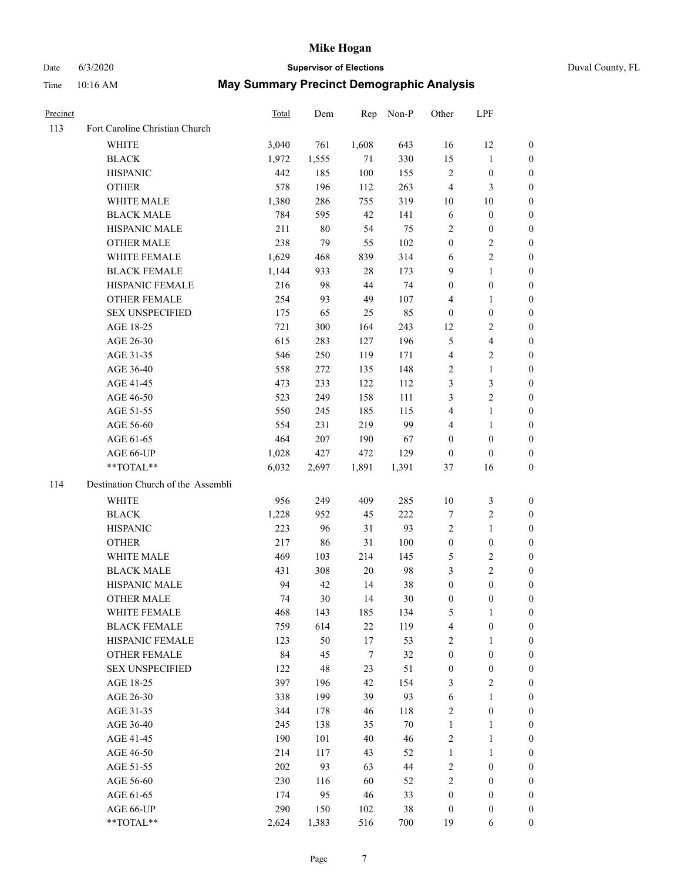# Date 6/3/2020 **Supervisor of Elections**

|  | Duval County, FL |  |
|--|------------------|--|
|--|------------------|--|

| Precinct |                                    | <b>Total</b> | Dem   | Rep   | Non-P | Other            | LPF              |                  |
|----------|------------------------------------|--------------|-------|-------|-------|------------------|------------------|------------------|
| 113      | Fort Caroline Christian Church     |              |       |       |       |                  |                  |                  |
|          | <b>WHITE</b>                       | 3,040        | 761   | 1,608 | 643   | 16               | 12               | 0                |
|          | <b>BLACK</b>                       | 1,972        | 1,555 | 71    | 330   | 15               | $\mathbf{1}$     | 0                |
|          | <b>HISPANIC</b>                    | 442          | 185   | 100   | 155   | $\mathbf{2}$     | $\boldsymbol{0}$ | 0                |
|          | <b>OTHER</b>                       | 578          | 196   | 112   | 263   | 4                | 3                | $\boldsymbol{0}$ |
|          | WHITE MALE                         | 1,380        | 286   | 755   | 319   | 10               | 10               | $\boldsymbol{0}$ |
|          | <b>BLACK MALE</b>                  | 784          | 595   | 42    | 141   | 6                | $\boldsymbol{0}$ | 0                |
|          | HISPANIC MALE                      | 211          | 80    | 54    | 75    | 2                | $\boldsymbol{0}$ | $\boldsymbol{0}$ |
|          | <b>OTHER MALE</b>                  | 238          | 79    | 55    | 102   | $\boldsymbol{0}$ | $\sqrt{2}$       | 0                |
|          | WHITE FEMALE                       | 1,629        | 468   | 839   | 314   | 6                | $\sqrt{2}$       | $\boldsymbol{0}$ |
|          | <b>BLACK FEMALE</b>                | 1,144        | 933   | 28    | 173   | 9                | $\mathbf{1}$     | 0                |
|          | HISPANIC FEMALE                    | 216          | 98    | 44    | 74    | 0                | $\boldsymbol{0}$ | 0                |
|          | OTHER FEMALE                       | 254          | 93    | 49    | 107   | 4                | $\mathbf{1}$     | 0                |
|          | <b>SEX UNSPECIFIED</b>             | 175          | 65    | 25    | 85    | $\boldsymbol{0}$ | $\boldsymbol{0}$ | $\boldsymbol{0}$ |
|          | AGE 18-25                          | 721          | 300   | 164   | 243   | 12               | $\sqrt{2}$       | $\boldsymbol{0}$ |
|          | AGE 26-30                          | 615          | 283   | 127   | 196   | 5                | $\overline{4}$   | $\boldsymbol{0}$ |
|          | AGE 31-35                          | 546          | 250   | 119   | 171   | 4                | $\sqrt{2}$       | $\boldsymbol{0}$ |
|          | AGE 36-40                          | 558          | 272   | 135   | 148   | 2                | $\mathbf{1}$     | $\boldsymbol{0}$ |
|          | AGE 41-45                          | 473          | 233   | 122   | 112   | 3                | 3                | $\overline{0}$   |
|          | AGE 46-50                          | 523          | 249   | 158   | 111   | 3                | $\overline{c}$   | 0                |
|          | AGE 51-55                          | 550          | 245   | 185   | 115   | 4                | $\mathbf{1}$     | 0                |
|          | AGE 56-60                          | 554          | 231   | 219   | 99    | 4                | $\mathbf{1}$     | 0                |
|          | AGE 61-65                          | 464          | 207   | 190   | 67    | 0                | $\boldsymbol{0}$ | 0                |
|          | AGE 66-UP                          | 1,028        | 427   | 472   | 129   | $\boldsymbol{0}$ | $\boldsymbol{0}$ | 0                |
|          | $**TOTAL**$                        | 6,032        | 2,697 | 1,891 | 1,391 | 37               | 16               | $\boldsymbol{0}$ |
| 114      | Destination Church of the Assembli |              |       |       |       |                  |                  |                  |
|          | <b>WHITE</b>                       | 956          | 249   | 409   | 285   | 10               | $\mathfrak z$    | $\boldsymbol{0}$ |
|          | <b>BLACK</b>                       | 1,228        | 952   | 45    | 222   | 7                | $\sqrt{2}$       | $\boldsymbol{0}$ |
|          | <b>HISPANIC</b>                    | 223          | 96    | 31    | 93    | 2                | $\mathbf{1}$     | $\boldsymbol{0}$ |
|          | <b>OTHER</b>                       | 217          | 86    | 31    | 100   | $\boldsymbol{0}$ | $\boldsymbol{0}$ | $\boldsymbol{0}$ |
|          | WHITE MALE                         | 469          | 103   | 214   | 145   | 5                | $\sqrt{2}$       | $\overline{0}$   |
|          | <b>BLACK MALE</b>                  | 431          | 308   | 20    | 98    | 3                | $\overline{c}$   | 0                |
|          | HISPANIC MALE                      | 94           | 42    | 14    | 38    | $\boldsymbol{0}$ | $\boldsymbol{0}$ | 0                |
|          | <b>OTHER MALE</b>                  | 74           | 30    | 14    | 30    | 0                | $\boldsymbol{0}$ | 0                |
|          | WHITE FEMALE                       | 468          | 143   | 185   | 134   | 5                | 1                | 0                |
|          | <b>BLACK FEMALE</b>                | 759          | 614   | 22    | 119   | 4                | $\boldsymbol{0}$ | $\overline{0}$   |
|          | HISPANIC FEMALE                    | 123          | 50    | 17    | 53    | 2                | $\mathbf{1}$     | $\overline{0}$   |
|          | OTHER FEMALE                       | 84           | 45    | 7     | 32    | $\boldsymbol{0}$ | $\boldsymbol{0}$ | $\overline{0}$   |
|          | <b>SEX UNSPECIFIED</b>             | 122          | 48    | 23    | 51    | $\boldsymbol{0}$ | $\boldsymbol{0}$ | 0                |
|          | AGE 18-25                          | 397          | 196   | 42    | 154   | 3                | $\sqrt{2}$       | 0                |
|          | AGE 26-30                          | 338          | 199   | 39    | 93    | 6                | $\mathbf{1}$     | 0                |
|          | AGE 31-35                          | 344          | 178   | 46    | 118   | $\overline{c}$   | $\boldsymbol{0}$ | 0                |
|          | AGE 36-40                          | 245          | 138   | 35    | 70    | 1                | $\mathbf{1}$     | 0                |
|          | AGE 41-45                          | 190          | 101   | 40    | 46    | 2                | $\mathbf{1}$     | 0                |
|          | AGE 46-50                          | 214          | 117   | 43    | 52    | $\mathbf{1}$     | $\mathbf{1}$     | 0                |
|          | AGE 51-55                          | 202          | 93    | 63    | 44    | 2                | $\boldsymbol{0}$ | 0                |
|          | AGE 56-60                          | 230          | 116   | 60    | 52    | 2                | $\boldsymbol{0}$ | $\overline{0}$   |
|          | AGE 61-65                          | 174          | 95    | 46    | 33    | $\boldsymbol{0}$ | $\boldsymbol{0}$ | $\overline{0}$   |
|          | AGE 66-UP                          | 290          | 150   | 102   | 38    | $\boldsymbol{0}$ | $\boldsymbol{0}$ | 0                |
|          | **TOTAL**                          | 2,624        | 1,383 | 516   | 700   | 19               | 6                | $\boldsymbol{0}$ |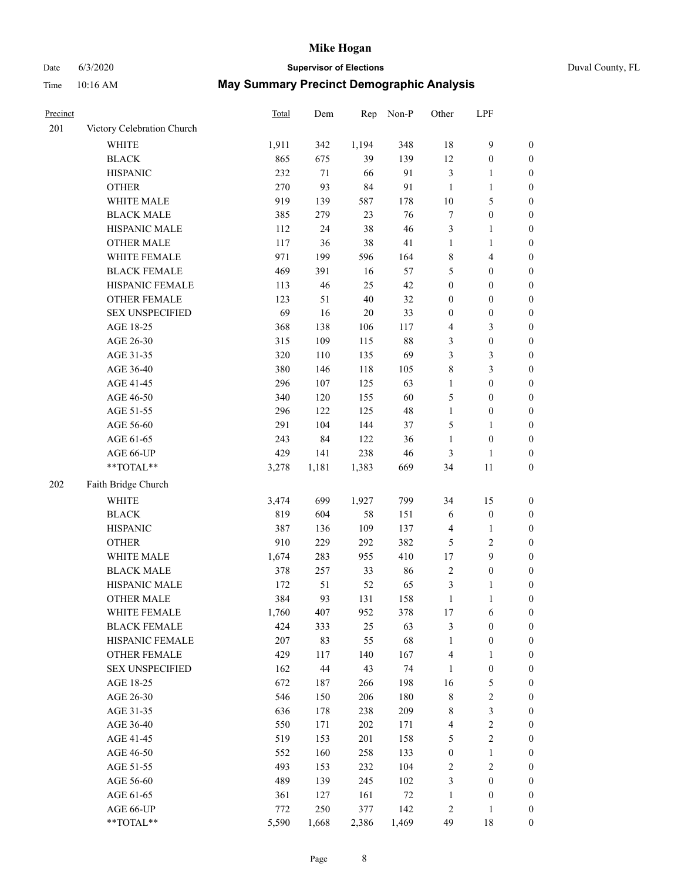### Date 6/3/2020 **Supervisor of Elections** Duval County, FL

| Precinct |                            | Total | Dem    | Rep    | Non-P  | Other            | LPF                     |                  |
|----------|----------------------------|-------|--------|--------|--------|------------------|-------------------------|------------------|
| 201      | Victory Celebration Church |       |        |        |        |                  |                         |                  |
|          | <b>WHITE</b>               | 1,911 | 342    | 1,194  | 348    | $18\,$           | 9                       | $\boldsymbol{0}$ |
|          | <b>BLACK</b>               | 865   | 675    | 39     | 139    | 12               | $\boldsymbol{0}$        | $\boldsymbol{0}$ |
|          | <b>HISPANIC</b>            | 232   | 71     | 66     | 91     | 3                | $\mathbf{1}$            | $\boldsymbol{0}$ |
|          | <b>OTHER</b>               | 270   | 93     | 84     | 91     | $\mathbf{1}$     | $\mathbf{1}$            | $\boldsymbol{0}$ |
|          | WHITE MALE                 | 919   | 139    | 587    | 178    | 10               | 5                       | $\boldsymbol{0}$ |
|          | <b>BLACK MALE</b>          | 385   | 279    | 23     | 76     | $\boldsymbol{7}$ | $\boldsymbol{0}$        | $\boldsymbol{0}$ |
|          | HISPANIC MALE              | 112   | 24     | 38     | 46     | 3                | $\mathbf{1}$            | $\boldsymbol{0}$ |
|          | <b>OTHER MALE</b>          | 117   | 36     | $38\,$ | 41     | $\mathbf{1}$     | $\mathbf{1}$            | $\boldsymbol{0}$ |
|          | WHITE FEMALE               | 971   | 199    | 596    | 164    | 8                | $\overline{\mathbf{4}}$ | $\boldsymbol{0}$ |
|          | <b>BLACK FEMALE</b>        | 469   | 391    | 16     | 57     | 5                | $\boldsymbol{0}$        | 0                |
|          | HISPANIC FEMALE            | 113   | 46     | 25     | 42     | $\boldsymbol{0}$ | $\boldsymbol{0}$        | $\boldsymbol{0}$ |
|          | OTHER FEMALE               | 123   | 51     | $40\,$ | 32     | $\boldsymbol{0}$ | $\boldsymbol{0}$        | $\boldsymbol{0}$ |
|          | <b>SEX UNSPECIFIED</b>     | 69    | 16     | $20\,$ | 33     | $\boldsymbol{0}$ | $\boldsymbol{0}$        | $\boldsymbol{0}$ |
|          | AGE 18-25                  | 368   | 138    | 106    | 117    | 4                | $\mathfrak{Z}$          | $\boldsymbol{0}$ |
|          | AGE 26-30                  | 315   | 109    | 115    | 88     | 3                | $\boldsymbol{0}$        | $\boldsymbol{0}$ |
|          | AGE 31-35                  | 320   | 110    | 135    | 69     | 3                | $\mathfrak{Z}$          | $\boldsymbol{0}$ |
|          | AGE 36-40                  | 380   | 146    | 118    | 105    | 8                | $\mathfrak{Z}$          | $\boldsymbol{0}$ |
|          | AGE 41-45                  | 296   | 107    | 125    | 63     | $\mathbf{1}$     | $\boldsymbol{0}$        | $\boldsymbol{0}$ |
|          | AGE 46-50                  | 340   | 120    | 155    | 60     | 5                | $\boldsymbol{0}$        | $\boldsymbol{0}$ |
|          | AGE 51-55                  | 296   | 122    | 125    | 48     | $\mathbf{1}$     | $\boldsymbol{0}$        | 0                |
|          | AGE 56-60                  | 291   | 104    | 144    | 37     | 5                | $\mathbf{1}$            | 0                |
|          | AGE 61-65                  | 243   | 84     | 122    | 36     | $\mathbf{1}$     | $\boldsymbol{0}$        | $\boldsymbol{0}$ |
|          | AGE 66-UP                  | 429   | 141    | 238    | 46     | 3                | 1                       | $\boldsymbol{0}$ |
|          | $**TOTAL**$                | 3,278 | 1,181  | 1,383  | 669    | 34               | $11\,$                  | $\boldsymbol{0}$ |
| 202      | Faith Bridge Church        |       |        |        |        |                  |                         |                  |
|          | <b>WHITE</b>               | 3,474 | 699    | 1,927  | 799    | 34               | 15                      | $\boldsymbol{0}$ |
|          | <b>BLACK</b>               | 819   | 604    | 58     | 151    | 6                | $\boldsymbol{0}$        | $\boldsymbol{0}$ |
|          | <b>HISPANIC</b>            | 387   | 136    | 109    | 137    | $\overline{4}$   | $\mathbf{1}$            | $\boldsymbol{0}$ |
|          | <b>OTHER</b>               | 910   | 229    | 292    | 382    | 5                | $\sqrt{2}$              | $\boldsymbol{0}$ |
|          | WHITE MALE                 | 1,674 | 283    | 955    | 410    | $17\,$           | $\boldsymbol{9}$        | $\boldsymbol{0}$ |
|          | <b>BLACK MALE</b>          | 378   | 257    | 33     | 86     | $\overline{2}$   | $\boldsymbol{0}$        | $\boldsymbol{0}$ |
|          | HISPANIC MALE              | 172   | 51     | 52     | 65     | 3                | 1                       | 0                |
|          | <b>OTHER MALE</b>          | 384   | 93     | 131    | 158    | $\mathbf{1}$     | $\mathbf{1}$            | $\boldsymbol{0}$ |
|          | WHITE FEMALE               | 1,760 | 407    | 952    | 378    | 17               | 6                       | $\boldsymbol{0}$ |
|          | <b>BLACK FEMALE</b>        | 424   | 333    | 25     | 63     | 3                | $\boldsymbol{0}$        | $\boldsymbol{0}$ |
|          | HISPANIC FEMALE            | 207   | 83     | 55     | 68     | $\mathbf{1}$     | $\boldsymbol{0}$        | $\boldsymbol{0}$ |
|          | <b>OTHER FEMALE</b>        | 429   | 117    | 140    | 167    | $\overline{4}$   | $\mathbf{1}$            | $\overline{0}$   |
|          | <b>SEX UNSPECIFIED</b>     | 162   | $44\,$ | 43     | 74     | $\mathbf{1}$     | $\boldsymbol{0}$        | 0                |
|          | AGE 18-25                  | 672   | 187    | 266    | 198    | 16               | $\mathfrak s$           | 0                |
|          | AGE 26-30                  | 546   | 150    | 206    | 180    | $\,$ $\,$        | $\sqrt{2}$              | 0                |
|          | AGE 31-35                  | 636   | 178    | 238    | 209    | $\,$ 8 $\,$      | $\mathfrak{Z}$          | 0                |
|          | AGE 36-40                  | 550   | 171    | 202    | 171    | $\overline{4}$   | $\sqrt{2}$              | 0                |
|          | AGE 41-45                  | 519   | 153    | 201    | 158    | 5                | $\sqrt{2}$              | 0                |
|          | AGE 46-50                  | 552   | 160    | 258    | 133    | $\boldsymbol{0}$ | $\mathbf{1}$            | 0                |
|          | AGE 51-55                  | 493   | 153    | 232    | 104    | 2                | $\sqrt{2}$              | $\boldsymbol{0}$ |
|          | AGE 56-60                  | 489   | 139    | 245    | 102    | 3                | $\boldsymbol{0}$        | $\boldsymbol{0}$ |
|          | AGE 61-65                  | 361   | 127    | 161    | $72\,$ | $\mathbf{1}$     | $\boldsymbol{0}$        | 0                |
|          | AGE 66-UP                  | 772   | 250    | 377    | 142    | $\sqrt{2}$       | $\mathbf{1}$            | 0                |
|          | **TOTAL**                  | 5,590 | 1,668  | 2,386  | 1,469  | 49               | 18                      | $\boldsymbol{0}$ |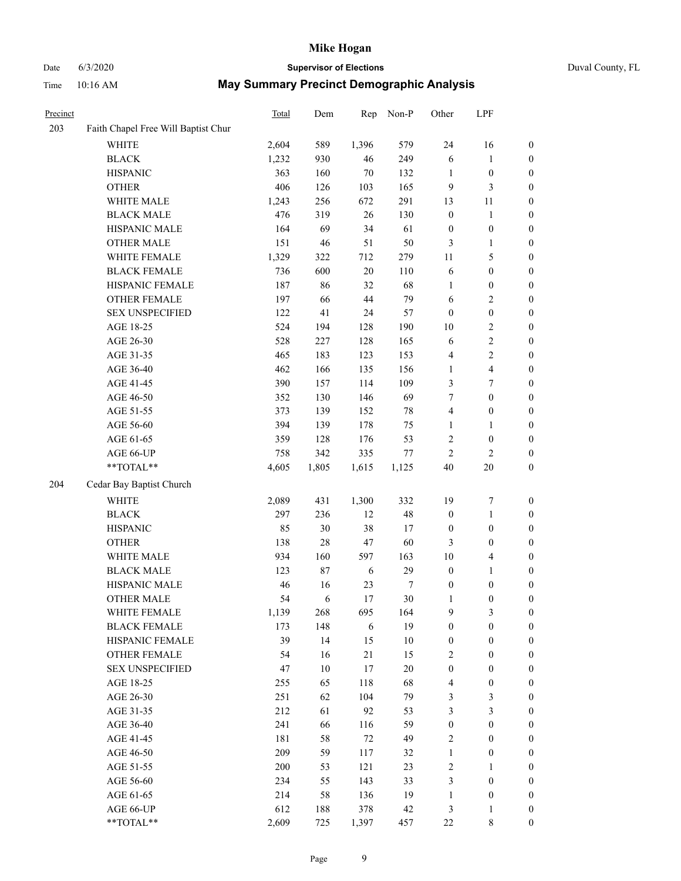### Date 6/3/2020 **Supervisor of Elections** Duval County, FL

| Precinct |                                     | Total | Dem    | Rep    | Non-P  | Other                   | LPF              |                  |
|----------|-------------------------------------|-------|--------|--------|--------|-------------------------|------------------|------------------|
| 203      | Faith Chapel Free Will Baptist Chur |       |        |        |        |                         |                  |                  |
|          | <b>WHITE</b>                        | 2,604 | 589    | 1,396  | 579    | 24                      | 16               | 0                |
|          | <b>BLACK</b>                        | 1,232 | 930    | 46     | 249    | $\sqrt{6}$              | $\mathbf{1}$     | $\boldsymbol{0}$ |
|          | <b>HISPANIC</b>                     | 363   | 160    | $70\,$ | 132    | 1                       | $\boldsymbol{0}$ | $\boldsymbol{0}$ |
|          | <b>OTHER</b>                        | 406   | 126    | 103    | 165    | 9                       | $\mathfrak{Z}$   | $\boldsymbol{0}$ |
|          | WHITE MALE                          | 1,243 | 256    | 672    | 291    | 13                      | 11               | $\boldsymbol{0}$ |
|          | <b>BLACK MALE</b>                   | 476   | 319    | 26     | 130    | $\boldsymbol{0}$        | $\mathbf{1}$     | $\boldsymbol{0}$ |
|          | HISPANIC MALE                       | 164   | 69     | 34     | 61     | $\boldsymbol{0}$        | $\boldsymbol{0}$ | $\boldsymbol{0}$ |
|          | <b>OTHER MALE</b>                   | 151   | 46     | 51     | 50     | 3                       | $\mathbf{1}$     | $\boldsymbol{0}$ |
|          | WHITE FEMALE                        | 1,329 | 322    | 712    | 279    | $11\,$                  | 5                | $\boldsymbol{0}$ |
|          | <b>BLACK FEMALE</b>                 | 736   | 600    | 20     | 110    | 6                       | $\boldsymbol{0}$ | 0                |
|          | HISPANIC FEMALE                     | 187   | 86     | 32     | 68     | $\mathbf{1}$            | $\boldsymbol{0}$ | $\boldsymbol{0}$ |
|          | <b>OTHER FEMALE</b>                 | 197   | 66     | 44     | 79     | $\sqrt{6}$              | $\sqrt{2}$       | $\boldsymbol{0}$ |
|          | <b>SEX UNSPECIFIED</b>              | 122   | 41     | 24     | 57     | $\boldsymbol{0}$        | $\boldsymbol{0}$ | $\boldsymbol{0}$ |
|          | AGE 18-25                           | 524   | 194    | 128    | 190    | $10\,$                  | $\sqrt{2}$       | $\boldsymbol{0}$ |
|          | AGE 26-30                           | 528   | 227    | 128    | 165    | 6                       | $\sqrt{2}$       | $\boldsymbol{0}$ |
|          | AGE 31-35                           | 465   | 183    | 123    | 153    | 4                       | $\sqrt{2}$       | $\boldsymbol{0}$ |
|          | AGE 36-40                           | 462   | 166    | 135    | 156    | $\mathbf{1}$            | $\overline{4}$   | $\boldsymbol{0}$ |
|          | AGE 41-45                           | 390   | 157    | 114    | 109    | 3                       | $\boldsymbol{7}$ | $\boldsymbol{0}$ |
|          | AGE 46-50                           | 352   | 130    | 146    | 69     | 7                       | $\boldsymbol{0}$ | $\boldsymbol{0}$ |
|          | AGE 51-55                           | 373   | 139    | 152    | $78\,$ | $\overline{\mathbf{4}}$ | $\boldsymbol{0}$ | 0                |
|          | AGE 56-60                           | 394   | 139    | 178    | 75     | $\mathbf{1}$            | 1                | $\boldsymbol{0}$ |
|          | AGE 61-65                           | 359   | 128    | 176    | 53     | 2                       | $\boldsymbol{0}$ | $\boldsymbol{0}$ |
|          | AGE 66-UP                           | 758   | 342    | 335    | $77\,$ | $\mathfrak{2}$          | $\sqrt{2}$       | $\boldsymbol{0}$ |
|          | $**TOTAL**$                         | 4,605 | 1,805  | 1,615  | 1,125  | 40                      | 20               | $\boldsymbol{0}$ |
| 204      | Cedar Bay Baptist Church            |       |        |        |        |                         |                  |                  |
|          | WHITE                               | 2,089 | 431    | 1,300  | 332    | 19                      | $\boldsymbol{7}$ | $\boldsymbol{0}$ |
|          | <b>BLACK</b>                        | 297   | 236    | 12     | 48     | $\boldsymbol{0}$        | $\mathbf{1}$     | $\boldsymbol{0}$ |
|          | <b>HISPANIC</b>                     | 85    | 30     | 38     | 17     | $\boldsymbol{0}$        | $\boldsymbol{0}$ | $\boldsymbol{0}$ |
|          | <b>OTHER</b>                        | 138   | $28\,$ | 47     | 60     | 3                       | $\boldsymbol{0}$ | $\boldsymbol{0}$ |
|          | WHITE MALE                          | 934   | 160    | 597    | 163    | $10\,$                  | $\overline{4}$   | $\boldsymbol{0}$ |
|          | <b>BLACK MALE</b>                   | 123   | $87\,$ | 6      | 29     | $\boldsymbol{0}$        | $\mathbf{1}$     | $\boldsymbol{0}$ |
|          | HISPANIC MALE                       | 46    | 16     | 23     | $\tau$ | $\boldsymbol{0}$        | $\boldsymbol{0}$ | 0                |
|          | <b>OTHER MALE</b>                   | 54    | 6      | 17     | $30\,$ | $\mathbf{1}$            | $\boldsymbol{0}$ | $\boldsymbol{0}$ |
|          | WHITE FEMALE                        | 1,139 | 268    | 695    | 164    | 9                       | 3                | $\overline{0}$   |
|          | <b>BLACK FEMALE</b>                 | 173   | 148    | 6      | 19     | $\boldsymbol{0}$        | $\boldsymbol{0}$ | $\overline{0}$   |
|          | HISPANIC FEMALE                     | 39    | 14     | 15     | $10\,$ | $\boldsymbol{0}$        | $\boldsymbol{0}$ | $\overline{0}$   |
|          | <b>OTHER FEMALE</b>                 | 54    | 16     | 21     | 15     | 2                       | $\boldsymbol{0}$ | 0                |
|          | <b>SEX UNSPECIFIED</b>              | 47    | $10\,$ | 17     | $20\,$ | $\boldsymbol{0}$        | $\boldsymbol{0}$ | 0                |
|          | AGE 18-25                           | 255   | 65     | 118    | 68     | 4                       | $\boldsymbol{0}$ | 0                |
|          | AGE 26-30                           | 251   | 62     | 104    | 79     | 3                       | $\mathfrak z$    | 0                |
|          | AGE 31-35                           | 212   | 61     | 92     | 53     | 3                       | $\mathfrak{Z}$   | 0                |
|          | AGE 36-40                           | 241   | 66     | 116    | 59     | $\boldsymbol{0}$        | $\boldsymbol{0}$ | 0                |
|          | AGE 41-45                           | 181   | 58     | $72\,$ | 49     | $\overline{c}$          | $\boldsymbol{0}$ | 0                |
|          | AGE 46-50                           | 209   | 59     | 117    | 32     | $\mathbf{1}$            | $\boldsymbol{0}$ | 0                |
|          | AGE 51-55                           | 200   | 53     | 121    | 23     | 2                       | 1                | 0                |
|          | AGE 56-60                           | 234   | 55     | 143    | 33     | 3                       | $\boldsymbol{0}$ | $\boldsymbol{0}$ |
|          | AGE 61-65                           | 214   | 58     | 136    | 19     | $\mathbf{1}$            | $\boldsymbol{0}$ | 0                |
|          | AGE 66-UP                           | 612   | 188    | 378    | 42     | 3                       | 1                | 0                |
|          | **TOTAL**                           | 2,609 | 725    | 1,397  | 457    | 22                      | $\,$ 8 $\,$      | $\boldsymbol{0}$ |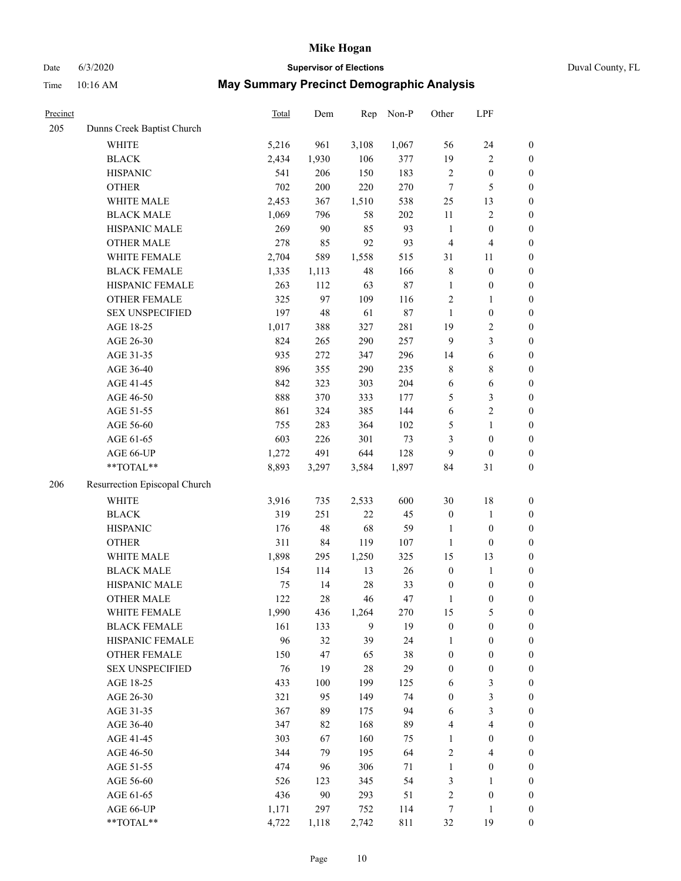# Date 6/3/2020 **Supervisor of Elections** Duval County, FL

| Precinct |                               | <b>Total</b> | Dem   | Rep    | Non-P  | Other            | LPF                     |                  |
|----------|-------------------------------|--------------|-------|--------|--------|------------------|-------------------------|------------------|
| 205      | Dunns Creek Baptist Church    |              |       |        |        |                  |                         |                  |
|          | <b>WHITE</b>                  | 5,216        | 961   | 3,108  | 1,067  | 56               | 24                      | $\boldsymbol{0}$ |
|          | <b>BLACK</b>                  | 2,434        | 1,930 | 106    | 377    | 19               | $\sqrt{2}$              | $\boldsymbol{0}$ |
|          | <b>HISPANIC</b>               | 541          | 206   | 150    | 183    | $\sqrt{2}$       | $\boldsymbol{0}$        | $\boldsymbol{0}$ |
|          | <b>OTHER</b>                  | 702          | 200   | 220    | 270    | $\tau$           | 5                       | $\boldsymbol{0}$ |
|          | WHITE MALE                    | 2,453        | 367   | 1,510  | 538    | 25               | 13                      | $\boldsymbol{0}$ |
|          | <b>BLACK MALE</b>             | 1,069        | 796   | 58     | 202    | 11               | $\sqrt{2}$              | $\boldsymbol{0}$ |
|          | HISPANIC MALE                 | 269          | 90    | 85     | 93     | $\mathbf{1}$     | $\boldsymbol{0}$        | $\boldsymbol{0}$ |
|          | <b>OTHER MALE</b>             | 278          | 85    | 92     | 93     | $\overline{4}$   | $\overline{4}$          | $\boldsymbol{0}$ |
|          | WHITE FEMALE                  | 2,704        | 589   | 1,558  | 515    | 31               | 11                      | $\boldsymbol{0}$ |
|          | <b>BLACK FEMALE</b>           | 1,335        | 1,113 | 48     | 166    | 8                | $\boldsymbol{0}$        | $\boldsymbol{0}$ |
|          | HISPANIC FEMALE               | 263          | 112   | 63     | 87     | $\mathbf{1}$     | $\boldsymbol{0}$        | 0                |
|          | OTHER FEMALE                  | 325          | 97    | 109    | 116    | $\mathbf{2}$     | $\mathbf{1}$            | $\boldsymbol{0}$ |
|          | <b>SEX UNSPECIFIED</b>        | 197          | 48    | 61     | $87\,$ | $\mathbf{1}$     | $\boldsymbol{0}$        | $\boldsymbol{0}$ |
|          | AGE 18-25                     | 1,017        | 388   | 327    | 281    | 19               | $\sqrt{2}$              | $\boldsymbol{0}$ |
|          | AGE 26-30                     | 824          | 265   | 290    | 257    | 9                | $\mathfrak{Z}$          | $\boldsymbol{0}$ |
|          | AGE 31-35                     | 935          | 272   | 347    | 296    | 14               | 6                       | $\boldsymbol{0}$ |
|          | AGE 36-40                     | 896          | 355   | 290    | 235    | 8                | $8\,$                   | $\boldsymbol{0}$ |
|          | AGE 41-45                     | 842          | 323   | 303    | 204    | $\sqrt{6}$       | $\sqrt{6}$              | $\boldsymbol{0}$ |
|          | AGE 46-50                     | 888          | 370   | 333    | 177    | 5                | $\mathfrak{Z}$          | $\boldsymbol{0}$ |
|          | AGE 51-55                     | 861          | 324   | 385    | 144    | $\sqrt{6}$       | $\sqrt{2}$              | $\boldsymbol{0}$ |
|          | AGE 56-60                     | 755          | 283   | 364    | 102    | 5                | $\mathbf{1}$            | 0                |
|          | AGE 61-65                     | 603          | 226   | 301    | 73     | 3                | $\boldsymbol{0}$        | $\boldsymbol{0}$ |
|          | AGE 66-UP                     | 1,272        | 491   | 644    | 128    | 9                | $\boldsymbol{0}$        | $\boldsymbol{0}$ |
|          | **TOTAL**                     | 8,893        | 3,297 | 3,584  | 1,897  | 84               | 31                      | $\boldsymbol{0}$ |
| 206      | Resurrection Episcopal Church |              |       |        |        |                  |                         |                  |
|          | <b>WHITE</b>                  | 3,916        | 735   | 2,533  | 600    | 30               | $18\,$                  | $\boldsymbol{0}$ |
|          | <b>BLACK</b>                  | 319          | 251   | 22     | 45     | $\boldsymbol{0}$ | $\mathbf{1}$            | $\boldsymbol{0}$ |
|          | <b>HISPANIC</b>               | 176          | 48    | 68     | 59     | $\mathbf{1}$     | $\boldsymbol{0}$        | $\boldsymbol{0}$ |
|          | <b>OTHER</b>                  | 311          | 84    | 119    | 107    | $\mathbf{1}$     | $\boldsymbol{0}$        | $\boldsymbol{0}$ |
|          | WHITE MALE                    | 1,898        | 295   | 1,250  | 325    | 15               | 13                      | $\boldsymbol{0}$ |
|          | <b>BLACK MALE</b>             | 154          | 114   | 13     | $26\,$ | $\boldsymbol{0}$ | $\mathbf{1}$            | $\boldsymbol{0}$ |
|          | HISPANIC MALE                 | 75           | 14    | $28\,$ | 33     | $\boldsymbol{0}$ | $\boldsymbol{0}$        | 0                |
|          | <b>OTHER MALE</b>             | 122          | 28    | 46     | 47     | $\mathbf{1}$     | $\boldsymbol{0}$        | $\boldsymbol{0}$ |
|          | WHITE FEMALE                  | 1,990        | 436   | 1,264  | 270    | 15               | 5                       | 0                |
|          | <b>BLACK FEMALE</b>           | 161          | 133   | 9      | 19     | $\boldsymbol{0}$ | $\boldsymbol{0}$        | $\boldsymbol{0}$ |
|          | HISPANIC FEMALE               | 96           | 32    | 39     | 24     | 1                | $\boldsymbol{0}$        | $\overline{0}$   |
|          | OTHER FEMALE                  | 150          | 47    | 65     | 38     | $\boldsymbol{0}$ | $\boldsymbol{0}$        | $\overline{0}$   |
|          | <b>SEX UNSPECIFIED</b>        | 76           | 19    | 28     | 29     | $\boldsymbol{0}$ | $\boldsymbol{0}$        | 0                |
|          | AGE 18-25                     | 433          | 100   | 199    | 125    | 6                | $\mathfrak{Z}$          | 0                |
|          | AGE 26-30                     | 321          | 95    | 149    | 74     | $\boldsymbol{0}$ | 3                       | 0                |
|          | AGE 31-35                     | 367          | 89    | 175    | 94     | 6                | $\mathfrak{Z}$          | 0                |
|          | AGE 36-40                     | 347          | 82    | 168    | 89     | 4                | $\overline{\mathbf{4}}$ | 0                |
|          | AGE 41-45                     | 303          | 67    | 160    | 75     | $\mathbf{1}$     | $\boldsymbol{0}$        | 0                |
|          | AGE 46-50                     | 344          | 79    | 195    | 64     | 2                | $\overline{\mathbf{4}}$ | 0                |
|          | AGE 51-55                     | 474          | 96    | 306    | 71     | $\mathbf{1}$     | $\boldsymbol{0}$        | 0                |
|          | AGE 56-60                     | 526          | 123   | 345    | 54     | 3                | 1                       | $\boldsymbol{0}$ |
|          | AGE 61-65                     | 436          | 90    | 293    | 51     | 2                | $\boldsymbol{0}$        | $\boldsymbol{0}$ |
|          | AGE 66-UP                     | 1,171        | 297   | 752    | 114    | 7                | $\mathbf{1}$            | 0                |
|          | **TOTAL**                     | 4,722        | 1,118 | 2,742  | 811    | 32               | 19                      | $\boldsymbol{0}$ |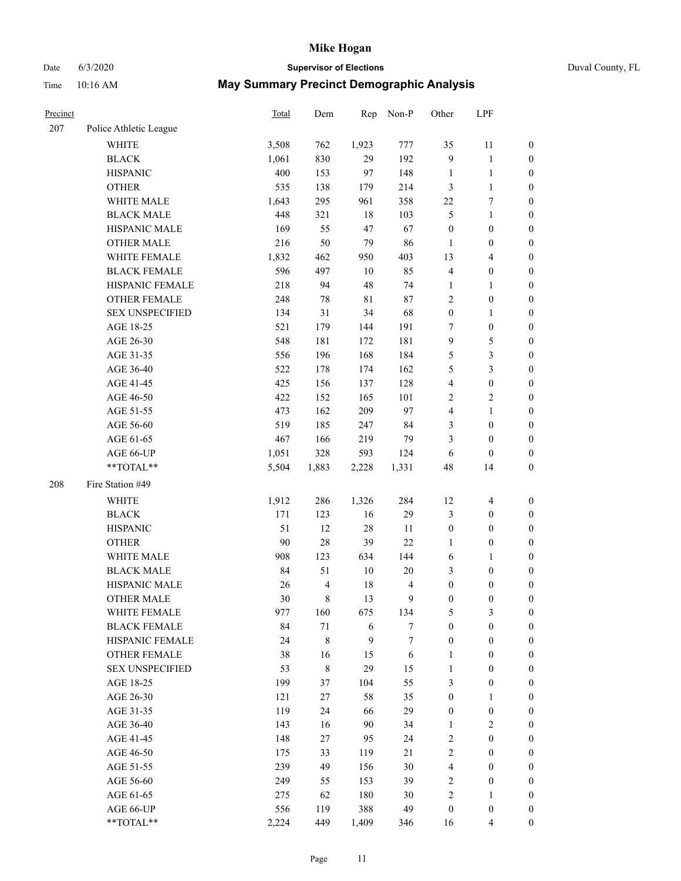# Date 6/3/2020 **Supervisor of Elections** Duval County, FL

| Precinct |                        | <b>Total</b> | Dem                     | Rep         | Non-P                   | Other            | LPF                     |                  |
|----------|------------------------|--------------|-------------------------|-------------|-------------------------|------------------|-------------------------|------------------|
| 207      | Police Athletic League |              |                         |             |                         |                  |                         |                  |
|          | <b>WHITE</b>           | 3,508        | 762                     | 1,923       | 777                     | 35               | 11                      | 0                |
|          | <b>BLACK</b>           | 1,061        | 830                     | 29          | 192                     | 9                | $\mathbf{1}$            | 0                |
|          | <b>HISPANIC</b>        | 400          | 153                     | 97          | 148                     | $\mathbf{1}$     | $\mathbf{1}$            | $\boldsymbol{0}$ |
|          | <b>OTHER</b>           | 535          | 138                     | 179         | 214                     | 3                | $\mathbf{1}$            | $\boldsymbol{0}$ |
|          | WHITE MALE             | 1,643        | 295                     | 961         | 358                     | $22\,$           | 7                       | $\boldsymbol{0}$ |
|          | <b>BLACK MALE</b>      | 448          | 321                     | 18          | 103                     | 5                | $\mathbf{1}$            | $\boldsymbol{0}$ |
|          | HISPANIC MALE          | 169          | 55                      | 47          | 67                      | $\boldsymbol{0}$ | $\boldsymbol{0}$        | $\boldsymbol{0}$ |
|          | <b>OTHER MALE</b>      | 216          | 50                      | 79          | 86                      | $\mathbf{1}$     | $\boldsymbol{0}$        | $\boldsymbol{0}$ |
|          | WHITE FEMALE           | 1,832        | 462                     | 950         | 403                     | 13               | $\overline{\mathbf{4}}$ | $\boldsymbol{0}$ |
|          | <b>BLACK FEMALE</b>    | 596          | 497                     | $10\,$      | 85                      | 4                | $\boldsymbol{0}$        | 0                |
|          | HISPANIC FEMALE        | 218          | 94                      | 48          | 74                      | $\mathbf{1}$     | $\mathbf{1}$            | 0                |
|          | <b>OTHER FEMALE</b>    | 248          | 78                      | $8\sqrt{1}$ | $87\,$                  | 2                | $\boldsymbol{0}$        | $\boldsymbol{0}$ |
|          | <b>SEX UNSPECIFIED</b> | 134          | 31                      | 34          | 68                      | $\boldsymbol{0}$ | $\mathbf{1}$            | $\boldsymbol{0}$ |
|          | AGE 18-25              | 521          | 179                     | 144         | 191                     | 7                | $\boldsymbol{0}$        | $\boldsymbol{0}$ |
|          | AGE 26-30              | 548          | 181                     | 172         | 181                     | 9                | $\mathfrak{S}$          | $\boldsymbol{0}$ |
|          | AGE 31-35              | 556          | 196                     | 168         | 184                     | 5                | $\mathfrak{Z}$          | $\boldsymbol{0}$ |
|          | AGE 36-40              | 522          | 178                     | 174         | 162                     | 5                | $\mathfrak{Z}$          | $\boldsymbol{0}$ |
|          | AGE 41-45              | 425          | 156                     | 137         | 128                     | $\overline{4}$   | $\boldsymbol{0}$        | $\boldsymbol{0}$ |
|          | AGE 46-50              | 422          | 152                     | 165         | 101                     | 2                | $\sqrt{2}$              | $\boldsymbol{0}$ |
|          | AGE 51-55              | 473          | 162                     | 209         | 97                      | 4                | $\mathbf{1}$            | $\boldsymbol{0}$ |
|          | AGE 56-60              | 519          | 185                     | 247         | 84                      | 3                | $\boldsymbol{0}$        | 0                |
|          | AGE 61-65              | 467          | 166                     | 219         | 79                      | 3                | $\boldsymbol{0}$        | $\boldsymbol{0}$ |
|          | AGE 66-UP              | 1,051        | 328                     | 593         | 124                     | 6                | $\boldsymbol{0}$        | $\boldsymbol{0}$ |
|          | **TOTAL**              | 5,504        | 1,883                   | 2,228       | 1,331                   | 48               | 14                      | $\boldsymbol{0}$ |
| 208      | Fire Station #49       |              |                         |             |                         |                  |                         |                  |
|          | <b>WHITE</b>           | 1,912        | 286                     | 1,326       | 284                     | 12               | $\overline{\mathbf{4}}$ | $\boldsymbol{0}$ |
|          | <b>BLACK</b>           | 171          | 123                     | 16          | 29                      | 3                | $\boldsymbol{0}$        | $\boldsymbol{0}$ |
|          | <b>HISPANIC</b>        | 51           | 12                      | 28          | 11                      | $\boldsymbol{0}$ | $\boldsymbol{0}$        | $\boldsymbol{0}$ |
|          | <b>OTHER</b>           | 90           | 28                      | 39          | 22                      | $\mathbf{1}$     | $\boldsymbol{0}$        | $\boldsymbol{0}$ |
|          | WHITE MALE             | 908          | 123                     | 634         | 144                     | 6                | $\mathbf{1}$            | $\boldsymbol{0}$ |
|          | <b>BLACK MALE</b>      | 84           | 51                      | $10\,$      | $20\,$                  | 3                | $\boldsymbol{0}$        | $\boldsymbol{0}$ |
|          | HISPANIC MALE          | 26           | $\overline{\mathbf{4}}$ | 18          | $\overline{\mathbf{4}}$ | $\boldsymbol{0}$ | $\boldsymbol{0}$        | 0                |
|          | <b>OTHER MALE</b>      | 30           | 8                       | 13          | 9                       | $\boldsymbol{0}$ | $\boldsymbol{0}$        | $\boldsymbol{0}$ |
|          | WHITE FEMALE           | 977          | 160                     | 675         | 134                     | 5                | 3                       | 0                |
|          | <b>BLACK FEMALE</b>    | 84           | $71\,$                  | 6           | 7                       | $\boldsymbol{0}$ | $\boldsymbol{0}$        | $\boldsymbol{0}$ |
|          | HISPANIC FEMALE        | 24           | 8                       | 9           | 7                       | $\boldsymbol{0}$ | $\boldsymbol{0}$        | $\overline{0}$   |
|          | <b>OTHER FEMALE</b>    | 38           | 16                      | 15          | 6                       | $\mathbf{1}$     | $\boldsymbol{0}$        | $\overline{0}$   |
|          | <b>SEX UNSPECIFIED</b> | 53           | 8                       | 29          | 15                      | $\mathbf{1}$     | $\boldsymbol{0}$        | $\overline{0}$   |
|          | AGE 18-25              | 199          | 37                      | 104         | 55                      | 3                | $\boldsymbol{0}$        | $\theta$         |
|          | AGE 26-30              | 121          | 27                      | 58          | 35                      | $\boldsymbol{0}$ | $\mathbf{1}$            | 0                |
|          | AGE 31-35              | 119          | 24                      | 66          | 29                      | $\boldsymbol{0}$ | $\boldsymbol{0}$        | 0                |
|          | AGE 36-40              | 143          | 16                      | 90          | 34                      | $\mathbf{1}$     | $\sqrt{2}$              | 0                |
|          | AGE 41-45              | 148          | 27                      | 95          | 24                      | 2                | $\boldsymbol{0}$        | 0                |
|          | AGE 46-50              | 175          | 33                      | 119         | 21                      | 2                | $\boldsymbol{0}$        | 0                |
|          | AGE 51-55              | 239          | 49                      | 156         | $30\,$                  | $\overline{4}$   | $\boldsymbol{0}$        | $\overline{0}$   |
|          | AGE 56-60              | 249          | 55                      | 153         | 39                      | 2                | $\boldsymbol{0}$        | $\overline{0}$   |
|          | AGE 61-65              | 275          | 62                      | 180         | 30                      | 2                | 1                       | $\boldsymbol{0}$ |
|          | AGE 66-UP              | 556          | 119                     | 388         | 49                      | $\boldsymbol{0}$ | $\boldsymbol{0}$        | 0                |
|          | **TOTAL**              | 2,224        | 449                     | 1,409       | 346                     | 16               | $\overline{4}$          | $\boldsymbol{0}$ |
|          |                        |              |                         |             |                         |                  |                         |                  |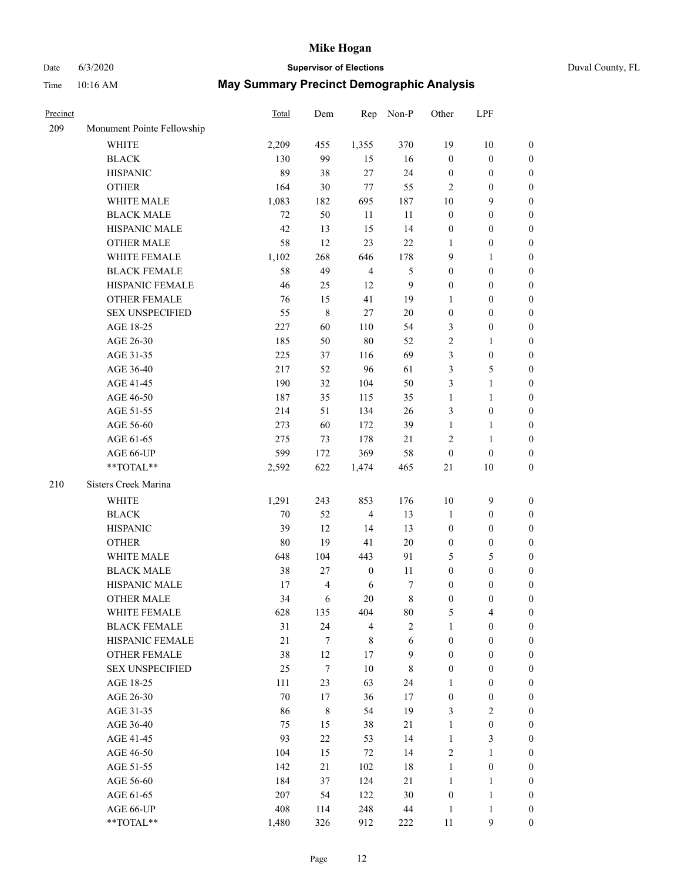### Date 6/3/2020 **Supervisor of Elections** Duval County, FL Time 10:16 AM **May Summary Precinct Demographic Analysis**

| Precinct |                            | Total  | Dem            | Rep                     | Non-P            | Other            | LPF              |                  |
|----------|----------------------------|--------|----------------|-------------------------|------------------|------------------|------------------|------------------|
| 209      | Monument Pointe Fellowship |        |                |                         |                  |                  |                  |                  |
|          | <b>WHITE</b>               | 2,209  | 455            | 1,355                   | 370              | 19               | 10               | 0                |
|          | <b>BLACK</b>               | 130    | 99             | 15                      | 16               | $\boldsymbol{0}$ | $\boldsymbol{0}$ | 0                |
|          | <b>HISPANIC</b>            | 89     | 38             | 27                      | 24               | $\boldsymbol{0}$ | $\boldsymbol{0}$ | $\boldsymbol{0}$ |
|          | <b>OTHER</b>               | 164    | 30             | $77\,$                  | 55               | $\mathbf{2}$     | $\boldsymbol{0}$ | $\boldsymbol{0}$ |
|          | WHITE MALE                 | 1,083  | 182            | 695                     | 187              | $10\,$           | 9                | $\boldsymbol{0}$ |
|          | <b>BLACK MALE</b>          | 72     | 50             | 11                      | 11               | $\boldsymbol{0}$ | $\boldsymbol{0}$ | $\boldsymbol{0}$ |
|          | HISPANIC MALE              | 42     | 13             | 15                      | 14               | $\boldsymbol{0}$ | $\boldsymbol{0}$ | $\boldsymbol{0}$ |
|          | <b>OTHER MALE</b>          | 58     | 12             | 23                      | $22\,$           | $\mathbf{1}$     | $\boldsymbol{0}$ | $\boldsymbol{0}$ |
|          | WHITE FEMALE               | 1,102  | 268            | 646                     | 178              | $\mathbf{9}$     | $\mathbf{1}$     | $\boldsymbol{0}$ |
|          | <b>BLACK FEMALE</b>        | 58     | 49             | $\overline{4}$          | $\mathfrak{S}$   | $\boldsymbol{0}$ | $\boldsymbol{0}$ | $\boldsymbol{0}$ |
|          | HISPANIC FEMALE            | 46     | 25             | 12                      | $\boldsymbol{9}$ | $\mathbf{0}$     | $\boldsymbol{0}$ | $\boldsymbol{0}$ |
|          | OTHER FEMALE               | 76     | 15             | 41                      | 19               | $\mathbf{1}$     | $\boldsymbol{0}$ | $\boldsymbol{0}$ |
|          | <b>SEX UNSPECIFIED</b>     | 55     | $\,$ 8 $\,$    | $27\,$                  | $20\,$           | $\boldsymbol{0}$ | $\boldsymbol{0}$ | $\boldsymbol{0}$ |
|          | AGE 18-25                  | 227    | 60             | 110                     | 54               | 3                | $\boldsymbol{0}$ | $\boldsymbol{0}$ |
|          | AGE 26-30                  | 185    | 50             | 80                      | 52               | $\overline{c}$   | $\mathbf{1}$     | $\boldsymbol{0}$ |
|          | AGE 31-35                  | 225    | 37             | 116                     | 69               | 3                | $\boldsymbol{0}$ | $\boldsymbol{0}$ |
|          | AGE 36-40                  | 217    | 52             | 96                      | 61               | 3                | 5                | $\boldsymbol{0}$ |
|          | AGE 41-45                  | 190    | 32             | 104                     | 50               | 3                | $\mathbf{1}$     | $\boldsymbol{0}$ |
|          | AGE 46-50                  | 187    | 35             | 115                     | 35               | $\mathbf{1}$     | $\mathbf{1}$     | $\boldsymbol{0}$ |
|          | AGE 51-55                  | 214    | 51             | 134                     | $26\,$           | 3                | $\boldsymbol{0}$ | 0                |
|          | AGE 56-60                  | 273    | 60             | 172                     | 39               | $\mathbf{1}$     | $\mathbf{1}$     | 0                |
|          | AGE 61-65                  | 275    | 73             | 178                     | 21               | $\mathbf{2}$     | $\mathbf{1}$     | 0                |
|          | AGE 66-UP                  | 599    | 172            | 369                     | 58               | $\boldsymbol{0}$ | $\boldsymbol{0}$ | $\boldsymbol{0}$ |
|          | **TOTAL**                  | 2,592  | 622            | 1,474                   | 465              | 21               | 10               | $\boldsymbol{0}$ |
| 210      | Sisters Creek Marina       |        |                |                         |                  |                  |                  |                  |
|          | <b>WHITE</b>               | 1,291  | 243            | 853                     | 176              | $10\,$           | $\overline{9}$   | $\boldsymbol{0}$ |
|          | <b>BLACK</b>               | 70     | 52             | $\overline{\mathbf{4}}$ | 13               | $\mathbf{1}$     | $\boldsymbol{0}$ | $\boldsymbol{0}$ |
|          | <b>HISPANIC</b>            | 39     | 12             | 14                      | 13               | $\boldsymbol{0}$ | $\boldsymbol{0}$ | $\boldsymbol{0}$ |
|          | <b>OTHER</b>               | $80\,$ | 19             | 41                      | $20\,$           | $\boldsymbol{0}$ | $\boldsymbol{0}$ | $\boldsymbol{0}$ |
|          | WHITE MALE                 | 648    | 104            | 443                     | 91               | 5                | 5                | $\boldsymbol{0}$ |
|          | <b>BLACK MALE</b>          | 38     | 27             | $\boldsymbol{0}$        | 11               | $\boldsymbol{0}$ | $\boldsymbol{0}$ | $\boldsymbol{0}$ |
|          | HISPANIC MALE              | 17     | $\overline{4}$ | 6                       | 7                | $\boldsymbol{0}$ | $\boldsymbol{0}$ | 0                |
|          | <b>OTHER MALE</b>          | 34     | 6              | 20                      | 8                | $\boldsymbol{0}$ | $\boldsymbol{0}$ | $\boldsymbol{0}$ |
|          | WHITE FEMALE               | 628    | 135            | 404                     | 80               | 5                | 4                | 0                |
|          | <b>BLACK FEMALE</b>        | 31     | 24             | $\overline{4}$          | $\mathbf{2}$     | $\mathbf{1}$     | $\boldsymbol{0}$ | $\overline{0}$   |
|          | HISPANIC FEMALE            | 21     | $\tau$         | $\,$ 8 $\,$             | $\sqrt{6}$       | $\boldsymbol{0}$ | $\boldsymbol{0}$ | $\overline{0}$   |
|          | OTHER FEMALE               | 38     | 12             | $17\,$                  | 9                | $\boldsymbol{0}$ | $\boldsymbol{0}$ | $\theta$         |
|          | <b>SEX UNSPECIFIED</b>     | 25     | 7              | $10\,$                  | 8                | $\boldsymbol{0}$ | $\boldsymbol{0}$ | 0                |
|          | AGE 18-25                  | 111    | 23             | 63                      | 24               | $\mathbf{1}$     | $\boldsymbol{0}$ | 0                |
|          | AGE 26-30                  | $70\,$ | 17             | 36                      | 17               | $\boldsymbol{0}$ | $\boldsymbol{0}$ | 0                |
|          | AGE 31-35                  | 86     | $\,8\,$        | 54                      | 19               | 3                | $\sqrt{2}$       | 0                |
|          | AGE 36-40                  | 75     | 15             | 38                      | 21               | $\mathbf{1}$     | $\boldsymbol{0}$ | 0                |
|          | AGE 41-45                  | 93     | 22             | 53                      | 14               | $\mathbf{1}$     | $\mathfrak{Z}$   | 0                |
|          | AGE 46-50                  | 104    | 15             | $72\,$                  | 14               | $\mathfrak{2}$   | $\mathbf{1}$     | 0                |
|          | AGE 51-55                  | 142    | 21             | 102                     | $18\,$           | $\mathbf{1}$     | $\boldsymbol{0}$ | 0                |
|          | AGE 56-60                  | 184    | 37             | 124                     | 21               | $\mathbf{1}$     | $\mathbf{1}$     | 0                |
|          | AGE 61-65                  | 207    | 54             | 122                     | 30               | $\boldsymbol{0}$ | $\mathbf{1}$     | 0                |
|          | AGE 66-UP                  | 408    | 114            | 248                     | 44               | $\mathbf{1}$     | $\mathbf{1}$     | 0                |
|          | **TOTAL**                  | 1,480  | 326            | 912                     | 222              | 11               | 9                | $\overline{0}$   |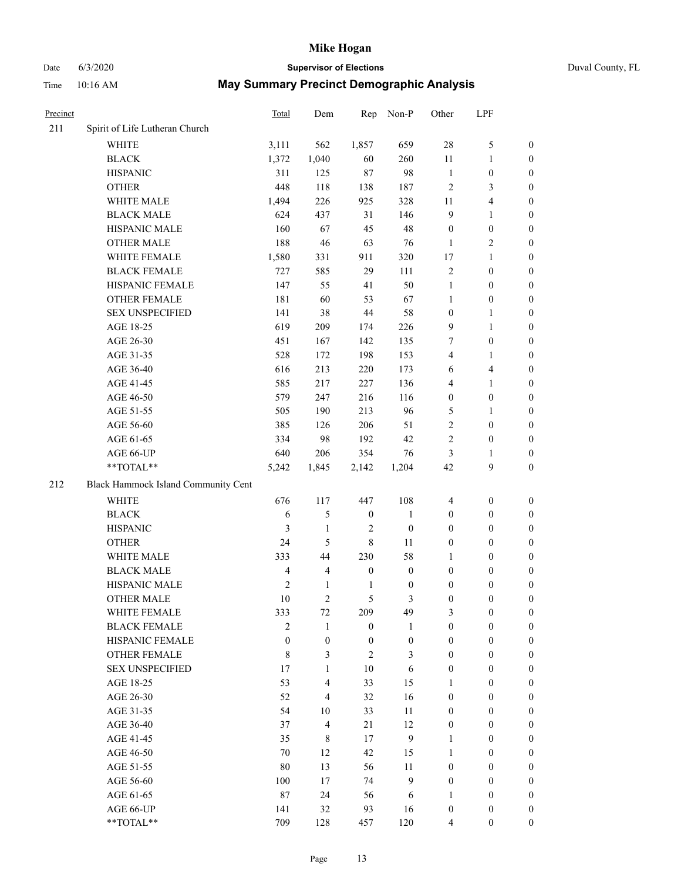# Date 6/3/2020 **Supervisor of Elections** Duval County, FL

| Precinct |                                     | <b>Total</b>   | Dem                      | Rep              | Non-P            | Other            | LPF                     |                  |
|----------|-------------------------------------|----------------|--------------------------|------------------|------------------|------------------|-------------------------|------------------|
| 211      | Spirit of Life Lutheran Church      |                |                          |                  |                  |                  |                         |                  |
|          | <b>WHITE</b>                        | 3,111          | 562                      | 1,857            | 659              | 28               | $\mathfrak{S}$          | 0                |
|          | <b>BLACK</b>                        | 1,372          | 1,040                    | 60               | 260              | 11               | $\mathbf{1}$            | 0                |
|          | <b>HISPANIC</b>                     | 311            | 125                      | 87               | 98               | $\mathbf{1}$     | $\boldsymbol{0}$        | $\boldsymbol{0}$ |
|          | <b>OTHER</b>                        | 448            | 118                      | 138              | 187              | $\mathfrak{2}$   | 3                       | $\boldsymbol{0}$ |
|          | WHITE MALE                          | 1,494          | 226                      | 925              | 328              | 11               | $\overline{\mathbf{4}}$ | $\boldsymbol{0}$ |
|          | <b>BLACK MALE</b>                   | 624            | 437                      | 31               | 146              | 9                | $\mathbf{1}$            | $\boldsymbol{0}$ |
|          | HISPANIC MALE                       | 160            | 67                       | 45               | 48               | $\boldsymbol{0}$ | $\boldsymbol{0}$        | $\boldsymbol{0}$ |
|          | <b>OTHER MALE</b>                   | 188            | 46                       | 63               | 76               | $\mathbf{1}$     | $\overline{2}$          | $\boldsymbol{0}$ |
|          | WHITE FEMALE                        | 1,580          | 331                      | 911              | 320              | 17               | $\mathbf{1}$            | $\boldsymbol{0}$ |
|          | <b>BLACK FEMALE</b>                 | 727            | 585                      | 29               | 111              | $\sqrt{2}$       | $\boldsymbol{0}$        | 0                |
|          | HISPANIC FEMALE                     | 147            | 55                       | 41               | 50               | $\mathbf{1}$     | $\boldsymbol{0}$        | 0                |
|          | <b>OTHER FEMALE</b>                 | 181            | 60                       | 53               | 67               | $\mathbf{1}$     | $\boldsymbol{0}$        | 0                |
|          | <b>SEX UNSPECIFIED</b>              | 141            | 38                       | 44               | 58               | $\boldsymbol{0}$ | $\mathbf{1}$            | $\boldsymbol{0}$ |
|          | AGE 18-25                           | 619            | 209                      | 174              | 226              | 9                | $\mathbf{1}$            | $\boldsymbol{0}$ |
|          | AGE 26-30                           | 451            | 167                      | 142              | 135              | 7                | $\boldsymbol{0}$        | $\boldsymbol{0}$ |
|          | AGE 31-35                           | 528            | 172                      | 198              | 153              | 4                | $\mathbf{1}$            | $\boldsymbol{0}$ |
|          | AGE 36-40                           | 616            | 213                      | 220              | 173              | 6                | $\overline{\mathbf{4}}$ | $\boldsymbol{0}$ |
|          | AGE 41-45                           | 585            | 217                      | 227              | 136              | 4                | $\mathbf{1}$            | $\boldsymbol{0}$ |
|          | AGE 46-50                           | 579            | 247                      | 216              | 116              | $\boldsymbol{0}$ | $\boldsymbol{0}$        | $\boldsymbol{0}$ |
|          | AGE 51-55                           | 505            | 190                      | 213              | 96               | 5                | 1                       | 0                |
|          | AGE 56-60                           | 385            | 126                      | 206              | 51               | $\overline{c}$   | $\boldsymbol{0}$        | 0                |
|          | AGE 61-65                           | 334            | 98                       | 192              | 42               | 2                | $\boldsymbol{0}$        | 0                |
|          | AGE 66-UP                           | 640            | 206                      | 354              | 76               | 3                | 1                       | $\boldsymbol{0}$ |
|          | **TOTAL**                           | 5,242          | 1,845                    | 2,142            | 1,204            | 42               | $\boldsymbol{9}$        | $\boldsymbol{0}$ |
|          |                                     |                |                          |                  |                  |                  |                         |                  |
| 212      | Black Hammock Island Community Cent |                |                          |                  |                  |                  |                         |                  |
|          | WHITE                               | 676            | 117                      | 447              | 108              | $\overline{4}$   | $\boldsymbol{0}$        | $\boldsymbol{0}$ |
|          | <b>BLACK</b>                        | 6              | 5                        | $\boldsymbol{0}$ | $\mathbf{1}$     | $\boldsymbol{0}$ | $\boldsymbol{0}$        | $\boldsymbol{0}$ |
|          | <b>HISPANIC</b>                     | 3              | $\mathbf{1}$             | $\overline{c}$   | $\boldsymbol{0}$ | $\boldsymbol{0}$ | $\boldsymbol{0}$        | $\boldsymbol{0}$ |
|          | <b>OTHER</b>                        | 24             | 5                        | $\,8\,$          | 11               | $\boldsymbol{0}$ | $\boldsymbol{0}$        | $\boldsymbol{0}$ |
|          | WHITE MALE                          | 333            | 44                       | 230              | 58               | $\mathbf{1}$     | $\boldsymbol{0}$        | $\boldsymbol{0}$ |
|          | <b>BLACK MALE</b>                   | $\overline{4}$ | $\overline{4}$           | $\boldsymbol{0}$ | $\boldsymbol{0}$ | $\boldsymbol{0}$ | $\boldsymbol{0}$        | $\boldsymbol{0}$ |
|          | HISPANIC MALE                       | $\mathfrak{2}$ | $\mathbf{1}$             | $\mathbf{1}$     | $\boldsymbol{0}$ | $\boldsymbol{0}$ | $\boldsymbol{0}$        | 0                |
|          | OTHER MALE                          | 10             | $\overline{c}$           | 5                | 3                | $\boldsymbol{0}$ | $\boldsymbol{0}$        | $\boldsymbol{0}$ |
|          | WHITE FEMALE                        | 333            | 72                       | 209              | 49               | 3                | $\boldsymbol{0}$        | 0                |
|          | <b>BLACK FEMALE</b>                 | $\overline{c}$ | 1                        | $\boldsymbol{0}$ | $\mathbf{1}$     | $\boldsymbol{0}$ | $\boldsymbol{0}$        | $\overline{0}$   |
|          | HISPANIC FEMALE                     | $\mathbf{0}$   | $\boldsymbol{0}$         | $\boldsymbol{0}$ | $\boldsymbol{0}$ | $\boldsymbol{0}$ | $\boldsymbol{0}$        | $\overline{0}$   |
|          | <b>OTHER FEMALE</b>                 | 8              | 3                        | $\overline{c}$   | 3                | $\boldsymbol{0}$ | $\boldsymbol{0}$        | $\overline{0}$   |
|          | <b>SEX UNSPECIFIED</b>              | 17             | $\mathbf{1}$             | 10               | 6                | $\boldsymbol{0}$ | $\boldsymbol{0}$        | $\overline{0}$   |
|          | AGE 18-25                           | 53             | 4                        | 33               | 15               | 1                | $\boldsymbol{0}$        | $\theta$         |
|          | AGE 26-30                           | 52             | $\overline{\mathcal{L}}$ | 32               | 16               | $\boldsymbol{0}$ | $\boldsymbol{0}$        | $\overline{0}$   |
|          | AGE 31-35                           | 54             | $10\,$                   | 33               | 11               | $\boldsymbol{0}$ | $\boldsymbol{0}$        | 0                |
|          | AGE 36-40                           | 37             | $\overline{\mathbf{4}}$  | 21               | 12               | $\boldsymbol{0}$ | $\boldsymbol{0}$        | 0                |
|          | AGE 41-45                           | 35             | 8                        | 17               | 9                | 1                | $\boldsymbol{0}$        | 0                |
|          | AGE 46-50                           | 70             | 12                       | 42               | 15               | 1                | $\boldsymbol{0}$        | 0                |
|          | AGE 51-55                           | 80             | 13                       | 56               | 11               | $\boldsymbol{0}$ | $\boldsymbol{0}$        | $\overline{0}$   |
|          | AGE 56-60                           | 100            | 17                       | 74               | 9                | $\boldsymbol{0}$ | $\boldsymbol{0}$        | $\overline{0}$   |
|          | AGE 61-65                           | 87             | 24                       | 56               | 6                | 1                | $\boldsymbol{0}$        | $\overline{0}$   |
|          | AGE 66-UP                           | 141            | 32                       | 93               | 16               | $\boldsymbol{0}$ | $\boldsymbol{0}$        | $\overline{0}$   |
|          | **TOTAL**                           | 709            | 128                      | 457              | 120              | 4                | $\boldsymbol{0}$        | $\boldsymbol{0}$ |
|          |                                     |                |                          |                  |                  |                  |                         |                  |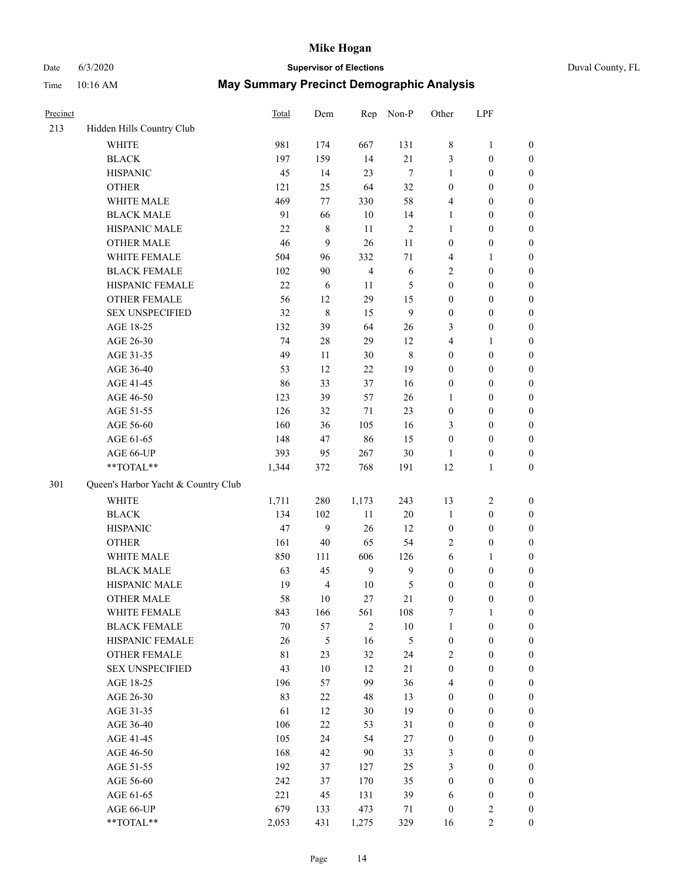### Date 6/3/2020 **Supervisor of Elections** Duval County, FL

| Precinct |                                     | Total  | Dem            | Rep            | Non-P          | Other            | LPF              |                  |
|----------|-------------------------------------|--------|----------------|----------------|----------------|------------------|------------------|------------------|
| 213      | Hidden Hills Country Club           |        |                |                |                |                  |                  |                  |
|          | <b>WHITE</b>                        | 981    | 174            | 667            | 131            | 8                | $\mathbf{1}$     | 0                |
|          | <b>BLACK</b>                        | 197    | 159            | 14             | 21             | 3                | $\boldsymbol{0}$ | $\boldsymbol{0}$ |
|          | <b>HISPANIC</b>                     | 45     | 14             | 23             | $\tau$         | 1                | $\boldsymbol{0}$ | $\boldsymbol{0}$ |
|          | <b>OTHER</b>                        | 121    | 25             | 64             | 32             | $\boldsymbol{0}$ | $\boldsymbol{0}$ | $\boldsymbol{0}$ |
|          | WHITE MALE                          | 469    | 77             | 330            | 58             | 4                | $\boldsymbol{0}$ | $\boldsymbol{0}$ |
|          | <b>BLACK MALE</b>                   | 91     | 66             | 10             | 14             | $\mathbf{1}$     | $\boldsymbol{0}$ | $\boldsymbol{0}$ |
|          | HISPANIC MALE                       | 22     | $\,$ 8 $\,$    | 11             | $\sqrt{2}$     | 1                | $\boldsymbol{0}$ | $\boldsymbol{0}$ |
|          | <b>OTHER MALE</b>                   | 46     | 9              | 26             | 11             | $\boldsymbol{0}$ | $\boldsymbol{0}$ | $\boldsymbol{0}$ |
|          | WHITE FEMALE                        | 504    | 96             | 332            | $71\,$         | 4                | 1                | $\boldsymbol{0}$ |
|          | <b>BLACK FEMALE</b>                 | 102    | 90             | $\overline{4}$ | $\sqrt{6}$     | 2                | $\boldsymbol{0}$ | $\boldsymbol{0}$ |
|          | HISPANIC FEMALE                     | 22     | 6              | 11             | 5              | $\boldsymbol{0}$ | $\boldsymbol{0}$ | $\boldsymbol{0}$ |
|          | <b>OTHER FEMALE</b>                 | 56     | 12             | 29             | 15             | $\boldsymbol{0}$ | $\boldsymbol{0}$ | $\boldsymbol{0}$ |
|          | <b>SEX UNSPECIFIED</b>              | 32     | $\,8\,$        | 15             | 9              | $\boldsymbol{0}$ | $\boldsymbol{0}$ | $\boldsymbol{0}$ |
|          | AGE 18-25                           | 132    | 39             | 64             | 26             | 3                | $\boldsymbol{0}$ | $\boldsymbol{0}$ |
|          | AGE 26-30                           | 74     | $28\,$         | 29             | 12             | 4                | $\mathbf{1}$     | $\boldsymbol{0}$ |
|          | AGE 31-35                           | 49     | 11             | 30             | $\,8\,$        | $\boldsymbol{0}$ | $\boldsymbol{0}$ | $\boldsymbol{0}$ |
|          | AGE 36-40                           | 53     | 12             | 22             | 19             | $\boldsymbol{0}$ | $\boldsymbol{0}$ | $\boldsymbol{0}$ |
|          | AGE 41-45                           | 86     | 33             | 37             | 16             | $\boldsymbol{0}$ | $\boldsymbol{0}$ | $\boldsymbol{0}$ |
|          | AGE 46-50                           | 123    | 39             | 57             | $26\,$         | $\mathbf{1}$     | $\boldsymbol{0}$ | $\boldsymbol{0}$ |
|          | AGE 51-55                           | 126    | 32             | 71             | 23             | $\boldsymbol{0}$ | $\boldsymbol{0}$ | $\boldsymbol{0}$ |
|          | AGE 56-60                           | 160    | 36             | 105            | 16             | 3                | $\boldsymbol{0}$ | 0                |
|          | AGE 61-65                           | 148    | 47             | 86             | 15             | $\boldsymbol{0}$ | $\boldsymbol{0}$ | $\boldsymbol{0}$ |
|          | AGE 66-UP                           | 393    | 95             | 267            | $30\,$         | 1                | $\boldsymbol{0}$ | $\boldsymbol{0}$ |
|          | **TOTAL**                           | 1,344  | 372            | 768            | 191            | 12               | $\mathbf{1}$     | $\boldsymbol{0}$ |
| 301      | Queen's Harbor Yacht & Country Club |        |                |                |                |                  |                  |                  |
|          | <b>WHITE</b>                        | 1,711  | 280            | 1,173          | 243            | 13               | $\sqrt{2}$       | $\boldsymbol{0}$ |
|          | <b>BLACK</b>                        | 134    | 102            | $11\,$         | $20\,$         | $\mathbf{1}$     | $\boldsymbol{0}$ | $\boldsymbol{0}$ |
|          | <b>HISPANIC</b>                     | 47     | 9              | 26             | 12             | $\boldsymbol{0}$ | $\boldsymbol{0}$ | $\boldsymbol{0}$ |
|          | <b>OTHER</b>                        | 161    | $40\,$         | 65             | 54             | 2                | $\boldsymbol{0}$ | $\boldsymbol{0}$ |
|          | WHITE MALE                          | 850    | 111            | 606            | 126            | 6                | $\mathbf{1}$     | $\boldsymbol{0}$ |
|          | <b>BLACK MALE</b>                   | 63     | 45             | 9              | $\mathbf{9}$   | $\boldsymbol{0}$ | $\boldsymbol{0}$ | $\boldsymbol{0}$ |
|          | HISPANIC MALE                       | 19     | $\overline{4}$ | $10\,$         | $\mathfrak{S}$ | $\boldsymbol{0}$ | $\boldsymbol{0}$ | $\boldsymbol{0}$ |
|          | <b>OTHER MALE</b>                   | 58     | 10             | 27             | 21             | $\boldsymbol{0}$ | $\boldsymbol{0}$ | $\boldsymbol{0}$ |
|          | WHITE FEMALE                        | 843    | 166            | 561            | 108            | 7                | 1                | 0                |
|          | <b>BLACK FEMALE</b>                 | $70\,$ | 57             | $\sqrt{2}$     | $10\,$         | $\mathbf{1}$     | $\boldsymbol{0}$ | $\overline{0}$   |
|          | HISPANIC FEMALE                     | 26     | 5              | 16             | 5              | $\boldsymbol{0}$ | $\boldsymbol{0}$ | $\overline{0}$   |
|          | OTHER FEMALE                        | 81     | 23             | 32             | 24             | 2                | $\boldsymbol{0}$ | $\overline{0}$   |
|          | <b>SEX UNSPECIFIED</b>              | 43     | $10\,$         | 12             | 21             | $\boldsymbol{0}$ | $\boldsymbol{0}$ | 0                |
|          | AGE 18-25                           | 196    | 57             | 99             | 36             | 4                | $\boldsymbol{0}$ | $\theta$         |
|          | AGE 26-30                           | 83     | 22             | 48             | 13             | $\boldsymbol{0}$ | $\boldsymbol{0}$ | 0                |
|          | AGE 31-35                           | 61     | 12             | 30             | 19             | $\boldsymbol{0}$ | $\boldsymbol{0}$ | 0                |
|          | AGE 36-40                           | 106    | 22             | 53             | 31             | $\boldsymbol{0}$ | $\boldsymbol{0}$ | 0                |
|          | AGE 41-45                           | 105    | 24             | 54             | 27             | $\boldsymbol{0}$ | $\boldsymbol{0}$ | 0                |
|          | AGE 46-50                           | 168    | 42             | 90             | 33             | 3                | $\boldsymbol{0}$ | 0                |
|          | AGE 51-55                           | 192    | 37             | 127            | 25             | 3                | $\boldsymbol{0}$ | $\overline{0}$   |
|          | AGE 56-60                           | 242    | 37             | 170            | 35             | $\boldsymbol{0}$ | $\boldsymbol{0}$ | $\overline{0}$   |
|          | AGE 61-65                           | 221    | 45             | 131            | 39             | 6                | $\boldsymbol{0}$ | 0                |
|          | AGE 66-UP                           | 679    | 133            | 473            | 71             | $\boldsymbol{0}$ | $\mathfrak{2}$   | 0                |
|          | **TOTAL**                           | 2,053  | 431            | 1,275          | 329            | 16               | $\mathbf{2}$     | $\boldsymbol{0}$ |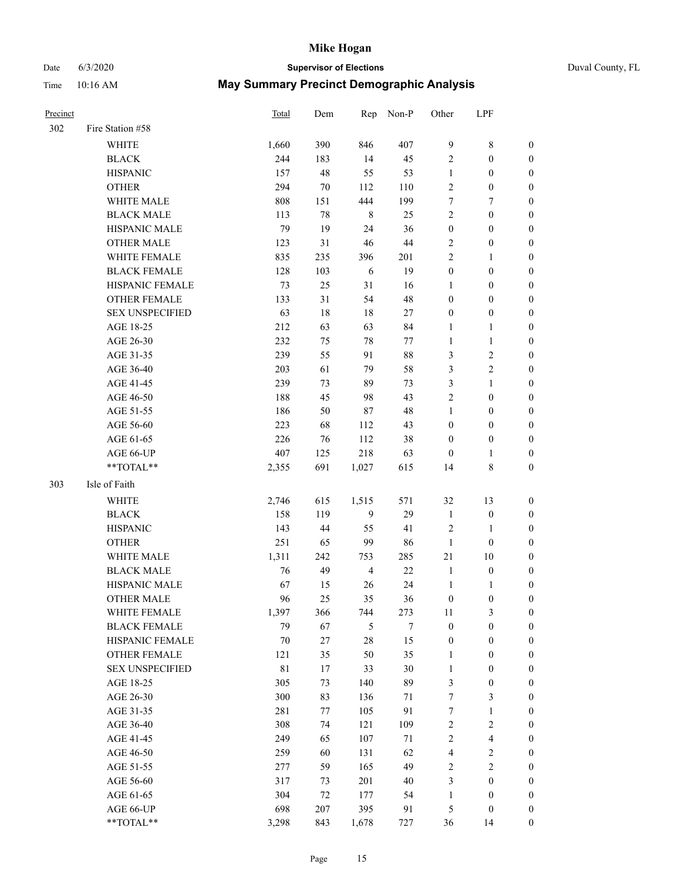### Date 6/3/2020 **Supervisor of Elections** Duval County, FL

| Precinct |                        | Total | Dem    | Rep            | Non-P  | Other            | LPF                     |                  |
|----------|------------------------|-------|--------|----------------|--------|------------------|-------------------------|------------------|
| 302      | Fire Station #58       |       |        |                |        |                  |                         |                  |
|          | <b>WHITE</b>           | 1,660 | 390    | 846            | 407    | 9                | $\,$ 8 $\,$             | 0                |
|          | <b>BLACK</b>           | 244   | 183    | 14             | 45     | $\sqrt{2}$       | $\boldsymbol{0}$        | 0                |
|          | <b>HISPANIC</b>        | 157   | 48     | 55             | 53     | $\mathbf{1}$     | $\boldsymbol{0}$        | $\boldsymbol{0}$ |
|          | <b>OTHER</b>           | 294   | $70\,$ | 112            | 110    | $\overline{c}$   | $\boldsymbol{0}$        | $\boldsymbol{0}$ |
|          | WHITE MALE             | 808   | 151    | 444            | 199    | 7                | 7                       | $\boldsymbol{0}$ |
|          | <b>BLACK MALE</b>      | 113   | 78     | $\,$ 8 $\,$    | 25     | $\mathfrak{2}$   | $\boldsymbol{0}$        | $\boldsymbol{0}$ |
|          | HISPANIC MALE          | 79    | 19     | 24             | 36     | $\boldsymbol{0}$ | $\boldsymbol{0}$        | $\boldsymbol{0}$ |
|          | <b>OTHER MALE</b>      | 123   | 31     | 46             | $44\,$ | $\mathbf{2}$     | $\boldsymbol{0}$        | $\boldsymbol{0}$ |
|          | <b>WHITE FEMALE</b>    | 835   | 235    | 396            | 201    | $\overline{c}$   | $\mathbf{1}$            | $\boldsymbol{0}$ |
|          | <b>BLACK FEMALE</b>    | 128   | 103    | 6              | 19     | $\boldsymbol{0}$ | $\boldsymbol{0}$        | 0                |
|          | HISPANIC FEMALE        | 73    | 25     | 31             | 16     | 1                | $\boldsymbol{0}$        | 0                |
|          | <b>OTHER FEMALE</b>    | 133   | 31     | 54             | 48     | $\boldsymbol{0}$ | $\boldsymbol{0}$        | 0                |
|          | <b>SEX UNSPECIFIED</b> | 63    | 18     | 18             | $27\,$ | $\boldsymbol{0}$ | $\boldsymbol{0}$        | $\boldsymbol{0}$ |
|          | AGE 18-25              | 212   | 63     | 63             | 84     | 1                | $\mathbf{1}$            | $\boldsymbol{0}$ |
|          | AGE 26-30              | 232   | 75     | 78             | 77     | $\mathbf{1}$     | $\mathbf{1}$            | $\boldsymbol{0}$ |
|          | AGE 31-35              | 239   | 55     | 91             | $88\,$ | 3                | $\sqrt{2}$              | $\boldsymbol{0}$ |
|          | AGE 36-40              | 203   | 61     | 79             | 58     | 3                | $\sqrt{2}$              | $\boldsymbol{0}$ |
|          | AGE 41-45              | 239   | 73     | 89             | 73     | 3                | $\mathbf{1}$            | $\boldsymbol{0}$ |
|          | AGE 46-50              | 188   | 45     | 98             | 43     | $\mathfrak{2}$   | $\boldsymbol{0}$        | $\boldsymbol{0}$ |
|          | AGE 51-55              | 186   | 50     | 87             | 48     | $\mathbf{1}$     | $\boldsymbol{0}$        | 0                |
|          | AGE 56-60              | 223   | 68     | 112            | 43     | $\boldsymbol{0}$ | $\boldsymbol{0}$        | 0                |
|          | AGE 61-65              | 226   | 76     | 112            | 38     | $\boldsymbol{0}$ | $\boldsymbol{0}$        | 0                |
|          | AGE 66-UP              | 407   | 125    | 218            | 63     | $\boldsymbol{0}$ | $\mathbf{1}$            | 0                |
|          | $**TOTAL**$            | 2,355 | 691    | 1,027          | 615    | 14               | $\,$ 8 $\,$             | $\boldsymbol{0}$ |
| 303      | Isle of Faith          |       |        |                |        |                  |                         |                  |
|          | <b>WHITE</b>           | 2,746 | 615    | 1,515          | 571    | 32               | 13                      | $\boldsymbol{0}$ |
|          | <b>BLACK</b>           | 158   | 119    | 9              | 29     | $\mathbf{1}$     | $\boldsymbol{0}$        | $\boldsymbol{0}$ |
|          | <b>HISPANIC</b>        | 143   | 44     | 55             | 41     | 2                | $\mathbf{1}$            | $\boldsymbol{0}$ |
|          | <b>OTHER</b>           | 251   | 65     | 99             | 86     | $\mathbf{1}$     | $\boldsymbol{0}$        | $\boldsymbol{0}$ |
|          | WHITE MALE             | 1,311 | 242    | 753            | 285    | $21\,$           | $10\,$                  | $\boldsymbol{0}$ |
|          | <b>BLACK MALE</b>      | 76    | 49     | $\overline{4}$ | $22\,$ | $\mathbf{1}$     | $\boldsymbol{0}$        | 0                |
|          | HISPANIC MALE          | 67    | 15     | 26             | 24     | $\mathbf{1}$     | 1                       | 0                |
|          | <b>OTHER MALE</b>      | 96    | 25     | 35             | 36     | $\boldsymbol{0}$ | $\boldsymbol{0}$        | 0                |
|          | WHITE FEMALE           | 1,397 | 366    | 744            | 273    | 11               | 3                       | 0                |
|          | <b>BLACK FEMALE</b>    | 79    | 67     | 5              | 7      | $\boldsymbol{0}$ | $\boldsymbol{0}$        | $\boldsymbol{0}$ |
|          | HISPANIC FEMALE        | 70    | 27     | $28\,$         | 15     | $\boldsymbol{0}$ | $\boldsymbol{0}$        | $\overline{0}$   |
|          | <b>OTHER FEMALE</b>    | 121   | 35     | 50             | 35     | $\mathbf{1}$     | $\boldsymbol{0}$        | $\overline{0}$   |
|          | <b>SEX UNSPECIFIED</b> | 81    | 17     | 33             | 30     | $\mathbf{1}$     | $\boldsymbol{0}$        | 0                |
|          | AGE 18-25              | 305   | 73     | 140            | 89     | 3                | $\boldsymbol{0}$        | 0                |
|          | AGE 26-30              | 300   | 83     | 136            | 71     | 7                | $\mathfrak{Z}$          | 0                |
|          | AGE 31-35              | 281   | 77     | 105            | 91     | 7                | $\mathbf{1}$            | 0                |
|          | AGE 36-40              | 308   | 74     | 121            | 109    | 2                | $\sqrt{2}$              | 0                |
|          | AGE 41-45              | 249   | 65     | 107            | 71     | $\sqrt{2}$       | $\overline{\mathbf{4}}$ | 0                |
|          | AGE 46-50              | 259   | 60     | 131            | 62     | 4                | $\sqrt{2}$              | 0                |
|          | AGE 51-55              | 277   | 59     | 165            | 49     | $\sqrt{2}$       | $\overline{2}$          | $\overline{0}$   |
|          | AGE 56-60              | 317   | 73     | 201            | 40     | 3                | $\boldsymbol{0}$        | $\overline{0}$   |
|          | AGE 61-65              | 304   | 72     | 177            | 54     | $\mathbf{1}$     | $\boldsymbol{0}$        | $\overline{0}$   |
|          | AGE 66-UP              | 698   | 207    | 395            | 91     | 5                | $\boldsymbol{0}$        | 0                |
|          | **TOTAL**              | 3,298 | 843    | 1,678          | 727    | 36               | 14                      | $\boldsymbol{0}$ |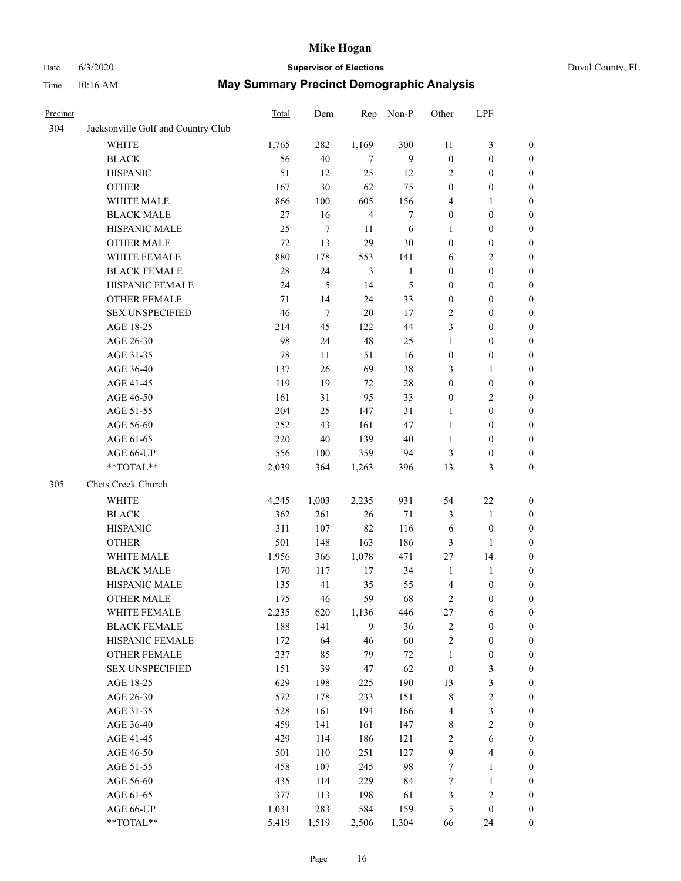# Date 6/3/2020 **Supervisor of Elections** Duval County, FL

| Precinct |                                    | <b>Total</b> | Dem    | Rep            | Non-P        | Other            | LPF              |                  |
|----------|------------------------------------|--------------|--------|----------------|--------------|------------------|------------------|------------------|
| 304      | Jacksonville Golf and Country Club |              |        |                |              |                  |                  |                  |
|          | <b>WHITE</b>                       | 1,765        | 282    | 1,169          | 300          | 11               | $\mathfrak{Z}$   | 0                |
|          | <b>BLACK</b>                       | 56           | $40\,$ | $\tau$         | 9            | $\boldsymbol{0}$ | $\boldsymbol{0}$ | 0                |
|          | <b>HISPANIC</b>                    | 51           | 12     | 25             | 12           | 2                | $\boldsymbol{0}$ | $\boldsymbol{0}$ |
|          | <b>OTHER</b>                       | 167          | 30     | 62             | 75           | $\boldsymbol{0}$ | $\boldsymbol{0}$ | $\boldsymbol{0}$ |
|          | WHITE MALE                         | 866          | 100    | 605            | 156          | 4                | 1                | $\boldsymbol{0}$ |
|          | <b>BLACK MALE</b>                  | 27           | 16     | $\overline{4}$ | 7            | $\boldsymbol{0}$ | $\boldsymbol{0}$ | $\boldsymbol{0}$ |
|          | HISPANIC MALE                      | 25           | 7      | 11             | 6            | 1                | $\boldsymbol{0}$ | $\boldsymbol{0}$ |
|          | <b>OTHER MALE</b>                  | 72           | 13     | 29             | $30\,$       | $\boldsymbol{0}$ | $\boldsymbol{0}$ | $\boldsymbol{0}$ |
|          | WHITE FEMALE                       | 880          | 178    | 553            | 141          | 6                | $\mathfrak{2}$   | $\boldsymbol{0}$ |
|          | <b>BLACK FEMALE</b>                | 28           | 24     | $\mathfrak{Z}$ | $\mathbf{1}$ | $\boldsymbol{0}$ | $\boldsymbol{0}$ | $\boldsymbol{0}$ |
|          | HISPANIC FEMALE                    | 24           | 5      | 14             | 5            | $\boldsymbol{0}$ | $\boldsymbol{0}$ | 0                |
|          | <b>OTHER FEMALE</b>                | 71           | 14     | 24             | 33           | $\boldsymbol{0}$ | $\boldsymbol{0}$ | $\boldsymbol{0}$ |
|          | <b>SEX UNSPECIFIED</b>             | 46           | $\tau$ | 20             | 17           | $\overline{c}$   | $\boldsymbol{0}$ | $\boldsymbol{0}$ |
|          | AGE 18-25                          | 214          | 45     | 122            | 44           | 3                | $\boldsymbol{0}$ | $\boldsymbol{0}$ |
|          | AGE 26-30                          | 98           | 24     | 48             | 25           | $\mathbf{1}$     | $\boldsymbol{0}$ | $\boldsymbol{0}$ |
|          | AGE 31-35                          | 78           | 11     | 51             | 16           | $\boldsymbol{0}$ | $\boldsymbol{0}$ | $\boldsymbol{0}$ |
|          | AGE 36-40                          | 137          | 26     | 69             | 38           | 3                | $\mathbf{1}$     | $\boldsymbol{0}$ |
|          | AGE 41-45                          | 119          | 19     | 72             | $28\,$       | $\boldsymbol{0}$ | $\boldsymbol{0}$ | $\boldsymbol{0}$ |
|          | AGE 46-50                          | 161          | 31     | 95             | 33           | $\boldsymbol{0}$ | $\mathfrak{2}$   | $\boldsymbol{0}$ |
|          | AGE 51-55                          | 204          | 25     | 147            | 31           | 1                | $\boldsymbol{0}$ | $\boldsymbol{0}$ |
|          | AGE 56-60                          | 252          | 43     | 161            | 47           | $\mathbf{1}$     | $\boldsymbol{0}$ | 0                |
|          | AGE 61-65                          | 220          | 40     | 139            | 40           | $\mathbf{1}$     | $\boldsymbol{0}$ | 0                |
|          | AGE 66-UP                          | 556          | 100    | 359            | 94           | 3                | $\boldsymbol{0}$ | $\boldsymbol{0}$ |
|          | **TOTAL**                          | 2,039        | 364    | 1,263          | 396          | 13               | $\mathfrak{Z}$   | $\boldsymbol{0}$ |
| 305      | Chets Creek Church                 |              |        |                |              |                  |                  |                  |
|          | <b>WHITE</b>                       | 4,245        | 1,003  | 2,235          | 931          | 54               | $22\,$           | $\boldsymbol{0}$ |
|          | <b>BLACK</b>                       | 362          | 261    | 26             | $71\,$       | 3                | $\mathbf{1}$     | $\boldsymbol{0}$ |
|          | <b>HISPANIC</b>                    | 311          | 107    | 82             | 116          | 6                | $\boldsymbol{0}$ | $\boldsymbol{0}$ |
|          | <b>OTHER</b>                       | 501          | 148    | 163            | 186          | 3                | 1                | $\boldsymbol{0}$ |
|          | WHITE MALE                         | 1,956        | 366    | 1,078          | 471          | 27               | 14               | $\boldsymbol{0}$ |
|          | <b>BLACK MALE</b>                  | 170          | 117    | 17             | 34           | $\mathbf{1}$     | $\mathbf{1}$     | $\boldsymbol{0}$ |
|          | HISPANIC MALE                      | 135          | 41     | 35             | 55           | 4                | $\boldsymbol{0}$ | 0                |
|          | <b>OTHER MALE</b>                  | 175          | 46     | 59             | 68           | 2                | $\boldsymbol{0}$ | $\boldsymbol{0}$ |
|          | WHITE FEMALE                       | 2,235        | 620    | 1,136          | 446          | 27               | 6                | 0                |
|          | <b>BLACK FEMALE</b>                | 188          | 141    | 9              | 36           | 2                | $\boldsymbol{0}$ | $\boldsymbol{0}$ |
|          | HISPANIC FEMALE                    | 172          | 64     | 46             | 60           | $\overline{c}$   | $\boldsymbol{0}$ | $\boldsymbol{0}$ |
|          | OTHER FEMALE                       | 237          | 85     | 79             | $72\,$       | 1                | $\boldsymbol{0}$ | $\overline{0}$   |
|          | <b>SEX UNSPECIFIED</b>             | 151          | 39     | 47             | 62           | $\boldsymbol{0}$ | $\mathfrak{Z}$   | 0                |
|          | AGE 18-25                          | 629          | 198    | 225            | 190          | 13               | $\sqrt{3}$       | 0                |
|          | AGE 26-30                          | 572          | 178    | 233            | 151          | 8                | $\sqrt{2}$       | 0                |
|          | AGE 31-35                          | 528          | 161    | 194            | 166          | 4                | $\sqrt{3}$       | 0                |
|          | AGE 36-40                          | 459          | 141    | 161            | 147          | 8                | $\sqrt{2}$       | 0                |
|          | AGE 41-45                          | 429          | 114    | 186            | 121          | 2                | 6                | 0                |
|          | AGE 46-50                          | 501          | 110    | 251            | 127          | 9                | $\overline{4}$   | 0                |
|          | AGE 51-55                          | 458          | 107    | 245            | 98           | 7                | $\mathbf{1}$     | $\boldsymbol{0}$ |
|          | AGE 56-60                          | 435          | 114    | 229            | 84           | 7                | $\mathbf{1}$     | $\boldsymbol{0}$ |
|          | AGE 61-65                          | 377          | 113    | 198            | 61           | 3                | $\sqrt{2}$       | $\boldsymbol{0}$ |
|          | AGE 66-UP                          | 1,031        | 283    | 584            | 159          | 5                | $\boldsymbol{0}$ | 0                |
|          | **TOTAL**                          | 5,419        | 1,519  | 2,506          | 1,304        | 66               | 24               | $\boldsymbol{0}$ |
|          |                                    |              |        |                |              |                  |                  |                  |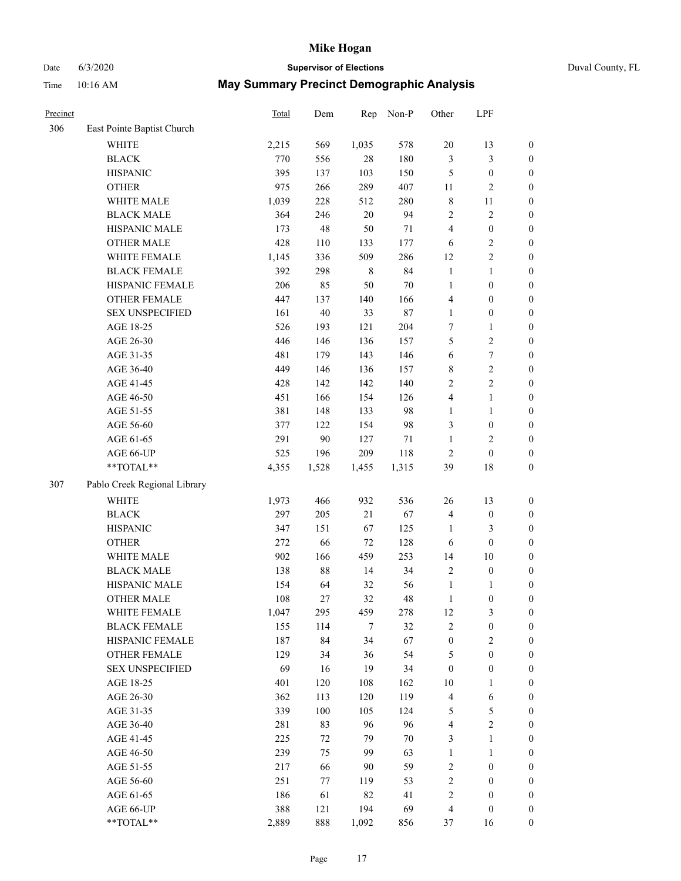### Date 6/3/2020 **Supervisor of Elections** Duval County, FL

| Precinct |                              | Total | Dem    | Rep         | Non-P  | Other            | LPF              |                  |
|----------|------------------------------|-------|--------|-------------|--------|------------------|------------------|------------------|
| 306      | East Pointe Baptist Church   |       |        |             |        |                  |                  |                  |
|          | <b>WHITE</b>                 | 2,215 | 569    | 1,035       | 578    | $20\,$           | 13               | $\boldsymbol{0}$ |
|          | <b>BLACK</b>                 | 770   | 556    | $28\,$      | 180    | 3                | $\mathfrak{Z}$   | $\boldsymbol{0}$ |
|          | <b>HISPANIC</b>              | 395   | 137    | 103         | 150    | 5                | $\boldsymbol{0}$ | $\boldsymbol{0}$ |
|          | <b>OTHER</b>                 | 975   | 266    | 289         | 407    | 11               | $\sqrt{2}$       | $\boldsymbol{0}$ |
|          | WHITE MALE                   | 1,039 | 228    | 512         | 280    | $\,$ 8 $\,$      | 11               | $\boldsymbol{0}$ |
|          | <b>BLACK MALE</b>            | 364   | 246    | $20\,$      | 94     | $\overline{c}$   | $\sqrt{2}$       | $\boldsymbol{0}$ |
|          | HISPANIC MALE                | 173   | 48     | 50          | 71     | $\overline{4}$   | $\boldsymbol{0}$ | $\boldsymbol{0}$ |
|          | <b>OTHER MALE</b>            | 428   | 110    | 133         | 177    | 6                | $\sqrt{2}$       | $\boldsymbol{0}$ |
|          | WHITE FEMALE                 | 1,145 | 336    | 509         | 286    | 12               | $\sqrt{2}$       | $\boldsymbol{0}$ |
|          | <b>BLACK FEMALE</b>          | 392   | 298    | $\,$ 8 $\,$ | 84     | $\mathbf{1}$     | $\mathbf{1}$     | 0                |
|          | HISPANIC FEMALE              | 206   | 85     | 50          | $70\,$ | $\mathbf{1}$     | $\boldsymbol{0}$ | $\boldsymbol{0}$ |
|          | OTHER FEMALE                 | 447   | 137    | 140         | 166    | 4                | $\boldsymbol{0}$ | $\boldsymbol{0}$ |
|          | <b>SEX UNSPECIFIED</b>       | 161   | 40     | 33          | $87\,$ | $\mathbf{1}$     | $\boldsymbol{0}$ | $\boldsymbol{0}$ |
|          | AGE 18-25                    | 526   | 193    | 121         | 204    | 7                | $\mathbf{1}$     | $\boldsymbol{0}$ |
|          | AGE 26-30                    | 446   | 146    | 136         | 157    | 5                | $\sqrt{2}$       | $\boldsymbol{0}$ |
|          | AGE 31-35                    | 481   | 179    | 143         | 146    | 6                | $\boldsymbol{7}$ | $\boldsymbol{0}$ |
|          | AGE 36-40                    | 449   | 146    | 136         | 157    | 8                | $\sqrt{2}$       | $\boldsymbol{0}$ |
|          | AGE 41-45                    | 428   | 142    | 142         | 140    | $\sqrt{2}$       | $\sqrt{2}$       | $\boldsymbol{0}$ |
|          | AGE 46-50                    | 451   | 166    | 154         | 126    | 4                | $\mathbf{1}$     | $\boldsymbol{0}$ |
|          | AGE 51-55                    | 381   | 148    | 133         | 98     | $\mathbf{1}$     | $\mathbf{1}$     | 0                |
|          | AGE 56-60                    | 377   | 122    | 154         | 98     | 3                | $\boldsymbol{0}$ | $\boldsymbol{0}$ |
|          | AGE 61-65                    | 291   | 90     | 127         | $71\,$ | $\mathbf{1}$     | $\mathbf{2}$     | $\boldsymbol{0}$ |
|          | AGE 66-UP                    | 525   | 196    | 209         | 118    | $\overline{c}$   | $\boldsymbol{0}$ | $\boldsymbol{0}$ |
|          | $**TOTAL**$                  | 4,355 | 1,528  | 1,455       | 1,315  | 39               | 18               | $\boldsymbol{0}$ |
| 307      | Pablo Creek Regional Library |       |        |             |        |                  |                  |                  |
|          | <b>WHITE</b>                 | 1,973 | 466    | 932         | 536    | 26               | 13               | $\boldsymbol{0}$ |
|          | <b>BLACK</b>                 | 297   | 205    | 21          | 67     | $\overline{4}$   | $\boldsymbol{0}$ | $\boldsymbol{0}$ |
|          | <b>HISPANIC</b>              | 347   | 151    | 67          | 125    | $\mathbf{1}$     | $\mathfrak{Z}$   | $\boldsymbol{0}$ |
|          | <b>OTHER</b>                 | 272   | 66     | 72          | 128    | 6                | $\boldsymbol{0}$ | $\boldsymbol{0}$ |
|          | WHITE MALE                   | 902   | 166    | 459         | 253    | 14               | $10\,$           | $\boldsymbol{0}$ |
|          | <b>BLACK MALE</b>            | 138   | $88\,$ | 14          | 34     | $\sqrt{2}$       | $\boldsymbol{0}$ | $\boldsymbol{0}$ |
|          | HISPANIC MALE                | 154   | 64     | 32          | 56     | $\mathbf{1}$     | $\mathbf{1}$     | 0                |
|          | <b>OTHER MALE</b>            | 108   | 27     | 32          | 48     | $\mathbf{1}$     | $\boldsymbol{0}$ | $\boldsymbol{0}$ |
|          | WHITE FEMALE                 | 1,047 | 295    | 459         | 278    | 12               | $\mathfrak{Z}$   | $\boldsymbol{0}$ |
|          | <b>BLACK FEMALE</b>          | 155   | 114    | $\tau$      | 32     | $\sqrt{2}$       | $\boldsymbol{0}$ | $\overline{0}$   |
|          | HISPANIC FEMALE              | 187   | 84     | 34          | 67     | $\boldsymbol{0}$ | $\sqrt{2}$       | $\overline{0}$   |
|          | <b>OTHER FEMALE</b>          | 129   | 34     | 36          | 54     | 5                | $\boldsymbol{0}$ | 0                |
|          | <b>SEX UNSPECIFIED</b>       | 69    | 16     | 19          | 34     | $\boldsymbol{0}$ | $\boldsymbol{0}$ | $\overline{0}$   |
|          | AGE 18-25                    | 401   | 120    | 108         | 162    | $10\,$           | $\mathbf{1}$     | 0                |
|          | AGE 26-30                    | 362   | 113    | 120         | 119    | $\overline{4}$   | 6                | 0                |
|          | AGE 31-35                    | 339   | 100    | 105         | 124    | 5                | $\mathfrak{S}$   | 0                |
|          | AGE 36-40                    | 281   | 83     | 96          | 96     | $\overline{4}$   | $\sqrt{2}$       | 0                |
|          | AGE 41-45                    | 225   | 72     | 79          | 70     | 3                | $\mathbf{1}$     | 0                |
|          | AGE 46-50                    | 239   | 75     | 99          | 63     | $\mathbf{1}$     | $\mathbf{1}$     | 0                |
|          | AGE 51-55                    | 217   | 66     | 90          | 59     | $\overline{c}$   | $\boldsymbol{0}$ | $\boldsymbol{0}$ |
|          | AGE 56-60                    | 251   | 77     | 119         | 53     | $\overline{c}$   | $\boldsymbol{0}$ | $\overline{0}$   |
|          | AGE 61-65                    | 186   | 61     | 82          | 41     | $\sqrt{2}$       | $\boldsymbol{0}$ | $\boldsymbol{0}$ |
|          | AGE 66-UP                    | 388   | 121    | 194         | 69     | 4                | $\boldsymbol{0}$ | $\boldsymbol{0}$ |
|          | **TOTAL**                    | 2,889 | 888    | 1,092       | 856    | 37               | 16               | $\boldsymbol{0}$ |
|          |                              |       |        |             |        |                  |                  |                  |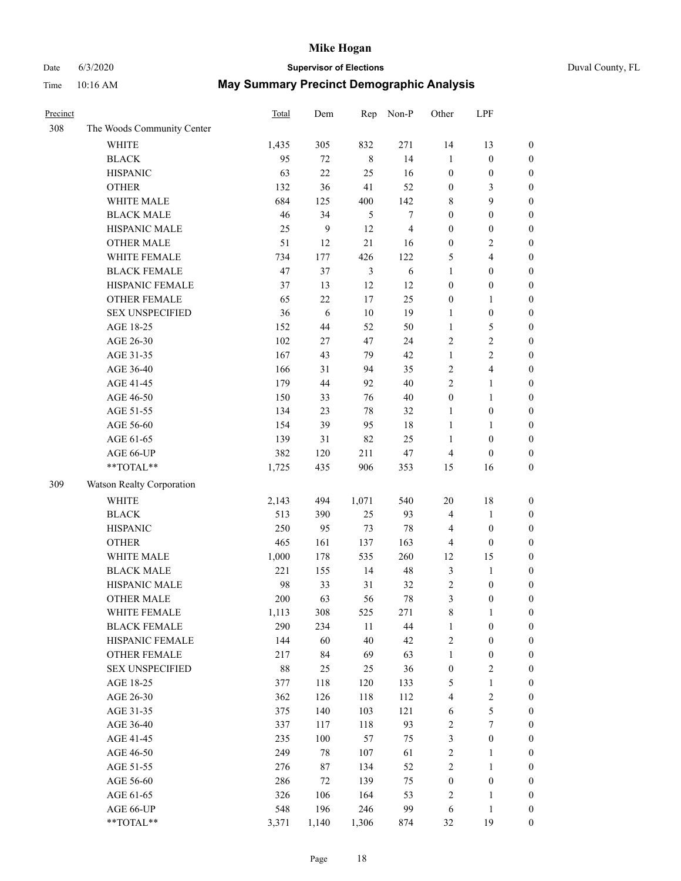## Date 6/3/2020 **Supervisor of Elections**

|  | Duval County, FL |  |
|--|------------------|--|
|--|------------------|--|

| Precinct |                            | <b>Total</b> | Dem   | Rep            | Non-P                   | Other            | LPF                     |                  |
|----------|----------------------------|--------------|-------|----------------|-------------------------|------------------|-------------------------|------------------|
| 308      | The Woods Community Center |              |       |                |                         |                  |                         |                  |
|          | <b>WHITE</b>               | 1,435        | 305   | 832            | 271                     | 14               | 13                      | 0                |
|          | <b>BLACK</b>               | 95           | 72    | $\,8\,$        | 14                      | $\mathbf{1}$     | $\boldsymbol{0}$        | $\boldsymbol{0}$ |
|          | <b>HISPANIC</b>            | 63           | 22    | 25             | 16                      | $\boldsymbol{0}$ | $\boldsymbol{0}$        | $\boldsymbol{0}$ |
|          | <b>OTHER</b>               | 132          | 36    | 41             | 52                      | $\boldsymbol{0}$ | 3                       | $\boldsymbol{0}$ |
|          | WHITE MALE                 | 684          | 125   | 400            | 142                     | 8                | 9                       | $\boldsymbol{0}$ |
|          | <b>BLACK MALE</b>          | 46           | 34    | 5              | $\boldsymbol{7}$        | $\boldsymbol{0}$ | $\boldsymbol{0}$        | $\boldsymbol{0}$ |
|          | HISPANIC MALE              | 25           | 9     | 12             | $\overline{\mathbf{4}}$ | $\boldsymbol{0}$ | $\boldsymbol{0}$        | $\boldsymbol{0}$ |
|          | <b>OTHER MALE</b>          | 51           | 12    | 21             | 16                      | $\boldsymbol{0}$ | $\overline{2}$          | $\boldsymbol{0}$ |
|          | WHITE FEMALE               | 734          | 177   | 426            | 122                     | 5                | $\overline{\mathbf{4}}$ | $\boldsymbol{0}$ |
|          | <b>BLACK FEMALE</b>        | 47           | 37    | $\mathfrak{Z}$ | $\sqrt{6}$              | $\mathbf{1}$     | $\boldsymbol{0}$        | $\boldsymbol{0}$ |
|          | HISPANIC FEMALE            | 37           | 13    | 12             | 12                      | $\boldsymbol{0}$ | $\boldsymbol{0}$        | 0                |
|          | <b>OTHER FEMALE</b>        | 65           | 22    | 17             | 25                      | $\boldsymbol{0}$ | $\mathbf{1}$            | $\boldsymbol{0}$ |
|          | <b>SEX UNSPECIFIED</b>     | 36           | 6     | 10             | 19                      | $\mathbf{1}$     | $\boldsymbol{0}$        | $\boldsymbol{0}$ |
|          | AGE 18-25                  | 152          | 44    | 52             | 50                      | $\mathbf{1}$     | $\mathfrak{S}$          | $\boldsymbol{0}$ |
|          | AGE 26-30                  | 102          | 27    | 47             | 24                      | 2                | $\sqrt{2}$              | $\boldsymbol{0}$ |
|          | AGE 31-35                  | 167          | 43    | 79             | 42                      | $\mathbf{1}$     | $\sqrt{2}$              | $\boldsymbol{0}$ |
|          | AGE 36-40                  | 166          | 31    | 94             | 35                      | 2                | $\overline{\mathbf{4}}$ | $\boldsymbol{0}$ |
|          | AGE 41-45                  | 179          | 44    | 92             | $40\,$                  | $\overline{2}$   | $\mathbf{1}$            | $\boldsymbol{0}$ |
|          | AGE 46-50                  | 150          | 33    | 76             | $40\,$                  | $\boldsymbol{0}$ | $\mathbf{1}$            | $\boldsymbol{0}$ |
|          | AGE 51-55                  | 134          | 23    | 78             | 32                      | 1                | $\boldsymbol{0}$        | $\boldsymbol{0}$ |
|          | AGE 56-60                  | 154          | 39    | 95             | 18                      | $\mathbf{1}$     | 1                       | 0                |
|          | AGE 61-65                  | 139          | 31    | 82             | 25                      | $\mathbf{1}$     | $\boldsymbol{0}$        | 0                |
|          | AGE 66-UP                  | 382          | 120   | 211            | $47\,$                  | 4                | $\boldsymbol{0}$        | $\boldsymbol{0}$ |
|          | **TOTAL**                  | 1,725        | 435   | 906            | 353                     | 15               | 16                      | $\boldsymbol{0}$ |
| 309      | Watson Realty Corporation  |              |       |                |                         |                  |                         |                  |
|          | <b>WHITE</b>               | 2,143        | 494   | 1,071          | 540                     | $20\,$           | $18\,$                  | $\boldsymbol{0}$ |
|          | <b>BLACK</b>               | 513          | 390   | 25             | 93                      | 4                | $\mathbf{1}$            | $\boldsymbol{0}$ |
|          | <b>HISPANIC</b>            | 250          | 95    | 73             | $78\,$                  | 4                | $\boldsymbol{0}$        | $\boldsymbol{0}$ |
|          | <b>OTHER</b>               | 465          | 161   | 137            | 163                     | 4                | $\boldsymbol{0}$        | $\boldsymbol{0}$ |
|          | WHITE MALE                 | 1,000        | 178   | 535            | 260                     | 12               | 15                      | $\boldsymbol{0}$ |
|          | <b>BLACK MALE</b>          | 221          | 155   | 14             | 48                      | 3                | $\mathbf{1}$            | $\boldsymbol{0}$ |
|          | HISPANIC MALE              | 98           | 33    | 31             | 32                      | $\sqrt{2}$       | $\boldsymbol{0}$        | $\boldsymbol{0}$ |
|          | OTHER MALE                 | 200          | 63    | 56             | $78\,$                  | 3                | $\boldsymbol{0}$        | $\boldsymbol{0}$ |
|          | WHITE FEMALE               | 1,113        | 308   | 525            | 271                     | 8                | 1                       | 0                |
|          | <b>BLACK FEMALE</b>        | 290          | 234   | 11             | 44                      | $\mathbf{1}$     | $\boldsymbol{0}$        | $\boldsymbol{0}$ |
|          | HISPANIC FEMALE            | 144          | 60    | 40             | 42                      | $\overline{c}$   | $\boldsymbol{0}$        | $\overline{0}$   |
|          | <b>OTHER FEMALE</b>        | 217          | 84    | 69             | 63                      | $\mathbf{1}$     | $\boldsymbol{0}$        | 0                |
|          | <b>SEX UNSPECIFIED</b>     | 88           | 25    | 25             | 36                      | $\boldsymbol{0}$ | $\mathbf{2}$            | 0                |
|          | AGE 18-25                  | 377          | 118   | 120            | 133                     | 5                | $\mathbf{1}$            | 0                |
|          | AGE 26-30                  | 362          | 126   | 118            | 112                     | $\overline{4}$   | $\sqrt{2}$              | 0                |
|          | AGE 31-35                  | 375          | 140   | 103            | 121                     | 6                | $\mathfrak s$           | 0                |
|          | AGE 36-40                  | 337          | 117   | 118            | 93                      | 2                | $\boldsymbol{7}$        | 0                |
|          | AGE 41-45                  | 235          | 100   | 57             | 75                      | 3                | $\boldsymbol{0}$        | 0                |
|          | AGE 46-50                  | 249          | 78    | 107            | 61                      | 2                | 1                       | 0                |
|          | AGE 51-55                  | 276          | 87    | 134            | 52                      | 2                | $\mathbf{1}$            | 0                |
|          | AGE 56-60                  | 286          | 72    | 139            | 75                      | $\boldsymbol{0}$ | $\boldsymbol{0}$        | 0                |
|          | AGE 61-65                  | 326          | 106   | 164            | 53                      | 2                | 1                       | $\boldsymbol{0}$ |
|          | AGE 66-UP                  | 548          | 196   | 246            | 99                      | 6                | $\mathbf{1}$            | 0                |
|          | **TOTAL**                  | 3,371        | 1,140 | 1,306          | 874                     | 32               | 19                      | $\boldsymbol{0}$ |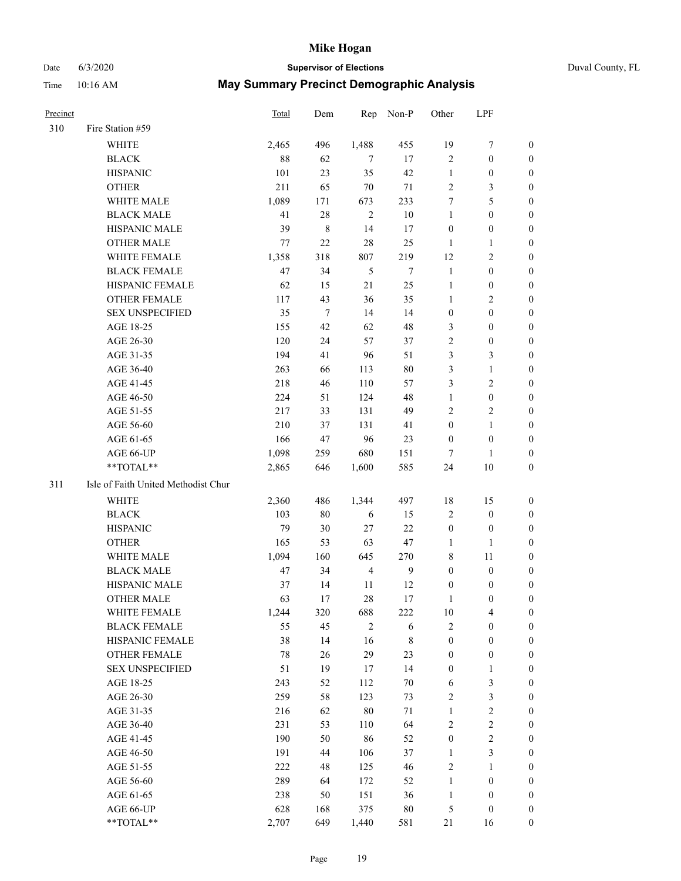### Date 6/3/2020 **Supervisor of Elections** Duval County, FL

| Precinct |                                     | Total  | Dem         |                | Rep Non-P      | Other            | LPF                     |                  |
|----------|-------------------------------------|--------|-------------|----------------|----------------|------------------|-------------------------|------------------|
| 310      | Fire Station #59                    |        |             |                |                |                  |                         |                  |
|          | WHITE                               | 2,465  | 496         | 1,488          | 455            | 19               | 7                       | $\boldsymbol{0}$ |
|          | <b>BLACK</b>                        | $88\,$ | 62          | $\tau$         | 17             | $\sqrt{2}$       | $\boldsymbol{0}$        | $\boldsymbol{0}$ |
|          | <b>HISPANIC</b>                     | 101    | 23          | 35             | 42             | 1                | $\boldsymbol{0}$        | $\boldsymbol{0}$ |
|          | <b>OTHER</b>                        | 211    | 65          | 70             | 71             | $\mathbf{2}$     | 3                       | $\boldsymbol{0}$ |
|          | WHITE MALE                          | 1,089  | 171         | 673            | 233            | 7                | 5                       | $\boldsymbol{0}$ |
|          | <b>BLACK MALE</b>                   | 41     | 28          | $\overline{2}$ | $10\,$         | $\mathbf{1}$     | $\boldsymbol{0}$        | $\boldsymbol{0}$ |
|          | HISPANIC MALE                       | 39     | $\,$ 8 $\,$ | 14             | 17             | $\boldsymbol{0}$ | $\boldsymbol{0}$        | $\boldsymbol{0}$ |
|          | <b>OTHER MALE</b>                   | 77     | 22          | 28             | 25             | 1                | $\mathbf{1}$            | 0                |
|          | WHITE FEMALE                        | 1,358  | 318         | 807            | 219            | 12               | $\sqrt{2}$              | 0                |
|          | <b>BLACK FEMALE</b>                 | 47     | 34          | 5              | $\tau$         | $\mathbf{1}$     | $\boldsymbol{0}$        | 0                |
|          | HISPANIC FEMALE                     | 62     | 15          | 21             | 25             | $\mathbf{1}$     | $\boldsymbol{0}$        | 0                |
|          | OTHER FEMALE                        | 117    | 43          | 36             | 35             | $\mathbf{1}$     | $\sqrt{2}$              | 0                |
|          | <b>SEX UNSPECIFIED</b>              | 35     | $\tau$      | 14             | 14             | $\boldsymbol{0}$ | $\boldsymbol{0}$        | $\boldsymbol{0}$ |
|          | AGE 18-25                           | 155    | 42          | 62             | 48             | 3                | $\boldsymbol{0}$        | $\boldsymbol{0}$ |
|          | AGE 26-30                           | 120    | 24          | 57             | 37             | 2                | $\boldsymbol{0}$        | $\boldsymbol{0}$ |
|          | AGE 31-35                           | 194    | 41          | 96             | 51             | 3                | $\mathfrak{Z}$          | $\boldsymbol{0}$ |
|          | AGE 36-40                           | 263    | 66          | 113            | $80\,$         | 3                | $\mathbf{1}$            | $\boldsymbol{0}$ |
|          | AGE 41-45                           | 218    | 46          | 110            | 57             | 3                | $\sqrt{2}$              | $\boldsymbol{0}$ |
|          | AGE 46-50                           | 224    | 51          | 124            | 48             | $\mathbf{1}$     | $\boldsymbol{0}$        | 0                |
|          | AGE 51-55                           | 217    | 33          | 131            | 49             | 2                | $\mathfrak{2}$          | 0                |
|          | AGE 56-60                           | 210    | 37          | 131            | 41             | $\boldsymbol{0}$ | $\mathbf{1}$            | 0                |
|          | AGE 61-65                           | 166    | 47          | 96             | 23             | $\boldsymbol{0}$ | $\boldsymbol{0}$        | 0                |
|          | AGE 66-UP                           | 1,098  | 259         | 680            | 151            | 7                | 1                       | 0                |
|          | **TOTAL**                           | 2,865  | 646         | 1,600          | 585            | 24               | $10\,$                  | $\boldsymbol{0}$ |
| 311      | Isle of Faith United Methodist Chur |        |             |                |                |                  |                         |                  |
|          | WHITE                               | 2,360  | 486         | 1,344          | 497            | 18               | 15                      | $\boldsymbol{0}$ |
|          | <b>BLACK</b>                        | 103    | $80\,$      | 6              | 15             | $\mathfrak{2}$   | $\boldsymbol{0}$        | $\boldsymbol{0}$ |
|          | <b>HISPANIC</b>                     | 79     | 30          | 27             | $22\,$         | $\boldsymbol{0}$ | $\boldsymbol{0}$        | 0                |
|          | <b>OTHER</b>                        | 165    | 53          | 63             | 47             | $\mathbf{1}$     | $\mathbf{1}$            | $\boldsymbol{0}$ |
|          | WHITE MALE                          | 1,094  | 160         | 645            | 270            | 8                | 11                      | 0                |
|          | <b>BLACK MALE</b>                   | 47     | 34          | $\overline{4}$ | $\overline{9}$ | $\boldsymbol{0}$ | $\boldsymbol{0}$        | 0                |
|          | HISPANIC MALE                       | 37     | 14          | 11             | 12             | $\boldsymbol{0}$ | $\boldsymbol{0}$        | 0                |
|          | <b>OTHER MALE</b>                   | 63     | 17          | 28             | 17             | 1                | $\boldsymbol{0}$        | 0                |
|          | WHITE FEMALE                        | 1,244  | 320         | 688            | 222            | $10\,$           | $\overline{\mathbf{4}}$ | $\boldsymbol{0}$ |
|          | <b>BLACK FEMALE</b>                 | 55     | 45          | $\sqrt{2}$     | 6              | 2                | $\boldsymbol{0}$        | $\overline{0}$   |
|          | HISPANIC FEMALE                     | 38     | 14          | 16             | 8              | $\boldsymbol{0}$ | $\boldsymbol{0}$        | $\overline{0}$   |
|          | OTHER FEMALE                        | $78\,$ | 26          | 29             | 23             | $\boldsymbol{0}$ | $\boldsymbol{0}$        | 0                |
|          | <b>SEX UNSPECIFIED</b>              | 51     | 19          | 17             | 14             | $\boldsymbol{0}$ | $\mathbf{1}$            | 0                |
|          | AGE 18-25                           | 243    | 52          | 112            | $70\,$         | $\sqrt{6}$       | $\mathfrak{Z}$          | 0                |
|          | AGE 26-30                           | 259    | 58          | 123            | 73             | $\overline{c}$   | $\mathfrak{Z}$          | 0                |
|          | AGE 31-35                           | 216    | 62          | 80             | $71\,$         | $\mathbf{1}$     | $\sqrt{2}$              | 0                |
|          | AGE 36-40                           | 231    | 53          | 110            | 64             | 2                | $\sqrt{2}$              | 0                |
|          | AGE 41-45                           | 190    | 50          | 86             | 52             | $\boldsymbol{0}$ | $\boldsymbol{2}$        | 0                |
|          | AGE 46-50                           | 191    | 44          | 106            | 37             | $\mathbf{1}$     | $\mathfrak{Z}$          | 0                |
|          | AGE 51-55                           | 222    | 48          | 125            | 46             | $\sqrt{2}$       | 1                       | $\boldsymbol{0}$ |
|          | AGE 56-60                           | 289    | 64          | 172            | 52             | $\mathbf{1}$     | $\boldsymbol{0}$        | $\boldsymbol{0}$ |
|          | AGE 61-65                           | 238    | 50          | 151            | 36             | $\mathbf{1}$     | $\boldsymbol{0}$        | 0                |
|          | AGE 66-UP                           | 628    | 168         | 375            | $80\,$         | 5                | $\boldsymbol{0}$        | $\boldsymbol{0}$ |
|          | **TOTAL**                           | 2,707  | 649         | 1,440          | 581            | 21               | 16                      | $\boldsymbol{0}$ |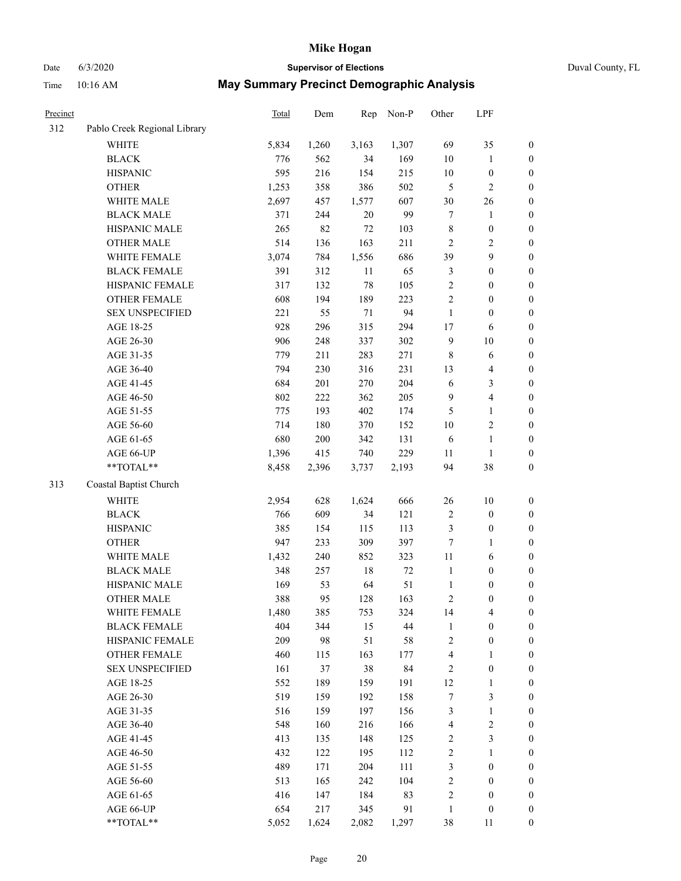Time 10:16 AM

### Date 6/3/2020 **Supervisor of Elections** Duval County, FL

|  |  | <b>May Summary Precinct Demographic Analysis</b> |  |
|--|--|--------------------------------------------------|--|
|--|--|--------------------------------------------------|--|

| Precinct |                              | Total | Dem   | Rep    | Non-P  | Other                   | LPF                     |                  |
|----------|------------------------------|-------|-------|--------|--------|-------------------------|-------------------------|------------------|
| 312      | Pablo Creek Regional Library |       |       |        |        |                         |                         |                  |
|          | <b>WHITE</b>                 | 5,834 | 1,260 | 3,163  | 1,307  | 69                      | 35                      | 0                |
|          | <b>BLACK</b>                 | 776   | 562   | 34     | 169    | $10\,$                  | $\mathbf{1}$            | $\boldsymbol{0}$ |
|          | <b>HISPANIC</b>              | 595   | 216   | 154    | 215    | $10\,$                  | $\boldsymbol{0}$        | $\boldsymbol{0}$ |
|          | <b>OTHER</b>                 | 1,253 | 358   | 386    | 502    | 5                       | $\mathbf{2}$            | $\boldsymbol{0}$ |
|          | WHITE MALE                   | 2,697 | 457   | 1,577  | 607    | 30                      | 26                      | $\boldsymbol{0}$ |
|          | <b>BLACK MALE</b>            | 371   | 244   | 20     | 99     | $\tau$                  | $\mathbf{1}$            | $\boldsymbol{0}$ |
|          | HISPANIC MALE                | 265   | 82    | $72\,$ | 103    | 8                       | $\boldsymbol{0}$        | $\boldsymbol{0}$ |
|          | <b>OTHER MALE</b>            | 514   | 136   | 163    | 211    | $\mathbf{2}$            | $\overline{2}$          | $\boldsymbol{0}$ |
|          | WHITE FEMALE                 | 3,074 | 784   | 1,556  | 686    | 39                      | $\boldsymbol{9}$        | $\boldsymbol{0}$ |
|          | <b>BLACK FEMALE</b>          | 391   | 312   | 11     | 65     | 3                       | $\boldsymbol{0}$        | $\boldsymbol{0}$ |
|          | HISPANIC FEMALE              | 317   | 132   | 78     | 105    | $\mathbf{2}$            | $\boldsymbol{0}$        | 0                |
|          | OTHER FEMALE                 | 608   | 194   | 189    | 223    | $\overline{c}$          | $\boldsymbol{0}$        | $\boldsymbol{0}$ |
|          | <b>SEX UNSPECIFIED</b>       | 221   | 55    | $71\,$ | 94     | $\mathbf{1}$            | $\boldsymbol{0}$        | $\boldsymbol{0}$ |
|          | AGE 18-25                    | 928   | 296   | 315    | 294    | $17\,$                  | 6                       | $\boldsymbol{0}$ |
|          | AGE 26-30                    | 906   | 248   | 337    | 302    | 9                       | $10\,$                  | $\boldsymbol{0}$ |
|          | AGE 31-35                    | 779   | 211   | 283    | 271    | $\,8\,$                 | 6                       | $\boldsymbol{0}$ |
|          | AGE 36-40                    | 794   | 230   | 316    | 231    | 13                      | $\overline{\mathbf{4}}$ | $\boldsymbol{0}$ |
|          | AGE 41-45                    | 684   | 201   | 270    | 204    | $\sqrt{6}$              | $\mathfrak{Z}$          | $\boldsymbol{0}$ |
|          | AGE 46-50                    | 802   | 222   | 362    | 205    | $\overline{9}$          | $\overline{4}$          | $\boldsymbol{0}$ |
|          | AGE 51-55                    | 775   | 193   | 402    | 174    | $\mathfrak{S}$          | $\mathbf{1}$            | $\boldsymbol{0}$ |
|          | AGE 56-60                    | 714   | 180   | 370    | 152    | $10\,$                  | $\sqrt{2}$              | 0                |
|          | AGE 61-65                    | 680   | 200   | 342    | 131    | 6                       | $\mathbf{1}$            | 0                |
|          | AGE 66-UP                    | 1,396 | 415   | 740    | 229    | 11                      | $\mathbf{1}$            | $\boldsymbol{0}$ |
|          | **TOTAL**                    | 8,458 | 2,396 | 3,737  | 2,193  | 94                      | $38\,$                  | $\boldsymbol{0}$ |
| 313      | Coastal Baptist Church       |       |       |        |        |                         |                         |                  |
|          | <b>WHITE</b>                 | 2,954 | 628   | 1,624  | 666    | 26                      | $10\,$                  | $\boldsymbol{0}$ |
|          | <b>BLACK</b>                 | 766   | 609   | 34     | 121    | $\sqrt{2}$              | $\boldsymbol{0}$        | $\boldsymbol{0}$ |
|          | <b>HISPANIC</b>              | 385   | 154   | 115    | 113    | 3                       | $\boldsymbol{0}$        | $\boldsymbol{0}$ |
|          | <b>OTHER</b>                 | 947   | 233   | 309    | 397    | 7                       | $\mathbf{1}$            | $\boldsymbol{0}$ |
|          | WHITE MALE                   | 1,432 | 240   | 852    | 323    | $11\,$                  | 6                       | $\boldsymbol{0}$ |
|          | <b>BLACK MALE</b>            | 348   | 257   | 18     | $72\,$ | $\mathbf{1}$            | $\boldsymbol{0}$        | $\boldsymbol{0}$ |
|          | HISPANIC MALE                | 169   | 53    | 64     | 51     | $\mathbf{1}$            | $\boldsymbol{0}$        | $\boldsymbol{0}$ |
|          | <b>OTHER MALE</b>            | 388   | 95    | 128    | 163    | 2                       | $\boldsymbol{0}$        | $\boldsymbol{0}$ |
|          | WHITE FEMALE                 | 1,480 | 385   | 753    | 324    | 14                      | 4                       | 0                |
|          | <b>BLACK FEMALE</b>          | 404   | 344   | 15     | 44     | $\mathbf{1}$            | $\boldsymbol{0}$        | $\boldsymbol{0}$ |
|          | HISPANIC FEMALE              | 209   | 98    | 51     | 58     | $\sqrt{2}$              | $\boldsymbol{0}$        | $\overline{0}$   |
|          | OTHER FEMALE                 | 460   | 115   | 163    | 177    | 4                       | $\mathbf{1}$            | $\overline{0}$   |
|          | <b>SEX UNSPECIFIED</b>       | 161   | 37    | 38     | 84     | 2                       | $\boldsymbol{0}$        | 0                |
|          | AGE 18-25                    | 552   | 189   | 159    | 191    | 12                      | $\mathbf{1}$            | 0                |
|          | AGE 26-30                    | 519   | 159   | 192    | 158    | 7                       | $\mathfrak{Z}$          | 0                |
|          | AGE 31-35                    | 516   | 159   | 197    | 156    | 3                       | $\mathbf{1}$            | 0                |
|          | AGE 36-40                    | 548   | 160   | 216    | 166    | $\overline{\mathbf{4}}$ | $\sqrt{2}$              | 0                |
|          | AGE 41-45                    | 413   | 135   | 148    | 125    | 2                       | $\mathfrak{Z}$          | 0                |
|          | AGE 46-50                    | 432   | 122   | 195    | 112    | 2                       | $\mathbf{1}$            | 0                |
|          | AGE 51-55                    | 489   | 171   | 204    | 111    | 3                       | $\boldsymbol{0}$        | $\boldsymbol{0}$ |
|          | AGE 56-60                    | 513   | 165   | 242    | 104    | $\sqrt{2}$              | $\boldsymbol{0}$        | $\boldsymbol{0}$ |
|          | AGE 61-65                    | 416   | 147   | 184    | 83     | 2                       | $\boldsymbol{0}$        | $\boldsymbol{0}$ |
|          | AGE 66-UP                    | 654   | 217   | 345    | 91     | $\mathbf{1}$            | $\boldsymbol{0}$        | $\boldsymbol{0}$ |
|          | **TOTAL**                    | 5,052 | 1,624 | 2,082  | 1,297  | 38                      | 11                      | $\boldsymbol{0}$ |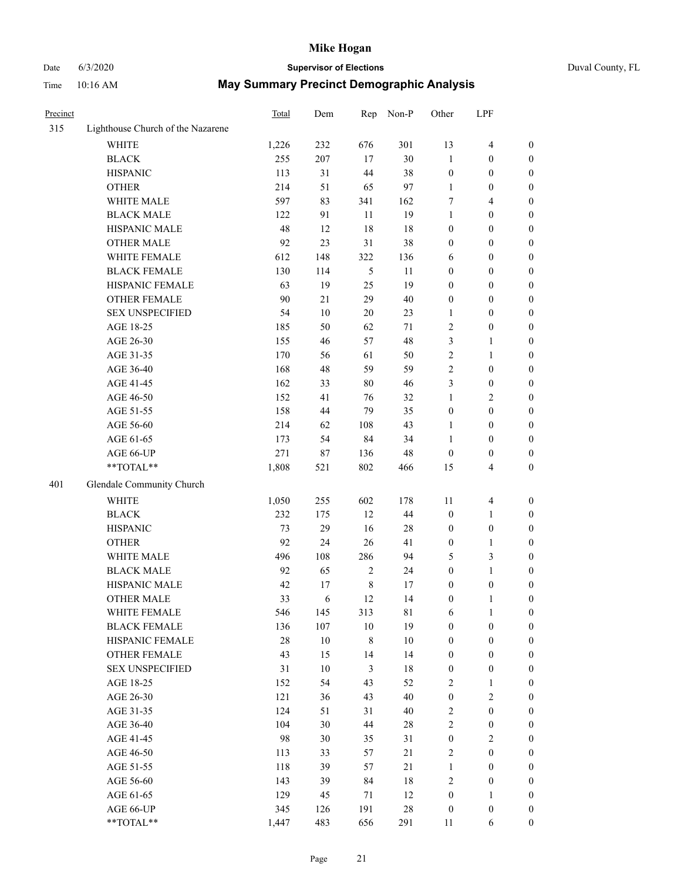## Date 6/3/2020 **Supervisor of Elections**

|  | Duval County, FL |  |
|--|------------------|--|
|--|------------------|--|

| Precinct |                                   | Total | Dem    | Rep            | Non-P       | Other            | LPF                     |                  |
|----------|-----------------------------------|-------|--------|----------------|-------------|------------------|-------------------------|------------------|
| 315      | Lighthouse Church of the Nazarene |       |        |                |             |                  |                         |                  |
|          | <b>WHITE</b>                      | 1,226 | 232    | 676            | 301         | 13               | $\overline{\mathbf{4}}$ | $\boldsymbol{0}$ |
|          | <b>BLACK</b>                      | 255   | 207    | 17             | 30          | $\mathbf{1}$     | $\boldsymbol{0}$        | $\boldsymbol{0}$ |
|          | <b>HISPANIC</b>                   | 113   | 31     | 44             | 38          | $\boldsymbol{0}$ | $\boldsymbol{0}$        | $\boldsymbol{0}$ |
|          | <b>OTHER</b>                      | 214   | 51     | 65             | 97          | $\mathbf{1}$     | $\boldsymbol{0}$        | $\boldsymbol{0}$ |
|          | WHITE MALE                        | 597   | 83     | 341            | 162         | 7                | $\overline{4}$          | $\boldsymbol{0}$ |
|          | <b>BLACK MALE</b>                 | 122   | 91     | 11             | 19          | $\mathbf{1}$     | $\boldsymbol{0}$        | $\boldsymbol{0}$ |
|          | HISPANIC MALE                     | 48    | 12     | 18             | 18          | $\boldsymbol{0}$ | $\boldsymbol{0}$        | $\boldsymbol{0}$ |
|          | OTHER MALE                        | 92    | 23     | 31             | 38          | $\boldsymbol{0}$ | $\boldsymbol{0}$        | $\boldsymbol{0}$ |
|          | WHITE FEMALE                      | 612   | 148    | 322            | 136         | 6                | $\boldsymbol{0}$        | 0                |
|          | <b>BLACK FEMALE</b>               | 130   | 114    | $\mathfrak{S}$ | 11          | 0                | $\boldsymbol{0}$        | 0                |
|          | HISPANIC FEMALE                   | 63    | 19     | 25             | 19          | $\boldsymbol{0}$ | $\boldsymbol{0}$        | $\boldsymbol{0}$ |
|          | OTHER FEMALE                      | 90    | 21     | 29             | $40\,$      | $\boldsymbol{0}$ | $\boldsymbol{0}$        | $\boldsymbol{0}$ |
|          | <b>SEX UNSPECIFIED</b>            | 54    | $10\,$ | 20             | 23          | $\mathbf{1}$     | $\boldsymbol{0}$        | $\boldsymbol{0}$ |
|          | AGE 18-25                         | 185   | 50     | 62             | $71\,$      | 2                | $\boldsymbol{0}$        | $\boldsymbol{0}$ |
|          | AGE 26-30                         | 155   | 46     | 57             | 48          | 3                | $\mathbf{1}$            | $\boldsymbol{0}$ |
|          | AGE 31-35                         | 170   | 56     | 61             | 50          | $\overline{c}$   | $\mathbf{1}$            | $\boldsymbol{0}$ |
|          | AGE 36-40                         | 168   | 48     | 59             | 59          | $\overline{c}$   | $\boldsymbol{0}$        | $\boldsymbol{0}$ |
|          | AGE 41-45                         | 162   | 33     | $80\,$         | 46          | 3                | $\boldsymbol{0}$        | $\boldsymbol{0}$ |
|          | AGE 46-50                         | 152   | 41     | 76             | 32          | $\mathbf{1}$     | $\sqrt{2}$              | 0                |
|          | AGE 51-55                         | 158   | 44     | 79             | 35          | $\boldsymbol{0}$ | $\boldsymbol{0}$        | 0                |
|          | AGE 56-60                         | 214   | 62     | 108            | 43          | 1                | $\boldsymbol{0}$        | $\boldsymbol{0}$ |
|          | AGE 61-65                         | 173   | 54     | 84             | 34          | $\mathbf{1}$     | $\boldsymbol{0}$        | $\boldsymbol{0}$ |
|          | AGE 66-UP                         | 271   | 87     | 136            | 48          | $\boldsymbol{0}$ | $\boldsymbol{0}$        | $\boldsymbol{0}$ |
|          | **TOTAL**                         | 1,808 | 521    | 802            | 466         | 15               | $\overline{4}$          | $\boldsymbol{0}$ |
| 401      | Glendale Community Church         |       |        |                |             |                  |                         |                  |
|          | <b>WHITE</b>                      | 1,050 | 255    | 602            | 178         | 11               | $\overline{4}$          | $\boldsymbol{0}$ |
|          | <b>BLACK</b>                      | 232   | 175    | 12             | $44\,$      | $\boldsymbol{0}$ | $\mathbf{1}$            | $\boldsymbol{0}$ |
|          | <b>HISPANIC</b>                   | 73    | 29     | 16             | $28\,$      | $\boldsymbol{0}$ | $\boldsymbol{0}$        | $\boldsymbol{0}$ |
|          | <b>OTHER</b>                      | 92    | 24     | 26             | 41          | $\boldsymbol{0}$ | $\mathbf{1}$            | $\boldsymbol{0}$ |
|          | WHITE MALE                        | 496   | 108    | 286            | 94          | 5                | $\mathfrak{Z}$          | $\boldsymbol{0}$ |
|          | <b>BLACK MALE</b>                 | 92    | 65     | $\overline{c}$ | 24          | $\boldsymbol{0}$ | $\mathbf{1}$            | 0                |
|          | HISPANIC MALE                     | 42    | 17     | $\,$ 8 $\,$    | 17          | 0                | $\boldsymbol{0}$        | 0                |
|          | OTHER MALE                        | 33    | 6      | 12             | 14          | $\boldsymbol{0}$ | $\mathbf{1}$            | $\boldsymbol{0}$ |
|          | WHITE FEMALE                      | 546   | 145    | 313            | $8\sqrt{1}$ | 6                | $\mathbf{1}$            | $\boldsymbol{0}$ |
|          | <b>BLACK FEMALE</b>               | 136   | 107    | $10\,$         | 19          | $\boldsymbol{0}$ | $\boldsymbol{0}$        | $\overline{0}$   |
|          | HISPANIC FEMALE                   | 28    | $10\,$ | $\,$ $\,$      | $10\,$      | $\boldsymbol{0}$ | $\boldsymbol{0}$        | $\overline{0}$   |
|          | <b>OTHER FEMALE</b>               | 43    | 15     | 14             | 14          | $\boldsymbol{0}$ | $\boldsymbol{0}$        | $\overline{0}$   |
|          | <b>SEX UNSPECIFIED</b>            | 31    | $10\,$ | $\mathfrak{Z}$ | 18          | $\boldsymbol{0}$ | $\boldsymbol{0}$        | $\overline{0}$   |
|          | AGE 18-25                         | 152   | 54     | 43             | 52          | $\overline{c}$   | $\mathbf{1}$            | 0                |
|          | AGE 26-30                         | 121   | 36     | 43             | 40          | $\boldsymbol{0}$ | $\sqrt{2}$              | 0                |
|          | AGE 31-35                         | 124   | 51     | 31             | $40\,$      | $\overline{c}$   | $\boldsymbol{0}$        | 0                |
|          | AGE 36-40                         | 104   | 30     | 44             | $28\,$      | $\overline{c}$   | $\boldsymbol{0}$        | 0                |
|          | AGE 41-45                         | 98    | 30     | 35             | 31          | $\boldsymbol{0}$ | $\sqrt{2}$              | 0                |
|          | AGE 46-50                         | 113   | 33     | 57             | 21          | $\overline{c}$   | $\boldsymbol{0}$        | $\overline{0}$   |
|          | AGE 51-55                         | 118   | 39     | 57             | 21          | $\mathbf{1}$     | $\boldsymbol{0}$        | $\boldsymbol{0}$ |
|          | AGE 56-60                         | 143   | 39     | 84             | 18          | 2                | $\boldsymbol{0}$        | $\overline{0}$   |
|          | AGE 61-65                         | 129   | 45     | 71             | 12          | $\boldsymbol{0}$ | $\mathbf{1}$            | $\boldsymbol{0}$ |
|          | AGE 66-UP                         | 345   | 126    | 191            | $28\,$      | $\boldsymbol{0}$ | $\boldsymbol{0}$        | $\boldsymbol{0}$ |
|          | **TOTAL**                         | 1,447 | 483    | 656            | 291         | 11               | 6                       | $\boldsymbol{0}$ |
|          |                                   |       |        |                |             |                  |                         |                  |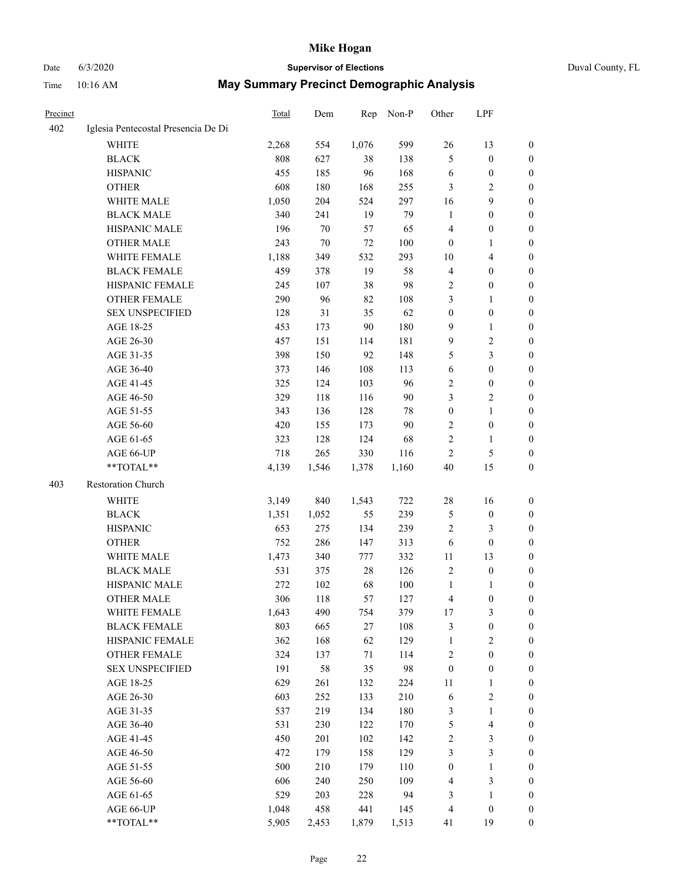### Date 6/3/2020 **Supervisor of Elections** Duval County, FL

| Precinct |                                     | Total          | Dem          | Rep          | Non-P      | Other            | LPF                            |                                      |
|----------|-------------------------------------|----------------|--------------|--------------|------------|------------------|--------------------------------|--------------------------------------|
| 402      | Iglesia Pentecostal Presencia De Di |                |              |              |            |                  |                                |                                      |
|          | <b>WHITE</b>                        | 2,268          | 554          | 1,076        | 599        | 26               | 13                             | $\boldsymbol{0}$                     |
|          | <b>BLACK</b>                        | 808            | 627          | 38           | 138        | 5                | $\boldsymbol{0}$               | $\boldsymbol{0}$                     |
|          | <b>HISPANIC</b>                     | 455            | 185          | 96           | 168        | 6                | $\boldsymbol{0}$               | $\boldsymbol{0}$                     |
|          | <b>OTHER</b>                        | 608            | 180          | 168          | 255        | 3                | $\mathbf{2}$                   | $\boldsymbol{0}$                     |
|          | WHITE MALE                          | 1,050          | 204          | 524          | 297        | 16               | $\mathbf{9}$                   | $\boldsymbol{0}$                     |
|          | <b>BLACK MALE</b>                   | 340            | 241          | 19           | 79         | $\mathbf{1}$     | $\boldsymbol{0}$               | $\boldsymbol{0}$                     |
|          | HISPANIC MALE                       | 196            | 70           | 57           | 65         | 4                | $\boldsymbol{0}$               | 0                                    |
|          | <b>OTHER MALE</b>                   | 243            | $70\,$       | 72           | 100        | $\boldsymbol{0}$ | $\mathbf{1}$                   | 0                                    |
|          | WHITE FEMALE                        | 1,188          | 349          | 532          | 293        | 10               | $\overline{\mathbf{4}}$        | 0                                    |
|          | <b>BLACK FEMALE</b>                 | 459            | 378          | 19           | 58         | 4                | $\boldsymbol{0}$               | 0                                    |
|          | HISPANIC FEMALE                     | 245            | 107          | 38           | 98         | $\overline{c}$   | $\boldsymbol{0}$               | $\boldsymbol{0}$                     |
|          | OTHER FEMALE                        | 290            | 96           | 82           | 108        | 3                | $\mathbf{1}$                   | $\boldsymbol{0}$                     |
|          | <b>SEX UNSPECIFIED</b>              | 128            | 31           | 35           | 62         | $\boldsymbol{0}$ | $\boldsymbol{0}$               | $\boldsymbol{0}$                     |
|          | AGE 18-25                           | 453            | 173          | 90           | 180        | 9                | $\mathbf{1}$                   | $\boldsymbol{0}$                     |
|          | AGE 26-30                           | 457            | 151          | 114          | 181        | 9                | $\sqrt{2}$                     | $\boldsymbol{0}$                     |
|          | AGE 31-35                           | 398            | 150          | 92           | 148        | 5                | $\mathfrak{Z}$                 | $\boldsymbol{0}$                     |
|          | AGE 36-40                           | 373            | 146          | 108          | 113        | 6                | $\boldsymbol{0}$               | $\boldsymbol{0}$                     |
|          | AGE 41-45                           | 325            | 124          | 103          | 96         | 2                | $\boldsymbol{0}$               | 0                                    |
|          | AGE 46-50                           | 329            | 118          | 116          | 90         | 3                | $\sqrt{2}$                     | 0                                    |
|          | AGE 51-55                           | 343            | 136          | 128          | 78         | $\boldsymbol{0}$ | $\mathbf{1}$                   | 0                                    |
|          | AGE 56-60                           | 420            | 155          | 173          | 90         | $\overline{c}$   | $\boldsymbol{0}$               | $\boldsymbol{0}$                     |
|          | AGE 61-65                           | 323            | 128          | 124          | 68         | 2                | $\mathbf{1}$                   | $\boldsymbol{0}$                     |
|          | AGE 66-UP                           | 718            | 265          | 330          | 116        | $\overline{c}$   | $\mathfrak{S}$                 | $\boldsymbol{0}$                     |
|          | $**TOTAL**$                         | 4,139          | 1,546        | 1,378        | 1,160      | 40               | 15                             | $\boldsymbol{0}$                     |
| 403      | Restoration Church                  |                |              |              |            |                  |                                |                                      |
|          | <b>WHITE</b>                        | 3,149          | 840          | 1,543        | 722        | 28               | 16                             | $\boldsymbol{0}$                     |
|          | <b>BLACK</b>                        | 1,351          | 1,052        | 55           | 239        | 5                | $\boldsymbol{0}$               | $\boldsymbol{0}$                     |
|          | <b>HISPANIC</b>                     | 653            | 275          | 134          | 239        | 2                | 3                              | $\overline{0}$                       |
|          | <b>OTHER</b>                        | 752            | 286          | 147          | 313        | 6                | $\boldsymbol{0}$               | $\boldsymbol{0}$                     |
|          | WHITE MALE                          | 1,473          | 340          | 777          | 332        | 11               | 13                             |                                      |
|          | <b>BLACK MALE</b>                   | 531            | 375          | 28           | 126        | $\mathfrak{2}$   | $\boldsymbol{0}$               | 0<br>0                               |
|          | HISPANIC MALE                       | 272            | 102          | 68           | 100        | $\mathbf{1}$     | 1                              | 0                                    |
|          | <b>OTHER MALE</b>                   | 306            | 118          | 57           | 127        | 4                | $\boldsymbol{0}$               | $\boldsymbol{0}$                     |
|          | WHITE FEMALE                        | 1,643          | 490          | 754          | 379        | $17\,$           | $\mathfrak{Z}$                 | $\boldsymbol{0}$                     |
|          | <b>BLACK FEMALE</b>                 | 803            | 665          | $27\,$       | 108        | 3                | $\boldsymbol{0}$               | $\boldsymbol{0}$                     |
|          | HISPANIC FEMALE                     | 362            | 168          | 62           | 129        | $\mathbf{1}$     | $\mathfrak{2}$                 | $\overline{0}$                       |
|          | <b>OTHER FEMALE</b>                 | 324            | 137          | 71           | 114        | $\sqrt{2}$       | $\boldsymbol{0}$               | $\overline{0}$                       |
|          | <b>SEX UNSPECIFIED</b>              | 191            | 58           | 35           | 98         | $\boldsymbol{0}$ | $\boldsymbol{0}$               | $\overline{0}$                       |
|          | AGE 18-25                           | 629            | 261          |              | 224        | $11\,$           |                                | 0                                    |
|          | AGE 26-30                           | 603            | 252          | 132<br>133   | 210        | 6                | $\mathbf{1}$<br>$\sqrt{2}$     |                                      |
|          | AGE 31-35                           | 537            | 219          | 134          | 180        | 3                | $\mathbf{1}$                   | 0<br>0                               |
|          | AGE 36-40                           | 531            | 230          | 122          | 170        | 5                | $\overline{\mathbf{4}}$        | 0                                    |
|          | AGE 41-45                           | 450            | 201          | 102          | 142        | 2                | $\mathfrak{Z}$                 | $\boldsymbol{0}$                     |
|          |                                     | 472            | 179          | 158          | 129        | 3                | $\mathfrak{Z}$                 |                                      |
|          | AGE 46-50                           |                |              |              |            |                  |                                | $\boldsymbol{0}$                     |
|          | AGE 51-55                           | 500<br>606     | 210          | 179          | 110<br>109 | $\boldsymbol{0}$ | $\mathbf{1}$<br>$\mathfrak{Z}$ | $\boldsymbol{0}$                     |
|          | AGE 56-60                           | 529            | 240          | 250          | 94         | $\overline{4}$   |                                | $\boldsymbol{0}$                     |
|          | AGE 61-65                           |                | 203          | 228          |            | 3                | $\mathbf{1}$                   | $\boldsymbol{0}$<br>$\boldsymbol{0}$ |
|          | AGE 66-UP<br>**TOTAL**              | 1,048<br>5,905 | 458<br>2,453 | 441<br>1,879 | 145        | $\overline{4}$   | $\boldsymbol{0}$<br>19         | $\overline{0}$                       |
|          |                                     |                |              |              | 1,513      | 41               |                                |                                      |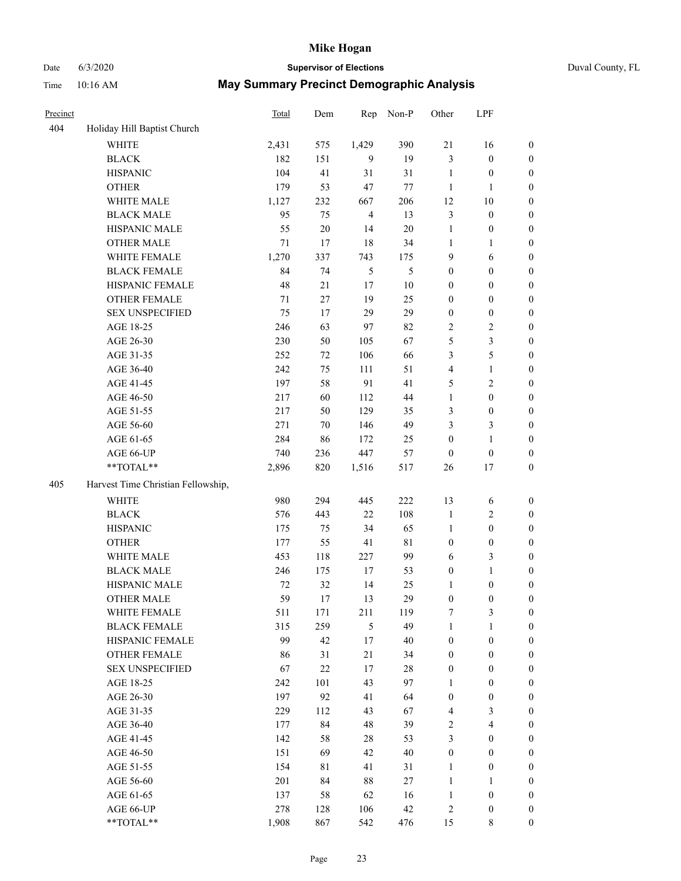### Date 6/3/2020 **Supervisor of Elections** Duval County, FL

| Precinct |                                    | Total  | Dem    | Rep            | Non-P       | Other            | LPF                     |                  |
|----------|------------------------------------|--------|--------|----------------|-------------|------------------|-------------------------|------------------|
| 404      | Holiday Hill Baptist Church        |        |        |                |             |                  |                         |                  |
|          | <b>WHITE</b>                       | 2,431  | 575    | 1,429          | 390         | 21               | 16                      | $\boldsymbol{0}$ |
|          | <b>BLACK</b>                       | 182    | 151    | 9              | 19          | 3                | $\boldsymbol{0}$        | $\boldsymbol{0}$ |
|          | <b>HISPANIC</b>                    | 104    | 41     | 31             | 31          | $\mathbf{1}$     | $\boldsymbol{0}$        | $\boldsymbol{0}$ |
|          | <b>OTHER</b>                       | 179    | 53     | 47             | $77 \,$     | $\mathbf{1}$     | 1                       | $\boldsymbol{0}$ |
|          | WHITE MALE                         | 1,127  | 232    | 667            | 206         | 12               | $10\,$                  | $\boldsymbol{0}$ |
|          | <b>BLACK MALE</b>                  | 95     | 75     | $\overline{4}$ | 13          | 3                | $\boldsymbol{0}$        | $\boldsymbol{0}$ |
|          | HISPANIC MALE                      | 55     | $20\,$ | 14             | $20\,$      | $\mathbf{1}$     | $\boldsymbol{0}$        | $\boldsymbol{0}$ |
|          | OTHER MALE                         | $71\,$ | 17     | 18             | 34          | $\mathbf{1}$     | $\mathbf{1}$            | $\boldsymbol{0}$ |
|          | WHITE FEMALE                       | 1,270  | 337    | 743            | 175         | $\mathbf{9}$     | 6                       | 0                |
|          | <b>BLACK FEMALE</b>                | 84     | 74     | 5              | 5           | $\boldsymbol{0}$ | $\boldsymbol{0}$        | 0                |
|          | HISPANIC FEMALE                    | 48     | 21     | 17             | $10\,$      | $\boldsymbol{0}$ | $\boldsymbol{0}$        | $\boldsymbol{0}$ |
|          | OTHER FEMALE                       | 71     | 27     | 19             | 25          | $\boldsymbol{0}$ | $\boldsymbol{0}$        | $\boldsymbol{0}$ |
|          | <b>SEX UNSPECIFIED</b>             | 75     | 17     | 29             | 29          | $\boldsymbol{0}$ | $\boldsymbol{0}$        | $\boldsymbol{0}$ |
|          | AGE 18-25                          | 246    | 63     | 97             | 82          | 2                | $\sqrt{2}$              | $\boldsymbol{0}$ |
|          | AGE 26-30                          | 230    | 50     | 105            | 67          | 5                | $\mathfrak{Z}$          | $\boldsymbol{0}$ |
|          | AGE 31-35                          | 252    | $72\,$ | 106            | 66          | 3                | 5                       | $\boldsymbol{0}$ |
|          | AGE 36-40                          | 242    | 75     | 111            | 51          | $\overline{4}$   | $\mathbf{1}$            | $\boldsymbol{0}$ |
|          | AGE 41-45                          | 197    | 58     | 91             | 41          | 5                | $\sqrt{2}$              | $\boldsymbol{0}$ |
|          | AGE 46-50                          | 217    | 60     | 112            | 44          | $\mathbf{1}$     | $\boldsymbol{0}$        | $\boldsymbol{0}$ |
|          | AGE 51-55                          | 217    | 50     | 129            | 35          | 3                | $\boldsymbol{0}$        | 0                |
|          | AGE 56-60                          | 271    | 70     | 146            | 49          | 3                | 3                       | $\boldsymbol{0}$ |
|          | AGE 61-65                          | 284    | 86     | 172            | 25          | $\boldsymbol{0}$ | $\mathbf{1}$            | $\boldsymbol{0}$ |
|          | AGE 66-UP                          | 740    | 236    | 447            | 57          | $\boldsymbol{0}$ | $\boldsymbol{0}$        | $\boldsymbol{0}$ |
|          | **TOTAL**                          | 2,896  | 820    | 1,516          | 517         | 26               | $17\,$                  | $\boldsymbol{0}$ |
| 405      | Harvest Time Christian Fellowship, |        |        |                |             |                  |                         |                  |
|          | <b>WHITE</b>                       | 980    | 294    | 445            | 222         | 13               | 6                       | $\boldsymbol{0}$ |
|          | <b>BLACK</b>                       | 576    | 443    | 22             | 108         | $\mathbf{1}$     | $\sqrt{2}$              | $\boldsymbol{0}$ |
|          | <b>HISPANIC</b>                    | 175    | 75     | 34             | 65          | $\mathbf{1}$     | $\boldsymbol{0}$        | $\boldsymbol{0}$ |
|          | <b>OTHER</b>                       | 177    | 55     | 41             | $8\sqrt{1}$ | $\boldsymbol{0}$ | $\boldsymbol{0}$        | $\boldsymbol{0}$ |
|          | WHITE MALE                         | 453    | 118    | 227            | 99          | 6                | $\mathfrak{Z}$          | $\boldsymbol{0}$ |
|          | <b>BLACK MALE</b>                  | 246    | 175    | 17             | 53          | $\boldsymbol{0}$ | $\mathbf{1}$            | $\boldsymbol{0}$ |
|          | HISPANIC MALE                      | 72     | 32     | 14             | 25          | 1                | $\boldsymbol{0}$        | 0                |
|          | OTHER MALE                         | 59     | 17     | 13             | 29          | $\boldsymbol{0}$ | $\boldsymbol{0}$        | $\boldsymbol{0}$ |
|          | WHITE FEMALE                       | 511    | 171    | 211            | 119         | 7                | 3                       | $\boldsymbol{0}$ |
|          | <b>BLACK FEMALE</b>                | 315    | 259    | 5              | 49          | $\mathbf{1}$     | $\mathbf{1}$            | $\overline{0}$   |
|          | HISPANIC FEMALE                    | 99     | 42     | 17             | $40\,$      | $\boldsymbol{0}$ | $\boldsymbol{0}$        | $\overline{0}$   |
|          | <b>OTHER FEMALE</b>                | 86     | 31     | 21             | 34          | $\boldsymbol{0}$ | $\boldsymbol{0}$        | 0                |
|          | <b>SEX UNSPECIFIED</b>             | 67     | $22\,$ | 17             | $28\,$      | $\boldsymbol{0}$ | $\boldsymbol{0}$        | $\overline{0}$   |
|          | AGE 18-25                          | 242    | 101    | 43             | 97          | $\mathbf{1}$     | $\boldsymbol{0}$        | 0                |
|          | AGE 26-30                          | 197    | 92     | 41             | 64          | $\boldsymbol{0}$ | $\boldsymbol{0}$        | 0                |
|          | AGE 31-35                          | 229    | 112    | 43             | 67          | 4                | $\mathfrak{Z}$          | 0                |
|          | AGE 36-40                          | 177    | 84     | 48             | 39          | 2                | $\overline{\mathbf{4}}$ | 0                |
|          | AGE 41-45                          | 142    | 58     | 28             | 53          | 3                | $\boldsymbol{0}$        | 0                |
|          | AGE 46-50                          | 151    | 69     | 42             | $40\,$      | $\boldsymbol{0}$ | $\boldsymbol{0}$        | $\overline{0}$   |
|          | AGE 51-55                          | 154    | 81     | 41             | 31          | $\mathbf{1}$     | $\boldsymbol{0}$        | $\boldsymbol{0}$ |
|          | AGE 56-60                          | 201    | 84     | 88             | 27          | $\mathbf{1}$     | $\mathbf{1}$            | $\overline{0}$   |
|          | AGE 61-65                          | 137    | 58     | 62             | 16          | $\mathbf{1}$     | $\boldsymbol{0}$        | 0                |
|          | AGE 66-UP                          | 278    | 128    | 106            | 42          | $\sqrt{2}$       | $\boldsymbol{0}$        | 0                |
|          | **TOTAL**                          | 1,908  | 867    | 542            | 476         | 15               | 8                       | $\boldsymbol{0}$ |
|          |                                    |        |        |                |             |                  |                         |                  |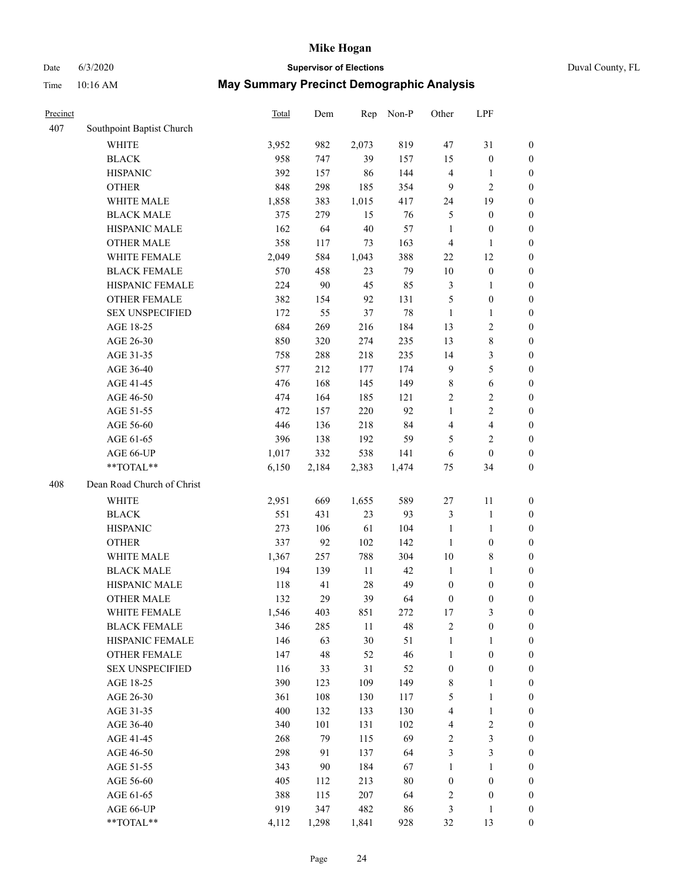### Date 6/3/2020 **Supervisor of Elections** Duval County, FL

| Precinct |                            | Total | Dem    | Rep    | Non-P  | Other            | LPF                     |                  |
|----------|----------------------------|-------|--------|--------|--------|------------------|-------------------------|------------------|
| 407      | Southpoint Baptist Church  |       |        |        |        |                  |                         |                  |
|          | <b>WHITE</b>               | 3,952 | 982    | 2,073  | 819    | 47               | 31                      | $\boldsymbol{0}$ |
|          | <b>BLACK</b>               | 958   | 747    | 39     | 157    | 15               | $\boldsymbol{0}$        | $\boldsymbol{0}$ |
|          | <b>HISPANIC</b>            | 392   | 157    | 86     | 144    | 4                | 1                       | $\boldsymbol{0}$ |
|          | <b>OTHER</b>               | 848   | 298    | 185    | 354    | 9                | $\mathbf{2}$            | $\boldsymbol{0}$ |
|          | WHITE MALE                 | 1,858 | 383    | 1,015  | 417    | 24               | 19                      | $\boldsymbol{0}$ |
|          | <b>BLACK MALE</b>          | 375   | 279    | 15     | 76     | 5                | $\boldsymbol{0}$        | $\boldsymbol{0}$ |
|          | HISPANIC MALE              | 162   | 64     | $40\,$ | 57     | $\mathbf{1}$     | $\boldsymbol{0}$        | $\boldsymbol{0}$ |
|          | <b>OTHER MALE</b>          | 358   | 117    | 73     | 163    | $\overline{4}$   | $\mathbf{1}$            | $\boldsymbol{0}$ |
|          | WHITE FEMALE               | 2,049 | 584    | 1,043  | 388    | 22               | 12                      | 0                |
|          | <b>BLACK FEMALE</b>        | 570   | 458    | 23     | 79     | 10               | $\boldsymbol{0}$        | 0                |
|          | HISPANIC FEMALE            | 224   | $90\,$ | 45     | 85     | 3                | $\mathbf{1}$            | $\boldsymbol{0}$ |
|          | OTHER FEMALE               | 382   | 154    | 92     | 131    | 5                | $\boldsymbol{0}$        | $\boldsymbol{0}$ |
|          | <b>SEX UNSPECIFIED</b>     | 172   | 55     | 37     | 78     | $\mathbf{1}$     | $\mathbf{1}$            | $\boldsymbol{0}$ |
|          | AGE 18-25                  | 684   | 269    | 216    | 184    | 13               | $\sqrt{2}$              | $\boldsymbol{0}$ |
|          | AGE 26-30                  | 850   | 320    | 274    | 235    | 13               | $\,8\,$                 | $\boldsymbol{0}$ |
|          | AGE 31-35                  | 758   | 288    | 218    | 235    | 14               | $\mathfrak{Z}$          | $\boldsymbol{0}$ |
|          | AGE 36-40                  | 577   | 212    | 177    | 174    | $\overline{9}$   | $\mathfrak s$           | $\boldsymbol{0}$ |
|          | AGE 41-45                  | 476   | 168    | 145    | 149    | $\,$ 8 $\,$      | $\sqrt{6}$              | $\boldsymbol{0}$ |
|          | AGE 46-50                  | 474   | 164    | 185    | 121    | $\overline{c}$   | $\sqrt{2}$              | $\boldsymbol{0}$ |
|          | AGE 51-55                  | 472   | 157    | 220    | 92     | $\mathbf{1}$     | $\sqrt{2}$              | 0                |
|          | AGE 56-60                  | 446   | 136    | 218    | 84     | 4                | $\overline{\mathbf{4}}$ | $\boldsymbol{0}$ |
|          | AGE 61-65                  | 396   | 138    | 192    | 59     | 5                | $\mathfrak{2}$          | $\boldsymbol{0}$ |
|          | AGE 66-UP                  | 1,017 | 332    | 538    | 141    | 6                | $\boldsymbol{0}$        | $\boldsymbol{0}$ |
|          | $**TOTAL**$                | 6,150 | 2,184  | 2,383  | 1,474  | 75               | 34                      | $\boldsymbol{0}$ |
| 408      | Dean Road Church of Christ |       |        |        |        |                  |                         |                  |
|          | <b>WHITE</b>               | 2,951 | 669    | 1,655  | 589    | $27\,$           | 11                      | $\boldsymbol{0}$ |
|          | <b>BLACK</b>               | 551   | 431    | 23     | 93     | 3                | $\mathbf{1}$            | $\boldsymbol{0}$ |
|          | <b>HISPANIC</b>            | 273   | 106    | 61     | 104    | $\mathbf{1}$     | $\mathbf{1}$            | $\boldsymbol{0}$ |
|          | <b>OTHER</b>               | 337   | 92     | 102    | 142    | $\mathbf{1}$     | $\boldsymbol{0}$        | $\boldsymbol{0}$ |
|          | WHITE MALE                 | 1,367 | 257    | 788    | 304    | 10               | $\,$ 8 $\,$             | 0                |
|          | <b>BLACK MALE</b>          | 194   | 139    | $11\,$ | 42     | $\mathbf{1}$     | $\mathbf{1}$            | $\boldsymbol{0}$ |
|          | HISPANIC MALE              | 118   | 41     | $28\,$ | 49     | $\boldsymbol{0}$ | $\boldsymbol{0}$        | 0                |
|          | <b>OTHER MALE</b>          | 132   | 29     | 39     | 64     | $\boldsymbol{0}$ | $\boldsymbol{0}$        | $\boldsymbol{0}$ |
|          | WHITE FEMALE               | 1,546 | 403    | 851    | 272    | $17\,$           | $\mathfrak{Z}$          | $\boldsymbol{0}$ |
|          | <b>BLACK FEMALE</b>        | 346   | 285    | $11\,$ | 48     | $\sqrt{2}$       | $\boldsymbol{0}$        | $\boldsymbol{0}$ |
|          | HISPANIC FEMALE            | 146   | 63     | 30     | 51     | $\mathbf{1}$     | $\mathbf{1}$            | $\overline{0}$   |
|          | <b>OTHER FEMALE</b>        | 147   | 48     | 52     | 46     | $\mathbf{1}$     | $\boldsymbol{0}$        | 0                |
|          | <b>SEX UNSPECIFIED</b>     | 116   | 33     | 31     | 52     | $\boldsymbol{0}$ | $\boldsymbol{0}$        | 0                |
|          | AGE 18-25                  | 390   | 123    | 109    | 149    | $\,$ 8 $\,$      | $\mathbf{1}$            | 0                |
|          | AGE 26-30                  | 361   | 108    | 130    | 117    | 5                | $\mathbf{1}$            | 0                |
|          | AGE 31-35                  | 400   | 132    | 133    | 130    | 4                | $\mathbf{1}$            | 0                |
|          | AGE 36-40                  | 340   | 101    | 131    | 102    | 4                | $\sqrt{2}$              | 0                |
|          | AGE 41-45                  | 268   | 79     | 115    | 69     | $\sqrt{2}$       | $\mathfrak{Z}$          | 0                |
|          | AGE 46-50                  | 298   | 91     | 137    | 64     | 3                | $\mathfrak{Z}$          | $\boldsymbol{0}$ |
|          | AGE 51-55                  | 343   | $90\,$ | 184    | 67     | $\mathbf{1}$     | $\mathbf{1}$            | $\boldsymbol{0}$ |
|          | AGE 56-60                  | 405   | 112    | 213    | $80\,$ | $\boldsymbol{0}$ | $\boldsymbol{0}$        | $\boldsymbol{0}$ |
|          | AGE 61-65                  | 388   | 115    | 207    | 64     | $\boldsymbol{2}$ | $\boldsymbol{0}$        | $\boldsymbol{0}$ |
|          | AGE 66-UP                  | 919   | 347    | 482    | 86     | $\mathfrak{Z}$   | $\mathbf{1}$            | $\boldsymbol{0}$ |
|          | **TOTAL**                  | 4,112 | 1,298  | 1,841  | 928    | 32               | 13                      | $\boldsymbol{0}$ |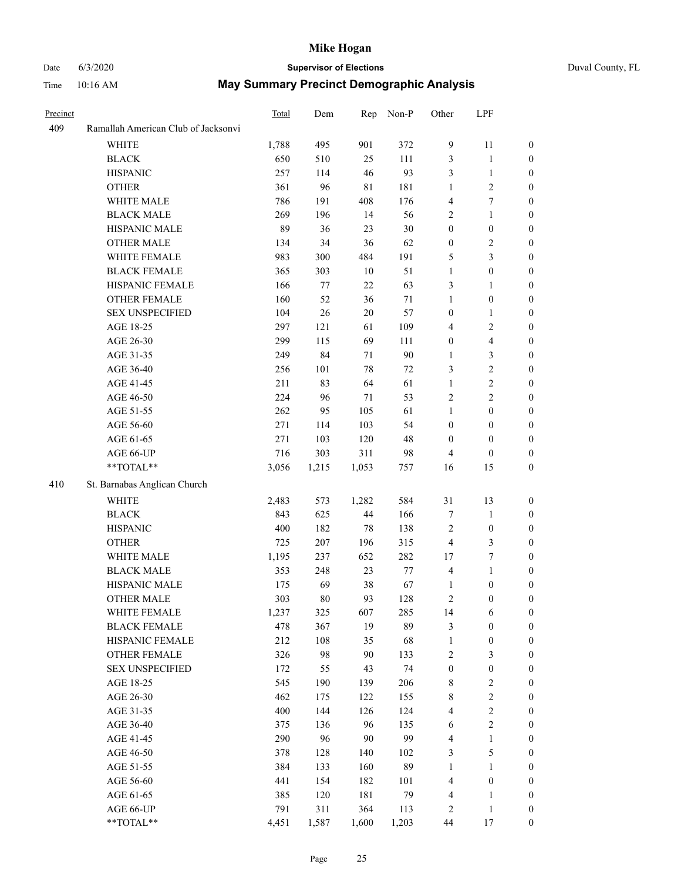## Date 6/3/2020 **Supervisor of Elections** Duval County, FL

| Precinct |                                     | <b>Total</b> | Dem   | Rep    | Non-P  | Other            | LPF              |                  |
|----------|-------------------------------------|--------------|-------|--------|--------|------------------|------------------|------------------|
| 409      | Ramallah American Club of Jacksonvi |              |       |        |        |                  |                  |                  |
|          | <b>WHITE</b>                        | 1,788        | 495   | 901    | 372    | 9                | 11               | 0                |
|          | <b>BLACK</b>                        | 650          | 510   | 25     | 111    | 3                | $\mathbf{1}$     | 0                |
|          | <b>HISPANIC</b>                     | 257          | 114   | 46     | 93     | 3                | $\mathbf{1}$     | 0                |
|          | <b>OTHER</b>                        | 361          | 96    | 81     | 181    | $\mathbf{1}$     | $\sqrt{2}$       | $\boldsymbol{0}$ |
|          | WHITE MALE                          | 786          | 191   | 408    | 176    | 4                | $\tau$           | $\boldsymbol{0}$ |
|          | <b>BLACK MALE</b>                   | 269          | 196   | 14     | 56     | 2                | $\mathbf{1}$     | $\boldsymbol{0}$ |
|          | HISPANIC MALE                       | 89           | 36    | 23     | $30\,$ | 0                | $\boldsymbol{0}$ | $\boldsymbol{0}$ |
|          | <b>OTHER MALE</b>                   | 134          | 34    | 36     | 62     | $\boldsymbol{0}$ | $\mathfrak{2}$   | $\boldsymbol{0}$ |
|          | WHITE FEMALE                        | 983          | 300   | 484    | 191    | 5                | 3                | $\boldsymbol{0}$ |
|          | <b>BLACK FEMALE</b>                 | 365          | 303   | 10     | 51     | $\mathbf{1}$     | $\boldsymbol{0}$ | 0                |
|          | HISPANIC FEMALE                     | 166          | 77    | 22     | 63     | 3                | 1                | 0                |
|          | <b>OTHER FEMALE</b>                 | 160          | 52    | 36     | $71\,$ | $\mathbf{1}$     | $\boldsymbol{0}$ | 0                |
|          | <b>SEX UNSPECIFIED</b>              | 104          | 26    | 20     | 57     | $\boldsymbol{0}$ | $\mathbf{1}$     | $\boldsymbol{0}$ |
|          | AGE 18-25                           | 297          | 121   | 61     | 109    | 4                | $\sqrt{2}$       | $\boldsymbol{0}$ |
|          | AGE 26-30                           | 299          | 115   | 69     | 111    | $\boldsymbol{0}$ | $\overline{4}$   | $\boldsymbol{0}$ |
|          | AGE 31-35                           | 249          | 84    | 71     | 90     | $\mathbf{1}$     | $\mathfrak{Z}$   | $\boldsymbol{0}$ |
|          | AGE 36-40                           | 256          | 101   | 78     | 72     | 3                | $\sqrt{2}$       | $\boldsymbol{0}$ |
|          | AGE 41-45                           | 211          | 83    | 64     | 61     | $\mathbf{1}$     | $\sqrt{2}$       | $\overline{0}$   |
|          | AGE 46-50                           | 224          | 96    | $71\,$ | 53     | $\overline{2}$   | $\overline{c}$   | $\boldsymbol{0}$ |
|          | AGE 51-55                           | 262          | 95    | 105    | 61     | $\mathbf{1}$     | $\boldsymbol{0}$ | 0                |
|          | AGE 56-60                           | 271          | 114   | 103    | 54     | $\boldsymbol{0}$ | $\boldsymbol{0}$ | 0                |
|          | AGE 61-65                           | 271          | 103   | 120    | 48     | $\boldsymbol{0}$ | $\boldsymbol{0}$ | 0                |
|          | AGE 66-UP                           | 716          | 303   | 311    | 98     | 4                | $\boldsymbol{0}$ | $\boldsymbol{0}$ |
|          | $**TOTAL**$                         | 3,056        | 1,215 | 1,053  | 757    | 16               | 15               | $\boldsymbol{0}$ |
| 410      | St. Barnabas Anglican Church        |              |       |        |        |                  |                  |                  |
|          | <b>WHITE</b>                        | 2,483        | 573   | 1,282  | 584    | 31               | 13               | $\boldsymbol{0}$ |
|          | <b>BLACK</b>                        | 843          | 625   | 44     | 166    | 7                | $\mathbf{1}$     | $\boldsymbol{0}$ |
|          | <b>HISPANIC</b>                     | 400          | 182   | 78     | 138    | 2                | $\boldsymbol{0}$ | $\boldsymbol{0}$ |
|          | <b>OTHER</b>                        | 725          | 207   | 196    | 315    | 4                | $\mathfrak{Z}$   | $\boldsymbol{0}$ |
|          | WHITE MALE                          | 1,195        | 237   | 652    | 282    | 17               | $\tau$           | $\overline{0}$   |
|          | <b>BLACK MALE</b>                   | 353          | 248   | 23     | $77\,$ | 4                | $\mathbf{1}$     | $\boldsymbol{0}$ |
|          | HISPANIC MALE                       | 175          | 69    | 38     | 67     | 1                | $\boldsymbol{0}$ | 0                |
|          | <b>OTHER MALE</b>                   | 303          | 80    | 93     | 128    | 2                | $\boldsymbol{0}$ | 0                |
|          | WHITE FEMALE                        | 1,237        | 325   | 607    | 285    | 14               | 6                | 0                |
|          | <b>BLACK FEMALE</b>                 | 478          | 367   | 19     | 89     | 3                | $\boldsymbol{0}$ | $\boldsymbol{0}$ |
|          | HISPANIC FEMALE                     | 212          | 108   | 35     | 68     | $\mathbf{1}$     | $\boldsymbol{0}$ | $\overline{0}$   |
|          | <b>OTHER FEMALE</b>                 | 326          | 98    | 90     | 133    | 2                | $\mathfrak{Z}$   | 0                |
|          | <b>SEX UNSPECIFIED</b>              | 172          | 55    | 43     | 74     | $\boldsymbol{0}$ | $\boldsymbol{0}$ | 0                |
|          | AGE 18-25                           | 545          | 190   | 139    | 206    | 8                | $\sqrt{2}$       | 0                |
|          | AGE 26-30                           | 462          | 175   | 122    | 155    | 8                | $\sqrt{2}$       | 0                |
|          | AGE 31-35                           | 400          | 144   | 126    | 124    | 4                | $\sqrt{2}$       | 0                |
|          | AGE 36-40                           | 375          | 136   | 96     | 135    | 6                | $\sqrt{2}$       | 0                |
|          | AGE 41-45                           | 290          | 96    | $90\,$ | 99     | 4                | $\mathbf{1}$     | 0                |
|          | AGE 46-50                           | 378          | 128   | 140    | 102    | 3                | $\mathfrak s$    | 0                |
|          | AGE 51-55                           | 384          | 133   | 160    | 89     | $\mathbf{1}$     | $\mathbf{1}$     | 0                |
|          | AGE 56-60                           | 441          | 154   | 182    | 101    | 4                | $\boldsymbol{0}$ | 0                |
|          | AGE 61-65                           | 385          | 120   | 181    | 79     | 4                | 1                | 0                |
|          | AGE 66-UP                           | 791          | 311   | 364    | 113    | 2                | $\,1$            | 0                |
|          | **TOTAL**                           | 4,451        | 1,587 | 1,600  | 1,203  | 44               | 17               | $\boldsymbol{0}$ |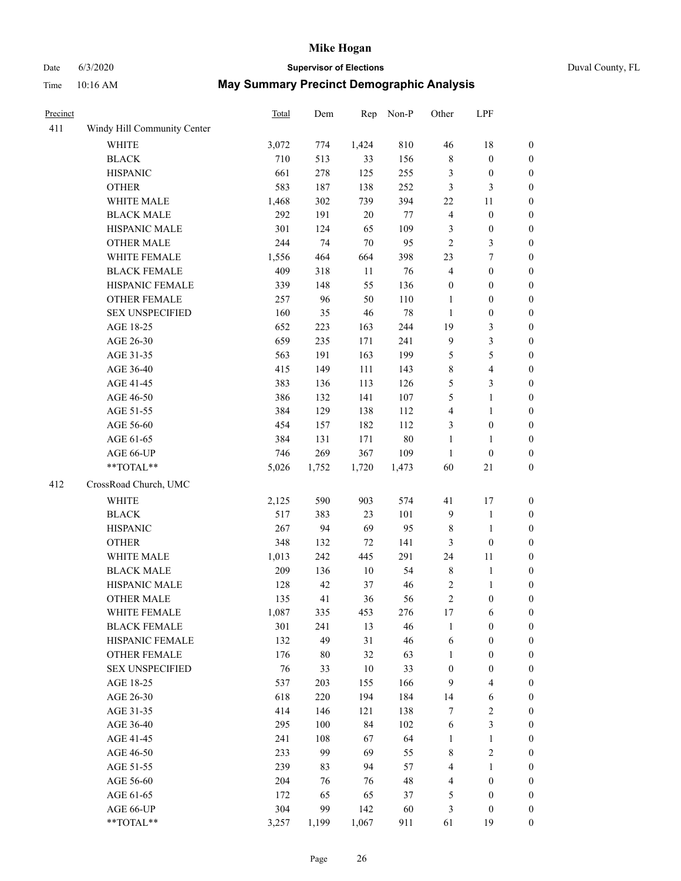# Date 6/3/2020 **Supervisor of Elections** Duval County, FL

| Precinct |                             | Total | Dem   | Rep    | Non-P   | Other                   | LPF              |                  |
|----------|-----------------------------|-------|-------|--------|---------|-------------------------|------------------|------------------|
| 411      | Windy Hill Community Center |       |       |        |         |                         |                  |                  |
|          | <b>WHITE</b>                | 3,072 | 774   | 1,424  | 810     | 46                      | 18               | 0                |
|          | <b>BLACK</b>                | 710   | 513   | 33     | 156     | $\,$ 8 $\,$             | $\boldsymbol{0}$ | 0                |
|          | <b>HISPANIC</b>             | 661   | 278   | 125    | 255     | 3                       | $\boldsymbol{0}$ | $\boldsymbol{0}$ |
|          | <b>OTHER</b>                | 583   | 187   | 138    | 252     | 3                       | $\mathfrak{Z}$   | $\boldsymbol{0}$ |
|          | WHITE MALE                  | 1,468 | 302   | 739    | 394     | 22                      | 11               | $\boldsymbol{0}$ |
|          | <b>BLACK MALE</b>           | 292   | 191   | 20     | $77 \,$ | $\overline{\mathbf{4}}$ | $\boldsymbol{0}$ | $\boldsymbol{0}$ |
|          | HISPANIC MALE               | 301   | 124   | 65     | 109     | 3                       | $\boldsymbol{0}$ | $\boldsymbol{0}$ |
|          | <b>OTHER MALE</b>           | 244   | 74    | $70\,$ | 95      | $\overline{c}$          | 3                | $\boldsymbol{0}$ |
|          | WHITE FEMALE                | 1,556 | 464   | 664    | 398     | 23                      | $\boldsymbol{7}$ | $\boldsymbol{0}$ |
|          | <b>BLACK FEMALE</b>         | 409   | 318   | 11     | 76      | 4                       | $\boldsymbol{0}$ | $\boldsymbol{0}$ |
|          | HISPANIC FEMALE             | 339   | 148   | 55     | 136     | $\boldsymbol{0}$        | $\boldsymbol{0}$ | $\boldsymbol{0}$ |
|          | OTHER FEMALE                | 257   | 96    | 50     | 110     | $\mathbf{1}$            | $\boldsymbol{0}$ | $\boldsymbol{0}$ |
|          | <b>SEX UNSPECIFIED</b>      | 160   | 35    | 46     | 78      | $\mathbf{1}$            | $\boldsymbol{0}$ | $\boldsymbol{0}$ |
|          | AGE 18-25                   | 652   | 223   | 163    | 244     | 19                      | $\mathfrak{Z}$   | $\boldsymbol{0}$ |
|          | AGE 26-30                   | 659   | 235   | 171    | 241     | 9                       | $\mathfrak{Z}$   | $\boldsymbol{0}$ |
|          | AGE 31-35                   | 563   | 191   | 163    | 199     | 5                       | 5                | $\boldsymbol{0}$ |
|          | AGE 36-40                   | 415   | 149   | 111    | 143     | 8                       | $\overline{4}$   | $\boldsymbol{0}$ |
|          | AGE 41-45                   | 383   | 136   | 113    | 126     | 5                       | 3                | $\boldsymbol{0}$ |
|          | AGE 46-50                   | 386   | 132   | 141    | 107     | 5                       | $\mathbf{1}$     | $\boldsymbol{0}$ |
|          | AGE 51-55                   | 384   | 129   | 138    | 112     | 4                       | $\mathbf{1}$     | $\boldsymbol{0}$ |
|          | AGE 56-60                   | 454   | 157   | 182    | 112     | 3                       | $\boldsymbol{0}$ | 0                |
|          | AGE 61-65                   | 384   | 131   | 171    | 80      | $\mathbf{1}$            | 1                | $\boldsymbol{0}$ |
|          | AGE 66-UP                   | 746   | 269   | 367    | 109     | $\mathbf{1}$            | $\boldsymbol{0}$ | $\boldsymbol{0}$ |
|          | $**TOTAL**$                 | 5,026 | 1,752 | 1,720  | 1,473   | 60                      | $21\,$           | $\boldsymbol{0}$ |
| 412      | CrossRoad Church, UMC       |       |       |        |         |                         |                  |                  |
|          | <b>WHITE</b>                | 2,125 | 590   | 903    | 574     | 41                      | 17               | $\boldsymbol{0}$ |
|          | <b>BLACK</b>                | 517   | 383   | 23     | 101     | 9                       | $\mathbf{1}$     | $\boldsymbol{0}$ |
|          | <b>HISPANIC</b>             | 267   | 94    | 69     | 95      | 8                       | $\mathbf{1}$     | $\boldsymbol{0}$ |
|          | <b>OTHER</b>                | 348   | 132   | 72     | 141     | 3                       | $\boldsymbol{0}$ | $\boldsymbol{0}$ |
|          | WHITE MALE                  | 1,013 | 242   | 445    | 291     | 24                      | 11               | $\boldsymbol{0}$ |
|          | <b>BLACK MALE</b>           | 209   | 136   | $10\,$ | 54      | $\,$ $\,$               | $\mathbf{1}$     | $\boldsymbol{0}$ |
|          | HISPANIC MALE               | 128   | 42    | 37     | 46      | 2                       | 1                | 0                |
|          | <b>OTHER MALE</b>           | 135   | 41    | 36     | 56      | $\overline{c}$          | $\boldsymbol{0}$ | $\boldsymbol{0}$ |
|          | WHITE FEMALE                | 1,087 | 335   | 453    | 276     | 17                      | 6                | 0                |
|          | <b>BLACK FEMALE</b>         | 301   | 241   | 13     | 46      | 1                       | $\boldsymbol{0}$ | $\boldsymbol{0}$ |
|          | HISPANIC FEMALE             | 132   | 49    | 31     | 46      | 6                       | $\boldsymbol{0}$ | $\overline{0}$   |
|          | OTHER FEMALE                | 176   | 80    | 32     | 63      | 1                       | $\boldsymbol{0}$ | $\overline{0}$   |
|          | <b>SEX UNSPECIFIED</b>      | 76    | 33    | 10     | 33      | $\boldsymbol{0}$        | $\boldsymbol{0}$ | 0                |
|          | AGE 18-25                   | 537   | 203   | 155    | 166     | 9                       | $\overline{4}$   | 0                |
|          | AGE 26-30                   | 618   | 220   | 194    | 184     | 14                      | 6                | 0                |
|          | AGE 31-35                   | 414   | 146   | 121    | 138     | 7                       | $\sqrt{2}$       | 0                |
|          | AGE 36-40                   | 295   | 100   | 84     | 102     | 6                       | $\mathfrak{Z}$   | 0                |
|          | AGE 41-45                   | 241   | 108   | 67     | 64      | 1                       | $\mathbf{1}$     | 0                |
|          | AGE 46-50                   | 233   | 99    | 69     | 55      | 8                       | $\sqrt{2}$       | 0                |
|          | AGE 51-55                   | 239   | 83    | 94     | 57      | 4                       | $\mathbf{1}$     | 0                |
|          | AGE 56-60                   | 204   | 76    | 76     | 48      | 4                       | $\boldsymbol{0}$ | $\overline{0}$   |
|          | AGE 61-65                   | 172   | 65    | 65     | 37      | 5                       | $\boldsymbol{0}$ | $\overline{0}$   |
|          | AGE 66-UP                   | 304   | 99    | 142    | 60      | 3                       | $\boldsymbol{0}$ | 0                |
|          | **TOTAL**                   | 3,257 | 1,199 | 1,067  | 911     | 61                      | 19               | $\boldsymbol{0}$ |
|          |                             |       |       |        |         |                         |                  |                  |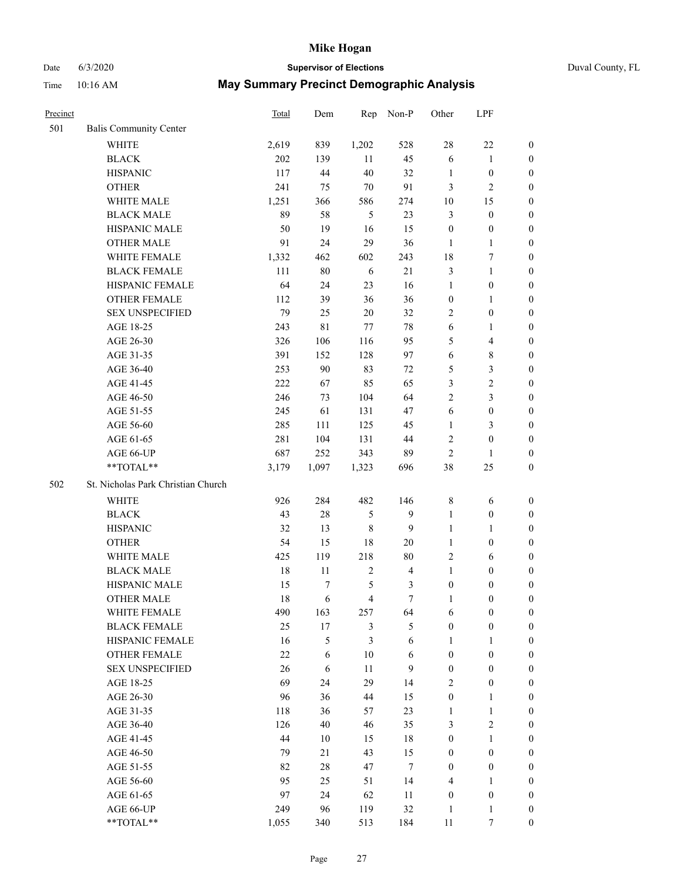# Date 6/3/2020 **Supervisor of Elections**

|  | Duval County, FL |  |
|--|------------------|--|
|--|------------------|--|

| Precinct |                                    | Total | Dem    | Rep            | Non-P                   | Other            | LPF                     |                  |
|----------|------------------------------------|-------|--------|----------------|-------------------------|------------------|-------------------------|------------------|
| 501      | <b>Balis Community Center</b>      |       |        |                |                         |                  |                         |                  |
|          | <b>WHITE</b>                       | 2,619 | 839    | 1,202          | 528                     | 28               | 22                      | $\boldsymbol{0}$ |
|          | <b>BLACK</b>                       | 202   | 139    | 11             | 45                      | $\sqrt{6}$       | $\mathbf{1}$            | $\boldsymbol{0}$ |
|          | <b>HISPANIC</b>                    | 117   | 44     | 40             | 32                      | 1                | $\boldsymbol{0}$        | $\boldsymbol{0}$ |
|          | <b>OTHER</b>                       | 241   | 75     | $70\,$         | 91                      | 3                | $\mathbf{2}$            | $\boldsymbol{0}$ |
|          | WHITE MALE                         | 1,251 | 366    | 586            | 274                     | 10               | 15                      | $\boldsymbol{0}$ |
|          | <b>BLACK MALE</b>                  | 89    | 58     | 5              | 23                      | 3                | $\boldsymbol{0}$        | $\boldsymbol{0}$ |
|          | HISPANIC MALE                      | 50    | 19     | 16             | 15                      | $\boldsymbol{0}$ | $\boldsymbol{0}$        | $\boldsymbol{0}$ |
|          | <b>OTHER MALE</b>                  | 91    | 24     | 29             | 36                      | $\mathbf{1}$     | $\mathbf{1}$            | $\boldsymbol{0}$ |
|          | WHITE FEMALE                       | 1,332 | 462    | 602            | 243                     | 18               | 7                       | $\boldsymbol{0}$ |
|          | <b>BLACK FEMALE</b>                | 111   | $80\,$ | 6              | 21                      | 3                | $\mathbf{1}$            | 0                |
|          | HISPANIC FEMALE                    | 64    | 24     | 23             | 16                      | $\mathbf{1}$     | $\boldsymbol{0}$        | $\boldsymbol{0}$ |
|          | OTHER FEMALE                       | 112   | 39     | 36             | 36                      | $\boldsymbol{0}$ | $\mathbf{1}$            | $\boldsymbol{0}$ |
|          | <b>SEX UNSPECIFIED</b>             | 79    | 25     | $20\,$         | 32                      | 2                | $\boldsymbol{0}$        | $\boldsymbol{0}$ |
|          | AGE 18-25                          | 243   | 81     | 77             | $78\,$                  | 6                | $\mathbf{1}$            | $\boldsymbol{0}$ |
|          | AGE 26-30                          | 326   | 106    | 116            | 95                      | 5                | $\overline{\mathbf{4}}$ | $\boldsymbol{0}$ |
|          | AGE 31-35                          | 391   | 152    | 128            | 97                      | 6                | $8\,$                   | $\boldsymbol{0}$ |
|          | AGE 36-40                          | 253   | 90     | 83             | $72\,$                  | 5                | $\mathfrak{Z}$          | $\boldsymbol{0}$ |
|          | AGE 41-45                          | 222   | 67     | 85             | 65                      | 3                | $\sqrt{2}$              | $\boldsymbol{0}$ |
|          | AGE 46-50                          | 246   | 73     | 104            | 64                      | $\overline{2}$   | $\mathfrak{Z}$          | $\boldsymbol{0}$ |
|          | AGE 51-55                          | 245   | 61     | 131            | 47                      | 6                | $\boldsymbol{0}$        | 0                |
|          | AGE 56-60                          | 285   | 111    | 125            | 45                      | $\mathbf{1}$     | 3                       | $\boldsymbol{0}$ |
|          | AGE 61-65                          | 281   | 104    | 131            | 44                      | $\sqrt{2}$       | $\boldsymbol{0}$        | $\boldsymbol{0}$ |
|          | AGE 66-UP                          | 687   | 252    | 343            | 89                      | $\mathbf{2}$     | $\mathbf{1}$            | $\boldsymbol{0}$ |
|          | **TOTAL**                          | 3,179 | 1,097  | 1,323          | 696                     | 38               | 25                      | $\boldsymbol{0}$ |
| 502      | St. Nicholas Park Christian Church |       |        |                |                         |                  |                         |                  |
|          | WHITE                              | 926   | 284    | 482            | 146                     | $\,$ 8 $\,$      | 6                       | $\boldsymbol{0}$ |
|          | <b>BLACK</b>                       | 43    | $28\,$ | $\mathfrak{S}$ | $\mathbf{9}$            | $\mathbf{1}$     | $\boldsymbol{0}$        | $\boldsymbol{0}$ |
|          | <b>HISPANIC</b>                    | 32    | 13     | $\,8\,$        | 9                       | $\mathbf{1}$     | $\mathbf{1}$            | $\boldsymbol{0}$ |
|          | <b>OTHER</b>                       | 54    | 15     | 18             | $20\,$                  | $\mathbf{1}$     | $\boldsymbol{0}$        | $\boldsymbol{0}$ |
|          | WHITE MALE                         | 425   | 119    | 218            | $80\,$                  | 2                | 6                       | $\boldsymbol{0}$ |
|          | <b>BLACK MALE</b>                  | 18    | 11     | $\sqrt{2}$     | $\overline{\mathbf{4}}$ | $\mathbf{1}$     | $\boldsymbol{0}$        | $\boldsymbol{0}$ |
|          | HISPANIC MALE                      | 15    | $\tau$ | $\mathfrak{S}$ | 3                       | $\boldsymbol{0}$ | $\boldsymbol{0}$        | 0                |
|          | <b>OTHER MALE</b>                  | 18    | 6      | $\overline{4}$ | $\tau$                  | $\mathbf{1}$     | $\boldsymbol{0}$        | $\boldsymbol{0}$ |
|          | WHITE FEMALE                       | 490   | 163    | 257            | 64                      | 6                | $\boldsymbol{0}$        | $\overline{0}$   |
|          | <b>BLACK FEMALE</b>                | 25    | 17     | 3              | 5                       | $\boldsymbol{0}$ | $\boldsymbol{0}$        | $\overline{0}$   |
|          | HISPANIC FEMALE                    | 16    | 5      | $\mathfrak{Z}$ | 6                       | 1                | $\mathbf{1}$            | $\overline{0}$   |
|          | <b>OTHER FEMALE</b>                | 22    | 6      | 10             | 6                       | $\boldsymbol{0}$ | $\boldsymbol{0}$        | 0                |
|          | <b>SEX UNSPECIFIED</b>             | 26    | 6      | 11             | $\mathbf{9}$            | $\boldsymbol{0}$ | $\boldsymbol{0}$        | 0                |
|          | AGE 18-25                          | 69    | 24     | 29             | 14                      | 2                | $\boldsymbol{0}$        | 0                |
|          | AGE 26-30                          | 96    | 36     | 44             | 15                      | $\boldsymbol{0}$ | $\mathbf{1}$            | 0                |
|          | AGE 31-35                          | 118   | 36     | 57             | 23                      | $\mathbf{1}$     | $\mathbf{1}$            | 0                |
|          | AGE 36-40                          | 126   | 40     | 46             | 35                      | 3                | $\mathfrak{2}$          | 0                |
|          | AGE 41-45                          | 44    | 10     | 15             | 18                      | $\boldsymbol{0}$ | $\mathbf{1}$            | 0                |
|          | AGE 46-50                          | 79    | 21     | 43             | 15                      | $\boldsymbol{0}$ | $\boldsymbol{0}$        | 0                |
|          | AGE 51-55                          | 82    | $28\,$ | 47             | $\tau$                  | $\boldsymbol{0}$ | $\boldsymbol{0}$        | $\overline{0}$   |
|          | AGE 56-60                          | 95    | 25     | 51             | 14                      | 4                | 1                       | $\overline{0}$   |
|          | AGE 61-65                          | 97    | 24     | 62             | 11                      | $\boldsymbol{0}$ | $\boldsymbol{0}$        | 0                |
|          | AGE 66-UP                          | 249   | 96     | 119            | $32\,$                  | $\mathbf{1}$     | $\mathbf{1}$            | 0                |
|          | **TOTAL**                          | 1,055 | 340    | 513            | 184                     | 11               | $\tau$                  | $\overline{0}$   |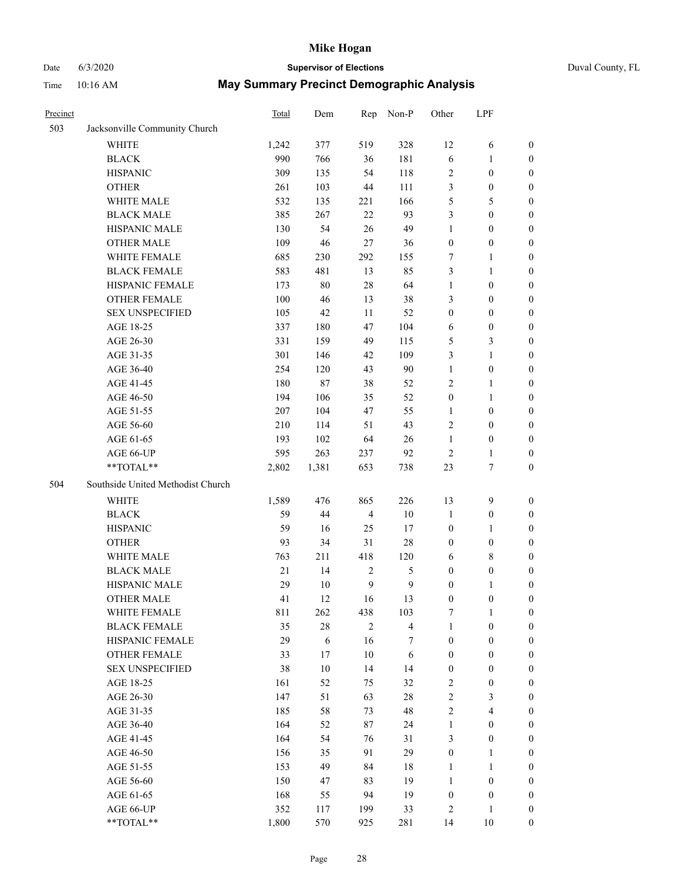# Date 6/3/2020 **Supervisor of Elections**

|  | Duval County, FL |  |
|--|------------------|--|
|--|------------------|--|

| Precinct |                                   | <b>Total</b> | Dem        | Rep              | Non-P          | Other            | LPF              |                  |
|----------|-----------------------------------|--------------|------------|------------------|----------------|------------------|------------------|------------------|
| 503      | Jacksonville Community Church     |              |            |                  |                |                  |                  |                  |
|          | <b>WHITE</b>                      | 1,242        | 377        | 519              | 328            | 12               | 6                | 0                |
|          | <b>BLACK</b>                      | 990          | 766        | 36               | 181            | 6                | $\mathbf{1}$     | 0                |
|          | <b>HISPANIC</b>                   | 309          | 135        | 54               | 118            | 2                | $\boldsymbol{0}$ | $\boldsymbol{0}$ |
|          | <b>OTHER</b>                      | 261          | 103        | 44               | 111            | 3                | $\boldsymbol{0}$ | $\boldsymbol{0}$ |
|          | WHITE MALE                        | 532          | 135        | 221              | 166            | 5                | 5                | $\boldsymbol{0}$ |
|          | <b>BLACK MALE</b>                 | 385          | 267        | 22               | 93             | 3                | $\boldsymbol{0}$ | $\boldsymbol{0}$ |
|          | HISPANIC MALE                     | 130          | 54         | 26               | 49             | $\mathbf{1}$     | $\boldsymbol{0}$ | $\boldsymbol{0}$ |
|          | <b>OTHER MALE</b>                 | 109          | 46         | $27\,$           | 36             | $\boldsymbol{0}$ | $\boldsymbol{0}$ | $\boldsymbol{0}$ |
|          | WHITE FEMALE                      | 685          | 230        | 292              | 155            | 7                | 1                | $\boldsymbol{0}$ |
|          | <b>BLACK FEMALE</b>               | 583          | 481        | 13               | 85             | 3                | $\mathbf{1}$     | 0                |
|          | HISPANIC FEMALE                   | 173          | $80\,$     | 28               | 64             | $\mathbf{1}$     | $\boldsymbol{0}$ | 0                |
|          | <b>OTHER FEMALE</b>               | 100          | 46         | 13               | 38             | 3                | $\boldsymbol{0}$ | $\boldsymbol{0}$ |
|          | <b>SEX UNSPECIFIED</b>            | 105          | 42         | $11\,$           | 52             | $\boldsymbol{0}$ | $\boldsymbol{0}$ | $\boldsymbol{0}$ |
|          | AGE 18-25                         | 337          | 180        | 47               | 104            | 6                | $\boldsymbol{0}$ | $\boldsymbol{0}$ |
|          | AGE 26-30                         | 331          | 159        | 49               | 115            | 5                | $\mathfrak{Z}$   | $\boldsymbol{0}$ |
|          | AGE 31-35                         | 301          | 146        | 42               | 109            | 3                | $\mathbf{1}$     | $\boldsymbol{0}$ |
|          | AGE 36-40                         | 254          | 120        | 43               | 90             | $\mathbf{1}$     | $\boldsymbol{0}$ | $\boldsymbol{0}$ |
|          | AGE 41-45                         | 180          | $87\,$     | 38               | 52             | 2                | $\mathbf{1}$     | $\boldsymbol{0}$ |
|          | AGE 46-50                         | 194          | 106        | 35               | 52             | $\boldsymbol{0}$ | $\mathbf{1}$     | $\boldsymbol{0}$ |
|          | AGE 51-55                         | 207          | 104        | 47               | 55             | 1                | $\boldsymbol{0}$ | 0                |
|          | AGE 56-60                         | 210          | 114        | 51               | 43             | 2                | $\boldsymbol{0}$ | 0                |
|          | AGE 61-65                         | 193          | 102        | 64               | 26             | $\mathbf{1}$     | $\boldsymbol{0}$ | 0                |
|          | AGE 66-UP                         | 595          | 263        | 237              | 92             | $\sqrt{2}$       | $\mathbf{1}$     | $\boldsymbol{0}$ |
|          | **TOTAL**                         | 2,802        | 1,381      | 653              | 738            | 23               | $\boldsymbol{7}$ | $\boldsymbol{0}$ |
| 504      | Southside United Methodist Church |              |            |                  |                |                  |                  |                  |
|          | <b>WHITE</b>                      | 1,589        | 476        | 865              | 226            | 13               | $\mathbf{9}$     | $\boldsymbol{0}$ |
|          | <b>BLACK</b>                      | 59           | 44         | $\overline{4}$   | $10\,$         | $\mathbf{1}$     | $\boldsymbol{0}$ | $\boldsymbol{0}$ |
|          | <b>HISPANIC</b>                   | 59           | 16         | 25               | 17             | $\boldsymbol{0}$ | $\mathbf{1}$     | $\boldsymbol{0}$ |
|          | <b>OTHER</b>                      | 93           | 34         | 31               | $28\,$         | $\boldsymbol{0}$ | $\boldsymbol{0}$ | $\boldsymbol{0}$ |
|          | WHITE MALE                        | 763          | 211        | 418              | 120            | 6                | $\,$ 8 $\,$      | $\overline{0}$   |
|          | <b>BLACK MALE</b>                 | 21           | 14         | $\sqrt{2}$       | $\mathfrak{S}$ | $\boldsymbol{0}$ | $\boldsymbol{0}$ | $\boldsymbol{0}$ |
|          | HISPANIC MALE                     | 29           | $10\,$     | $\boldsymbol{9}$ | $\mathbf{9}$   | $\boldsymbol{0}$ | 1                | 0                |
|          | <b>OTHER MALE</b>                 | 41           | 12         | 16               | 13             | $\boldsymbol{0}$ | $\boldsymbol{0}$ | $\boldsymbol{0}$ |
|          | WHITE FEMALE                      | 811          | 262        | 438              | 103            | 7                | 1                | 0                |
|          | <b>BLACK FEMALE</b>               | 35           | $28\,$     | $\mathfrak{2}$   | $\overline{4}$ | $\mathbf{1}$     | $\boldsymbol{0}$ | $\overline{0}$   |
|          | HISPANIC FEMALE                   | 29           | $\sqrt{6}$ | 16               | 7              | $\boldsymbol{0}$ | $\boldsymbol{0}$ | $\overline{0}$   |
|          | <b>OTHER FEMALE</b>               | 33           | 17         | $10\,$           | 6              | $\boldsymbol{0}$ | $\boldsymbol{0}$ | $\overline{0}$   |
|          | <b>SEX UNSPECIFIED</b>            | 38           | $10\,$     | 14               | 14             | $\boldsymbol{0}$ | $\boldsymbol{0}$ | 0                |
|          | AGE 18-25                         | 161          | 52         | 75               | 32             | 2                | $\boldsymbol{0}$ | 0                |
|          | AGE 26-30                         | 147          | 51         | 63               | $28\,$         | $\overline{c}$   | $\mathfrak{Z}$   | 0                |
|          | AGE 31-35                         | 185          | 58         | 73               | 48             | $\overline{2}$   | $\overline{4}$   | 0                |
|          | AGE 36-40                         | 164          | 52         | 87               | 24             | $\mathbf{1}$     | $\boldsymbol{0}$ | 0                |
|          | AGE 41-45                         | 164          | 54         | 76               | 31             | 3                | $\boldsymbol{0}$ | 0                |
|          | AGE 46-50                         | 156          | 35         | 91               | 29             | $\boldsymbol{0}$ | 1                | 0                |
|          | AGE 51-55                         | 153          | 49         | 84               | 18             | $\mathbf{1}$     | $\mathbf{1}$     | 0                |
|          | AGE 56-60                         | 150          | 47         | 83               | 19             | $\mathbf{1}$     | $\boldsymbol{0}$ | 0                |
|          | AGE 61-65                         | 168          | 55         | 94               | 19             | $\boldsymbol{0}$ | $\boldsymbol{0}$ | 0                |
|          | AGE 66-UP                         | 352          | 117        | 199              | 33             | 2                | $\mathbf{1}$     | 0                |
|          | **TOTAL**                         | 1,800        | 570        | 925              | 281            | 14               | 10               | $\boldsymbol{0}$ |
|          |                                   |              |            |                  |                |                  |                  |                  |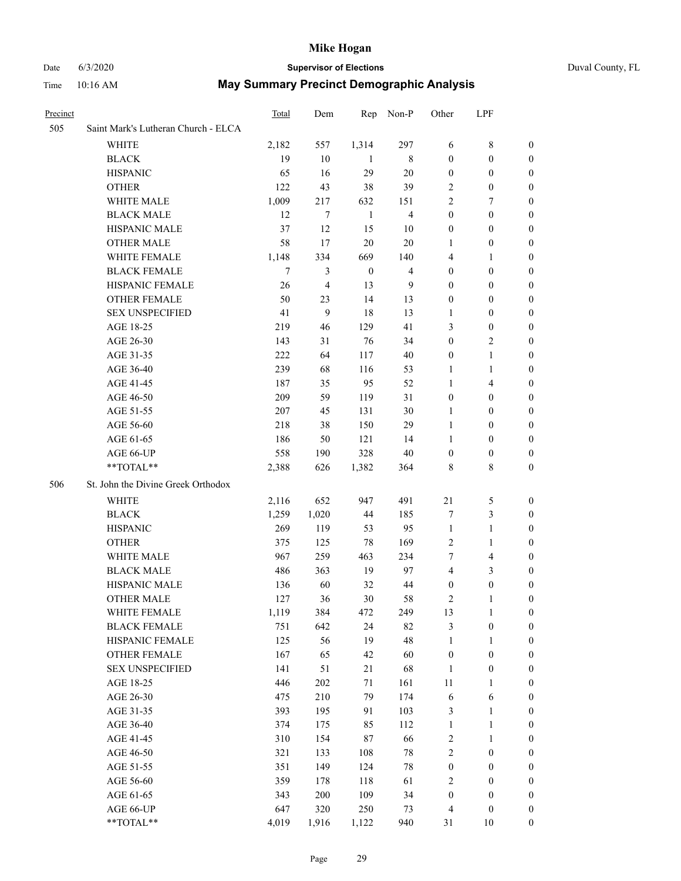#### Date 6/3/2020 **Supervisor of Elections** Duval County, FL

| Precinct |                                     | <b>Total</b> | Dem     | Rep              | Non-P          | Other            | LPF                     |                  |
|----------|-------------------------------------|--------------|---------|------------------|----------------|------------------|-------------------------|------------------|
| 505      | Saint Mark's Lutheran Church - ELCA |              |         |                  |                |                  |                         |                  |
|          | <b>WHITE</b>                        | 2,182        | 557     | 1,314            | 297            | 6                | $\,$ 8 $\,$             | $\boldsymbol{0}$ |
|          | <b>BLACK</b>                        | 19           | 10      | -1               | 8              | $\boldsymbol{0}$ | $\boldsymbol{0}$        | $\boldsymbol{0}$ |
|          | <b>HISPANIC</b>                     | 65           | 16      | 29               | 20             | $\boldsymbol{0}$ | $\boldsymbol{0}$        | $\boldsymbol{0}$ |
|          | <b>OTHER</b>                        | 122          | 43      | 38               | 39             | 2                | $\boldsymbol{0}$        | $\boldsymbol{0}$ |
|          | WHITE MALE                          | 1,009        | 217     | 632              | 151            | $\mathfrak{2}$   | 7                       | 0                |
|          | <b>BLACK MALE</b>                   | 12           | 7       | $\mathbf{1}$     | $\overline{4}$ | $\boldsymbol{0}$ | $\boldsymbol{0}$        | $\boldsymbol{0}$ |
|          | HISPANIC MALE                       | 37           | 12      | 15               | 10             | $\boldsymbol{0}$ | $\boldsymbol{0}$        | $\boldsymbol{0}$ |
|          | <b>OTHER MALE</b>                   | 58           | 17      | $20\,$           | 20             | 1                | $\boldsymbol{0}$        | 0                |
|          | WHITE FEMALE                        | 1,148        | 334     | 669              | 140            | 4                | $\mathbf{1}$            | 0                |
|          | <b>BLACK FEMALE</b>                 | 7            | 3       | $\boldsymbol{0}$ | $\overline{4}$ | $\boldsymbol{0}$ | $\boldsymbol{0}$        | 0                |
|          | HISPANIC FEMALE                     | 26           | 4       | 13               | 9              | $\boldsymbol{0}$ | $\boldsymbol{0}$        | 0                |
|          | OTHER FEMALE                        | 50           | 23      | 14               | 13             | $\boldsymbol{0}$ | $\boldsymbol{0}$        | 0                |
|          | <b>SEX UNSPECIFIED</b>              | 41           | 9       | 18               | 13             | 1                | $\boldsymbol{0}$        | $\boldsymbol{0}$ |
|          | AGE 18-25                           | 219          | 46      | 129              | 41             | 3                | $\boldsymbol{0}$        | $\boldsymbol{0}$ |
|          | AGE 26-30                           | 143          | 31      | 76               | 34             | $\boldsymbol{0}$ | $\sqrt{2}$              | 0                |
|          | AGE 31-35                           | 222          | 64      | 117              | 40             | $\boldsymbol{0}$ | $\mathbf{1}$            | $\boldsymbol{0}$ |
|          | AGE 36-40                           | 239          | 68      | 116              | 53             | $\mathbf{1}$     | $\mathbf{1}$            | $\boldsymbol{0}$ |
|          | AGE 41-45                           | 187          | 35      | 95               | 52             | $\mathbf{1}$     | $\overline{4}$          | 0                |
|          | AGE 46-50                           | 209          | 59      | 119              | 31             | $\boldsymbol{0}$ | $\boldsymbol{0}$        | 0                |
|          | AGE 51-55                           | 207          | 45      | 131              | 30             | 1                | $\boldsymbol{0}$        | 0                |
|          | AGE 56-60                           | 218          | 38      | 150              | 29             | $\mathbf{1}$     | $\boldsymbol{0}$        | 0                |
|          | AGE 61-65                           | 186          | 50      | 121              | 14             | 1                | $\boldsymbol{0}$        | 0                |
|          | AGE 66-UP                           | 558          | 190     | 328              | 40             | $\boldsymbol{0}$ | $\boldsymbol{0}$        | $\boldsymbol{0}$ |
|          | **TOTAL**                           | 2,388        | 626     | 1,382            | 364            | 8                | $\,8\,$                 | $\boldsymbol{0}$ |
| 506      | St. John the Divine Greek Orthodox  |              |         |                  |                |                  |                         |                  |
|          | WHITE                               | 2,116        | 652     | 947              | 491            | $21\,$           | 5                       | $\boldsymbol{0}$ |
|          | <b>BLACK</b>                        | 1,259        | 1,020   | 44               | 185            | 7                | $\mathfrak{Z}$          | $\boldsymbol{0}$ |
|          | <b>HISPANIC</b>                     | 269          | 119     | 53               | 95             | $\mathbf{1}$     | $\mathbf{1}$            | 0                |
|          | <b>OTHER</b>                        | 375          | 125     | $78\,$           | 169            | $\mathbf{2}$     | $\mathbf{1}$            | $\boldsymbol{0}$ |
|          | WHITE MALE                          | 967          | 259     | 463              | 234            | 7                | $\overline{\mathbf{4}}$ | 0                |
|          | <b>BLACK MALE</b>                   | 486          | 363     | 19               | 97             | $\overline{4}$   | 3                       | 0                |
|          | HISPANIC MALE                       | 136          | 60      | 32               | 44             | $\boldsymbol{0}$ | $\boldsymbol{0}$        | 0                |
|          | <b>OTHER MALE</b>                   | 127          | 36      | 30               | 58             | 2                | 1                       | 0                |
|          | WHITE FEMALE                        | 1,119        | 384     | 472              | 249            | 13               | $\mathbf{1}$            | $\boldsymbol{0}$ |
|          | <b>BLACK FEMALE</b>                 | 751          | 642     | 24               | 82             | 3                | $\boldsymbol{0}$        | $\boldsymbol{0}$ |
|          | HISPANIC FEMALE                     | 125          | 56      | 19               | 48             | $\mathbf{1}$     | $\mathbf{1}$            | $\overline{0}$   |
|          | <b>OTHER FEMALE</b>                 | 167          | 65      | 42               | 60             | $\boldsymbol{0}$ | $\boldsymbol{0}$        | $\overline{0}$   |
|          | <b>SEX UNSPECIFIED</b>              | 141          | 51      | 21               | 68             | $\mathbf{1}$     | $\boldsymbol{0}$        | $\overline{0}$   |
|          | AGE 18-25                           | 446          | $202\,$ | $71\,$           | 161            | $11\,$           | $\mathbf{1}$            | 0                |
|          | AGE 26-30                           | 475          | 210     | 79               | 174            | 6                | 6                       | 0                |
|          | AGE 31-35                           | 393          | 195     | 91               | 103            | 3                | $\mathbf{1}$            | 0                |
|          | AGE 36-40                           | 374          | 175     | 85               | 112            | $\mathbf{1}$     | $\mathbf{1}$            | 0                |
|          | AGE 41-45                           | 310          | 154     | $87\,$           | 66             | 2                | $\mathbf{1}$            | 0                |
|          | AGE 46-50                           | 321          | 133     | 108              | $78\,$         | $\sqrt{2}$       | $\boldsymbol{0}$        | 0                |
|          | AGE 51-55                           | 351          | 149     | 124              | $78\,$         | $\boldsymbol{0}$ | $\boldsymbol{0}$        | $\boldsymbol{0}$ |
|          | AGE 56-60                           | 359          | 178     | 118              | 61             | 2                | $\boldsymbol{0}$        | $\overline{0}$   |
|          | AGE 61-65                           | 343          | 200     | 109              | 34             | $\boldsymbol{0}$ | $\boldsymbol{0}$        | $\boldsymbol{0}$ |
|          | AGE 66-UP                           | 647          | 320     | 250              | 73             | 4                | $\boldsymbol{0}$        | $\boldsymbol{0}$ |
|          | **TOTAL**                           | 4,019        | 1,916   | 1,122            | 940            | 31               | 10                      | $\boldsymbol{0}$ |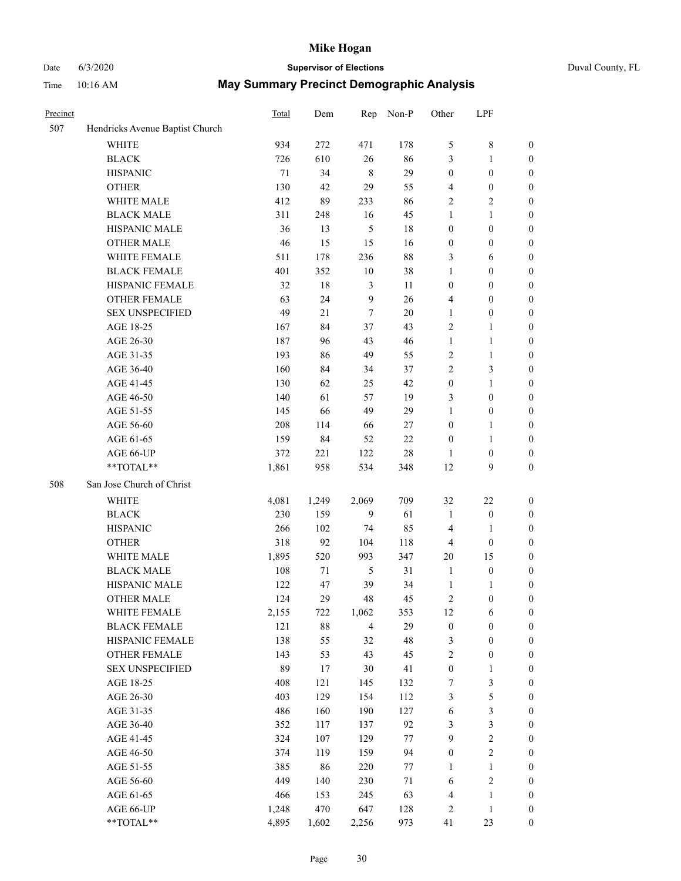## Date 6/3/2020 **Supervisor of Elections**

| Duval County, FL |  |  |  |
|------------------|--|--|--|
|------------------|--|--|--|

| Precinct |                                 | Total | Dem    | Rep            | Non-P  | Other            | LPF              |                  |
|----------|---------------------------------|-------|--------|----------------|--------|------------------|------------------|------------------|
| 507      | Hendricks Avenue Baptist Church |       |        |                |        |                  |                  |                  |
|          | <b>WHITE</b>                    | 934   | 272    | 471            | 178    | 5                | $8\,$            | 0                |
|          | <b>BLACK</b>                    | 726   | 610    | 26             | 86     | 3                | $\mathbf{1}$     | $\boldsymbol{0}$ |
|          | <b>HISPANIC</b>                 | 71    | 34     | $\,8\,$        | 29     | $\boldsymbol{0}$ | $\boldsymbol{0}$ | $\boldsymbol{0}$ |
|          | <b>OTHER</b>                    | 130   | 42     | 29             | 55     | 4                | $\boldsymbol{0}$ | $\boldsymbol{0}$ |
|          | WHITE MALE                      | 412   | 89     | 233            | 86     | 2                | $\sqrt{2}$       | $\boldsymbol{0}$ |
|          | <b>BLACK MALE</b>               | 311   | 248    | 16             | 45     | $\mathbf{1}$     | $\mathbf{1}$     | $\boldsymbol{0}$ |
|          | HISPANIC MALE                   | 36    | 13     | $\mathfrak{S}$ | 18     | $\boldsymbol{0}$ | $\boldsymbol{0}$ | $\boldsymbol{0}$ |
|          | <b>OTHER MALE</b>               | 46    | 15     | 15             | 16     | $\boldsymbol{0}$ | $\boldsymbol{0}$ | $\boldsymbol{0}$ |
|          | WHITE FEMALE                    | 511   | 178    | 236            | $88\,$ | 3                | 6                | $\boldsymbol{0}$ |
|          | <b>BLACK FEMALE</b>             | 401   | 352    | $10\,$         | 38     | $\mathbf{1}$     | $\boldsymbol{0}$ | $\boldsymbol{0}$ |
|          | HISPANIC FEMALE                 | 32    | $18\,$ | 3              | 11     | $\boldsymbol{0}$ | $\boldsymbol{0}$ | $\boldsymbol{0}$ |
|          | <b>OTHER FEMALE</b>             | 63    | 24     | 9              | 26     | 4                | $\boldsymbol{0}$ | $\boldsymbol{0}$ |
|          | <b>SEX UNSPECIFIED</b>          | 49    | 21     | $\tau$         | 20     | $\mathbf{1}$     | $\boldsymbol{0}$ | $\boldsymbol{0}$ |
|          | AGE 18-25                       | 167   | 84     | 37             | 43     | 2                | 1                | $\boldsymbol{0}$ |
|          | AGE 26-30                       | 187   | 96     | 43             | 46     | $\mathbf{1}$     | $\mathbf{1}$     | $\boldsymbol{0}$ |
|          | AGE 31-35                       | 193   | 86     | 49             | 55     | $\sqrt{2}$       | $\mathbf{1}$     | $\boldsymbol{0}$ |
|          | AGE 36-40                       | 160   | 84     | 34             | 37     | $\overline{c}$   | 3                | $\boldsymbol{0}$ |
|          | AGE 41-45                       | 130   | 62     | 25             | 42     | $\boldsymbol{0}$ | $\mathbf{1}$     | $\boldsymbol{0}$ |
|          | AGE 46-50                       | 140   | 61     | 57             | 19     | 3                | $\boldsymbol{0}$ | $\boldsymbol{0}$ |
|          | AGE 51-55                       | 145   | 66     | 49             | 29     | $\mathbf{1}$     | $\boldsymbol{0}$ | 0                |
|          | AGE 56-60                       | 208   | 114    | 66             | 27     | $\boldsymbol{0}$ | 1                | 0                |
|          | AGE 61-65                       | 159   | 84     | 52             | 22     | $\boldsymbol{0}$ | $\mathbf{1}$     | 0                |
|          | AGE 66-UP                       | 372   | 221    | 122            | $28\,$ | 1                | $\boldsymbol{0}$ | $\boldsymbol{0}$ |
|          | **TOTAL**                       | 1,861 | 958    | 534            | 348    | 12               | 9                | $\boldsymbol{0}$ |
| 508      | San Jose Church of Christ       |       |        |                |        |                  |                  |                  |
|          | <b>WHITE</b>                    | 4,081 | 1,249  | 2,069          | 709    | 32               | $22\,$           | $\boldsymbol{0}$ |
|          | <b>BLACK</b>                    | 230   | 159    | 9              | 61     | $\mathbf{1}$     | $\boldsymbol{0}$ | $\boldsymbol{0}$ |
|          | <b>HISPANIC</b>                 | 266   | 102    | 74             | 85     | 4                | $\mathbf{1}$     | $\boldsymbol{0}$ |
|          | <b>OTHER</b>                    | 318   | 92     | 104            | 118    | 4                | $\boldsymbol{0}$ | $\boldsymbol{0}$ |
|          | WHITE MALE                      | 1,895 | 520    | 993            | 347    | $20\,$           | 15               | $\boldsymbol{0}$ |
|          | <b>BLACK MALE</b>               | 108   | 71     | $\mathfrak s$  | 31     | $\mathbf{1}$     | $\boldsymbol{0}$ | $\boldsymbol{0}$ |
|          | HISPANIC MALE                   | 122   | 47     | 39             | 34     | $\mathbf{1}$     | 1                | 0                |
|          | OTHER MALE                      | 124   | 29     | 48             | 45     | 2                | $\boldsymbol{0}$ | $\boldsymbol{0}$ |
|          | WHITE FEMALE                    | 2,155 | 722    | 1,062          | 353    | 12               | 6                | 0                |
|          | <b>BLACK FEMALE</b>             | 121   | 88     | $\overline{4}$ | 29     | $\boldsymbol{0}$ | $\boldsymbol{0}$ | $\boldsymbol{0}$ |
|          | HISPANIC FEMALE                 | 138   | 55     | 32             | 48     | 3                | $\boldsymbol{0}$ | $\overline{0}$   |
|          | OTHER FEMALE                    | 143   | 53     | 43             | 45     | 2                | $\boldsymbol{0}$ | $\overline{0}$   |
|          | <b>SEX UNSPECIFIED</b>          | 89    | 17     | 30             | 41     | $\boldsymbol{0}$ | $\mathbf{1}$     | 0                |
|          | AGE 18-25                       | 408   | 121    | 145            | 132    | 7                | $\mathfrak{Z}$   | 0                |
|          | AGE 26-30                       | 403   | 129    | 154            | 112    | 3                | $\mathfrak s$    | 0                |
|          | AGE 31-35                       | 486   | 160    | 190            | 127    | 6                | $\mathfrak{Z}$   | 0                |
|          | AGE 36-40                       | 352   | 117    | 137            | 92     | 3                | $\mathfrak{Z}$   | 0                |
|          | AGE 41-45                       | 324   | 107    | 129            | 77     | $\boldsymbol{9}$ | $\sqrt{2}$       | 0                |
|          | AGE 46-50                       | 374   | 119    | 159            | 94     | $\boldsymbol{0}$ | $\sqrt{2}$       | 0                |
|          | AGE 51-55                       | 385   | 86     | 220            | 77     | 1                | $\mathbf{1}$     | 0                |
|          | AGE 56-60                       | 449   | 140    | 230            | 71     | 6                | $\sqrt{2}$       | $\boldsymbol{0}$ |
|          | AGE 61-65                       | 466   | 153    | 245            | 63     | 4                | $\mathbf{1}$     | $\boldsymbol{0}$ |
|          | AGE 66-UP                       | 1,248 | 470    | 647            | 128    | 2                | $\mathbf{1}$     | 0                |
|          | **TOTAL**                       | 4,895 | 1,602  | 2,256          | 973    | 41               | 23               | $\boldsymbol{0}$ |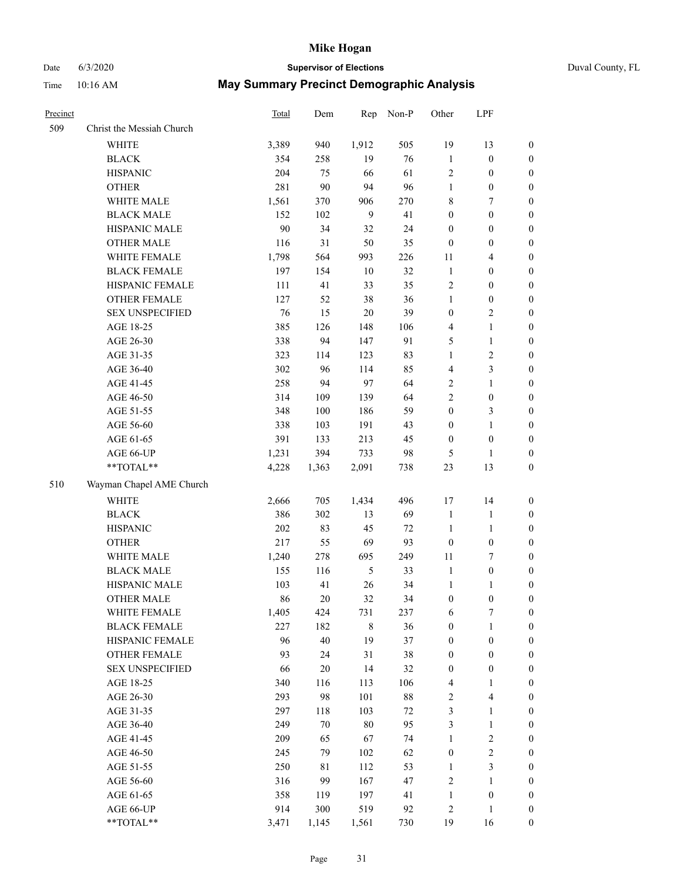# Date 6/3/2020 **Supervisor of Elections** Duval County, FL

| Precinct |                                               | <b>Total</b> | Dem       | Rep            | Non-P    | Other                                | LPF                              |                                      |
|----------|-----------------------------------------------|--------------|-----------|----------------|----------|--------------------------------------|----------------------------------|--------------------------------------|
| 509      | Christ the Messiah Church                     |              |           |                |          |                                      |                                  |                                      |
|          | <b>WHITE</b>                                  | 3,389        | 940       | 1,912          | 505      | 19                                   | 13                               | 0                                    |
|          | <b>BLACK</b>                                  | 354          | 258       | 19             | 76       | $\mathbf{1}$                         | $\boldsymbol{0}$                 | 0                                    |
|          | <b>HISPANIC</b>                               | 204          | 75        | 66             | 61       | $\sqrt{2}$                           | $\boldsymbol{0}$                 | $\boldsymbol{0}$                     |
|          | <b>OTHER</b>                                  | 281          | 90        | 94             | 96       | $\mathbf{1}$                         | $\boldsymbol{0}$                 | $\boldsymbol{0}$                     |
|          | WHITE MALE                                    | 1,561        | 370       | 906            | 270      | 8                                    | 7                                | $\boldsymbol{0}$                     |
|          | <b>BLACK MALE</b>                             | 152          | 102       | 9              | 41       | $\boldsymbol{0}$                     | $\boldsymbol{0}$                 | $\boldsymbol{0}$                     |
|          | HISPANIC MALE                                 | 90           | 34        | 32             | 24       | $\boldsymbol{0}$                     | $\boldsymbol{0}$                 | $\boldsymbol{0}$                     |
|          | <b>OTHER MALE</b>                             | 116          | 31        | 50             | 35       | $\boldsymbol{0}$                     | $\boldsymbol{0}$                 | $\boldsymbol{0}$                     |
|          | WHITE FEMALE                                  | 1,798        | 564       | 993            | 226      | 11                                   | $\overline{\mathbf{4}}$          | $\boldsymbol{0}$                     |
|          | <b>BLACK FEMALE</b>                           | 197          | 154       | $10\,$         | 32       | $\mathbf{1}$                         | $\boldsymbol{0}$                 | $\boldsymbol{0}$                     |
|          | HISPANIC FEMALE                               | 111          | 41        | 33             | 35       | $\sqrt{2}$                           | $\boldsymbol{0}$                 | 0                                    |
|          | OTHER FEMALE                                  | 127          | 52        | 38             | 36       | $\mathbf{1}$                         | $\boldsymbol{0}$                 | $\boldsymbol{0}$                     |
|          | <b>SEX UNSPECIFIED</b>                        | 76           | 15        | $20\,$         | 39       | $\boldsymbol{0}$                     | $\sqrt{2}$                       | $\boldsymbol{0}$                     |
|          | AGE 18-25                                     | 385          | 126       | 148            | 106      | 4                                    | $\mathbf{1}$                     | $\boldsymbol{0}$                     |
|          | AGE 26-30                                     | 338          | 94        | 147            | 91       | 5                                    | $\mathbf{1}$                     | $\boldsymbol{0}$                     |
|          | AGE 31-35                                     | 323          | 114       | 123            | 83       | $\mathbf{1}$                         | $\sqrt{2}$                       | $\boldsymbol{0}$                     |
|          | AGE 36-40                                     | 302          | 96        | 114            | 85       | 4                                    | 3                                | $\boldsymbol{0}$                     |
|          | AGE 41-45                                     | 258          | 94        | 97             | 64       | $\overline{c}$                       | $\mathbf{1}$                     | $\boldsymbol{0}$                     |
|          | AGE 46-50                                     | 314          | 109       | 139            | 64       | $\overline{2}$                       | $\boldsymbol{0}$                 | $\boldsymbol{0}$                     |
|          | AGE 51-55                                     | 348          | 100       | 186            | 59       | $\boldsymbol{0}$                     | $\mathfrak{Z}$                   | 0                                    |
|          | AGE 56-60                                     | 338          | 103       | 191            | 43       | $\boldsymbol{0}$                     | $\mathbf{1}$                     | 0                                    |
|          | AGE 61-65                                     | 391          | 133       | 213            | 45       | $\boldsymbol{0}$                     | $\boldsymbol{0}$                 | 0                                    |
|          | AGE 66-UP                                     | 1,231        | 394       | 733            | 98       | 5                                    | $\mathbf{1}$                     | $\boldsymbol{0}$                     |
|          | **TOTAL**                                     | 4,228        | 1,363     | 2,091          | 738      | 23                                   | 13                               | $\boldsymbol{0}$                     |
| 510      | Wayman Chapel AME Church                      |              |           |                |          |                                      |                                  |                                      |
|          | <b>WHITE</b>                                  | 2,666        | 705       | 1,434          | 496      | 17                                   | 14                               | $\boldsymbol{0}$                     |
|          | <b>BLACK</b>                                  | 386          | 302       | 13             | 69       | $\mathbf{1}$                         |                                  |                                      |
|          | <b>HISPANIC</b>                               | 202          | 83        | 45             | 72       | $\mathbf{1}$                         | $\mathbf{1}$<br>$\mathbf{1}$     | $\boldsymbol{0}$<br>$\boldsymbol{0}$ |
|          | <b>OTHER</b>                                  | 217          | 55        | 69             | 93       | $\boldsymbol{0}$                     | $\boldsymbol{0}$                 | $\boldsymbol{0}$                     |
|          | WHITE MALE                                    |              | 278       | 695            | 249      | $11\,$                               | $\tau$                           |                                      |
|          | <b>BLACK MALE</b>                             | 1,240<br>155 | 116       | $\mathfrak{H}$ | 33       | $\mathbf{1}$                         | $\boldsymbol{0}$                 | $\boldsymbol{0}$<br>$\boldsymbol{0}$ |
|          | HISPANIC MALE                                 |              | 41        | 26             | 34       |                                      |                                  |                                      |
|          |                                               | 103<br>86    | $20\,$    | 32             |          | 1                                    | $\mathbf{1}$<br>$\boldsymbol{0}$ | 0<br>$\boldsymbol{0}$                |
|          | <b>OTHER MALE</b>                             |              |           |                | 34       | $\boldsymbol{0}$                     |                                  | 0                                    |
|          | WHITE FEMALE<br><b>BLACK FEMALE</b>           | 1,405<br>227 | 424       | 731            | 237      | 6                                    | 7                                |                                      |
|          | HISPANIC FEMALE                               | 96           | 182<br>40 | 8<br>19        | 36<br>37 | $\boldsymbol{0}$<br>$\boldsymbol{0}$ | $\mathbf{1}$<br>$\boldsymbol{0}$ | $\boldsymbol{0}$<br>$\overline{0}$   |
|          |                                               | 93           | 24        | 31             | 38       |                                      | $\boldsymbol{0}$                 | $\overline{0}$                       |
|          | <b>OTHER FEMALE</b><br><b>SEX UNSPECIFIED</b> | 66           | $20\,$    | 14             | 32       | $\boldsymbol{0}$<br>$\boldsymbol{0}$ | $\boldsymbol{0}$                 | 0                                    |
|          | AGE 18-25                                     | 340          | 116       | 113            | 106      | 4                                    | $\mathbf{1}$                     | 0                                    |
|          | AGE 26-30                                     | 293          | 98        | 101            | $88\,$   | 2                                    | $\overline{\mathbf{4}}$          | 0                                    |
|          | AGE 31-35                                     | 297          | 118       | 103            | $72\,$   | 3                                    | $\mathbf{1}$                     | 0                                    |
|          | AGE 36-40                                     | 249          | $70\,$    | $80\,$         | 95       | 3                                    | $\mathbf{1}$                     | 0                                    |
|          | AGE 41-45                                     | 209          | 65        | 67             | 74       | $\mathbf{1}$                         | $\sqrt{2}$                       | 0                                    |
|          | AGE 46-50                                     | 245          | 79        | 102            | 62       | $\boldsymbol{0}$                     | $\sqrt{2}$                       | 0                                    |
|          | AGE 51-55                                     | 250          | 81        | 112            | 53       | $\mathbf{1}$                         | 3                                | 0                                    |
|          | AGE 56-60                                     | 316          | 99        | 167            | 47       | 2                                    | 1                                | 0                                    |
|          | AGE 61-65                                     | 358          | 119       | 197            | 41       | $\mathbf{1}$                         | $\boldsymbol{0}$                 | 0                                    |
|          | AGE 66-UP                                     | 914          | 300       | 519            | 92       | 2                                    | $\mathbf{1}$                     | 0                                    |
|          | $**TOTAL**$                                   | 3,471        | 1,145     | 1,561          | 730      | 19                                   | 16                               | $\boldsymbol{0}$                     |
|          |                                               |              |           |                |          |                                      |                                  |                                      |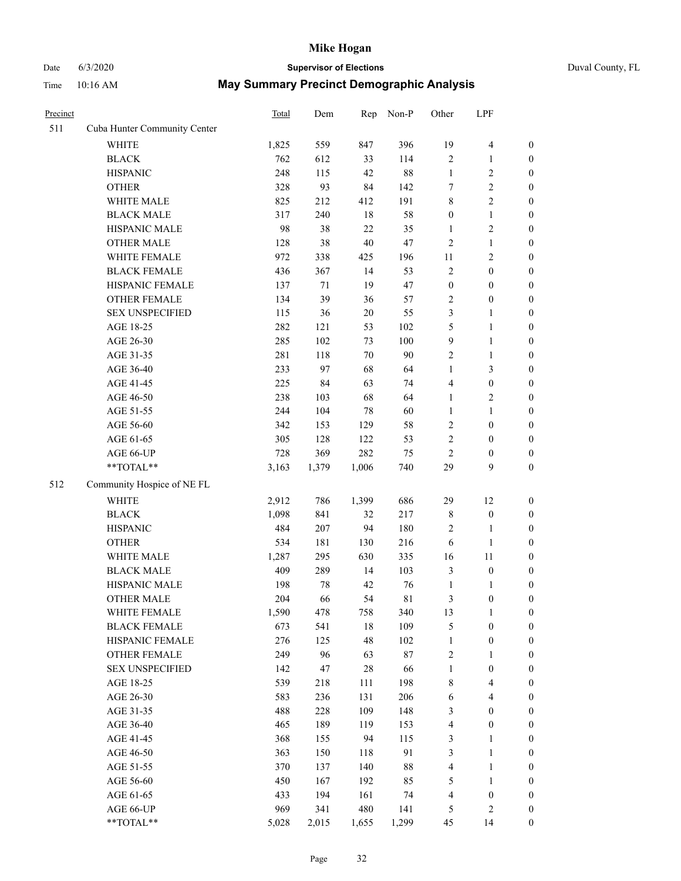# Date 6/3/2020 **Supervisor of Elections** Duval County, FL

| Precinct |                              | Total        | Dem        | Rep       | Non-P      | Other            | LPF              |                                      |
|----------|------------------------------|--------------|------------|-----------|------------|------------------|------------------|--------------------------------------|
| 511      | Cuba Hunter Community Center |              |            |           |            |                  |                  |                                      |
|          | <b>WHITE</b>                 | 1,825        | 559        | 847       | 396        | 19               | $\overline{4}$   | 0                                    |
|          | <b>BLACK</b>                 | 762          | 612        | 33        | 114        | $\mathbf{2}$     | $\mathbf{1}$     | $\boldsymbol{0}$                     |
|          | <b>HISPANIC</b>              | 248          | 115        | 42        | 88         | $\mathbf{1}$     | $\sqrt{2}$       | $\boldsymbol{0}$                     |
|          | <b>OTHER</b>                 | 328          | 93         | 84        | 142        | 7                | $\sqrt{2}$       | $\boldsymbol{0}$                     |
|          | WHITE MALE                   | 825          | 212        | 412       | 191        | 8                | $\sqrt{2}$       | $\boldsymbol{0}$                     |
|          | <b>BLACK MALE</b>            | 317          | 240        | $18\,$    | 58         | $\boldsymbol{0}$ | $\mathbf{1}$     | $\boldsymbol{0}$                     |
|          | HISPANIC MALE                | 98           | 38         | 22        | 35         | $\mathbf{1}$     | $\sqrt{2}$       | $\boldsymbol{0}$                     |
|          | <b>OTHER MALE</b>            | 128          | 38         | $40\,$    | 47         | 2                | $\mathbf{1}$     | $\boldsymbol{0}$                     |
|          | WHITE FEMALE                 | 972          | 338        | 425       | 196        | $11\,$           | $\sqrt{2}$       | $\boldsymbol{0}$                     |
|          | <b>BLACK FEMALE</b>          | 436          | 367        | 14        | 53         | $\mathbf{2}$     | $\boldsymbol{0}$ | $\boldsymbol{0}$                     |
|          | HISPANIC FEMALE              | 137          | 71         | 19        | 47         | $\boldsymbol{0}$ | $\boldsymbol{0}$ | $\boldsymbol{0}$                     |
|          | OTHER FEMALE                 | 134          | 39         | 36        | 57         | $\mathbf{2}$     | $\boldsymbol{0}$ | $\boldsymbol{0}$                     |
|          | <b>SEX UNSPECIFIED</b>       | 115          | 36         | $20\,$    | 55         | 3                | $\mathbf{1}$     | $\boldsymbol{0}$                     |
|          | AGE 18-25                    | 282          | 121        | 53        | 102        | 5                | $\mathbf{1}$     | $\boldsymbol{0}$                     |
|          | AGE 26-30                    | 285          | 102        | 73        | 100        | 9                | $\mathbf{1}$     | $\boldsymbol{0}$                     |
|          | AGE 31-35                    | 281          | 118        | 70        | 90         | $\overline{c}$   | $\mathbf{1}$     | $\boldsymbol{0}$                     |
|          | AGE 36-40                    | 233          | 97         | 68        | 64         | $\mathbf{1}$     | 3                | $\boldsymbol{0}$                     |
|          | AGE 41-45                    | 225          | 84         | 63        | 74         | 4                | $\boldsymbol{0}$ | $\boldsymbol{0}$                     |
|          | AGE 46-50                    | 238          | 103        | 68        | 64         | 1                | $\sqrt{2}$       | $\boldsymbol{0}$                     |
|          | AGE 51-55                    | 244          | 104        | 78        | 60         | $\mathbf{1}$     | $\mathbf{1}$     | $\boldsymbol{0}$                     |
|          | AGE 56-60                    | 342          | 153        | 129       | 58         | $\mathbf{2}$     | $\boldsymbol{0}$ | 0                                    |
|          | AGE 61-65                    | 305          | 128        | 122       | 53         | $\mathbf{2}$     | $\boldsymbol{0}$ | $\boldsymbol{0}$                     |
|          | AGE 66-UP                    | 728          | 369        | 282       | 75         | $\overline{c}$   | $\boldsymbol{0}$ | $\boldsymbol{0}$                     |
|          | $**TOTAL**$                  | 3,163        | 1,379      | 1,006     | 740        | 29               | 9                | $\boldsymbol{0}$                     |
| 512      | Community Hospice of NE FL   |              |            |           |            |                  |                  |                                      |
|          | <b>WHITE</b>                 | 2,912        | 786        | 1,399     | 686        | 29               | 12               |                                      |
|          | <b>BLACK</b>                 |              | 841        | 32        | 217        |                  | $\boldsymbol{0}$ | $\boldsymbol{0}$                     |
|          | <b>HISPANIC</b>              | 1,098<br>484 | 207        | 94        | 180        | 8<br>2           | $\mathbf{1}$     | $\boldsymbol{0}$<br>$\boldsymbol{0}$ |
|          |                              | 534          | 181        | 130       | 216        |                  | $\mathbf{1}$     | $\boldsymbol{0}$                     |
|          | <b>OTHER</b><br>WHITE MALE   | 1,287        | 295        | 630       | 335        | 6<br>16          | 11               | $\boldsymbol{0}$                     |
|          | <b>BLACK MALE</b>            | 409          | 289        | 14        | 103        | 3                | $\boldsymbol{0}$ | $\boldsymbol{0}$                     |
|          | HISPANIC MALE                | 198          | 78         | 42        | 76         | $\mathbf{1}$     | 1                | 0                                    |
|          | <b>OTHER MALE</b>            | 204          | 66         | 54        | 81         | 3                | $\boldsymbol{0}$ | $\boldsymbol{0}$                     |
|          | WHITE FEMALE                 |              |            |           |            |                  | 1                | 0                                    |
|          | <b>BLACK FEMALE</b>          | 1,590<br>673 | 478<br>541 | 758<br>18 | 340<br>109 | 13<br>5          | $\boldsymbol{0}$ | $\overline{0}$                       |
|          | HISPANIC FEMALE              | 276          | 125        | 48        | 102        | 1                | $\boldsymbol{0}$ | $\overline{0}$                       |
|          | OTHER FEMALE                 | 249          | 96         | 63        | 87         | 2                | $\mathbf{1}$     | $\overline{0}$                       |
|          | <b>SEX UNSPECIFIED</b>       | 142          | 47         | 28        | 66         | $\mathbf{1}$     | $\boldsymbol{0}$ | 0                                    |
|          | AGE 18-25                    | 539          | 218        | 111       | 198        | 8                | $\overline{4}$   | 0                                    |
|          | AGE 26-30                    | 583          | 236        | 131       | 206        | 6                | $\overline{4}$   | 0                                    |
|          | AGE 31-35                    | 488          | 228        | 109       | 148        | 3                | $\boldsymbol{0}$ | 0                                    |
|          | AGE 36-40                    | 465          | 189        | 119       | 153        | 4                | $\boldsymbol{0}$ | 0                                    |
|          | AGE 41-45                    | 368          | 155        | 94        | 115        | 3                | $\mathbf{1}$     | 0                                    |
|          | AGE 46-50                    | 363          | 150        | 118       | 91         | 3                | $\mathbf{1}$     | 0                                    |
|          | AGE 51-55                    | 370          | 137        | 140       | 88         | 4                | $\mathbf{1}$     | 0                                    |
|          | AGE 56-60                    | 450          | 167        | 192       | 85         | 5                | $\mathbf{1}$     | 0                                    |
|          | AGE 61-65                    | 433          | 194        | 161       | 74         | 4                | $\boldsymbol{0}$ | 0                                    |
|          | AGE 66-UP                    | 969          | 341        | 480       | 141        | 5                | $\mathfrak{2}$   | 0                                    |
|          | **TOTAL**                    | 5,028        | 2,015      | 1,655     | 1,299      | 45               | 14               | $\boldsymbol{0}$                     |
|          |                              |              |            |           |            |                  |                  |                                      |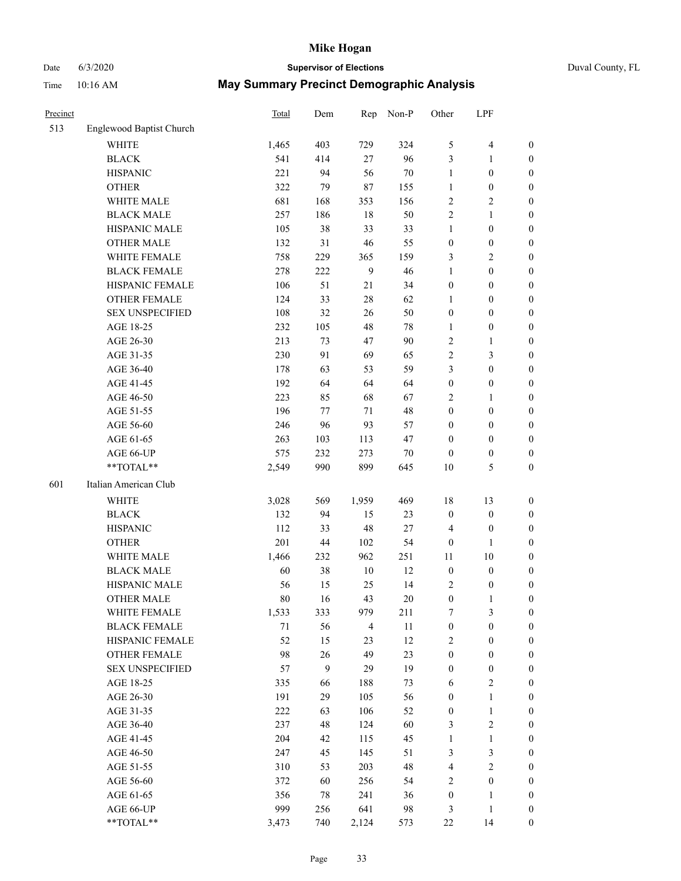#### Date 6/3/2020 **Supervisor of Elections** Duval County, FL Time 10:16 AM **May Summary Precinct Demographic Analysis**

| Time     | 10:16 AM | <b>May Summary Precinct Demographic Analysis</b> |     |           |       |            |
|----------|----------|--------------------------------------------------|-----|-----------|-------|------------|
| Precinct |          | Total                                            | Dem | Rep Non-P | Other | <b>LPF</b> |

| 513 | Englewood Baptist Church |       |     |                |     |                         |                  |                  |
|-----|--------------------------|-------|-----|----------------|-----|-------------------------|------------------|------------------|
|     | <b>WHITE</b>             | 1,465 | 403 | 729            | 324 | $\mathfrak{S}$          | 4                | $\boldsymbol{0}$ |
|     | <b>BLACK</b>             | 541   | 414 | 27             | 96  | 3                       | $\mathbf{1}$     | $\boldsymbol{0}$ |
|     | <b>HISPANIC</b>          | 221   | 94  | 56             | 70  | $\mathbf{1}$            | $\boldsymbol{0}$ | $\boldsymbol{0}$ |
|     | <b>OTHER</b>             | 322   | 79  | 87             | 155 | $\mathbf{1}$            | $\boldsymbol{0}$ | $\boldsymbol{0}$ |
|     | WHITE MALE               | 681   | 168 | 353            | 156 | $\sqrt{2}$              | $\mathbf{2}$     | 0                |
|     | <b>BLACK MALE</b>        | 257   | 186 | $18\,$         | 50  | $\sqrt{2}$              | $\mathbf{1}$     | $\boldsymbol{0}$ |
|     | HISPANIC MALE            | 105   | 38  | 33             | 33  | $\mathbf{1}$            | $\boldsymbol{0}$ | $\boldsymbol{0}$ |
|     | <b>OTHER MALE</b>        | 132   | 31  | 46             | 55  | $\boldsymbol{0}$        | $\boldsymbol{0}$ | $\boldsymbol{0}$ |
|     | WHITE FEMALE             | 758   | 229 | 365            | 159 | 3                       | $\mathbf{2}$     | $\boldsymbol{0}$ |
|     | <b>BLACK FEMALE</b>      | 278   | 222 | 9              | 46  | $\mathbf{1}$            | $\boldsymbol{0}$ | $\boldsymbol{0}$ |
|     | HISPANIC FEMALE          | 106   | 51  | 21             | 34  | $\boldsymbol{0}$        | $\boldsymbol{0}$ | $\boldsymbol{0}$ |
|     | <b>OTHER FEMALE</b>      | 124   | 33  | $28\,$         | 62  | $\mathbf{1}$            | $\boldsymbol{0}$ | $\boldsymbol{0}$ |
|     | <b>SEX UNSPECIFIED</b>   | 108   | 32  | 26             | 50  | $\boldsymbol{0}$        | $\boldsymbol{0}$ | $\boldsymbol{0}$ |
|     | AGE 18-25                | 232   | 105 | 48             | 78  | $\mathbf{1}$            | $\boldsymbol{0}$ | $\boldsymbol{0}$ |
|     | AGE 26-30                | 213   | 73  | 47             | 90  | $\sqrt{2}$              | 1                | 0                |
|     | AGE 31-35                | 230   | 91  | 69             | 65  | $\sqrt{2}$              | $\mathfrak{Z}$   | $\boldsymbol{0}$ |
|     | AGE 36-40                | 178   | 63  | 53             | 59  | $\mathfrak{Z}$          | $\boldsymbol{0}$ | $\boldsymbol{0}$ |
|     | AGE 41-45                | 192   | 64  | 64             | 64  | $\boldsymbol{0}$        | $\boldsymbol{0}$ | $\boldsymbol{0}$ |
|     | AGE 46-50                | 223   | 85  | 68             | 67  | $\overline{c}$          | $\mathbf{1}$     | $\boldsymbol{0}$ |
|     | AGE 51-55                | 196   | 77  | 71             | 48  | $\boldsymbol{0}$        | $\boldsymbol{0}$ | $\boldsymbol{0}$ |
|     | AGE 56-60                | 246   | 96  | 93             | 57  | $\boldsymbol{0}$        | $\boldsymbol{0}$ | $\boldsymbol{0}$ |
|     | AGE 61-65                | 263   | 103 | 113            | 47  | $\boldsymbol{0}$        | $\boldsymbol{0}$ | $\boldsymbol{0}$ |
|     | AGE 66-UP                | 575   | 232 | 273            | 70  | $\boldsymbol{0}$        | $\boldsymbol{0}$ | 0                |
|     | **TOTAL**                | 2,549 | 990 | 899            | 645 | $10\,$                  | 5                | $\boldsymbol{0}$ |
| 601 | Italian American Club    |       |     |                |     |                         |                  |                  |
|     | WHITE                    | 3,028 | 569 | 1,959          | 469 | 18                      | 13               | $\boldsymbol{0}$ |
|     | <b>BLACK</b>             | 132   | 94  | 15             | 23  | $\boldsymbol{0}$        | $\boldsymbol{0}$ | 0                |
|     | <b>HISPANIC</b>          | 112   | 33  | 48             | 27  | 4                       | $\boldsymbol{0}$ | 0                |
|     | <b>OTHER</b>             | 201   | 44  | 102            | 54  | $\boldsymbol{0}$        | $\mathbf{1}$     | $\boldsymbol{0}$ |
|     | WHITE MALE               | 1,466 | 232 | 962            | 251 | 11                      | 10               | $\boldsymbol{0}$ |
|     | <b>BLACK MALE</b>        | 60    | 38  | 10             | 12  | $\boldsymbol{0}$        | $\boldsymbol{0}$ | $\boldsymbol{0}$ |
|     | HISPANIC MALE            | 56    | 15  | 25             | 14  | $\overline{c}$          | $\boldsymbol{0}$ | $\boldsymbol{0}$ |
|     | <b>OTHER MALE</b>        | 80    | 16  | 43             | 20  | $\boldsymbol{0}$        | $\mathbf{1}$     | $\boldsymbol{0}$ |
|     | WHITE FEMALE             | 1,533 | 333 | 979            | 211 | 7                       | 3                | $\boldsymbol{0}$ |
|     | <b>BLACK FEMALE</b>      | 71    | 56  | $\overline{4}$ | 11  | $\boldsymbol{0}$        | $\boldsymbol{0}$ | 0                |
|     | HISPANIC FEMALE          | 52    | 15  | 23             | 12  | $\sqrt{2}$              | $\boldsymbol{0}$ | 0                |
|     | <b>OTHER FEMALE</b>      | 98    | 26  | 49             | 23  | $\boldsymbol{0}$        | $\boldsymbol{0}$ | 0                |
|     | <b>SEX UNSPECIFIED</b>   | 57    | 9   | 29             | 19  | $\boldsymbol{0}$        | $\boldsymbol{0}$ | 0                |
|     | AGE 18-25                | 335   | 66  | 188            | 73  | 6                       | $\mathbf{2}$     | 0                |
|     | AGE 26-30                | 191   | 29  | 105            | 56  | $\boldsymbol{0}$        | $\mathbf{1}$     | $\overline{0}$   |
|     | AGE 31-35                | 222   | 63  | 106            | 52  | $\boldsymbol{0}$        | $\mathbf{1}$     | 0                |
|     | AGE 36-40                | 237   | 48  | 124            | 60  | 3                       | $\overline{c}$   | 0                |
|     | AGE 41-45                | 204   | 42  | 115            | 45  | $\mathbf{1}$            | $\mathbf{1}$     | 0                |
|     | AGE 46-50                | 247   | 45  | 145            | 51  | $\mathfrak{Z}$          | $\mathfrak{Z}$   | 0                |
|     | AGE 51-55                | 310   | 53  | 203            | 48  | $\overline{\mathbf{4}}$ | $\overline{c}$   | 0                |
|     | AGE 56-60                | 372   | 60  | 256            | 54  | $\sqrt{2}$              | $\boldsymbol{0}$ | 0                |
|     | AGE 61-65                | 356   | 78  | 241            | 36  | $\boldsymbol{0}$        | 1                | 0                |
|     | AGE 66-UP                | 999   | 256 | 641            | 98  | 3                       | $\mathbf{1}$     | 0                |
|     | **TOTAL**                | 3,473 | 740 | 2,124          | 573 | 22                      | 14               | $\boldsymbol{0}$ |
|     |                          |       |     |                |     |                         |                  |                  |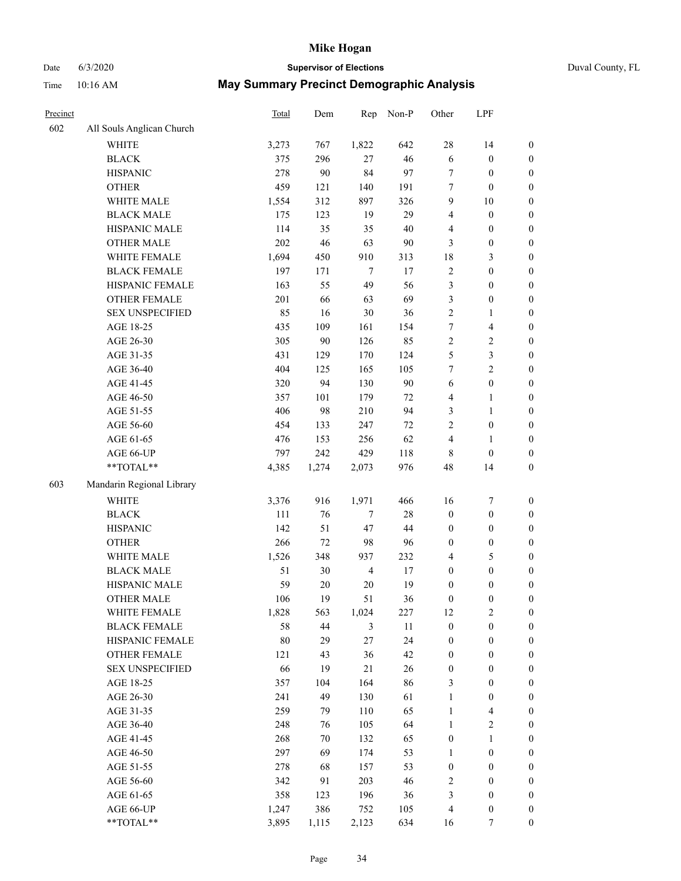### Date 6/3/2020 **Supervisor of Elections** Duval County, FL

| Precinct |                           | <b>Total</b> | Dem    | Rep            | Non-P  | Other            | LPF                     |                  |
|----------|---------------------------|--------------|--------|----------------|--------|------------------|-------------------------|------------------|
| 602      | All Souls Anglican Church |              |        |                |        |                  |                         |                  |
|          | <b>WHITE</b>              | 3,273        | 767    | 1,822          | 642    | 28               | 14                      | 0                |
|          | <b>BLACK</b>              | 375          | 296    | 27             | 46     | $\sqrt{6}$       | $\boldsymbol{0}$        | 0                |
|          | <b>HISPANIC</b>           | 278          | 90     | 84             | 97     | 7                | $\boldsymbol{0}$        | $\boldsymbol{0}$ |
|          | <b>OTHER</b>              | 459          | 121    | 140            | 191    | 7                | $\boldsymbol{0}$        | $\boldsymbol{0}$ |
|          | WHITE MALE                | 1,554        | 312    | 897            | 326    | 9                | $10\,$                  | $\boldsymbol{0}$ |
|          | <b>BLACK MALE</b>         | 175          | 123    | 19             | 29     | 4                | $\boldsymbol{0}$        | $\boldsymbol{0}$ |
|          | HISPANIC MALE             | 114          | 35     | 35             | $40\,$ | 4                | $\boldsymbol{0}$        | $\boldsymbol{0}$ |
|          | <b>OTHER MALE</b>         | 202          | 46     | 63             | 90     | 3                | $\boldsymbol{0}$        | $\boldsymbol{0}$ |
|          | WHITE FEMALE              | 1,694        | 450    | 910            | 313    | 18               | $\mathfrak{Z}$          | $\boldsymbol{0}$ |
|          | <b>BLACK FEMALE</b>       | 197          | 171    | $\tau$         | 17     | $\sqrt{2}$       | $\boldsymbol{0}$        | $\boldsymbol{0}$ |
|          | HISPANIC FEMALE           | 163          | 55     | 49             | 56     | 3                | $\boldsymbol{0}$        | $\boldsymbol{0}$ |
|          | OTHER FEMALE              | 201          | 66     | 63             | 69     | 3                | $\boldsymbol{0}$        | $\boldsymbol{0}$ |
|          | <b>SEX UNSPECIFIED</b>    | 85           | 16     | 30             | 36     | $\sqrt{2}$       | $\mathbf{1}$            | $\boldsymbol{0}$ |
|          | AGE 18-25                 | 435          | 109    | 161            | 154    | 7                | $\overline{\mathbf{4}}$ | $\boldsymbol{0}$ |
|          | AGE 26-30                 | 305          | 90     | 126            | 85     | $\sqrt{2}$       | $\sqrt{2}$              | $\boldsymbol{0}$ |
|          | AGE 31-35                 | 431          | 129    | 170            | 124    | 5                | $\mathfrak{Z}$          | $\boldsymbol{0}$ |
|          | AGE 36-40                 | 404          | 125    | 165            | 105    | 7                | $\overline{c}$          | $\boldsymbol{0}$ |
|          | AGE 41-45                 | 320          | 94     | 130            | 90     | $\sqrt{6}$       | $\boldsymbol{0}$        | $\boldsymbol{0}$ |
|          | AGE 46-50                 | 357          | 101    | 179            | $72\,$ | 4                | $\mathbf{1}$            | $\boldsymbol{0}$ |
|          | AGE 51-55                 | 406          | 98     | 210            | 94     | 3                | $\mathbf{1}$            | $\boldsymbol{0}$ |
|          | AGE 56-60                 | 454          | 133    | 247            | $72\,$ | $\overline{c}$   | $\boldsymbol{0}$        | 0                |
|          | AGE 61-65                 | 476          | 153    | 256            | 62     | 4                | $\mathbf{1}$            | 0                |
|          | AGE 66-UP                 | 797          | 242    | 429            | 118    | 8                | $\boldsymbol{0}$        | $\boldsymbol{0}$ |
|          | **TOTAL**                 | 4,385        | 1,274  | 2,073          | 976    | 48               | 14                      | $\boldsymbol{0}$ |
| 603      | Mandarin Regional Library |              |        |                |        |                  |                         |                  |
|          | <b>WHITE</b>              | 3,376        | 916    | 1,971          | 466    | 16               | $\boldsymbol{7}$        | $\boldsymbol{0}$ |
|          | <b>BLACK</b>              | 111          | 76     | $\tau$         | $28\,$ | $\boldsymbol{0}$ | $\boldsymbol{0}$        | $\boldsymbol{0}$ |
|          | <b>HISPANIC</b>           | 142          | 51     | 47             | $44\,$ | $\boldsymbol{0}$ | $\boldsymbol{0}$        | $\boldsymbol{0}$ |
|          | <b>OTHER</b>              | 266          | 72     | 98             | 96     | $\boldsymbol{0}$ | $\boldsymbol{0}$        | $\boldsymbol{0}$ |
|          | WHITE MALE                | 1,526        | 348    | 937            | 232    | 4                | $\mathfrak{S}$          | $\boldsymbol{0}$ |
|          | <b>BLACK MALE</b>         | 51           | 30     | $\overline{4}$ | 17     | $\boldsymbol{0}$ | $\boldsymbol{0}$        | $\boldsymbol{0}$ |
|          | HISPANIC MALE             | 59           | $20\,$ | $20\,$         | 19     | $\boldsymbol{0}$ | $\boldsymbol{0}$        | $\boldsymbol{0}$ |
|          | OTHER MALE                | 106          | 19     | 51             | 36     | $\boldsymbol{0}$ | $\boldsymbol{0}$        | $\boldsymbol{0}$ |
|          | WHITE FEMALE              | 1,828        | 563    | 1,024          | 227    | 12               | 2                       | 0                |
|          | <b>BLACK FEMALE</b>       | 58           | 44     | 3              | 11     | $\boldsymbol{0}$ | $\boldsymbol{0}$        | $\boldsymbol{0}$ |
|          | HISPANIC FEMALE           | 80           | 29     | 27             | 24     | $\boldsymbol{0}$ | $\boldsymbol{0}$        | $\overline{0}$   |
|          | OTHER FEMALE              | 121          | 43     | 36             | 42     | $\boldsymbol{0}$ | $\boldsymbol{0}$        | $\overline{0}$   |
|          | <b>SEX UNSPECIFIED</b>    | 66           | 19     | 21             | 26     | $\boldsymbol{0}$ | $\boldsymbol{0}$        | 0                |
|          | AGE 18-25                 | 357          | 104    | 164            | 86     | 3                | $\boldsymbol{0}$        | $\overline{0}$   |
|          | AGE 26-30                 | 241          | 49     | 130            | 61     | $\mathbf{1}$     | $\boldsymbol{0}$        | 0                |
|          | AGE 31-35                 | 259          | 79     | 110            | 65     | $\mathbf{1}$     | $\overline{\mathbf{4}}$ | 0                |
|          | AGE 36-40                 | 248          | 76     | 105            | 64     | $\mathbf{1}$     | $\sqrt{2}$              | 0                |
|          | AGE 41-45                 | 268          | 70     | 132            | 65     | $\boldsymbol{0}$ | $\mathbf{1}$            | 0                |
|          | AGE 46-50                 | 297          | 69     | 174            | 53     | $\mathbf{1}$     | $\boldsymbol{0}$        | 0                |
|          | AGE 51-55                 | 278          | 68     | 157            | 53     | $\boldsymbol{0}$ | $\boldsymbol{0}$        | 0                |
|          | AGE 56-60                 | 342          | 91     | 203            | 46     | 2                | $\boldsymbol{0}$        | $\boldsymbol{0}$ |
|          | AGE 61-65                 | 358          | 123    | 196            | 36     | 3                | $\boldsymbol{0}$        | $\boldsymbol{0}$ |
|          | AGE 66-UP                 | 1,247        | 386    | 752            | 105    | 4                | $\boldsymbol{0}$        | 0                |
|          | **TOTAL**                 | 3,895        | 1,115  | 2,123          | 634    | 16               | 7                       | $\boldsymbol{0}$ |
|          |                           |              |        |                |        |                  |                         |                  |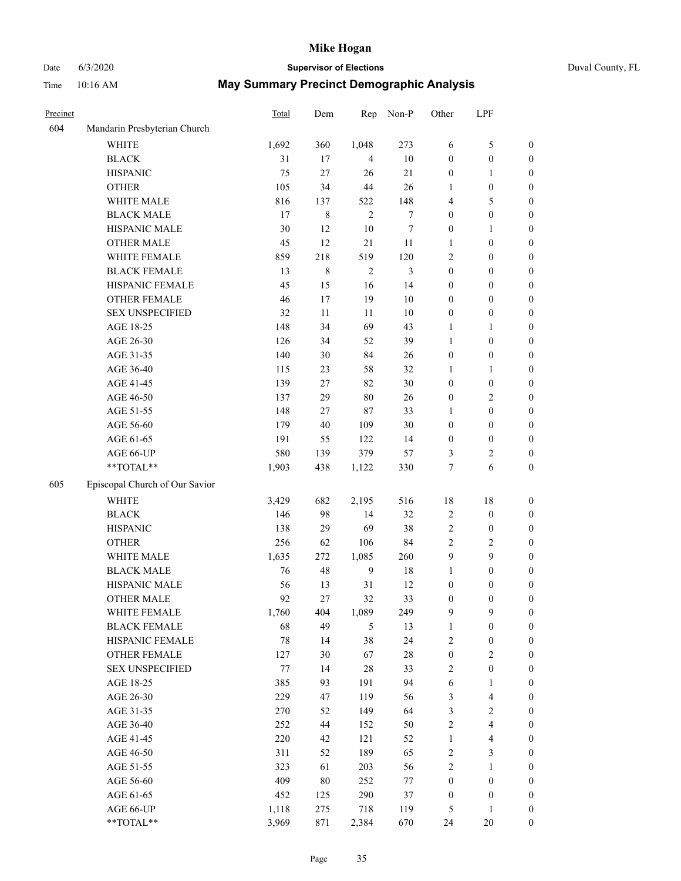## Date 6/3/2020 **Supervisor of Elections** Duval County, FL

| Precinct |                                | Total | Dem         | Rep            | Non-P          | Other                   | LPF              |                  |
|----------|--------------------------------|-------|-------------|----------------|----------------|-------------------------|------------------|------------------|
| 604      | Mandarin Presbyterian Church   |       |             |                |                |                         |                  |                  |
|          | <b>WHITE</b>                   | 1,692 | 360         | 1,048          | 273            | 6                       | $\mathfrak s$    | 0                |
|          | <b>BLACK</b>                   | 31    | 17          | $\overline{4}$ | 10             | 0                       | $\boldsymbol{0}$ | 0                |
|          | <b>HISPANIC</b>                | 75    | 27          | 26             | $21\,$         | $\boldsymbol{0}$        | $\mathbf{1}$     | $\boldsymbol{0}$ |
|          | <b>OTHER</b>                   | 105   | 34          | 44             | 26             | 1                       | $\boldsymbol{0}$ | $\boldsymbol{0}$ |
|          | WHITE MALE                     | 816   | 137         | 522            | 148            | 4                       | 5                | $\boldsymbol{0}$ |
|          | <b>BLACK MALE</b>              | 17    | $\,8\,$     | $\overline{c}$ | 7              | 0                       | $\boldsymbol{0}$ | $\boldsymbol{0}$ |
|          | HISPANIC MALE                  | 30    | 12          | 10             | 7              | 0                       | 1                | $\boldsymbol{0}$ |
|          | <b>OTHER MALE</b>              | 45    | 12          | 21             | 11             | 1                       | $\boldsymbol{0}$ | $\boldsymbol{0}$ |
|          | WHITE FEMALE                   | 859   | 218         | 519            | 120            | 2                       | $\boldsymbol{0}$ | $\boldsymbol{0}$ |
|          | <b>BLACK FEMALE</b>            | 13    | $\,$ 8 $\,$ | $\sqrt{2}$     | $\mathfrak{Z}$ | $\boldsymbol{0}$        | $\boldsymbol{0}$ | 0                |
|          | HISPANIC FEMALE                | 45    | 15          | 16             | 14             | 0                       | $\boldsymbol{0}$ | 0                |
|          | OTHER FEMALE                   | 46    | 17          | 19             | 10             | 0                       | $\boldsymbol{0}$ | $\boldsymbol{0}$ |
|          | <b>SEX UNSPECIFIED</b>         | 32    | 11          | $11\,$         | 10             | $\boldsymbol{0}$        | $\boldsymbol{0}$ | $\boldsymbol{0}$ |
|          | AGE 18-25                      | 148   | 34          | 69             | 43             | 1                       | 1                | $\boldsymbol{0}$ |
|          | AGE 26-30                      | 126   | 34          | 52             | 39             | 1                       | $\boldsymbol{0}$ | $\boldsymbol{0}$ |
|          | AGE 31-35                      | 140   | 30          | 84             | 26             | $\boldsymbol{0}$        | $\boldsymbol{0}$ | $\boldsymbol{0}$ |
|          | AGE 36-40                      | 115   | 23          | 58             | 32             | 1                       | $\mathbf{1}$     | $\boldsymbol{0}$ |
|          | AGE 41-45                      | 139   | $27\,$      | 82             | 30             | $\boldsymbol{0}$        | $\boldsymbol{0}$ | $\boldsymbol{0}$ |
|          | AGE 46-50                      | 137   | 29          | 80             | 26             | 0                       | $\sqrt{2}$       | $\boldsymbol{0}$ |
|          | AGE 51-55                      | 148   | 27          | 87             | 33             | 1                       | $\boldsymbol{0}$ | $\boldsymbol{0}$ |
|          | AGE 56-60                      | 179   | 40          | 109            | 30             | 0                       | $\boldsymbol{0}$ | 0                |
|          | AGE 61-65                      | 191   | 55          | 122            | 14             | $\boldsymbol{0}$        | $\boldsymbol{0}$ | 0                |
|          | AGE 66-UP                      | 580   | 139         | 379            | 57             | 3                       | $\overline{c}$   | $\boldsymbol{0}$ |
|          | $**TOTAL**$                    | 1,903 | 438         | 1,122          | 330            | 7                       | 6                | $\boldsymbol{0}$ |
| 605      | Episcopal Church of Our Savior |       |             |                |                |                         |                  |                  |
|          | <b>WHITE</b>                   | 3,429 | 682         | 2,195          | 516            | 18                      | 18               | $\boldsymbol{0}$ |
|          | <b>BLACK</b>                   | 146   | 98          | 14             | 32             | $\overline{\mathbf{c}}$ | $\boldsymbol{0}$ | $\boldsymbol{0}$ |
|          | <b>HISPANIC</b>                | 138   | 29          | 69             | 38             | 2                       | $\boldsymbol{0}$ | $\boldsymbol{0}$ |
|          | <b>OTHER</b>                   | 256   | 62          | 106            | 84             | $\overline{c}$          | $\sqrt{2}$       | $\boldsymbol{0}$ |
|          | WHITE MALE                     | 1,635 | 272         | 1,085          | 260            | 9                       | 9                | $\boldsymbol{0}$ |
|          | <b>BLACK MALE</b>              | 76    | 48          | 9              | 18             | 1                       | $\boldsymbol{0}$ | $\boldsymbol{0}$ |
|          | HISPANIC MALE                  | 56    | 13          | 31             | 12             | $\boldsymbol{0}$        | $\boldsymbol{0}$ | 0                |
|          | <b>OTHER MALE</b>              | 92    | 27          | 32             | 33             | 0                       | $\boldsymbol{0}$ | $\boldsymbol{0}$ |
|          | WHITE FEMALE                   | 1,760 | 404         | 1,089          | 249            | 9                       | 9                | 0                |
|          | <b>BLACK FEMALE</b>            | 68    | 49          | 5              | 13             | 1                       | $\boldsymbol{0}$ | $\boldsymbol{0}$ |
|          | HISPANIC FEMALE                | 78    | 14          | 38             | 24             | $\overline{c}$          | $\boldsymbol{0}$ | $\overline{0}$   |
|          | OTHER FEMALE                   | 127   | 30          | 67             | 28             | $\boldsymbol{0}$        | $\sqrt{2}$       | 0                |
|          | <b>SEX UNSPECIFIED</b>         | 77    | 14          | 28             | 33             | 2                       | $\boldsymbol{0}$ | 0                |
|          | AGE 18-25                      | 385   | 93          | 191            | 94             | 6                       | $\mathbf{1}$     | 0                |
|          | AGE 26-30                      | 229   | 47          | 119            | 56             | 3                       | $\overline{4}$   | 0                |
|          | AGE 31-35                      | 270   | 52          | 149            | 64             | 3                       | $\sqrt{2}$       | 0                |
|          | AGE 36-40                      | 252   | 44          | 152            | 50             | $\overline{c}$          | $\overline{4}$   | 0                |
|          | AGE 41-45                      | 220   | 42          | 121            | 52             | $\mathbf{1}$            | $\overline{4}$   | 0                |
|          | AGE 46-50                      | 311   | 52          | 189            | 65             | 2                       | $\mathfrak{Z}$   | 0                |
|          | AGE 51-55                      | 323   | 61          | 203            | 56             | $\mathbf{2}$            | $\mathbf{1}$     | $\boldsymbol{0}$ |
|          | AGE 56-60                      | 409   | 80          | 252            | $77 \,$        | $\boldsymbol{0}$        | $\boldsymbol{0}$ | 0                |
|          | AGE 61-65                      | 452   | 125         | 290            | 37             | $\boldsymbol{0}$        | $\boldsymbol{0}$ | 0                |
|          | AGE 66-UP                      | 1,118 | 275         | 718            | 119            | 5                       | $\mathbf{1}$     | 0                |
|          | **TOTAL**                      | 3,969 | 871         | 2,384          | 670            | 24                      | 20               | $\boldsymbol{0}$ |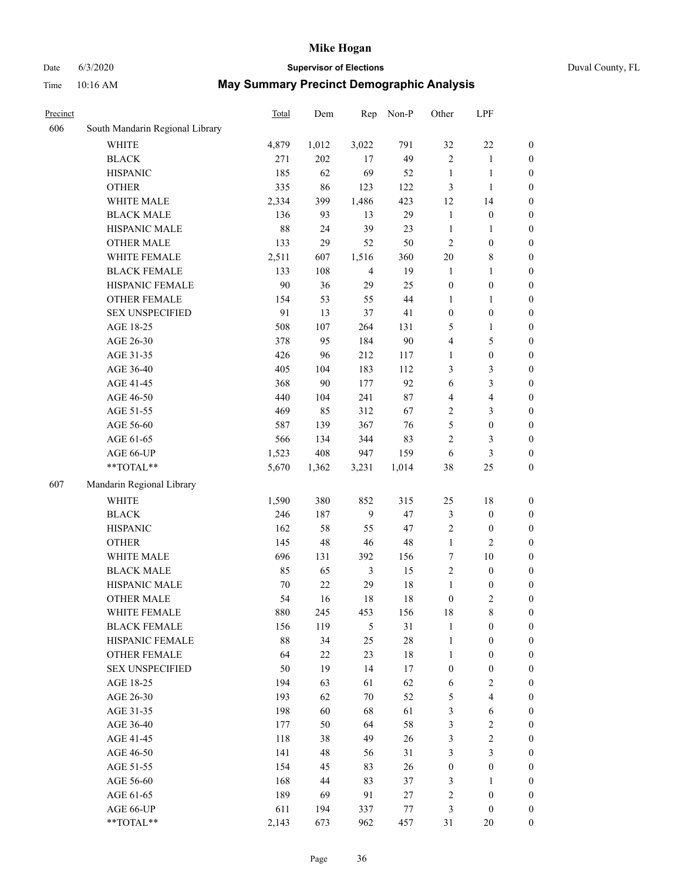## Date 6/3/2020 **Supervisor of Elections** Duval County, FL

| Precinct |                                                           | <b>Total</b> | Dem    | Rep            | Non-P  | Other            | LPF              |                  |
|----------|-----------------------------------------------------------|--------------|--------|----------------|--------|------------------|------------------|------------------|
| 606      | South Mandarin Regional Library                           |              |        |                |        |                  |                  |                  |
|          | <b>WHITE</b>                                              | 4,879        | 1,012  | 3,022          | 791    | 32               | $22\,$           | $\boldsymbol{0}$ |
|          | <b>BLACK</b>                                              | 271          | 202    | 17             | 49     | $\overline{c}$   | $\mathbf{1}$     | $\boldsymbol{0}$ |
|          | <b>HISPANIC</b>                                           | 185          | 62     | 69             | 52     | $\mathbf{1}$     | $\mathbf{1}$     | $\boldsymbol{0}$ |
|          | <b>OTHER</b>                                              | 335          | 86     | 123            | 122    | 3                | $\mathbf{1}$     | $\boldsymbol{0}$ |
|          | WHITE MALE                                                | 2,334        | 399    | 1,486          | 423    | 12               | 14               | $\boldsymbol{0}$ |
|          | <b>BLACK MALE</b>                                         | 136          | 93     | 13             | 29     | $\mathbf{1}$     | $\boldsymbol{0}$ | $\boldsymbol{0}$ |
|          | HISPANIC MALE                                             | 88           | 24     | 39             | 23     | $\mathbf{1}$     | $\mathbf{1}$     | $\boldsymbol{0}$ |
|          | <b>OTHER MALE</b>                                         | 133          | 29     | 52             | 50     | 2                | $\boldsymbol{0}$ | 0                |
|          | WHITE FEMALE                                              | 2,511        | 607    | 1,516          | 360    | $20\,$           | $\,$ 8 $\,$      | 0                |
|          | <b>BLACK FEMALE</b>                                       | 133          | 108    | $\overline{4}$ | 19     | $\mathbf{1}$     | $\mathbf{1}$     | $\boldsymbol{0}$ |
|          | HISPANIC FEMALE                                           | 90           | 36     | 29             | 25     | $\boldsymbol{0}$ | $\boldsymbol{0}$ | $\boldsymbol{0}$ |
|          | <b>OTHER FEMALE</b>                                       | 154          | 53     | 55             | 44     | 1                | 1                | $\boldsymbol{0}$ |
|          | <b>SEX UNSPECIFIED</b>                                    | 91           | 13     | 37             | 41     | $\boldsymbol{0}$ | $\boldsymbol{0}$ | $\boldsymbol{0}$ |
|          | AGE 18-25                                                 | 508          | 107    | 264            | 131    | 5                | $\mathbf{1}$     | $\boldsymbol{0}$ |
|          | AGE 26-30                                                 | 378          | 95     | 184            | 90     | 4                | $\mathfrak s$    | $\boldsymbol{0}$ |
|          | AGE 31-35                                                 | 426          | 96     | 212            | 117    | $\mathbf{1}$     | $\boldsymbol{0}$ | $\boldsymbol{0}$ |
|          | AGE 36-40                                                 | 405          | 104    | 183            | 112    | 3                | $\mathfrak{Z}$   | $\boldsymbol{0}$ |
|          | AGE 41-45                                                 | 368          | 90     | 177            | 92     | 6                | $\mathfrak{Z}$   | $\boldsymbol{0}$ |
|          | AGE 46-50                                                 | 440          | 104    | 241            | $87\,$ | $\overline{4}$   | $\overline{4}$   | 0                |
|          | AGE 51-55                                                 | 469          | 85     | 312            | 67     | $\overline{c}$   | $\mathfrak{Z}$   | $\boldsymbol{0}$ |
|          | AGE 56-60                                                 | 587          | 139    | 367            | 76     | 5                | $\boldsymbol{0}$ | $\boldsymbol{0}$ |
|          | AGE 61-65                                                 | 566          | 134    | 344            | 83     | $\overline{c}$   | $\mathfrak{Z}$   | $\boldsymbol{0}$ |
|          | AGE 66-UP                                                 | 1,523        | 408    | 947            | 159    | 6                | $\mathfrak{Z}$   | $\boldsymbol{0}$ |
|          | $\mathrm{*}\mathrm{*}\mathrm{TOTAL} \mathrm{*}\mathrm{*}$ | 5,670        | 1,362  | 3,231          | 1,014  | 38               | 25               | $\boldsymbol{0}$ |
| 607      | Mandarin Regional Library                                 |              |        |                |        |                  |                  |                  |
|          | <b>WHITE</b>                                              | 1,590        | 380    | 852            | 315    | 25               | 18               | $\boldsymbol{0}$ |
|          | <b>BLACK</b>                                              | 246          | 187    | 9              | 47     | 3                | $\boldsymbol{0}$ | $\boldsymbol{0}$ |
|          | <b>HISPANIC</b>                                           | 162          | 58     | 55             | 47     | $\overline{c}$   | $\boldsymbol{0}$ | $\boldsymbol{0}$ |
|          | <b>OTHER</b>                                              | 145          | 48     | 46             | 48     | $\mathbf{1}$     | $\mathfrak{2}$   | $\boldsymbol{0}$ |
|          | WHITE MALE                                                | 696          | 131    | 392            | 156    | 7                | 10               | $\boldsymbol{0}$ |
|          | <b>BLACK MALE</b>                                         | 85           | 65     | 3              | 15     | $\overline{c}$   | $\boldsymbol{0}$ | 0                |
|          | HISPANIC MALE                                             | 70           | 22     | 29             | 18     | $\mathbf{1}$     | $\boldsymbol{0}$ | 0                |
|          | <b>OTHER MALE</b>                                         | 54           | 16     | 18             | 18     | $\boldsymbol{0}$ | $\sqrt{2}$       | $\boldsymbol{0}$ |
|          | WHITE FEMALE                                              | 880          | 245    | 453            | 156    | 18               | $\,$ $\,$        | $\boldsymbol{0}$ |
|          | <b>BLACK FEMALE</b>                                       | 156          | 119    | 5              | 31     | 1                | $\boldsymbol{0}$ | $\overline{0}$   |
|          | HISPANIC FEMALE                                           | $88\,$       | 34     | 25             | $28\,$ | $\mathbf{1}$     | $\boldsymbol{0}$ | $\overline{0}$   |
|          | <b>OTHER FEMALE</b>                                       | 64           | $22\,$ | 23             | 18     | $\mathbf{1}$     | $\boldsymbol{0}$ | $\overline{0}$   |
|          | <b>SEX UNSPECIFIED</b>                                    | 50           | 19     | 14             | 17     | $\boldsymbol{0}$ | $\boldsymbol{0}$ | $\theta$         |
|          | AGE 18-25                                                 | 194          | 63     | 61             | 62     | 6                | $\sqrt{2}$       | 0                |
|          | AGE 26-30                                                 | 193          | 62     | $70\,$         | 52     | 5                | $\overline{4}$   | 0                |
|          | AGE 31-35                                                 | 198          | 60     | 68             | 61     | $\mathfrak{Z}$   | 6                | 0                |
|          | AGE 36-40                                                 | 177          | 50     | 64             | 58     | 3                | $\sqrt{2}$       | 0                |
|          | AGE 41-45                                                 | 118          | 38     | 49             | 26     | 3                | $\sqrt{2}$       | $\overline{0}$   |
|          | AGE 46-50                                                 | 141          | 48     | 56             | 31     | 3                | $\mathfrak{Z}$   | $\overline{0}$   |
|          | AGE 51-55                                                 | 154          | 45     | 83             | 26     | $\boldsymbol{0}$ | $\boldsymbol{0}$ | $\overline{0}$   |
|          | AGE 56-60                                                 | 168          | 44     | 83             | 37     | 3                | $\mathbf{1}$     | $\overline{0}$   |
|          | AGE 61-65                                                 | 189          | 69     | 91             | 27     | 2                | $\boldsymbol{0}$ | $\overline{0}$   |
|          | AGE 66-UP                                                 | 611          | 194    | 337            | 77     | 3                | $\boldsymbol{0}$ | $\overline{0}$   |
|          | **TOTAL**                                                 | 2,143        | 673    | 962            | 457    | 31               | 20               | $\boldsymbol{0}$ |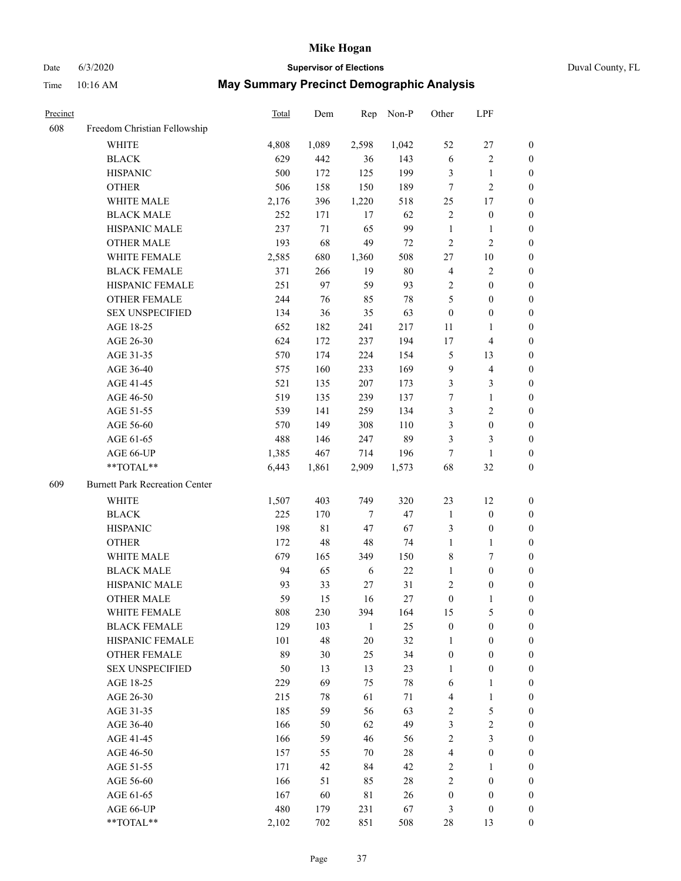# Date 6/3/2020 **Supervisor of Elections** Duval County, FL

| Precinct |                                       | Total | Dem         | Rep          | Non-P  | Other            | LPF                     |                  |
|----------|---------------------------------------|-------|-------------|--------------|--------|------------------|-------------------------|------------------|
| 608      | Freedom Christian Fellowship          |       |             |              |        |                  |                         |                  |
|          | <b>WHITE</b>                          | 4,808 | 1,089       | 2,598        | 1,042  | 52               | $27\,$                  | $\boldsymbol{0}$ |
|          | <b>BLACK</b>                          | 629   | 442         | 36           | 143    | $\sqrt{6}$       | $\sqrt{2}$              | $\boldsymbol{0}$ |
|          | <b>HISPANIC</b>                       | 500   | 172         | 125          | 199    | 3                | $\mathbf{1}$            | $\boldsymbol{0}$ |
|          | <b>OTHER</b>                          | 506   | 158         | 150          | 189    | 7                | $\mathfrak{2}$          | $\boldsymbol{0}$ |
|          | WHITE MALE                            | 2,176 | 396         | 1,220        | 518    | 25               | 17                      | $\boldsymbol{0}$ |
|          | <b>BLACK MALE</b>                     | 252   | 171         | 17           | 62     | $\mathfrak{2}$   | $\boldsymbol{0}$        | $\boldsymbol{0}$ |
|          | HISPANIC MALE                         | 237   | 71          | 65           | 99     | $\mathbf{1}$     | 1                       | $\boldsymbol{0}$ |
|          | <b>OTHER MALE</b>                     | 193   | 68          | 49           | $72\,$ | $\sqrt{2}$       | $\sqrt{2}$              | 0                |
|          | WHITE FEMALE                          | 2,585 | 680         | 1,360        | 508    | $27\,$           | $10\,$                  | 0                |
|          | <b>BLACK FEMALE</b>                   | 371   | 266         | 19           | $80\,$ | 4                | $\sqrt{2}$              | $\boldsymbol{0}$ |
|          | HISPANIC FEMALE                       | 251   | 97          | 59           | 93     | 2                | $\boldsymbol{0}$        | $\boldsymbol{0}$ |
|          | OTHER FEMALE                          | 244   | 76          | 85           | $78\,$ | 5                | $\boldsymbol{0}$        | $\boldsymbol{0}$ |
|          | <b>SEX UNSPECIFIED</b>                | 134   | 36          | 35           | 63     | $\boldsymbol{0}$ | $\boldsymbol{0}$        | $\boldsymbol{0}$ |
|          | AGE 18-25                             | 652   | 182         | 241          | 217    | 11               | $\mathbf{1}$            | $\boldsymbol{0}$ |
|          | AGE 26-30                             | 624   | 172         | 237          | 194    | 17               | $\overline{\mathbf{4}}$ | $\boldsymbol{0}$ |
|          | AGE 31-35                             | 570   | 174         | 224          | 154    | $\mathfrak{S}$   | 13                      | $\boldsymbol{0}$ |
|          | AGE 36-40                             | 575   | 160         | 233          | 169    | $\mathbf{9}$     | $\overline{\mathbf{4}}$ | $\boldsymbol{0}$ |
|          | AGE 41-45                             | 521   | 135         | 207          | 173    | 3                | $\mathfrak{Z}$          | $\boldsymbol{0}$ |
|          | AGE 46-50                             | 519   | 135         | 239          | 137    | $\boldsymbol{7}$ | $\mathbf{1}$            | 0                |
|          | AGE 51-55                             | 539   | 141         | 259          | 134    | 3                | $\sqrt{2}$              | 0                |
|          | AGE 56-60                             | 570   | 149         | 308          | 110    | 3                | $\boldsymbol{0}$        | $\boldsymbol{0}$ |
|          | AGE 61-65                             | 488   | 146         | 247          | 89     | 3                | $\mathfrak{Z}$          | $\boldsymbol{0}$ |
|          | AGE 66-UP                             | 1,385 | 467         | 714          | 196    | 7                | $\mathbf{1}$            | $\boldsymbol{0}$ |
|          | **TOTAL**                             | 6,443 | 1,861       | 2,909        | 1,573  | 68               | 32                      | $\boldsymbol{0}$ |
| 609      | <b>Burnett Park Recreation Center</b> |       |             |              |        |                  |                         |                  |
|          | WHITE                                 | 1,507 | 403         | 749          | 320    | 23               | 12                      | $\boldsymbol{0}$ |
|          | <b>BLACK</b>                          | 225   | 170         | $\tau$       | 47     | $\mathbf{1}$     | $\boldsymbol{0}$        | $\boldsymbol{0}$ |
|          | <b>HISPANIC</b>                       | 198   | $8\sqrt{1}$ | 47           | 67     | 3                | $\boldsymbol{0}$        | $\boldsymbol{0}$ |
|          | <b>OTHER</b>                          | 172   | 48          | 48           | 74     | $\mathbf{1}$     | $\mathbf{1}$            | $\boldsymbol{0}$ |
|          | WHITE MALE                            | 679   | 165         | 349          | 150    | 8                | 7                       | 0                |
|          | <b>BLACK MALE</b>                     | 94    | 65          | 6            | 22     | $\mathbf{1}$     | $\boldsymbol{0}$        | 0                |
|          | HISPANIC MALE                         | 93    | 33          | 27           | 31     | 2                | $\boldsymbol{0}$        | 0                |
|          | <b>OTHER MALE</b>                     | 59    | 15          | 16           | $27\,$ | $\boldsymbol{0}$ | $\mathbf{1}$            | $\boldsymbol{0}$ |
|          | WHITE FEMALE                          | 808   | 230         | 394          | 164    | 15               | 5                       | $\boldsymbol{0}$ |
|          | <b>BLACK FEMALE</b>                   | 129   | 103         | $\mathbf{1}$ | 25     | $\boldsymbol{0}$ | $\boldsymbol{0}$        | $\overline{0}$   |
|          | HISPANIC FEMALE                       | 101   | 48          | 20           | 32     | $\mathbf{1}$     | $\boldsymbol{0}$        | $\overline{0}$   |
|          | <b>OTHER FEMALE</b>                   | 89    | 30          | 25           | 34     | $\boldsymbol{0}$ | $\boldsymbol{0}$        | $\theta$         |
|          | <b>SEX UNSPECIFIED</b>                | 50    | 13          | 13           | 23     | $\mathbf{1}$     | $\boldsymbol{0}$        | 0                |
|          | AGE 18-25                             | 229   | 69          | 75           | $78\,$ | 6                | $\mathbf{1}$            | 0                |
|          | AGE 26-30                             | 215   | 78          | 61           | 71     | 4                | $\mathbf{1}$            | 0                |
|          | AGE 31-35                             | 185   | 59          | 56           | 63     | 2                | $\mathfrak{S}$          | 0                |
|          | AGE 36-40                             | 166   | 50          | 62           | 49     | 3                | $\sqrt{2}$              | 0                |
|          | AGE 41-45                             | 166   | 59          | 46           | 56     | $\sqrt{2}$       | $\mathfrak{Z}$          | 0                |
|          | AGE 46-50                             | 157   | 55          | 70           | 28     | 4                | $\boldsymbol{0}$        | $\boldsymbol{0}$ |
|          | AGE 51-55                             | 171   | 42          | 84           | 42     | $\overline{c}$   | $\mathbf{1}$            | $\boldsymbol{0}$ |
|          | AGE 56-60                             | 166   | 51          | 85           | 28     | 2                | $\boldsymbol{0}$        | 0                |
|          | AGE 61-65                             | 167   | 60          | $8\sqrt{1}$  | 26     | $\boldsymbol{0}$ | $\boldsymbol{0}$        | 0                |
|          | AGE 66-UP                             | 480   | 179         | 231          | 67     | 3                | $\boldsymbol{0}$        | $\boldsymbol{0}$ |
|          | **TOTAL**                             | 2,102 | 702         | 851          | 508    | $28\,$           | 13                      | $\overline{0}$   |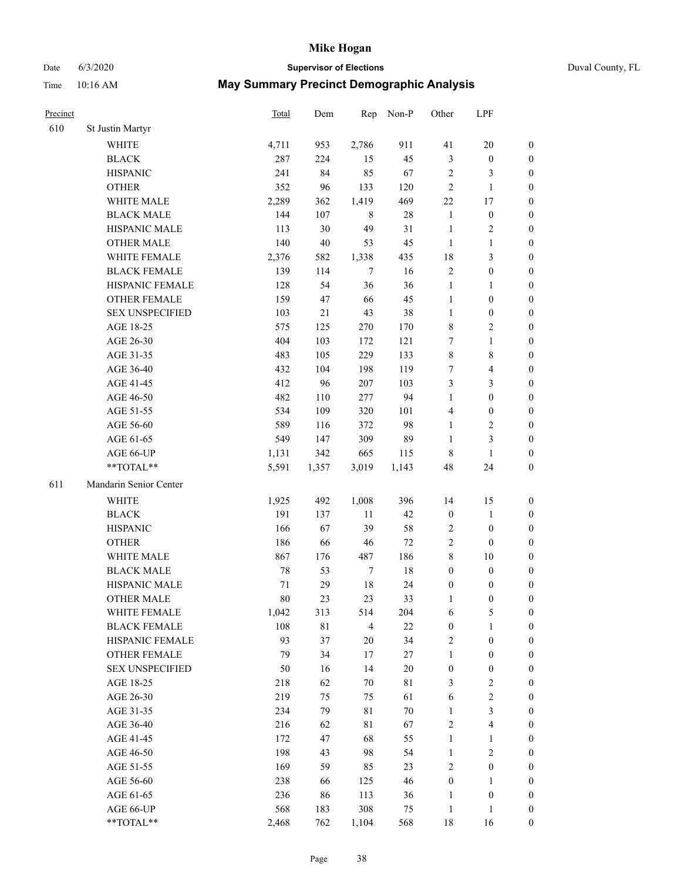Date 6/3/2020 **Supervisor of Elections** Duval County, FL

| Precinct |                        | <b>Total</b> | Dem    | Rep              | Non-P  | Other            | LPF                     |                  |
|----------|------------------------|--------------|--------|------------------|--------|------------------|-------------------------|------------------|
| 610      | St Justin Martyr       |              |        |                  |        |                  |                         |                  |
|          | <b>WHITE</b>           | 4,711        | 953    | 2,786            | 911    | 41               | $20\,$                  | 0                |
|          | <b>BLACK</b>           | 287          | 224    | 15               | 45     | $\mathfrak{Z}$   | $\boldsymbol{0}$        | 0                |
|          | <b>HISPANIC</b>        | 241          | 84     | 85               | 67     | $\overline{c}$   | 3                       | $\boldsymbol{0}$ |
|          | <b>OTHER</b>           | 352          | 96     | 133              | 120    | $\overline{c}$   | $\mathbf{1}$            | $\boldsymbol{0}$ |
|          | WHITE MALE             | 2,289        | 362    | 1,419            | 469    | 22               | 17                      | $\boldsymbol{0}$ |
|          | <b>BLACK MALE</b>      | 144          | 107    | $\,8\,$          | $28\,$ | $\mathbf{1}$     | $\boldsymbol{0}$        | $\boldsymbol{0}$ |
|          | HISPANIC MALE          | 113          | 30     | 49               | 31     | $\mathbf{1}$     | $\sqrt{2}$              | $\boldsymbol{0}$ |
|          | <b>OTHER MALE</b>      | 140          | $40\,$ | 53               | 45     | $\mathbf{1}$     | $\mathbf{1}$            | $\boldsymbol{0}$ |
|          | WHITE FEMALE           | 2,376        | 582    | 1,338            | 435    | 18               | $\mathfrak{Z}$          | $\boldsymbol{0}$ |
|          | <b>BLACK FEMALE</b>    | 139          | 114    | $\tau$           | 16     | $\overline{c}$   | $\boldsymbol{0}$        | 0                |
|          | HISPANIC FEMALE        | 128          | 54     | 36               | 36     | $\mathbf{1}$     | $\mathbf{1}$            | 0                |
|          | <b>OTHER FEMALE</b>    | 159          | 47     | 66               | 45     | $\mathbf{1}$     | $\boldsymbol{0}$        | $\boldsymbol{0}$ |
|          | <b>SEX UNSPECIFIED</b> | 103          | 21     | 43               | 38     | $\mathbf{1}$     | $\boldsymbol{0}$        | $\boldsymbol{0}$ |
|          | AGE 18-25              | 575          | 125    | 270              | 170    | 8                | $\sqrt{2}$              | $\boldsymbol{0}$ |
|          | AGE 26-30              | 404          | 103    | 172              | 121    | 7                | $\mathbf{1}$            | $\boldsymbol{0}$ |
|          | AGE 31-35              | 483          | 105    | 229              | 133    | $\,$ $\,$        | $\,8\,$                 | $\boldsymbol{0}$ |
|          | AGE 36-40              | 432          | 104    | 198              | 119    | 7                | $\overline{\mathbf{4}}$ | $\boldsymbol{0}$ |
|          | AGE 41-45              | 412          | 96     | 207              | 103    | 3                | $\mathfrak{Z}$          | $\boldsymbol{0}$ |
|          | AGE 46-50              | 482          | 110    | 277              | 94     | $\mathbf{1}$     | $\boldsymbol{0}$        | $\boldsymbol{0}$ |
|          | AGE 51-55              | 534          | 109    | 320              | 101    | 4                | $\boldsymbol{0}$        | $\boldsymbol{0}$ |
|          | AGE 56-60              | 589          | 116    | 372              | 98     | $\mathbf{1}$     | $\sqrt{2}$              | 0                |
|          | AGE 61-65              | 549          | 147    | 309              | 89     | $\mathbf{1}$     | $\mathfrak{Z}$          | $\boldsymbol{0}$ |
|          | AGE 66-UP              | 1,131        | 342    | 665              | 115    | 8                | $\mathbf{1}$            | $\boldsymbol{0}$ |
|          | **TOTAL**              | 5,591        | 1,357  | 3,019            | 1,143  | 48               | 24                      | $\boldsymbol{0}$ |
| 611      | Mandarin Senior Center |              |        |                  |        |                  |                         |                  |
|          | <b>WHITE</b>           | 1,925        | 492    | 1,008            | 396    | 14               | 15                      | $\boldsymbol{0}$ |
|          | <b>BLACK</b>           | 191          | 137    | 11               | 42     | $\boldsymbol{0}$ | $\mathbf{1}$            | $\boldsymbol{0}$ |
|          | <b>HISPANIC</b>        | 166          | 67     | 39               | 58     | $\overline{c}$   | $\boldsymbol{0}$        | $\boldsymbol{0}$ |
|          | <b>OTHER</b>           | 186          | 66     | $46\,$           | $72\,$ | $\sqrt{2}$       | $\boldsymbol{0}$        | $\boldsymbol{0}$ |
|          | WHITE MALE             | 867          | 176    | 487              | 186    | 8                | $10\,$                  | $\boldsymbol{0}$ |
|          | <b>BLACK MALE</b>      | 78           | 53     | $\boldsymbol{7}$ | $18\,$ | $\boldsymbol{0}$ | $\boldsymbol{0}$        | $\boldsymbol{0}$ |
|          | HISPANIC MALE          | 71           | 29     | $18\,$           | 24     | $\boldsymbol{0}$ | $\boldsymbol{0}$        | 0                |
|          | <b>OTHER MALE</b>      | 80           | 23     | 23               | 33     | 1                | $\boldsymbol{0}$        | $\boldsymbol{0}$ |
|          | WHITE FEMALE           | 1,042        | 313    | 514              | 204    | 6                | 5                       | 0                |
|          | <b>BLACK FEMALE</b>    | 108          | 81     | $\overline{4}$   | 22     | $\boldsymbol{0}$ | $\mathbf{1}$            | $\boldsymbol{0}$ |
|          | HISPANIC FEMALE        | 93           | 37     | $20\,$           | 34     | $\sqrt{2}$       | $\boldsymbol{0}$        | $\overline{0}$   |
|          | OTHER FEMALE           | 79           | 34     | 17               | 27     | $\mathbf{1}$     | $\boldsymbol{0}$        | $\overline{0}$   |
|          | <b>SEX UNSPECIFIED</b> | 50           | 16     | 14               | 20     | $\boldsymbol{0}$ | $\boldsymbol{0}$        | 0                |
|          | AGE 18-25              | 218          | 62     | 70               | 81     | 3                | $\sqrt{2}$              | 0                |
|          | AGE 26-30              | 219          | 75     | 75               | 61     | 6                | $\sqrt{2}$              | 0                |
|          | AGE 31-35              | 234          | 79     | $8\sqrt{1}$      | $70\,$ | $\mathbf{1}$     | $\mathfrak{Z}$          | 0                |
|          | AGE 36-40              | 216          | 62     | $8\sqrt{1}$      | 67     | $\overline{c}$   | $\overline{\mathbf{4}}$ | 0                |
|          | AGE 41-45              | 172          | 47     | 68               | 55     | $\mathbf{1}$     | $\mathbf{1}$            | 0                |
|          | AGE 46-50              | 198          | 43     | 98               | 54     | $\mathbf{1}$     | $\sqrt{2}$              | 0                |
|          | AGE 51-55              | 169          | 59     | 85               | 23     | $\mathbf{2}$     | $\boldsymbol{0}$        | 0                |
|          | AGE 56-60              | 238          | 66     | 125              | 46     | $\boldsymbol{0}$ | $\mathbf{1}$            | 0                |
|          | AGE 61-65              | 236          | 86     | 113              | 36     | 1                | $\boldsymbol{0}$        | $\overline{0}$   |
|          | AGE 66-UP              | 568          | 183    | 308              | 75     | $\mathbf{1}$     | $\mathbf{1}$            | 0                |
|          | **TOTAL**              | 2,468        | 762    | 1,104            | 568    | 18               | 16                      | $\boldsymbol{0}$ |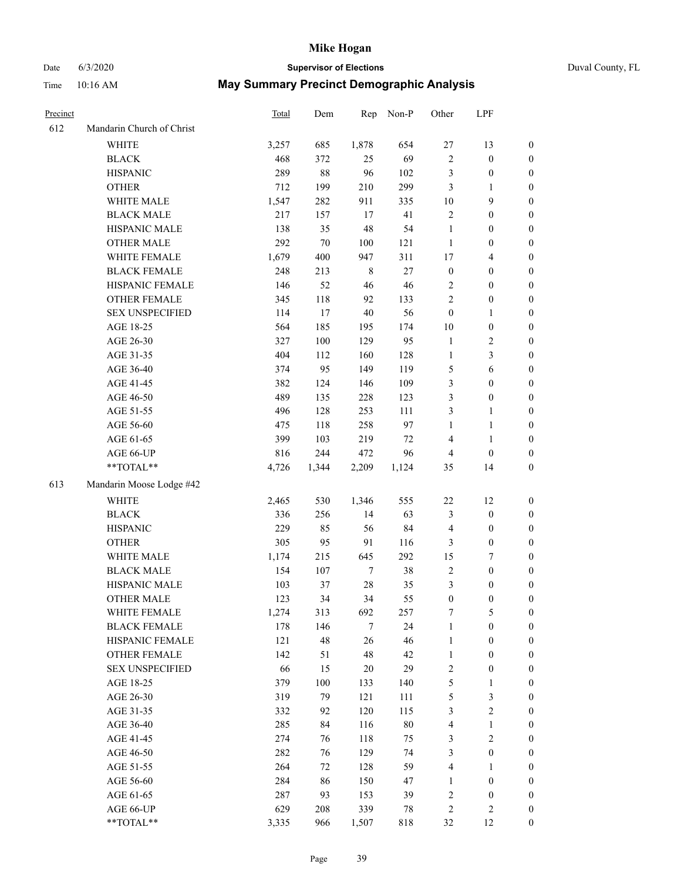# Date 6/3/2020 **Supervisor of Elections** Duval County, FL

| Precinct |                           | Total | Dem     | Rep         | Non-P  | Other            | LPF                     |                  |
|----------|---------------------------|-------|---------|-------------|--------|------------------|-------------------------|------------------|
| 612      | Mandarin Church of Christ |       |         |             |        |                  |                         |                  |
|          | <b>WHITE</b>              | 3,257 | 685     | 1,878       | 654    | $27\,$           | 13                      | $\boldsymbol{0}$ |
|          | <b>BLACK</b>              | 468   | 372     | 25          | 69     | $\sqrt{2}$       | $\boldsymbol{0}$        | $\boldsymbol{0}$ |
|          | <b>HISPANIC</b>           | 289   | 88      | 96          | 102    | 3                | $\boldsymbol{0}$        | $\boldsymbol{0}$ |
|          | <b>OTHER</b>              | 712   | 199     | 210         | 299    | 3                | $\mathbf{1}$            | $\boldsymbol{0}$ |
|          | WHITE MALE                | 1,547 | 282     | 911         | 335    | 10               | $\mathbf{9}$            | $\boldsymbol{0}$ |
|          | <b>BLACK MALE</b>         | 217   | 157     | 17          | 41     | $\mathfrak{2}$   | $\boldsymbol{0}$        | $\boldsymbol{0}$ |
|          | HISPANIC MALE             | 138   | 35      | 48          | 54     | $\mathbf{1}$     | $\boldsymbol{0}$        | $\boldsymbol{0}$ |
|          | <b>OTHER MALE</b>         | 292   | $70\,$  | 100         | 121    | $\mathbf{1}$     | $\boldsymbol{0}$        | 0                |
|          | WHITE FEMALE              | 1,679 | 400     | 947         | 311    | $17$             | $\overline{\mathbf{4}}$ | 0                |
|          | <b>BLACK FEMALE</b>       | 248   | 213     | $\,$ 8 $\,$ | $27\,$ | $\boldsymbol{0}$ | $\boldsymbol{0}$        | $\boldsymbol{0}$ |
|          | HISPANIC FEMALE           | 146   | 52      | 46          | 46     | $\overline{c}$   | $\boldsymbol{0}$        | $\boldsymbol{0}$ |
|          | OTHER FEMALE              | 345   | 118     | 92          | 133    | $\overline{c}$   | $\boldsymbol{0}$        | $\boldsymbol{0}$ |
|          | <b>SEX UNSPECIFIED</b>    | 114   | 17      | $40\,$      | 56     | $\boldsymbol{0}$ | $\mathbf{1}$            | $\boldsymbol{0}$ |
|          | AGE 18-25                 | 564   | 185     | 195         | 174    | $10\,$           | $\boldsymbol{0}$        | $\boldsymbol{0}$ |
|          | AGE 26-30                 | 327   | $100\,$ | 129         | 95     | $\mathbf{1}$     | $\sqrt{2}$              | $\boldsymbol{0}$ |
|          | AGE 31-35                 | 404   | 112     | 160         | 128    | $\mathbf{1}$     | $\mathfrak{Z}$          | $\boldsymbol{0}$ |
|          | AGE 36-40                 | 374   | 95      | 149         | 119    | $\mathfrak s$    | $\sqrt{6}$              | $\boldsymbol{0}$ |
|          | AGE 41-45                 | 382   | 124     | 146         | 109    | 3                | $\boldsymbol{0}$        | 0                |
|          | AGE 46-50                 | 489   | 135     | 228         | 123    | 3                | $\boldsymbol{0}$        | 0                |
|          | AGE 51-55                 | 496   | 128     | 253         | 111    | 3                | $\mathbf{1}$            | $\boldsymbol{0}$ |
|          | AGE 56-60                 | 475   | 118     | 258         | 97     | $\mathbf{1}$     | $\mathbf{1}$            | $\boldsymbol{0}$ |
|          | AGE 61-65                 | 399   | 103     | 219         | 72     | 4                | $\mathbf{1}$            | $\boldsymbol{0}$ |
|          | AGE 66-UP                 | 816   | 244     | 472         | 96     | $\overline{4}$   | $\boldsymbol{0}$        | $\boldsymbol{0}$ |
|          | $**TOTAL**$               | 4,726 | 1,344   | 2,209       | 1,124  | 35               | 14                      | $\boldsymbol{0}$ |
| 613      | Mandarin Moose Lodge #42  |       |         |             |        |                  |                         |                  |
|          | <b>WHITE</b>              | 2,465 | 530     | 1,346       | 555    | $22\,$           | 12                      | $\boldsymbol{0}$ |
|          | <b>BLACK</b>              | 336   | 256     | 14          | 63     | 3                | $\boldsymbol{0}$        | $\boldsymbol{0}$ |
|          | <b>HISPANIC</b>           | 229   | 85      | 56          | 84     | $\overline{4}$   | $\boldsymbol{0}$        | $\boldsymbol{0}$ |
|          | <b>OTHER</b>              | 305   | 95      | 91          | 116    | 3                | $\boldsymbol{0}$        | $\boldsymbol{0}$ |
|          | WHITE MALE                | 1,174 | 215     | 645         | 292    | 15               | 7                       | 0                |
|          | <b>BLACK MALE</b>         | 154   | 107     | 7           | 38     | $\sqrt{2}$       | $\boldsymbol{0}$        | 0                |
|          | HISPANIC MALE             | 103   | 37      | $28\,$      | 35     | $\mathfrak{Z}$   | $\boldsymbol{0}$        | $\boldsymbol{0}$ |
|          | <b>OTHER MALE</b>         | 123   | 34      | 34          | 55     | $\boldsymbol{0}$ | $\boldsymbol{0}$        | $\boldsymbol{0}$ |
|          | WHITE FEMALE              | 1,274 | 313     | 692         | 257    | 7                | 5                       | $\boldsymbol{0}$ |
|          | <b>BLACK FEMALE</b>       | 178   | 146     | $\tau$      | 24     | $\mathbf{1}$     | $\boldsymbol{0}$        | $\overline{0}$   |
|          | HISPANIC FEMALE           | 121   | 48      | 26          | 46     | $\mathbf{1}$     | $\boldsymbol{0}$        | $\overline{0}$   |
|          | <b>OTHER FEMALE</b>       | 142   | 51      | 48          | 42     | $\mathbf{1}$     | $\boldsymbol{0}$        | 0                |
|          | <b>SEX UNSPECIFIED</b>    | 66    | 15      | $20\,$      | 29     | $\sqrt{2}$       | $\boldsymbol{0}$        | 0                |
|          | AGE 18-25                 | 379   | $100\,$ | 133         | 140    | $\mathfrak s$    | $\mathbf{1}$            | 0                |
|          | AGE 26-30                 | 319   | 79      | 121         | 111    | $\mathfrak s$    | $\mathfrak{Z}$          | 0                |
|          | AGE 31-35                 | 332   | 92      | 120         | 115    | 3                | $\sqrt{2}$              | 0                |
|          | AGE 36-40                 | 285   | 84      | 116         | $80\,$ | 4                | $\mathbf{1}$            | 0                |
|          | AGE 41-45                 | 274   | 76      | 118         | 75     | $\mathfrak{Z}$   | $\sqrt{2}$              | 0                |
|          | AGE 46-50                 | 282   | 76      | 129         | 74     | 3                | $\boldsymbol{0}$        | $\boldsymbol{0}$ |
|          | AGE 51-55                 | 264   | 72      | 128         | 59     | $\overline{4}$   | $\mathbf{1}$            | $\boldsymbol{0}$ |
|          | AGE 56-60                 | 284   | 86      | 150         | 47     | $\mathbf{1}$     | $\boldsymbol{0}$        | 0                |
|          | AGE 61-65                 | 287   | 93      | 153         | 39     | 2                | $\boldsymbol{0}$        | $\overline{0}$   |
|          | AGE 66-UP                 | 629   | 208     | 339         | 78     | $\sqrt{2}$       | $\sqrt{2}$              | $\boldsymbol{0}$ |
|          | **TOTAL**                 | 3,335 | 966     | 1,507       | 818    | 32               | 12                      | $\boldsymbol{0}$ |
|          |                           |       |         |             |        |                  |                         |                  |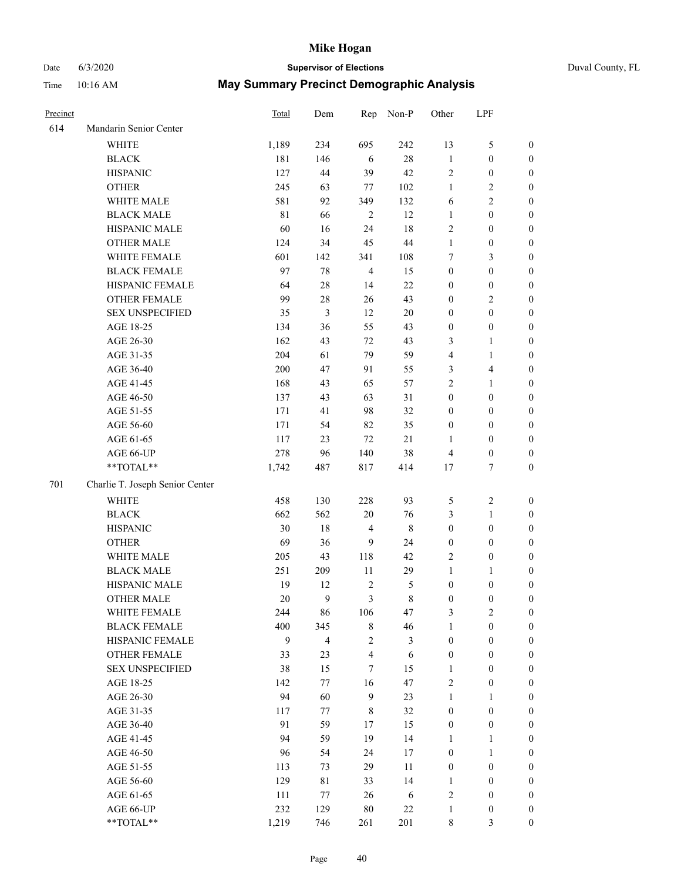# Date 6/3/2020 **Supervisor of Elections** Duval County, FL

| Precinct |                                     | Total      | Dem                             | Rep             | Non-P                | Other                                | LPF                                  |                                      |
|----------|-------------------------------------|------------|---------------------------------|-----------------|----------------------|--------------------------------------|--------------------------------------|--------------------------------------|
| 614      | Mandarin Senior Center              |            |                                 |                 |                      |                                      |                                      |                                      |
|          | <b>WHITE</b>                        | 1,189      | 234                             | 695             | 242                  | 13                                   | $\mathfrak{S}$                       | 0                                    |
|          | <b>BLACK</b>                        | 181        | 146                             | 6               | $28\,$               | $\mathbf{1}$                         | $\boldsymbol{0}$                     | 0                                    |
|          | <b>HISPANIC</b>                     | 127        | 44                              | 39              | 42                   | $\sqrt{2}$                           | $\boldsymbol{0}$                     | $\boldsymbol{0}$                     |
|          | <b>OTHER</b>                        | 245        | 63                              | 77              | 102                  | 1                                    | $\sqrt{2}$                           | $\boldsymbol{0}$                     |
|          | WHITE MALE                          | 581        | 92                              | 349             | 132                  | 6                                    | $\sqrt{2}$                           | $\boldsymbol{0}$                     |
|          | <b>BLACK MALE</b>                   | 81         | 66                              | $\sqrt{2}$      | 12                   | $\mathbf{1}$                         | $\boldsymbol{0}$                     | $\boldsymbol{0}$                     |
|          | HISPANIC MALE                       | 60         | 16                              | 24              | 18                   | 2                                    | $\boldsymbol{0}$                     | $\boldsymbol{0}$                     |
|          | <b>OTHER MALE</b>                   | 124        | 34                              | 45              | $44\,$               | $\mathbf{1}$                         | $\boldsymbol{0}$                     | $\boldsymbol{0}$                     |
|          | WHITE FEMALE                        | 601        | 142                             | 341             | 108                  | 7                                    | $\mathfrak{Z}$                       | $\boldsymbol{0}$                     |
|          | <b>BLACK FEMALE</b>                 | 97         | 78                              | $\overline{4}$  | 15                   | $\boldsymbol{0}$                     | $\boldsymbol{0}$                     | $\boldsymbol{0}$                     |
|          | HISPANIC FEMALE                     | 64         | $28\,$                          | 14              | 22                   | $\boldsymbol{0}$                     | $\boldsymbol{0}$                     | 0                                    |
|          | OTHER FEMALE                        | 99         | $28\,$                          | 26              | 43                   | $\boldsymbol{0}$                     | $\sqrt{2}$                           | $\boldsymbol{0}$                     |
|          | <b>SEX UNSPECIFIED</b>              | 35         | 3                               | 12              | $20\,$               | $\boldsymbol{0}$                     | $\boldsymbol{0}$                     | $\boldsymbol{0}$                     |
|          | AGE 18-25                           | 134        | 36                              | 55              | 43                   | $\boldsymbol{0}$                     | $\boldsymbol{0}$                     | $\boldsymbol{0}$                     |
|          | AGE 26-30                           | 162        | 43                              | 72              | 43                   | 3                                    | $\mathbf{1}$                         | $\boldsymbol{0}$                     |
|          | AGE 31-35                           | 204        | 61                              | 79              | 59                   | 4                                    | $\mathbf{1}$                         | $\boldsymbol{0}$                     |
|          | AGE 36-40                           | 200        | 47                              | 91              | 55                   | 3                                    | $\overline{\mathbf{4}}$              | $\boldsymbol{0}$                     |
|          | AGE 41-45                           | 168        | 43                              | 65              | 57                   | 2                                    | $\mathbf{1}$                         | $\boldsymbol{0}$                     |
|          | AGE 46-50                           | 137        | 43                              | 63              | 31                   | $\boldsymbol{0}$                     | $\boldsymbol{0}$                     | $\boldsymbol{0}$                     |
|          | AGE 51-55                           | 171        | 41                              | 98              | 32                   | $\boldsymbol{0}$                     | $\boldsymbol{0}$                     | $\boldsymbol{0}$                     |
|          | AGE 56-60                           | 171        | 54                              | 82              | 35                   | $\boldsymbol{0}$                     | $\boldsymbol{0}$                     | 0                                    |
|          | AGE 61-65                           | 117        | 23                              | 72              | 21                   | 1                                    | $\boldsymbol{0}$                     | 0                                    |
|          | AGE 66-UP                           | 278        | 96                              | 140             | 38                   | 4                                    | $\boldsymbol{0}$                     | $\boldsymbol{0}$                     |
|          | **TOTAL**                           | 1,742      | 487                             | 817             | 414                  | 17                                   | $\tau$                               | $\boldsymbol{0}$                     |
| 701      | Charlie T. Joseph Senior Center     |            |                                 |                 |                      |                                      |                                      |                                      |
|          | <b>WHITE</b>                        | 458        | 130                             | 228             | 93                   |                                      | $\sqrt{2}$                           |                                      |
|          | <b>BLACK</b>                        | 662        | 562                             | $20\,$          | 76                   | 5                                    |                                      | $\boldsymbol{0}$                     |
|          | <b>HISPANIC</b>                     | 30         | 18                              | $\overline{4}$  | $\,$ 8 $\,$          | 3<br>$\boldsymbol{0}$                | $\mathbf{1}$<br>$\boldsymbol{0}$     | $\boldsymbol{0}$<br>$\boldsymbol{0}$ |
|          |                                     |            |                                 |                 |                      |                                      |                                      |                                      |
|          | <b>OTHER</b><br>WHITE MALE          | 69         | 36                              | 9               | 24                   | $\boldsymbol{0}$                     | $\boldsymbol{0}$                     | $\boldsymbol{0}$                     |
|          | <b>BLACK MALE</b>                   | 205<br>251 | 43<br>209                       | 118<br>$11\,$   | 42<br>29             | 2<br>$\mathbf{1}$                    | $\boldsymbol{0}$                     | $\boldsymbol{0}$<br>$\boldsymbol{0}$ |
|          | HISPANIC MALE                       | 19         | 12                              |                 |                      |                                      | 1                                    |                                      |
|          | OTHER MALE                          | 20         | 9                               | $\sqrt{2}$<br>3 | 5<br>$\,$ 8 $\,$     | $\boldsymbol{0}$<br>$\boldsymbol{0}$ | $\boldsymbol{0}$<br>$\boldsymbol{0}$ | 0<br>$\boldsymbol{0}$                |
|          |                                     |            |                                 |                 |                      |                                      |                                      | 0                                    |
|          | WHITE FEMALE<br><b>BLACK FEMALE</b> | 244<br>400 | 86                              | 106             | 47                   | 3<br>$\mathbf{1}$                    | 2<br>$\boldsymbol{0}$                | $\overline{0}$                       |
|          | HISPANIC FEMALE                     | 9          | 345<br>$\overline{\mathcal{L}}$ | 8<br>$\sqrt{2}$ | 46<br>$\mathfrak{Z}$ | $\boldsymbol{0}$                     | $\boldsymbol{0}$                     | $\overline{0}$                       |
|          | <b>OTHER FEMALE</b>                 | 33         | 23                              | $\overline{4}$  | 6                    | $\boldsymbol{0}$                     | $\boldsymbol{0}$                     | $\overline{0}$                       |
|          | <b>SEX UNSPECIFIED</b>              | 38         | 15                              | 7               | 15                   | $\mathbf{1}$                         | $\boldsymbol{0}$                     | $\overline{0}$                       |
|          | AGE 18-25                           | 142        | 77                              | 16              | 47                   | 2                                    | $\boldsymbol{0}$                     | $\overline{0}$                       |
|          | AGE 26-30                           | 94         | 60                              | $\overline{9}$  | 23                   | $\mathbf{1}$                         | $\mathbf{1}$                         | $\overline{0}$                       |
|          | AGE 31-35                           | 117        | 77                              | 8               | 32                   | $\boldsymbol{0}$                     | $\boldsymbol{0}$                     | 0                                    |
|          | AGE 36-40                           | 91         | 59                              | 17              | 15                   | $\boldsymbol{0}$                     | $\boldsymbol{0}$                     | 0                                    |
|          | AGE 41-45                           | 94         | 59                              | 19              | 14                   | $\mathbf{1}$                         | $\mathbf{1}$                         | 0                                    |
|          | AGE 46-50                           | 96         | 54                              | 24              | 17                   | $\boldsymbol{0}$                     | $\mathbf{1}$                         | 0                                    |
|          | AGE 51-55                           |            | 73                              | 29              | 11                   |                                      | $\boldsymbol{0}$                     | $\overline{0}$                       |
|          | AGE 56-60                           | 113<br>129 | 81                              | 33              | 14                   | $\boldsymbol{0}$<br>1                | $\boldsymbol{0}$                     | $\overline{0}$                       |
|          | AGE 61-65                           | 111        | 77                              | 26              | 6                    | 2                                    | $\boldsymbol{0}$                     | $\overline{0}$                       |
|          | AGE 66-UP                           | 232        | 129                             | $80\,$          | $22\,$               | $\mathbf{1}$                         | $\boldsymbol{0}$                     | 0                                    |
|          | **TOTAL**                           | 1,219      | 746                             | 261             | 201                  | $\,8\,$                              | $\mathfrak{Z}$                       | $\boldsymbol{0}$                     |
|          |                                     |            |                                 |                 |                      |                                      |                                      |                                      |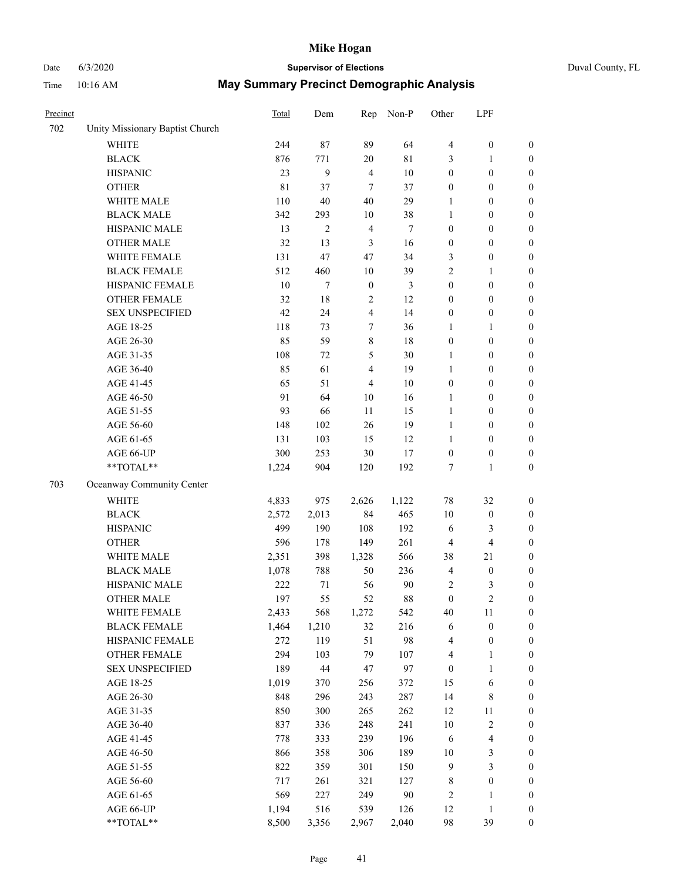# Date 6/3/2020 **Supervisor of Elections**

|  | Duval County, FL |  |
|--|------------------|--|
|--|------------------|--|

| Precinct |                                 | <b>Total</b> | Dem            | Rep              | Non-P  | Other            | LPF                     |                  |
|----------|---------------------------------|--------------|----------------|------------------|--------|------------------|-------------------------|------------------|
| 702      | Unity Missionary Baptist Church |              |                |                  |        |                  |                         |                  |
|          | <b>WHITE</b>                    | 244          | 87             | 89               | 64     | $\overline{4}$   | $\boldsymbol{0}$        | 0                |
|          | <b>BLACK</b>                    | 876          | 771            | $20\,$           | 81     | 3                | $\mathbf{1}$            | $\boldsymbol{0}$ |
|          | <b>HISPANIC</b>                 | 23           | 9              | $\overline{4}$   | 10     | $\boldsymbol{0}$ | $\boldsymbol{0}$        | $\boldsymbol{0}$ |
|          | <b>OTHER</b>                    | 81           | 37             | $\overline{7}$   | 37     | $\boldsymbol{0}$ | $\boldsymbol{0}$        | $\boldsymbol{0}$ |
|          | WHITE MALE                      | 110          | 40             | 40               | 29     | 1                | $\boldsymbol{0}$        | $\boldsymbol{0}$ |
|          | <b>BLACK MALE</b>               | 342          | 293            | 10               | 38     | $\mathbf{1}$     | $\boldsymbol{0}$        | $\boldsymbol{0}$ |
|          | HISPANIC MALE                   | 13           | $\overline{c}$ | $\overline{4}$   | $\tau$ | $\boldsymbol{0}$ | $\boldsymbol{0}$        | $\boldsymbol{0}$ |
|          | <b>OTHER MALE</b>               | 32           | 13             | $\mathfrak{Z}$   | 16     | $\boldsymbol{0}$ | $\boldsymbol{0}$        | $\boldsymbol{0}$ |
|          | WHITE FEMALE                    | 131          | 47             | 47               | 34     | 3                | $\boldsymbol{0}$        | $\boldsymbol{0}$ |
|          | <b>BLACK FEMALE</b>             | 512          | 460            | 10               | 39     | 2                | $\mathbf{1}$            | $\boldsymbol{0}$ |
|          | HISPANIC FEMALE                 | 10           | $\tau$         | $\boldsymbol{0}$ | 3      | $\boldsymbol{0}$ | $\boldsymbol{0}$        | $\boldsymbol{0}$ |
|          | <b>OTHER FEMALE</b>             | 32           | $18\,$         | $\sqrt{2}$       | 12     | $\boldsymbol{0}$ | $\boldsymbol{0}$        | $\boldsymbol{0}$ |
|          | <b>SEX UNSPECIFIED</b>          | 42           | 24             | $\overline{4}$   | 14     | $\boldsymbol{0}$ | $\boldsymbol{0}$        | $\boldsymbol{0}$ |
|          | AGE 18-25                       | 118          | 73             | 7                | 36     | 1                | 1                       | $\boldsymbol{0}$ |
|          | AGE 26-30                       | 85           | 59             | 8                | 18     | $\boldsymbol{0}$ | $\boldsymbol{0}$        | $\boldsymbol{0}$ |
|          | AGE 31-35                       | 108          | 72             | 5                | 30     | $\mathbf{1}$     | $\boldsymbol{0}$        | $\boldsymbol{0}$ |
|          | AGE 36-40                       | 85           | 61             | 4                | 19     | $\mathbf{1}$     | $\boldsymbol{0}$        | $\boldsymbol{0}$ |
|          | AGE 41-45                       | 65           | 51             | $\overline{4}$   | $10\,$ | $\boldsymbol{0}$ | $\boldsymbol{0}$        | $\boldsymbol{0}$ |
|          | AGE 46-50                       | 91           | 64             | $10\,$           | 16     | $\mathbf{1}$     | $\boldsymbol{0}$        | $\boldsymbol{0}$ |
|          | AGE 51-55                       | 93           | 66             | 11               | 15     | $\mathbf{1}$     | $\boldsymbol{0}$        | $\boldsymbol{0}$ |
|          | AGE 56-60                       | 148          | 102            | 26               | 19     | $\mathbf{1}$     | $\boldsymbol{0}$        | 0                |
|          | AGE 61-65                       | 131          | 103            | 15               | 12     | 1                | $\boldsymbol{0}$        | $\boldsymbol{0}$ |
|          | AGE 66-UP                       | 300          | 253            | 30               | 17     | $\boldsymbol{0}$ | $\boldsymbol{0}$        | $\boldsymbol{0}$ |
|          | **TOTAL**                       | 1,224        | 904            | 120              | 192    | 7                | $\mathbf{1}$            | $\boldsymbol{0}$ |
| 703      | Oceanway Community Center       |              |                |                  |        |                  |                         |                  |
|          | WHITE                           | 4,833        | 975            | 2,626            | 1,122  | 78               | 32                      | $\boldsymbol{0}$ |
|          | <b>BLACK</b>                    | 2,572        | 2,013          | 84               | 465    | 10               | $\boldsymbol{0}$        | $\boldsymbol{0}$ |
|          | <b>HISPANIC</b>                 | 499          | 190            | 108              | 192    | 6                | 3                       | $\boldsymbol{0}$ |
|          | <b>OTHER</b>                    | 596          | 178            | 149              | 261    | 4                | $\overline{4}$          | $\boldsymbol{0}$ |
|          | WHITE MALE                      | 2,351        | 398            | 1,328            | 566    | 38               | 21                      | $\boldsymbol{0}$ |
|          | <b>BLACK MALE</b>               | 1,078        | 788            | 50               | 236    | $\overline{4}$   | $\boldsymbol{0}$        | $\boldsymbol{0}$ |
|          | HISPANIC MALE                   | 222          | 71             | 56               | 90     | $\overline{c}$   | 3                       | $\boldsymbol{0}$ |
|          | <b>OTHER MALE</b>               | 197          | 55             | 52               | $88\,$ | $\boldsymbol{0}$ | $\overline{c}$          | $\boldsymbol{0}$ |
|          | WHITE FEMALE                    | 2,433        | 568            | 1,272            | 542    | 40               | 11                      | 0                |
|          | <b>BLACK FEMALE</b>             | 1,464        | 1,210          | 32               | 216    | 6                | $\boldsymbol{0}$        | 0                |
|          | HISPANIC FEMALE                 | 272          | 119            | 51               | 98     | 4                | $\boldsymbol{0}$        | $\boldsymbol{0}$ |
|          | <b>OTHER FEMALE</b>             | 294          | 103            | 79               | 107    | 4                | $\mathbf{1}$            | $\overline{0}$   |
|          | <b>SEX UNSPECIFIED</b>          | 189          | $44\,$         | 47               | 97     | $\boldsymbol{0}$ | $\mathbf{1}$            | 0                |
|          | AGE 18-25                       | 1,019        | 370            | 256              | 372    | 15               | 6                       | 0                |
|          | AGE 26-30                       | 848          | 296            | 243              | 287    | 14               | $8\,$                   | 0                |
|          | AGE 31-35                       | 850          | 300            | 265              | 262    | 12               | $11\,$                  | 0                |
|          | AGE 36-40                       | 837          | 336            | 248              | 241    | 10               | $\sqrt{2}$              | 0                |
|          | AGE 41-45                       | 778          | 333            | 239              | 196    | 6                | $\overline{\mathbf{4}}$ | 0                |
|          | AGE 46-50                       | 866          | 358            | 306              | 189    | 10               | $\mathfrak{Z}$          | 0                |
|          | AGE 51-55                       | 822          | 359            | 301              | 150    | 9                | 3                       | 0                |
|          | AGE 56-60                       | 717          | 261            | 321              | 127    | 8                | $\boldsymbol{0}$        | 0                |
|          | AGE 61-65                       | 569          | 227            | 249              | 90     | $\overline{c}$   | 1                       | 0                |
|          | AGE 66-UP                       | 1,194        | 516            | 539              | 126    | 12               | $\mathbf{1}$            | 0                |
|          | **TOTAL**                       | 8,500        | 3,356          | 2,967            | 2,040  | 98               | 39                      | $\boldsymbol{0}$ |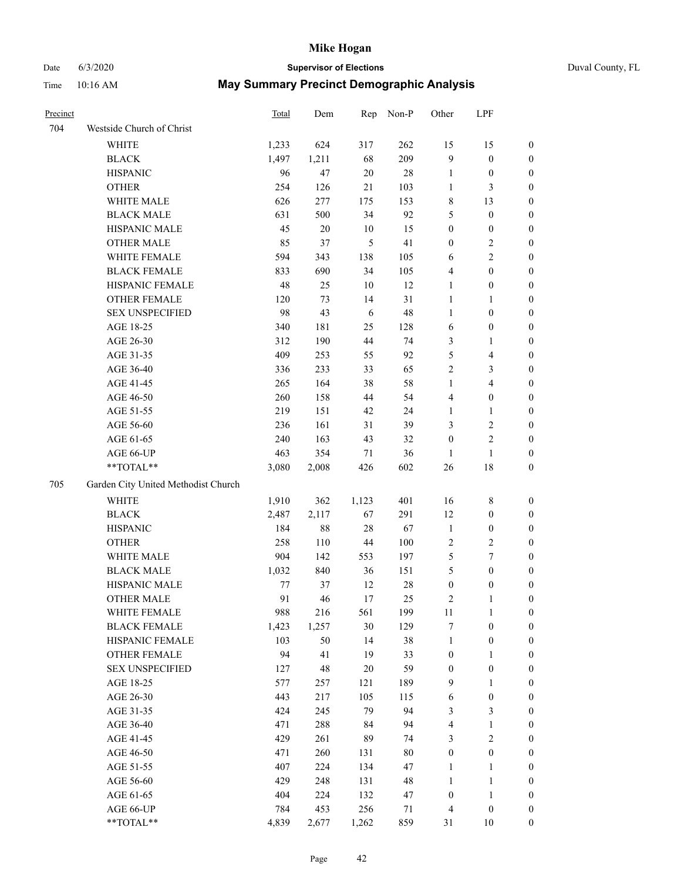# Date 6/3/2020 **Supervisor of Elections** Duval County, FL

| Precinct |                                                           | <b>Total</b> | Dem    | Rep            | Non-P  | Other            | LPF                     |                  |
|----------|-----------------------------------------------------------|--------------|--------|----------------|--------|------------------|-------------------------|------------------|
| 704      | Westside Church of Christ                                 |              |        |                |        |                  |                         |                  |
|          | <b>WHITE</b>                                              | 1,233        | 624    | 317            | 262    | 15               | 15                      | 0                |
|          | <b>BLACK</b>                                              | 1,497        | 1,211  | 68             | 209    | 9                | $\boldsymbol{0}$        | 0                |
|          | <b>HISPANIC</b>                                           | 96           | 47     | $20\,$         | 28     | $\mathbf{1}$     | $\boldsymbol{0}$        | 0                |
|          | <b>OTHER</b>                                              | 254          | 126    | 21             | 103    | 1                | 3                       | $\boldsymbol{0}$ |
|          | WHITE MALE                                                | 626          | 277    | 175            | 153    | 8                | 13                      | $\boldsymbol{0}$ |
|          | <b>BLACK MALE</b>                                         | 631          | 500    | 34             | 92     | 5                | $\boldsymbol{0}$        | $\boldsymbol{0}$ |
|          | HISPANIC MALE                                             | 45           | $20\,$ | 10             | 15     | $\boldsymbol{0}$ | $\boldsymbol{0}$        | $\boldsymbol{0}$ |
|          | <b>OTHER MALE</b>                                         | 85           | 37     | $\mathfrak{S}$ | 41     | $\boldsymbol{0}$ | $\overline{2}$          | $\boldsymbol{0}$ |
|          | WHITE FEMALE                                              | 594          | 343    | 138            | 105    | 6                | $\overline{2}$          | $\boldsymbol{0}$ |
|          | <b>BLACK FEMALE</b>                                       | 833          | 690    | 34             | 105    | 4                | $\boldsymbol{0}$        | 0                |
|          | HISPANIC FEMALE                                           | 48           | 25     | 10             | 12     | $\mathbf{1}$     | $\boldsymbol{0}$        | 0                |
|          | OTHER FEMALE                                              | 120          | 73     | 14             | 31     | $\mathbf{1}$     | $\mathbf{1}$            | 0                |
|          | <b>SEX UNSPECIFIED</b>                                    | 98           | 43     | 6              | 48     | $\mathbf{1}$     | $\boldsymbol{0}$        | $\boldsymbol{0}$ |
|          | AGE 18-25                                                 | 340          | 181    | 25             | 128    | 6                | $\boldsymbol{0}$        | $\boldsymbol{0}$ |
|          | AGE 26-30                                                 | 312          | 190    | 44             | 74     | 3                | $\mathbf{1}$            | $\boldsymbol{0}$ |
|          | AGE 31-35                                                 | 409          | 253    | 55             | 92     | 5                | $\overline{\mathbf{4}}$ | $\boldsymbol{0}$ |
|          | AGE 36-40                                                 | 336          | 233    | 33             | 65     | $\overline{c}$   | $\mathfrak{Z}$          | $\boldsymbol{0}$ |
|          | AGE 41-45                                                 | 265          | 164    | 38             | 58     | $\mathbf{1}$     | $\overline{4}$          | $\boldsymbol{0}$ |
|          | AGE 46-50                                                 | 260          | 158    | $44\,$         | 54     | 4                | $\boldsymbol{0}$        | $\boldsymbol{0}$ |
|          | AGE 51-55                                                 | 219          | 151    | 42             | 24     | $\mathbf{1}$     | $\mathbf{1}$            | 0                |
|          | AGE 56-60                                                 | 236          | 161    | 31             | 39     | 3                | $\sqrt{2}$              | 0                |
|          | AGE 61-65                                                 | 240          | 163    | 43             | 32     | $\boldsymbol{0}$ | $\sqrt{2}$              | 0                |
|          | AGE 66-UP                                                 | 463          | 354    | 71             | 36     | $\mathbf{1}$     | $\mathbf{1}$            | 0                |
|          | **TOTAL**                                                 | 3,080        | 2,008  | 426            | 602    | $26\,$           | $18\,$                  | $\boldsymbol{0}$ |
|          |                                                           |              |        |                |        |                  |                         |                  |
| 705      | Garden City United Methodist Church                       |              |        |                |        |                  |                         |                  |
|          | <b>WHITE</b>                                              | 1,910        | 362    | 1,123          | 401    | 16               | $\,$ 8 $\,$             | $\boldsymbol{0}$ |
|          | <b>BLACK</b>                                              | 2,487        | 2,117  | 67             | 291    | 12               | $\boldsymbol{0}$        | $\boldsymbol{0}$ |
|          | <b>HISPANIC</b>                                           | 184          | $88\,$ | 28             | 67     | $\mathbf{1}$     | $\boldsymbol{0}$        | $\boldsymbol{0}$ |
|          | <b>OTHER</b>                                              | 258          | 110    | 44             | 100    | $\sqrt{2}$       | $\sqrt{2}$              | $\boldsymbol{0}$ |
|          | WHITE MALE                                                | 904          | 142    | 553            | 197    | 5                | $\tau$                  | $\boldsymbol{0}$ |
|          | <b>BLACK MALE</b>                                         | 1,032        | 840    | 36             | 151    | 5                | $\boldsymbol{0}$        | $\boldsymbol{0}$ |
|          | HISPANIC MALE                                             | 77           | 37     | 12             | $28\,$ | $\boldsymbol{0}$ | $\boldsymbol{0}$        | 0                |
|          | <b>OTHER MALE</b>                                         | 91           | 46     | 17             | 25     | 2                | 1                       | 0                |
|          | WHITE FEMALE                                              | 988          | 216    | 561            | 199    | 11               | 1                       | 0                |
|          | <b>BLACK FEMALE</b>                                       | 1,423        | 1,257  | 30             | 129    | 7                | $\boldsymbol{0}$        | $\boldsymbol{0}$ |
|          | HISPANIC FEMALE                                           | 103          | 50     | 14             | 38     | $\mathbf{1}$     | $\boldsymbol{0}$        | $\overline{0}$   |
|          | <b>OTHER FEMALE</b>                                       | 94           | 41     | 19             | 33     | $\boldsymbol{0}$ | $\mathbf{1}$            | $\overline{0}$   |
|          | <b>SEX UNSPECIFIED</b>                                    | 127          | 48     | 20             | 59     | $\boldsymbol{0}$ | $\boldsymbol{0}$        | 0                |
|          | AGE 18-25                                                 | 577          | 257    | 121            | 189    | 9                | $\mathbf{1}$            | $\theta$         |
|          | AGE 26-30                                                 | 443          | 217    | 105            | 115    | 6                | $\boldsymbol{0}$        | 0                |
|          | AGE 31-35                                                 | 424          | 245    | 79             | 94     | 3                | $\mathfrak{Z}$          | 0                |
|          | AGE 36-40                                                 | 471          | 288    | 84             | 94     | 4                | $\mathbf{1}$            | 0                |
|          | AGE 41-45                                                 | 429          | 261    | 89             | 74     | 3                | $\mathfrak{2}$          | 0                |
|          | AGE 46-50                                                 | 471          | 260    | 131            | $80\,$ | $\boldsymbol{0}$ | $\boldsymbol{0}$        | 0                |
|          | AGE 51-55                                                 | 407          | 224    | 134            | 47     | $\mathbf{1}$     | $\mathbf{1}$            | 0                |
|          | AGE 56-60                                                 | 429          | 248    | 131            | 48     | $\mathbf{1}$     | $\mathbf{1}$            | $\boldsymbol{0}$ |
|          | AGE 61-65                                                 | 404          | 224    | 132            | 47     | $\boldsymbol{0}$ | $\mathbf{1}$            | $\overline{0}$   |
|          | AGE 66-UP                                                 | 784          | 453    | 256            | 71     | 4                | $\boldsymbol{0}$        | 0                |
|          | $\mathrm{*}\mathrm{*}\mathrm{TOTAL} \mathrm{*}\mathrm{*}$ | 4,839        | 2,677  | 1,262          | 859    | 31               | 10                      | $\boldsymbol{0}$ |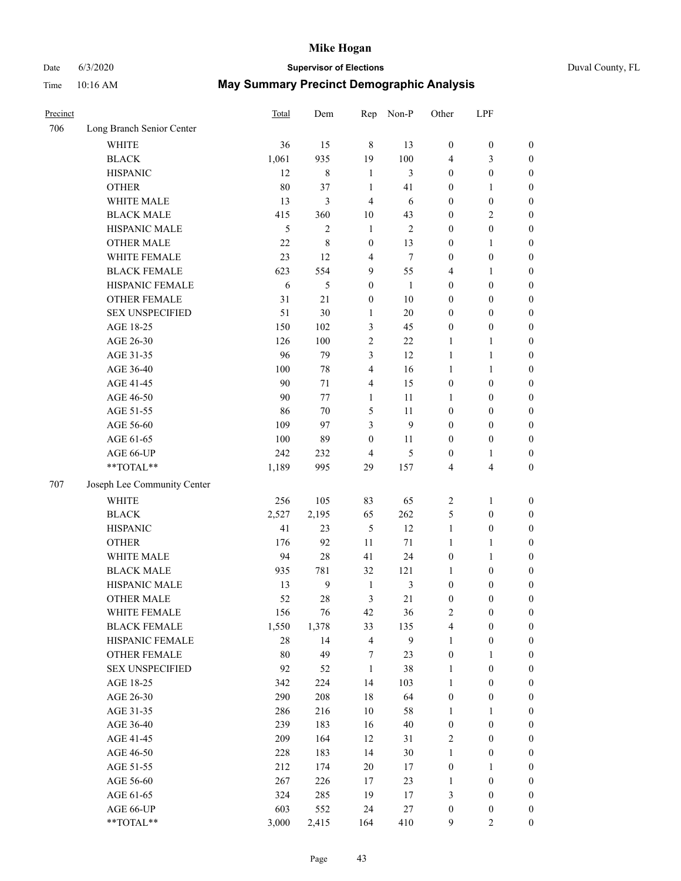# Date 6/3/2020 **Supervisor of Elections** Duval County, FL

| Precinct |                             | Total      | Dem              | Rep              | Non-P          | Other                 | LPF                                  |                            |
|----------|-----------------------------|------------|------------------|------------------|----------------|-----------------------|--------------------------------------|----------------------------|
| 706      | Long Branch Senior Center   |            |                  |                  |                |                       |                                      |                            |
|          | <b>WHITE</b>                | 36         | 15               | $\,8\,$          | 13             | $\boldsymbol{0}$      | $\boldsymbol{0}$                     | $\boldsymbol{0}$           |
|          | <b>BLACK</b>                | 1,061      | 935              | 19               | 100            | 4                     | 3                                    | $\boldsymbol{0}$           |
|          | <b>HISPANIC</b>             | 12         | $\,$ 8 $\,$      | $\mathbf{1}$     | 3              | $\boldsymbol{0}$      | $\boldsymbol{0}$                     | $\boldsymbol{0}$           |
|          | <b>OTHER</b>                | 80         | 37               | $\mathbf{1}$     | 41             | 0                     | 1                                    | $\boldsymbol{0}$           |
|          | WHITE MALE                  | 13         | 3                | 4                | 6              | $\boldsymbol{0}$      | $\boldsymbol{0}$                     | $\boldsymbol{0}$           |
|          | <b>BLACK MALE</b>           | 415        | 360              | 10               | 43             | $\boldsymbol{0}$      | $\sqrt{2}$                           | $\boldsymbol{0}$           |
|          | HISPANIC MALE               | 5          | $\overline{c}$   | $\mathbf{1}$     | $\mathfrak{2}$ | $\boldsymbol{0}$      | $\boldsymbol{0}$                     | $\boldsymbol{0}$           |
|          | <b>OTHER MALE</b>           | 22         | $\,$ 8 $\,$      | $\boldsymbol{0}$ | 13             | $\boldsymbol{0}$      | $\mathbf{1}$                         | $\boldsymbol{0}$           |
|          | WHITE FEMALE                | 23         | 12               | $\overline{4}$   | $\tau$         | $\boldsymbol{0}$      | $\boldsymbol{0}$                     | $\boldsymbol{0}$           |
|          | <b>BLACK FEMALE</b>         | 623        | 554              | $\overline{9}$   | 55             | 4                     | $\mathbf{1}$                         | $\boldsymbol{0}$           |
|          | HISPANIC FEMALE             | 6          | 5                | $\boldsymbol{0}$ | $\mathbf{1}$   | $\boldsymbol{0}$      | $\boldsymbol{0}$                     | 0                          |
|          | <b>OTHER FEMALE</b>         | 31         | 21               | $\boldsymbol{0}$ | 10             | $\boldsymbol{0}$      | $\boldsymbol{0}$                     | $\boldsymbol{0}$           |
|          | <b>SEX UNSPECIFIED</b>      | 51         | 30               | $\mathbf{1}$     | 20             | $\boldsymbol{0}$      | $\boldsymbol{0}$                     | $\boldsymbol{0}$           |
|          | AGE 18-25                   | 150        | 102              | 3                | 45             | $\boldsymbol{0}$      | $\boldsymbol{0}$                     | $\boldsymbol{0}$           |
|          | AGE 26-30                   | 126        | 100              | $\overline{c}$   | $22\,$         | $\mathbf{1}$          | $\mathbf{1}$                         | $\boldsymbol{0}$           |
|          | AGE 31-35                   | 96         | 79               | 3                | 12             | $\mathbf{1}$          | $\mathbf{1}$                         | $\boldsymbol{0}$           |
|          | AGE 36-40                   | 100        | 78               | 4                | 16             | $\mathbf{1}$          | $\mathbf{1}$                         | $\boldsymbol{0}$           |
|          | AGE 41-45                   | 90         | 71               | $\overline{4}$   | 15             | $\boldsymbol{0}$      | $\boldsymbol{0}$                     | $\boldsymbol{0}$           |
|          | AGE 46-50                   | 90         | 77               | 1                | 11             | 1                     | $\boldsymbol{0}$                     | $\boldsymbol{0}$           |
|          | AGE 51-55                   | 86         | 70               | 5                | 11             | $\boldsymbol{0}$      | $\boldsymbol{0}$                     | $\boldsymbol{0}$           |
|          | AGE 56-60                   | 109        | 97               | 3                | 9              | $\boldsymbol{0}$      | $\boldsymbol{0}$                     | 0                          |
|          | AGE 61-65                   | 100        | 89               | $\boldsymbol{0}$ | 11             | $\boldsymbol{0}$      | $\boldsymbol{0}$                     | 0                          |
|          | AGE 66-UP                   | 242        | 232              | $\overline{4}$   | 5              | $\boldsymbol{0}$      | $\mathbf{1}$                         | $\boldsymbol{0}$           |
|          | **TOTAL**                   | 1,189      | 995              | 29               | 157            | 4                     | $\overline{\mathbf{4}}$              | $\boldsymbol{0}$           |
| 707      | Joseph Lee Community Center |            |                  |                  |                |                       |                                      |                            |
|          | <b>WHITE</b>                | 256        | 105              | 83               | 65             |                       |                                      |                            |
|          | <b>BLACK</b>                | 2,527      |                  | 65               | 262            | $\overline{c}$        | $\mathbf{1}$<br>$\boldsymbol{0}$     | $\boldsymbol{0}$           |
|          | <b>HISPANIC</b>             | 41         | 2,195<br>23      | 5                | 12             | 5<br>$\mathbf{1}$     | $\boldsymbol{0}$                     | $\boldsymbol{0}$           |
|          |                             |            |                  |                  |                |                       |                                      | $\boldsymbol{0}$           |
|          | <b>OTHER</b><br>WHITE MALE  | 176        | 92               | 11               | 71             | $\mathbf{1}$          | $\mathbf{1}$                         | $\boldsymbol{0}$           |
|          | <b>BLACK MALE</b>           | 94         | 28<br>781        | 41<br>32         | 24<br>121      | $\boldsymbol{0}$      | $\mathbf{1}$                         | $\boldsymbol{0}$           |
|          |                             | 935        | $\boldsymbol{9}$ |                  |                | 1                     | $\boldsymbol{0}$                     | $\boldsymbol{0}$           |
|          | HISPANIC MALE               | 13         |                  | $\mathbf{1}$     | $\mathfrak{Z}$ | $\boldsymbol{0}$      | $\boldsymbol{0}$                     | $\boldsymbol{0}$           |
|          | OTHER MALE                  | 52         | 28               | 3                | 21             | $\boldsymbol{0}$      | $\boldsymbol{0}$                     | $\boldsymbol{0}$           |
|          | WHITE FEMALE                | 156        | 76               | 42               | 36             | 2                     | $\boldsymbol{0}$                     | 0                          |
|          | <b>BLACK FEMALE</b>         | 1,550      | 1,378            | 33               | 135            | 4                     | $\boldsymbol{0}$                     | $\boldsymbol{0}$           |
|          | HISPANIC FEMALE             | 28         | 14               | $\overline{4}$   | $\mathbf{9}$   | $\mathbf{1}$          | $\boldsymbol{0}$                     | $\overline{0}$             |
|          | OTHER FEMALE                | 80         | 49               | 7                | 23             | $\boldsymbol{0}$      | $\mathbf{1}$                         | $\overline{0}$             |
|          | <b>SEX UNSPECIFIED</b>      | 92         | 52               | $\mathbf{1}$     | 38             | $\mathbf{1}$          | $\boldsymbol{0}$                     | $\overline{0}$<br>$\theta$ |
|          | AGE 18-25                   | 342        | 224              | 14               | 103            | $\mathbf{1}$          | $\boldsymbol{0}$                     |                            |
|          | AGE 26-30                   | 290<br>286 | 208<br>216       | 18<br>$10\,$     | 64<br>58       | $\boldsymbol{0}$      | $\boldsymbol{0}$                     | 0                          |
|          | AGE 31-35<br>AGE 36-40      |            |                  |                  |                | $\mathbf{1}$          | 1                                    | 0                          |
|          |                             | 239<br>209 | 183              | 16<br>12         | $40\,$<br>31   | $\boldsymbol{0}$<br>2 | $\boldsymbol{0}$<br>$\boldsymbol{0}$ | 0                          |
|          | AGE 41-45                   |            | 164              |                  |                |                       |                                      | 0                          |
|          | AGE 46-50                   | 228        | 183              | 14               | $30\,$         | $\mathbf{1}$          | $\boldsymbol{0}$                     | 0                          |
|          | AGE 51-55                   | 212        | 174              | 20               | 17             | $\boldsymbol{0}$      | 1                                    | $\boldsymbol{0}$           |
|          | AGE 56-60                   | 267        | 226              | 17               | 23             | 1                     | $\boldsymbol{0}$                     | $\overline{0}$             |
|          | AGE 61-65                   | 324        | 285              | 19               | 17             | 3                     | $\boldsymbol{0}$                     | $\overline{0}$             |
|          | AGE 66-UP                   | 603        | 552              | 24               | 27             | $\boldsymbol{0}$      | $\boldsymbol{0}$                     | 0                          |
|          | **TOTAL**                   | 3,000      | 2,415            | 164              | 410            | 9                     | $\mathbf{2}$                         | $\boldsymbol{0}$           |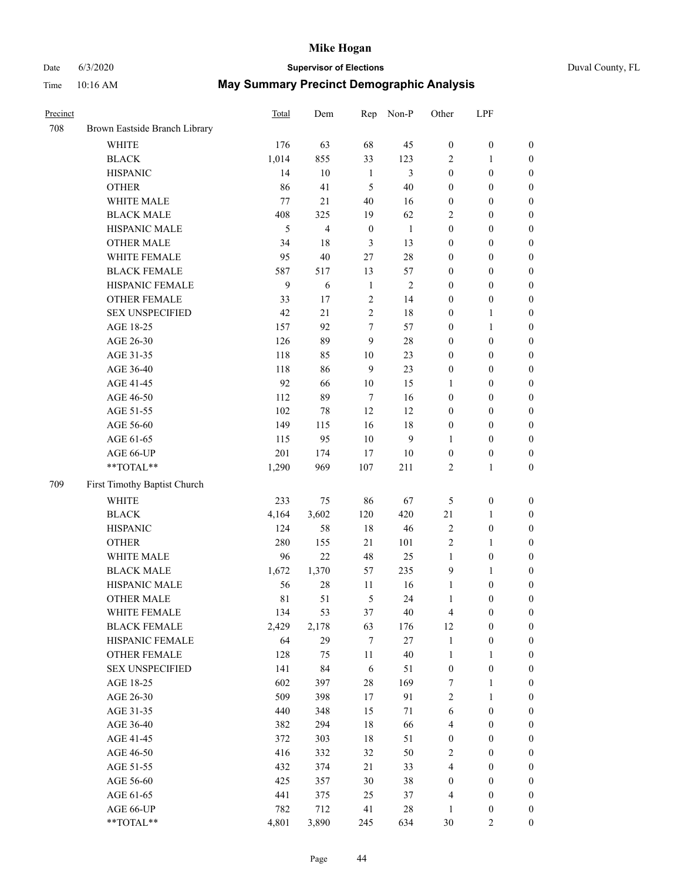# Date 6/3/2020 **Supervisor of Elections**

|  | Duval County, FL |  |
|--|------------------|--|
|--|------------------|--|

| Precinct |                               | <b>Total</b> | Dem            | Rep              | Non-P        | Other            | LPF              |                  |
|----------|-------------------------------|--------------|----------------|------------------|--------------|------------------|------------------|------------------|
| 708      | Brown Eastside Branch Library |              |                |                  |              |                  |                  |                  |
|          | <b>WHITE</b>                  | 176          | 63             | 68               | 45           | $\boldsymbol{0}$ | $\boldsymbol{0}$ | 0                |
|          | <b>BLACK</b>                  | 1,014        | 855            | 33               | 123          | 2                | $\mathbf{1}$     | $\boldsymbol{0}$ |
|          | <b>HISPANIC</b>               | 14           | 10             | $\mathbf{1}$     | 3            | $\boldsymbol{0}$ | $\boldsymbol{0}$ | $\boldsymbol{0}$ |
|          | <b>OTHER</b>                  | 86           | 41             | 5                | 40           | $\boldsymbol{0}$ | $\boldsymbol{0}$ | $\boldsymbol{0}$ |
|          | WHITE MALE                    | 77           | 21             | 40               | 16           | $\boldsymbol{0}$ | $\boldsymbol{0}$ | $\boldsymbol{0}$ |
|          | <b>BLACK MALE</b>             | 408          | 325            | 19               | 62           | 2                | $\boldsymbol{0}$ | $\boldsymbol{0}$ |
|          | HISPANIC MALE                 | 5            | $\overline{4}$ | $\boldsymbol{0}$ | $\mathbf{1}$ | 0                | $\boldsymbol{0}$ | $\boldsymbol{0}$ |
|          | <b>OTHER MALE</b>             | 34           | 18             | 3                | 13           | $\boldsymbol{0}$ | $\boldsymbol{0}$ | $\boldsymbol{0}$ |
|          | WHITE FEMALE                  | 95           | $40\,$         | 27               | $28\,$       | $\boldsymbol{0}$ | $\boldsymbol{0}$ | $\boldsymbol{0}$ |
|          | <b>BLACK FEMALE</b>           | 587          | 517            | 13               | 57           | $\boldsymbol{0}$ | $\boldsymbol{0}$ | $\boldsymbol{0}$ |
|          | HISPANIC FEMALE               | 9            | 6              | $\mathbf{1}$     | $\sqrt{2}$   | $\boldsymbol{0}$ | $\boldsymbol{0}$ | $\boldsymbol{0}$ |
|          | <b>OTHER FEMALE</b>           | 33           | 17             | $\sqrt{2}$       | 14           | $\boldsymbol{0}$ | $\boldsymbol{0}$ | $\boldsymbol{0}$ |
|          | <b>SEX UNSPECIFIED</b>        | 42           | 21             | $\sqrt{2}$       | 18           | $\boldsymbol{0}$ | $\mathbf{1}$     | $\boldsymbol{0}$ |
|          | AGE 18-25                     | 157          | 92             | 7                | 57           | $\boldsymbol{0}$ | $\mathbf{1}$     | $\boldsymbol{0}$ |
|          | AGE 26-30                     | 126          | 89             | 9                | $28\,$       | $\boldsymbol{0}$ | $\boldsymbol{0}$ | $\boldsymbol{0}$ |
|          | AGE 31-35                     | 118          | 85             | 10               | 23           | $\boldsymbol{0}$ | $\boldsymbol{0}$ | $\boldsymbol{0}$ |
|          | AGE 36-40                     | 118          | 86             | 9                | 23           | $\boldsymbol{0}$ | $\boldsymbol{0}$ | $\boldsymbol{0}$ |
|          | AGE 41-45                     | 92           | 66             | $10\,$           | 15           | $\mathbf{1}$     | $\boldsymbol{0}$ | $\boldsymbol{0}$ |
|          | AGE 46-50                     | 112          | 89             | $\tau$           | 16           | $\boldsymbol{0}$ | $\boldsymbol{0}$ | $\boldsymbol{0}$ |
|          | AGE 51-55                     | 102          | 78             | 12               | 12           | $\boldsymbol{0}$ | $\boldsymbol{0}$ | $\boldsymbol{0}$ |
|          | AGE 56-60                     | 149          | 115            | 16               | 18           | $\boldsymbol{0}$ | $\boldsymbol{0}$ | 0                |
|          | AGE 61-65                     | 115          | 95             | 10               | 9            | $\mathbf{1}$     | $\boldsymbol{0}$ | $\boldsymbol{0}$ |
|          | AGE 66-UP                     | 201          | 174            | 17               | $10\,$       | $\boldsymbol{0}$ | $\boldsymbol{0}$ | $\boldsymbol{0}$ |
|          | **TOTAL**                     | 1,290        | 969            | 107              | 211          | $\overline{c}$   | $\mathbf{1}$     | $\boldsymbol{0}$ |
| 709      | First Timothy Baptist Church  |              |                |                  |              |                  |                  |                  |
|          | <b>WHITE</b>                  | 233          | 75             | 86               | 67           | 5                | $\boldsymbol{0}$ | $\boldsymbol{0}$ |
|          | <b>BLACK</b>                  | 4,164        | 3,602          | 120              | 420          | 21               | $\mathbf{1}$     | $\boldsymbol{0}$ |
|          | <b>HISPANIC</b>               | 124          | 58             | $18\,$           | 46           | 2                | $\boldsymbol{0}$ | $\boldsymbol{0}$ |
|          | <b>OTHER</b>                  | 280          | 155            | 21               | 101          | $\overline{c}$   | $\mathbf{1}$     | $\boldsymbol{0}$ |
|          | WHITE MALE                    | 96           | 22             | 48               | 25           | $\mathbf{1}$     | $\boldsymbol{0}$ | $\boldsymbol{0}$ |
|          | <b>BLACK MALE</b>             | 1,672        | 1,370          | 57               | 235          | 9                | $\mathbf{1}$     | $\boldsymbol{0}$ |
|          | HISPANIC MALE                 | 56           | $28\,$         | 11               | 16           | $\mathbf{1}$     | $\boldsymbol{0}$ | $\boldsymbol{0}$ |
|          | <b>OTHER MALE</b>             | 81           | 51             | 5                | 24           | $\mathbf{1}$     | $\boldsymbol{0}$ | $\boldsymbol{0}$ |
|          | WHITE FEMALE                  | 134          | 53             | 37               | 40           | 4                | 0                | 0                |
|          | <b>BLACK FEMALE</b>           | 2,429        | 2,178          | 63               | 176          | 12               | $\boldsymbol{0}$ | $\boldsymbol{0}$ |
|          | HISPANIC FEMALE               | 64           | 29             | 7                | $27\,$       | $\mathbf{1}$     | $\boldsymbol{0}$ | $\overline{0}$   |
|          | <b>OTHER FEMALE</b>           | 128          | 75             | 11               | 40           | 1                | $\mathbf{1}$     | $\overline{0}$   |
|          | <b>SEX UNSPECIFIED</b>        | 141          | 84             | 6                | 51           | $\boldsymbol{0}$ | $\boldsymbol{0}$ | 0                |
|          | AGE 18-25                     | 602          | 397            | 28               | 169          | 7                | $\mathbf{1}$     | $\overline{0}$   |
|          | AGE 26-30                     | 509          | 398            | 17               | 91           | $\overline{2}$   | $\mathbf{1}$     | $\overline{0}$   |
|          | AGE 31-35                     | 440          | 348            | 15               | $71\,$       | 6                | $\boldsymbol{0}$ | 0                |
|          | AGE 36-40                     | 382          | 294            | 18               | 66           | 4                | $\boldsymbol{0}$ | 0                |
|          | AGE 41-45                     | 372          | 303            | 18               | 51           | $\boldsymbol{0}$ | $\boldsymbol{0}$ | 0                |
|          | AGE 46-50                     | 416          | 332            | 32               | 50           | 2                | $\boldsymbol{0}$ | 0                |
|          | AGE 51-55                     | 432          | 374            | 21               | 33           | 4                | $\boldsymbol{0}$ | $\boldsymbol{0}$ |
|          | AGE 56-60                     | 425          | 357            | 30               | 38           | $\boldsymbol{0}$ | $\boldsymbol{0}$ | $\boldsymbol{0}$ |
|          | AGE 61-65                     | 441          | 375            | 25               | 37           | 4                | $\boldsymbol{0}$ | $\overline{0}$   |
|          | AGE 66-UP                     | 782          | 712            | 41               | $28\,$       | $\mathbf{1}$     | $\boldsymbol{0}$ | 0                |
|          | **TOTAL**                     | 4,801        | 3,890          | 245              | 634          | 30               | $\mathfrak{2}$   | $\boldsymbol{0}$ |
|          |                               |              |                |                  |              |                  |                  |                  |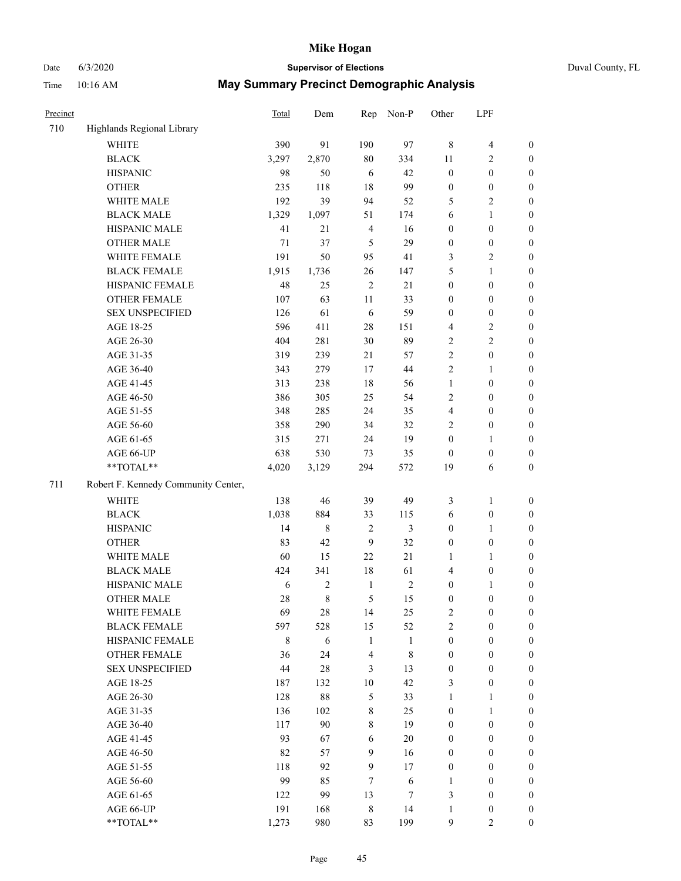# Date 6/3/2020 **Supervisor of Elections** Duval County, FL

| Precinct |                                     | <b>Total</b> | Dem         | Rep            | Non-P        | Other            | LPF              |                  |
|----------|-------------------------------------|--------------|-------------|----------------|--------------|------------------|------------------|------------------|
| 710      | Highlands Regional Library          |              |             |                |              |                  |                  |                  |
|          | <b>WHITE</b>                        | 390          | 91          | 190            | 97           | $\,8\,$          | $\overline{4}$   | 0                |
|          | <b>BLACK</b>                        | 3,297        | 2,870       | $80\,$         | 334          | 11               | $\overline{c}$   | $\boldsymbol{0}$ |
|          | <b>HISPANIC</b>                     | 98           | 50          | 6              | 42           | $\boldsymbol{0}$ | $\boldsymbol{0}$ | $\boldsymbol{0}$ |
|          | <b>OTHER</b>                        | 235          | $118\,$     | 18             | 99           | $\boldsymbol{0}$ | $\boldsymbol{0}$ | $\boldsymbol{0}$ |
|          | WHITE MALE                          | 192          | 39          | 94             | 52           | 5                | $\sqrt{2}$       | $\boldsymbol{0}$ |
|          | <b>BLACK MALE</b>                   | 1,329        | 1,097       | 51             | 174          | 6                | $\mathbf{1}$     | $\boldsymbol{0}$ |
|          | HISPANIC MALE                       | 41           | 21          | $\overline{4}$ | 16           | $\boldsymbol{0}$ | $\boldsymbol{0}$ | $\boldsymbol{0}$ |
|          | <b>OTHER MALE</b>                   | 71           | 37          | 5              | 29           | $\boldsymbol{0}$ | $\boldsymbol{0}$ | $\boldsymbol{0}$ |
|          | WHITE FEMALE                        | 191          | 50          | 95             | 41           | 3                | $\overline{2}$   | $\boldsymbol{0}$ |
|          | <b>BLACK FEMALE</b>                 | 1,915        | 1,736       | 26             | 147          | 5                | $\mathbf{1}$     | $\boldsymbol{0}$ |
|          | HISPANIC FEMALE                     | 48           | 25          | $\sqrt{2}$     | 21           | $\boldsymbol{0}$ | $\boldsymbol{0}$ | $\boldsymbol{0}$ |
|          | <b>OTHER FEMALE</b>                 | 107          | 63          | 11             | 33           | $\boldsymbol{0}$ | $\boldsymbol{0}$ | $\boldsymbol{0}$ |
|          | <b>SEX UNSPECIFIED</b>              | 126          | 61          | 6              | 59           | $\boldsymbol{0}$ | $\boldsymbol{0}$ | $\boldsymbol{0}$ |
|          | AGE 18-25                           | 596          | 411         | 28             | 151          | 4                | $\sqrt{2}$       | $\boldsymbol{0}$ |
|          | AGE 26-30                           | 404          | 281         | 30             | 89           | 2                | $\sqrt{2}$       | $\boldsymbol{0}$ |
|          | AGE 31-35                           | 319          | 239         | 21             | 57           | $\overline{c}$   | $\boldsymbol{0}$ | $\boldsymbol{0}$ |
|          | AGE 36-40                           | 343          | 279         | 17             | 44           | $\overline{c}$   | $\mathbf{1}$     | $\boldsymbol{0}$ |
|          | AGE 41-45                           | 313          | 238         | 18             | 56           | $\mathbf{1}$     | $\boldsymbol{0}$ | $\boldsymbol{0}$ |
|          | AGE 46-50                           | 386          | 305         | 25             | 54           | 2                | $\boldsymbol{0}$ | $\boldsymbol{0}$ |
|          | AGE 51-55                           | 348          | 285         | 24             | 35           | 4                | $\boldsymbol{0}$ | $\boldsymbol{0}$ |
|          | AGE 56-60                           | 358          | 290         | 34             | 32           | $\overline{2}$   | $\boldsymbol{0}$ | 0                |
|          | AGE 61-65                           | 315          | 271         | 24             | 19           | $\boldsymbol{0}$ | $\mathbf{1}$     | 0                |
|          | AGE 66-UP                           | 638          | 530         | 73             | 35           | $\boldsymbol{0}$ | $\boldsymbol{0}$ | $\boldsymbol{0}$ |
|          | **TOTAL**                           | 4,020        | 3,129       | 294            | 572          | 19               | 6                | $\boldsymbol{0}$ |
| 711      | Robert F. Kennedy Community Center, |              |             |                |              |                  |                  |                  |
|          | <b>WHITE</b>                        | 138          | 46          | 39             | 49           | 3                | $\mathbf{1}$     | $\boldsymbol{0}$ |
|          | <b>BLACK</b>                        | 1,038        | 884         | 33             | 115          | 6                | $\boldsymbol{0}$ | $\boldsymbol{0}$ |
|          | <b>HISPANIC</b>                     | 14           | $\,$ 8 $\,$ | $\sqrt{2}$     | 3            | $\boldsymbol{0}$ | $\mathbf{1}$     | $\boldsymbol{0}$ |
|          | <b>OTHER</b>                        | 83           | 42          | 9              | 32           | $\boldsymbol{0}$ | $\boldsymbol{0}$ | $\boldsymbol{0}$ |
|          | WHITE MALE                          | 60           | 15          | 22             | 21           | $\mathbf{1}$     | $\mathbf{1}$     | $\boldsymbol{0}$ |
|          | <b>BLACK MALE</b>                   | 424          | 341         | 18             | 61           | 4                | $\boldsymbol{0}$ | $\boldsymbol{0}$ |
|          | HISPANIC MALE                       | 6            | $\sqrt{2}$  | $\mathbf{1}$   | $\sqrt{2}$   | $\boldsymbol{0}$ | 1                | $\boldsymbol{0}$ |
|          | <b>OTHER MALE</b>                   | 28           | $\,8\,$     | 5              | 15           | $\boldsymbol{0}$ | $\boldsymbol{0}$ | $\boldsymbol{0}$ |
|          | WHITE FEMALE                        | 69           | 28          | 14             | 25           | 2                | 0                | 0                |
|          | <b>BLACK FEMALE</b>                 | 597          | 528         | 15             | 52           | $\overline{2}$   | $\boldsymbol{0}$ | $\overline{0}$   |
|          | HISPANIC FEMALE                     | 8            | 6           | $\mathbf{1}$   | $\mathbf{1}$ | $\boldsymbol{0}$ | $\boldsymbol{0}$ | $\overline{0}$   |
|          | <b>OTHER FEMALE</b>                 | 36           | 24          | 4              | $\,$ 8 $\,$  | $\boldsymbol{0}$ | $\boldsymbol{0}$ | $\overline{0}$   |
|          | <b>SEX UNSPECIFIED</b>              | 44           | $28\,$      | 3              | 13           | $\boldsymbol{0}$ | $\boldsymbol{0}$ | $\overline{0}$   |
|          | AGE 18-25                           | 187          | 132         | $10\,$         | 42           | 3                | $\boldsymbol{0}$ | $\overline{0}$   |
|          | AGE 26-30                           | 128          | $88\,$      | $\mathfrak{S}$ | 33           | $\mathbf{1}$     | $\mathbf{1}$     | $\overline{0}$   |
|          | AGE 31-35                           | 136          | 102         | $\,$ $\,$      | 25           | $\boldsymbol{0}$ | $\mathbf{1}$     | $\overline{0}$   |
|          | AGE 36-40                           | 117          | 90          | 8              | 19           | $\boldsymbol{0}$ | $\boldsymbol{0}$ | 0                |
|          | AGE 41-45                           | 93           | 67          | 6              | 20           | $\boldsymbol{0}$ | $\boldsymbol{0}$ | 0                |
|          | AGE 46-50                           | 82           | 57          | 9              | 16           | $\boldsymbol{0}$ | $\boldsymbol{0}$ | $\boldsymbol{0}$ |
|          | AGE 51-55                           | 118          | 92          | 9              | 17           | $\boldsymbol{0}$ | $\boldsymbol{0}$ | $\boldsymbol{0}$ |
|          | AGE 56-60                           | 99           | 85          | 7              | 6            | 1                | $\boldsymbol{0}$ | $\boldsymbol{0}$ |
|          | AGE 61-65                           | 122          | 99          | 13             | 7            | 3                | $\boldsymbol{0}$ | $\boldsymbol{0}$ |
|          | AGE 66-UP                           | 191          | 168         | 8              | 14           | $\mathbf{1}$     | $\boldsymbol{0}$ | $\boldsymbol{0}$ |
|          | **TOTAL**                           | 1,273        | 980         | 83             | 199          | 9                | $\mathfrak{2}$   | $\overline{0}$   |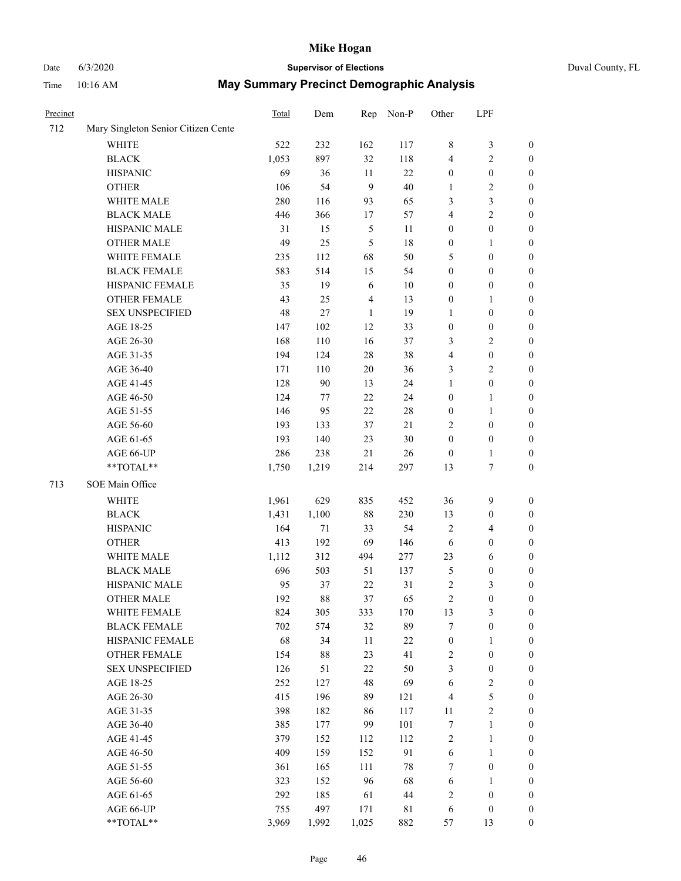# Date 6/3/2020 **Supervisor of Elections** Duval County, FL

| Precinct |                                     | <b>Total</b> | Dem    | Rep            | Non-P       | Other            | LPF              |                  |
|----------|-------------------------------------|--------------|--------|----------------|-------------|------------------|------------------|------------------|
| 712      | Mary Singleton Senior Citizen Cente |              |        |                |             |                  |                  |                  |
|          | <b>WHITE</b>                        | 522          | 232    | 162            | 117         | 8                | $\mathfrak{Z}$   | 0                |
|          | <b>BLACK</b>                        | 1,053        | 897    | 32             | 118         | 4                | $\sqrt{2}$       | 0                |
|          | <b>HISPANIC</b>                     | 69           | 36     | 11             | 22          | $\boldsymbol{0}$ | $\boldsymbol{0}$ | $\boldsymbol{0}$ |
|          | <b>OTHER</b>                        | 106          | 54     | 9              | 40          | 1                | $\sqrt{2}$       | $\boldsymbol{0}$ |
|          | WHITE MALE                          | 280          | 116    | 93             | 65          | 3                | $\mathfrak{Z}$   | $\boldsymbol{0}$ |
|          | <b>BLACK MALE</b>                   | 446          | 366    | 17             | 57          | 4                | $\sqrt{2}$       | $\boldsymbol{0}$ |
|          | HISPANIC MALE                       | 31           | 15     | $\mathfrak{S}$ | 11          | $\boldsymbol{0}$ | $\boldsymbol{0}$ | $\boldsymbol{0}$ |
|          | <b>OTHER MALE</b>                   | 49           | 25     | $\mathfrak{S}$ | 18          | $\boldsymbol{0}$ | $\mathbf{1}$     | $\boldsymbol{0}$ |
|          | WHITE FEMALE                        | 235          | 112    | 68             | 50          | 5                | $\boldsymbol{0}$ | $\boldsymbol{0}$ |
|          | <b>BLACK FEMALE</b>                 | 583          | 514    | 15             | 54          | $\boldsymbol{0}$ | $\boldsymbol{0}$ | 0                |
|          | HISPANIC FEMALE                     | 35           | 19     | 6              | $10\,$      | $\boldsymbol{0}$ | $\boldsymbol{0}$ | 0                |
|          | <b>OTHER FEMALE</b>                 | 43           | 25     | $\overline{4}$ | 13          | $\boldsymbol{0}$ | $\mathbf{1}$     | $\boldsymbol{0}$ |
|          | <b>SEX UNSPECIFIED</b>              | 48           | 27     | $\mathbf{1}$   | 19          | $\mathbf{1}$     | $\boldsymbol{0}$ | $\boldsymbol{0}$ |
|          | AGE 18-25                           | 147          | 102    | 12             | 33          | $\boldsymbol{0}$ | $\boldsymbol{0}$ | $\boldsymbol{0}$ |
|          | AGE 26-30                           | 168          | 110    | 16             | 37          | 3                | $\sqrt{2}$       | $\boldsymbol{0}$ |
|          | AGE 31-35                           | 194          | 124    | 28             | 38          | 4                | $\boldsymbol{0}$ | $\boldsymbol{0}$ |
|          | AGE 36-40                           | 171          | 110    | 20             | 36          | 3                | $\sqrt{2}$       | $\boldsymbol{0}$ |
|          | AGE 41-45                           | 128          | $90\,$ | 13             | 24          | $\mathbf{1}$     | $\boldsymbol{0}$ | $\boldsymbol{0}$ |
|          | AGE 46-50                           | 124          | 77     | 22             | 24          | $\boldsymbol{0}$ | $\mathbf{1}$     | $\boldsymbol{0}$ |
|          | AGE 51-55                           | 146          | 95     | $22\,$         | $28\,$      | $\boldsymbol{0}$ | $\mathbf{1}$     | 0                |
|          | AGE 56-60                           | 193          | 133    | 37             | 21          | 2                | $\boldsymbol{0}$ | 0                |
|          | AGE 61-65                           | 193          | 140    | 23             | $30\,$      | $\boldsymbol{0}$ | $\boldsymbol{0}$ | 0                |
|          | AGE 66-UP                           | 286          | 238    | 21             | 26          | $\boldsymbol{0}$ | $\mathbf{1}$     | $\boldsymbol{0}$ |
|          | **TOTAL**                           | 1,750        | 1,219  | 214            | 297         | 13               | $\boldsymbol{7}$ | $\boldsymbol{0}$ |
| 713      | SOE Main Office                     |              |        |                |             |                  |                  |                  |
|          | <b>WHITE</b>                        | 1,961        | 629    | 835            | 452         | 36               | $\mathbf{9}$     | $\boldsymbol{0}$ |
|          | <b>BLACK</b>                        | 1,431        | 1,100  | 88             | 230         | 13               | $\boldsymbol{0}$ | $\boldsymbol{0}$ |
|          | <b>HISPANIC</b>                     | 164          | 71     | 33             | 54          | 2                | $\overline{4}$   | $\boldsymbol{0}$ |
|          | <b>OTHER</b>                        | 413          | 192    | 69             | 146         | 6                | $\boldsymbol{0}$ | $\boldsymbol{0}$ |
|          | WHITE MALE                          | 1,112        | 312    | 494            | 277         | 23               | 6                | $\boldsymbol{0}$ |
|          | <b>BLACK MALE</b>                   | 696          | 503    | 51             | 137         | 5                | $\boldsymbol{0}$ | $\boldsymbol{0}$ |
|          | HISPANIC MALE                       | 95           | 37     | 22             | 31          | $\sqrt{2}$       | $\mathfrak{Z}$   | $\boldsymbol{0}$ |
|          | OTHER MALE                          | 192          | 88     | 37             | 65          | $\overline{c}$   | $\boldsymbol{0}$ | $\boldsymbol{0}$ |
|          | WHITE FEMALE                        | 824          | 305    | 333            | 170         | 13               | 3                | 0                |
|          | <b>BLACK FEMALE</b>                 | 702          | 574    | 32             | 89          | 7                | $\boldsymbol{0}$ | $\boldsymbol{0}$ |
|          | HISPANIC FEMALE                     | 68           | 34     | $11\,$         | $22\,$      | $\boldsymbol{0}$ | 1                | $\overline{0}$   |
|          | OTHER FEMALE                        | 154          | $88\,$ | 23             | 41          | 2                | $\boldsymbol{0}$ | $\overline{0}$   |
|          | <b>SEX UNSPECIFIED</b>              | 126          | 51     | 22             | 50          | 3                | $\boldsymbol{0}$ | 0                |
|          | AGE 18-25                           | 252          | 127    | 48             | 69          | 6                | $\sqrt{2}$       | 0                |
|          | AGE 26-30                           | 415          | 196    | 89             | 121         | 4                | 5                | 0                |
|          | AGE 31-35                           | 398          | 182    | 86             | 117         | 11               | $\overline{2}$   | 0                |
|          | AGE 36-40                           | 385          | 177    | 99             | 101         | 7                | $\mathbf{1}$     | 0                |
|          | AGE 41-45                           | 379          | 152    | 112            | 112         | 2                | $\mathbf{1}$     | 0                |
|          | AGE 46-50                           | 409          | 159    | 152            | 91          | $\sqrt{6}$       | $\mathbf{1}$     | 0                |
|          | AGE 51-55                           | 361          | 165    | 111            | $78\,$      | 7                | $\boldsymbol{0}$ | 0                |
|          | AGE 56-60                           | 323          | 152    | 96             | 68          | 6                | 1                | 0                |
|          | AGE 61-65                           | 292          | 185    | 61             | $44\,$      | 2                | $\boldsymbol{0}$ | $\overline{0}$   |
|          | AGE 66-UP                           | 755          | 497    | 171            | $8\sqrt{1}$ | 6                | $\boldsymbol{0}$ | 0                |
|          | **TOTAL**                           | 3,969        | 1,992  | 1,025          | 882         | 57               | 13               | $\boldsymbol{0}$ |
|          |                                     |              |        |                |             |                  |                  |                  |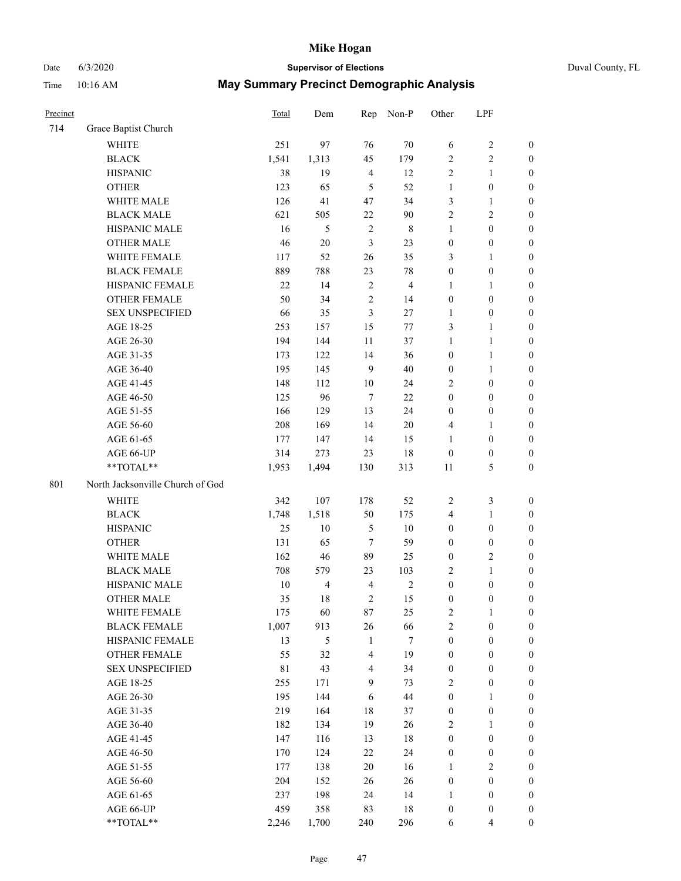# Date 6/3/2020 **Supervisor of Elections** Duval County, FL

| Precinct |                                  | <b>Total</b> | Dem                     | Rep                     | Non-P          | Other            | LPF                     |                  |
|----------|----------------------------------|--------------|-------------------------|-------------------------|----------------|------------------|-------------------------|------------------|
| 714      | Grace Baptist Church             |              |                         |                         |                |                  |                         |                  |
|          | <b>WHITE</b>                     | 251          | 97                      | 76                      | 70             | 6                | $\sqrt{2}$              | 0                |
|          | <b>BLACK</b>                     | 1,541        | 1,313                   | 45                      | 179            | $\overline{2}$   | $\sqrt{2}$              | $\boldsymbol{0}$ |
|          | <b>HISPANIC</b>                  | 38           | 19                      | $\overline{4}$          | 12             | $\overline{2}$   | $\mathbf{1}$            | $\boldsymbol{0}$ |
|          | <b>OTHER</b>                     | 123          | 65                      | 5                       | 52             | $\mathbf{1}$     | $\boldsymbol{0}$        | $\boldsymbol{0}$ |
|          | WHITE MALE                       | 126          | 41                      | 47                      | 34             | 3                | $\mathbf{1}$            | $\boldsymbol{0}$ |
|          | <b>BLACK MALE</b>                | 621          | 505                     | $22\,$                  | $90\,$         | $\overline{c}$   | $\sqrt{2}$              | $\boldsymbol{0}$ |
|          | HISPANIC MALE                    | 16           | $\mathfrak{S}$          | $\sqrt{2}$              | $\,$ 8 $\,$    | $\mathbf{1}$     | $\boldsymbol{0}$        | $\boldsymbol{0}$ |
|          | <b>OTHER MALE</b>                | 46           | $20\,$                  | 3                       | 23             | $\boldsymbol{0}$ | $\boldsymbol{0}$        | $\boldsymbol{0}$ |
|          | WHITE FEMALE                     | 117          | 52                      | 26                      | 35             | 3                | $\mathbf{1}$            | $\boldsymbol{0}$ |
|          | <b>BLACK FEMALE</b>              | 889          | 788                     | 23                      | $78\,$         | $\boldsymbol{0}$ | $\boldsymbol{0}$        | 0                |
|          | HISPANIC FEMALE                  | 22           | 14                      | $\sqrt{2}$              | $\overline{4}$ | 1                | $\mathbf{1}$            | 0                |
|          | <b>OTHER FEMALE</b>              | 50           | 34                      | $\mathfrak{2}$          | 14             | $\boldsymbol{0}$ | $\boldsymbol{0}$        | $\boldsymbol{0}$ |
|          | <b>SEX UNSPECIFIED</b>           | 66           | 35                      | 3                       | 27             | $\mathbf{1}$     | $\boldsymbol{0}$        | $\boldsymbol{0}$ |
|          | AGE 18-25                        | 253          | 157                     | 15                      | $77\,$         | 3                | $\mathbf{1}$            | $\boldsymbol{0}$ |
|          | AGE 26-30                        | 194          | 144                     | 11                      | 37             | $\mathbf{1}$     | $\mathbf{1}$            | $\boldsymbol{0}$ |
|          | AGE 31-35                        | 173          | 122                     | 14                      | 36             | $\boldsymbol{0}$ | $\mathbf{1}$            | $\boldsymbol{0}$ |
|          | AGE 36-40                        | 195          | 145                     | 9                       | 40             | $\boldsymbol{0}$ | $\mathbf{1}$            | $\boldsymbol{0}$ |
|          | AGE 41-45                        | 148          | 112                     | $10\,$                  | 24             | 2                | $\boldsymbol{0}$        | $\boldsymbol{0}$ |
|          | AGE 46-50                        | 125          | 96                      | $\tau$                  | 22             | $\boldsymbol{0}$ | $\boldsymbol{0}$        | $\boldsymbol{0}$ |
|          | AGE 51-55                        | 166          | 129                     | 13                      | 24             | $\boldsymbol{0}$ | $\boldsymbol{0}$        | $\boldsymbol{0}$ |
|          | AGE 56-60                        | 208          | 169                     | 14                      | 20             | 4                | 1                       | 0                |
|          | AGE 61-65                        | 177          | 147                     | 14                      | 15             | $\mathbf{1}$     | $\boldsymbol{0}$        | 0                |
|          | AGE 66-UP                        | 314          | 273                     | 23                      | 18             | $\boldsymbol{0}$ | $\boldsymbol{0}$        | $\boldsymbol{0}$ |
|          | **TOTAL**                        | 1,953        | 1,494                   | 130                     | 313            | 11               | $\mathfrak s$           | $\boldsymbol{0}$ |
| 801      | North Jacksonville Church of God |              |                         |                         |                |                  |                         |                  |
|          | <b>WHITE</b>                     | 342          | 107                     | 178                     | 52             | $\overline{c}$   | $\mathfrak z$           | $\boldsymbol{0}$ |
|          | <b>BLACK</b>                     | 1,748        | 1,518                   | 50                      | 175            | 4                | $\mathbf{1}$            | $\boldsymbol{0}$ |
|          | <b>HISPANIC</b>                  | 25           | 10                      | 5                       | 10             | $\boldsymbol{0}$ | $\boldsymbol{0}$        | $\boldsymbol{0}$ |
|          | <b>OTHER</b>                     | 131          | 65                      | $\boldsymbol{7}$        | 59             | $\boldsymbol{0}$ | $\boldsymbol{0}$        | $\boldsymbol{0}$ |
|          | WHITE MALE                       | 162          | 46                      | 89                      | 25             | $\boldsymbol{0}$ | $\mathbf{2}$            | $\boldsymbol{0}$ |
|          | <b>BLACK MALE</b>                | 708          | 579                     | 23                      | 103            | 2                | $\mathbf{1}$            | $\boldsymbol{0}$ |
|          | HISPANIC MALE                    | $10\,$       | $\overline{\mathbf{4}}$ | $\overline{4}$          | $\sqrt{2}$     | $\boldsymbol{0}$ | $\boldsymbol{0}$        | $\boldsymbol{0}$ |
|          | <b>OTHER MALE</b>                | 35           | 18                      | $\mathbf{2}$            | 15             | $\boldsymbol{0}$ | $\boldsymbol{0}$        | $\boldsymbol{0}$ |
|          | WHITE FEMALE                     | 175          | 60                      | 87                      | 25             | 2                | 1                       | 0                |
|          | <b>BLACK FEMALE</b>              | 1,007        | 913                     | 26                      | 66             | $\overline{c}$   | $\boldsymbol{0}$        | $\boldsymbol{0}$ |
|          | HISPANIC FEMALE                  | 13           | $\mathfrak{S}$          | $\mathbf{1}$            | 7              | $\boldsymbol{0}$ | $\boldsymbol{0}$        | $\overline{0}$   |
|          | <b>OTHER FEMALE</b>              | 55           | 32                      | 4                       | 19             | $\boldsymbol{0}$ | $\boldsymbol{0}$        | $\overline{0}$   |
|          | <b>SEX UNSPECIFIED</b>           | 81           | 43                      | $\overline{\mathbf{4}}$ | 34             | $\boldsymbol{0}$ | $\boldsymbol{0}$        | $\overline{0}$   |
|          | AGE 18-25                        | 255          | 171                     | 9                       | 73             | 2                | $\boldsymbol{0}$        | $\overline{0}$   |
|          | AGE 26-30                        | 195          | 144                     | $\sqrt{6}$              | 44             | $\boldsymbol{0}$ | $\mathbf{1}$            | 0                |
|          | AGE 31-35                        | 219          | 164                     | 18                      | 37             | $\boldsymbol{0}$ | $\boldsymbol{0}$        | 0                |
|          | AGE 36-40                        | 182          | 134                     | 19                      | 26             | 2                | $\mathbf{1}$            | 0                |
|          | AGE 41-45                        | 147          | 116                     | 13                      | 18             | $\boldsymbol{0}$ | $\boldsymbol{0}$        | 0                |
|          | AGE 46-50                        | 170          | 124                     | 22                      | 24             | $\boldsymbol{0}$ | $\boldsymbol{0}$        | 0                |
|          | AGE 51-55                        | 177          | 138                     | 20                      | 16             | $\mathbf{1}$     | $\mathfrak{2}$          | $\overline{0}$   |
|          | AGE 56-60                        | 204          | 152                     | 26                      | 26             | $\boldsymbol{0}$ | $\boldsymbol{0}$        | $\overline{0}$   |
|          | AGE 61-65                        | 237          | 198                     | 24                      | 14             | 1                | $\boldsymbol{0}$        | $\overline{0}$   |
|          | AGE 66-UP                        | 459          | 358                     | 83                      | 18             | $\boldsymbol{0}$ | $\boldsymbol{0}$        | $\boldsymbol{0}$ |
|          | **TOTAL**                        | 2,246        | 1,700                   | 240                     | 296            | 6                | $\overline{\mathbf{4}}$ | $\boldsymbol{0}$ |
|          |                                  |              |                         |                         |                |                  |                         |                  |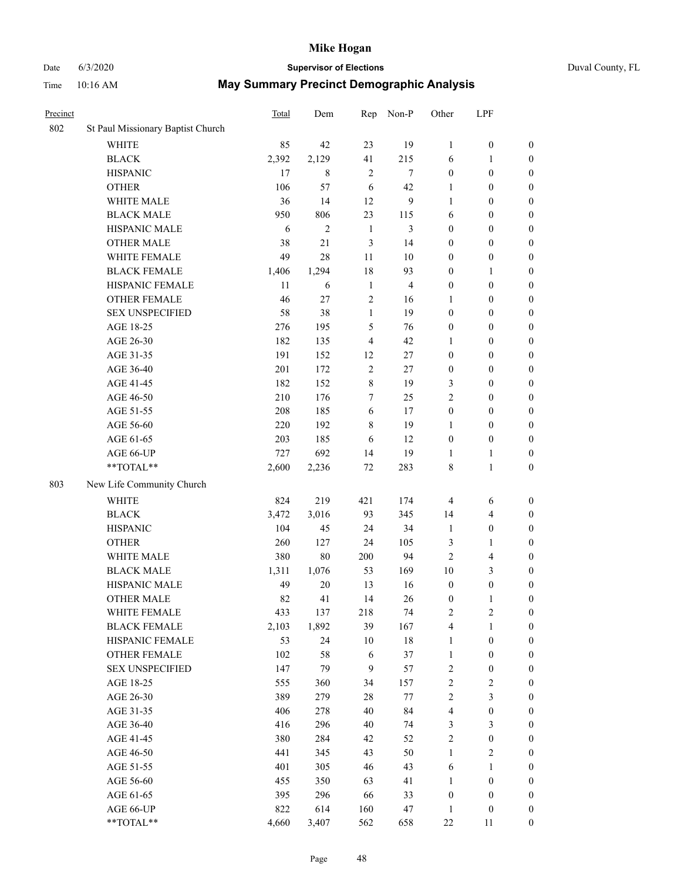# Date 6/3/2020 **Supervisor of Elections** Duval County, FL

| Precinct |                                   | Total | Dem            | Rep            | Non-P          | Other            | LPF                     |                  |
|----------|-----------------------------------|-------|----------------|----------------|----------------|------------------|-------------------------|------------------|
| 802      | St Paul Missionary Baptist Church |       |                |                |                |                  |                         |                  |
|          | <b>WHITE</b>                      | 85    | 42             | 23             | 19             | $\mathbf{1}$     | $\boldsymbol{0}$        | 0                |
|          | $\operatorname{BLACK}$            | 2,392 | 2,129          | 41             | 215            | 6                | $\mathbf{1}$            | $\boldsymbol{0}$ |
|          | <b>HISPANIC</b>                   | 17    | 8              | $\overline{2}$ | $\tau$         | $\boldsymbol{0}$ | $\boldsymbol{0}$        | $\boldsymbol{0}$ |
|          | <b>OTHER</b>                      | 106   | 57             | 6              | 42             | 1                | $\boldsymbol{0}$        | $\boldsymbol{0}$ |
|          | WHITE MALE                        | 36    | 14             | 12             | 9              | $\mathbf{1}$     | $\boldsymbol{0}$        | $\boldsymbol{0}$ |
|          | <b>BLACK MALE</b>                 | 950   | 806            | 23             | 115            | 6                | $\boldsymbol{0}$        | $\boldsymbol{0}$ |
|          | HISPANIC MALE                     | 6     | $\overline{c}$ | $\mathbf{1}$   | 3              | $\boldsymbol{0}$ | $\boldsymbol{0}$        | $\boldsymbol{0}$ |
|          | <b>OTHER MALE</b>                 | 38    | 21             | 3              | 14             | $\boldsymbol{0}$ | $\boldsymbol{0}$        | $\boldsymbol{0}$ |
|          | WHITE FEMALE                      | 49    | 28             | 11             | $10\,$         | $\boldsymbol{0}$ | $\boldsymbol{0}$        | $\boldsymbol{0}$ |
|          | <b>BLACK FEMALE</b>               | 1,406 | 1,294          | 18             | 93             | $\boldsymbol{0}$ | $\mathbf{1}$            | $\boldsymbol{0}$ |
|          | HISPANIC FEMALE                   | 11    | 6              | $\mathbf{1}$   | $\overline{4}$ | $\boldsymbol{0}$ | $\boldsymbol{0}$        | 0                |
|          | <b>OTHER FEMALE</b>               | 46    | 27             | $\sqrt{2}$     | 16             | $\mathbf{1}$     | $\boldsymbol{0}$        | $\boldsymbol{0}$ |
|          | <b>SEX UNSPECIFIED</b>            | 58    | 38             | $\mathbf{1}$   | 19             | $\boldsymbol{0}$ | $\boldsymbol{0}$        | $\boldsymbol{0}$ |
|          | AGE 18-25                         | 276   | 195            | 5              | 76             | $\boldsymbol{0}$ | $\boldsymbol{0}$        | $\boldsymbol{0}$ |
|          | AGE 26-30                         | 182   | 135            | 4              | 42             | $\mathbf{1}$     | $\boldsymbol{0}$        | $\boldsymbol{0}$ |
|          | AGE 31-35                         | 191   | 152            | 12             | 27             | $\boldsymbol{0}$ | $\boldsymbol{0}$        | $\boldsymbol{0}$ |
|          | AGE 36-40                         | 201   | 172            | $\sqrt{2}$     | 27             | $\boldsymbol{0}$ | $\boldsymbol{0}$        | $\boldsymbol{0}$ |
|          | AGE 41-45                         | 182   | 152            | $\,$ $\,$      | 19             | 3                | $\boldsymbol{0}$        | $\boldsymbol{0}$ |
|          | AGE 46-50                         | 210   | 176            | $\tau$         | 25             | $\overline{c}$   | $\boldsymbol{0}$        | $\boldsymbol{0}$ |
|          | AGE 51-55                         | 208   | 185            | 6              | 17             | $\boldsymbol{0}$ | $\boldsymbol{0}$        | $\boldsymbol{0}$ |
|          | AGE 56-60                         | 220   | 192            | 8              | 19             | 1                | $\boldsymbol{0}$        | 0                |
|          | AGE 61-65                         | 203   | 185            | 6              | 12             | $\boldsymbol{0}$ | $\boldsymbol{0}$        | $\boldsymbol{0}$ |
|          | AGE 66-UP                         | 727   | 692            | 14             | 19             | 1                | $\mathbf{1}$            | $\boldsymbol{0}$ |
|          | **TOTAL**                         | 2,600 | 2,236          | $72\,$         | 283            | 8                | $\mathbf{1}$            | $\boldsymbol{0}$ |
| 803      | New Life Community Church         |       |                |                |                |                  |                         |                  |
|          | <b>WHITE</b>                      | 824   | 219            | 421            | 174            | 4                | 6                       | $\boldsymbol{0}$ |
|          | <b>BLACK</b>                      | 3,472 | 3,016          | 93             | 345            | 14               | $\overline{\mathbf{4}}$ | $\boldsymbol{0}$ |
|          | <b>HISPANIC</b>                   | 104   | 45             | 24             | 34             | $\mathbf{1}$     | $\boldsymbol{0}$        | $\boldsymbol{0}$ |
|          | <b>OTHER</b>                      | 260   | 127            | 24             | 105            | 3                | $\mathbf{1}$            | $\boldsymbol{0}$ |
|          | WHITE MALE                        | 380   | $80\,$         | 200            | 94             | $\mathbf{2}$     | $\overline{4}$          | $\boldsymbol{0}$ |
|          | <b>BLACK MALE</b>                 | 1,311 | 1,076          | 53             | 169            | $10\,$           | 3                       | $\boldsymbol{0}$ |
|          | HISPANIC MALE                     | 49    | $20\,$         | 13             | 16             | $\boldsymbol{0}$ | $\boldsymbol{0}$        | $\boldsymbol{0}$ |
|          | <b>OTHER MALE</b>                 | 82    | 41             | 14             | 26             | $\boldsymbol{0}$ | $\mathbf{1}$            | $\boldsymbol{0}$ |
|          | WHITE FEMALE                      | 433   | 137            | 218            | 74             | 2                | 2                       | 0                |
|          | <b>BLACK FEMALE</b>               | 2,103 | 1,892          | 39             | 167            | 4                | $\mathbf{1}$            | $\boldsymbol{0}$ |
|          | HISPANIC FEMALE                   | 53    | 24             | 10             | 18             | $\mathbf{1}$     | $\boldsymbol{0}$        | $\overline{0}$   |
|          | <b>OTHER FEMALE</b>               | 102   | 58             | 6              | 37             | $\mathbf{1}$     | $\boldsymbol{0}$        | $\overline{0}$   |
|          | <b>SEX UNSPECIFIED</b>            | 147   | 79             | $\overline{9}$ | 57             | 2                | $\boldsymbol{0}$        | 0                |
|          | AGE 18-25                         | 555   | 360            | 34             | 157            | $\overline{c}$   | $\sqrt{2}$              | 0                |
|          | AGE 26-30                         | 389   | 279            | 28             | 77             | 2                | $\mathfrak{Z}$          | 0                |
|          | AGE 31-35                         | 406   | 278            | 40             | 84             | 4                | $\boldsymbol{0}$        | 0                |
|          | AGE 36-40                         | 416   | 296            | 40             | 74             | 3                | $\mathfrak{Z}$          | 0                |
|          | AGE 41-45                         | 380   | 284            | 42             | 52             | 2                | $\boldsymbol{0}$        | 0                |
|          | AGE 46-50                         | 441   | 345            | 43             | 50             | $\mathbf{1}$     | $\overline{c}$          | 0                |
|          | AGE 51-55                         | 401   | 305            | 46             | 43             | 6                | $\mathbf{1}$            | 0                |
|          | AGE 56-60                         | 455   | 350            | 63             | 41             | 1                | $\boldsymbol{0}$        | 0                |
|          | AGE 61-65                         | 395   | 296            | 66             | 33             | $\boldsymbol{0}$ | $\boldsymbol{0}$        | $\overline{0}$   |
|          | AGE 66-UP                         | 822   | 614            | 160            | 47             | $\mathbf{1}$     | $\boldsymbol{0}$        | 0                |
|          | **TOTAL**                         | 4,660 | 3,407          | 562            | 658            | $22\,$           | 11                      | $\boldsymbol{0}$ |
|          |                                   |       |                |                |                |                  |                         |                  |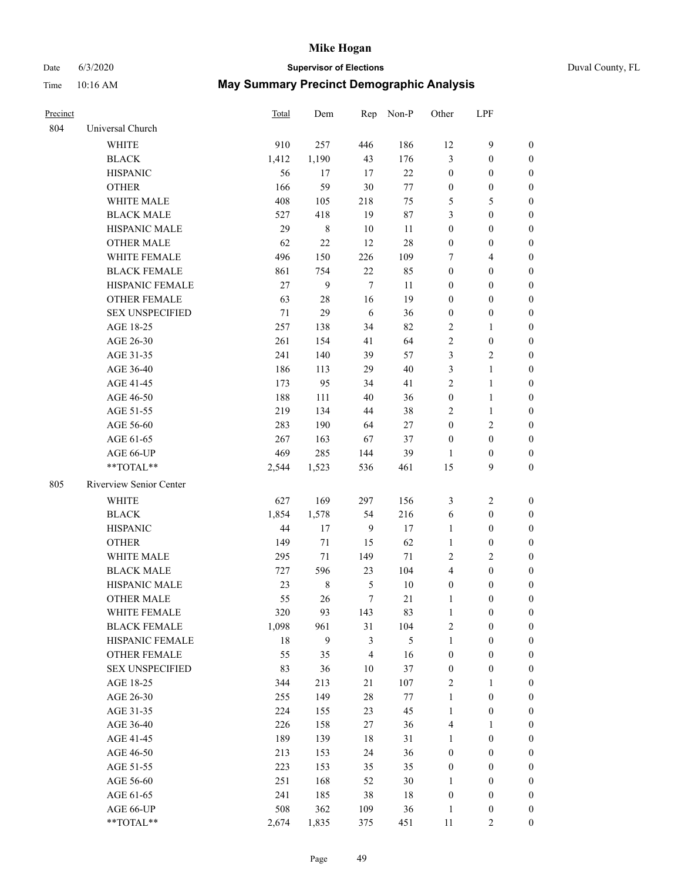# Date 6/3/2020 **Supervisor of Elections** Duval County, FL

| Precinct |                         | Total  | Dem          |                  | Rep Non-P      | Other            | LPF              |                  |
|----------|-------------------------|--------|--------------|------------------|----------------|------------------|------------------|------------------|
| 804      | Universal Church        |        |              |                  |                |                  |                  |                  |
|          | <b>WHITE</b>            | 910    | 257          | 446              | 186            | 12               | $\boldsymbol{9}$ | $\boldsymbol{0}$ |
|          | <b>BLACK</b>            | 1,412  | 1,190        | 43               | 176            | 3                | $\boldsymbol{0}$ | 0                |
|          | <b>HISPANIC</b>         | 56     | 17           | 17               | 22             | $\boldsymbol{0}$ | $\boldsymbol{0}$ | $\boldsymbol{0}$ |
|          | <b>OTHER</b>            | 166    | 59           | $30\,$           | $77\,$         | $\boldsymbol{0}$ | $\boldsymbol{0}$ | $\boldsymbol{0}$ |
|          | WHITE MALE              | 408    | 105          | 218              | 75             | 5                | 5                | $\boldsymbol{0}$ |
|          | <b>BLACK MALE</b>       | 527    | 418          | 19               | $87\,$         | 3                | $\boldsymbol{0}$ | $\boldsymbol{0}$ |
|          | HISPANIC MALE           | 29     | $\,$ 8 $\,$  | 10               | 11             | $\boldsymbol{0}$ | $\boldsymbol{0}$ | $\boldsymbol{0}$ |
|          | <b>OTHER MALE</b>       | 62     | 22           | 12               | $28\,$         | $\boldsymbol{0}$ | $\boldsymbol{0}$ | $\boldsymbol{0}$ |
|          | WHITE FEMALE            | 496    | 150          | 226              | 109            | 7                | $\overline{4}$   | $\boldsymbol{0}$ |
|          | <b>BLACK FEMALE</b>     | 861    | 754          | $22\,$           | 85             | $\boldsymbol{0}$ | $\boldsymbol{0}$ | $\boldsymbol{0}$ |
|          | HISPANIC FEMALE         | 27     | $\mathbf{9}$ | $\tau$           | 11             | 0                | $\boldsymbol{0}$ | 0                |
|          | <b>OTHER FEMALE</b>     | 63     | $28\,$       | 16               | 19             | $\boldsymbol{0}$ | $\boldsymbol{0}$ | $\boldsymbol{0}$ |
|          | <b>SEX UNSPECIFIED</b>  | 71     | 29           | 6                | 36             | $\boldsymbol{0}$ | $\boldsymbol{0}$ | $\boldsymbol{0}$ |
|          | AGE 18-25               | 257    | 138          | 34               | 82             | 2                | 1                | $\boldsymbol{0}$ |
|          | AGE 26-30               | 261    | 154          | 41               | 64             | 2                | $\boldsymbol{0}$ | $\boldsymbol{0}$ |
|          | AGE 31-35               | 241    | 140          | 39               | 57             | 3                | $\sqrt{2}$       | $\boldsymbol{0}$ |
|          | AGE 36-40               | 186    | 113          | 29               | $40\,$         | 3                | $\mathbf{1}$     | $\boldsymbol{0}$ |
|          | AGE 41-45               | 173    | 95           | 34               | 41             | 2                | $\mathbf{1}$     | $\boldsymbol{0}$ |
|          | AGE 46-50               | 188    | 111          | 40               | 36             | $\boldsymbol{0}$ | $\mathbf{1}$     | $\boldsymbol{0}$ |
|          | AGE 51-55               | 219    | 134          | 44               | 38             | 2                | $\mathbf{1}$     | 0                |
|          | AGE 56-60               | 283    | 190          | 64               | 27             | $\boldsymbol{0}$ | $\sqrt{2}$       | 0                |
|          | AGE 61-65               | 267    | 163          | 67               | 37             | $\boldsymbol{0}$ | $\boldsymbol{0}$ | 0                |
|          | AGE 66-UP               | 469    | 285          | 144              | 39             | 1                | $\boldsymbol{0}$ | 0                |
|          | $**TOTAL**$             | 2,544  | 1,523        | 536              | 461            | 15               | 9                | $\boldsymbol{0}$ |
| 805      | Riverview Senior Center |        |              |                  |                |                  |                  |                  |
|          | <b>WHITE</b>            | 627    | 169          | 297              | 156            | 3                | $\sqrt{2}$       | $\boldsymbol{0}$ |
|          | <b>BLACK</b>            | 1,854  | 1,578        | 54               | 216            | 6                | $\boldsymbol{0}$ | $\boldsymbol{0}$ |
|          | <b>HISPANIC</b>         | 44     | 17           | $\overline{9}$   | 17             | $\mathbf{1}$     | $\boldsymbol{0}$ | $\boldsymbol{0}$ |
|          | <b>OTHER</b>            | 149    | 71           | 15               | 62             | $\mathbf{1}$     | $\boldsymbol{0}$ | $\boldsymbol{0}$ |
|          | WHITE MALE              | 295    | 71           | 149              | $71\,$         | 2                | $\mathfrak{2}$   | $\boldsymbol{0}$ |
|          | <b>BLACK MALE</b>       | 727    | 596          | 23               | 104            | 4                | $\boldsymbol{0}$ | $\boldsymbol{0}$ |
|          | HISPANIC MALE           | 23     | $\,$ 8 $\,$  | 5                | $10\,$         | $\boldsymbol{0}$ | $\boldsymbol{0}$ | 0                |
|          | <b>OTHER MALE</b>       | 55     | 26           | $\boldsymbol{7}$ | 21             | 1                | $\boldsymbol{0}$ | 0                |
|          | WHITE FEMALE            | 320    | 93           | 143              | 83             | $\mathbf{1}$     | 0                | 0                |
|          | <b>BLACK FEMALE</b>     | 1,098  | 961          | 31               | 104            | 2                | $\boldsymbol{0}$ | $\boldsymbol{0}$ |
|          | HISPANIC FEMALE         | $18\,$ | $\mathbf{9}$ | 3                | $\mathfrak{S}$ | $\mathbf{1}$     | $\boldsymbol{0}$ | $\overline{0}$   |
|          | OTHER FEMALE            | 55     | 35           | 4                | 16             | $\boldsymbol{0}$ | $\boldsymbol{0}$ | $\overline{0}$   |
|          | <b>SEX UNSPECIFIED</b>  | 83     | 36           | $10\,$           | 37             | $\boldsymbol{0}$ | $\boldsymbol{0}$ | 0                |
|          | AGE 18-25               | 344    | 213          | 21               | 107            | 2                | $\mathbf{1}$     | 0                |
|          | AGE 26-30               | 255    | 149          | 28               | 77             | $\mathbf{1}$     | $\boldsymbol{0}$ | 0                |
|          | AGE 31-35               | 224    | 155          | 23               | 45             | $\mathbf{1}$     | $\boldsymbol{0}$ | 0                |
|          | AGE 36-40               | 226    | 158          | 27               | 36             | 4                | 1                | 0                |
|          | AGE 41-45               | 189    | 139          | 18               | 31             | $\mathbf{1}$     | $\boldsymbol{0}$ | 0                |
|          | AGE 46-50               | 213    | 153          | 24               | 36             | $\boldsymbol{0}$ | $\boldsymbol{0}$ | 0                |
|          | AGE 51-55               | 223    | 153          | 35               | 35             | $\boldsymbol{0}$ | $\boldsymbol{0}$ | 0                |
|          | AGE 56-60               | 251    | 168          | 52               | $30\,$         | 1                | $\boldsymbol{0}$ | $\boldsymbol{0}$ |
|          | AGE 61-65               | 241    | 185          | 38               | 18             | $\boldsymbol{0}$ | $\boldsymbol{0}$ | $\boldsymbol{0}$ |
|          | AGE 66-UP               | 508    | 362          | 109              | 36             | $\mathbf{1}$     | $\boldsymbol{0}$ | 0                |
|          | **TOTAL**               | 2,674  | 1,835        | 375              | 451            | 11               | $\mathbf{2}$     | $\boldsymbol{0}$ |
|          |                         |        |              |                  |                |                  |                  |                  |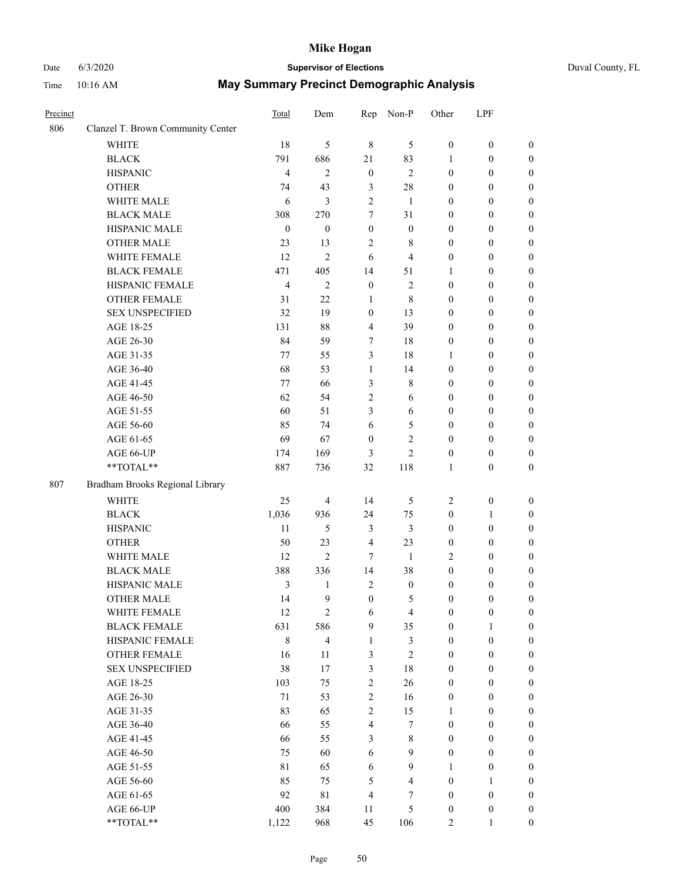# Date 6/3/2020 **Supervisor of Elections** Duval County, FL

| Precinct |                                   | Total            | Dem                     | Rep                     | Non-P                   | Other            | LPF              |                  |
|----------|-----------------------------------|------------------|-------------------------|-------------------------|-------------------------|------------------|------------------|------------------|
| 806      | Clanzel T. Brown Community Center |                  |                         |                         |                         |                  |                  |                  |
|          | <b>WHITE</b>                      | 18               | 5                       | $\,8\,$                 | 5                       | $\boldsymbol{0}$ | $\boldsymbol{0}$ | $\boldsymbol{0}$ |
|          | <b>BLACK</b>                      | 791              | 686                     | 21                      | 83                      | 1                | $\boldsymbol{0}$ | $\boldsymbol{0}$ |
|          | <b>HISPANIC</b>                   | $\overline{4}$   | $\mathbf{2}$            | $\boldsymbol{0}$        | $\sqrt{2}$              | $\boldsymbol{0}$ | $\boldsymbol{0}$ | $\boldsymbol{0}$ |
|          | <b>OTHER</b>                      | 74               | 43                      | 3                       | $28\,$                  | $\boldsymbol{0}$ | $\boldsymbol{0}$ | $\boldsymbol{0}$ |
|          | WHITE MALE                        | 6                | $\mathfrak{Z}$          | 2                       | 1                       | $\boldsymbol{0}$ | $\boldsymbol{0}$ | $\boldsymbol{0}$ |
|          | <b>BLACK MALE</b>                 | 308              | 270                     | 7                       | 31                      | $\boldsymbol{0}$ | $\boldsymbol{0}$ | $\boldsymbol{0}$ |
|          | HISPANIC MALE                     | $\boldsymbol{0}$ | $\boldsymbol{0}$        | $\boldsymbol{0}$        | $\boldsymbol{0}$        | $\boldsymbol{0}$ | $\boldsymbol{0}$ | $\boldsymbol{0}$ |
|          | <b>OTHER MALE</b>                 | 23               | 13                      | 2                       | $\,$ 8 $\,$             | $\boldsymbol{0}$ | $\boldsymbol{0}$ | $\boldsymbol{0}$ |
|          | WHITE FEMALE                      | 12               | $\overline{2}$          | 6                       | $\overline{4}$          | $\boldsymbol{0}$ | $\boldsymbol{0}$ | 0                |
|          | <b>BLACK FEMALE</b>               | 471              | 405                     | 14                      | 51                      | 1                | $\boldsymbol{0}$ | $\boldsymbol{0}$ |
|          | HISPANIC FEMALE                   | 4                | $\mathbf{2}$            | $\boldsymbol{0}$        | $\overline{2}$          | $\boldsymbol{0}$ | $\boldsymbol{0}$ | $\boldsymbol{0}$ |
|          | <b>OTHER FEMALE</b>               | 31               | 22                      | $\mathbf{1}$            | 8                       | $\boldsymbol{0}$ | $\boldsymbol{0}$ | $\boldsymbol{0}$ |
|          | <b>SEX UNSPECIFIED</b>            | 32               | 19                      | $\boldsymbol{0}$        | 13                      | $\boldsymbol{0}$ | $\boldsymbol{0}$ | $\boldsymbol{0}$ |
|          | AGE 18-25                         | 131              | 88                      | $\overline{4}$          | 39                      | $\boldsymbol{0}$ | $\boldsymbol{0}$ | $\boldsymbol{0}$ |
|          | AGE 26-30                         | 84               | 59                      | 7                       | 18                      | $\boldsymbol{0}$ | $\boldsymbol{0}$ | $\boldsymbol{0}$ |
|          | AGE 31-35                         | 77               | 55                      | 3                       | 18                      | $\mathbf{1}$     | $\boldsymbol{0}$ | $\boldsymbol{0}$ |
|          | AGE 36-40                         | 68               | 53                      | $\mathbf{1}$            | 14                      | $\boldsymbol{0}$ | $\boldsymbol{0}$ | $\boldsymbol{0}$ |
|          | AGE 41-45                         | 77               | 66                      | 3                       | $\,$ 8 $\,$             | $\boldsymbol{0}$ | $\boldsymbol{0}$ | $\boldsymbol{0}$ |
|          | AGE 46-50                         | 62               | 54                      | $\overline{2}$          | 6                       | $\boldsymbol{0}$ | $\boldsymbol{0}$ | 0                |
|          | AGE 51-55                         | 60               | 51                      | 3                       | 6                       | $\boldsymbol{0}$ | $\boldsymbol{0}$ | $\boldsymbol{0}$ |
|          | AGE 56-60                         | 85               | 74                      | 6                       | $\mathfrak{S}$          | $\boldsymbol{0}$ | $\boldsymbol{0}$ | $\boldsymbol{0}$ |
|          | AGE 61-65                         | 69               | 67                      | $\boldsymbol{0}$        | $\mathbf{2}$            | $\boldsymbol{0}$ | $\boldsymbol{0}$ | $\boldsymbol{0}$ |
|          | AGE 66-UP                         | 174              | 169                     | 3                       | $\mathbf{2}$            | $\boldsymbol{0}$ | $\boldsymbol{0}$ | $\boldsymbol{0}$ |
|          | **TOTAL**                         | 887              | 736                     | 32                      | 118                     | $\mathbf{1}$     | $\boldsymbol{0}$ | $\boldsymbol{0}$ |
| 807      | Bradham Brooks Regional Library   |                  |                         |                         |                         |                  |                  |                  |
|          | <b>WHITE</b>                      | 25               | $\overline{4}$          | 14                      | 5                       | $\overline{2}$   | $\boldsymbol{0}$ | $\boldsymbol{0}$ |
|          | <b>BLACK</b>                      | 1,036            | 936                     | 24                      | 75                      | $\boldsymbol{0}$ | $\mathbf{1}$     | $\boldsymbol{0}$ |
|          | <b>HISPANIC</b>                   | 11               | $\mathfrak{S}$          | $\mathfrak{Z}$          | $\mathfrak{Z}$          | $\boldsymbol{0}$ | $\boldsymbol{0}$ | $\boldsymbol{0}$ |
|          | <b>OTHER</b>                      | 50               | 23                      | $\overline{4}$          | 23                      | $\boldsymbol{0}$ | $\boldsymbol{0}$ | $\boldsymbol{0}$ |
|          | WHITE MALE                        | 12               | $\overline{c}$          | 7                       | $\mathbf{1}$            | 2                | $\boldsymbol{0}$ | $\boldsymbol{0}$ |
|          | <b>BLACK MALE</b>                 | 388              | 336                     | 14                      | 38                      | $\boldsymbol{0}$ | $\boldsymbol{0}$ | 0                |
|          | HISPANIC MALE                     | 3                | $\mathbf{1}$            | $\sqrt{2}$              | $\boldsymbol{0}$        | $\boldsymbol{0}$ | $\boldsymbol{0}$ | 0                |
|          | <b>OTHER MALE</b>                 | 14               | 9                       | $\boldsymbol{0}$        | 5                       | $\boldsymbol{0}$ | $\boldsymbol{0}$ | $\boldsymbol{0}$ |
|          | WHITE FEMALE                      | $12\,$           | $\sqrt{2}$              | 6                       | $\overline{\mathbf{4}}$ | $\boldsymbol{0}$ | $\boldsymbol{0}$ | $\boldsymbol{0}$ |
|          | <b>BLACK FEMALE</b>               | 631              | 586                     | 9                       | 35                      | $\boldsymbol{0}$ | $\mathbf{1}$     | $\overline{0}$   |
|          | HISPANIC FEMALE                   | 8                | $\overline{\mathbf{4}}$ | $\mathbf{1}$            | 3                       | $\boldsymbol{0}$ | $\boldsymbol{0}$ | $\overline{0}$   |
|          | <b>OTHER FEMALE</b>               | 16               | $11\,$                  | 3                       | $\sqrt{2}$              | $\boldsymbol{0}$ | $\boldsymbol{0}$ | $\overline{0}$   |
|          | <b>SEX UNSPECIFIED</b>            | 38               | 17                      | 3                       | 18                      | $\boldsymbol{0}$ | $\boldsymbol{0}$ | $\overline{0}$   |
|          | AGE 18-25                         | 103              | 75                      | $\boldsymbol{2}$        | 26                      | $\boldsymbol{0}$ | $\boldsymbol{0}$ | $\overline{0}$   |
|          | AGE 26-30                         | 71               | 53                      | $\mathbf{2}$            | 16                      | $\boldsymbol{0}$ | $\boldsymbol{0}$ | 0                |
|          | AGE 31-35                         | 83               | 65                      | $\overline{2}$          | 15                      | $\mathbf{1}$     | $\boldsymbol{0}$ | 0                |
|          | AGE 36-40                         | 66               | 55                      | $\overline{\mathbf{4}}$ | 7                       | $\boldsymbol{0}$ | $\boldsymbol{0}$ | $\boldsymbol{0}$ |
|          | AGE 41-45                         | 66               | 55                      | 3                       | $\,$ 8 $\,$             | $\boldsymbol{0}$ | $\boldsymbol{0}$ | $\overline{0}$   |
|          | AGE 46-50                         | 75               | 60                      | 6                       | 9                       | $\boldsymbol{0}$ | $\boldsymbol{0}$ | $\boldsymbol{0}$ |
|          | AGE 51-55                         | 81               | 65                      | 6                       | $\mathbf{9}$            | 1                | $\boldsymbol{0}$ | $\boldsymbol{0}$ |
|          | AGE 56-60                         | 85               | 75                      | 5                       | $\overline{4}$          | $\boldsymbol{0}$ | $\mathbf{1}$     | $\overline{0}$   |
|          | AGE 61-65                         | 92               | $8\sqrt{1}$             | $\overline{4}$          | 7                       | $\boldsymbol{0}$ | $\boldsymbol{0}$ | $\overline{0}$   |
|          | AGE 66-UP                         | 400              | 384                     | 11                      | $\mathfrak{S}$          | $\boldsymbol{0}$ | $\boldsymbol{0}$ | $\overline{0}$   |
|          | **TOTAL**                         | 1,122            | 968                     | 45                      | 106                     | $\overline{c}$   | $\mathbf{1}$     | $\boldsymbol{0}$ |
|          |                                   |                  |                         |                         |                         |                  |                  |                  |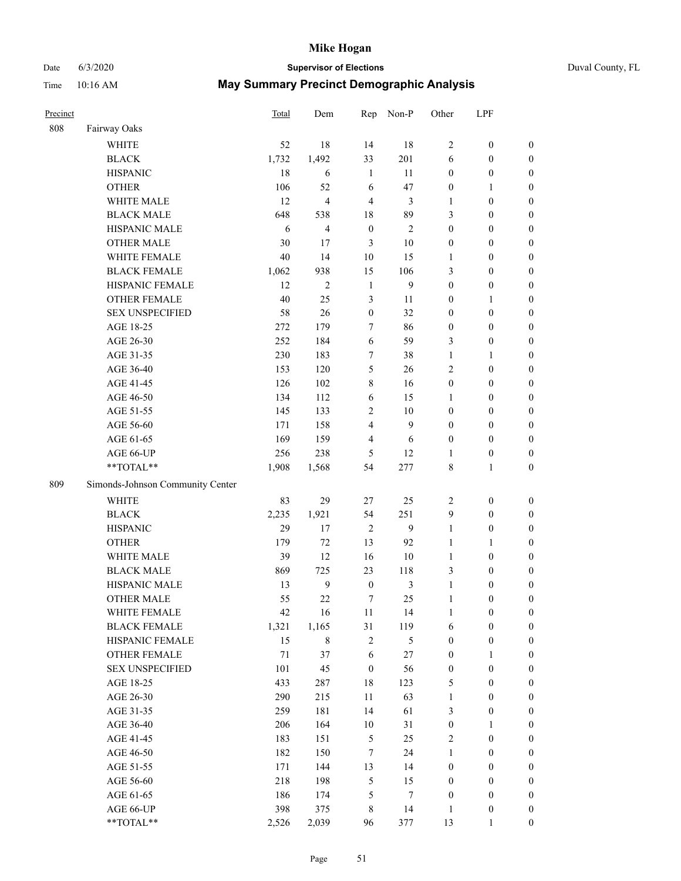# Date 6/3/2020 **Supervisor of Elections** Duval County, FL

| Precinct |                                  | Total | Dem            | Rep              | Non-P          | Other            | LPF              |                  |
|----------|----------------------------------|-------|----------------|------------------|----------------|------------------|------------------|------------------|
| 808      | Fairway Oaks                     |       |                |                  |                |                  |                  |                  |
|          | <b>WHITE</b>                     | 52    | 18             | 14               | 18             | $\overline{2}$   | $\boldsymbol{0}$ | $\boldsymbol{0}$ |
|          | <b>BLACK</b>                     | 1,732 | 1,492          | 33               | 201            | 6                | $\boldsymbol{0}$ | $\boldsymbol{0}$ |
|          | <b>HISPANIC</b>                  | 18    | 6              | $\mathbf{1}$     | 11             | $\boldsymbol{0}$ | $\boldsymbol{0}$ | $\boldsymbol{0}$ |
|          | <b>OTHER</b>                     | 106   | 52             | 6                | 47             | $\boldsymbol{0}$ | $\mathbf{1}$     | $\boldsymbol{0}$ |
|          | WHITE MALE                       | 12    | $\overline{4}$ | 4                | 3              | 1                | $\boldsymbol{0}$ | $\boldsymbol{0}$ |
|          | <b>BLACK MALE</b>                | 648   | 538            | 18               | 89             | 3                | $\boldsymbol{0}$ | $\boldsymbol{0}$ |
|          | HISPANIC MALE                    | 6     | $\overline{4}$ | $\boldsymbol{0}$ | $\overline{2}$ | $\boldsymbol{0}$ | $\boldsymbol{0}$ | $\boldsymbol{0}$ |
|          | <b>OTHER MALE</b>                | 30    | 17             | 3                | $10\,$         | $\boldsymbol{0}$ | $\boldsymbol{0}$ | $\boldsymbol{0}$ |
|          | WHITE FEMALE                     | 40    | 14             | 10               | 15             | $\mathbf{1}$     | $\boldsymbol{0}$ | 0                |
|          | <b>BLACK FEMALE</b>              | 1,062 | 938            | 15               | 106            | 3                | $\boldsymbol{0}$ | $\boldsymbol{0}$ |
|          | HISPANIC FEMALE                  | 12    | $\mathbf{2}$   | $\mathbf{1}$     | 9              | $\boldsymbol{0}$ | $\boldsymbol{0}$ | $\boldsymbol{0}$ |
|          | <b>OTHER FEMALE</b>              | 40    | 25             | 3                | 11             | $\boldsymbol{0}$ | 1                | $\boldsymbol{0}$ |
|          | <b>SEX UNSPECIFIED</b>           | 58    | 26             | $\boldsymbol{0}$ | 32             | $\boldsymbol{0}$ | $\boldsymbol{0}$ | $\boldsymbol{0}$ |
|          | AGE 18-25                        | 272   | 179            | $\tau$           | 86             | $\boldsymbol{0}$ | $\boldsymbol{0}$ | $\boldsymbol{0}$ |
|          | AGE 26-30                        | 252   | 184            | $\sqrt{6}$       | 59             | 3                | $\boldsymbol{0}$ | $\boldsymbol{0}$ |
|          | AGE 31-35                        | 230   | 183            | 7                | 38             | $\mathbf{1}$     | $\mathbf{1}$     | $\boldsymbol{0}$ |
|          | AGE 36-40                        | 153   | 120            | 5                | 26             | 2                | $\boldsymbol{0}$ | $\boldsymbol{0}$ |
|          | AGE 41-45                        | 126   | 102            | $\,$ 8 $\,$      | 16             | $\boldsymbol{0}$ | $\boldsymbol{0}$ | $\boldsymbol{0}$ |
|          | AGE 46-50                        | 134   | 112            | 6                | 15             | 1                | $\boldsymbol{0}$ | 0                |
|          | AGE 51-55                        | 145   | 133            | $\mathbf{2}$     | $10\,$         | $\boldsymbol{0}$ | $\boldsymbol{0}$ | $\boldsymbol{0}$ |
|          | AGE 56-60                        | 171   | 158            | $\overline{4}$   | 9              | $\boldsymbol{0}$ | $\boldsymbol{0}$ | $\boldsymbol{0}$ |
|          | AGE 61-65                        | 169   | 159            | $\overline{4}$   | 6              | $\boldsymbol{0}$ | $\boldsymbol{0}$ | $\boldsymbol{0}$ |
|          | AGE 66-UP                        | 256   | 238            | 5                | 12             | 1                | $\boldsymbol{0}$ | $\boldsymbol{0}$ |
|          | **TOTAL**                        | 1,908 | 1,568          | 54               | 277            | 8                | $\mathbf{1}$     | $\boldsymbol{0}$ |
| 809      | Simonds-Johnson Community Center |       |                |                  |                |                  |                  |                  |
|          | <b>WHITE</b>                     | 83    | 29             | 27               | 25             | $\overline{c}$   | $\boldsymbol{0}$ | $\boldsymbol{0}$ |
|          | <b>BLACK</b>                     | 2,235 | 1,921          | 54               | 251            | 9                | $\boldsymbol{0}$ | $\boldsymbol{0}$ |
|          | <b>HISPANIC</b>                  | 29    | 17             | $\sqrt{2}$       | $\overline{9}$ | $\mathbf{1}$     | $\boldsymbol{0}$ | $\boldsymbol{0}$ |
|          | <b>OTHER</b>                     | 179   | 72             | 13               | 92             | $\mathbf{1}$     | 1                | $\boldsymbol{0}$ |
|          | WHITE MALE                       | 39    | 12             | 16               | $10\,$         | $\mathbf{1}$     | $\boldsymbol{0}$ | 0                |
|          | <b>BLACK MALE</b>                | 869   | 725            | 23               | 118            | 3                | $\boldsymbol{0}$ | 0                |
|          | HISPANIC MALE                    | 13    | $\mathbf{9}$   | $\boldsymbol{0}$ | $\mathfrak{Z}$ | $\mathbf{1}$     | $\boldsymbol{0}$ | 0                |
|          | <b>OTHER MALE</b>                | 55    | 22             | 7                | 25             | $\mathbf{1}$     | $\boldsymbol{0}$ | $\boldsymbol{0}$ |
|          | WHITE FEMALE                     | 42    | 16             | 11               | 14             | $\mathbf{1}$     | $\boldsymbol{0}$ | $\boldsymbol{0}$ |
|          | <b>BLACK FEMALE</b>              | 1,321 | 1,165          | 31               | 119            | 6                | $\boldsymbol{0}$ | $\overline{0}$   |
|          | HISPANIC FEMALE                  | 15    | $\,$ 8 $\,$    | 2                | 5              | $\boldsymbol{0}$ | $\boldsymbol{0}$ | $\overline{0}$   |
|          | <b>OTHER FEMALE</b>              | 71    | 37             | $\sqrt{6}$       | 27             | $\boldsymbol{0}$ | $\mathbf{1}$     | $\overline{0}$   |
|          | <b>SEX UNSPECIFIED</b>           | 101   | 45             | $\boldsymbol{0}$ | 56             | $\boldsymbol{0}$ | $\boldsymbol{0}$ | $\overline{0}$   |
|          | AGE 18-25                        | 433   | 287            | 18               | 123            | 5                | $\boldsymbol{0}$ | $\overline{0}$   |
|          | AGE 26-30                        | 290   | 215            | $11\,$           | 63             | $\mathbf{1}$     | $\boldsymbol{0}$ | 0                |
|          | AGE 31-35                        | 259   | 181            | 14               | 61             | 3                | $\boldsymbol{0}$ | 0                |
|          | AGE 36-40                        | 206   | 164            | $10\,$           | 31             | $\boldsymbol{0}$ | $\mathbf{1}$     | $\boldsymbol{0}$ |
|          | AGE 41-45                        | 183   | 151            | $\mathfrak s$    | 25             | 2                | $\boldsymbol{0}$ | $\overline{0}$   |
|          | AGE 46-50                        | 182   | 150            | $\tau$           | 24             | $\mathbf{1}$     | $\boldsymbol{0}$ | $\boldsymbol{0}$ |
|          | AGE 51-55                        | 171   | 144            | 13               | 14             | $\boldsymbol{0}$ | $\boldsymbol{0}$ | $\boldsymbol{0}$ |
|          | AGE 56-60                        | 218   | 198            | 5                | 15             | $\boldsymbol{0}$ | $\boldsymbol{0}$ | $\overline{0}$   |
|          | AGE 61-65                        | 186   | 174            | 5                | 7              | $\boldsymbol{0}$ | $\boldsymbol{0}$ | $\overline{0}$   |
|          | AGE 66-UP                        | 398   | 375            | $\,$ 8 $\,$      | 14             | $\mathbf{1}$     | $\boldsymbol{0}$ | $\overline{0}$   |
|          | **TOTAL**                        | 2,526 | 2,039          | 96               | 377            | 13               | 1                | $\boldsymbol{0}$ |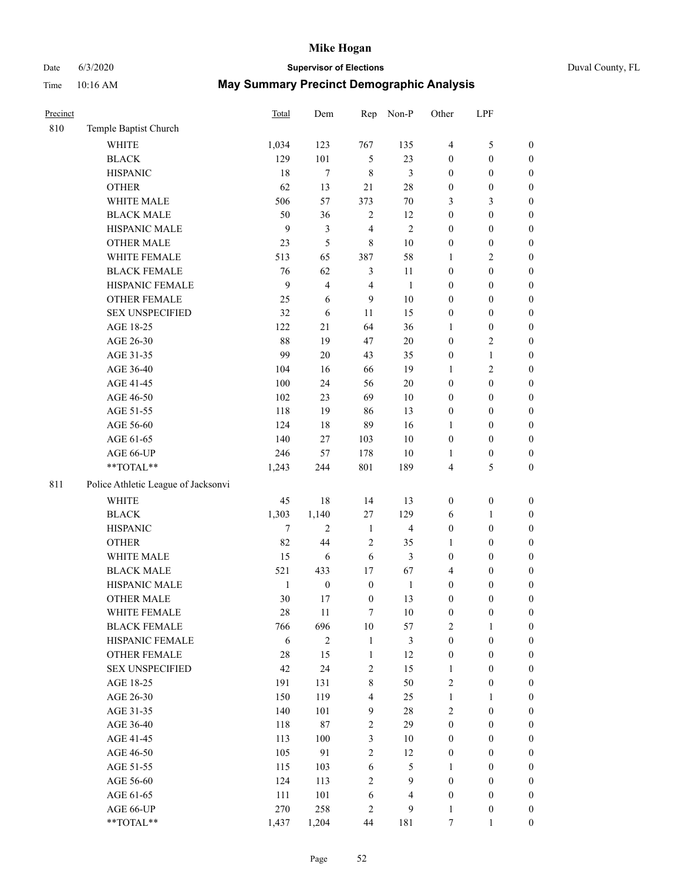# Date 6/3/2020 **Supervisor of Elections** Duval County, FL

| Precinct |                                     | Total        | Dem              | Rep                     | Non-P          | Other            | LPF              |                  |
|----------|-------------------------------------|--------------|------------------|-------------------------|----------------|------------------|------------------|------------------|
| 810      | Temple Baptist Church               |              |                  |                         |                |                  |                  |                  |
|          | <b>WHITE</b>                        | 1,034        | 123              | 767                     | 135            | $\overline{4}$   | $\mathfrak s$    | 0                |
|          | <b>BLACK</b>                        | 129          | 101              | $\mathfrak{S}$          | 23             | 0                | $\boldsymbol{0}$ | $\boldsymbol{0}$ |
|          | <b>HISPANIC</b>                     | 18           | $\tau$           | 8                       | 3              | $\boldsymbol{0}$ | $\boldsymbol{0}$ | $\boldsymbol{0}$ |
|          | <b>OTHER</b>                        | 62           | 13               | 21                      | 28             | $\boldsymbol{0}$ | $\boldsymbol{0}$ | $\boldsymbol{0}$ |
|          | WHITE MALE                          | 506          | 57               | 373                     | 70             | 3                | $\mathfrak{Z}$   | $\boldsymbol{0}$ |
|          | <b>BLACK MALE</b>                   | 50           | 36               | $\mathbf{2}$            | 12             | $\boldsymbol{0}$ | $\boldsymbol{0}$ | $\boldsymbol{0}$ |
|          | HISPANIC MALE                       | 9            | $\mathfrak{Z}$   | 4                       | $\overline{2}$ | 0                | $\boldsymbol{0}$ | $\boldsymbol{0}$ |
|          | <b>OTHER MALE</b>                   | 23           | 5                | 8                       | 10             | 0                | $\boldsymbol{0}$ | $\boldsymbol{0}$ |
|          | WHITE FEMALE                        | 513          | 65               | 387                     | 58             | $\mathbf{1}$     | $\mathbf{2}$     | $\boldsymbol{0}$ |
|          | <b>BLACK FEMALE</b>                 | 76           | 62               | 3                       | 11             | 0                | $\boldsymbol{0}$ | $\boldsymbol{0}$ |
|          | HISPANIC FEMALE                     | 9            | $\overline{4}$   | $\overline{4}$          | $\mathbf{1}$   | 0                | $\boldsymbol{0}$ | $\boldsymbol{0}$ |
|          | OTHER FEMALE                        | 25           | 6                | 9                       | 10             | 0                | $\boldsymbol{0}$ | $\boldsymbol{0}$ |
|          | <b>SEX UNSPECIFIED</b>              | 32           | 6                | $11\,$                  | 15             | $\boldsymbol{0}$ | $\boldsymbol{0}$ | $\boldsymbol{0}$ |
|          | AGE 18-25                           | 122          | 21               | 64                      | 36             | 1                | $\boldsymbol{0}$ | $\boldsymbol{0}$ |
|          | AGE 26-30                           | 88           | 19               | 47                      | 20             | $\boldsymbol{0}$ | $\sqrt{2}$       | $\boldsymbol{0}$ |
|          | AGE 31-35                           | 99           | 20               | 43                      | 35             | $\boldsymbol{0}$ | $\mathbf{1}$     | $\boldsymbol{0}$ |
|          | AGE 36-40                           | 104          | 16               | 66                      | 19             | 1                | $\mathfrak{2}$   | $\boldsymbol{0}$ |
|          | AGE 41-45                           | 100          | 24               | 56                      | 20             | $\boldsymbol{0}$ | $\boldsymbol{0}$ | $\boldsymbol{0}$ |
|          | AGE 46-50                           | 102          | 23               | 69                      | 10             | $\boldsymbol{0}$ | $\boldsymbol{0}$ | $\boldsymbol{0}$ |
|          | AGE 51-55                           | 118          | 19               | 86                      | 13             | $\boldsymbol{0}$ | $\boldsymbol{0}$ | $\boldsymbol{0}$ |
|          | AGE 56-60                           | 124          | 18               | 89                      | 16             | 1                | $\boldsymbol{0}$ | $\boldsymbol{0}$ |
|          | AGE 61-65                           | 140          | $27\,$           | 103                     | 10             | $\boldsymbol{0}$ | $\boldsymbol{0}$ | $\boldsymbol{0}$ |
|          | AGE 66-UP                           | 246          | 57               | 178                     | 10             | 1                | $\boldsymbol{0}$ | $\boldsymbol{0}$ |
|          | $**TOTAL**$                         | 1,243        | 244              | 801                     | 189            | 4                | $\mathfrak s$    | $\boldsymbol{0}$ |
| 811      | Police Athletic League of Jacksonvi |              |                  |                         |                |                  |                  |                  |
|          | WHITE                               | 45           | 18               | 14                      | 13             | $\boldsymbol{0}$ | $\boldsymbol{0}$ | $\boldsymbol{0}$ |
|          | <b>BLACK</b>                        | 1,303        | 1,140            | 27                      | 129            | 6                | $\mathbf{1}$     | $\boldsymbol{0}$ |
|          | <b>HISPANIC</b>                     | $\tau$       | $\mathfrak{2}$   | $\mathbf{1}$            | $\overline{4}$ | $\boldsymbol{0}$ | $\boldsymbol{0}$ | $\boldsymbol{0}$ |
|          | <b>OTHER</b>                        | 82           | 44               | 2                       | 35             | 1                | $\boldsymbol{0}$ | $\boldsymbol{0}$ |
|          | WHITE MALE                          | 15           | 6                | 6                       | 3              | $\boldsymbol{0}$ | $\boldsymbol{0}$ | $\boldsymbol{0}$ |
|          | <b>BLACK MALE</b>                   | 521          | 433              | 17                      | 67             | 4                | $\boldsymbol{0}$ | $\boldsymbol{0}$ |
|          | HISPANIC MALE                       | $\mathbf{1}$ | $\boldsymbol{0}$ | $\boldsymbol{0}$        | $\mathbf{1}$   | $\boldsymbol{0}$ | $\boldsymbol{0}$ | $\boldsymbol{0}$ |
|          | <b>OTHER MALE</b>                   | 30           | 17               | $\boldsymbol{0}$        | 13             | $\boldsymbol{0}$ | $\boldsymbol{0}$ | $\boldsymbol{0}$ |
|          | WHITE FEMALE                        | 28           | 11               | 7                       | 10             | 0                | 0                | 0                |
|          | <b>BLACK FEMALE</b>                 | 766          | 696              | 10                      | 57             | 2                | $\mathbf{1}$     | $\boldsymbol{0}$ |
|          | HISPANIC FEMALE                     | 6            | $\sqrt{2}$       | $\mathbf{1}$            | 3              | $\boldsymbol{0}$ | $\boldsymbol{0}$ | $\overline{0}$   |
|          | OTHER FEMALE                        | 28           | 15               | $\mathbf{1}$            | 12             | $\boldsymbol{0}$ | $\boldsymbol{0}$ | $\overline{0}$   |
|          | <b>SEX UNSPECIFIED</b>              | 42           | 24               | 2                       | 15             | $\mathbf{1}$     | $\boldsymbol{0}$ | $\overline{0}$   |
|          | AGE 18-25                           | 191          | 131              | 8                       | 50             | $\overline{c}$   | $\boldsymbol{0}$ | $\overline{0}$   |
|          | AGE 26-30                           | 150          | 119              | $\overline{\mathbf{4}}$ | 25             | $\mathbf{1}$     | $\mathbf{1}$     | $\overline{0}$   |
|          | AGE 31-35                           | 140          | 101              | 9                       | 28             | $\overline{c}$   | $\boldsymbol{0}$ | $\overline{0}$   |
|          | AGE 36-40                           | 118          | 87               | $\sqrt{2}$              | 29             | $\boldsymbol{0}$ | $\boldsymbol{0}$ | 0                |
|          | AGE 41-45                           | 113          | 100              | $\mathfrak{Z}$          | 10             | $\boldsymbol{0}$ | $\boldsymbol{0}$ | 0                |
|          | AGE 46-50                           | 105          | 91               | $\mathbf{2}$            | 12             | $\boldsymbol{0}$ | $\boldsymbol{0}$ | $\boldsymbol{0}$ |
|          | AGE 51-55                           | 115          | 103              | 6                       | $\mathfrak s$  | $\mathbf{1}$     | $\boldsymbol{0}$ | $\boldsymbol{0}$ |
|          | AGE 56-60                           | 124          | 113              | $\mathbf{2}$            | 9              | $\boldsymbol{0}$ | $\boldsymbol{0}$ | $\overline{0}$   |
|          | AGE 61-65                           | 111          | 101              | 6                       | $\overline{4}$ | $\boldsymbol{0}$ | $\boldsymbol{0}$ | $\overline{0}$   |
|          | AGE 66-UP                           | 270          | 258              | 2                       | 9              | $\mathbf{1}$     | $\boldsymbol{0}$ | $\boldsymbol{0}$ |
|          | **TOTAL**                           | 1,437        | 1,204            | 44                      | 181            | $\boldsymbol{7}$ | $\mathbf{1}$     | $\boldsymbol{0}$ |
|          |                                     |              |                  |                         |                |                  |                  |                  |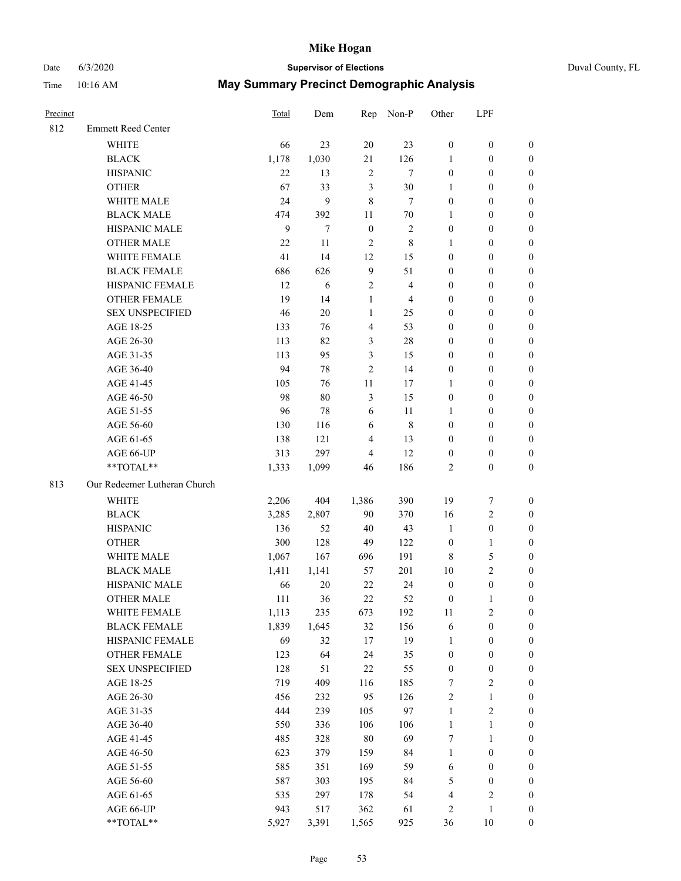# Date 6/3/2020 **Supervisor of Elections** Duval County, FL

| Precinct |                              | <b>Total</b> | Dem    | Rep            | Non-P          | Other            | LPF              |                  |
|----------|------------------------------|--------------|--------|----------------|----------------|------------------|------------------|------------------|
| 812      | <b>Emmett Reed Center</b>    |              |        |                |                |                  |                  |                  |
|          | <b>WHITE</b>                 | 66           | 23     | 20             | 23             | $\boldsymbol{0}$ | $\boldsymbol{0}$ | 0                |
|          | <b>BLACK</b>                 | 1,178        | 1,030  | 21             | 126            | 1                | $\boldsymbol{0}$ | 0                |
|          | <b>HISPANIC</b>              | 22           | 13     | $\sqrt{2}$     | $\tau$         | $\boldsymbol{0}$ | $\boldsymbol{0}$ | $\boldsymbol{0}$ |
|          | <b>OTHER</b>                 | 67           | 33     | $\mathfrak{Z}$ | $30\,$         | 1                | $\boldsymbol{0}$ | $\boldsymbol{0}$ |
|          | WHITE MALE                   | 24           | 9      | 8              | $\tau$         | $\boldsymbol{0}$ | $\boldsymbol{0}$ | $\boldsymbol{0}$ |
|          | <b>BLACK MALE</b>            | 474          | 392    | 11             | 70             | 1                | $\boldsymbol{0}$ | $\boldsymbol{0}$ |
|          | HISPANIC MALE                | 9            | $\tau$ | $\mathbf{0}$   | $\sqrt{2}$     | $\boldsymbol{0}$ | $\boldsymbol{0}$ | $\boldsymbol{0}$ |
|          | <b>OTHER MALE</b>            | 22           | 11     | $\overline{c}$ | $\,$ 8 $\,$    | $\mathbf{1}$     | $\boldsymbol{0}$ | $\boldsymbol{0}$ |
|          | WHITE FEMALE                 | 41           | 14     | 12             | 15             | $\boldsymbol{0}$ | $\boldsymbol{0}$ | $\boldsymbol{0}$ |
|          | <b>BLACK FEMALE</b>          | 686          | 626    | $\overline{9}$ | 51             | $\boldsymbol{0}$ | $\boldsymbol{0}$ | 0                |
|          | HISPANIC FEMALE              | 12           | 6      | $\sqrt{2}$     | $\overline{4}$ | $\boldsymbol{0}$ | $\boldsymbol{0}$ | 0                |
|          | <b>OTHER FEMALE</b>          | 19           | 14     | $\mathbf{1}$   | $\overline{4}$ | $\boldsymbol{0}$ | $\boldsymbol{0}$ | $\boldsymbol{0}$ |
|          | <b>SEX UNSPECIFIED</b>       | 46           | 20     | $\mathbf{1}$   | 25             | $\boldsymbol{0}$ | $\boldsymbol{0}$ | $\boldsymbol{0}$ |
|          | AGE 18-25                    | 133          | 76     | $\overline{4}$ | 53             | $\boldsymbol{0}$ | $\boldsymbol{0}$ | $\boldsymbol{0}$ |
|          | AGE 26-30                    | 113          | 82     | 3              | $28\,$         | $\boldsymbol{0}$ | $\boldsymbol{0}$ | $\boldsymbol{0}$ |
|          | AGE 31-35                    | 113          | 95     | 3              | 15             | $\boldsymbol{0}$ | $\boldsymbol{0}$ | $\boldsymbol{0}$ |
|          | AGE 36-40                    | 94           | 78     | $\overline{2}$ | 14             | $\boldsymbol{0}$ | $\boldsymbol{0}$ | $\boldsymbol{0}$ |
|          | AGE 41-45                    | 105          | 76     | $11\,$         | 17             | $\mathbf{1}$     | $\boldsymbol{0}$ | $\boldsymbol{0}$ |
|          | AGE 46-50                    | 98           | 80     | $\mathfrak{Z}$ | 15             | $\boldsymbol{0}$ | $\boldsymbol{0}$ | $\boldsymbol{0}$ |
|          | AGE 51-55                    | 96           | 78     | 6              | 11             | 1                | $\boldsymbol{0}$ | $\boldsymbol{0}$ |
|          | AGE 56-60                    | 130          | 116    | 6              | $\,8\,$        | $\boldsymbol{0}$ | $\boldsymbol{0}$ | 0                |
|          | AGE 61-65                    | 138          | 121    | $\overline{4}$ | 13             | $\boldsymbol{0}$ | $\boldsymbol{0}$ | 0                |
|          | AGE 66-UP                    | 313          | 297    | $\overline{4}$ | 12             | $\boldsymbol{0}$ | $\boldsymbol{0}$ | $\boldsymbol{0}$ |
|          | **TOTAL**                    | 1,333        | 1,099  | 46             | 186            | $\overline{c}$   | $\boldsymbol{0}$ | $\boldsymbol{0}$ |
| 813      | Our Redeemer Lutheran Church |              |        |                |                |                  |                  |                  |
|          | <b>WHITE</b>                 | 2,206        | 404    | 1,386          | 390            | 19               | $\boldsymbol{7}$ | $\boldsymbol{0}$ |
|          | <b>BLACK</b>                 | 3,285        | 2,807  | 90             | 370            | 16               | $\sqrt{2}$       | $\boldsymbol{0}$ |
|          | <b>HISPANIC</b>              | 136          | 52     | 40             | 43             | $\mathbf{1}$     | $\boldsymbol{0}$ | $\boldsymbol{0}$ |
|          | <b>OTHER</b>                 | 300          | 128    | 49             | 122            | $\boldsymbol{0}$ | $\mathbf{1}$     | $\boldsymbol{0}$ |
|          | WHITE MALE                   | 1,067        | 167    | 696            | 191            | 8                | $\mathfrak{S}$   | $\overline{0}$   |
|          | <b>BLACK MALE</b>            | 1,411        | 1,141  | 57             | 201            | $10\,$           | $\overline{2}$   | $\boldsymbol{0}$ |
|          | HISPANIC MALE                | 66           | $20\,$ | 22             | 24             | $\boldsymbol{0}$ | $\boldsymbol{0}$ | 0                |
|          | <b>OTHER MALE</b>            | 111          | 36     | 22             | 52             | $\boldsymbol{0}$ | $\mathbf{1}$     | 0                |
|          | WHITE FEMALE                 | 1,113        | 235    | 673            | 192            | 11               | 2                | 0                |
|          | <b>BLACK FEMALE</b>          | 1,839        | 1,645  | 32             | 156            | 6                | $\boldsymbol{0}$ | $\boldsymbol{0}$ |
|          | HISPANIC FEMALE              | 69           | 32     | 17             | 19             | $\mathbf{1}$     | $\boldsymbol{0}$ | $\overline{0}$   |
|          | OTHER FEMALE                 | 123          | 64     | 24             | 35             | $\boldsymbol{0}$ | $\boldsymbol{0}$ | $\overline{0}$   |
|          | <b>SEX UNSPECIFIED</b>       | 128          | 51     | 22             | 55             | $\boldsymbol{0}$ | $\boldsymbol{0}$ | 0                |
|          | AGE 18-25                    | 719          | 409    | 116            | 185            | 7                | $\sqrt{2}$       | 0                |
|          | AGE 26-30                    | 456          | 232    | 95             | 126            | $\overline{c}$   | $\mathbf{1}$     | 0                |
|          | AGE 31-35                    | 444          | 239    | 105            | 97             | $\mathbf{1}$     | $\sqrt{2}$       | 0                |
|          | AGE 36-40                    | 550          | 336    | 106            | 106            | $\mathbf{1}$     | $\mathbf{1}$     | 0                |
|          | AGE 41-45                    | 485          | 328    | $80\,$         | 69             | 7                | $\mathbf{1}$     | 0                |
|          | AGE 46-50                    | 623          | 379    | 159            | 84             | $\mathbf{1}$     | $\boldsymbol{0}$ | 0                |
|          | AGE 51-55                    | 585          | 351    | 169            | 59             | 6                | $\boldsymbol{0}$ | 0                |
|          | AGE 56-60                    | 587          | 303    | 195            | 84             | 5                | $\boldsymbol{0}$ | $\boldsymbol{0}$ |
|          | AGE 61-65                    | 535          | 297    | 178            | 54             | 4                | $\sqrt{2}$       | $\boldsymbol{0}$ |
|          | AGE 66-UP                    | 943          | 517    | 362            | 61             | 2                | $\mathbf{1}$     | $\boldsymbol{0}$ |
|          | **TOTAL**                    | 5,927        | 3,391  | 1,565          | 925            | 36               | 10               | $\boldsymbol{0}$ |
|          |                              |              |        |                |                |                  |                  |                  |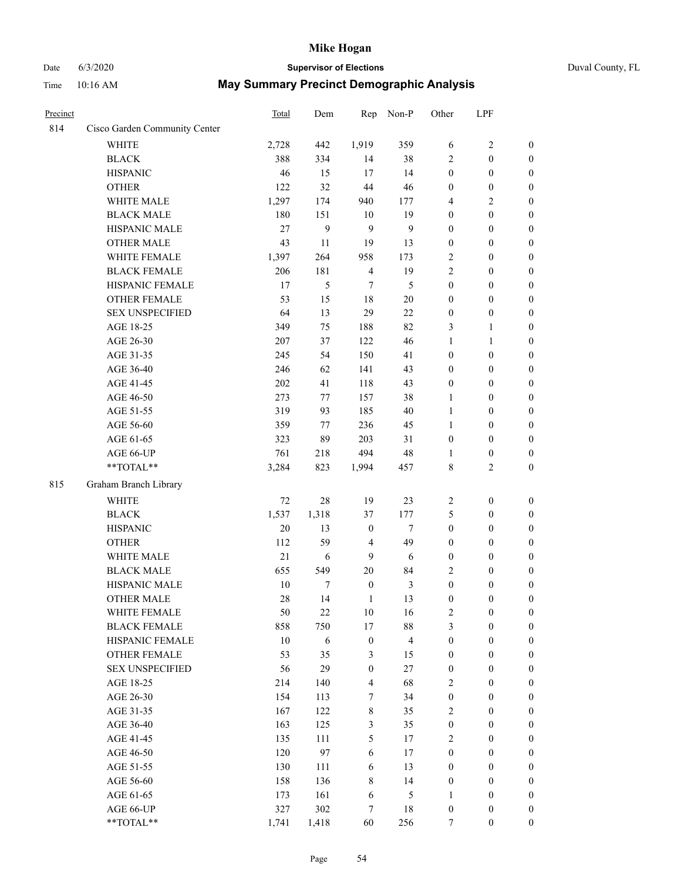# Date 6/3/2020 **Supervisor of Elections** Duval County, FL

| Precinct |                               | <b>Total</b> | Dem        | Rep                     | Non-P                   | Other                              | LPF                                  |                  |
|----------|-------------------------------|--------------|------------|-------------------------|-------------------------|------------------------------------|--------------------------------------|------------------|
| 814      | Cisco Garden Community Center |              |            |                         |                         |                                    |                                      |                  |
|          | <b>WHITE</b>                  | 2,728        | 442        | 1,919                   | 359                     | 6                                  | $\sqrt{2}$                           | 0                |
|          | <b>BLACK</b>                  | 388          | 334        | 14                      | 38                      | 2                                  | $\boldsymbol{0}$                     | $\boldsymbol{0}$ |
|          | <b>HISPANIC</b>               | 46           | 15         | 17                      | 14                      | $\boldsymbol{0}$                   | $\boldsymbol{0}$                     | $\boldsymbol{0}$ |
|          | <b>OTHER</b>                  | 122          | 32         | 44                      | 46                      | $\boldsymbol{0}$                   | $\boldsymbol{0}$                     | $\boldsymbol{0}$ |
|          | WHITE MALE                    | 1,297        | 174        | 940                     | 177                     | 4                                  | $\sqrt{2}$                           | $\boldsymbol{0}$ |
|          | <b>BLACK MALE</b>             | 180          | 151        | 10                      | 19                      | $\boldsymbol{0}$                   | $\boldsymbol{0}$                     | $\boldsymbol{0}$ |
|          | HISPANIC MALE                 | 27           | 9          | 9                       | 9                       | $\boldsymbol{0}$                   | $\boldsymbol{0}$                     | $\boldsymbol{0}$ |
|          | <b>OTHER MALE</b>             | 43           | 11         | 19                      | 13                      | $\boldsymbol{0}$                   | $\boldsymbol{0}$                     | $\boldsymbol{0}$ |
|          | WHITE FEMALE                  | 1,397        | 264        | 958                     | 173                     | 2                                  | $\boldsymbol{0}$                     | $\boldsymbol{0}$ |
|          | <b>BLACK FEMALE</b>           | 206          | 181        | $\overline{4}$          | 19                      | 2                                  | $\boldsymbol{0}$                     | $\boldsymbol{0}$ |
|          | HISPANIC FEMALE               | 17           | 5          | 7                       | 5                       | $\boldsymbol{0}$                   | $\boldsymbol{0}$                     | $\boldsymbol{0}$ |
|          | <b>OTHER FEMALE</b>           | 53           | 15         | 18                      | $20\,$                  | $\boldsymbol{0}$                   | $\boldsymbol{0}$                     | $\boldsymbol{0}$ |
|          | <b>SEX UNSPECIFIED</b>        | 64           | 13         | 29                      | 22                      | $\boldsymbol{0}$                   | $\boldsymbol{0}$                     | $\boldsymbol{0}$ |
|          | AGE 18-25                     | 349          | 75         | 188                     | 82                      | 3                                  | 1                                    | $\boldsymbol{0}$ |
|          | AGE 26-30                     | 207          | 37         | 122                     | 46                      | $\mathbf{1}$                       | $\mathbf{1}$                         | $\boldsymbol{0}$ |
|          | AGE 31-35                     | 245          | 54         | 150                     | 41                      | $\boldsymbol{0}$                   | $\boldsymbol{0}$                     | $\boldsymbol{0}$ |
|          | AGE 36-40                     | 246          | 62         | 141                     | 43                      | $\boldsymbol{0}$                   | $\boldsymbol{0}$                     | $\boldsymbol{0}$ |
|          | AGE 41-45                     | 202          | 41         | 118                     | 43                      | $\boldsymbol{0}$                   | $\boldsymbol{0}$                     | $\boldsymbol{0}$ |
|          | AGE 46-50                     | 273          | 77         | 157                     | 38                      | $\mathbf{1}$                       | $\boldsymbol{0}$                     | $\boldsymbol{0}$ |
|          | AGE 51-55                     | 319          | 93         | 185                     | 40                      | $\mathbf{1}$                       | $\boldsymbol{0}$                     | $\boldsymbol{0}$ |
|          | AGE 56-60                     | 359          | 77         | 236                     | 45                      | $\mathbf{1}$                       | $\boldsymbol{0}$                     | 0                |
|          | AGE 61-65                     | 323          | 89         | 203                     | 31                      | $\boldsymbol{0}$                   | $\boldsymbol{0}$                     | 0                |
|          | AGE 66-UP                     | 761          | 218        | 494                     | $48\,$                  | 1                                  | $\boldsymbol{0}$                     | $\boldsymbol{0}$ |
|          | **TOTAL**                     | 3,284        | 823        | 1,994                   | 457                     | 8                                  | $\overline{2}$                       | $\boldsymbol{0}$ |
| 815      | Graham Branch Library         |              |            |                         |                         |                                    |                                      |                  |
|          | WHITE                         |              |            |                         |                         |                                    |                                      |                  |
|          |                               | 72           | $28\,$     | 19                      | 23                      | $\overline{c}$                     | $\boldsymbol{0}$                     | $\boldsymbol{0}$ |
|          | <b>BLACK</b>                  | 1,537        | 1,318      | 37                      | 177                     | 5                                  | $\boldsymbol{0}$                     | $\boldsymbol{0}$ |
|          | <b>HISPANIC</b>               | 20           | 13         | $\boldsymbol{0}$        | $\tau$                  | $\boldsymbol{0}$                   | $\boldsymbol{0}$                     | $\boldsymbol{0}$ |
|          | <b>OTHER</b>                  | 112          | 59         | $\overline{4}$          | 49                      | $\boldsymbol{0}$                   | $\boldsymbol{0}$                     | $\boldsymbol{0}$ |
|          | WHITE MALE                    | 21           | $\sqrt{6}$ | 9                       | 6                       | $\boldsymbol{0}$                   | $\boldsymbol{0}$                     | $\boldsymbol{0}$ |
|          | <b>BLACK MALE</b>             | 655          | 549        | $20\,$                  | 84                      | 2                                  | $\boldsymbol{0}$                     | $\boldsymbol{0}$ |
|          | HISPANIC MALE                 | 10           | 7          | $\boldsymbol{0}$        | $\mathfrak{Z}$          | $\boldsymbol{0}$                   | $\boldsymbol{0}$                     | $\boldsymbol{0}$ |
|          | OTHER MALE                    | 28           | 14         | $\mathbf{1}$            | 13                      | $\boldsymbol{0}$                   | $\boldsymbol{0}$                     | $\boldsymbol{0}$ |
|          | WHITE FEMALE                  | 50           | 22         | 10                      | 16                      | 2                                  | $\boldsymbol{0}$                     | 0                |
|          | <b>BLACK FEMALE</b>           | 858          | 750        | 17                      | $88\,$                  | 3                                  | $\boldsymbol{0}$                     | $\boldsymbol{0}$ |
|          | HISPANIC FEMALE               | 10           | 6          | $\boldsymbol{0}$        | $\overline{\mathbf{4}}$ | $\boldsymbol{0}$                   | $\boldsymbol{0}$                     | $\overline{0}$   |
|          | OTHER FEMALE                  | 53           | 35         | 3                       | 15                      | $\boldsymbol{0}$                   | $\boldsymbol{0}$                     | $\overline{0}$   |
|          | <b>SEX UNSPECIFIED</b>        | 56           | 29         | $\boldsymbol{0}$        | 27                      | $\boldsymbol{0}$                   | $\boldsymbol{0}$                     | $\overline{0}$   |
|          | AGE 18-25<br>AGE 26-30        | 214          | 140        | $\overline{\mathbf{4}}$ | 68                      | 2                                  | $\boldsymbol{0}$                     | $\overline{0}$   |
|          |                               | 154<br>167   | 113<br>122 | 7<br>$\,8\,$            | 34                      | $\boldsymbol{0}$<br>2              | $\boldsymbol{0}$                     | $\overline{0}$   |
|          | AGE 31-35                     |              |            |                         | 35                      |                                    | $\boldsymbol{0}$                     | 0                |
|          | AGE 36-40                     | 163<br>135   | 125        | 3<br>5                  | 35<br>17                | $\boldsymbol{0}$<br>$\overline{c}$ | $\boldsymbol{0}$<br>$\boldsymbol{0}$ | 0                |
|          | AGE 41-45                     |              | 111        |                         |                         |                                    |                                      | 0                |
|          | AGE 46-50                     | 120          | 97         | 6                       | 17                      | $\boldsymbol{0}$                   | $\boldsymbol{0}$                     | 0                |
|          | AGE 51-55                     | 130          | 111        | 6                       | 13                      | $\boldsymbol{0}$                   | $\boldsymbol{0}$                     | $\boldsymbol{0}$ |
|          | AGE 56-60                     | 158          | 136        | 8                       | 14                      | $\boldsymbol{0}$                   | $\boldsymbol{0}$                     | $\overline{0}$   |
|          | AGE 61-65                     | 173          | 161        | 6                       | $\mathfrak{S}$          | 1                                  | $\boldsymbol{0}$                     | $\overline{0}$   |
|          | AGE 66-UP                     | 327          | 302        | 7                       | 18                      | $\boldsymbol{0}$                   | $\boldsymbol{0}$                     | $\boldsymbol{0}$ |
|          | **TOTAL**                     | 1,741        | 1,418      | 60                      | 256                     | $\tau$                             | $\boldsymbol{0}$                     | $\boldsymbol{0}$ |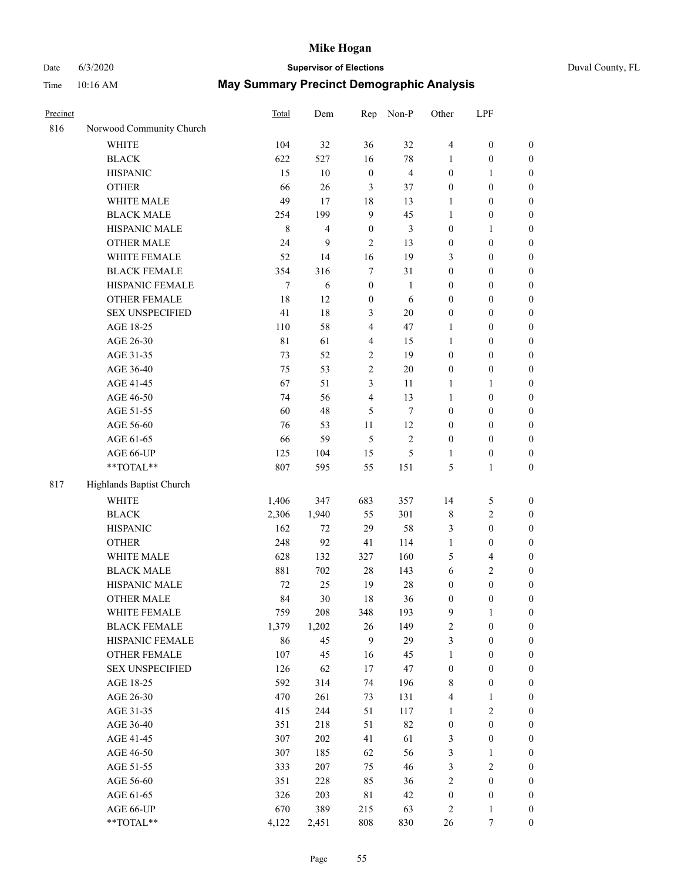# Date 6/3/2020 **Supervisor of Elections**

| Precinct |                                     | <b>Total</b>   | Dem            | Rep                     | Non-P          | Other                 | LPF                                  |                                      |
|----------|-------------------------------------|----------------|----------------|-------------------------|----------------|-----------------------|--------------------------------------|--------------------------------------|
| 816      | Norwood Community Church            |                |                |                         |                |                       |                                      |                                      |
|          | <b>WHITE</b>                        | 104            | 32             | 36                      | 32             | 4                     | $\boldsymbol{0}$                     | 0                                    |
|          | <b>BLACK</b>                        | 622            | 527            | 16                      | $78\,$         | $\mathbf{1}$          | $\boldsymbol{0}$                     | $\boldsymbol{0}$                     |
|          | <b>HISPANIC</b>                     | 15             | $10\,$         | $\boldsymbol{0}$        | $\overline{4}$ | $\boldsymbol{0}$      | 1                                    | $\boldsymbol{0}$                     |
|          | <b>OTHER</b>                        | 66             | 26             | 3                       | 37             | $\boldsymbol{0}$      | $\boldsymbol{0}$                     | $\boldsymbol{0}$                     |
|          | WHITE MALE                          | 49             | 17             | 18                      | 13             | 1                     | $\boldsymbol{0}$                     | $\boldsymbol{0}$                     |
|          | <b>BLACK MALE</b>                   | 254            | 199            | $\boldsymbol{9}$        | 45             | $\mathbf{1}$          | $\boldsymbol{0}$                     | $\boldsymbol{0}$                     |
|          | HISPANIC MALE                       | $\,8\,$        | $\overline{4}$ | $\boldsymbol{0}$        | $\mathfrak{Z}$ | $\boldsymbol{0}$      | $\mathbf{1}$                         | $\boldsymbol{0}$                     |
|          | <b>OTHER MALE</b>                   | 24             | 9              | $\mathfrak{2}$          | 13             | $\boldsymbol{0}$      | $\boldsymbol{0}$                     | $\boldsymbol{0}$                     |
|          | WHITE FEMALE                        | 52             | 14             | 16                      | 19             | 3                     | $\boldsymbol{0}$                     | $\boldsymbol{0}$                     |
|          | <b>BLACK FEMALE</b>                 | 354            | 316            | 7                       | 31             | $\boldsymbol{0}$      | $\boldsymbol{0}$                     | $\boldsymbol{0}$                     |
|          | HISPANIC FEMALE                     | $\tau$         | 6              | $\boldsymbol{0}$        | 1              | $\boldsymbol{0}$      | $\boldsymbol{0}$                     | $\boldsymbol{0}$                     |
|          | <b>OTHER FEMALE</b>                 | 18             | 12             | $\boldsymbol{0}$        | 6              | $\boldsymbol{0}$      | $\boldsymbol{0}$                     | $\boldsymbol{0}$                     |
|          | <b>SEX UNSPECIFIED</b>              | 41             | 18             | 3                       | $20\,$         | $\boldsymbol{0}$      | $\boldsymbol{0}$                     | $\boldsymbol{0}$                     |
|          | AGE 18-25                           | 110            | 58             | $\overline{\mathbf{4}}$ | 47             | 1                     | $\boldsymbol{0}$                     | $\boldsymbol{0}$                     |
|          | AGE 26-30                           | 81             | 61             | 4                       | 15             | $\mathbf{1}$          | $\boldsymbol{0}$                     | $\boldsymbol{0}$                     |
|          | AGE 31-35                           | 73             | 52             | $\sqrt{2}$              | 19             | $\boldsymbol{0}$      | $\boldsymbol{0}$                     | $\boldsymbol{0}$                     |
|          | AGE 36-40                           | 75             | 53             | $\overline{c}$          | $20\,$         | $\boldsymbol{0}$      | $\boldsymbol{0}$                     | $\boldsymbol{0}$                     |
|          | AGE 41-45                           | 67             | 51             | 3                       | 11             | $\mathbf{1}$          | $\mathbf{1}$                         | $\boldsymbol{0}$                     |
|          | AGE 46-50                           | 74             | 56             | $\overline{\mathbf{4}}$ | 13             | $\mathbf{1}$          | $\boldsymbol{0}$                     | $\boldsymbol{0}$                     |
|          | AGE 51-55                           | 60             | 48             | 5                       | $\tau$         | $\boldsymbol{0}$      | $\boldsymbol{0}$                     | $\boldsymbol{0}$                     |
|          | AGE 56-60                           | 76             | 53             | 11                      | 12             | $\boldsymbol{0}$      | $\boldsymbol{0}$                     | 0                                    |
|          | AGE 61-65                           | 66             | 59             | $\mathfrak{H}$          | $\sqrt{2}$     | $\boldsymbol{0}$      | $\boldsymbol{0}$                     | $\boldsymbol{0}$                     |
|          | AGE 66-UP                           | 125            | 104            | 15                      | $\mathfrak{S}$ | 1                     | $\boldsymbol{0}$                     | $\boldsymbol{0}$                     |
|          | **TOTAL**                           | 807            | 595            | 55                      | 151            | 5                     | $\mathbf{1}$                         | $\boldsymbol{0}$                     |
| 817      | Highlands Baptist Church            |                |                |                         |                |                       |                                      |                                      |
|          | <b>WHITE</b>                        |                | 347            | 683                     | 357            |                       |                                      |                                      |
|          | <b>BLACK</b>                        | 1,406<br>2,306 | 1,940          | 55                      | 301            | 14                    | $\mathfrak s$<br>$\sqrt{2}$          | $\boldsymbol{0}$                     |
|          | <b>HISPANIC</b>                     | 162            | 72             | 29                      | 58             | 8                     | $\boldsymbol{0}$                     | $\boldsymbol{0}$                     |
|          |                                     |                |                |                         |                | 3                     |                                      | $\boldsymbol{0}$                     |
|          | <b>OTHER</b><br>WHITE MALE          | 248            | 92             | 41                      | 114            | $\mathbf{1}$          | $\boldsymbol{0}$                     | $\boldsymbol{0}$                     |
|          | <b>BLACK MALE</b>                   | 628            | 132            | 327<br>$28\,$           | 160<br>143     | 5<br>6                | $\overline{4}$<br>$\sqrt{2}$         | $\boldsymbol{0}$                     |
|          | HISPANIC MALE                       | 881<br>$72\,$  | 702<br>25      | 19                      | $28\,$         |                       | $\boldsymbol{0}$                     | $\boldsymbol{0}$                     |
|          |                                     | 84             | 30             | 18                      | 36             | $\boldsymbol{0}$      | $\boldsymbol{0}$                     | $\boldsymbol{0}$<br>$\boldsymbol{0}$ |
|          | <b>OTHER MALE</b>                   |                |                |                         |                | $\boldsymbol{0}$      |                                      | 0                                    |
|          | WHITE FEMALE<br><b>BLACK FEMALE</b> | 759            | 208            | 348                     | 193<br>149     | 9<br>$\overline{c}$   | 1                                    |                                      |
|          | HISPANIC FEMALE                     | 1,379<br>86    | 1,202<br>45    | 26<br>9                 | 29             | 3                     | $\boldsymbol{0}$<br>$\boldsymbol{0}$ | $\boldsymbol{0}$<br>$\overline{0}$   |
|          | OTHER FEMALE                        | 107            | 45             | 16                      | 45             | $\mathbf{1}$          | $\boldsymbol{0}$                     | $\overline{0}$                       |
|          | <b>SEX UNSPECIFIED</b>              | 126            | 62             | 17                      | 47             | $\boldsymbol{0}$      | $\boldsymbol{0}$                     | 0                                    |
|          | AGE 18-25                           | 592            | 314            | 74                      | 196            | 8                     | $\boldsymbol{0}$                     | 0                                    |
|          | AGE 26-30                           | 470            | 261            | 73                      | 131            | 4                     | $\mathbf{1}$                         | 0                                    |
|          | AGE 31-35                           | 415            | 244            | 51                      | 117            | $\mathbf{1}$          | $\sqrt{2}$                           | 0                                    |
|          | AGE 36-40                           | 351            | 218            | 51                      | 82             |                       | $\boldsymbol{0}$                     | 0                                    |
|          | AGE 41-45                           | 307            | 202            | 41                      | 61             | $\boldsymbol{0}$<br>3 | $\boldsymbol{0}$                     | 0                                    |
|          | AGE 46-50                           | 307            | 185            | 62                      | 56             | 3                     | $\mathbf{1}$                         | 0                                    |
|          | AGE 51-55                           | 333            | 207            | 75                      | 46             | 3                     | $\sqrt{2}$                           | 0                                    |
|          | AGE 56-60                           | 351            | 228            | 85                      | 36             | $\overline{c}$        | $\boldsymbol{0}$                     | $\boldsymbol{0}$                     |
|          | AGE 61-65                           | 326            | 203            | $8\sqrt{1}$             | 42             | $\boldsymbol{0}$      | $\boldsymbol{0}$                     | $\boldsymbol{0}$                     |
|          | AGE 66-UP                           | 670            | 389            | 215                     | 63             | 2                     | $\mathbf{1}$                         | 0                                    |
|          | **TOTAL**                           | 4,122          | 2,451          | 808                     | 830            | 26                    | 7                                    | $\boldsymbol{0}$                     |
|          |                                     |                |                |                         |                |                       |                                      |                                      |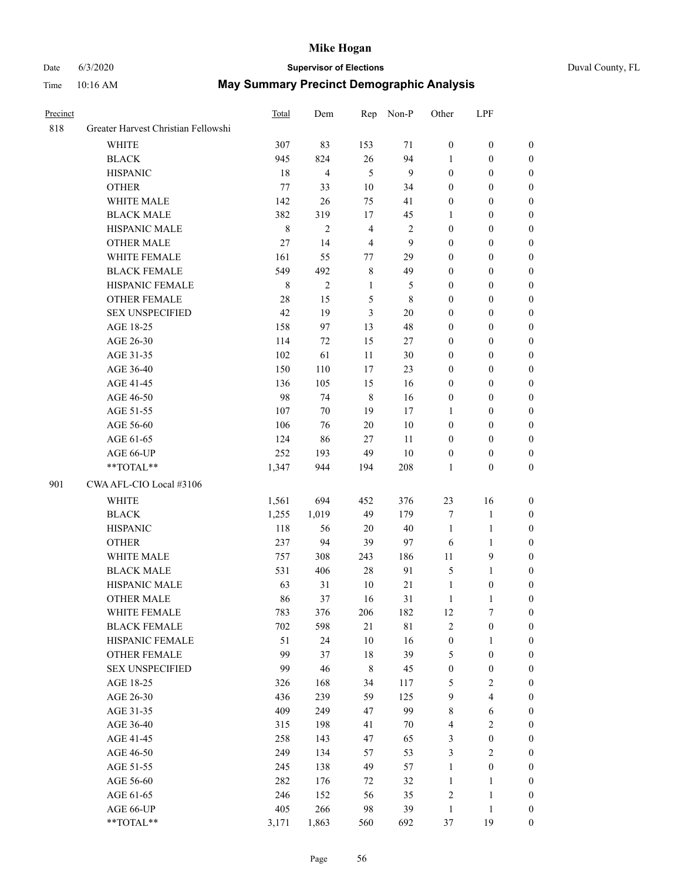# Date 6/3/2020 **Supervisor of Elections** Duval County, FL

| Precinct |                                     | <b>Total</b> | Dem            | Rep            | Non-P        | Other            | LPF              |                  |
|----------|-------------------------------------|--------------|----------------|----------------|--------------|------------------|------------------|------------------|
| 818      | Greater Harvest Christian Fellowshi |              |                |                |              |                  |                  |                  |
|          | <b>WHITE</b>                        | 307          | 83             | 153            | 71           | $\boldsymbol{0}$ | $\boldsymbol{0}$ | 0                |
|          | <b>BLACK</b>                        | 945          | 824            | 26             | 94           | 1                | $\boldsymbol{0}$ | 0                |
|          | <b>HISPANIC</b>                     | 18           | $\overline{4}$ | $\mathfrak{H}$ | 9            | $\boldsymbol{0}$ | $\boldsymbol{0}$ | $\boldsymbol{0}$ |
|          | <b>OTHER</b>                        | 77           | 33             | $10\,$         | 34           | $\overline{0}$   | $\boldsymbol{0}$ | $\boldsymbol{0}$ |
|          | WHITE MALE                          | 142          | 26             | 75             | 41           | $\boldsymbol{0}$ | $\boldsymbol{0}$ | $\boldsymbol{0}$ |
|          | <b>BLACK MALE</b>                   | 382          | 319            | 17             | 45           | 1                | $\boldsymbol{0}$ | $\boldsymbol{0}$ |
|          | HISPANIC MALE                       | $\,8\,$      | $\mathbf{2}$   | $\overline{4}$ | $\sqrt{2}$   | $\boldsymbol{0}$ | $\boldsymbol{0}$ | $\boldsymbol{0}$ |
|          | <b>OTHER MALE</b>                   | 27           | 14             | $\overline{4}$ | $\mathbf{9}$ | $\boldsymbol{0}$ | $\boldsymbol{0}$ | $\boldsymbol{0}$ |
|          | WHITE FEMALE                        | 161          | 55             | 77             | 29           | $\boldsymbol{0}$ | $\boldsymbol{0}$ | $\boldsymbol{0}$ |
|          | <b>BLACK FEMALE</b>                 | 549          | 492            | $\,$ 8 $\,$    | 49           | $\boldsymbol{0}$ | $\boldsymbol{0}$ | $\boldsymbol{0}$ |
|          | HISPANIC FEMALE                     | $\,8\,$      | $\overline{2}$ | $\mathbf{1}$   | 5            | $\boldsymbol{0}$ | $\boldsymbol{0}$ | 0                |
|          | <b>OTHER FEMALE</b>                 | 28           | 15             | 5              | $\,$ 8 $\,$  | $\boldsymbol{0}$ | $\boldsymbol{0}$ | $\boldsymbol{0}$ |
|          | <b>SEX UNSPECIFIED</b>              | 42           | 19             | 3              | $20\,$       | $\boldsymbol{0}$ | $\boldsymbol{0}$ | $\boldsymbol{0}$ |
|          | AGE 18-25                           | 158          | 97             | 13             | 48           | $\boldsymbol{0}$ | $\boldsymbol{0}$ | $\boldsymbol{0}$ |
|          | AGE 26-30                           | 114          | 72             | 15             | $27\,$       | $\boldsymbol{0}$ | $\boldsymbol{0}$ | $\boldsymbol{0}$ |
|          | AGE 31-35                           | 102          | 61             | 11             | 30           | 0                | $\boldsymbol{0}$ | $\boldsymbol{0}$ |
|          | AGE 36-40                           | 150          | 110            | 17             | 23           | 0                | $\boldsymbol{0}$ | $\boldsymbol{0}$ |
|          | AGE 41-45                           | 136          | 105            | 15             | 16           | $\boldsymbol{0}$ | $\boldsymbol{0}$ | $\boldsymbol{0}$ |
|          | AGE 46-50                           | 98           | 74             | $\,8\,$        | 16           | $\boldsymbol{0}$ | $\boldsymbol{0}$ | $\boldsymbol{0}$ |
|          | AGE 51-55                           | 107          | 70             | 19             | 17           | 1                | $\boldsymbol{0}$ | $\boldsymbol{0}$ |
|          | AGE 56-60                           | 106          | 76             | 20             | 10           | $\boldsymbol{0}$ | $\boldsymbol{0}$ | 0                |
|          | AGE 61-65                           | 124          | 86             | 27             | 11           | $\boldsymbol{0}$ | $\boldsymbol{0}$ | 0                |
|          | AGE 66-UP                           | 252          | 193            | 49             | $10\,$       | $\boldsymbol{0}$ | $\boldsymbol{0}$ | $\boldsymbol{0}$ |
|          | $**TOTAL**$                         | 1,347        | 944            | 194            | 208          | $\mathbf{1}$     | $\boldsymbol{0}$ | $\boldsymbol{0}$ |
| 901      | CWA AFL-CIO Local #3106             |              |                |                |              |                  |                  |                  |
|          | <b>WHITE</b>                        | 1,561        | 694            | 452            | 376          | 23               | 16               | $\boldsymbol{0}$ |
|          | <b>BLACK</b>                        | 1,255        | 1,019          | 49             | 179          | 7                | $\mathbf{1}$     | $\boldsymbol{0}$ |
|          | <b>HISPANIC</b>                     | 118          | 56             | 20             | $40\,$       | $\mathbf{1}$     | $\mathbf{1}$     | $\boldsymbol{0}$ |
|          | <b>OTHER</b>                        | 237          | 94             | 39             | 97           | 6                | $\mathbf{1}$     | $\boldsymbol{0}$ |
|          | WHITE MALE                          | 757          | 308            | 243            | 186          | $11\,$           | 9                | $\overline{0}$   |
|          | <b>BLACK MALE</b>                   | 531          | 406            | $28\,$         | 91           | 5                | $\mathbf{1}$     | $\boldsymbol{0}$ |
|          | HISPANIC MALE                       | 63           | 31             | 10             | $21\,$       | $\mathbf{1}$     | $\boldsymbol{0}$ | 0                |
|          | <b>OTHER MALE</b>                   | 86           | 37             | 16             | 31           | $\mathbf{1}$     | 1                | 0                |
|          | WHITE FEMALE                        | 783          | 376            | 206            | 182          | 12               | 7                | 0                |
|          | <b>BLACK FEMALE</b>                 | 702          | 598            | 21             | $8\sqrt{1}$  | 2                | $\boldsymbol{0}$ | $\boldsymbol{0}$ |
|          | HISPANIC FEMALE                     | 51           | 24             | $10\,$         | 16           | $\boldsymbol{0}$ | $\mathbf{1}$     | $\overline{0}$   |
|          | OTHER FEMALE                        | 99           | 37             | 18             | 39           | 5                | $\boldsymbol{0}$ | $\overline{0}$   |
|          | <b>SEX UNSPECIFIED</b>              | 99           | 46             | $\,$ 8 $\,$    | 45           | $\boldsymbol{0}$ | $\boldsymbol{0}$ | 0                |
|          | AGE 18-25                           | 326          | 168            | 34             | 117          | 5                | $\sqrt{2}$       | 0                |
|          | AGE 26-30                           | 436          | 239            | 59             | 125          | 9                | $\overline{4}$   | 0                |
|          | AGE 31-35                           | 409          | 249            | 47             | 99           | 8                | 6                | 0                |
|          | AGE 36-40                           | 315          | 198            | 41             | 70           | 4                | $\sqrt{2}$       | 0                |
|          | AGE 41-45                           | 258          | 143            | 47             | 65           | 3                | $\boldsymbol{0}$ | 0                |
|          | AGE 46-50                           | 249          | 134            | 57             | 53           | 3                | $\sqrt{2}$       | 0                |
|          | AGE 51-55                           | 245          | 138            | 49             | 57           | $\mathbf{1}$     | $\boldsymbol{0}$ | 0                |
|          | AGE 56-60                           | 282          | 176            | 72             | 32           | $\mathbf{1}$     | $\mathbf{1}$     | 0                |
|          | AGE 61-65                           | 246          | 152            | 56             | 35           | 2                | $\mathbf{1}$     | 0                |
|          | AGE 66-UP                           | 405          | 266            | 98             | 39           | $\mathbf{1}$     | $\mathbf{1}$     | 0                |
|          | **TOTAL**                           | 3,171        | 1,863          | 560            | 692          | 37               | 19               | $\boldsymbol{0}$ |
|          |                                     |              |                |                |              |                  |                  |                  |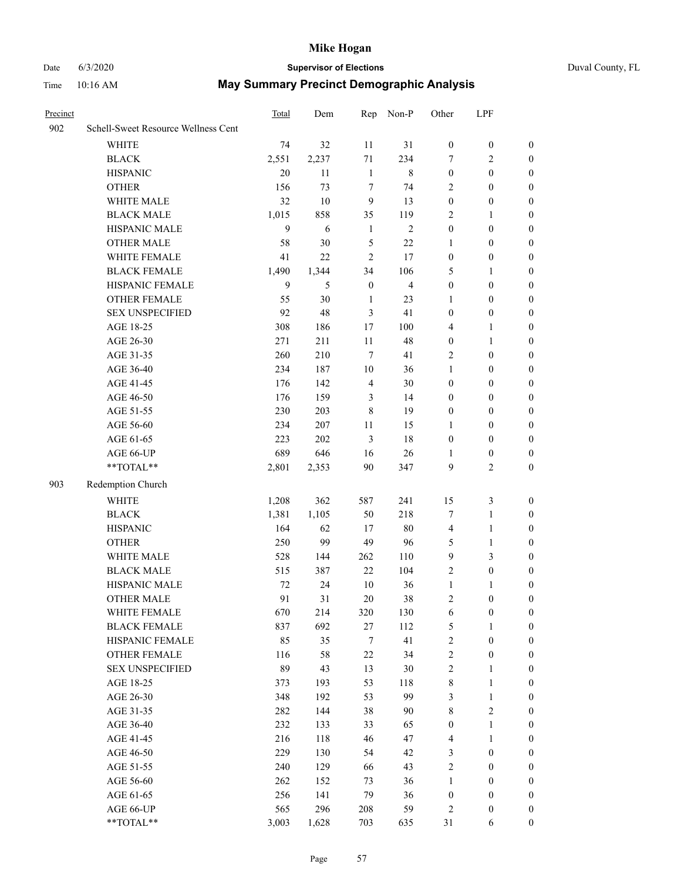# Date 6/3/2020 **Supervisor of Elections** Duval County, FL

| Precinct |                                                           | Total | Dem   | Rep              | Non-P                   | Other                   | LPF              |                  |
|----------|-----------------------------------------------------------|-------|-------|------------------|-------------------------|-------------------------|------------------|------------------|
| 902      | Schell-Sweet Resource Wellness Cent                       |       |       |                  |                         |                         |                  |                  |
|          | WHITE                                                     | 74    | 32    | 11               | 31                      | $\boldsymbol{0}$        | $\boldsymbol{0}$ | $\boldsymbol{0}$ |
|          | <b>BLACK</b>                                              | 2,551 | 2,237 | 71               | 234                     | 7                       | $\mathfrak{2}$   | $\boldsymbol{0}$ |
|          | <b>HISPANIC</b>                                           | 20    | 11    | $\mathbf{1}$     | $\,$ 8 $\,$             | $\boldsymbol{0}$        | $\boldsymbol{0}$ | $\boldsymbol{0}$ |
|          | <b>OTHER</b>                                              | 156   | 73    | 7                | 74                      | 2                       | $\boldsymbol{0}$ | $\boldsymbol{0}$ |
|          | WHITE MALE                                                | 32    | 10    | 9                | 13                      | $\boldsymbol{0}$        | $\boldsymbol{0}$ | $\boldsymbol{0}$ |
|          | <b>BLACK MALE</b>                                         | 1,015 | 858   | 35               | 119                     | 2                       | 1                | $\boldsymbol{0}$ |
|          | HISPANIC MALE                                             | 9     | 6     | $\mathbf{1}$     | $\mathfrak{2}$          | $\boldsymbol{0}$        | $\boldsymbol{0}$ | $\boldsymbol{0}$ |
|          | <b>OTHER MALE</b>                                         | 58    | 30    | $\mathfrak{S}$   | $22\,$                  | 1                       | $\boldsymbol{0}$ | 0                |
|          | WHITE FEMALE                                              | 41    | 22    | $\mathfrak{2}$   | 17                      | $\boldsymbol{0}$        | $\boldsymbol{0}$ | 0                |
|          | <b>BLACK FEMALE</b>                                       | 1,490 | 1,344 | 34               | 106                     | 5                       | 1                | $\boldsymbol{0}$ |
|          | HISPANIC FEMALE                                           | 9     | 5     | $\boldsymbol{0}$ | $\overline{\mathbf{4}}$ | $\boldsymbol{0}$        | $\boldsymbol{0}$ | $\boldsymbol{0}$ |
|          | OTHER FEMALE                                              | 55    | 30    | $\mathbf{1}$     | 23                      | $\mathbf{1}$            | $\boldsymbol{0}$ | $\boldsymbol{0}$ |
|          | <b>SEX UNSPECIFIED</b>                                    | 92    | 48    | 3                | 41                      | $\boldsymbol{0}$        | $\boldsymbol{0}$ | $\boldsymbol{0}$ |
|          | AGE 18-25                                                 | 308   | 186   | 17               | 100                     | 4                       | $\mathbf{1}$     | $\boldsymbol{0}$ |
|          | AGE 26-30                                                 | 271   | 211   | $11\,$           | 48                      | $\boldsymbol{0}$        | $\mathbf{1}$     | $\boldsymbol{0}$ |
|          | AGE 31-35                                                 | 260   | 210   | $\tau$           | 41                      | 2                       | $\boldsymbol{0}$ | $\boldsymbol{0}$ |
|          | AGE 36-40                                                 | 234   | 187   | $10\,$           | 36                      | 1                       | $\boldsymbol{0}$ | $\boldsymbol{0}$ |
|          | AGE 41-45                                                 | 176   | 142   | $\overline{4}$   | 30                      | $\boldsymbol{0}$        | $\boldsymbol{0}$ | 0                |
|          | AGE 46-50                                                 | 176   | 159   | 3                | 14                      | $\boldsymbol{0}$        | $\boldsymbol{0}$ | 0                |
|          | AGE 51-55                                                 | 230   | 203   | $\,8\,$          | 19                      | $\boldsymbol{0}$        | $\boldsymbol{0}$ | $\boldsymbol{0}$ |
|          | AGE 56-60                                                 | 234   | 207   | 11               | 15                      | 1                       | $\boldsymbol{0}$ | $\boldsymbol{0}$ |
|          | AGE 61-65                                                 | 223   | 202   | 3                | 18                      | $\boldsymbol{0}$        | $\boldsymbol{0}$ | $\boldsymbol{0}$ |
|          | AGE 66-UP                                                 | 689   | 646   | 16               | 26                      | 1                       | $\boldsymbol{0}$ | $\boldsymbol{0}$ |
|          | $\mathrm{*}\mathrm{*}\mathrm{TOTAL} \mathrm{*}\mathrm{*}$ | 2,801 | 2,353 | $90\,$           | 347                     | 9                       | $\overline{2}$   | $\boldsymbol{0}$ |
| 903      | Redemption Church                                         |       |       |                  |                         |                         |                  |                  |
|          | <b>WHITE</b>                                              | 1,208 | 362   | 587              | 241                     | 15                      | $\sqrt{3}$       | $\boldsymbol{0}$ |
|          | <b>BLACK</b>                                              | 1,381 | 1,105 | 50               | 218                     | 7                       | $\mathbf{1}$     | $\boldsymbol{0}$ |
|          | <b>HISPANIC</b>                                           | 164   | 62    | 17               | $80\,$                  | $\overline{\mathbf{4}}$ | $\mathbf{1}$     | $\boldsymbol{0}$ |
|          | <b>OTHER</b>                                              | 250   | 99    | 49               | 96                      | 5                       | $\mathbf{1}$     | $\boldsymbol{0}$ |
|          | WHITE MALE                                                | 528   | 144   | 262              | 110                     | $\mathbf{9}$            | $\mathfrak{Z}$   | 0                |
|          | <b>BLACK MALE</b>                                         | 515   | 387   | 22               | 104                     | $\overline{2}$          | $\boldsymbol{0}$ | 0                |
|          | HISPANIC MALE                                             | 72    | 24    | $10\,$           | 36                      | $\mathbf{1}$            | 1                | 0                |
|          | <b>OTHER MALE</b>                                         | 91    | 31    | 20               | 38                      | 2                       | $\boldsymbol{0}$ | $\boldsymbol{0}$ |
|          | WHITE FEMALE                                              | 670   | 214   | 320              | 130                     | 6                       | $\boldsymbol{0}$ | $\boldsymbol{0}$ |
|          | <b>BLACK FEMALE</b>                                       | 837   | 692   | 27               | 112                     | 5                       | $\mathbf{1}$     | $\overline{0}$   |
|          | HISPANIC FEMALE                                           | 85    | 35    | 7                | 41                      | $\overline{c}$          | $\boldsymbol{0}$ | $\overline{0}$   |
|          | <b>OTHER FEMALE</b>                                       | 116   | 58    | 22               | 34                      | $\overline{c}$          | $\boldsymbol{0}$ | $\theta$         |
|          | <b>SEX UNSPECIFIED</b>                                    | 89    | 43    | 13               | $30\,$                  | $\overline{c}$          | $\mathbf{1}$     | $\overline{0}$   |
|          | AGE 18-25                                                 | 373   | 193   | 53               | 118                     | 8                       | $\mathbf{1}$     | $\overline{0}$   |
|          | AGE 26-30                                                 | 348   | 192   | 53               | 99                      | 3                       | $\mathbf{1}$     | 0                |
|          | AGE 31-35                                                 | 282   | 144   | 38               | 90                      | 8                       | $\sqrt{2}$       | 0                |
|          | AGE 36-40                                                 | 232   | 133   | 33               | 65                      | $\boldsymbol{0}$        | $\mathbf{1}$     | $\boldsymbol{0}$ |
|          | AGE 41-45                                                 | 216   | 118   | 46               | 47                      | 4                       | $\mathbf{1}$     | $\overline{0}$   |
|          | AGE 46-50                                                 | 229   | 130   | 54               | 42                      | 3                       | $\boldsymbol{0}$ | $\boldsymbol{0}$ |
|          | AGE 51-55                                                 | 240   | 129   | 66               | 43                      | 2                       | $\boldsymbol{0}$ | $\overline{0}$   |
|          | AGE 56-60                                                 | 262   | 152   | 73               | 36                      | $\mathbf{1}$            | $\boldsymbol{0}$ | $\overline{0}$   |
|          | AGE 61-65                                                 | 256   | 141   | 79               | 36                      | $\boldsymbol{0}$        | $\boldsymbol{0}$ | $\overline{0}$   |
|          | AGE 66-UP                                                 | 565   | 296   | 208              | 59                      | 2                       | $\boldsymbol{0}$ | $\overline{0}$   |
|          | **TOTAL**                                                 | 3,003 | 1,628 | 703              | 635                     | 31                      | 6                | $\boldsymbol{0}$ |
|          |                                                           |       |       |                  |                         |                         |                  |                  |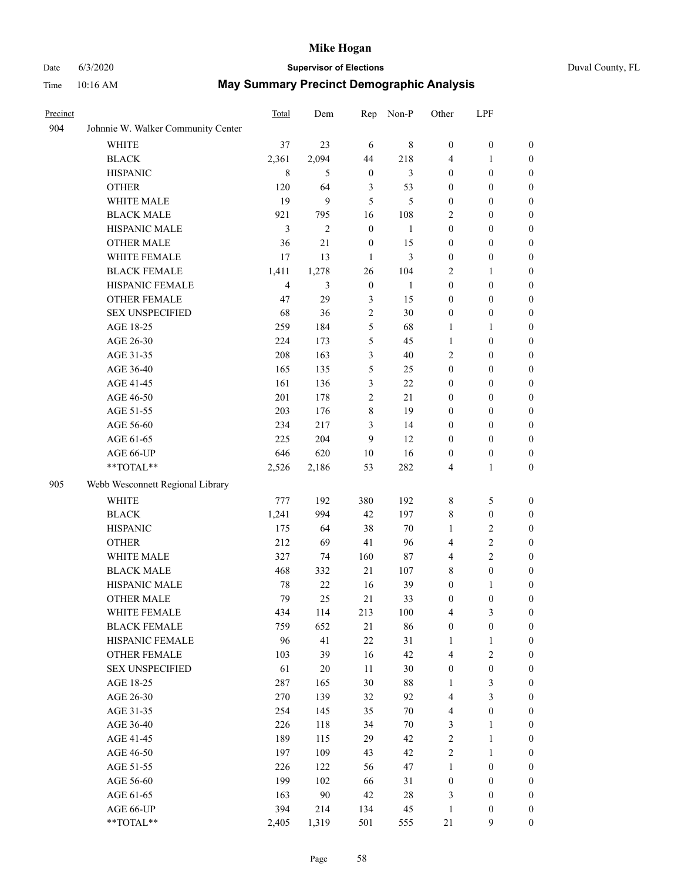# Date 6/3/2020 **Supervisor of Elections** Duval County, FL Time 10:16 AM **May Summary Precinct Demographic Analysis**

| .        | 101101111                          |       |       |    |           |          |            |  |  |
|----------|------------------------------------|-------|-------|----|-----------|----------|------------|--|--|
| Precinct |                                    | Total | Dem   |    | Rep Non-P | Other    | <b>LPF</b> |  |  |
| 904      | Johnnie W. Walker Community Center |       |       |    |           |          |            |  |  |
|          | WHITE                              | 37    | 23    | 6  | 8         | $\theta$ | $\left($   |  |  |
|          | <b>BLACK</b>                       | 2.361 | 2.094 | 44 | 218       | 4        |            |  |  |
|          | <b>HISPANIC</b>                    |       |       |    |           | $\theta$ |            |  |  |

|     | <b>HISPANIC</b>                                           | 8              | 5              | $\boldsymbol{0}$ | 3              | $\boldsymbol{0}$ | $\boldsymbol{0}$ | $\boldsymbol{0}$ |
|-----|-----------------------------------------------------------|----------------|----------------|------------------|----------------|------------------|------------------|------------------|
|     | <b>OTHER</b>                                              | 120            | 64             | $\mathfrak{Z}$   | 53             | $\boldsymbol{0}$ | $\boldsymbol{0}$ | $\boldsymbol{0}$ |
|     | WHITE MALE                                                | 19             | 9              | 5                | 5              | $\boldsymbol{0}$ | $\boldsymbol{0}$ | $\boldsymbol{0}$ |
|     | <b>BLACK MALE</b>                                         | 921            | 795            | 16               | 108            | 2                | $\boldsymbol{0}$ | $\boldsymbol{0}$ |
|     | HISPANIC MALE                                             | 3              | $\mathfrak{2}$ | $\boldsymbol{0}$ | $\mathbf{1}$   | $\boldsymbol{0}$ | $\boldsymbol{0}$ | $\boldsymbol{0}$ |
|     | <b>OTHER MALE</b>                                         | 36             | $21\,$         | $\boldsymbol{0}$ | 15             | $\boldsymbol{0}$ | $\boldsymbol{0}$ | $\boldsymbol{0}$ |
|     | WHITE FEMALE                                              | $17\,$         | 13             | $\mathbf{1}$     | $\mathfrak{Z}$ | $\boldsymbol{0}$ | $\boldsymbol{0}$ | $\boldsymbol{0}$ |
|     | <b>BLACK FEMALE</b>                                       | 1,411          | 1,278          | 26               | 104            | 2                | 1                | 0                |
|     | HISPANIC FEMALE                                           | $\overline{4}$ | 3              | $\boldsymbol{0}$ | $\mathbf{1}$   | $\boldsymbol{0}$ | $\boldsymbol{0}$ | $\boldsymbol{0}$ |
|     | <b>OTHER FEMALE</b>                                       | 47             | 29             | 3                | 15             | $\boldsymbol{0}$ | $\boldsymbol{0}$ | $\boldsymbol{0}$ |
|     | <b>SEX UNSPECIFIED</b>                                    | 68             | 36             | $\sqrt{2}$       | 30             | $\boldsymbol{0}$ | $\boldsymbol{0}$ | $\boldsymbol{0}$ |
|     | AGE 18-25                                                 | 259            | 184            | $\mathfrak{S}$   | 68             | 1                | $\mathbf{1}$     | $\boldsymbol{0}$ |
|     | AGE 26-30                                                 | 224            | 173            | $\mathfrak s$    | 45             | $\mathbf{1}$     | $\boldsymbol{0}$ | $\boldsymbol{0}$ |
|     | AGE 31-35                                                 | 208            | 163            | $\mathfrak{Z}$   | $40\,$         | 2                | $\boldsymbol{0}$ | $\boldsymbol{0}$ |
|     | AGE 36-40                                                 | 165            | 135            | $\mathfrak{S}$   | 25             | $\boldsymbol{0}$ | $\boldsymbol{0}$ | $\boldsymbol{0}$ |
|     | AGE 41-45                                                 | 161            | 136            | 3                | $22\,$         | $\boldsymbol{0}$ | $\boldsymbol{0}$ | $\boldsymbol{0}$ |
|     | AGE 46-50                                                 | 201            | 178            | $\sqrt{2}$       | 21             | $\boldsymbol{0}$ | $\boldsymbol{0}$ | $\boldsymbol{0}$ |
|     | AGE 51-55                                                 | 203            | 176            | $8\,$            | 19             | $\boldsymbol{0}$ | $\boldsymbol{0}$ | 0                |
|     | AGE 56-60                                                 | 234            | 217            | 3                | 14             | $\boldsymbol{0}$ | $\boldsymbol{0}$ | $\boldsymbol{0}$ |
|     | AGE 61-65                                                 | 225            | 204            | 9                | 12             | $\boldsymbol{0}$ | $\boldsymbol{0}$ | $\boldsymbol{0}$ |
|     | AGE 66-UP                                                 | 646            | 620            | 10               | 16             | $\boldsymbol{0}$ | $\boldsymbol{0}$ | $\boldsymbol{0}$ |
|     | $\mathrm{*}\mathrm{*}\mathrm{TOTAL} \mathrm{*}\mathrm{*}$ | 2,526          | 2,186          | 53               | 282            | $\overline{4}$   | $\mathbf{1}$     | $\boldsymbol{0}$ |
| 905 | Webb Wesconnett Regional Library                          |                |                |                  |                |                  |                  |                  |
|     | <b>WHITE</b>                                              | 777            | 192            | 380              | 192            | $\,$ $\,$        | $\mathfrak{S}$   | $\boldsymbol{0}$ |
|     | <b>BLACK</b>                                              | 1,241          | 994            | 42               | 197            | $\,$ 8 $\,$      | $\boldsymbol{0}$ | $\boldsymbol{0}$ |
|     | <b>HISPANIC</b>                                           | 175            | 64             | 38               | $70\,$         | $\mathbf{1}$     | $\mathbf{2}$     | $\boldsymbol{0}$ |
|     | <b>OTHER</b>                                              | 212            | 69             | 41               | 96             | 4                | $\overline{2}$   | $\boldsymbol{0}$ |
|     | WHITE MALE                                                | 327            | 74             | 160              | $87\,$         | 4                | $\overline{c}$   | $\boldsymbol{0}$ |
|     | <b>BLACK MALE</b>                                         | 468            | 332            | 21               | 107            | $\,$ 8 $\,$      | $\boldsymbol{0}$ | $\boldsymbol{0}$ |
|     | HISPANIC MALE                                             | $78\,$         | $22\,$         | 16               | 39             | $\boldsymbol{0}$ | 1                | 0                |
|     | <b>OTHER MALE</b>                                         | 79             | 25             | 21               | 33             | $\boldsymbol{0}$ | $\boldsymbol{0}$ | $\boldsymbol{0}$ |
|     | WHITE FEMALE                                              | 434            | 114            | 213              | 100            | 4                | 3                | $\boldsymbol{0}$ |
|     | <b>BLACK FEMALE</b>                                       | 759            | 652            | 21               | 86             | $\boldsymbol{0}$ | $\boldsymbol{0}$ | $\boldsymbol{0}$ |
|     | HISPANIC FEMALE                                           | 96             | 41             | $22\,$           | 31             | 1                | 1                | $\boldsymbol{0}$ |
|     | <b>OTHER FEMALE</b>                                       | 103            | 39             | 16               | 42             | 4                | $\mathfrak{2}$   | $\boldsymbol{0}$ |
|     | <b>SEX UNSPECIFIED</b>                                    | 61             | 20             | 11               | 30             | $\boldsymbol{0}$ | $\boldsymbol{0}$ | $\mathbf{0}$     |
|     | AGE 18-25                                                 | 287            | 165            | 30               | 88             | 1                | 3                | 0                |
|     | AGE 26-30                                                 | 270            | 139            | 32               | 92             | $\overline{4}$   | 3                | 0                |
|     | AGE 31-35                                                 | 254            | 145            | 35               | $70\,$         | $\overline{4}$   | $\boldsymbol{0}$ | 0                |
|     | AGE 36-40                                                 | 226            | 118            | 34               | $70\,$         | 3                | $\mathbf{1}$     | 0                |
|     | AGE 41-45                                                 | 189            | 115            | 29               | 42             | $\mathbf{2}$     | $\mathbf{1}$     | 0                |
|     | AGE 46-50                                                 | 197            | 109            | 43               | 42             | $\sqrt{2}$       | $\mathbf{1}$     | 0                |
|     | AGE 51-55                                                 | 226            | 122            | 56               | 47             | $\mathbf{1}$     | $\boldsymbol{0}$ | $\boldsymbol{0}$ |
|     | AGE 56-60                                                 | 199            | 102            | 66               | 31             | $\boldsymbol{0}$ | $\boldsymbol{0}$ | $\boldsymbol{0}$ |
|     | AGE 61-65                                                 | 163            | $90\,$         | 42               | 28             | 3                | $\boldsymbol{0}$ | $\boldsymbol{0}$ |
|     | AGE 66-UP                                                 | 394            | 214            | 134              | 45             | $\mathbf{1}$     | $\boldsymbol{0}$ | $\boldsymbol{0}$ |
|     | **TOTAL**                                                 | 2,405          | 1,319          | 501              | 555            | 21               | 9                | $\boldsymbol{0}$ |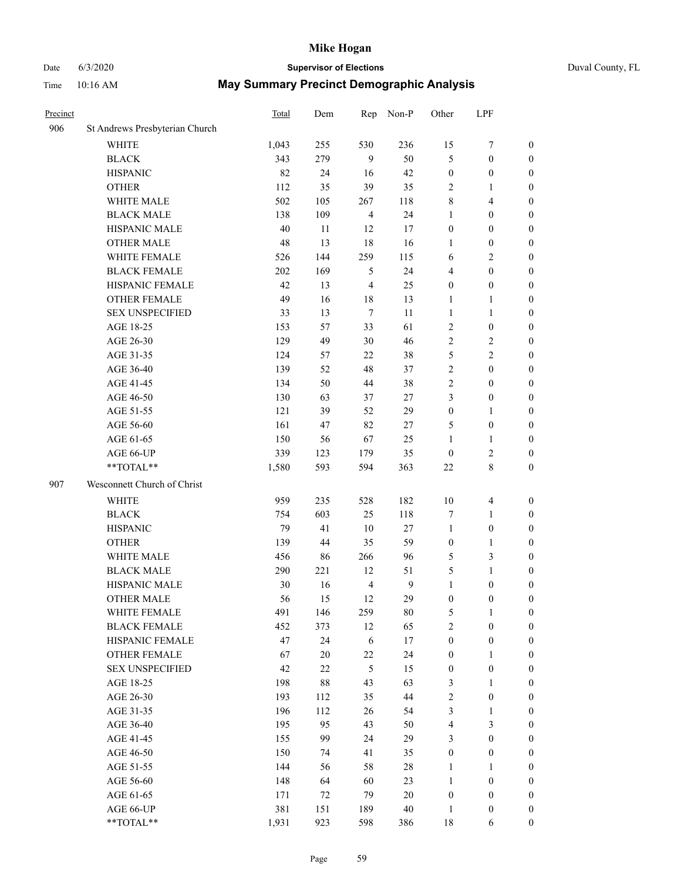# Date 6/3/2020 **Supervisor of Elections** Duval County, FL

| Precinct |                                | <b>Total</b> | Dem    | Rep            | Non-P        | Other            | LPF              |                  |
|----------|--------------------------------|--------------|--------|----------------|--------------|------------------|------------------|------------------|
| 906      | St Andrews Presbyterian Church |              |        |                |              |                  |                  |                  |
|          | <b>WHITE</b>                   | 1,043        | 255    | 530            | 236          | 15               | $\boldsymbol{7}$ | 0                |
|          | <b>BLACK</b>                   | 343          | 279    | 9              | 50           | 5                | $\boldsymbol{0}$ | 0                |
|          | <b>HISPANIC</b>                | 82           | 24     | 16             | 42           | $\boldsymbol{0}$ | $\boldsymbol{0}$ | $\boldsymbol{0}$ |
|          | <b>OTHER</b>                   | 112          | 35     | 39             | 35           | 2                | 1                | $\boldsymbol{0}$ |
|          | WHITE MALE                     | 502          | 105    | 267            | 118          | 8                | $\overline{4}$   | $\boldsymbol{0}$ |
|          | <b>BLACK MALE</b>              | 138          | 109    | $\overline{4}$ | 24           | $\mathbf{1}$     | $\boldsymbol{0}$ | $\boldsymbol{0}$ |
|          | HISPANIC MALE                  | 40           | 11     | 12             | 17           | $\boldsymbol{0}$ | $\boldsymbol{0}$ | $\boldsymbol{0}$ |
|          | <b>OTHER MALE</b>              | 48           | 13     | 18             | 16           | $\mathbf{1}$     | $\boldsymbol{0}$ | $\boldsymbol{0}$ |
|          | WHITE FEMALE                   | 526          | 144    | 259            | 115          | 6                | $\mathbf{2}$     | $\boldsymbol{0}$ |
|          | <b>BLACK FEMALE</b>            | 202          | 169    | 5              | 24           | 4                | $\boldsymbol{0}$ | $\boldsymbol{0}$ |
|          | HISPANIC FEMALE                | 42           | 13     | $\overline{4}$ | 25           | $\boldsymbol{0}$ | $\boldsymbol{0}$ | 0                |
|          | <b>OTHER FEMALE</b>            | 49           | 16     | 18             | 13           | 1                | $\mathbf{1}$     | $\boldsymbol{0}$ |
|          | <b>SEX UNSPECIFIED</b>         | 33           | 13     | $\tau$         | 11           | $\mathbf{1}$     | $\mathbf{1}$     | $\boldsymbol{0}$ |
|          | AGE 18-25                      | 153          | 57     | 33             | 61           | 2                | $\boldsymbol{0}$ | $\boldsymbol{0}$ |
|          | AGE 26-30                      | 129          | 49     | 30             | 46           | 2                | $\sqrt{2}$       | $\boldsymbol{0}$ |
|          | AGE 31-35                      | 124          | 57     | 22             | 38           | 5                | $\sqrt{2}$       | $\boldsymbol{0}$ |
|          | AGE 36-40                      | 139          | 52     | 48             | 37           | $\overline{c}$   | $\boldsymbol{0}$ | $\boldsymbol{0}$ |
|          | AGE 41-45                      | 134          | 50     | 44             | 38           | $\overline{2}$   | $\boldsymbol{0}$ | $\boldsymbol{0}$ |
|          | AGE 46-50                      | 130          | 63     | 37             | $27\,$       | 3                | $\boldsymbol{0}$ | $\boldsymbol{0}$ |
|          | AGE 51-55                      | 121          | 39     | 52             | 29           | $\boldsymbol{0}$ | 1                | $\boldsymbol{0}$ |
|          | AGE 56-60                      | 161          | 47     | 82             | 27           | 5                | $\boldsymbol{0}$ | 0                |
|          | AGE 61-65                      | 150          | 56     | 67             | 25           | 1                | $\mathbf{1}$     | 0                |
|          | AGE 66-UP                      | 339          | 123    | 179            | 35           | $\boldsymbol{0}$ | $\sqrt{2}$       | $\boldsymbol{0}$ |
|          | **TOTAL**                      | 1,580        | 593    | 594            | 363          | $22\,$           | $\,$ 8 $\,$      | $\boldsymbol{0}$ |
| 907      | Wesconnett Church of Christ    |              |        |                |              |                  |                  |                  |
|          | <b>WHITE</b>                   | 959          | 235    | 528            | 182          | $10\,$           | $\overline{4}$   | $\boldsymbol{0}$ |
|          | <b>BLACK</b>                   | 754          | 603    | 25             | 118          | 7                | $\mathbf{1}$     | $\boldsymbol{0}$ |
|          | <b>HISPANIC</b>                | 79           | 41     | 10             | $27\,$       | $\mathbf{1}$     | $\boldsymbol{0}$ | $\boldsymbol{0}$ |
|          | <b>OTHER</b>                   | 139          | 44     | 35             | 59           | $\boldsymbol{0}$ | $\mathbf{1}$     | $\boldsymbol{0}$ |
|          | WHITE MALE                     | 456          | 86     | 266            | 96           | 5                | 3                | $\boldsymbol{0}$ |
|          | <b>BLACK MALE</b>              | 290          | 221    | 12             | 51           | 5                | $\mathbf{1}$     | $\boldsymbol{0}$ |
|          | HISPANIC MALE                  | 30           | 16     | $\overline{4}$ | $\mathbf{9}$ | $\mathbf{1}$     | $\boldsymbol{0}$ | 0                |
|          | <b>OTHER MALE</b>              | 56           | 15     | 12             | 29           | $\boldsymbol{0}$ | $\boldsymbol{0}$ | $\boldsymbol{0}$ |
|          | WHITE FEMALE                   | 491          | 146    | 259            | 80           | 5                | 1                | 0                |
|          | <b>BLACK FEMALE</b>            | 452          | 373    | 12             | 65           | $\overline{2}$   | $\boldsymbol{0}$ | $\overline{0}$   |
|          | HISPANIC FEMALE                | 47           | 24     | 6              | 17           | $\boldsymbol{0}$ | $\boldsymbol{0}$ | $\overline{0}$   |
|          | <b>OTHER FEMALE</b>            | 67           | $20\,$ | 22             | 24           | $\boldsymbol{0}$ | $\mathbf{1}$     | $\overline{0}$   |
|          | <b>SEX UNSPECIFIED</b>         | 42           | $22\,$ | $\mathfrak{S}$ | 15           | $\boldsymbol{0}$ | $\boldsymbol{0}$ | 0                |
|          | AGE 18-25                      | 198          | $88\,$ | 43             | 63           | 3                | $\mathbf{1}$     | $\theta$         |
|          | AGE 26-30                      | 193          | 112    | 35             | 44           | 2                | $\boldsymbol{0}$ | 0                |
|          | AGE 31-35                      | 196          | 112    | 26             | 54           | 3                | $\mathbf{1}$     | 0                |
|          | AGE 36-40                      | 195          | 95     | 43             | 50           | 4                | $\mathfrak{Z}$   | 0                |
|          | AGE 41-45                      | 155          | 99     | 24             | 29           | 3                | $\boldsymbol{0}$ | 0                |
|          | AGE 46-50                      | 150          | 74     | 41             | 35           | $\boldsymbol{0}$ | $\boldsymbol{0}$ | 0                |
|          | AGE 51-55                      | 144          | 56     | 58             | $28\,$       | $\mathbf{1}$     | 1                | $\overline{0}$   |
|          | AGE 56-60                      | 148          | 64     | 60             | 23           | $\mathbf{1}$     | $\boldsymbol{0}$ | $\overline{0}$   |
|          | AGE 61-65                      | 171          | 72     | 79             | $20\,$       | $\boldsymbol{0}$ | $\boldsymbol{0}$ | $\overline{0}$   |
|          | AGE 66-UP                      | 381          | 151    | 189            | $40\,$       | $\mathbf{1}$     | $\boldsymbol{0}$ | 0                |
|          | **TOTAL**                      | 1,931        | 923    | 598            | 386          | $18\,$           | 6                | $\boldsymbol{0}$ |
|          |                                |              |        |                |              |                  |                  |                  |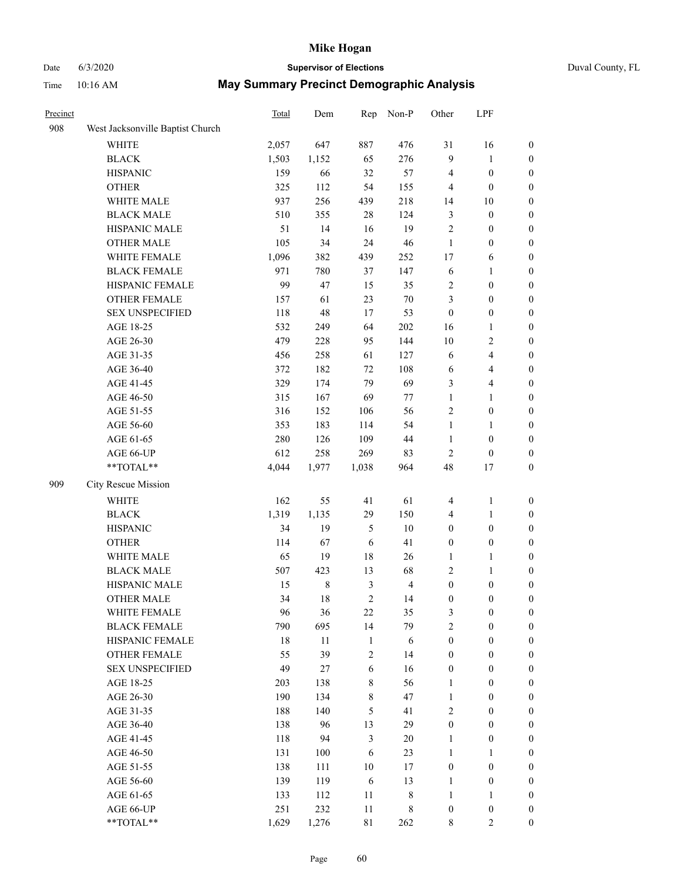# Date 6/3/2020 **Supervisor of Elections**

|  | Duval County, FL |  |
|--|------------------|--|
|--|------------------|--|

| Precinct |                                  | <b>Total</b> | Dem    | Rep            | Non-P          | Other            | LPF                              |                       |
|----------|----------------------------------|--------------|--------|----------------|----------------|------------------|----------------------------------|-----------------------|
| 908      | West Jacksonville Baptist Church |              |        |                |                |                  |                                  |                       |
|          | <b>WHITE</b>                     | 2,057        | 647    | 887            | 476            | 31               | 16                               | $\boldsymbol{0}$      |
|          | <b>BLACK</b>                     | 1,503        | 1,152  | 65             | 276            | 9                | $\mathbf{1}$                     | $\boldsymbol{0}$      |
|          | <b>HISPANIC</b>                  | 159          | 66     | 32             | 57             | 4                | $\boldsymbol{0}$                 | $\boldsymbol{0}$      |
|          | <b>OTHER</b>                     | 325          | 112    | 54             | 155            | 4                | $\boldsymbol{0}$                 | $\boldsymbol{0}$      |
|          | WHITE MALE                       | 937          | 256    | 439            | 218            | 14               | 10                               | $\boldsymbol{0}$      |
|          | <b>BLACK MALE</b>                | 510          | 355    | 28             | 124            | 3                | $\boldsymbol{0}$                 | $\boldsymbol{0}$      |
|          | HISPANIC MALE                    | 51           | 14     | 16             | 19             | $\sqrt{2}$       | $\boldsymbol{0}$                 | $\boldsymbol{0}$      |
|          | OTHER MALE                       | 105          | 34     | 24             | 46             | $\mathbf{1}$     | $\boldsymbol{0}$                 | $\boldsymbol{0}$      |
|          | WHITE FEMALE                     | 1,096        | 382    | 439            | 252            | 17               | 6                                | $\boldsymbol{0}$      |
|          | <b>BLACK FEMALE</b>              | 971          | 780    | 37             | 147            | 6                | $\mathbf{1}$                     | 0                     |
|          | HISPANIC FEMALE                  | 99           | 47     | 15             | 35             | 2                | $\boldsymbol{0}$                 | $\boldsymbol{0}$      |
|          | OTHER FEMALE                     | 157          | 61     | 23             | $70\,$         | 3                | $\boldsymbol{0}$                 | $\boldsymbol{0}$      |
|          | <b>SEX UNSPECIFIED</b>           | 118          | 48     | 17             | 53             | $\boldsymbol{0}$ | $\boldsymbol{0}$                 | $\boldsymbol{0}$      |
|          | AGE 18-25                        | 532          | 249    | 64             | 202            | 16               | $\mathbf{1}$                     | $\boldsymbol{0}$      |
|          | AGE 26-30                        | 479          | 228    | 95             | 144            | 10               | $\sqrt{2}$                       | $\boldsymbol{0}$      |
|          | AGE 31-35                        | 456          | 258    | 61             | 127            | 6                | $\overline{\mathbf{4}}$          | $\boldsymbol{0}$      |
|          | AGE 36-40                        | 372          | 182    | 72             | 108            | 6                | $\overline{\mathbf{4}}$          | $\boldsymbol{0}$      |
|          | AGE 41-45                        | 329          | 174    | 79             | 69             | 3                | $\overline{\mathbf{4}}$          | $\boldsymbol{0}$      |
|          | AGE 46-50                        | 315          | 167    | 69             | 77             | $\mathbf{1}$     | $\mathbf{1}$                     | $\boldsymbol{0}$      |
|          | AGE 51-55                        | 316          | 152    | 106            | 56             | 2                | $\boldsymbol{0}$                 | 0                     |
|          | AGE 56-60                        | 353          | 183    | 114            | 54             | $\mathbf{1}$     |                                  |                       |
|          |                                  | 280          | 126    | 109            | 44             | $\mathbf{1}$     | $\mathbf{1}$<br>$\boldsymbol{0}$ | 0<br>$\boldsymbol{0}$ |
|          | AGE 61-65                        |              |        |                |                |                  |                                  |                       |
|          | AGE 66-UP<br>**TOTAL**           | 612          | 258    | 269            | 83             | $\mathbf{2}$     | $\boldsymbol{0}$                 | $\boldsymbol{0}$      |
|          |                                  | 4,044        | 1,977  | 1,038          | 964            | 48               | 17                               | $\boldsymbol{0}$      |
| 909      | City Rescue Mission              |              |        |                |                |                  |                                  |                       |
|          | WHITE                            | 162          | 55     | 41             | 61             | 4                | $\mathbf{1}$                     | $\boldsymbol{0}$      |
|          | <b>BLACK</b>                     | 1,319        | 1,135  | 29             | 150            | 4                | $\mathbf{1}$                     | $\boldsymbol{0}$      |
|          | <b>HISPANIC</b>                  | 34           | 19     | 5              | $10\,$         | $\boldsymbol{0}$ | $\boldsymbol{0}$                 | $\boldsymbol{0}$      |
|          | <b>OTHER</b>                     | 114          | 67     | 6              | 41             | $\boldsymbol{0}$ | $\boldsymbol{0}$                 | $\boldsymbol{0}$      |
|          | WHITE MALE                       | 65           | 19     | 18             | 26             | 1                | $\mathbf{1}$                     | $\boldsymbol{0}$      |
|          | <b>BLACK MALE</b>                | 507          | 423    | 13             | 68             | 2                | $\mathbf{1}$                     | $\boldsymbol{0}$      |
|          | HISPANIC MALE                    | 15           | $8\,$  | $\mathfrak{Z}$ | $\overline{4}$ | $\boldsymbol{0}$ | $\boldsymbol{0}$                 | 0                     |
|          | <b>OTHER MALE</b>                | 34           | 18     | $\overline{c}$ | 14             | $\boldsymbol{0}$ | $\boldsymbol{0}$                 | $\boldsymbol{0}$      |
|          | WHITE FEMALE                     | 96           | 36     | 22             | 35             | 3                | $\boldsymbol{0}$                 | $\boldsymbol{0}$      |
|          | <b>BLACK FEMALE</b>              | 790          | 695    | 14             | 79             | $\overline{c}$   | $\boldsymbol{0}$                 | $\overline{0}$        |
|          | HISPANIC FEMALE                  | 18           | $11\,$ | $\mathbf{1}$   | 6              | $\boldsymbol{0}$ | $\boldsymbol{0}$                 | $\overline{0}$        |
|          | <b>OTHER FEMALE</b>              | 55           | 39     | $\sqrt{2}$     | 14             | $\boldsymbol{0}$ | $\boldsymbol{0}$                 | $\overline{0}$        |
|          | <b>SEX UNSPECIFIED</b>           | 49           | 27     | $\sqrt{6}$     | 16             | $\boldsymbol{0}$ | $\boldsymbol{0}$                 | $\overline{0}$        |
|          | AGE 18-25                        | 203          | 138    | $\,$ 8 $\,$    | 56             | $\mathbf{1}$     | $\boldsymbol{0}$                 | $\overline{0}$        |
|          | AGE 26-30                        | 190          | 134    | $\,$ $\,$      | 47             | $\mathbf{1}$     | $\boldsymbol{0}$                 | 0                     |
|          | AGE 31-35                        | 188          | 140    | 5              | 41             | 2                | $\boldsymbol{0}$                 | 0                     |
|          | AGE 36-40                        | 138          | 96     | 13             | 29             | $\boldsymbol{0}$ | $\boldsymbol{0}$                 | 0                     |
|          | AGE 41-45                        | 118          | 94     | $\mathfrak{Z}$ | $20\,$         | $\mathbf{1}$     | $\boldsymbol{0}$                 | 0                     |
|          | AGE 46-50                        | 131          | 100    | 6              | 23             | $\mathbf{1}$     | 1                                | $\boldsymbol{0}$      |
|          | AGE 51-55                        | 138          | 111    | $10\,$         | 17             | $\boldsymbol{0}$ | $\boldsymbol{0}$                 | $\boldsymbol{0}$      |
|          | AGE 56-60                        | 139          | 119    | 6              | 13             | $\mathbf{1}$     | $\boldsymbol{0}$                 | $\boldsymbol{0}$      |
|          | AGE 61-65                        | 133          | 112    | 11             | 8              | $\mathbf{1}$     | $\mathbf{1}$                     | $\boldsymbol{0}$      |
|          | AGE 66-UP                        | 251          | 232    | $11\,$         | $8\,$          | $\boldsymbol{0}$ | $\boldsymbol{0}$                 | 0                     |
|          | **TOTAL**                        | 1,629        | 1,276  | 81             | 262            | 8                | $\overline{2}$                   | $\boldsymbol{0}$      |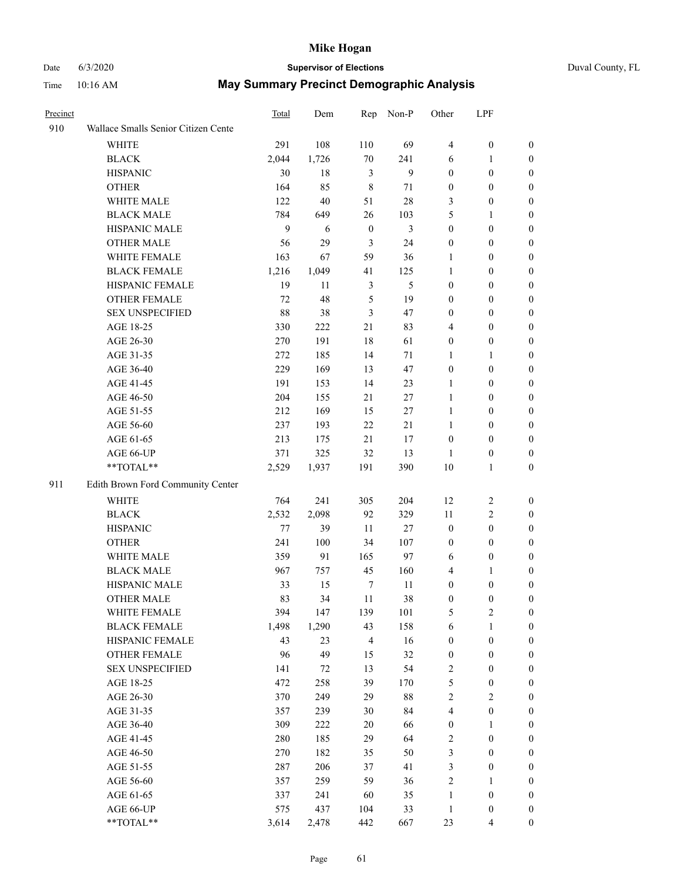# Date 6/3/2020 **Supervisor of Elections** Duval County, FL

| Precinct |                                     | Total   | Dem    |              | Rep Non-P | Other                   | LPF              |                  |
|----------|-------------------------------------|---------|--------|--------------|-----------|-------------------------|------------------|------------------|
| 910      | Wallace Smalls Senior Citizen Cente |         |        |              |           |                         |                  |                  |
|          | <b>WHITE</b>                        | 291     | 108    | 110          | 69        | $\overline{4}$          | $\boldsymbol{0}$ | $\boldsymbol{0}$ |
|          | <b>BLACK</b>                        | 2,044   | 1,726  | $70\,$       | 241       | 6                       | 1                | $\boldsymbol{0}$ |
|          | <b>HISPANIC</b>                     | 30      | 18     | 3            | 9         | $\boldsymbol{0}$        | $\boldsymbol{0}$ | $\boldsymbol{0}$ |
|          | <b>OTHER</b>                        | 164     | 85     | 8            | 71        | $\boldsymbol{0}$        | $\boldsymbol{0}$ | $\boldsymbol{0}$ |
|          | WHITE MALE                          | 122     | 40     | 51           | 28        | 3                       | $\boldsymbol{0}$ | $\boldsymbol{0}$ |
|          | <b>BLACK MALE</b>                   | 784     | 649    | 26           | 103       | 5                       | $\mathbf{1}$     | $\boldsymbol{0}$ |
|          | HISPANIC MALE                       | 9       | 6      | $\mathbf{0}$ | 3         | $\boldsymbol{0}$        | $\boldsymbol{0}$ | $\boldsymbol{0}$ |
|          | <b>OTHER MALE</b>                   | 56      | 29     | 3            | 24        | $\boldsymbol{0}$        | $\boldsymbol{0}$ | 0                |
|          | WHITE FEMALE                        | 163     | 67     | 59           | 36        | 1                       | $\boldsymbol{0}$ | 0                |
|          | <b>BLACK FEMALE</b>                 | 1,216   | 1,049  | 41           | 125       | $\mathbf{1}$            | $\boldsymbol{0}$ | $\boldsymbol{0}$ |
|          | HISPANIC FEMALE                     | 19      | 11     | 3            | 5         | $\boldsymbol{0}$        | $\boldsymbol{0}$ | $\boldsymbol{0}$ |
|          | OTHER FEMALE                        | 72      | 48     | 5            | 19        | 0                       | $\boldsymbol{0}$ | $\boldsymbol{0}$ |
|          | <b>SEX UNSPECIFIED</b>              | 88      | 38     | 3            | 47        | 0                       | $\boldsymbol{0}$ | $\boldsymbol{0}$ |
|          | AGE 18-25                           | 330     | 222    | 21           | 83        | 4                       | $\boldsymbol{0}$ | $\boldsymbol{0}$ |
|          | AGE 26-30                           | 270     | 191    | 18           | 61        | 0                       | $\boldsymbol{0}$ | $\boldsymbol{0}$ |
|          | AGE 31-35                           | 272     | 185    | 14           | 71        | 1                       | $\mathbf{1}$     | $\boldsymbol{0}$ |
|          | AGE 36-40                           | 229     | 169    | 13           | 47        | $\boldsymbol{0}$        | $\boldsymbol{0}$ | $\boldsymbol{0}$ |
|          | AGE 41-45                           | 191     | 153    | 14           | 23        | 1                       | $\boldsymbol{0}$ | $\boldsymbol{0}$ |
|          | AGE 46-50                           | 204     | 155    | 21           | 27        | $\mathbf{1}$            | $\boldsymbol{0}$ | 0                |
|          | AGE 51-55                           | 212     | 169    | 15           | $27\,$    | $\mathbf{1}$            | $\boldsymbol{0}$ | $\boldsymbol{0}$ |
|          | AGE 56-60                           | 237     | 193    | 22           | 21        | $\mathbf{1}$            | $\boldsymbol{0}$ | $\boldsymbol{0}$ |
|          | AGE 61-65                           | 213     | 175    | 21           | 17        | $\boldsymbol{0}$        | $\boldsymbol{0}$ | $\boldsymbol{0}$ |
|          | AGE 66-UP                           | 371     | 325    | 32           | 13        | 1                       | $\boldsymbol{0}$ | $\boldsymbol{0}$ |
|          | **TOTAL**                           | 2,529   | 1,937  | 191          | 390       | 10                      | $\mathbf{1}$     | $\boldsymbol{0}$ |
| 911      | Edith Brown Ford Community Center   |         |        |              |           |                         |                  |                  |
|          | <b>WHITE</b>                        | 764     | 241    | 305          | 204       | 12                      | $\sqrt{2}$       | $\boldsymbol{0}$ |
|          | <b>BLACK</b>                        | 2,532   | 2,098  | 92           | 329       | 11                      | $\sqrt{2}$       | $\boldsymbol{0}$ |
|          | <b>HISPANIC</b>                     | $77 \,$ | 39     | $11\,$       | $27\,$    | $\boldsymbol{0}$        | $\boldsymbol{0}$ | $\boldsymbol{0}$ |
|          | <b>OTHER</b>                        | 241     | 100    | 34           | 107       | $\boldsymbol{0}$        | $\boldsymbol{0}$ | $\boldsymbol{0}$ |
|          | WHITE MALE                          | 359     | 91     | 165          | 97        | 6                       | $\boldsymbol{0}$ | 0                |
|          | <b>BLACK MALE</b>                   | 967     | 757    | 45           | 160       | 4                       | 1                | 0                |
|          | HISPANIC MALE                       | 33      | 15     | 7            | 11        | 0                       | $\boldsymbol{0}$ | 0                |
|          | <b>OTHER MALE</b>                   | 83      | 34     | 11           | 38        | 0                       | $\boldsymbol{0}$ | $\boldsymbol{0}$ |
|          | WHITE FEMALE                        | 394     | 147    | 139          | 101       | 5                       | $\sqrt{2}$       | $\boldsymbol{0}$ |
|          | <b>BLACK FEMALE</b>                 | 1,498   | 1,290  | 43           | 158       | 6                       | $\mathbf{1}$     | $\boldsymbol{0}$ |
|          | HISPANIC FEMALE                     | 43      | 23     | 4            | 16        | $\boldsymbol{0}$        | $\boldsymbol{0}$ | $\overline{0}$   |
|          | <b>OTHER FEMALE</b>                 | 96      | 49     | 15           | 32        | $\boldsymbol{0}$        | $\boldsymbol{0}$ | $\overline{0}$   |
|          | <b>SEX UNSPECIFIED</b>              | 141     | $72\,$ | 13           | 54        | 2                       | $\boldsymbol{0}$ | $\overline{0}$   |
|          | AGE 18-25                           | 472     | 258    | 39           | 170       | 5                       | $\boldsymbol{0}$ | $\overline{0}$   |
|          | AGE 26-30                           | 370     | 249    | 29           | 88        | $\overline{\mathbf{c}}$ | $\sqrt{2}$       | 0                |
|          | AGE 31-35                           | 357     | 239    | 30           | 84        | 4                       | $\boldsymbol{0}$ | 0                |
|          | AGE 36-40                           | 309     | 222    | $20\,$       | 66        | 0                       | 1                | 0                |
|          | AGE 41-45                           | 280     | 185    | 29           | 64        | 2                       | $\boldsymbol{0}$ | $\boldsymbol{0}$ |
|          | AGE 46-50                           | 270     | 182    | 35           | 50        | 3                       | $\boldsymbol{0}$ | $\boldsymbol{0}$ |
|          | AGE 51-55                           | 287     | 206    | 37           | 41        | 3                       | $\boldsymbol{0}$ | $\boldsymbol{0}$ |
|          | AGE 56-60                           | 357     | 259    | 59           | 36        | $\overline{\mathbf{c}}$ | $\mathbf{1}$     | $\boldsymbol{0}$ |
|          | AGE 61-65                           | 337     | 241    | 60           | 35        | 1                       | $\boldsymbol{0}$ | $\overline{0}$   |
|          | AGE 66-UP                           | 575     | 437    | 104          | 33        | $\mathbf{1}$            | $\boldsymbol{0}$ | $\boldsymbol{0}$ |
|          | **TOTAL**                           | 3,614   | 2,478  | 442          | 667       | 23                      | 4                | $\overline{0}$   |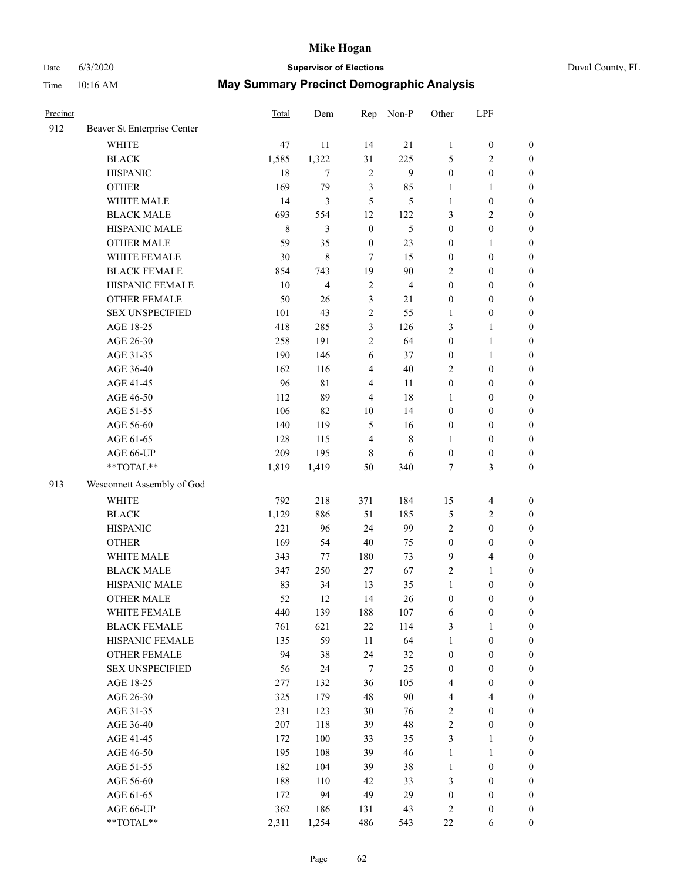Date 6/3/2020 **Supervisor of Elections** Duval County, FL

| Precinct |                             | Total   | Dem            | Rep              | Non-P          | Other            | LPF                     |                  |
|----------|-----------------------------|---------|----------------|------------------|----------------|------------------|-------------------------|------------------|
| 912      | Beaver St Enterprise Center |         |                |                  |                |                  |                         |                  |
|          | <b>WHITE</b>                | 47      | 11             | 14               | 21             | 1                | $\boldsymbol{0}$        | $\boldsymbol{0}$ |
|          | <b>BLACK</b>                | 1,585   | 1,322          | 31               | 225            | 5                | $\sqrt{2}$              | $\boldsymbol{0}$ |
|          | <b>HISPANIC</b>             | 18      | $\tau$         | $\sqrt{2}$       | 9              | $\boldsymbol{0}$ | $\boldsymbol{0}$        | $\boldsymbol{0}$ |
|          | <b>OTHER</b>                | 169     | 79             | 3                | 85             | 1                | $\mathbf{1}$            | $\boldsymbol{0}$ |
|          | WHITE MALE                  | 14      | 3              | 5                | 5              | 1                | $\boldsymbol{0}$        | $\boldsymbol{0}$ |
|          | <b>BLACK MALE</b>           | 693     | 554            | 12               | 122            | 3                | $\sqrt{2}$              | $\boldsymbol{0}$ |
|          | HISPANIC MALE               | $\,8\,$ | 3              | $\boldsymbol{0}$ | $\mathfrak{S}$ | $\boldsymbol{0}$ | $\boldsymbol{0}$        | $\boldsymbol{0}$ |
|          | <b>OTHER MALE</b>           | 59      | 35             | $\boldsymbol{0}$ | 23             | $\boldsymbol{0}$ | 1                       | $\boldsymbol{0}$ |
|          | WHITE FEMALE                | 30      | $\,8\,$        | 7                | 15             | $\boldsymbol{0}$ | $\boldsymbol{0}$        | $\boldsymbol{0}$ |
|          | <b>BLACK FEMALE</b>         | 854     | 743            | 19               | 90             | 2                | $\boldsymbol{0}$        | 0                |
|          | HISPANIC FEMALE             | 10      | $\overline{4}$ | $\sqrt{2}$       | $\overline{4}$ | $\boldsymbol{0}$ | $\boldsymbol{0}$        | $\boldsymbol{0}$ |
|          | OTHER FEMALE                | 50      | 26             | $\mathfrak{Z}$   | 21             | $\boldsymbol{0}$ | $\boldsymbol{0}$        | $\boldsymbol{0}$ |
|          | <b>SEX UNSPECIFIED</b>      | 101     | 43             | $\sqrt{2}$       | 55             | 1                | $\boldsymbol{0}$        | $\boldsymbol{0}$ |
|          | AGE 18-25                   | 418     | 285            | $\mathfrak{Z}$   | 126            | 3                | $\mathbf{1}$            | $\boldsymbol{0}$ |
|          | AGE 26-30                   | 258     | 191            | $\mathbf{2}$     | 64             | $\boldsymbol{0}$ | $\mathbf{1}$            | $\boldsymbol{0}$ |
|          | AGE 31-35                   | 190     | 146            | $\sqrt{6}$       | 37             | $\boldsymbol{0}$ | $\mathbf{1}$            | $\boldsymbol{0}$ |
|          | AGE 36-40                   | 162     | 116            | $\overline{4}$   | 40             | 2                | $\boldsymbol{0}$        | $\boldsymbol{0}$ |
|          | AGE 41-45                   | 96      | $8\sqrt{1}$    | $\overline{4}$   | 11             | $\boldsymbol{0}$ | $\boldsymbol{0}$        | $\boldsymbol{0}$ |
|          | AGE 46-50                   | 112     | 89             | $\overline{4}$   | 18             | 1                | $\boldsymbol{0}$        | $\boldsymbol{0}$ |
|          | AGE 51-55                   | 106     | 82             | 10               | 14             | $\boldsymbol{0}$ | $\boldsymbol{0}$        | $\boldsymbol{0}$ |
|          | AGE 56-60                   | 140     | 119            | 5                | 16             | $\boldsymbol{0}$ | $\boldsymbol{0}$        | $\boldsymbol{0}$ |
|          | AGE 61-65                   | 128     | 115            | $\overline{4}$   | $\,$ 8 $\,$    | 1                | $\boldsymbol{0}$        | $\boldsymbol{0}$ |
|          | AGE 66-UP                   | 209     | 195            | $\,8\,$          | 6              | $\boldsymbol{0}$ | $\boldsymbol{0}$        | $\boldsymbol{0}$ |
|          | **TOTAL**                   | 1,819   | 1,419          | 50               | 340            | 7                | $\mathfrak{Z}$          | $\boldsymbol{0}$ |
| 913      | Wesconnett Assembly of God  |         |                |                  |                |                  |                         |                  |
|          | <b>WHITE</b>                | 792     | 218            | 371              | 184            | 15               | $\overline{4}$          | $\boldsymbol{0}$ |
|          | <b>BLACK</b>                | 1,129   | 886            | 51               | 185            | 5                | $\overline{2}$          | $\boldsymbol{0}$ |
|          | <b>HISPANIC</b>             | 221     | 96             | 24               | 99             | $\overline{c}$   | $\boldsymbol{0}$        | $\boldsymbol{0}$ |
|          | <b>OTHER</b>                | 169     | 54             | 40               | 75             | $\boldsymbol{0}$ | $\boldsymbol{0}$        | $\boldsymbol{0}$ |
|          | WHITE MALE                  | 343     | 77             | 180              | 73             | 9                | $\overline{\mathbf{4}}$ | $\boldsymbol{0}$ |
|          | <b>BLACK MALE</b>           | 347     | 250            | 27               | 67             | 2                | $\mathbf{1}$            | $\boldsymbol{0}$ |
|          | HISPANIC MALE               | 83      | 34             | 13               | 35             | $\mathbf{1}$     | $\boldsymbol{0}$        | 0                |
|          | <b>OTHER MALE</b>           | 52      | 12             | 14               | 26             | $\boldsymbol{0}$ | $\boldsymbol{0}$        | $\boldsymbol{0}$ |
|          | WHITE FEMALE                | 440     | 139            | 188              | 107            | 6                | $\boldsymbol{0}$        | $\boldsymbol{0}$ |
|          | <b>BLACK FEMALE</b>         | 761     | 621            | 22               | 114            | 3                | 1                       | $\boldsymbol{0}$ |
|          | HISPANIC FEMALE             | 135     | 59             | 11               | 64             | $\mathbf{1}$     | $\boldsymbol{0}$        | $\overline{0}$   |
|          | <b>OTHER FEMALE</b>         | 94      | 38             | 24               | 32             | $\boldsymbol{0}$ | $\boldsymbol{0}$        | $\overline{0}$   |
|          | <b>SEX UNSPECIFIED</b>      | 56      | 24             | $\tau$           | 25             | $\boldsymbol{0}$ | $\boldsymbol{0}$        | 0                |
|          | AGE 18-25                   | 277     | 132            | 36               | 105            | 4                | $\boldsymbol{0}$        | $\theta$         |
|          | AGE 26-30                   | 325     | 179            | 48               | 90             | 4                | $\overline{\mathbf{4}}$ | 0                |
|          | AGE 31-35                   | 231     | 123            | 30               | 76             | 2                | $\boldsymbol{0}$        | 0                |
|          | AGE 36-40                   | 207     | 118            | 39               | 48             | 2                | $\boldsymbol{0}$        | 0                |
|          | AGE 41-45                   | 172     | 100            | 33               | 35             | 3                | $\mathbf{1}$            | 0                |
|          | AGE 46-50                   | 195     | 108            | 39               | 46             | $\mathbf{1}$     | $\mathbf{1}$            | 0                |
|          | AGE 51-55                   | 182     | 104            | 39               | 38             | $\mathbf{1}$     | $\boldsymbol{0}$        | $\boldsymbol{0}$ |
|          | AGE 56-60                   | 188     | 110            | 42               | 33             | 3                | $\boldsymbol{0}$        | $\boldsymbol{0}$ |
|          | AGE 61-65                   | 172     | 94             | 49               | 29             | $\boldsymbol{0}$ | $\boldsymbol{0}$        | 0                |
|          | AGE 66-UP                   | 362     | 186            | 131              | 43             | $\sqrt{2}$       | $\boldsymbol{0}$        | 0                |
|          | **TOTAL**                   | 2,311   | 1,254          | 486              | 543            | $22\,$           | 6                       | $\boldsymbol{0}$ |
|          |                             |         |                |                  |                |                  |                         |                  |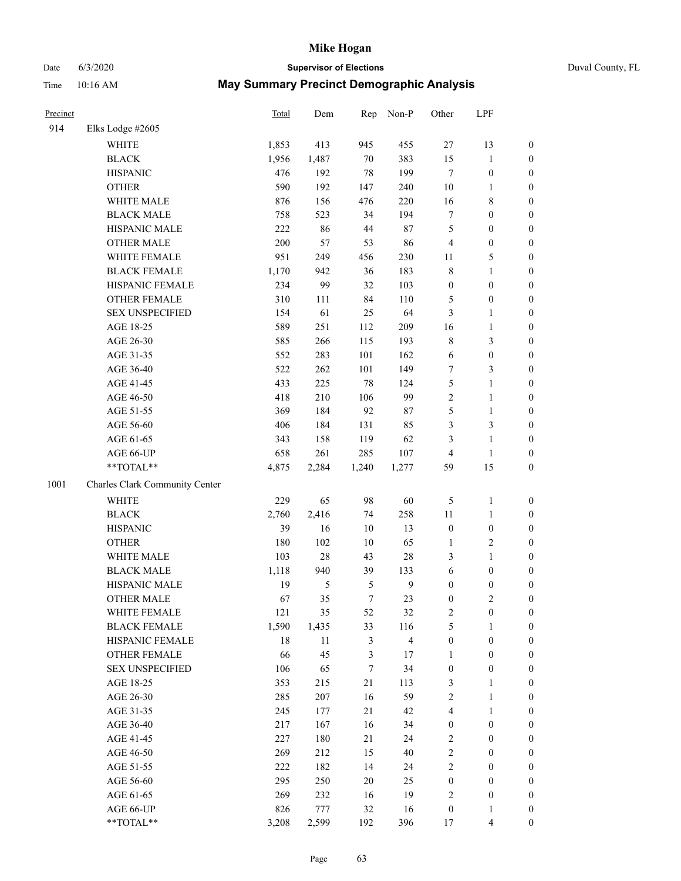## Date 6/3/2020 **Supervisor of Elections** Time 10:16 AM **May Summary Precinct Demographic Analysis**

|  | Duval County, FL |  |
|--|------------------|--|
|--|------------------|--|

| 11me     | 10:16 AM | <b>May Summary Precinct Demographic Analysis</b> |     |           |       |            |
|----------|----------|--------------------------------------------------|-----|-----------|-------|------------|
| Precinct |          | Total                                            | Dem | Rep Non-P | Other | <b>LPF</b> |

| 914  | Elks Lodge #2605               |       |         |                |                |                  |                  |                  |
|------|--------------------------------|-------|---------|----------------|----------------|------------------|------------------|------------------|
|      | <b>WHITE</b>                   | 1,853 | 413     | 945            | 455            | 27               | 13               | $\boldsymbol{0}$ |
|      | <b>BLACK</b>                   | 1,956 | 1,487   | $70\,$         | 383            | 15               | $\mathbf{1}$     | $\boldsymbol{0}$ |
|      | <b>HISPANIC</b>                | 476   | 192     | 78             | 199            | $\tau$           | $\boldsymbol{0}$ | $\boldsymbol{0}$ |
|      | <b>OTHER</b>                   | 590   | 192     | 147            | 240            | 10               | $\mathbf{1}$     | $\boldsymbol{0}$ |
|      | WHITE MALE                     | 876   | 156     | 476            | 220            | 16               | $\,$ 8 $\,$      | $\boldsymbol{0}$ |
|      | <b>BLACK MALE</b>              | 758   | 523     | 34             | 194            | $\boldsymbol{7}$ | $\boldsymbol{0}$ | $\boldsymbol{0}$ |
|      | HISPANIC MALE                  | 222   | 86      | 44             | 87             | 5                | $\boldsymbol{0}$ | $\boldsymbol{0}$ |
|      | <b>OTHER MALE</b>              | 200   | 57      | 53             | 86             | $\overline{4}$   | $\boldsymbol{0}$ | 0                |
|      | WHITE FEMALE                   | 951   | 249     | 456            | 230            | 11               | $\mathfrak s$    | 0                |
|      | <b>BLACK FEMALE</b>            | 1,170 | 942     | 36             | 183            | $\,$ 8 $\,$      | $\mathbf{1}$     | 0                |
|      | HISPANIC FEMALE                | 234   | 99      | 32             | 103            | $\boldsymbol{0}$ | $\boldsymbol{0}$ | $\boldsymbol{0}$ |
|      | OTHER FEMALE                   | 310   | 111     | 84             | 110            | $\mathfrak s$    | $\boldsymbol{0}$ | $\boldsymbol{0}$ |
|      | <b>SEX UNSPECIFIED</b>         | 154   | 61      | 25             | 64             | $\mathfrak{Z}$   | $\mathbf{1}$     | $\boldsymbol{0}$ |
|      | AGE 18-25                      | 589   | 251     | 112            | 209            | 16               | $\mathbf{1}$     | $\boldsymbol{0}$ |
|      | AGE 26-30                      | 585   | 266     | 115            | 193            | $\,$ $\,$        | $\mathfrak{Z}$   | $\boldsymbol{0}$ |
|      | AGE 31-35                      | 552   | 283     | 101            | 162            | 6                | $\boldsymbol{0}$ | $\boldsymbol{0}$ |
|      | AGE 36-40                      | 522   | 262     | 101            | 149            | $\tau$           | $\mathfrak{Z}$   | $\boldsymbol{0}$ |
|      | AGE 41-45                      | 433   | 225     | 78             | 124            | 5                | $\mathbf{1}$     | $\boldsymbol{0}$ |
|      | AGE 46-50                      | 418   | 210     | 106            | 99             | $\sqrt{2}$       | $\mathbf{1}$     | 0                |
|      | AGE 51-55                      | 369   | 184     | 92             | 87             | 5                | $\mathbf{1}$     | 0                |
|      | AGE 56-60                      | 406   | 184     | 131            | 85             | 3                | $\mathfrak{Z}$   | $\boldsymbol{0}$ |
|      | AGE 61-65                      | 343   | 158     | 119            | 62             | 3                | $\mathbf{1}$     | $\boldsymbol{0}$ |
|      | AGE 66-UP                      | 658   | 261     | 285            | 107            | 4                | $\mathbf{1}$     | $\boldsymbol{0}$ |
|      | **TOTAL**                      | 4,875 | 2,284   | 1,240          | 1,277          | 59               | 15               | $\boldsymbol{0}$ |
| 1001 | Charles Clark Community Center |       |         |                |                |                  |                  |                  |
|      |                                |       |         |                |                |                  |                  |                  |
|      | <b>WHITE</b>                   | 229   | 65      | 98             | 60             | $\mathfrak s$    | $\mathbf{1}$     | $\boldsymbol{0}$ |
|      | <b>BLACK</b>                   | 2,760 | 2,416   | 74             | 258            | 11               | $\mathbf{1}$     | $\boldsymbol{0}$ |
|      | <b>HISPANIC</b>                | 39    | 16      | 10             | 13             | $\boldsymbol{0}$ | $\boldsymbol{0}$ | $\boldsymbol{0}$ |
|      | <b>OTHER</b>                   | 180   | 102     | 10             | 65             | 1                | $\mathfrak{2}$   | $\boldsymbol{0}$ |
|      | WHITE MALE                     | 103   | $28\,$  | 43             | $28\,$         | 3                | $\mathbf{1}$     | $\boldsymbol{0}$ |
|      | <b>BLACK MALE</b>              | 1,118 | 940     | 39             | 133            | 6                | $\boldsymbol{0}$ | $\boldsymbol{0}$ |
|      | HISPANIC MALE                  | 19    | 5       | 5              | $\mathbf{9}$   | $\boldsymbol{0}$ | $\boldsymbol{0}$ | 0                |
|      | <b>OTHER MALE</b>              | 67    | 35      | 7              | 23             | $\boldsymbol{0}$ | $\overline{c}$   | 0                |
|      | WHITE FEMALE                   | 121   | 35      | 52             | 32             | 2                | $\boldsymbol{0}$ | $\boldsymbol{0}$ |
|      | <b>BLACK FEMALE</b>            | 1,590 | 1,435   | 33             | 116            | 5                | $\mathbf{1}$     | $\boldsymbol{0}$ |
|      | HISPANIC FEMALE                | 18    | 11      | $\mathfrak{Z}$ | $\overline{4}$ | $\boldsymbol{0}$ | $\boldsymbol{0}$ | $\boldsymbol{0}$ |
|      | <b>OTHER FEMALE</b>            | 66    | 45      | $\mathfrak{Z}$ | 17             | 1                | $\boldsymbol{0}$ | $\overline{0}$   |
|      | <b>SEX UNSPECIFIED</b>         | 106   | 65      | 7              | 34             | $\boldsymbol{0}$ | $\boldsymbol{0}$ | 0                |
|      | AGE 18-25                      | 353   | 215     | $21\,$         | 113            | 3                | $\mathbf{1}$     | 0                |
|      | AGE 26-30                      | 285   | $207\,$ | 16             | 59             | $\sqrt{2}$       | $\mathbf{1}$     | 0                |
|      | AGE 31-35                      | 245   | 177     | 21             | 42             | $\overline{4}$   | $\mathbf{1}$     | 0                |
|      | AGE 36-40                      | 217   | 167     | 16             | 34             | $\boldsymbol{0}$ | $\boldsymbol{0}$ | 0                |
|      | AGE 41-45                      | 227   | 180     | 21             | 24             | $\overline{c}$   | $\boldsymbol{0}$ | 0                |
|      | AGE 46-50                      | 269   | 212     | 15             | 40             | $\sqrt{2}$       | $\boldsymbol{0}$ | $\boldsymbol{0}$ |
|      | AGE 51-55                      | 222   | 182     | 14             | 24             | $\sqrt{2}$       | $\boldsymbol{0}$ | $\boldsymbol{0}$ |
|      | AGE 56-60                      | 295   | 250     | 20             | 25             | $\boldsymbol{0}$ | $\boldsymbol{0}$ | $\boldsymbol{0}$ |
|      | AGE 61-65                      | 269   | 232     | 16             | 19             | $\overline{c}$   | $\boldsymbol{0}$ | $\boldsymbol{0}$ |
|      | AGE 66-UP                      | 826   | 777     | 32             | 16             | $\boldsymbol{0}$ | $\mathbf{1}$     | $\boldsymbol{0}$ |
|      | **TOTAL**                      | 3,208 | 2,599   | 192            | 396            | 17               | $\overline{4}$   | $\boldsymbol{0}$ |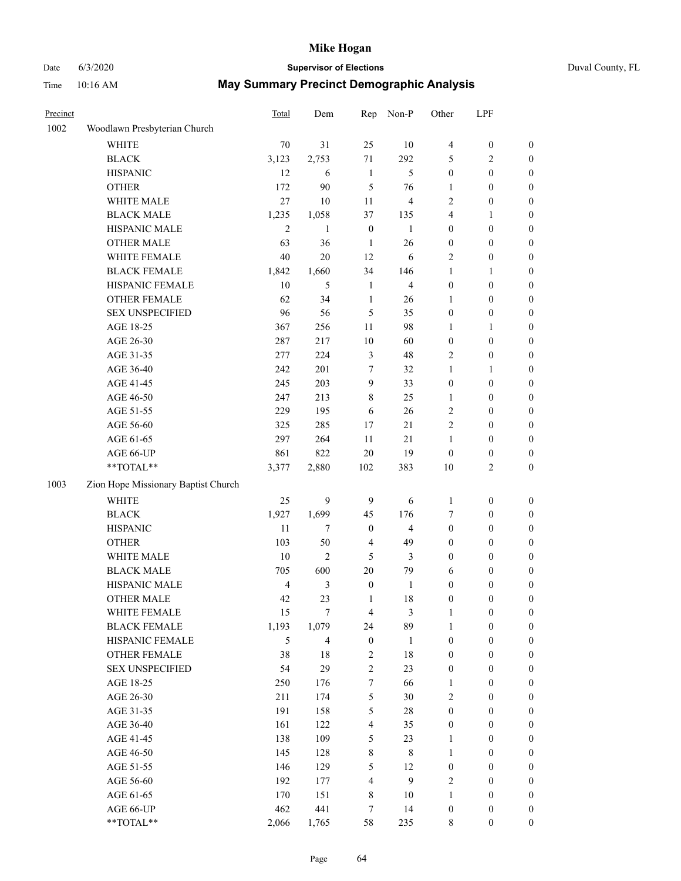# Date 6/3/2020 **Supervisor of Elections**

|  | Duval County, FL |
|--|------------------|
|--|------------------|

| Precinct |                                     | <b>Total</b>   | Dem            | Rep                     | Non-P          | Other            | LPF              |                  |
|----------|-------------------------------------|----------------|----------------|-------------------------|----------------|------------------|------------------|------------------|
| 1002     | Woodlawn Presbyterian Church        |                |                |                         |                |                  |                  |                  |
|          | <b>WHITE</b>                        | 70             | 31             | 25                      | 10             | 4                | $\boldsymbol{0}$ | 0                |
|          | <b>BLACK</b>                        | 3,123          | 2,753          | 71                      | 292            | 5                | $\overline{c}$   | 0                |
|          | <b>HISPANIC</b>                     | 12             | 6              | $\mathbf{1}$            | $\mathfrak{H}$ | $\boldsymbol{0}$ | $\boldsymbol{0}$ | $\boldsymbol{0}$ |
|          | <b>OTHER</b>                        | 172            | 90             | 5                       | 76             | 1                | $\boldsymbol{0}$ | $\boldsymbol{0}$ |
|          | WHITE MALE                          | 27             | 10             | 11                      | $\overline{4}$ | 2                | $\boldsymbol{0}$ | $\boldsymbol{0}$ |
|          | <b>BLACK MALE</b>                   | 1,235          | 1,058          | 37                      | 135            | 4                | 1                | $\boldsymbol{0}$ |
|          | HISPANIC MALE                       | $\overline{2}$ | $\mathbf{1}$   | $\boldsymbol{0}$        | $\mathbf{1}$   | 0                | $\boldsymbol{0}$ | $\boldsymbol{0}$ |
|          | <b>OTHER MALE</b>                   | 63             | 36             | $\mathbf{1}$            | 26             | $\boldsymbol{0}$ | $\boldsymbol{0}$ | $\boldsymbol{0}$ |
|          | WHITE FEMALE                        | 40             | $20\,$         | 12                      | 6              | 2                | $\boldsymbol{0}$ | $\boldsymbol{0}$ |
|          | <b>BLACK FEMALE</b>                 | 1,842          | 1,660          | 34                      | 146            | 1                | 1                | $\boldsymbol{0}$ |
|          | HISPANIC FEMALE                     | 10             | 5              | $\mathbf{1}$            | $\overline{4}$ | 0                | $\boldsymbol{0}$ | 0                |
|          | <b>OTHER FEMALE</b>                 | 62             | 34             | $\mathbf{1}$            | 26             | 1                | $\boldsymbol{0}$ | $\boldsymbol{0}$ |
|          | <b>SEX UNSPECIFIED</b>              | 96             | 56             | 5                       | 35             | $\boldsymbol{0}$ | $\boldsymbol{0}$ | $\boldsymbol{0}$ |
|          | AGE 18-25                           | 367            | 256            | $11\,$                  | 98             | 1                | 1                | $\boldsymbol{0}$ |
|          | AGE 26-30                           | 287            | 217            | $10\,$                  | 60             | $\boldsymbol{0}$ | $\boldsymbol{0}$ | $\boldsymbol{0}$ |
|          | AGE 31-35                           | 277            | 224            | $\mathfrak{Z}$          | 48             | 2                | $\boldsymbol{0}$ | $\boldsymbol{0}$ |
|          | AGE 36-40                           | 242            | 201            | 7                       | 32             | $\mathbf{1}$     | $\mathbf{1}$     | $\boldsymbol{0}$ |
|          | AGE 41-45                           | 245            | 203            | 9                       | 33             | $\boldsymbol{0}$ | $\boldsymbol{0}$ | $\boldsymbol{0}$ |
|          | AGE 46-50                           | 247            | 213            | $8\,$                   | 25             | $\mathbf{1}$     | $\boldsymbol{0}$ | $\boldsymbol{0}$ |
|          | AGE 51-55                           | 229            | 195            | 6                       | 26             | $\mathbf{2}$     | $\boldsymbol{0}$ | $\boldsymbol{0}$ |
|          | AGE 56-60                           | 325            | 285            | 17                      | 21             | $\overline{c}$   | $\boldsymbol{0}$ | 0                |
|          | AGE 61-65                           | 297            | 264            | 11                      | 21             | $\mathbf{1}$     | $\boldsymbol{0}$ | 0                |
|          | AGE 66-UP                           | 861            | 822            | $20\,$                  | 19             | $\boldsymbol{0}$ | $\boldsymbol{0}$ | $\boldsymbol{0}$ |
|          | $**TOTAL**$                         | 3,377          | 2,880          | 102                     | 383            | $10\,$           | $\sqrt{2}$       | $\boldsymbol{0}$ |
| 1003     | Zion Hope Missionary Baptist Church |                |                |                         |                |                  |                  |                  |
|          | <b>WHITE</b>                        | 25             | 9              | 9                       | 6              | $\mathbf{1}$     | $\boldsymbol{0}$ | $\boldsymbol{0}$ |
|          | <b>BLACK</b>                        | 1,927          | 1,699          | 45                      | 176            | 7                | $\boldsymbol{0}$ | $\boldsymbol{0}$ |
|          | <b>HISPANIC</b>                     | 11             | $\tau$         | $\boldsymbol{0}$        | $\overline{4}$ | $\boldsymbol{0}$ | $\boldsymbol{0}$ | $\boldsymbol{0}$ |
|          | <b>OTHER</b>                        | 103            | 50             | $\overline{\mathbf{4}}$ | 49             | 0                | $\boldsymbol{0}$ | $\boldsymbol{0}$ |
|          | WHITE MALE                          | $10\,$         | $\overline{2}$ | 5                       | $\mathfrak{Z}$ | $\boldsymbol{0}$ | $\boldsymbol{0}$ | $\boldsymbol{0}$ |
|          | <b>BLACK MALE</b>                   | 705            | 600            | $20\,$                  | 79             | 6                | $\boldsymbol{0}$ | $\boldsymbol{0}$ |
|          | HISPANIC MALE                       | $\overline{4}$ | $\mathfrak{Z}$ | $\boldsymbol{0}$        | $\mathbf{1}$   | 0                | $\boldsymbol{0}$ | 0                |
|          | <b>OTHER MALE</b>                   | 42             | 23             | $\mathbf{1}$            | 18             | $\boldsymbol{0}$ | $\boldsymbol{0}$ | $\boldsymbol{0}$ |
|          | WHITE FEMALE                        | 15             | 7              | 4                       | 3              | 1                | 0                | 0                |
|          | <b>BLACK FEMALE</b>                 | 1,193          | 1,079          | 24                      | 89             | $\mathbf{1}$     | $\boldsymbol{0}$ | $\overline{0}$   |
|          | HISPANIC FEMALE                     | 5              | $\overline{4}$ | $\boldsymbol{0}$        | $\mathbf{1}$   | $\boldsymbol{0}$ | $\boldsymbol{0}$ | $\overline{0}$   |
|          | OTHER FEMALE                        | 38             | 18             | $\sqrt{2}$              | 18             | $\boldsymbol{0}$ | $\boldsymbol{0}$ | $\overline{0}$   |
|          | <b>SEX UNSPECIFIED</b>              | 54             | 29             | $\sqrt{2}$              | 23             | $\boldsymbol{0}$ | $\boldsymbol{0}$ | $\overline{0}$   |
|          | AGE 18-25                           | 250            | 176            | 7                       | 66             | $\mathbf{1}$     | $\boldsymbol{0}$ | $\overline{0}$   |
|          | AGE 26-30                           | 211            | 174            | $\mathfrak{S}$          | 30             | $\overline{c}$   | $\boldsymbol{0}$ | 0                |
|          | AGE 31-35                           | 191            | 158            | 5                       | $28\,$         | $\boldsymbol{0}$ | $\boldsymbol{0}$ | 0                |
|          | AGE 36-40                           | 161            | 122            | $\overline{4}$          | 35             | 0                | $\boldsymbol{0}$ | 0                |
|          | AGE 41-45                           | 138            | 109            | 5                       | 23             | $\mathbf{1}$     | $\boldsymbol{0}$ | 0                |
|          | AGE 46-50                           | 145            | 128            | $\,$ 8 $\,$             | $\,$ 8 $\,$    | $\mathbf{1}$     | $\boldsymbol{0}$ | 0                |
|          | AGE 51-55                           | 146            | 129            | 5                       | 12             | $\boldsymbol{0}$ | $\boldsymbol{0}$ | $\boldsymbol{0}$ |
|          | AGE 56-60                           | 192            | 177            | $\overline{\mathbf{4}}$ | 9              | 2                | $\boldsymbol{0}$ | $\boldsymbol{0}$ |
|          | AGE 61-65                           | 170            | 151            | $\,$ 8 $\,$             | 10             | $\mathbf{1}$     | $\boldsymbol{0}$ | $\overline{0}$   |
|          | AGE 66-UP                           | 462            | 441            | $\boldsymbol{7}$        | 14             | 0                | $\boldsymbol{0}$ | $\boldsymbol{0}$ |
|          | **TOTAL**                           | 2,066          | 1,765          | 58                      | 235            | 8                | $\boldsymbol{0}$ | $\boldsymbol{0}$ |
|          |                                     |                |                |                         |                |                  |                  |                  |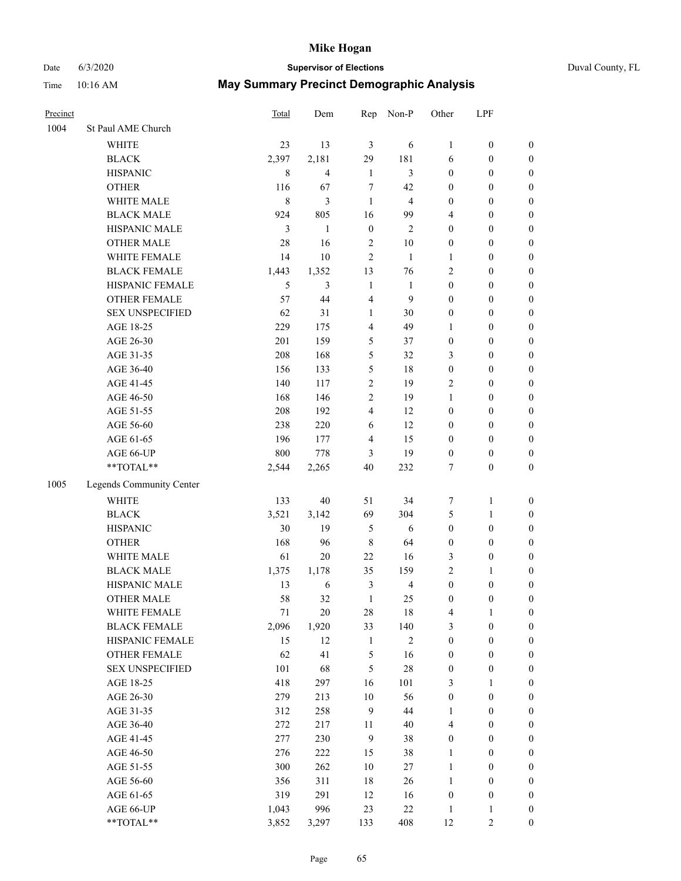# Date 6/3/2020 **Supervisor of Elections** Duval County, FL Time 10:16 AM **May Summary Precinct Demographic Analysis**

| Precinct |                          | Total     | Dem            | Rep              | Non-P                   | Other            | LPF              |                  |
|----------|--------------------------|-----------|----------------|------------------|-------------------------|------------------|------------------|------------------|
| 1004     | St Paul AME Church       |           |                |                  |                         |                  |                  |                  |
|          | <b>WHITE</b>             | 23        | 13             | 3                | 6                       | $\mathbf{1}$     | $\boldsymbol{0}$ | $\boldsymbol{0}$ |
|          | <b>BLACK</b>             | 2,397     | 2,181          | 29               | 181                     | 6                | $\boldsymbol{0}$ | $\boldsymbol{0}$ |
|          | <b>HISPANIC</b>          | 8         | $\overline{4}$ | 1                | 3                       | $\boldsymbol{0}$ | $\boldsymbol{0}$ | $\boldsymbol{0}$ |
|          | <b>OTHER</b>             | 116       | 67             | 7                | 42                      | $\boldsymbol{0}$ | $\boldsymbol{0}$ | $\boldsymbol{0}$ |
|          | WHITE MALE               | $\,$ $\,$ | 3              | 1                | $\overline{\mathbf{4}}$ | $\boldsymbol{0}$ | $\boldsymbol{0}$ | $\boldsymbol{0}$ |
|          | <b>BLACK MALE</b>        | 924       | 805            | 16               | 99                      | $\overline{4}$   | $\boldsymbol{0}$ | $\boldsymbol{0}$ |
|          | HISPANIC MALE            | 3         | 1              | $\boldsymbol{0}$ | $\overline{2}$          | $\overline{0}$   | $\boldsymbol{0}$ | $\boldsymbol{0}$ |
|          | <b>OTHER MALE</b>        | 28        | 16             | 2                | 10                      | $\boldsymbol{0}$ | $\boldsymbol{0}$ | $\boldsymbol{0}$ |
|          | WHITE FEMALE             | 14        | 10             | 2                | $\mathbf{1}$            | $\mathbf{1}$     | $\boldsymbol{0}$ | $\boldsymbol{0}$ |
|          | <b>BLACK FEMALE</b>      | 1,443     | 1,352          | 13               | 76                      | $\mathfrak{2}$   | $\boldsymbol{0}$ | $\boldsymbol{0}$ |
|          | HISPANIC FEMALE          | 5         | 3              | 1                | $\mathbf{1}$            | $\boldsymbol{0}$ | $\boldsymbol{0}$ | $\boldsymbol{0}$ |
|          | OTHER FEMALE             | 57        | 44             | 4                | 9                       | $\boldsymbol{0}$ | $\boldsymbol{0}$ | $\boldsymbol{0}$ |
|          | <b>SEX UNSPECIFIED</b>   | 62        | 31             | $\mathbf{1}$     | 30                      | $\boldsymbol{0}$ | $\boldsymbol{0}$ | $\boldsymbol{0}$ |
|          | AGE 18-25                | 229       | 175            | 4                | 49                      | $\mathbf{1}$     | $\boldsymbol{0}$ | $\boldsymbol{0}$ |
|          | AGE 26-30                | 201       | 159            | 5                | 37                      | $\boldsymbol{0}$ | $\boldsymbol{0}$ | $\boldsymbol{0}$ |
|          | AGE 31-35                | 208       | 168            | 5                | 32                      | 3                | $\boldsymbol{0}$ | $\boldsymbol{0}$ |
|          | AGE 36-40                | 156       | 133            | 5                | 18                      | $\boldsymbol{0}$ | $\boldsymbol{0}$ | $\boldsymbol{0}$ |
|          | AGE 41-45                | 140       | 117            | 2                | 19                      | $\overline{2}$   | $\boldsymbol{0}$ | $\boldsymbol{0}$ |
|          | AGE 46-50                | 168       | 146            | 2                | 19                      | $\mathbf{1}$     | $\boldsymbol{0}$ | $\boldsymbol{0}$ |
|          | AGE 51-55                | 208       | 192            | 4                | 12                      | $\boldsymbol{0}$ | $\boldsymbol{0}$ | $\boldsymbol{0}$ |
|          | AGE 56-60                | 238       | 220            | 6                | 12                      | $\boldsymbol{0}$ | $\boldsymbol{0}$ | $\boldsymbol{0}$ |
|          | AGE 61-65                | 196       | 177            | 4                | 15                      | $\boldsymbol{0}$ | $\boldsymbol{0}$ | $\boldsymbol{0}$ |
|          | AGE 66-UP                | 800       | 778            | 3                | 19                      | $\boldsymbol{0}$ | $\boldsymbol{0}$ | $\boldsymbol{0}$ |
|          | **TOTAL**                | 2,544     | 2,265          | 40               | 232                     | 7                | $\boldsymbol{0}$ | $\boldsymbol{0}$ |
| 1005     | Legends Community Center |           |                |                  |                         |                  |                  |                  |
|          | <b>WHITE</b>             | 133       | 40             | 51               | 34                      | 7                | $\mathbf{1}$     | $\boldsymbol{0}$ |
|          | <b>BLACK</b>             | 3,521     | 3,142          | 69               | 304                     | 5                | $\mathbf{1}$     | $\boldsymbol{0}$ |
|          | <b>HISPANIC</b>          | 30        | 19             | 5                | 6                       | $\boldsymbol{0}$ | $\boldsymbol{0}$ | $\boldsymbol{0}$ |
|          | <b>OTHER</b>             | 168       | 96             | 8                | 64                      | $\boldsymbol{0}$ | $\boldsymbol{0}$ | $\boldsymbol{0}$ |
|          | WHITE MALE               | 61        | $20\,$         | 22               | 16                      | 3                | $\boldsymbol{0}$ | $\boldsymbol{0}$ |
|          | <b>BLACK MALE</b>        | 1,375     | 1,178          | 35               | 159                     | $\sqrt{2}$       | 1                | $\boldsymbol{0}$ |
|          | HISPANIC MALE            | 13        | 6              | 3                | 4                       | $\boldsymbol{0}$ | $\boldsymbol{0}$ | $\boldsymbol{0}$ |
|          | <b>OTHER MALE</b>        | 58        | 32             | 1                | 25                      | $\overline{0}$   | $\Omega$         | $\Omega$         |
|          | WHITE FEMALE             | 71        | 20             | 28               | 18                      | 4                | 1                | $\boldsymbol{0}$ |
|          | <b>BLACK FEMALE</b>      | 2,096     | 1,920          | 33               | 140                     | 3                | $\boldsymbol{0}$ | $\boldsymbol{0}$ |
|          | HISPANIC FEMALE          | 15        | 12             | 1                | $\sqrt{2}$              | $\boldsymbol{0}$ | $\boldsymbol{0}$ | $\boldsymbol{0}$ |
|          | <b>OTHER FEMALE</b>      | 62        | 41             | 5                | 16                      | $\boldsymbol{0}$ | $\boldsymbol{0}$ | $\boldsymbol{0}$ |
|          | <b>SEX UNSPECIFIED</b>   | 101       | 68             | 5                | $28\,$                  | $\boldsymbol{0}$ | $\boldsymbol{0}$ | $\boldsymbol{0}$ |
|          | AGE 18-25                | 418       | 297            | 16               | 101                     | 3                | 1                | $\boldsymbol{0}$ |

AGE 26-30 279 213 10 56 0 0 0 AGE 31-35 312 258 9 44 1 0 0 AGE 36-40 272 217 11 40 4 0 0 AGE 41-45 277 230 9 38 0 0 0 AGE 46-50 276 222 15 38 1 0 0 AGE 51-55 300 262 10 27 1 0 0 AGE 56-60 356 311 18 26 1 0 0 AGE 61-65 319 291 12 16 0 0 0 AGE 66-UP 1,043 996 23 22 1 1 0 \*\*TOTAL\*\* 3,852 3,297 133 408 12 2 0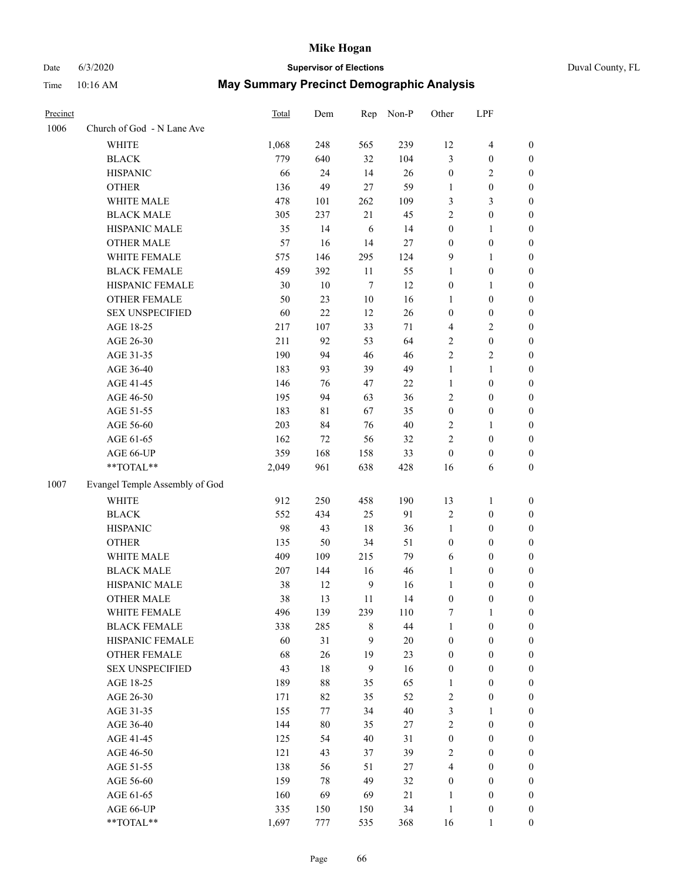# Date 6/3/2020 **Supervisor of Elections** Duval County, FL Time 10:16 AM **May Summary Precinct Demographic Analysis**

| Precinct |                                | <b>Total</b> | Dem    | Rep            | Non-P  | Other                   | LPF                     |                  |
|----------|--------------------------------|--------------|--------|----------------|--------|-------------------------|-------------------------|------------------|
| 1006     | Church of God - N Lane Ave     |              |        |                |        |                         |                         |                  |
|          | WHITE                          | 1,068        | 248    | 565            | 239    | 12                      | $\overline{\mathbf{4}}$ | 0                |
|          | <b>BLACK</b>                   | 779          | 640    | 32             | 104    | 3                       | $\boldsymbol{0}$        | 0                |
|          | <b>HISPANIC</b>                | 66           | 24     | 14             | 26     | $\boldsymbol{0}$        | $\mathfrak{2}$          | $\boldsymbol{0}$ |
|          | <b>OTHER</b>                   | 136          | 49     | $27\,$         | 59     | 1                       | $\boldsymbol{0}$        | $\boldsymbol{0}$ |
|          | WHITE MALE                     | 478          | 101    | 262            | 109    | 3                       | $\mathfrak{Z}$          | $\boldsymbol{0}$ |
|          | <b>BLACK MALE</b>              | 305          | 237    | 21             | 45     | $\sqrt{2}$              | $\boldsymbol{0}$        | $\boldsymbol{0}$ |
|          | HISPANIC MALE                  | 35           | 14     | 6              | 14     | $\boldsymbol{0}$        | $\mathbf{1}$            | $\boldsymbol{0}$ |
|          | <b>OTHER MALE</b>              | 57           | 16     | 14             | 27     | $\boldsymbol{0}$        | $\boldsymbol{0}$        | $\boldsymbol{0}$ |
|          | WHITE FEMALE                   | 575          | 146    | 295            | 124    | 9                       | $\mathbf{1}$            | $\boldsymbol{0}$ |
|          | <b>BLACK FEMALE</b>            | 459          | 392    | 11             | 55     | $\mathbf{1}$            | $\boldsymbol{0}$        | 0                |
|          | HISPANIC FEMALE                | 30           | 10     | $\tau$         | 12     | $\boldsymbol{0}$        | $\mathbf{1}$            | 0                |
|          | OTHER FEMALE                   | 50           | 23     | 10             | 16     | $\mathbf{1}$            | $\boldsymbol{0}$        | 0                |
|          | <b>SEX UNSPECIFIED</b>         | 60           | 22     | 12             | 26     | $\boldsymbol{0}$        | $\boldsymbol{0}$        | $\boldsymbol{0}$ |
|          | AGE 18-25                      | 217          | 107    | 33             | 71     | 4                       | $\sqrt{2}$              | $\boldsymbol{0}$ |
|          | AGE 26-30                      | 211          | 92     | 53             | 64     | 2                       | $\boldsymbol{0}$        | $\boldsymbol{0}$ |
|          | AGE 31-35                      | 190          | 94     | 46             | 46     | $\mathfrak{2}$          | $\sqrt{2}$              | $\boldsymbol{0}$ |
|          | AGE 36-40                      | 183          | 93     | 39             | 49     | $\mathbf{1}$            | $\mathbf{1}$            | $\boldsymbol{0}$ |
|          | AGE 41-45                      | 146          | 76     | 47             | 22     | $\mathbf{1}$            | $\boldsymbol{0}$        | $\boldsymbol{0}$ |
|          | AGE 46-50                      | 195          | 94     | 63             | 36     | $\overline{c}$          | $\boldsymbol{0}$        | $\boldsymbol{0}$ |
|          | AGE 51-55                      | 183          | 81     | 67             | 35     | $\boldsymbol{0}$        | $\boldsymbol{0}$        | 0                |
|          | AGE 56-60                      | 203          | 84     | 76             | 40     | 2                       | $\mathbf{1}$            | 0                |
|          | AGE 61-65                      | 162          | 72     | 56             | 32     | $\mathfrak{2}$          | $\boldsymbol{0}$        | 0                |
|          | AGE 66-UP                      | 359          | 168    | 158            | 33     | $\boldsymbol{0}$        | $\boldsymbol{0}$        | 0                |
|          | **TOTAL**                      | 2,049        | 961    | 638            | 428    | 16                      | 6                       | $\boldsymbol{0}$ |
| 1007     | Evangel Temple Assembly of God |              |        |                |        |                         |                         |                  |
|          | <b>WHITE</b>                   | 912          | 250    | 458            | 190    | 13                      | $\mathbf{1}$            | $\boldsymbol{0}$ |
|          | <b>BLACK</b>                   | 552          | 434    | 25             | 91     | $\overline{c}$          | $\boldsymbol{0}$        | $\boldsymbol{0}$ |
|          | <b>HISPANIC</b>                | 98           | 43     | 18             | 36     | $\mathbf{1}$            | $\boldsymbol{0}$        | $\boldsymbol{0}$ |
|          | <b>OTHER</b>                   | 135          | 50     | 34             | 51     | $\boldsymbol{0}$        | $\boldsymbol{0}$        | $\boldsymbol{0}$ |
|          | WHITE MALE                     | 409          | 109    | 215            | 79     | 6                       | $\boldsymbol{0}$        | $\boldsymbol{0}$ |
|          | <b>BLACK MALE</b>              | 207          | 144    | 16             | 46     | $\mathbf{1}$            | $\boldsymbol{0}$        | $\boldsymbol{0}$ |
|          | HISPANIC MALE                  | 38           | 12     | 9              | 16     | $\mathbf{1}$            | 0                       | $\boldsymbol{0}$ |
|          | <b>OTHER MALE</b>              | 38           | 13     | 11             | 14     | 0                       | $\boldsymbol{0}$        | $\boldsymbol{0}$ |
|          | WHITE FEMALE                   | 496          | 139    | 239            | 110    | 7                       | $\mathbf{1}$            | 0                |
|          | <b>BLACK FEMALE</b>            | 338          | 285    | $\,$ 8 $\,$    | 44     | $\mathbf{1}$            | $\boldsymbol{0}$        | 0                |
|          | HISPANIC FEMALE                | 60           | 31     | 9              | 20     | $\boldsymbol{0}$        | $\boldsymbol{0}$        | $\overline{0}$   |
|          | OTHER FEMALE                   | 68           | 26     | 19             | 23     | $\boldsymbol{0}$        | $\boldsymbol{0}$        | $\overline{0}$   |
|          | <b>SEX UNSPECIFIED</b>         | 43           | 18     | $\overline{9}$ | 16     | $\boldsymbol{0}$        | $\boldsymbol{0}$        | 0                |
|          | AGE 18-25                      | 189          | 88     | 35             | 65     | $\mathbf{1}$            | $\boldsymbol{0}$        | $\overline{0}$   |
|          | AGE 26-30                      | 171          | 82     | 35             | 52     | $\sqrt{2}$              | $\boldsymbol{0}$        | $\boldsymbol{0}$ |
|          | AGE 31-35                      | 155          | 77     | 34             | $40\,$ | 3                       | $\mathbf{1}$            | $\overline{0}$   |
|          | AGE 36-40                      | 144          | $80\,$ | 35             | 27     | $\sqrt{2}$              | $\boldsymbol{0}$        | 0                |
|          | AGE 41-45                      | 125          | 54     | $40\,$         | 31     | $\boldsymbol{0}$        | $\boldsymbol{0}$        | 0                |
|          | AGE 46-50                      | 121          | 43     | 37             | 39     | $\sqrt{2}$              | $\boldsymbol{0}$        | $\boldsymbol{0}$ |
|          | AGE 51-55                      | 138          | 56     | 51             | 27     | $\overline{\mathbf{4}}$ | $\boldsymbol{0}$        | $\boldsymbol{0}$ |
|          | AGE 56-60                      | 159          | 78     | 49             | 32     | $\boldsymbol{0}$        | $\boldsymbol{0}$        | $\boldsymbol{0}$ |
|          | AGE 61-65                      | 160          | 69     | 69             | 21     | $\mathbf{1}$            | $\boldsymbol{0}$        | $\overline{0}$   |
|          | AGE 66-UP                      | 335          | 150    | 150            | 34     | $\mathbf{1}$            | $\boldsymbol{0}$        | $\boldsymbol{0}$ |
|          | $**TOTAL**$                    | 1,697        | 777    | 535            | 368    | 16                      | $\mathbf{1}$            | $\boldsymbol{0}$ |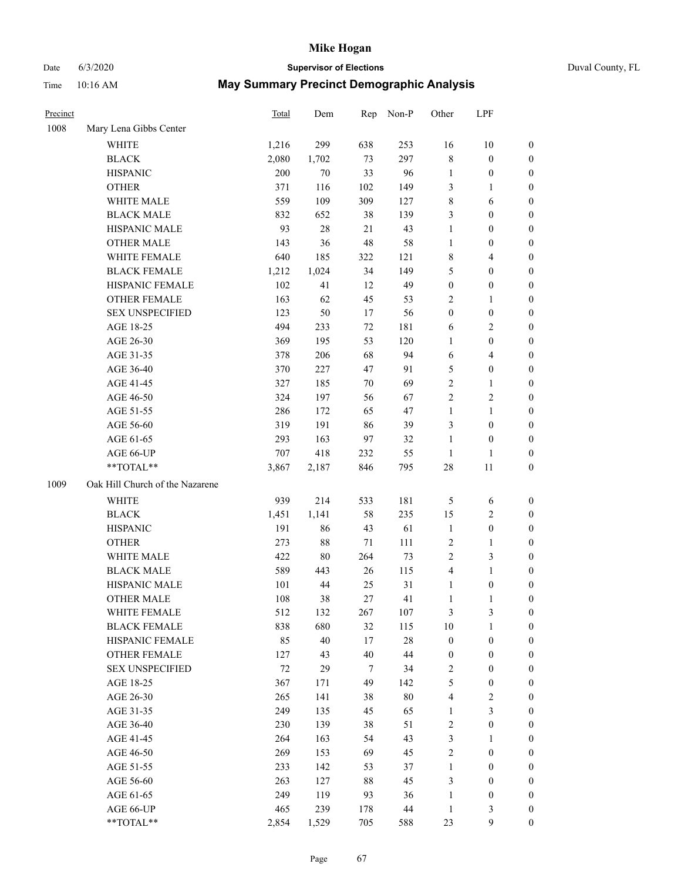# Date 6/3/2020 **Supervisor of Elections** Duval County, FL

| Precinct |                                 | <b>Total</b> | Dem    | Rep    | Non-P  | Other            | LPF              |                  |
|----------|---------------------------------|--------------|--------|--------|--------|------------------|------------------|------------------|
| 1008     | Mary Lena Gibbs Center          |              |        |        |        |                  |                  |                  |
|          | <b>WHITE</b>                    | 1,216        | 299    | 638    | 253    | 16               | 10               | 0                |
|          | <b>BLACK</b>                    | 2,080        | 1,702  | 73     | 297    | 8                | $\boldsymbol{0}$ | 0                |
|          | <b>HISPANIC</b>                 | 200          | 70     | 33     | 96     | $\mathbf{1}$     | $\boldsymbol{0}$ | $\boldsymbol{0}$ |
|          | <b>OTHER</b>                    | 371          | 116    | 102    | 149    | 3                | 1                | $\boldsymbol{0}$ |
|          | WHITE MALE                      | 559          | 109    | 309    | 127    | 8                | 6                | $\boldsymbol{0}$ |
|          | <b>BLACK MALE</b>               | 832          | 652    | 38     | 139    | 3                | $\boldsymbol{0}$ | $\boldsymbol{0}$ |
|          | HISPANIC MALE                   | 93           | $28\,$ | 21     | 43     | $\mathbf{1}$     | $\boldsymbol{0}$ | $\boldsymbol{0}$ |
|          | <b>OTHER MALE</b>               | 143          | 36     | 48     | 58     | $\mathbf{1}$     | $\boldsymbol{0}$ | $\boldsymbol{0}$ |
|          | WHITE FEMALE                    | 640          | 185    | 322    | 121    | 8                | $\overline{4}$   | $\boldsymbol{0}$ |
|          | <b>BLACK FEMALE</b>             | 1,212        | 1,024  | 34     | 149    | 5                | $\boldsymbol{0}$ | 0                |
|          | HISPANIC FEMALE                 | 102          | 41     | 12     | 49     | $\boldsymbol{0}$ | $\boldsymbol{0}$ | 0                |
|          | <b>OTHER FEMALE</b>             | 163          | 62     | 45     | 53     | 2                | $\mathbf{1}$     | $\boldsymbol{0}$ |
|          | <b>SEX UNSPECIFIED</b>          | 123          | 50     | 17     | 56     | $\boldsymbol{0}$ | $\boldsymbol{0}$ | $\boldsymbol{0}$ |
|          | AGE 18-25                       | 494          | 233    | $72\,$ | 181    | 6                | $\sqrt{2}$       | $\boldsymbol{0}$ |
|          | AGE 26-30                       | 369          | 195    | 53     | 120    | $\mathbf{1}$     | $\boldsymbol{0}$ | $\boldsymbol{0}$ |
|          | AGE 31-35                       | 378          | 206    | 68     | 94     | 6                | $\overline{4}$   | $\boldsymbol{0}$ |
|          | AGE 36-40                       | 370          | 227    | 47     | 91     | 5                | $\boldsymbol{0}$ | $\boldsymbol{0}$ |
|          | AGE 41-45                       | 327          | 185    | $70\,$ | 69     | $\overline{c}$   | $\mathbf{1}$     | $\boldsymbol{0}$ |
|          | AGE 46-50                       | 324          | 197    | 56     | 67     | $\overline{c}$   | $\sqrt{2}$       | $\boldsymbol{0}$ |
|          | AGE 51-55                       | 286          | 172    | 65     | 47     | $\mathbf{1}$     | $\mathbf{1}$     | 0                |
|          | AGE 56-60                       | 319          | 191    | 86     | 39     | 3                | $\boldsymbol{0}$ | 0                |
|          | AGE 61-65                       | 293          | 163    | 97     | 32     | $\mathbf{1}$     | $\boldsymbol{0}$ | 0                |
|          | AGE 66-UP                       | 707          | 418    | 232    | 55     | $\mathbf{1}$     | $\mathbf{1}$     | $\boldsymbol{0}$ |
|          | **TOTAL**                       | 3,867        | 2,187  | 846    | 795    | $28\,$           | 11               | $\boldsymbol{0}$ |
| 1009     | Oak Hill Church of the Nazarene |              |        |        |        |                  |                  |                  |
|          | <b>WHITE</b>                    | 939          | 214    | 533    | 181    | 5                | 6                | $\boldsymbol{0}$ |
|          | <b>BLACK</b>                    | 1,451        | 1,141  | 58     | 235    | 15               | $\sqrt{2}$       | $\boldsymbol{0}$ |
|          | <b>HISPANIC</b>                 | 191          | 86     | 43     | 61     | $\mathbf{1}$     | $\boldsymbol{0}$ | $\boldsymbol{0}$ |
|          | <b>OTHER</b>                    | 273          | $88\,$ | 71     | 111    | 2                | $\mathbf{1}$     | $\boldsymbol{0}$ |
|          | WHITE MALE                      | 422          | $80\,$ | 264    | 73     | 2                | 3                | $\boldsymbol{0}$ |
|          | <b>BLACK MALE</b>               | 589          | 443    | 26     | 115    | 4                | $\mathbf{1}$     | $\boldsymbol{0}$ |
|          | HISPANIC MALE                   | 101          | 44     | 25     | 31     | $\mathbf{1}$     | $\boldsymbol{0}$ | 0                |
|          | <b>OTHER MALE</b>               | 108          | 38     | 27     | 41     | $\mathbf{1}$     | $\mathbf{1}$     | 0                |
|          | WHITE FEMALE                    | 512          | 132    | 267    | 107    | 3                | 3                | 0                |
|          | <b>BLACK FEMALE</b>             | 838          | 680    | 32     | 115    | 10               | $\mathbf{1}$     | $\boldsymbol{0}$ |
|          | HISPANIC FEMALE                 | 85           | $40\,$ | 17     | $28\,$ | $\boldsymbol{0}$ | $\boldsymbol{0}$ | $\overline{0}$   |
|          | <b>OTHER FEMALE</b>             | 127          | 43     | 40     | $44\,$ | $\boldsymbol{0}$ | $\boldsymbol{0}$ | $\overline{0}$   |
|          | <b>SEX UNSPECIFIED</b>          | $72\,$       | 29     | 7      | 34     | 2                | $\boldsymbol{0}$ | 0                |
|          | AGE 18-25                       | 367          | 171    | 49     | 142    | 5                | $\boldsymbol{0}$ | 0                |
|          | AGE 26-30                       | 265          | 141    | 38     | $80\,$ | 4                | $\sqrt{2}$       | 0                |
|          | AGE 31-35                       | 249          | 135    | 45     | 65     | $\mathbf{1}$     | $\mathfrak{Z}$   | 0                |
|          | AGE 36-40                       | 230          | 139    | 38     | 51     | 2                | $\boldsymbol{0}$ | 0                |
|          | AGE 41-45                       | 264          | 163    | 54     | 43     | 3                | 1                | 0                |
|          | AGE 46-50                       | 269          | 153    | 69     | 45     | 2                | $\boldsymbol{0}$ | 0                |
|          | AGE 51-55                       | 233          | 142    | 53     | 37     | $\mathbf{1}$     | $\boldsymbol{0}$ | 0                |
|          | AGE 56-60                       | 263          | 127    | 88     | 45     | 3                | $\boldsymbol{0}$ | $\overline{0}$   |
|          | AGE 61-65                       | 249          | 119    | 93     | 36     | $\mathbf{1}$     | $\boldsymbol{0}$ | $\overline{0}$   |
|          | AGE 66-UP                       | 465          | 239    | 178    | $44\,$ | $\mathbf{1}$     | 3                | 0                |
|          | **TOTAL**                       | 2,854        | 1,529  | 705    | 588    | 23               | $\mathbf{9}$     | $\boldsymbol{0}$ |
|          |                                 |              |        |        |        |                  |                  |                  |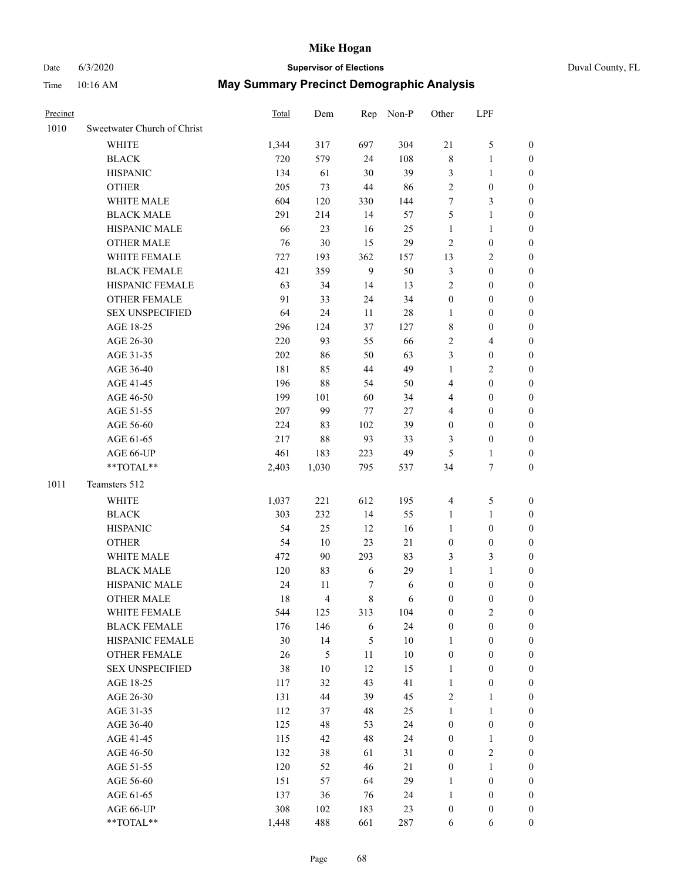# Date 6/3/2020 **Supervisor of Elections** Duval County, FL

| Precinct |                             | <b>Total</b> | Dem                     |              | Rep Non-P | Other            | LPF              |                  |
|----------|-----------------------------|--------------|-------------------------|--------------|-----------|------------------|------------------|------------------|
| 1010     | Sweetwater Church of Christ |              |                         |              |           |                  |                  |                  |
|          | <b>WHITE</b>                | 1,344        | 317                     | 697          | 304       | 21               | $\mathfrak s$    | 0                |
|          | <b>BLACK</b>                | 720          | 579                     | 24           | 108       | 8                | $\mathbf{1}$     | 0                |
|          | <b>HISPANIC</b>             | 134          | 61                      | 30           | 39        | 3                | $\mathbf{1}$     | $\boldsymbol{0}$ |
|          | <b>OTHER</b>                | 205          | 73                      | 44           | 86        | $\overline{c}$   | $\boldsymbol{0}$ | $\boldsymbol{0}$ |
|          | WHITE MALE                  | 604          | 120                     | 330          | 144       | 7                | $\mathfrak{Z}$   | $\boldsymbol{0}$ |
|          | <b>BLACK MALE</b>           | 291          | 214                     | 14           | 57        | 5                | $\mathbf{1}$     | $\boldsymbol{0}$ |
|          | HISPANIC MALE               | 66           | 23                      | 16           | 25        | $\mathbf{1}$     | $\mathbf{1}$     | $\boldsymbol{0}$ |
|          | <b>OTHER MALE</b>           | 76           | $30\,$                  | 15           | 29        | $\mathfrak{2}$   | $\boldsymbol{0}$ | $\boldsymbol{0}$ |
|          | WHITE FEMALE                | 727          | 193                     | 362          | 157       | 13               | $\sqrt{2}$       | $\boldsymbol{0}$ |
|          | <b>BLACK FEMALE</b>         | 421          | 359                     | $\mathbf{9}$ | 50        | 3                | $\boldsymbol{0}$ | 0                |
|          | HISPANIC FEMALE             | 63           | 34                      | 14           | 13        | $\overline{2}$   | $\boldsymbol{0}$ | 0                |
|          | <b>OTHER FEMALE</b>         | 91           | 33                      | 24           | 34        | $\boldsymbol{0}$ | $\boldsymbol{0}$ | $\boldsymbol{0}$ |
|          | <b>SEX UNSPECIFIED</b>      | 64           | 24                      | 11           | $28\,$    | $\mathbf{1}$     | $\boldsymbol{0}$ | $\boldsymbol{0}$ |
|          | AGE 18-25                   | 296          | 124                     | 37           | 127       | 8                | $\boldsymbol{0}$ | $\boldsymbol{0}$ |
|          | AGE 26-30                   | 220          | 93                      | 55           | 66        | 2                | $\overline{4}$   | $\boldsymbol{0}$ |
|          | AGE 31-35                   | 202          | 86                      | 50           | 63        | 3                | $\boldsymbol{0}$ | $\boldsymbol{0}$ |
|          | AGE 36-40                   | 181          | 85                      | 44           | 49        | $\mathbf{1}$     | $\sqrt{2}$       | $\boldsymbol{0}$ |
|          | AGE 41-45                   | 196          | $88\,$                  | 54           | 50        | 4                | $\boldsymbol{0}$ | $\boldsymbol{0}$ |
|          | AGE 46-50                   | 199          | 101                     | 60           | 34        | 4                | $\boldsymbol{0}$ | $\boldsymbol{0}$ |
|          | AGE 51-55                   | 207          | 99                      | 77           | 27        | 4                | $\boldsymbol{0}$ | $\boldsymbol{0}$ |
|          | AGE 56-60                   | 224          | 83                      | 102          | 39        | $\boldsymbol{0}$ | $\boldsymbol{0}$ | 0                |
|          | AGE 61-65                   | 217          | 88                      | 93           | 33        | 3                | $\boldsymbol{0}$ | 0                |
|          | AGE 66-UP                   | 461          | 183                     | 223          | 49        | 5                | $\mathbf{1}$     | $\boldsymbol{0}$ |
|          | **TOTAL**                   | 2,403        | 1,030                   | 795          | 537       | 34               | $\boldsymbol{7}$ | $\boldsymbol{0}$ |
| 1011     | Teamsters 512               |              |                         |              |           |                  |                  |                  |
|          | <b>WHITE</b>                | 1,037        | 221                     | 612          | 195       | 4                | $\mathfrak s$    | $\boldsymbol{0}$ |
|          | <b>BLACK</b>                | 303          | 232                     | 14           | 55        | $\mathbf{1}$     | $\mathbf{1}$     | $\boldsymbol{0}$ |
|          | <b>HISPANIC</b>             | 54           | 25                      | 12           | 16        | $\mathbf{1}$     | $\boldsymbol{0}$ | $\boldsymbol{0}$ |
|          | <b>OTHER</b>                | 54           | $10\,$                  | 23           | $21\,$    | $\boldsymbol{0}$ | $\boldsymbol{0}$ | $\boldsymbol{0}$ |
|          | WHITE MALE                  | 472          | 90                      | 293          | 83        | 3                | 3                | $\boldsymbol{0}$ |
|          | <b>BLACK MALE</b>           | 120          | 83                      | 6            | 29        | $\mathbf{1}$     | $\mathbf{1}$     | $\boldsymbol{0}$ |
|          | HISPANIC MALE               | 24           | 11                      | 7            | 6         | $\boldsymbol{0}$ | $\boldsymbol{0}$ | 0                |
|          | <b>OTHER MALE</b>           | 18           | $\overline{\mathbf{4}}$ | 8            | 6         | $\boldsymbol{0}$ | $\boldsymbol{0}$ | 0                |
|          | WHITE FEMALE                | 544          | 125                     | 313          | 104       | 0                | $\overline{c}$   | 0                |
|          | <b>BLACK FEMALE</b>         | 176          | 146                     | 6            | 24        | $\boldsymbol{0}$ | $\boldsymbol{0}$ | $\overline{0}$   |
|          | HISPANIC FEMALE             | 30           | 14                      | 5            | $10\,$    | $\mathbf{1}$     | $\boldsymbol{0}$ | $\overline{0}$   |
|          | OTHER FEMALE                | 26           | $\mathfrak{S}$          | 11           | $10\,$    | $\boldsymbol{0}$ | $\boldsymbol{0}$ | $\overline{0}$   |
|          | <b>SEX UNSPECIFIED</b>      | 38           | $10\,$                  | 12           | 15        | $\mathbf{1}$     | $\boldsymbol{0}$ | 0                |
|          | AGE 18-25                   | 117          | 32                      | 43           | 41        | $\mathbf{1}$     | $\boldsymbol{0}$ | 0                |
|          | AGE 26-30                   | 131          | 44                      | 39           | 45        | 2                | $\mathbf{1}$     | 0                |
|          | AGE 31-35                   | 112          | 37                      | 48           | 25        | $\mathbf{1}$     | $\mathbf{1}$     | 0                |
|          | AGE 36-40                   | 125          | 48                      | 53           | 24        | $\boldsymbol{0}$ | $\boldsymbol{0}$ | 0                |
|          | AGE 41-45                   | 115          | 42                      | 48           | 24        | $\boldsymbol{0}$ | $\mathbf{1}$     | 0                |
|          | AGE 46-50                   | 132          | 38                      | 61           | 31        | 0                | $\sqrt{2}$       | 0                |
|          | AGE 51-55                   | 120          | 52                      | 46           | 21        | $\boldsymbol{0}$ | $\mathbf{1}$     | $\overline{0}$   |
|          | AGE 56-60                   | 151          | 57                      | 64           | 29        | 1                | $\boldsymbol{0}$ | $\overline{0}$   |
|          | AGE 61-65                   | 137          | 36                      | 76           | 24        | $\mathbf{1}$     | $\boldsymbol{0}$ | $\overline{0}$   |
|          | AGE 66-UP                   | 308          | 102                     | 183          | 23        | $\boldsymbol{0}$ | $\boldsymbol{0}$ | 0                |
|          | **TOTAL**                   | 1,448        | 488                     | 661          | 287       | 6                | 6                | $\boldsymbol{0}$ |
|          |                             |              |                         |              |           |                  |                  |                  |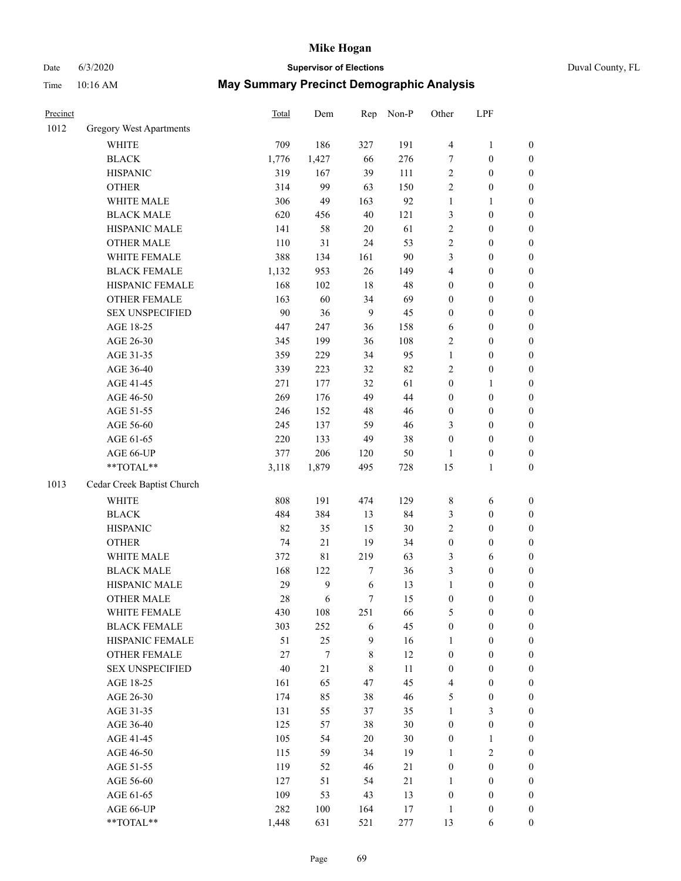# Date 6/3/2020 **Supervisor of Elections**

|  | Duval County, FL |  |
|--|------------------|--|
|--|------------------|--|

| Precinct |                                                             | Total  | Dem              |     | Rep Non-P | Other            | LPF              |                  |
|----------|-------------------------------------------------------------|--------|------------------|-----|-----------|------------------|------------------|------------------|
| 1012     | Gregory West Apartments                                     |        |                  |     |           |                  |                  |                  |
|          | <b>WHITE</b>                                                | 709    | 186              | 327 | 191       | $\overline{4}$   | $\mathbf{1}$     | 0                |
|          | <b>BLACK</b>                                                | 1,776  | 1,427            | 66  | 276       | 7                | $\boldsymbol{0}$ | 0                |
|          | <b>HISPANIC</b>                                             | 319    | 167              | 39  | 111       | $\mathbf{2}$     | $\boldsymbol{0}$ | $\boldsymbol{0}$ |
|          | <b>OTHER</b>                                                | 314    | 99               | 63  | 150       | 2                | $\boldsymbol{0}$ | $\boldsymbol{0}$ |
|          | WHITE MALE                                                  | 306    | 49               | 163 | 92        | 1                | $\mathbf{1}$     | $\boldsymbol{0}$ |
|          | <b>BLACK MALE</b>                                           | 620    | 456              | 40  | 121       | 3                | $\boldsymbol{0}$ | $\boldsymbol{0}$ |
|          | HISPANIC MALE                                               | 141    | 58               | 20  | 61        | $\overline{c}$   | $\boldsymbol{0}$ | $\boldsymbol{0}$ |
|          | <b>OTHER MALE</b>                                           | 110    | 31               | 24  | 53        | 2                | $\boldsymbol{0}$ | $\boldsymbol{0}$ |
|          | WHITE FEMALE                                                | 388    | 134              | 161 | 90        | 3                | $\boldsymbol{0}$ | $\boldsymbol{0}$ |
|          | <b>BLACK FEMALE</b>                                         | 1,132  | 953              | 26  | 149       | 4                | $\boldsymbol{0}$ | $\boldsymbol{0}$ |
|          | HISPANIC FEMALE                                             | 168    | 102              | 18  | 48        | 0                | $\boldsymbol{0}$ | 0                |
|          | OTHER FEMALE                                                | 163    | 60               | 34  | 69        | 0                | $\boldsymbol{0}$ | 0                |
|          | <b>SEX UNSPECIFIED</b>                                      | $90\,$ | 36               | 9   | 45        | $\boldsymbol{0}$ | $\boldsymbol{0}$ | $\boldsymbol{0}$ |
|          | AGE 18-25                                                   | 447    | 247              | 36  | 158       | 6                | $\boldsymbol{0}$ | $\boldsymbol{0}$ |
|          | AGE 26-30                                                   | 345    | 199              | 36  | 108       | 2                | $\boldsymbol{0}$ | $\boldsymbol{0}$ |
|          | AGE 31-35                                                   | 359    | 229              | 34  | 95        | 1                | $\boldsymbol{0}$ | $\boldsymbol{0}$ |
|          | AGE 36-40                                                   | 339    | 223              | 32  | 82        | 2                | $\boldsymbol{0}$ | $\boldsymbol{0}$ |
|          | AGE 41-45                                                   | 271    | 177              | 32  | 61        | $\boldsymbol{0}$ | $\mathbf{1}$     | $\boldsymbol{0}$ |
|          | AGE 46-50                                                   | 269    | 176              | 49  | 44        | 0                | $\boldsymbol{0}$ | $\boldsymbol{0}$ |
|          | AGE 51-55                                                   | 246    | 152              | 48  | 46        | $\boldsymbol{0}$ | $\boldsymbol{0}$ | 0                |
|          | AGE 56-60                                                   | 245    | 137              | 59  | 46        | 3                | $\boldsymbol{0}$ | 0                |
|          | AGE 61-65                                                   | 220    | 133              | 49  | 38        | $\boldsymbol{0}$ | $\boldsymbol{0}$ | $\boldsymbol{0}$ |
|          | AGE 66-UP                                                   | 377    | 206              | 120 | 50        | $\mathbf{1}$     | $\boldsymbol{0}$ | $\boldsymbol{0}$ |
|          | $\mathrm{*}\mathrm{*} \mathrm{TOTAL} \mathrm{*} \mathrm{*}$ | 3,118  | 1,879            | 495 | 728       | 15               | $\mathbf{1}$     | $\boldsymbol{0}$ |
| 1013     | Cedar Creek Baptist Church                                  |        |                  |     |           |                  |                  |                  |
|          | <b>WHITE</b>                                                | 808    | 191              | 474 | 129       | 8                | 6                | $\boldsymbol{0}$ |
|          | <b>BLACK</b>                                                | 484    | 384              | 13  | 84        | 3                | $\boldsymbol{0}$ | $\boldsymbol{0}$ |
|          | <b>HISPANIC</b>                                             | 82     | 35               | 15  | 30        | $\overline{c}$   | $\boldsymbol{0}$ | $\boldsymbol{0}$ |
|          | <b>OTHER</b>                                                | 74     | $21\,$           | 19  | 34        | $\boldsymbol{0}$ | $\boldsymbol{0}$ | $\boldsymbol{0}$ |
|          | WHITE MALE                                                  | 372    | 81               | 219 | 63        | 3                | 6                | $\boldsymbol{0}$ |
|          | <b>BLACK MALE</b>                                           | 168    | 122              | 7   | 36        | 3                | $\boldsymbol{0}$ | $\boldsymbol{0}$ |
|          | HISPANIC MALE                                               | 29     | $\boldsymbol{9}$ | 6   | 13        | 1                | $\boldsymbol{0}$ | $\boldsymbol{0}$ |
|          | <b>OTHER MALE</b>                                           | 28     | 6                | 7   | 15        | 0                | $\boldsymbol{0}$ | $\boldsymbol{0}$ |
|          | WHITE FEMALE                                                | 430    | 108              | 251 | 66        | 5                | $\boldsymbol{0}$ | 0                |
|          | <b>BLACK FEMALE</b>                                         | 303    | 252              | 6   | 45        | $\boldsymbol{0}$ | $\boldsymbol{0}$ | $\boldsymbol{0}$ |
|          | HISPANIC FEMALE                                             | 51     | 25               | 9   | 16        | 1                | $\boldsymbol{0}$ | $\overline{0}$   |
|          | <b>OTHER FEMALE</b>                                         | 27     | $\boldsymbol{7}$ | 8   | 12        | $\boldsymbol{0}$ | $\boldsymbol{0}$ | $\overline{0}$   |
|          | <b>SEX UNSPECIFIED</b>                                      | $40\,$ | $21\,$           | 8   | 11        | $\boldsymbol{0}$ | $\boldsymbol{0}$ | 0                |
|          | AGE 18-25                                                   | 161    | 65               | 47  | 45        | 4                | $\boldsymbol{0}$ | $\overline{0}$   |
|          | AGE 26-30                                                   | 174    | 85               | 38  | 46        | 5                | $\boldsymbol{0}$ | $\overline{0}$   |
|          | AGE 31-35                                                   | 131    | 55               | 37  | 35        | 1                | $\mathfrak{Z}$   | 0                |
|          | AGE 36-40                                                   | 125    | 57               | 38  | 30        | $\boldsymbol{0}$ | $\boldsymbol{0}$ | 0                |
|          | AGE 41-45                                                   | 105    | 54               | 20  | 30        | $\boldsymbol{0}$ | $\mathbf{1}$     | 0                |
|          | AGE 46-50                                                   | 115    | 59               | 34  | 19        | $\mathbf{1}$     | $\sqrt{2}$       | $\boldsymbol{0}$ |
|          | AGE 51-55                                                   | 119    | 52               | 46  | $21\,$    | $\boldsymbol{0}$ | $\boldsymbol{0}$ | $\overline{0}$   |
|          | AGE 56-60                                                   | 127    | 51               | 54  | $21\,$    | $\mathbf{1}$     | $\boldsymbol{0}$ | $\overline{0}$   |
|          | AGE 61-65                                                   | 109    | 53               | 43  | 13        | $\boldsymbol{0}$ | $\boldsymbol{0}$ | $\overline{0}$   |
|          | AGE 66-UP                                                   | 282    | 100              | 164 | 17        | $\mathbf{1}$     | $\boldsymbol{0}$ | 0                |
|          | **TOTAL**                                                   | 1,448  | 631              | 521 | 277       | 13               | 6                | $\overline{0}$   |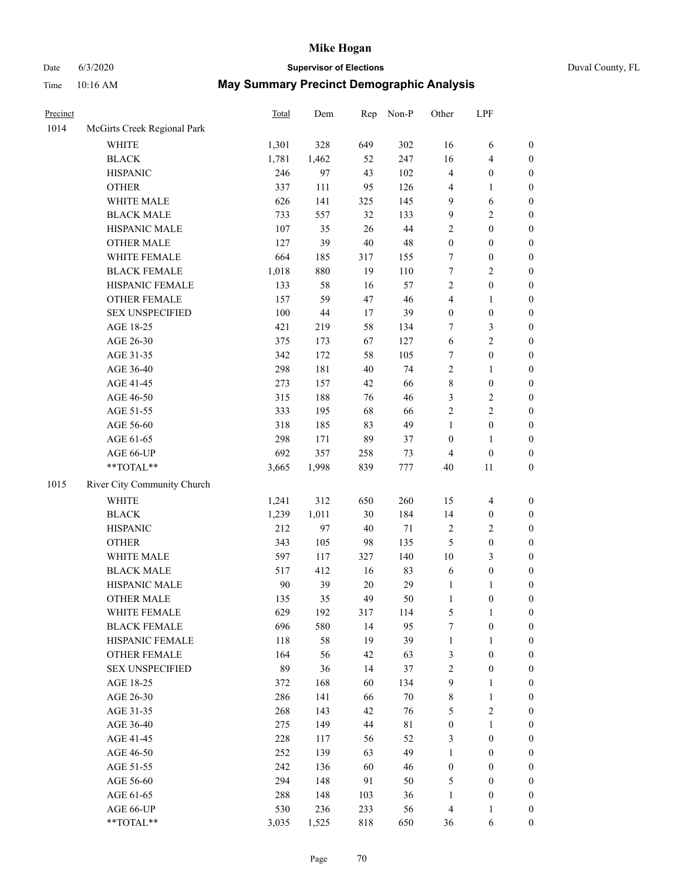# Date 6/3/2020 **Supervisor of Elections** Duval County, FL

| Precinct |                             | Total | Dem   | Rep    | Non-P | Other            | LPF              |                  |
|----------|-----------------------------|-------|-------|--------|-------|------------------|------------------|------------------|
| 1014     | McGirts Creek Regional Park |       |       |        |       |                  |                  |                  |
|          | <b>WHITE</b>                | 1,301 | 328   | 649    | 302   | 16               | 6                | 0                |
|          | <b>BLACK</b>                | 1,781 | 1,462 | 52     | 247   | 16               | $\overline{4}$   | 0                |
|          | <b>HISPANIC</b>             | 246   | 97    | 43     | 102   | 4                | $\boldsymbol{0}$ | $\boldsymbol{0}$ |
|          | <b>OTHER</b>                | 337   | 111   | 95     | 126   | 4                | 1                | $\boldsymbol{0}$ |
|          | WHITE MALE                  | 626   | 141   | 325    | 145   | 9                | 6                | $\boldsymbol{0}$ |
|          | <b>BLACK MALE</b>           | 733   | 557   | 32     | 133   | 9                | $\sqrt{2}$       | $\boldsymbol{0}$ |
|          | HISPANIC MALE               | 107   | 35    | 26     | 44    | 2                | $\boldsymbol{0}$ | $\boldsymbol{0}$ |
|          | <b>OTHER MALE</b>           | 127   | 39    | $40\,$ | 48    | $\boldsymbol{0}$ | $\boldsymbol{0}$ | $\boldsymbol{0}$ |
|          | WHITE FEMALE                | 664   | 185   | 317    | 155   | 7                | $\boldsymbol{0}$ | $\boldsymbol{0}$ |
|          | <b>BLACK FEMALE</b>         | 1,018 | 880   | 19     | 110   | 7                | $\sqrt{2}$       | $\boldsymbol{0}$ |
|          | HISPANIC FEMALE             | 133   | 58    | 16     | 57    | $\overline{c}$   | $\boldsymbol{0}$ | $\boldsymbol{0}$ |
|          | OTHER FEMALE                | 157   | 59    | 47     | 46    | 4                | $\mathbf{1}$     | $\boldsymbol{0}$ |
|          | <b>SEX UNSPECIFIED</b>      | 100   | 44    | 17     | 39    | $\boldsymbol{0}$ | $\boldsymbol{0}$ | $\boldsymbol{0}$ |
|          | AGE 18-25                   | 421   | 219   | 58     | 134   | 7                | $\mathfrak{Z}$   | $\boldsymbol{0}$ |
|          | AGE 26-30                   | 375   | 173   | 67     | 127   | 6                | $\sqrt{2}$       | $\boldsymbol{0}$ |
|          | AGE 31-35                   | 342   | 172   | 58     | 105   | 7                | $\boldsymbol{0}$ | $\boldsymbol{0}$ |
|          | AGE 36-40                   | 298   | 181   | 40     | 74    | $\overline{c}$   | $\mathbf{1}$     | $\boldsymbol{0}$ |
|          | AGE 41-45                   | 273   | 157   | 42     | 66    | 8                | $\boldsymbol{0}$ | $\boldsymbol{0}$ |
|          | AGE 46-50                   | 315   | 188   | 76     | 46    | 3                | $\sqrt{2}$       | $\boldsymbol{0}$ |
|          | AGE 51-55                   | 333   | 195   | 68     | 66    | $\overline{c}$   | $\sqrt{2}$       | $\boldsymbol{0}$ |
|          | AGE 56-60                   | 318   | 185   | 83     | 49    | $\mathbf{1}$     | $\boldsymbol{0}$ | $\boldsymbol{0}$ |
|          | AGE 61-65                   | 298   | 171   | 89     | 37    | $\boldsymbol{0}$ | 1                | $\boldsymbol{0}$ |
|          | AGE 66-UP                   | 692   | 357   | 258    | 73    | 4                | $\boldsymbol{0}$ | $\boldsymbol{0}$ |
|          | $**TOTAL**$                 | 3,665 | 1,998 | 839    | 777   | 40               | $11\,$           | $\boldsymbol{0}$ |
| 1015     | River City Community Church |       |       |        |       |                  |                  |                  |
|          | <b>WHITE</b>                | 1,241 | 312   | 650    | 260   | 15               | $\overline{4}$   | $\boldsymbol{0}$ |
|          | <b>BLACK</b>                | 1,239 | 1,011 | 30     | 184   | 14               | $\boldsymbol{0}$ | $\boldsymbol{0}$ |
|          | <b>HISPANIC</b>             | 212   | 97    | 40     | 71    | 2                | $\mathbf{2}$     | $\boldsymbol{0}$ |
|          | <b>OTHER</b>                | 343   | 105   | 98     | 135   | 5                | $\boldsymbol{0}$ | $\boldsymbol{0}$ |
|          | WHITE MALE                  | 597   | 117   | 327    | 140   | $10\,$           | 3                | $\boldsymbol{0}$ |
|          | <b>BLACK MALE</b>           | 517   | 412   | 16     | 83    | 6                | $\boldsymbol{0}$ | $\boldsymbol{0}$ |
|          | HISPANIC MALE               | 90    | 39    | $20\,$ | 29    | 1                | 1                | $\boldsymbol{0}$ |
|          | <b>OTHER MALE</b>           | 135   | 35    | 49     | 50    | $\mathbf{1}$     | $\boldsymbol{0}$ | $\boldsymbol{0}$ |
|          | WHITE FEMALE                | 629   | 192   | 317    | 114   | 5                | 1                | 0                |
|          | <b>BLACK FEMALE</b>         | 696   | 580   | 14     | 95    | 7                | $\boldsymbol{0}$ | $\overline{0}$   |
|          | HISPANIC FEMALE             | 118   | 58    | 19     | 39    | 1                | $\mathbf{1}$     | $\overline{0}$   |
|          | OTHER FEMALE                | 164   | 56    | 42     | 63    | 3                | $\boldsymbol{0}$ | $\overline{0}$   |
|          | <b>SEX UNSPECIFIED</b>      | 89    | 36    | 14     | 37    | 2                | $\boldsymbol{0}$ | 0                |
|          | AGE 18-25                   | 372   | 168   | 60     | 134   | 9                | $\mathbf{1}$     | 0                |
|          | AGE 26-30                   | 286   | 141   | 66     | 70    | 8                | $\mathbf{1}$     | 0                |
|          | AGE 31-35                   | 268   | 143   | 42     | 76    | 5                | $\sqrt{2}$       | 0                |
|          | AGE 36-40                   | 275   | 149   | 44     | 81    | $\boldsymbol{0}$ | $\mathbf{1}$     | 0                |
|          | AGE 41-45                   | 228   | 117   | 56     | 52    | 3                | $\boldsymbol{0}$ | 0                |
|          | AGE 46-50                   | 252   | 139   | 63     | 49    | 1                | $\boldsymbol{0}$ | 0                |
|          | AGE 51-55                   | 242   | 136   | 60     | 46    | $\boldsymbol{0}$ | $\boldsymbol{0}$ | 0                |
|          | AGE 56-60                   | 294   | 148   | 91     | 50    | 5                | $\boldsymbol{0}$ | $\overline{0}$   |
|          | AGE 61-65                   | 288   | 148   | 103    | 36    | 1                | $\boldsymbol{0}$ | $\overline{0}$   |
|          | AGE 66-UP                   | 530   | 236   | 233    | 56    | 4                | $\mathbf{1}$     | 0                |
|          | **TOTAL**                   | 3,035 | 1,525 | 818    | 650   | 36               | 6                | $\boldsymbol{0}$ |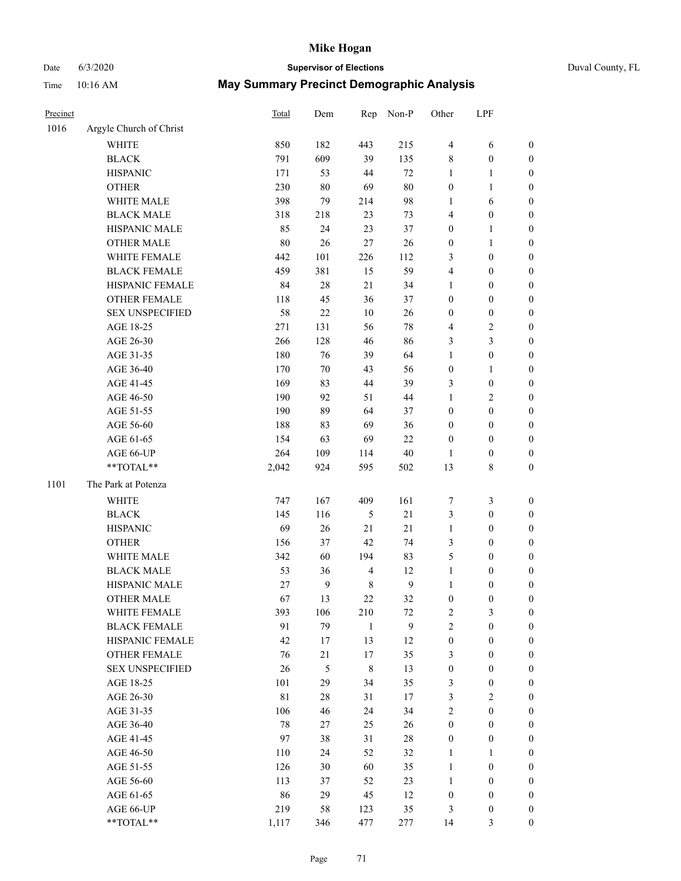# Date 6/3/2020 **Supervisor of Elections** Duval County, FL

| Precinct |                         | Total  | Dem              | Rep                     | Non-P            | Other            | LPF              |                  |
|----------|-------------------------|--------|------------------|-------------------------|------------------|------------------|------------------|------------------|
| 1016     | Argyle Church of Christ |        |                  |                         |                  |                  |                  |                  |
|          | <b>WHITE</b>            | 850    | 182              | 443                     | 215              | $\overline{4}$   | 6                | 0                |
|          | <b>BLACK</b>            | 791    | 609              | 39                      | 135              | 8                | $\boldsymbol{0}$ | 0                |
|          | <b>HISPANIC</b>         | 171    | 53               | 44                      | 72               | $\mathbf{1}$     | $\mathbf{1}$     | $\boldsymbol{0}$ |
|          | <b>OTHER</b>            | 230    | 80               | 69                      | 80               | $\boldsymbol{0}$ | $\mathbf{1}$     | $\boldsymbol{0}$ |
|          | WHITE MALE              | 398    | 79               | 214                     | 98               | 1                | 6                | $\boldsymbol{0}$ |
|          | <b>BLACK MALE</b>       | 318    | 218              | 23                      | 73               | 4                | $\boldsymbol{0}$ | $\boldsymbol{0}$ |
|          | HISPANIC MALE           | 85     | 24               | 23                      | 37               | 0                | $\mathbf{1}$     | $\boldsymbol{0}$ |
|          | <b>OTHER MALE</b>       | $80\,$ | 26               | 27                      | 26               | $\boldsymbol{0}$ | $\mathbf{1}$     | $\boldsymbol{0}$ |
|          | WHITE FEMALE            | 442    | 101              | 226                     | 112              | 3                | $\boldsymbol{0}$ | $\boldsymbol{0}$ |
|          | <b>BLACK FEMALE</b>     | 459    | 381              | 15                      | 59               | 4                | $\boldsymbol{0}$ | 0                |
|          | HISPANIC FEMALE         | 84     | 28               | 21                      | 34               | $\mathbf{1}$     | $\boldsymbol{0}$ | 0                |
|          | OTHER FEMALE            | 118    | 45               | 36                      | 37               | 0                | $\boldsymbol{0}$ | $\boldsymbol{0}$ |
|          | <b>SEX UNSPECIFIED</b>  | 58     | 22               | 10                      | 26               | $\boldsymbol{0}$ | $\boldsymbol{0}$ | $\boldsymbol{0}$ |
|          | AGE 18-25               | 271    | 131              | 56                      | 78               | 4                | $\sqrt{2}$       | $\boldsymbol{0}$ |
|          | AGE 26-30               | 266    | 128              | 46                      | 86               | 3                | 3                | $\boldsymbol{0}$ |
|          | AGE 31-35               | 180    | 76               | 39                      | 64               | $\mathbf{1}$     | $\boldsymbol{0}$ | $\boldsymbol{0}$ |
|          | AGE 36-40               | 170    | $70\,$           | 43                      | 56               | $\boldsymbol{0}$ | $\mathbf{1}$     | $\boldsymbol{0}$ |
|          | AGE 41-45               | 169    | 83               | 44                      | 39               | 3                | $\boldsymbol{0}$ | $\boldsymbol{0}$ |
|          | AGE 46-50               | 190    | 92               | 51                      | 44               | 1                | $\sqrt{2}$       | $\boldsymbol{0}$ |
|          | AGE 51-55               | 190    | 89               | 64                      | 37               | $\boldsymbol{0}$ | $\boldsymbol{0}$ | $\boldsymbol{0}$ |
|          | AGE 56-60               | 188    | 83               | 69                      | 36               | 0                | $\boldsymbol{0}$ | 0                |
|          | AGE 61-65               | 154    | 63               | 69                      | 22               | $\boldsymbol{0}$ | $\boldsymbol{0}$ | 0                |
|          | AGE 66-UP               | 264    | 109              | 114                     | 40               | 1                | $\boldsymbol{0}$ | $\boldsymbol{0}$ |
|          | $**TOTAL**$             | 2,042  | 924              | 595                     | 502              | 13               | $\,$ 8 $\,$      | $\boldsymbol{0}$ |
| 1101     | The Park at Potenza     |        |                  |                         |                  |                  |                  |                  |
|          | <b>WHITE</b>            | 747    | 167              | 409                     | 161              | 7                | $\mathfrak{Z}$   | $\boldsymbol{0}$ |
|          | <b>BLACK</b>            | 145    | 116              | 5                       | 21               | 3                | $\boldsymbol{0}$ | $\boldsymbol{0}$ |
|          | <b>HISPANIC</b>         | 69     | 26               | 21                      | 21               | $\mathbf{1}$     | $\boldsymbol{0}$ | $\boldsymbol{0}$ |
|          | <b>OTHER</b>            | 156    | 37               | 42                      | 74               | 3                | $\boldsymbol{0}$ | $\boldsymbol{0}$ |
|          | WHITE MALE              | 342    | 60               | 194                     | 83               | 5                | $\boldsymbol{0}$ | $\boldsymbol{0}$ |
|          | <b>BLACK MALE</b>       | 53     | 36               | $\overline{\mathbf{4}}$ | 12               | $\mathbf{1}$     | $\boldsymbol{0}$ | $\boldsymbol{0}$ |
|          | HISPANIC MALE           | 27     | $\boldsymbol{9}$ | $\,$ 8 $\,$             | $\boldsymbol{9}$ | $\mathbf{1}$     | $\boldsymbol{0}$ | 0                |
|          | <b>OTHER MALE</b>       | 67     | 13               | 22                      | 32               | $\boldsymbol{0}$ | $\boldsymbol{0}$ | $\boldsymbol{0}$ |
|          | WHITE FEMALE            | 393    | 106              | 210                     | 72               | 2                | 3                | 0                |
|          | <b>BLACK FEMALE</b>     | 91     | 79               | $\mathbf{1}$            | 9                | $\overline{c}$   | $\boldsymbol{0}$ | $\overline{0}$   |
|          | HISPANIC FEMALE         | 42     | 17               | 13                      | 12               | $\boldsymbol{0}$ | $\boldsymbol{0}$ | $\overline{0}$   |
|          | OTHER FEMALE            | 76     | 21               | 17                      | 35               | 3                | $\boldsymbol{0}$ | $\overline{0}$   |
|          | <b>SEX UNSPECIFIED</b>  | 26     | 5                | $\,$ $\,$               | 13               | $\boldsymbol{0}$ | $\boldsymbol{0}$ | 0                |
|          | AGE 18-25               | 101    | 29               | 34                      | 35               | 3                | $\boldsymbol{0}$ | 0                |
|          | AGE 26-30               | 81     | 28               | 31                      | 17               | 3                | $\mathbf{2}$     | 0                |
|          | AGE 31-35               | 106    | 46               | 24                      | 34               | $\overline{c}$   | $\boldsymbol{0}$ | 0                |
|          | AGE 36-40               | 78     | 27               | 25                      | 26               | $\boldsymbol{0}$ | $\boldsymbol{0}$ | 0                |
|          | AGE 41-45               | 97     | 38               | 31                      | 28               | $\boldsymbol{0}$ | $\boldsymbol{0}$ | 0                |
|          | AGE 46-50               | 110    | 24               | 52                      | 32               | $\mathbf{1}$     | 1                | 0                |
|          | AGE 51-55               | 126    | 30               | 60                      | 35               | $\mathbf{1}$     | $\boldsymbol{0}$ | 0                |
|          | AGE 56-60               | 113    | 37               | 52                      | 23               | $\mathbf{1}$     | $\boldsymbol{0}$ | 0                |
|          | AGE 61-65               | 86     | 29               | 45                      | 12               | $\boldsymbol{0}$ | $\boldsymbol{0}$ | 0                |
|          | AGE 66-UP               | 219    | 58               | 123                     | 35               | 3                | $\boldsymbol{0}$ | 0                |
|          | **TOTAL**               | 1,117  | 346              | 477                     | 277              | 14               | 3                | $\boldsymbol{0}$ |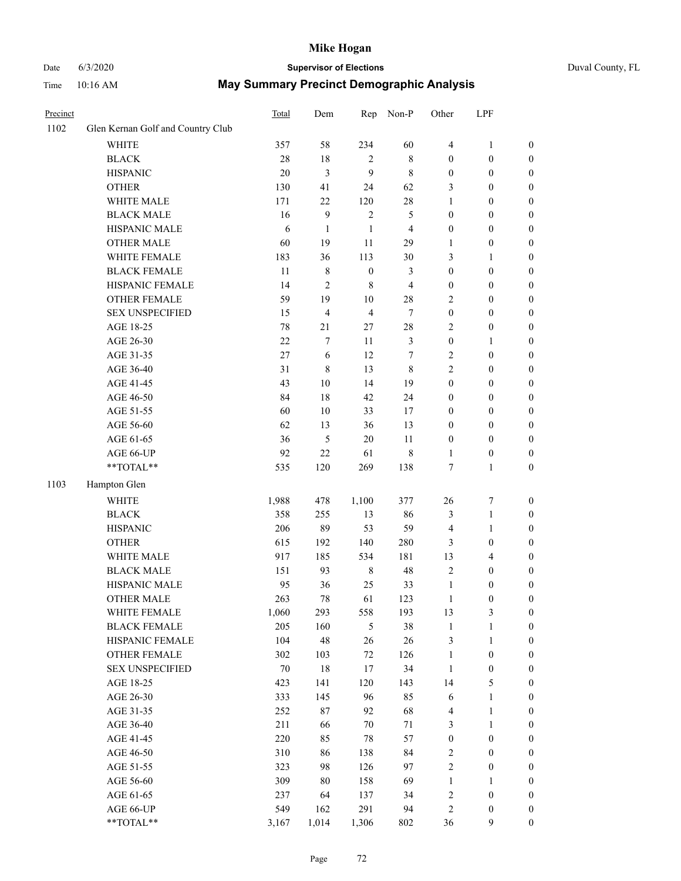Time 10:16 AM

# Date 6/3/2020 **Supervisor of Elections**

| Duval County, FL |  |
|------------------|--|
|------------------|--|

| <b>May Summary Precinct Demographic Analysis</b> |  |
|--------------------------------------------------|--|
|--------------------------------------------------|--|

| Glen Kernan Golf and Country Club | 357<br>$28\,$                                                                                                                                                                                                                                                                                                                                                                                              | 58                                                                                                                                                                                              | 234                                                                                                                                                                               | 60                                                                                                                                                                                                          | $\overline{4}$                                                                                                                                                                 | $\mathbf{1}$                                                                                                                                                                                                                                     |                                                                                                                                                                                                                                                                                                                                                                                                                                              |
|-----------------------------------|------------------------------------------------------------------------------------------------------------------------------------------------------------------------------------------------------------------------------------------------------------------------------------------------------------------------------------------------------------------------------------------------------------|-------------------------------------------------------------------------------------------------------------------------------------------------------------------------------------------------|-----------------------------------------------------------------------------------------------------------------------------------------------------------------------------------|-------------------------------------------------------------------------------------------------------------------------------------------------------------------------------------------------------------|--------------------------------------------------------------------------------------------------------------------------------------------------------------------------------|--------------------------------------------------------------------------------------------------------------------------------------------------------------------------------------------------------------------------------------------------|----------------------------------------------------------------------------------------------------------------------------------------------------------------------------------------------------------------------------------------------------------------------------------------------------------------------------------------------------------------------------------------------------------------------------------------------|
|                                   |                                                                                                                                                                                                                                                                                                                                                                                                            |                                                                                                                                                                                                 |                                                                                                                                                                                   |                                                                                                                                                                                                             |                                                                                                                                                                                |                                                                                                                                                                                                                                                  |                                                                                                                                                                                                                                                                                                                                                                                                                                              |
|                                   |                                                                                                                                                                                                                                                                                                                                                                                                            |                                                                                                                                                                                                 |                                                                                                                                                                                   |                                                                                                                                                                                                             |                                                                                                                                                                                |                                                                                                                                                                                                                                                  | 0                                                                                                                                                                                                                                                                                                                                                                                                                                            |
|                                   |                                                                                                                                                                                                                                                                                                                                                                                                            | $18\,$                                                                                                                                                                                          | $\overline{2}$                                                                                                                                                                    | $\,$ 8 $\,$                                                                                                                                                                                                 | $\boldsymbol{0}$                                                                                                                                                               | $\boldsymbol{0}$                                                                                                                                                                                                                                 | 0                                                                                                                                                                                                                                                                                                                                                                                                                                            |
|                                   | 20                                                                                                                                                                                                                                                                                                                                                                                                         | $\mathfrak{Z}$                                                                                                                                                                                  | 9                                                                                                                                                                                 | $\,$ 8 $\,$                                                                                                                                                                                                 | $\boldsymbol{0}$                                                                                                                                                               | $\boldsymbol{0}$                                                                                                                                                                                                                                 | $\boldsymbol{0}$                                                                                                                                                                                                                                                                                                                                                                                                                             |
|                                   | 130                                                                                                                                                                                                                                                                                                                                                                                                        | 41                                                                                                                                                                                              | 24                                                                                                                                                                                | 62                                                                                                                                                                                                          | 3                                                                                                                                                                              | $\boldsymbol{0}$                                                                                                                                                                                                                                 | $\boldsymbol{0}$                                                                                                                                                                                                                                                                                                                                                                                                                             |
|                                   | 171                                                                                                                                                                                                                                                                                                                                                                                                        | 22                                                                                                                                                                                              | 120                                                                                                                                                                               | $28\,$                                                                                                                                                                                                      | $\mathbf{1}$                                                                                                                                                                   | $\boldsymbol{0}$                                                                                                                                                                                                                                 | $\boldsymbol{0}$                                                                                                                                                                                                                                                                                                                                                                                                                             |
|                                   | 16                                                                                                                                                                                                                                                                                                                                                                                                         | 9                                                                                                                                                                                               | $\sqrt{2}$                                                                                                                                                                        | 5                                                                                                                                                                                                           | $\boldsymbol{0}$                                                                                                                                                               | $\boldsymbol{0}$                                                                                                                                                                                                                                 | $\boldsymbol{0}$                                                                                                                                                                                                                                                                                                                                                                                                                             |
|                                   | 6                                                                                                                                                                                                                                                                                                                                                                                                          | $\mathbf{1}$                                                                                                                                                                                    | $\mathbf{1}$                                                                                                                                                                      | $\overline{4}$                                                                                                                                                                                              | $\boldsymbol{0}$                                                                                                                                                               | $\boldsymbol{0}$                                                                                                                                                                                                                                 | $\boldsymbol{0}$                                                                                                                                                                                                                                                                                                                                                                                                                             |
|                                   | 60                                                                                                                                                                                                                                                                                                                                                                                                         | 19                                                                                                                                                                                              | 11                                                                                                                                                                                | 29                                                                                                                                                                                                          | $\mathbf{1}$                                                                                                                                                                   | $\boldsymbol{0}$                                                                                                                                                                                                                                 | $\boldsymbol{0}$                                                                                                                                                                                                                                                                                                                                                                                                                             |
|                                   |                                                                                                                                                                                                                                                                                                                                                                                                            | 36                                                                                                                                                                                              | 113                                                                                                                                                                               | 30                                                                                                                                                                                                          | 3                                                                                                                                                                              | 1                                                                                                                                                                                                                                                | $\boldsymbol{0}$                                                                                                                                                                                                                                                                                                                                                                                                                             |
|                                   | $11\,$                                                                                                                                                                                                                                                                                                                                                                                                     | 8                                                                                                                                                                                               | $\boldsymbol{0}$                                                                                                                                                                  | 3                                                                                                                                                                                                           | $\boldsymbol{0}$                                                                                                                                                               | $\boldsymbol{0}$                                                                                                                                                                                                                                 | 0                                                                                                                                                                                                                                                                                                                                                                                                                                            |
|                                   | 14                                                                                                                                                                                                                                                                                                                                                                                                         | $\mathbf{2}$                                                                                                                                                                                    | $\,$ 8 $\,$                                                                                                                                                                       | $\overline{4}$                                                                                                                                                                                              | $\boldsymbol{0}$                                                                                                                                                               | $\boldsymbol{0}$                                                                                                                                                                                                                                 | 0                                                                                                                                                                                                                                                                                                                                                                                                                                            |
|                                   | 59                                                                                                                                                                                                                                                                                                                                                                                                         | 19                                                                                                                                                                                              | 10                                                                                                                                                                                | $28\,$                                                                                                                                                                                                      | 2                                                                                                                                                                              | $\boldsymbol{0}$                                                                                                                                                                                                                                 | $\boldsymbol{0}$                                                                                                                                                                                                                                                                                                                                                                                                                             |
|                                   | 15                                                                                                                                                                                                                                                                                                                                                                                                         | 4                                                                                                                                                                                               | $\overline{4}$                                                                                                                                                                    | $\tau$                                                                                                                                                                                                      | $\boldsymbol{0}$                                                                                                                                                               | $\boldsymbol{0}$                                                                                                                                                                                                                                 | $\boldsymbol{0}$                                                                                                                                                                                                                                                                                                                                                                                                                             |
|                                   | 78                                                                                                                                                                                                                                                                                                                                                                                                         | 21                                                                                                                                                                                              | $27\,$                                                                                                                                                                            | $28\,$                                                                                                                                                                                                      | $\mathbf{2}$                                                                                                                                                                   | $\boldsymbol{0}$                                                                                                                                                                                                                                 | $\boldsymbol{0}$                                                                                                                                                                                                                                                                                                                                                                                                                             |
|                                   | $22\,$                                                                                                                                                                                                                                                                                                                                                                                                     | 7                                                                                                                                                                                               | 11                                                                                                                                                                                | 3                                                                                                                                                                                                           | $\boldsymbol{0}$                                                                                                                                                               | $\mathbf{1}$                                                                                                                                                                                                                                     | $\boldsymbol{0}$                                                                                                                                                                                                                                                                                                                                                                                                                             |
|                                   | 27                                                                                                                                                                                                                                                                                                                                                                                                         | 6                                                                                                                                                                                               | 12                                                                                                                                                                                | 7                                                                                                                                                                                                           | $\sqrt{2}$                                                                                                                                                                     | $\boldsymbol{0}$                                                                                                                                                                                                                                 | $\boldsymbol{0}$                                                                                                                                                                                                                                                                                                                                                                                                                             |
|                                   | 31                                                                                                                                                                                                                                                                                                                                                                                                         | $\,$ $\,$                                                                                                                                                                                       | 13                                                                                                                                                                                | $\,8\,$                                                                                                                                                                                                     | $\overline{c}$                                                                                                                                                                 | $\boldsymbol{0}$                                                                                                                                                                                                                                 | $\boldsymbol{0}$                                                                                                                                                                                                                                                                                                                                                                                                                             |
|                                   |                                                                                                                                                                                                                                                                                                                                                                                                            |                                                                                                                                                                                                 |                                                                                                                                                                                   |                                                                                                                                                                                                             |                                                                                                                                                                                |                                                                                                                                                                                                                                                  | $\boldsymbol{0}$                                                                                                                                                                                                                                                                                                                                                                                                                             |
|                                   | 84                                                                                                                                                                                                                                                                                                                                                                                                         | 18                                                                                                                                                                                              | 42                                                                                                                                                                                | 24                                                                                                                                                                                                          | $\boldsymbol{0}$                                                                                                                                                               | $\boldsymbol{0}$                                                                                                                                                                                                                                 | $\boldsymbol{0}$                                                                                                                                                                                                                                                                                                                                                                                                                             |
|                                   |                                                                                                                                                                                                                                                                                                                                                                                                            |                                                                                                                                                                                                 |                                                                                                                                                                                   |                                                                                                                                                                                                             | $\boldsymbol{0}$                                                                                                                                                               | $\boldsymbol{0}$                                                                                                                                                                                                                                 | $\boldsymbol{0}$                                                                                                                                                                                                                                                                                                                                                                                                                             |
|                                   | 62                                                                                                                                                                                                                                                                                                                                                                                                         | 13                                                                                                                                                                                              |                                                                                                                                                                                   |                                                                                                                                                                                                             | $\boldsymbol{0}$                                                                                                                                                               | $\boldsymbol{0}$                                                                                                                                                                                                                                 | 0                                                                                                                                                                                                                                                                                                                                                                                                                                            |
|                                   | 36                                                                                                                                                                                                                                                                                                                                                                                                         | 5                                                                                                                                                                                               | 20                                                                                                                                                                                | 11                                                                                                                                                                                                          | $\boldsymbol{0}$                                                                                                                                                               | $\boldsymbol{0}$                                                                                                                                                                                                                                 | 0                                                                                                                                                                                                                                                                                                                                                                                                                                            |
|                                   | 92                                                                                                                                                                                                                                                                                                                                                                                                         | 22                                                                                                                                                                                              |                                                                                                                                                                                   |                                                                                                                                                                                                             | 1                                                                                                                                                                              |                                                                                                                                                                                                                                                  | $\boldsymbol{0}$                                                                                                                                                                                                                                                                                                                                                                                                                             |
|                                   | 535                                                                                                                                                                                                                                                                                                                                                                                                        | 120                                                                                                                                                                                             | 269                                                                                                                                                                               | 138                                                                                                                                                                                                         | 7                                                                                                                                                                              | $\mathbf{1}$                                                                                                                                                                                                                                     | $\boldsymbol{0}$                                                                                                                                                                                                                                                                                                                                                                                                                             |
|                                   |                                                                                                                                                                                                                                                                                                                                                                                                            |                                                                                                                                                                                                 |                                                                                                                                                                                   |                                                                                                                                                                                                             |                                                                                                                                                                                |                                                                                                                                                                                                                                                  |                                                                                                                                                                                                                                                                                                                                                                                                                                              |
|                                   |                                                                                                                                                                                                                                                                                                                                                                                                            |                                                                                                                                                                                                 |                                                                                                                                                                                   |                                                                                                                                                                                                             |                                                                                                                                                                                |                                                                                                                                                                                                                                                  | $\boldsymbol{0}$                                                                                                                                                                                                                                                                                                                                                                                                                             |
|                                   |                                                                                                                                                                                                                                                                                                                                                                                                            |                                                                                                                                                                                                 |                                                                                                                                                                                   |                                                                                                                                                                                                             |                                                                                                                                                                                |                                                                                                                                                                                                                                                  | $\boldsymbol{0}$                                                                                                                                                                                                                                                                                                                                                                                                                             |
|                                   |                                                                                                                                                                                                                                                                                                                                                                                                            |                                                                                                                                                                                                 |                                                                                                                                                                                   |                                                                                                                                                                                                             |                                                                                                                                                                                |                                                                                                                                                                                                                                                  | $\boldsymbol{0}$                                                                                                                                                                                                                                                                                                                                                                                                                             |
|                                   |                                                                                                                                                                                                                                                                                                                                                                                                            |                                                                                                                                                                                                 |                                                                                                                                                                                   |                                                                                                                                                                                                             |                                                                                                                                                                                |                                                                                                                                                                                                                                                  | $\boldsymbol{0}$                                                                                                                                                                                                                                                                                                                                                                                                                             |
|                                   |                                                                                                                                                                                                                                                                                                                                                                                                            |                                                                                                                                                                                                 |                                                                                                                                                                                   |                                                                                                                                                                                                             |                                                                                                                                                                                |                                                                                                                                                                                                                                                  | $\boldsymbol{0}$                                                                                                                                                                                                                                                                                                                                                                                                                             |
|                                   |                                                                                                                                                                                                                                                                                                                                                                                                            |                                                                                                                                                                                                 |                                                                                                                                                                                   |                                                                                                                                                                                                             |                                                                                                                                                                                |                                                                                                                                                                                                                                                  | $\boldsymbol{0}$                                                                                                                                                                                                                                                                                                                                                                                                                             |
|                                   |                                                                                                                                                                                                                                                                                                                                                                                                            |                                                                                                                                                                                                 |                                                                                                                                                                                   |                                                                                                                                                                                                             |                                                                                                                                                                                |                                                                                                                                                                                                                                                  | $\boldsymbol{0}$                                                                                                                                                                                                                                                                                                                                                                                                                             |
|                                   |                                                                                                                                                                                                                                                                                                                                                                                                            |                                                                                                                                                                                                 |                                                                                                                                                                                   |                                                                                                                                                                                                             |                                                                                                                                                                                |                                                                                                                                                                                                                                                  | $\boldsymbol{0}$                                                                                                                                                                                                                                                                                                                                                                                                                             |
|                                   |                                                                                                                                                                                                                                                                                                                                                                                                            |                                                                                                                                                                                                 |                                                                                                                                                                                   |                                                                                                                                                                                                             |                                                                                                                                                                                |                                                                                                                                                                                                                                                  | 0                                                                                                                                                                                                                                                                                                                                                                                                                                            |
|                                   |                                                                                                                                                                                                                                                                                                                                                                                                            |                                                                                                                                                                                                 |                                                                                                                                                                                   |                                                                                                                                                                                                             |                                                                                                                                                                                |                                                                                                                                                                                                                                                  | $\boldsymbol{0}$                                                                                                                                                                                                                                                                                                                                                                                                                             |
|                                   |                                                                                                                                                                                                                                                                                                                                                                                                            |                                                                                                                                                                                                 |                                                                                                                                                                                   |                                                                                                                                                                                                             |                                                                                                                                                                                |                                                                                                                                                                                                                                                  | $\boldsymbol{0}$                                                                                                                                                                                                                                                                                                                                                                                                                             |
|                                   |                                                                                                                                                                                                                                                                                                                                                                                                            |                                                                                                                                                                                                 |                                                                                                                                                                                   |                                                                                                                                                                                                             |                                                                                                                                                                                |                                                                                                                                                                                                                                                  | $\overline{0}$                                                                                                                                                                                                                                                                                                                                                                                                                               |
|                                   |                                                                                                                                                                                                                                                                                                                                                                                                            |                                                                                                                                                                                                 |                                                                                                                                                                                   |                                                                                                                                                                                                             |                                                                                                                                                                                |                                                                                                                                                                                                                                                  | 0                                                                                                                                                                                                                                                                                                                                                                                                                                            |
|                                   |                                                                                                                                                                                                                                                                                                                                                                                                            |                                                                                                                                                                                                 |                                                                                                                                                                                   |                                                                                                                                                                                                             |                                                                                                                                                                                |                                                                                                                                                                                                                                                  | $\theta$                                                                                                                                                                                                                                                                                                                                                                                                                                     |
|                                   |                                                                                                                                                                                                                                                                                                                                                                                                            |                                                                                                                                                                                                 |                                                                                                                                                                                   |                                                                                                                                                                                                             |                                                                                                                                                                                |                                                                                                                                                                                                                                                  | 0                                                                                                                                                                                                                                                                                                                                                                                                                                            |
|                                   |                                                                                                                                                                                                                                                                                                                                                                                                            |                                                                                                                                                                                                 |                                                                                                                                                                                   |                                                                                                                                                                                                             |                                                                                                                                                                                |                                                                                                                                                                                                                                                  | 0                                                                                                                                                                                                                                                                                                                                                                                                                                            |
|                                   |                                                                                                                                                                                                                                                                                                                                                                                                            |                                                                                                                                                                                                 |                                                                                                                                                                                   |                                                                                                                                                                                                             |                                                                                                                                                                                |                                                                                                                                                                                                                                                  | 0                                                                                                                                                                                                                                                                                                                                                                                                                                            |
|                                   |                                                                                                                                                                                                                                                                                                                                                                                                            |                                                                                                                                                                                                 |                                                                                                                                                                                   |                                                                                                                                                                                                             |                                                                                                                                                                                |                                                                                                                                                                                                                                                  | 0                                                                                                                                                                                                                                                                                                                                                                                                                                            |
|                                   |                                                                                                                                                                                                                                                                                                                                                                                                            |                                                                                                                                                                                                 |                                                                                                                                                                                   |                                                                                                                                                                                                             |                                                                                                                                                                                |                                                                                                                                                                                                                                                  | 0                                                                                                                                                                                                                                                                                                                                                                                                                                            |
|                                   |                                                                                                                                                                                                                                                                                                                                                                                                            |                                                                                                                                                                                                 |                                                                                                                                                                                   |                                                                                                                                                                                                             |                                                                                                                                                                                |                                                                                                                                                                                                                                                  | $\boldsymbol{0}$                                                                                                                                                                                                                                                                                                                                                                                                                             |
|                                   |                                                                                                                                                                                                                                                                                                                                                                                                            |                                                                                                                                                                                                 |                                                                                                                                                                                   |                                                                                                                                                                                                             |                                                                                                                                                                                | $\mathbf{1}$                                                                                                                                                                                                                                     | $\boldsymbol{0}$                                                                                                                                                                                                                                                                                                                                                                                                                             |
|                                   |                                                                                                                                                                                                                                                                                                                                                                                                            |                                                                                                                                                                                                 |                                                                                                                                                                                   |                                                                                                                                                                                                             |                                                                                                                                                                                |                                                                                                                                                                                                                                                  | $\boldsymbol{0}$                                                                                                                                                                                                                                                                                                                                                                                                                             |
|                                   |                                                                                                                                                                                                                                                                                                                                                                                                            |                                                                                                                                                                                                 |                                                                                                                                                                                   |                                                                                                                                                                                                             |                                                                                                                                                                                |                                                                                                                                                                                                                                                  | $\boldsymbol{0}$                                                                                                                                                                                                                                                                                                                                                                                                                             |
|                                   |                                                                                                                                                                                                                                                                                                                                                                                                            |                                                                                                                                                                                                 |                                                                                                                                                                                   | 802                                                                                                                                                                                                         | 36                                                                                                                                                                             | $\mathbf{9}$                                                                                                                                                                                                                                     | $\boldsymbol{0}$                                                                                                                                                                                                                                                                                                                                                                                                                             |
|                                   | WHITE MALE<br><b>BLACK MALE</b><br>HISPANIC MALE<br><b>OTHER MALE</b><br>WHITE FEMALE<br><b>BLACK FEMALE</b><br>HISPANIC FEMALE<br>OTHER FEMALE<br><b>SEX UNSPECIFIED</b><br>AGE 66-UP<br>**TOTAL**<br>WHITE MALE<br><b>BLACK MALE</b><br>HISPANIC MALE<br><b>OTHER MALE</b><br>WHITE FEMALE<br><b>BLACK FEMALE</b><br>HISPANIC FEMALE<br>OTHER FEMALE<br><b>SEX UNSPECIFIED</b><br>AGE 66-UP<br>**TOTAL** | 183<br>43<br>60<br>1,988<br>358<br>206<br>615<br>917<br>151<br>95<br>263<br>1,060<br>205<br>104<br>302<br>$70\,$<br>423<br>333<br>252<br>211<br>220<br>310<br>323<br>309<br>237<br>549<br>3,167 | $10\,$<br>$10\,$<br>478<br>255<br>89<br>192<br>185<br>93<br>36<br>78<br>293<br>160<br>48<br>103<br>18<br>141<br>145<br>$87\,$<br>66<br>85<br>86<br>98<br>80<br>64<br>162<br>1,014 | 14<br>33<br>36<br>61<br>1,100<br>13<br>53<br>140<br>534<br>$\,$ 8 $\,$<br>25<br>61<br>558<br>$\mathfrak s$<br>26<br>$72\,$<br>17<br>120<br>96<br>92<br>70<br>78<br>138<br>126<br>158<br>137<br>291<br>1,306 | 19<br>17<br>13<br>$\,$ 8 $\,$<br>377<br>86<br>59<br>280<br>181<br>48<br>33<br>123<br>193<br>38<br>26<br>126<br>34<br>143<br>85<br>68<br>71<br>57<br>84<br>97<br>69<br>34<br>94 | $\boldsymbol{0}$<br>26<br>3<br>$\overline{4}$<br>3<br>13<br>$\mathbf{2}$<br>$\mathbf{1}$<br>$\mathbf{1}$<br>13<br>$\mathbf{1}$<br>3<br>$\mathbf{1}$<br>$\mathbf{1}$<br>14<br>6<br>4<br>3<br>$\boldsymbol{0}$<br>2<br>2<br>$\mathbf{1}$<br>2<br>2 | $\boldsymbol{0}$<br>$\boldsymbol{0}$<br>$\boldsymbol{7}$<br>$\mathbf{1}$<br>$\mathbf{1}$<br>$\boldsymbol{0}$<br>$\overline{4}$<br>$\boldsymbol{0}$<br>$\boldsymbol{0}$<br>$\boldsymbol{0}$<br>3<br>$\mathbf{1}$<br>$\mathbf{1}$<br>$\boldsymbol{0}$<br>$\boldsymbol{0}$<br>$\mathfrak s$<br>$\mathbf{1}$<br>$\mathbf{1}$<br>$\mathbf{1}$<br>$\boldsymbol{0}$<br>$\boldsymbol{0}$<br>$\boldsymbol{0}$<br>$\boldsymbol{0}$<br>$\boldsymbol{0}$ |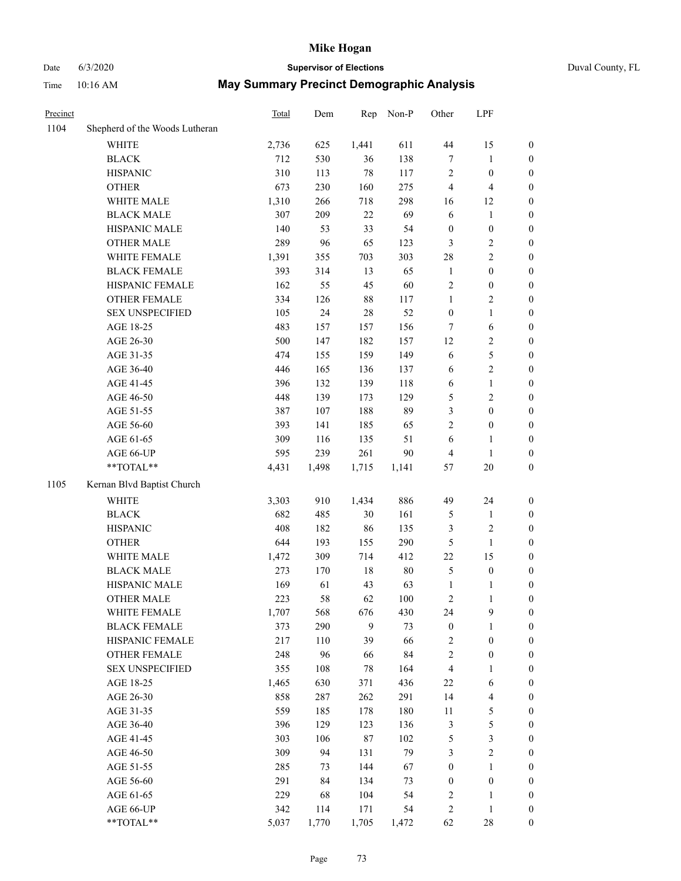### Date 6/3/2020 **Supervisor of Elections** Duval County, FL Time 10:16 AM **May Summary Precinct Demographic Analysis**

| Precinct |                                | <b>Total</b> | Dem   | Rep    | Non-P  | Other            | LPF                     |                  |
|----------|--------------------------------|--------------|-------|--------|--------|------------------|-------------------------|------------------|
| 1104     | Shepherd of the Woods Lutheran |              |       |        |        |                  |                         |                  |
|          | WHITE                          | 2,736        | 625   | 1,441  | 611    | 44               | 15                      | $\boldsymbol{0}$ |
|          | <b>BLACK</b>                   | 712          | 530   | 36     | 138    | $\tau$           | $\mathbf{1}$            | $\boldsymbol{0}$ |
|          | <b>HISPANIC</b>                | 310          | 113   | 78     | 117    | $\sqrt{2}$       | $\boldsymbol{0}$        | $\boldsymbol{0}$ |
|          | <b>OTHER</b>                   | 673          | 230   | 160    | 275    | $\overline{4}$   | 4                       | $\boldsymbol{0}$ |
|          | WHITE MALE                     | 1,310        | 266   | 718    | 298    | 16               | 12                      | $\boldsymbol{0}$ |
|          | <b>BLACK MALE</b>              | 307          | 209   | $22\,$ | 69     | 6                | $\mathbf{1}$            | $\boldsymbol{0}$ |
|          | HISPANIC MALE                  | 140          | 53    | 33     | 54     | $\boldsymbol{0}$ | $\boldsymbol{0}$        | $\boldsymbol{0}$ |
|          | <b>OTHER MALE</b>              | 289          | 96    | 65     | 123    | $\mathfrak{Z}$   | 2                       | $\boldsymbol{0}$ |
|          | WHITE FEMALE                   | 1,391        | 355   | 703    | 303    | 28               | $\mathbf{2}$            | $\boldsymbol{0}$ |
|          | <b>BLACK FEMALE</b>            | 393          | 314   | 13     | 65     | -1               | $\boldsymbol{0}$        | $\boldsymbol{0}$ |
|          | HISPANIC FEMALE                | 162          | 55    | 45     | 60     | $\sqrt{2}$       | $\boldsymbol{0}$        | $\boldsymbol{0}$ |
|          | <b>OTHER FEMALE</b>            | 334          | 126   | 88     | 117    | $\mathbf{1}$     | 2                       | $\boldsymbol{0}$ |
|          | <b>SEX UNSPECIFIED</b>         | 105          | 24    | 28     | 52     | $\boldsymbol{0}$ | 1                       | $\boldsymbol{0}$ |
|          | AGE 18-25                      | 483          | 157   | 157    | 156    | $\tau$           | 6                       | $\boldsymbol{0}$ |
|          | AGE 26-30                      | 500          | 147   | 182    | 157    | 12               | 2                       | $\boldsymbol{0}$ |
|          | AGE 31-35                      | 474          | 155   | 159    | 149    | 6                | 5                       | $\boldsymbol{0}$ |
|          | AGE 36-40                      | 446          | 165   | 136    | 137    | 6                | 2                       | $\boldsymbol{0}$ |
|          | AGE 41-45                      | 396          | 132   | 139    | 118    | 6                | 1                       | $\boldsymbol{0}$ |
|          | AGE 46-50                      | 448          | 139   | 173    | 129    | 5                | 2                       | $\boldsymbol{0}$ |
|          | AGE 51-55                      | 387          | 107   | 188    | 89     | 3                | $\boldsymbol{0}$        | $\boldsymbol{0}$ |
|          | AGE 56-60                      | 393          | 141   | 185    | 65     | $\sqrt{2}$       | $\boldsymbol{0}$        | $\boldsymbol{0}$ |
|          | AGE 61-65                      | 309          | 116   | 135    | 51     | 6                | 1                       | $\boldsymbol{0}$ |
|          | AGE 66-UP                      | 595          | 239   | 261    | 90     | $\overline{4}$   | 1                       | $\boldsymbol{0}$ |
|          | **TOTAL**                      | 4,431        | 1,498 | 1,715  | 1,141  | 57               | 20                      | $\boldsymbol{0}$ |
| 1105     | Kernan Blvd Baptist Church     |              |       |        |        |                  |                         |                  |
|          | <b>WHITE</b>                   | 3,303        | 910   | 1,434  | 886    | 49               | 24                      | $\boldsymbol{0}$ |
|          | <b>BLACK</b>                   | 682          | 485   | 30     | 161    | 5                | 1                       | $\boldsymbol{0}$ |
|          | <b>HISPANIC</b>                | 408          | 182   | 86     | 135    | 3                | $\overline{\mathbf{c}}$ | $\boldsymbol{0}$ |
|          | <b>OTHER</b>                   | 644          | 193   | 155    | 290    | 5                | $\mathbf{1}$            | $\boldsymbol{0}$ |
|          | WHITE MALE                     | 1,472        | 309   | 714    | 412    | 22               | 15                      | $\boldsymbol{0}$ |
|          | <b>BLACK MALE</b>              | 273          | 170   | 18     | $80\,$ | 5                | $\boldsymbol{0}$        | $\boldsymbol{0}$ |
|          | HISPANIC MALE                  | 169          | 61    | 43     | 63     | $\mathbf{1}$     | 1                       | $\boldsymbol{0}$ |
|          | <b>OTHER MALE</b>              | 223          | 58    | 62     | 100    | 2                |                         | $\boldsymbol{0}$ |
|          | WHITE FEMALE                   | 1,707        | 568   | 676    | 430    | 24               | 9                       | $\boldsymbol{0}$ |
|          | <b>BLACK FEMALE</b>            | 373          | 290   | 9      | 73     | $\boldsymbol{0}$ | 1                       | $\boldsymbol{0}$ |
|          | HISPANIC FEMALE                | 217          | 110   | 39     | 66     | $\sqrt{2}$       | $\boldsymbol{0}$        | $\boldsymbol{0}$ |
|          | <b>OTHER FEMALE</b>            | 248          | 96    | 66     | 84     | $\sqrt{2}$       | $\boldsymbol{0}$        | $\boldsymbol{0}$ |
|          | <b>SEX UNSPECIFIED</b>         | 355          | 108   | $78\,$ | 164    | $\overline{4}$   | 1                       | $\boldsymbol{0}$ |
|          | AGE 18-25                      | 1,465        | 630   | 371    | 436    | $22\,$           | 6                       | $\boldsymbol{0}$ |
|          | AGE 26-30                      | 858          | 287   | 262    | 291    | 14               | 4                       | $\boldsymbol{0}$ |
|          | AGE 31-35                      | 559          | 185   | 178    | 180    | $11\,$           | 5                       | $\boldsymbol{0}$ |
|          | AGE 36-40                      | 396          | 129   | 123    | 136    | $\mathfrak z$    | 5                       | $\boldsymbol{0}$ |
|          | AGE 41-45                      | 303          | 106   | $87\,$ | 102    | $\mathfrak{S}$   | 3                       | $\boldsymbol{0}$ |
|          | AGE 46-50                      | 309          | 94    | 131    | 79     | 3                | 2                       | $\boldsymbol{0}$ |
|          | AGE 51-55                      | 285          | 73    | 144    | 67     | $\boldsymbol{0}$ | 1                       | $\boldsymbol{0}$ |
|          | AGE 56-60                      | 291          | 84    | 134    | 73     | $\boldsymbol{0}$ | $\boldsymbol{0}$        | $\boldsymbol{0}$ |
|          | AGE 61-65                      | 229          | 68    | 104    | 54     | $\sqrt{2}$       | 1                       | $\boldsymbol{0}$ |
|          | AGE 66-UP                      | 342          | 114   | 171    | 54     | $\sqrt{2}$       | $\mathbf{1}$            | $\boldsymbol{0}$ |
|          | **TOTAL**                      | 5,037        | 1,770 | 1,705  | 1,472  | 62               | 28                      | $\boldsymbol{0}$ |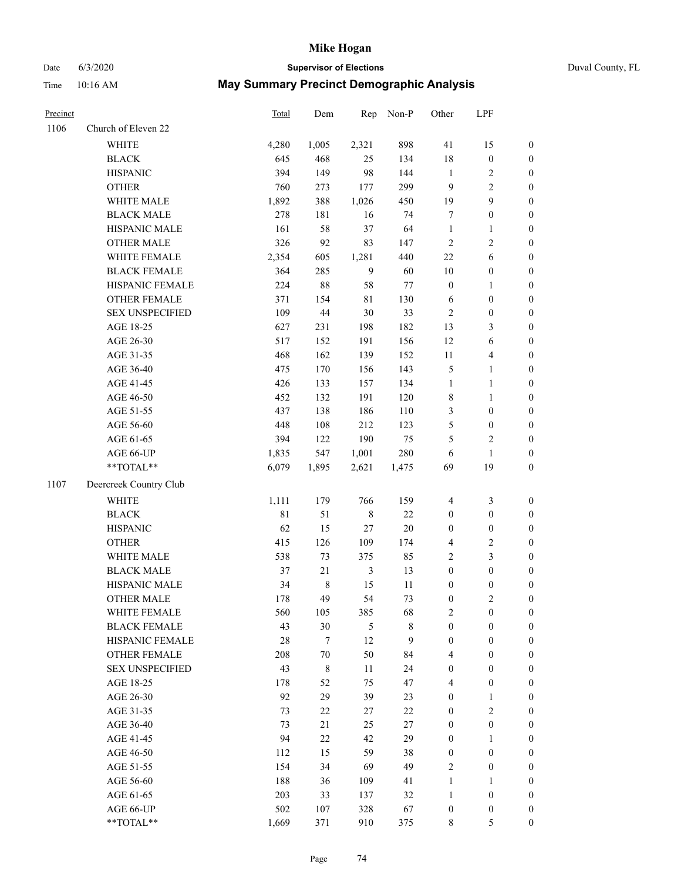# Date 6/3/2020 **Supervisor of Elections** Duval County, FL

| Precinct |                        | Total       | Dem         | Rep            | Non-P       | Other            | LPF              |                  |
|----------|------------------------|-------------|-------------|----------------|-------------|------------------|------------------|------------------|
| 1106     | Church of Eleven 22    |             |             |                |             |                  |                  |                  |
|          | <b>WHITE</b>           | 4,280       | 1,005       | 2,321          | 898         | 41               | 15               | 0                |
|          | <b>BLACK</b>           | 645         | 468         | 25             | 134         | 18               | $\boldsymbol{0}$ | $\boldsymbol{0}$ |
|          | <b>HISPANIC</b>        | 394         | 149         | 98             | 144         | $\mathbf{1}$     | $\overline{c}$   | $\boldsymbol{0}$ |
|          | <b>OTHER</b>           | 760         | 273         | 177            | 299         | 9                | $\sqrt{2}$       | $\boldsymbol{0}$ |
|          | WHITE MALE             | 1,892       | 388         | 1,026          | 450         | 19               | 9                | $\boldsymbol{0}$ |
|          | <b>BLACK MALE</b>      | 278         | 181         | 16             | 74          | 7                | $\boldsymbol{0}$ | $\boldsymbol{0}$ |
|          | HISPANIC MALE          | 161         | 58          | 37             | 64          | $\mathbf{1}$     | $\mathbf{1}$     | $\boldsymbol{0}$ |
|          | <b>OTHER MALE</b>      | 326         | 92          | 83             | 147         | $\overline{c}$   | $\mathbf{2}$     | $\boldsymbol{0}$ |
|          | WHITE FEMALE           | 2,354       | 605         | 1,281          | 440         | $22\,$           | 6                | $\boldsymbol{0}$ |
|          | <b>BLACK FEMALE</b>    | 364         | 285         | 9              | 60          | $10\,$           | $\boldsymbol{0}$ | 0                |
|          | HISPANIC FEMALE        | 224         | $88\,$      | 58             | $77 \,$     | $\boldsymbol{0}$ | $\mathbf{1}$     | 0                |
|          | OTHER FEMALE           | 371         | 154         | 81             | 130         | 6                | $\boldsymbol{0}$ | $\boldsymbol{0}$ |
|          | <b>SEX UNSPECIFIED</b> | 109         | $44\,$      | 30             | 33          | $\mathbf{2}$     | $\boldsymbol{0}$ | $\boldsymbol{0}$ |
|          | AGE 18-25              | 627         | 231         | 198            | 182         | 13               | $\mathfrak{Z}$   | $\boldsymbol{0}$ |
|          | AGE 26-30              | 517         | 152         | 191            | 156         | 12               | 6                | $\boldsymbol{0}$ |
|          | AGE 31-35              | 468         | 162         | 139            | 152         | $11\,$           | $\overline{4}$   | $\boldsymbol{0}$ |
|          | AGE 36-40              | 475         | 170         | 156            | 143         | 5                | $\mathbf{1}$     | $\boldsymbol{0}$ |
|          | AGE 41-45              | 426         | 133         | 157            | 134         | $\mathbf{1}$     | $\mathbf{1}$     | $\boldsymbol{0}$ |
|          | AGE 46-50              | 452         | 132         | 191            | 120         | 8                | $\mathbf{1}$     | $\boldsymbol{0}$ |
|          | AGE 51-55              | 437         | 138         | 186            | 110         | 3                | $\boldsymbol{0}$ | $\boldsymbol{0}$ |
|          | AGE 56-60              | 448         | 108         | 212            | 123         | 5                | $\boldsymbol{0}$ | 0                |
|          | AGE 61-65              | 394         | 122         | 190            | 75          | 5                | $\overline{c}$   | $\boldsymbol{0}$ |
|          | AGE 66-UP              | 1,835       | 547         | 1,001          | 280         | 6                | $\mathbf{1}$     | $\boldsymbol{0}$ |
|          | $**TOTAL**$            | 6,079       | 1,895       | 2,621          | 1,475       | 69               | 19               | $\boldsymbol{0}$ |
| 1107     | Deercreek Country Club |             |             |                |             |                  |                  |                  |
|          | <b>WHITE</b>           | 1,111       | 179         | 766            | 159         | 4                | $\mathfrak{Z}$   | $\boldsymbol{0}$ |
|          | <b>BLACK</b>           | $8\sqrt{1}$ | 51          | $8\,$          | $22\,$      | $\boldsymbol{0}$ | $\boldsymbol{0}$ | $\boldsymbol{0}$ |
|          | <b>HISPANIC</b>        | 62          | 15          | 27             | 20          | $\boldsymbol{0}$ | $\boldsymbol{0}$ | $\boldsymbol{0}$ |
|          | <b>OTHER</b>           | 415         | 126         | 109            | 174         | 4                | $\sqrt{2}$       | $\boldsymbol{0}$ |
|          | WHITE MALE             | 538         | 73          | 375            | 85          | $\overline{c}$   | 3                | $\boldsymbol{0}$ |
|          | <b>BLACK MALE</b>      | 37          | 21          | $\mathfrak{Z}$ | 13          | $\boldsymbol{0}$ | $\boldsymbol{0}$ | $\boldsymbol{0}$ |
|          | HISPANIC MALE          | 34          | $\,$ 8 $\,$ | 15             | $11\,$      | 0                | $\boldsymbol{0}$ | $\boldsymbol{0}$ |
|          | <b>OTHER MALE</b>      | 178         | 49          | 54             | 73          | $\boldsymbol{0}$ | $\mathfrak{2}$   | $\boldsymbol{0}$ |
|          | WHITE FEMALE           | 560         | 105         | 385            | 68          | 2                | 0                | 0                |
|          | <b>BLACK FEMALE</b>    | 43          | $30\,$      | $\mathfrak{S}$ | $\,$ 8 $\,$ | $\boldsymbol{0}$ | $\boldsymbol{0}$ | $\overline{0}$   |
|          | HISPANIC FEMALE        | $28\,$      | 7           | 12             | 9           | $\boldsymbol{0}$ | $\boldsymbol{0}$ | $\overline{0}$   |
|          | OTHER FEMALE           | 208         | $70\,$      | 50             | 84          | 4                | $\boldsymbol{0}$ | $\theta$         |
|          | <b>SEX UNSPECIFIED</b> | 43          | $\,$ 8 $\,$ | 11             | 24          | 0                | $\boldsymbol{0}$ | 0                |
|          | AGE 18-25              | 178         | 52          | 75             | 47          | 4                | $\boldsymbol{0}$ | 0                |
|          | AGE 26-30              | 92          | 29          | 39             | 23          | $\boldsymbol{0}$ | $\mathbf{1}$     | 0                |
|          | AGE 31-35              | 73          | $22\,$      | 27             | $22\,$      | $\boldsymbol{0}$ | $\sqrt{2}$       | 0                |
|          | AGE 36-40              | 73          | 21          | 25             | $27\,$      | 0                | $\boldsymbol{0}$ | 0                |
|          | AGE 41-45              | 94          | 22          | 42             | 29          | 0                | 1                | 0                |
|          | AGE 46-50              | 112         | 15          | 59             | 38          | 0                | $\boldsymbol{0}$ | 0                |
|          | AGE 51-55              | 154         | 34          | 69             | 49          | $\overline{c}$   | $\boldsymbol{0}$ | 0                |
|          | AGE 56-60              | 188         | 36          | 109            | 41          | 1                | 1                | 0                |
|          | AGE 61-65              | 203         | 33          | 137            | 32          | 1                | $\boldsymbol{0}$ | 0                |
|          | AGE 66-UP              | 502         | 107         | 328            | 67          | 0                | $\boldsymbol{0}$ | 0                |
|          | **TOTAL**              | 1,669       | 371         | 910            | 375         | 8                | $\mathfrak s$    | $\boldsymbol{0}$ |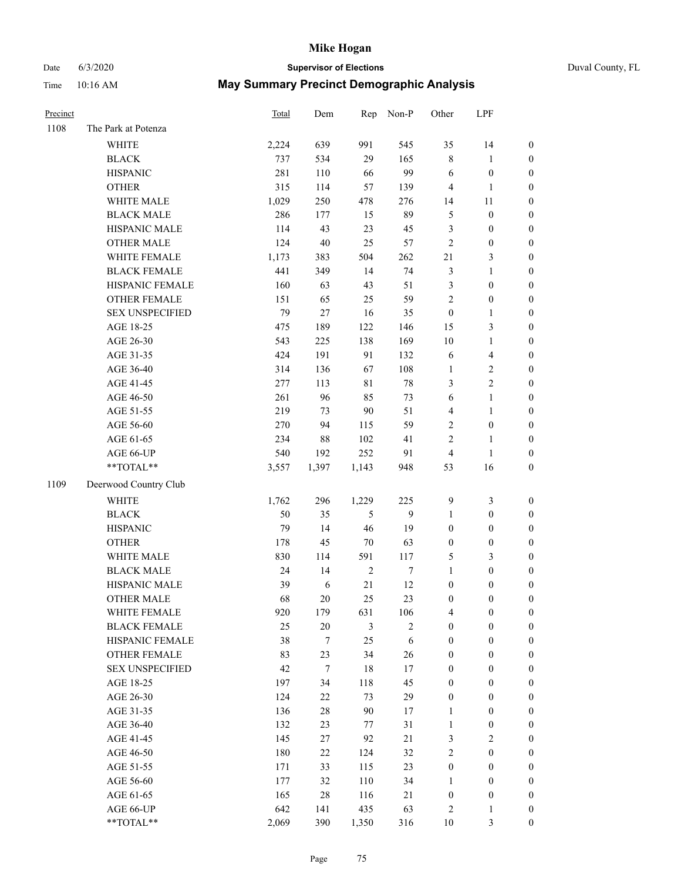## Date 6/3/2020 **Supervisor of Elections** Duval County, FL

| Precinct |                        | Total | Dem    | Rep            | Non-P      | Other                   | LPF                     |                  |
|----------|------------------------|-------|--------|----------------|------------|-------------------------|-------------------------|------------------|
| 1108     | The Park at Potenza    |       |        |                |            |                         |                         |                  |
|          | <b>WHITE</b>           | 2,224 | 639    | 991            | 545        | 35                      | 14                      | $\boldsymbol{0}$ |
|          | <b>BLACK</b>           | 737   | 534    | 29             | 165        | 8                       | $\mathbf{1}$            | $\boldsymbol{0}$ |
|          | <b>HISPANIC</b>        | 281   | 110    | 66             | 99         | 6                       | $\boldsymbol{0}$        | $\boldsymbol{0}$ |
|          | <b>OTHER</b>           | 315   | 114    | 57             | 139        | 4                       | $\mathbf{1}$            | $\boldsymbol{0}$ |
|          | WHITE MALE             | 1,029 | 250    | 478            | 276        | 14                      | 11                      | $\boldsymbol{0}$ |
|          | <b>BLACK MALE</b>      | 286   | 177    | 15             | 89         | 5                       | $\boldsymbol{0}$        | $\boldsymbol{0}$ |
|          | HISPANIC MALE          | 114   | 43     | 23             | 45         | 3                       | $\boldsymbol{0}$        | $\boldsymbol{0}$ |
|          | OTHER MALE             | 124   | $40\,$ | 25             | 57         | $\overline{c}$          | $\boldsymbol{0}$        | $\boldsymbol{0}$ |
|          | WHITE FEMALE           | 1,173 | 383    | 504            | 262        | 21                      | $\mathfrak{Z}$          | 0                |
|          | <b>BLACK FEMALE</b>    | 441   | 349    | 14             | 74         | 3                       | $\mathbf{1}$            | 0                |
|          | HISPANIC FEMALE        | 160   | 63     | 43             | 51         | 3                       | $\boldsymbol{0}$        | $\boldsymbol{0}$ |
|          | OTHER FEMALE           | 151   | 65     | 25             | 59         | $\mathbf{2}$            | $\boldsymbol{0}$        | $\boldsymbol{0}$ |
|          | <b>SEX UNSPECIFIED</b> | 79    | 27     | 16             | 35         | $\boldsymbol{0}$        | $\mathbf{1}$            | $\boldsymbol{0}$ |
|          | AGE 18-25              | 475   | 189    | 122            | 146        | 15                      | $\mathfrak{Z}$          | $\boldsymbol{0}$ |
|          | AGE 26-30              | 543   | 225    | 138            | 169        | $10\,$                  | $\mathbf{1}$            | $\boldsymbol{0}$ |
|          | AGE 31-35              | 424   | 191    | 91             | 132        | 6                       | $\overline{\mathbf{4}}$ | $\boldsymbol{0}$ |
|          | AGE 36-40              | 314   | 136    | 67             | 108        | $\mathbf{1}$            | $\sqrt{2}$              | $\boldsymbol{0}$ |
|          | AGE 41-45              | 277   | 113    | 81             | $78\,$     | 3                       | $\overline{c}$          | $\boldsymbol{0}$ |
|          | AGE 46-50              | 261   | 96     | 85             | 73         | 6                       | $\mathbf{1}$            | $\boldsymbol{0}$ |
|          | AGE 51-55              | 219   | 73     | 90             | 51         | $\overline{\mathbf{4}}$ | $\mathbf{1}$            | 0                |
|          | AGE 56-60              | 270   | 94     | 115            | 59         | $\sqrt{2}$              | $\boldsymbol{0}$        | $\boldsymbol{0}$ |
|          | AGE 61-65              | 234   | 88     | 102            | 41         | $\mathbf{2}$            | $\mathbf{1}$            | $\boldsymbol{0}$ |
|          | AGE 66-UP              | 540   | 192    | 252            | 91         | 4                       | $\mathbf{1}$            | $\boldsymbol{0}$ |
|          | **TOTAL**              | 3,557 | 1,397  | 1,143          | 948        | 53                      | 16                      | $\boldsymbol{0}$ |
| 1109     | Deerwood Country Club  |       |        |                |            |                         |                         |                  |
|          | <b>WHITE</b>           | 1,762 | 296    | 1,229          | 225        | $\overline{9}$          | $\mathfrak{Z}$          | $\boldsymbol{0}$ |
|          | <b>BLACK</b>           | 50    | 35     | 5              | 9          | $\mathbf{1}$            | $\boldsymbol{0}$        | $\boldsymbol{0}$ |
|          | <b>HISPANIC</b>        | 79    | 14     | 46             | 19         | $\boldsymbol{0}$        | $\boldsymbol{0}$        | $\boldsymbol{0}$ |
|          | <b>OTHER</b>           | 178   | 45     | $70\,$         | 63         | $\boldsymbol{0}$        | $\boldsymbol{0}$        | $\boldsymbol{0}$ |
|          | WHITE MALE             | 830   | 114    | 591            | 117        | 5                       | $\mathfrak{Z}$          | $\boldsymbol{0}$ |
|          | <b>BLACK MALE</b>      | 24    | 14     | $\sqrt{2}$     | $\tau$     | $\mathbf{1}$            | $\boldsymbol{0}$        | $\boldsymbol{0}$ |
|          | HISPANIC MALE          | 39    | 6      | 21             | 12         | $\boldsymbol{0}$        | $\boldsymbol{0}$        | 0                |
|          | OTHER MALE             | 68    | 20     | 25             | 23         | $\boldsymbol{0}$        | $\boldsymbol{0}$        | $\boldsymbol{0}$ |
|          | WHITE FEMALE           | 920   | 179    | 631            | 106        | 4                       | $\boldsymbol{0}$        | $\boldsymbol{0}$ |
|          | <b>BLACK FEMALE</b>    | 25    | $20\,$ | $\mathfrak{Z}$ | $\sqrt{2}$ | $\boldsymbol{0}$        | $\boldsymbol{0}$        | $\overline{0}$   |
|          | HISPANIC FEMALE        | 38    | 7      | 25             | $\sqrt{6}$ | $\boldsymbol{0}$        | $\boldsymbol{0}$        | $\overline{0}$   |
|          | <b>OTHER FEMALE</b>    | 83    | 23     | 34             | $26\,$     | $\boldsymbol{0}$        | $\boldsymbol{0}$        | $\overline{0}$   |
|          | <b>SEX UNSPECIFIED</b> | 42    | 7      | 18             | 17         | $\boldsymbol{0}$        | $\boldsymbol{0}$        | $\overline{0}$   |
|          | AGE 18-25              | 197   | 34     | 118            | 45         | $\boldsymbol{0}$        | $\boldsymbol{0}$        | 0                |
|          | AGE 26-30              | 124   | 22     | 73             | 29         | $\boldsymbol{0}$        | $\boldsymbol{0}$        | 0                |
|          | AGE 31-35              | 136   | $28\,$ | $90\,$         | 17         | $\mathbf{1}$            | $\boldsymbol{0}$        | 0                |
|          | AGE 36-40              | 132   | 23     | 77             | 31         | $\mathbf{1}$            | $\boldsymbol{0}$        | 0                |
|          | AGE 41-45              | 145   | 27     | 92             | 21         | 3                       | $\sqrt{2}$              | 0                |
|          | AGE 46-50              | 180   | 22     | 124            | 32         | 2                       | $\boldsymbol{0}$        | $\overline{0}$   |
|          | AGE 51-55              | 171   | 33     | 115            | 23         | $\boldsymbol{0}$        | $\boldsymbol{0}$        | $\boldsymbol{0}$ |
|          | AGE 56-60              | 177   | 32     | 110            | 34         | 1                       | $\boldsymbol{0}$        | $\overline{0}$   |
|          | AGE 61-65              | 165   | $28\,$ | 116            | 21         | $\boldsymbol{0}$        | $\boldsymbol{0}$        | 0                |
|          | AGE 66-UP              | 642   | 141    | 435            | 63         | 2                       | $\mathbf{1}$            | $\boldsymbol{0}$ |
|          | **TOTAL**              | 2,069 | 390    | 1,350          | 316        | $10\,$                  | 3                       | $\boldsymbol{0}$ |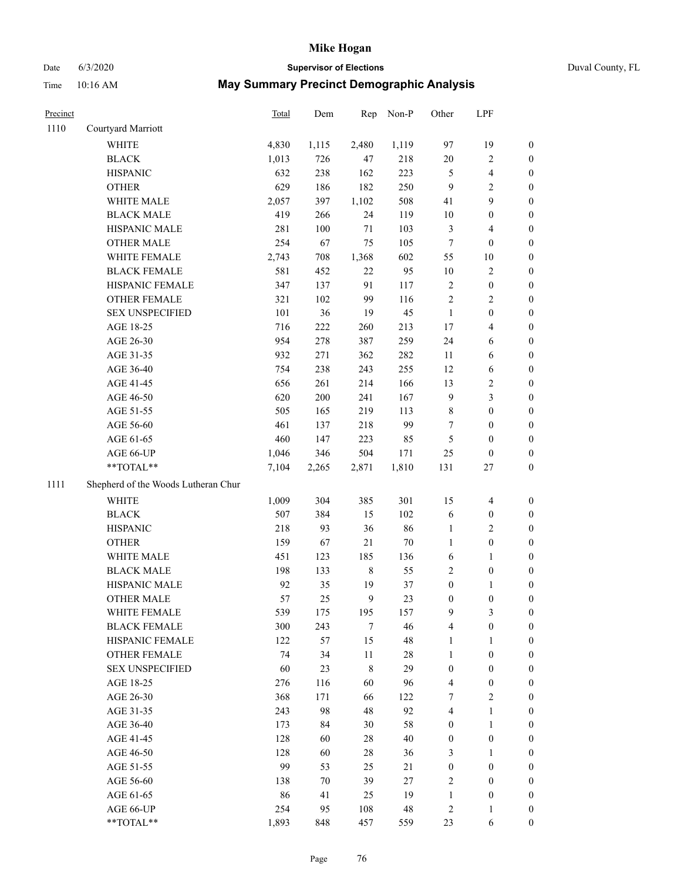# Date 6/3/2020 **Supervisor of Elections** Duval County, FL

| Precinct |                                     | Total | Dem    | Rep          | Non-P  | Other                   | LPF              |                  |
|----------|-------------------------------------|-------|--------|--------------|--------|-------------------------|------------------|------------------|
| 1110     | Courtyard Marriott                  |       |        |              |        |                         |                  |                  |
|          | WHITE                               | 4,830 | 1,115  | 2,480        | 1,119  | 97                      | 19               | 0                |
|          | <b>BLACK</b>                        | 1,013 | 726    | 47           | 218    | $20\,$                  | $\sqrt{2}$       | 0                |
|          | <b>HISPANIC</b>                     | 632   | 238    | 162          | 223    | 5                       | $\overline{4}$   | $\boldsymbol{0}$ |
|          | <b>OTHER</b>                        | 629   | 186    | 182          | 250    | 9                       | $\mathbf{2}$     | $\boldsymbol{0}$ |
|          | WHITE MALE                          | 2,057 | 397    | 1,102        | 508    | 41                      | 9                | $\boldsymbol{0}$ |
|          | <b>BLACK MALE</b>                   | 419   | 266    | 24           | 119    | 10                      | $\boldsymbol{0}$ | $\boldsymbol{0}$ |
|          | HISPANIC MALE                       | 281   | 100    | $71\,$       | 103    | 3                       | $\overline{4}$   | $\boldsymbol{0}$ |
|          | <b>OTHER MALE</b>                   | 254   | 67     | 75           | 105    | $\boldsymbol{7}$        | $\boldsymbol{0}$ | $\boldsymbol{0}$ |
|          | WHITE FEMALE                        | 2,743 | 708    | 1,368        | 602    | 55                      | $10\,$           | $\boldsymbol{0}$ |
|          | <b>BLACK FEMALE</b>                 | 581   | 452    | $22\,$       | 95     | 10                      | $\sqrt{2}$       | 0                |
|          | HISPANIC FEMALE                     | 347   | 137    | 91           | 117    | $\mathbf{2}$            | $\boldsymbol{0}$ | 0                |
|          | OTHER FEMALE                        | 321   | 102    | 99           | 116    | $\overline{c}$          | $\sqrt{2}$       | $\boldsymbol{0}$ |
|          | <b>SEX UNSPECIFIED</b>              | 101   | 36     | 19           | 45     | $\mathbf{1}$            | $\boldsymbol{0}$ | $\boldsymbol{0}$ |
|          | AGE 18-25                           | 716   | 222    | 260          | 213    | 17                      | $\overline{4}$   | $\boldsymbol{0}$ |
|          | AGE 26-30                           | 954   | 278    | 387          | 259    | 24                      | 6                | $\boldsymbol{0}$ |
|          | AGE 31-35                           | 932   | 271    | 362          | 282    | $11\,$                  | 6                | $\boldsymbol{0}$ |
|          | AGE 36-40                           | 754   | 238    | 243          | 255    | 12                      | 6                | $\boldsymbol{0}$ |
|          | AGE 41-45                           | 656   | 261    | 214          | 166    | 13                      | $\sqrt{2}$       | $\boldsymbol{0}$ |
|          | AGE 46-50                           | 620   | 200    | 241          | 167    | $\boldsymbol{9}$        | $\mathfrak{Z}$   | $\boldsymbol{0}$ |
|          | AGE 51-55                           | 505   | 165    | 219          | 113    | 8                       | $\boldsymbol{0}$ | $\boldsymbol{0}$ |
|          | AGE 56-60                           | 461   | 137    | 218          | 99     | 7                       | $\boldsymbol{0}$ | 0                |
|          | AGE 61-65                           | 460   | 147    | 223          | 85     | 5                       | $\boldsymbol{0}$ | $\boldsymbol{0}$ |
|          | AGE 66-UP                           | 1,046 | 346    | 504          | 171    | $25\,$                  | $\boldsymbol{0}$ | $\boldsymbol{0}$ |
|          | $**TOTAL**$                         | 7,104 | 2,265  | 2,871        | 1,810  | 131                     | $27\,$           | $\boldsymbol{0}$ |
| 1111     | Shepherd of the Woods Lutheran Chur |       |        |              |        |                         |                  |                  |
|          | <b>WHITE</b>                        | 1,009 | 304    | 385          | 301    | 15                      | $\overline{4}$   | $\boldsymbol{0}$ |
|          | <b>BLACK</b>                        | 507   | 384    | 15           | 102    | 6                       | $\boldsymbol{0}$ | $\boldsymbol{0}$ |
|          | <b>HISPANIC</b>                     | 218   | 93     | 36           | 86     | 1                       | $\mathfrak{2}$   | $\boldsymbol{0}$ |
|          | <b>OTHER</b>                        | 159   | 67     | 21           | 70     | $\mathbf{1}$            | $\boldsymbol{0}$ | $\boldsymbol{0}$ |
|          | WHITE MALE                          | 451   | 123    | 185          | 136    | 6                       | $\mathbf{1}$     | $\boldsymbol{0}$ |
|          | <b>BLACK MALE</b>                   | 198   | 133    | $\,$ 8 $\,$  | 55     | $\overline{c}$          | $\boldsymbol{0}$ | $\boldsymbol{0}$ |
|          | HISPANIC MALE                       | 92    | 35     | 19           | 37     | $\boldsymbol{0}$        | 1                | 0                |
|          | <b>OTHER MALE</b>                   | 57    | 25     | $\mathbf{9}$ | 23     | $\boldsymbol{0}$        | $\boldsymbol{0}$ | $\boldsymbol{0}$ |
|          | WHITE FEMALE                        | 539   | 175    | 195          | 157    | 9                       | 3                | 0                |
|          | <b>BLACK FEMALE</b>                 | 300   | 243    | 7            | 46     | 4                       | $\boldsymbol{0}$ | $\overline{0}$   |
|          | HISPANIC FEMALE                     | 122   | 57     | 15           | 48     | 1                       | $\mathbf{1}$     | $\overline{0}$   |
|          | OTHER FEMALE                        | 74    | 34     | $11\,$       | 28     | 1                       | $\boldsymbol{0}$ | 0                |
|          | <b>SEX UNSPECIFIED</b>              | 60    | 23     | 8            | 29     | $\boldsymbol{0}$        | $\boldsymbol{0}$ | 0                |
|          | AGE 18-25                           | 276   | 116    | 60           | 96     | 4                       | $\boldsymbol{0}$ | 0                |
|          | AGE 26-30                           | 368   | 171    | 66           | 122    | 7                       | $\mathbf{2}$     | 0                |
|          | AGE 31-35                           | 243   | 98     | 48           | 92     | 4                       | $\mathbf{1}$     | 0                |
|          | AGE 36-40                           | 173   | 84     | 30           | 58     | $\boldsymbol{0}$        | $\mathbf{1}$     | 0                |
|          | AGE 41-45                           | 128   | 60     | 28           | 40     | $\boldsymbol{0}$        | $\boldsymbol{0}$ | 0                |
|          | AGE 46-50                           | 128   | 60     | 28           | 36     | 3                       | 1                | 0                |
|          | AGE 51-55                           | 99    | 53     | 25           | 21     | $\boldsymbol{0}$        | $\boldsymbol{0}$ | 0                |
|          | AGE 56-60                           | 138   | $70\,$ | 39           | $27\,$ | 2                       | $\boldsymbol{0}$ | 0                |
|          | AGE 61-65                           | 86    | 41     | 25           | 19     | 1                       | $\boldsymbol{0}$ | 0                |
|          | AGE 66-UP                           | 254   | 95     | 108          | 48     | $\overline{\mathbf{c}}$ | $\mathbf{1}$     | 0                |
|          | **TOTAL**                           | 1,893 | 848    | 457          | 559    | 23                      | 6                | $\boldsymbol{0}$ |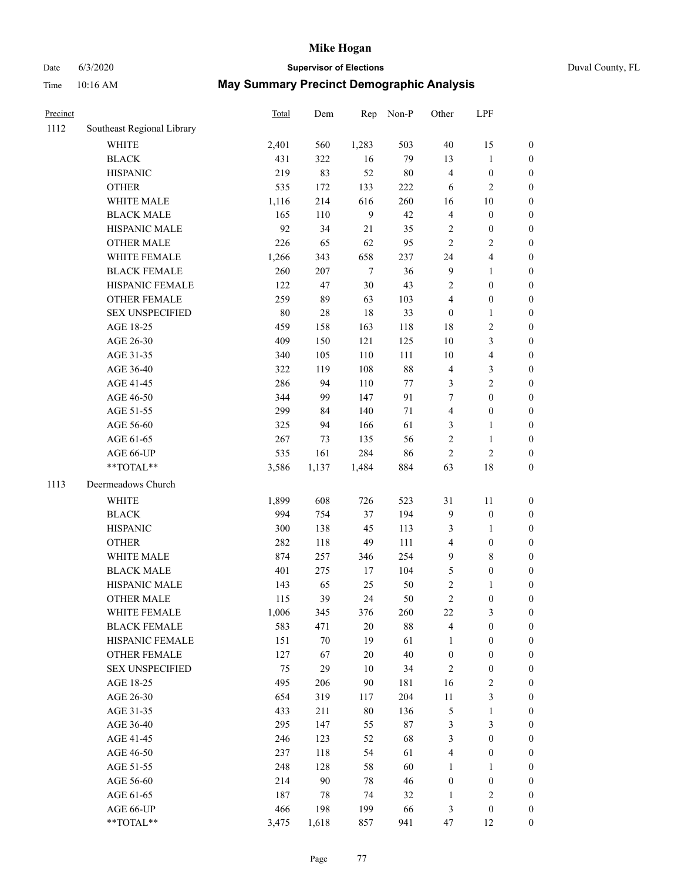## Date 6/3/2020 **Supervisor of Elections** Duval County, FL

| Precinct |                            | Total | Dem    | Rep    | Non-P  | Other            | LPF                     |                  |
|----------|----------------------------|-------|--------|--------|--------|------------------|-------------------------|------------------|
| 1112     | Southeast Regional Library |       |        |        |        |                  |                         |                  |
|          | <b>WHITE</b>               | 2,401 | 560    | 1,283  | 503    | $40\,$           | 15                      | $\boldsymbol{0}$ |
|          | <b>BLACK</b>               | 431   | 322    | 16     | 79     | 13               | $\mathbf{1}$            | $\boldsymbol{0}$ |
|          | <b>HISPANIC</b>            | 219   | 83     | 52     | $80\,$ | 4                | $\boldsymbol{0}$        | $\boldsymbol{0}$ |
|          | <b>OTHER</b>               | 535   | 172    | 133    | 222    | 6                | $\mathbf{2}$            | $\boldsymbol{0}$ |
|          | WHITE MALE                 | 1,116 | 214    | 616    | 260    | 16               | $10\,$                  | $\boldsymbol{0}$ |
|          | <b>BLACK MALE</b>          | 165   | 110    | 9      | 42     | 4                | $\boldsymbol{0}$        | $\boldsymbol{0}$ |
|          | HISPANIC MALE              | 92    | 34     | 21     | 35     | $\sqrt{2}$       | $\boldsymbol{0}$        | $\boldsymbol{0}$ |
|          | <b>OTHER MALE</b>          | 226   | 65     | 62     | 95     | $\overline{c}$   | $\sqrt{2}$              | $\boldsymbol{0}$ |
|          | WHITE FEMALE               | 1,266 | 343    | 658    | 237    | 24               | $\overline{4}$          | $\boldsymbol{0}$ |
|          | <b>BLACK FEMALE</b>        | 260   | 207    | $\tau$ | 36     | 9                | $\mathbf{1}$            | 0                |
|          | HISPANIC FEMALE            | 122   | 47     | 30     | 43     | 2                | $\boldsymbol{0}$        | $\boldsymbol{0}$ |
|          | OTHER FEMALE               | 259   | 89     | 63     | 103    | 4                | $\boldsymbol{0}$        | $\boldsymbol{0}$ |
|          | <b>SEX UNSPECIFIED</b>     | 80    | $28\,$ | 18     | 33     | $\boldsymbol{0}$ | $\mathbf{1}$            | $\boldsymbol{0}$ |
|          | AGE 18-25                  | 459   | 158    | 163    | 118    | 18               | $\sqrt{2}$              | $\boldsymbol{0}$ |
|          | AGE 26-30                  | 409   | 150    | 121    | 125    | 10               | $\mathfrak{Z}$          | $\boldsymbol{0}$ |
|          | AGE 31-35                  | 340   | 105    | 110    | 111    | 10               | $\overline{\mathbf{4}}$ | $\boldsymbol{0}$ |
|          | AGE 36-40                  | 322   | 119    | 108    | $88\,$ | 4                | $\mathfrak{Z}$          | $\boldsymbol{0}$ |
|          | AGE 41-45                  | 286   | 94     | 110    | $77\,$ | 3                | $\sqrt{2}$              | $\boldsymbol{0}$ |
|          | AGE 46-50                  | 344   | 99     | 147    | 91     | 7                | $\boldsymbol{0}$        | $\boldsymbol{0}$ |
|          | AGE 51-55                  | 299   | 84     | 140    | 71     | $\overline{4}$   | $\boldsymbol{0}$        | 0                |
|          | AGE 56-60                  | 325   | 94     | 166    | 61     | 3                | $\mathbf{1}$            | $\boldsymbol{0}$ |
|          | AGE 61-65                  | 267   | 73     | 135    | 56     | $\sqrt{2}$       | $\mathbf{1}$            | $\boldsymbol{0}$ |
|          | AGE 66-UP                  | 535   | 161    | 284    | 86     | $\mathbf{2}$     | $\sqrt{2}$              | $\boldsymbol{0}$ |
|          | **TOTAL**                  | 3,586 | 1,137  | 1,484  | 884    | 63               | $18\,$                  | $\boldsymbol{0}$ |
| 1113     | Deermeadows Church         |       |        |        |        |                  |                         |                  |
|          | WHITE                      | 1,899 | 608    | 726    | 523    | $31\,$           | 11                      | $\boldsymbol{0}$ |
|          | <b>BLACK</b>               | 994   | 754    | 37     | 194    | 9                | $\boldsymbol{0}$        | $\boldsymbol{0}$ |
|          | <b>HISPANIC</b>            | 300   | 138    | 45     | 113    | 3                | $\mathbf{1}$            | $\boldsymbol{0}$ |
|          | <b>OTHER</b>               | 282   | 118    | 49     | 111    | 4                | $\boldsymbol{0}$        | $\boldsymbol{0}$ |
|          | WHITE MALE                 | 874   | 257    | 346    | 254    | $\mathbf{9}$     | $8\,$                   | $\boldsymbol{0}$ |
|          | <b>BLACK MALE</b>          | 401   | 275    | 17     | 104    | 5                | $\boldsymbol{0}$        | $\boldsymbol{0}$ |
|          | HISPANIC MALE              | 143   | 65     | 25     | 50     | 2                | 1                       | 0                |
|          | <b>OTHER MALE</b>          | 115   | 39     | 24     | 50     | $\overline{c}$   | $\boldsymbol{0}$        | $\boldsymbol{0}$ |
|          | WHITE FEMALE               | 1,006 | 345    | 376    | 260    | 22               | 3                       | $\overline{0}$   |
|          | <b>BLACK FEMALE</b>        | 583   | 471    | $20\,$ | $88\,$ | 4                | $\boldsymbol{0}$        | $\boldsymbol{0}$ |
|          | HISPANIC FEMALE            | 151   | $70\,$ | 19     | 61     | $\mathbf{1}$     | $\boldsymbol{0}$        | $\overline{0}$   |
|          | OTHER FEMALE               | 127   | 67     | 20     | $40\,$ | $\boldsymbol{0}$ | $\boldsymbol{0}$        | 0                |
|          | <b>SEX UNSPECIFIED</b>     | 75    | 29     | 10     | 34     | $\sqrt{2}$       | $\boldsymbol{0}$        | 0                |
|          | AGE 18-25                  | 495   | 206    | 90     | 181    | 16               | $\sqrt{2}$              | 0                |
|          | AGE 26-30                  | 654   | 319    | 117    | 204    | $11\,$           | $\mathfrak{Z}$          | 0                |
|          | AGE 31-35                  | 433   | 211    | $80\,$ | 136    | 5                | $\mathbf{1}$            | 0                |
|          | AGE 36-40                  | 295   | 147    | 55     | $87\,$ | 3                | $\mathfrak{Z}$          | 0                |
|          | AGE 41-45                  | 246   | 123    | 52     | 68     | 3                | $\boldsymbol{0}$        | 0                |
|          | AGE 46-50                  | 237   | 118    | 54     | 61     | 4                | $\boldsymbol{0}$        | 0                |
|          | AGE 51-55                  | 248   | 128    | 58     | 60     | 1                | 1                       | 0                |
|          | AGE 56-60                  | 214   | 90     | 78     | 46     | $\boldsymbol{0}$ | $\boldsymbol{0}$        | $\boldsymbol{0}$ |
|          | AGE 61-65                  | 187   | 78     | 74     | 32     | $\mathbf{1}$     | $\mathbf{2}$            | 0                |
|          | AGE 66-UP                  | 466   | 198    | 199    | 66     | 3                | $\boldsymbol{0}$        | 0                |
|          | **TOTAL**                  | 3,475 | 1,618  | 857    | 941    | 47               | 12                      | $\boldsymbol{0}$ |
|          |                            |       |        |        |        |                  |                         |                  |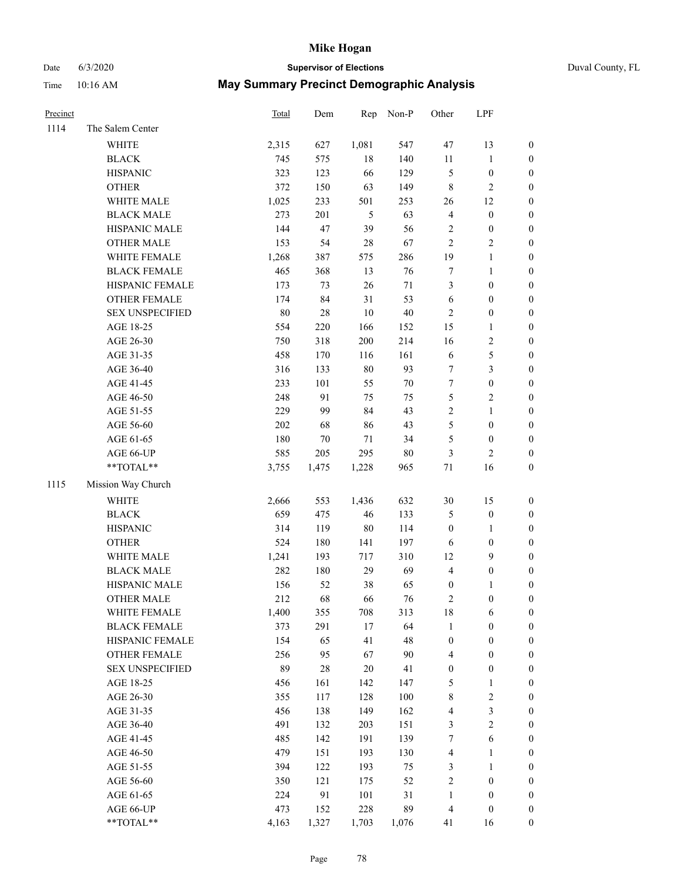# Date 6/3/2020 **Supervisor of Elections** Duval County, FL

| Precinct |                        | <b>Total</b> | Dem    |                | Rep Non-P | Other            | LPF              |                  |
|----------|------------------------|--------------|--------|----------------|-----------|------------------|------------------|------------------|
| 1114     | The Salem Center       |              |        |                |           |                  |                  |                  |
|          | WHITE                  | 2,315        | 627    | 1,081          | 547       | 47               | 13               | $\boldsymbol{0}$ |
|          | $\operatorname{BLACK}$ | 745          | 575    | $18\,$         | 140       | 11               | $\mathbf{1}$     | $\boldsymbol{0}$ |
|          | <b>HISPANIC</b>        | 323          | 123    | 66             | 129       | 5                | $\boldsymbol{0}$ | $\boldsymbol{0}$ |
|          | <b>OTHER</b>           | 372          | 150    | 63             | 149       | 8                | $\sqrt{2}$       | $\boldsymbol{0}$ |
|          | WHITE MALE             | 1,025        | 233    | 501            | 253       | 26               | 12               | $\boldsymbol{0}$ |
|          | <b>BLACK MALE</b>      | 273          | 201    | $\mathfrak{H}$ | 63        | 4                | $\boldsymbol{0}$ | $\boldsymbol{0}$ |
|          | HISPANIC MALE          | 144          | 47     | 39             | 56        | $\sqrt{2}$       | $\boldsymbol{0}$ | $\boldsymbol{0}$ |
|          | <b>OTHER MALE</b>      | 153          | 54     | 28             | 67        | $\overline{2}$   | $\sqrt{2}$       | $\boldsymbol{0}$ |
|          | WHITE FEMALE           | 1,268        | 387    | 575            | 286       | 19               | $\mathbf{1}$     | $\boldsymbol{0}$ |
|          | <b>BLACK FEMALE</b>    | 465          | 368    | 13             | 76        | $\boldsymbol{7}$ | $\mathbf{1}$     | 0                |
|          | HISPANIC FEMALE        | 173          | 73     | 26             | $71\,$    | 3                | $\boldsymbol{0}$ | $\boldsymbol{0}$ |
|          | OTHER FEMALE           | 174          | 84     | 31             | 53        | $\sqrt{6}$       | $\boldsymbol{0}$ | $\boldsymbol{0}$ |
|          | <b>SEX UNSPECIFIED</b> | 80           | $28\,$ | 10             | $40\,$    | $\sqrt{2}$       | $\boldsymbol{0}$ | $\boldsymbol{0}$ |
|          | AGE 18-25              | 554          | 220    | 166            | 152       | 15               | $\mathbf{1}$     | $\boldsymbol{0}$ |
|          | AGE 26-30              | 750          | 318    | 200            | 214       | 16               | $\sqrt{2}$       | $\boldsymbol{0}$ |
|          | AGE 31-35              | 458          | 170    | 116            | 161       | $\sqrt{6}$       | $\mathfrak s$    | $\boldsymbol{0}$ |
|          | AGE 36-40              | 316          | 133    | $80\,$         | 93        | 7                | $\mathfrak{Z}$   | $\boldsymbol{0}$ |
|          | AGE 41-45              | 233          | 101    | 55             | $70\,$    | 7                | $\boldsymbol{0}$ | $\boldsymbol{0}$ |
|          | AGE 46-50              | 248          | 91     | 75             | 75        | 5                | $\sqrt{2}$       | $\boldsymbol{0}$ |
|          | AGE 51-55              | 229          | 99     | 84             | 43        | $\overline{c}$   | $\mathbf{1}$     | 0                |
|          | AGE 56-60              | 202          | 68     | 86             | 43        | 5                | $\boldsymbol{0}$ | 0                |
|          | AGE 61-65              | 180          | 70     | 71             | 34        | 5                | $\boldsymbol{0}$ | $\boldsymbol{0}$ |
|          | AGE 66-UP              | 585          | 205    | 295            | $80\,$    | 3                | $\sqrt{2}$       | $\boldsymbol{0}$ |
|          | **TOTAL**              | 3,755        | 1,475  | 1,228          | 965       | $71\,$           | 16               | $\boldsymbol{0}$ |
| 1115     | Mission Way Church     |              |        |                |           |                  |                  |                  |
|          | WHITE                  | 2,666        | 553    | 1,436          | 632       | $30\,$           | 15               | $\boldsymbol{0}$ |
|          | <b>BLACK</b>           | 659          | 475    | 46             | 133       | 5                | $\boldsymbol{0}$ | $\boldsymbol{0}$ |
|          | <b>HISPANIC</b>        | 314          | 119    | $80\,$         | 114       | $\boldsymbol{0}$ | $\mathbf{1}$     | $\boldsymbol{0}$ |
|          | <b>OTHER</b>           | 524          | 180    | 141            | 197       | $\sqrt{6}$       | $\boldsymbol{0}$ | $\boldsymbol{0}$ |
|          | WHITE MALE             | 1,241        | 193    | 717            | 310       | 12               | $\mathbf{9}$     | $\boldsymbol{0}$ |
|          | <b>BLACK MALE</b>      | 282          | 180    | 29             | 69        | $\overline{4}$   | $\boldsymbol{0}$ | $\boldsymbol{0}$ |
|          | HISPANIC MALE          | 156          | 52     | 38             | 65        | $\boldsymbol{0}$ | 1                | 0                |
|          | <b>OTHER MALE</b>      | 212          | 68     | 66             | 76        | $\sqrt{2}$       | $\boldsymbol{0}$ | $\boldsymbol{0}$ |
|          | WHITE FEMALE           | 1,400        | 355    | 708            | 313       | 18               | 6                | $\boldsymbol{0}$ |
|          | <b>BLACK FEMALE</b>    | 373          | 291    | $17$           | 64        | $\mathbf{1}$     | $\boldsymbol{0}$ | $\boldsymbol{0}$ |
|          | HISPANIC FEMALE        | 154          | 65     | 41             | 48        | $\boldsymbol{0}$ | $\boldsymbol{0}$ | $\overline{0}$   |
|          | OTHER FEMALE           | 256          | 95     | 67             | $90\,$    | 4                | $\boldsymbol{0}$ | 0                |
|          | <b>SEX UNSPECIFIED</b> | 89           | $28\,$ | 20             | 41        | $\boldsymbol{0}$ | $\boldsymbol{0}$ | 0                |
|          | AGE 18-25              | 456          | 161    | 142            | 147       | 5                | $\mathbf{1}$     | 0                |
|          | AGE 26-30              | 355          | 117    | 128            | $100\,$   | 8                | $\sqrt{2}$       | 0                |
|          | AGE 31-35              | 456          | 138    | 149            | 162       | 4                | $\mathfrak{Z}$   | 0                |
|          | AGE 36-40              | 491          | 132    | 203            | 151       | 3                | $\sqrt{2}$       | 0                |
|          | AGE 41-45              | 485          | 142    | 191            | 139       | $\boldsymbol{7}$ | $\sqrt{6}$       | 0                |
|          | AGE 46-50              | 479          | 151    | 193            | 130       | 4                | $\mathbf{1}$     | 0                |
|          | AGE 51-55              | 394          | 122    | 193            | 75        | 3                | $\mathbf{1}$     | $\boldsymbol{0}$ |
|          | AGE 56-60              | 350          | 121    | 175            | 52        | 2                | $\boldsymbol{0}$ | $\boldsymbol{0}$ |
|          | AGE 61-65              | 224          | 91     | 101            | 31        | $\mathbf{1}$     | $\boldsymbol{0}$ | 0                |
|          | AGE 66-UP              | 473          | 152    | 228            | 89        | 4                | $\boldsymbol{0}$ | $\boldsymbol{0}$ |
|          | **TOTAL**              | 4,163        | 1,327  | 1,703          | 1,076     | 41               | 16               | $\boldsymbol{0}$ |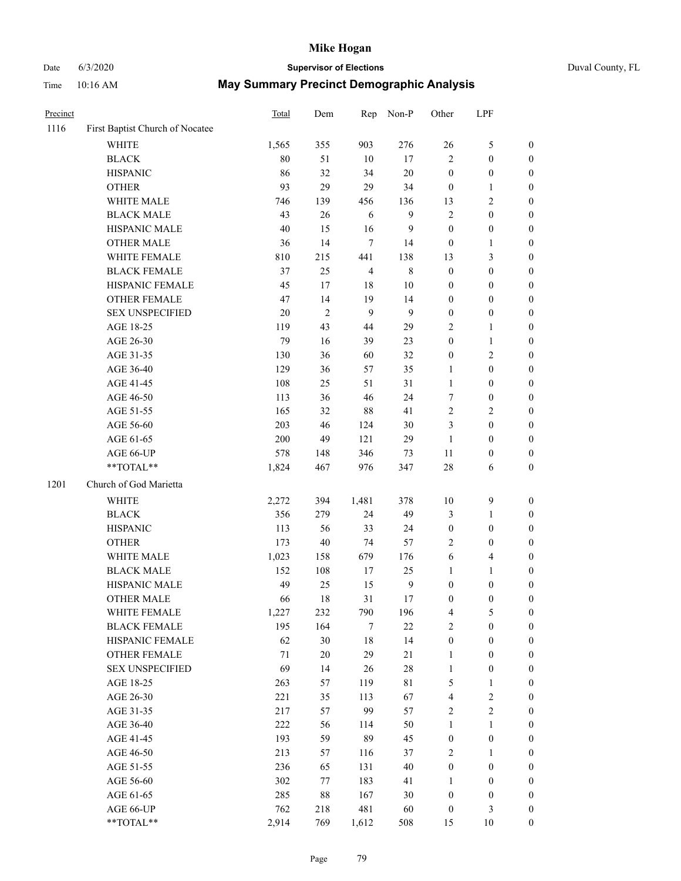# Date 6/3/2020 **Supervisor of Elections** Duval County, FL

| Precinct |                                 | <b>Total</b> | Dem            | Rep            | Non-P            | Other            | LPF              |                  |
|----------|---------------------------------|--------------|----------------|----------------|------------------|------------------|------------------|------------------|
| 1116     | First Baptist Church of Nocatee |              |                |                |                  |                  |                  |                  |
|          | <b>WHITE</b>                    | 1,565        | 355            | 903            | 276              | 26               | $\mathfrak s$    | 0                |
|          | <b>BLACK</b>                    | 80           | 51             | 10             | 17               | $\overline{c}$   | $\boldsymbol{0}$ | 0                |
|          | <b>HISPANIC</b>                 | 86           | 32             | 34             | $20\,$           | $\boldsymbol{0}$ | $\boldsymbol{0}$ | $\boldsymbol{0}$ |
|          | <b>OTHER</b>                    | 93           | 29             | 29             | 34               | $\boldsymbol{0}$ | 1                | $\boldsymbol{0}$ |
|          | WHITE MALE                      | 746          | 139            | 456            | 136              | 13               | $\sqrt{2}$       | $\boldsymbol{0}$ |
|          | <b>BLACK MALE</b>               | 43           | 26             | 6              | $\mathbf{9}$     | $\overline{c}$   | $\boldsymbol{0}$ | $\boldsymbol{0}$ |
|          | HISPANIC MALE                   | 40           | 15             | 16             | $\overline{9}$   | $\boldsymbol{0}$ | $\boldsymbol{0}$ | $\boldsymbol{0}$ |
|          | <b>OTHER MALE</b>               | 36           | 14             | $\tau$         | 14               | $\boldsymbol{0}$ | $\mathbf{1}$     | $\boldsymbol{0}$ |
|          | WHITE FEMALE                    | 810          | 215            | 441            | 138              | 13               | 3                | $\boldsymbol{0}$ |
|          | <b>BLACK FEMALE</b>             | 37           | 25             | $\overline{4}$ | $\,$ 8 $\,$      | $\boldsymbol{0}$ | $\boldsymbol{0}$ | $\boldsymbol{0}$ |
|          | HISPANIC FEMALE                 | 45           | 17             | $18\,$         | $10\,$           | $\boldsymbol{0}$ | $\boldsymbol{0}$ | $\boldsymbol{0}$ |
|          | OTHER FEMALE                    | 47           | 14             | 19             | 14               | $\boldsymbol{0}$ | $\boldsymbol{0}$ | $\boldsymbol{0}$ |
|          | <b>SEX UNSPECIFIED</b>          | 20           | $\overline{2}$ | 9              | 9                | $\boldsymbol{0}$ | $\boldsymbol{0}$ | $\boldsymbol{0}$ |
|          | AGE 18-25                       | 119          | 43             | 44             | 29               | $\mathbf{2}$     | $\mathbf{1}$     | $\boldsymbol{0}$ |
|          | AGE 26-30                       | 79           | 16             | 39             | 23               | $\boldsymbol{0}$ | $\mathbf{1}$     | $\boldsymbol{0}$ |
|          | AGE 31-35                       | 130          | 36             | 60             | 32               | $\boldsymbol{0}$ | $\sqrt{2}$       | $\boldsymbol{0}$ |
|          | AGE 36-40                       | 129          | 36             | 57             | 35               | 1                | $\boldsymbol{0}$ | $\boldsymbol{0}$ |
|          | AGE 41-45                       | 108          | 25             | 51             | 31               | $\mathbf{1}$     | $\boldsymbol{0}$ | $\boldsymbol{0}$ |
|          | AGE 46-50                       | 113          | 36             | 46             | 24               | 7                | $\boldsymbol{0}$ | $\boldsymbol{0}$ |
|          | AGE 51-55                       | 165          | 32             | 88             | 41               | $\mathbf{2}$     | $\sqrt{2}$       | $\boldsymbol{0}$ |
|          | AGE 56-60                       | 203          | 46             | 124            | 30               | 3                | $\boldsymbol{0}$ | $\boldsymbol{0}$ |
|          | AGE 61-65                       | 200          | 49             | 121            | 29               | $\mathbf{1}$     | $\boldsymbol{0}$ | $\boldsymbol{0}$ |
|          | AGE 66-UP                       | 578          | 148            | 346            | 73               | $11\,$           | $\boldsymbol{0}$ | $\boldsymbol{0}$ |
|          | $**TOTAL**$                     | 1,824        | 467            | 976            | 347              | 28               | 6                | $\boldsymbol{0}$ |
| 1201     | Church of God Marietta          |              |                |                |                  |                  |                  |                  |
|          | <b>WHITE</b>                    | 2,272        | 394            | 1,481          | 378              | $10\,$           | $\boldsymbol{9}$ | $\boldsymbol{0}$ |
|          | <b>BLACK</b>                    | 356          | 279            | 24             | 49               | 3                | $\mathbf{1}$     | $\boldsymbol{0}$ |
|          | <b>HISPANIC</b>                 | 113          | 56             | 33             | 24               | $\boldsymbol{0}$ | $\boldsymbol{0}$ | $\boldsymbol{0}$ |
|          | <b>OTHER</b>                    | 173          | 40             | 74             | 57               | $\overline{c}$   | $\boldsymbol{0}$ | $\boldsymbol{0}$ |
|          | WHITE MALE                      | 1,023        | 158            | 679            | 176              | 6                | $\overline{4}$   | $\boldsymbol{0}$ |
|          | <b>BLACK MALE</b>               | 152          | 108            | 17             | 25               | $\mathbf{1}$     | $\mathbf{1}$     | $\boldsymbol{0}$ |
|          | HISPANIC MALE                   | 49           | 25             | 15             | $\boldsymbol{9}$ | 0                | $\boldsymbol{0}$ | 0                |
|          | <b>OTHER MALE</b>               | 66           | 18             | 31             | 17               | $\boldsymbol{0}$ | $\boldsymbol{0}$ | $\boldsymbol{0}$ |
|          | WHITE FEMALE                    | 1,227        | 232            | 790            | 196              | 4                | 5                | 0                |
|          | <b>BLACK FEMALE</b>             | 195          | 164            | 7              | $22\,$           | $\overline{c}$   | $\boldsymbol{0}$ | 0                |
|          | HISPANIC FEMALE                 | 62           | 30             | 18             | 14               | $\boldsymbol{0}$ | $\boldsymbol{0}$ | $\overline{0}$   |
|          | OTHER FEMALE                    | 71           | $20\,$         | 29             | $21\,$           | 1                | $\boldsymbol{0}$ | 0                |
|          | <b>SEX UNSPECIFIED</b>          | 69           | 14             | 26             | 28               | $\mathbf{1}$     | $\boldsymbol{0}$ | 0                |
|          | AGE 18-25                       | 263          | 57             | 119            | $8\sqrt{1}$      | 5                | $\mathbf{1}$     | 0                |
|          | AGE 26-30                       | 221          | 35             | 113            | 67               | 4                | $\sqrt{2}$       | 0                |
|          | AGE 31-35                       | 217          | 57             | 99             | 57               | $\mathbf{2}$     | $\sqrt{2}$       | 0                |
|          | AGE 36-40                       | 222          | 56             | 114            | 50               | 1                | $\mathbf{1}$     | 0                |
|          | AGE 41-45                       | 193          | 59             | 89             | 45               | $\boldsymbol{0}$ | $\boldsymbol{0}$ | 0                |
|          | AGE 46-50                       | 213          | 57             | 116            | 37               | $\overline{c}$   | 1                | 0                |
|          | AGE 51-55                       | 236          | 65             | 131            | $40\,$           | $\boldsymbol{0}$ | $\boldsymbol{0}$ | 0                |
|          | AGE 56-60                       | 302          | 77             | 183            | 41               | 1                | $\boldsymbol{0}$ | 0                |
|          | AGE 61-65                       | 285          | 88             | 167            | 30               | 0                | $\boldsymbol{0}$ | 0                |
|          | AGE 66-UP                       | 762          | 218            | 481            | 60               | $\boldsymbol{0}$ | 3                | 0                |
|          | **TOTAL**                       | 2,914        | 769            | 1,612          | 508              | 15               | 10               | $\boldsymbol{0}$ |
|          |                                 |              |                |                |                  |                  |                  |                  |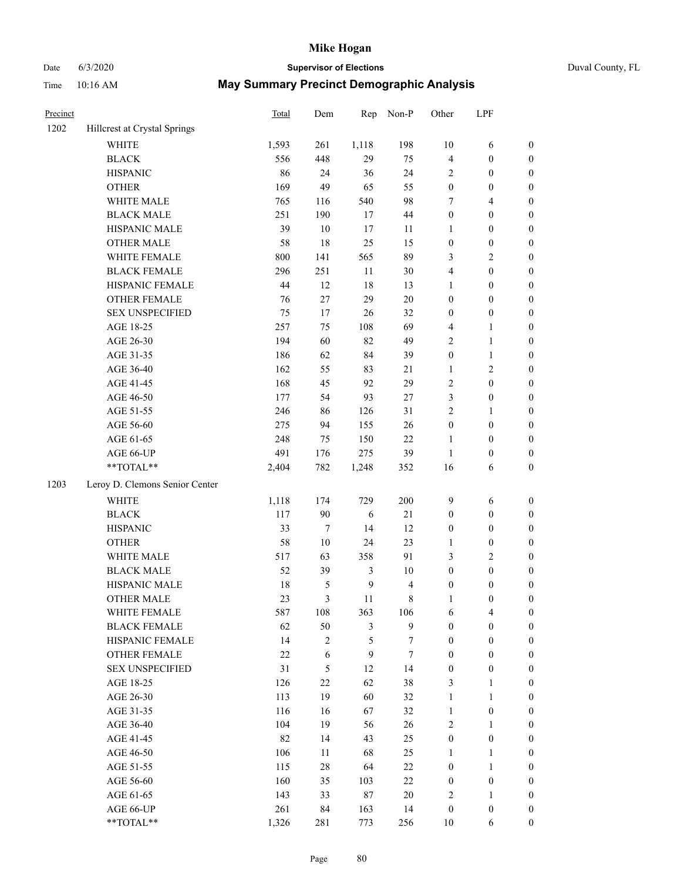# Date 6/3/2020 **Supervisor of Elections** Duval County, FL

| Precinct |                                | <b>Total</b> | Dem              | Rep              | Non-P          | Other            | LPF              |                  |
|----------|--------------------------------|--------------|------------------|------------------|----------------|------------------|------------------|------------------|
| 1202     | Hillcrest at Crystal Springs   |              |                  |                  |                |                  |                  |                  |
|          | <b>WHITE</b>                   | 1,593        | 261              | 1,118            | 198            | $10\,$           | 6                | 0                |
|          | <b>BLACK</b>                   | 556          | 448              | 29               | 75             | 4                | $\boldsymbol{0}$ | $\boldsymbol{0}$ |
|          | <b>HISPANIC</b>                | 86           | 24               | 36               | 24             | $\overline{c}$   | $\boldsymbol{0}$ | $\boldsymbol{0}$ |
|          | <b>OTHER</b>                   | 169          | 49               | 65               | 55             | $\boldsymbol{0}$ | $\boldsymbol{0}$ | $\boldsymbol{0}$ |
|          | WHITE MALE                     | 765          | 116              | 540              | 98             | 7                | $\overline{4}$   | $\boldsymbol{0}$ |
|          | <b>BLACK MALE</b>              | 251          | 190              | 17               | 44             | $\boldsymbol{0}$ | $\boldsymbol{0}$ | $\boldsymbol{0}$ |
|          | HISPANIC MALE                  | 39           | $10\,$           | 17               | 11             | 1                | $\boldsymbol{0}$ | $\boldsymbol{0}$ |
|          | <b>OTHER MALE</b>              | 58           | 18               | 25               | 15             | $\boldsymbol{0}$ | $\boldsymbol{0}$ | $\boldsymbol{0}$ |
|          | WHITE FEMALE                   | $800\,$      | 141              | 565              | 89             | 3                | $\sqrt{2}$       | $\boldsymbol{0}$ |
|          | <b>BLACK FEMALE</b>            | 296          | 251              | $11\,$           | $30\,$         | 4                | $\boldsymbol{0}$ | $\boldsymbol{0}$ |
|          | HISPANIC FEMALE                | 44           | 12               | $18\,$           | 13             | $\mathbf{1}$     | $\boldsymbol{0}$ | $\boldsymbol{0}$ |
|          | <b>OTHER FEMALE</b>            | 76           | 27               | 29               | $20\,$         | $\boldsymbol{0}$ | $\boldsymbol{0}$ | $\boldsymbol{0}$ |
|          | <b>SEX UNSPECIFIED</b>         | 75           | 17               | 26               | 32             | $\boldsymbol{0}$ | $\boldsymbol{0}$ | $\boldsymbol{0}$ |
|          | AGE 18-25                      | 257          | 75               | 108              | 69             | 4                | $\mathbf{1}$     | $\boldsymbol{0}$ |
|          | AGE 26-30                      | 194          | 60               | 82               | 49             | 2                | $\mathbf{1}$     | $\boldsymbol{0}$ |
|          | AGE 31-35                      | 186          | 62               | 84               | 39             | $\boldsymbol{0}$ | $\mathbf{1}$     | $\boldsymbol{0}$ |
|          | AGE 36-40                      | 162          | 55               | 83               | $21\,$         | 1                | $\sqrt{2}$       | $\boldsymbol{0}$ |
|          | AGE 41-45                      | 168          | 45               | 92               | 29             | $\mathbf{2}$     | $\boldsymbol{0}$ | $\boldsymbol{0}$ |
|          | AGE 46-50                      | 177          | 54               | 93               | $27\,$         | 3                | $\boldsymbol{0}$ | $\boldsymbol{0}$ |
|          | AGE 51-55                      | 246          | 86               | 126              | 31             | $\mathbf{2}$     | 1                | $\boldsymbol{0}$ |
|          | AGE 56-60                      | 275          | 94               | 155              | 26             | $\boldsymbol{0}$ | $\boldsymbol{0}$ | 0                |
|          | AGE 61-65                      | 248          | 75               | 150              | 22             | $\mathbf{1}$     | $\boldsymbol{0}$ | 0                |
|          | AGE 66-UP                      | 491          | 176              | 275              | 39             | $\mathbf{1}$     | $\boldsymbol{0}$ | $\boldsymbol{0}$ |
|          | $**TOTAL**$                    | 2,404        | 782              | 1,248            | 352            | 16               | 6                | $\boldsymbol{0}$ |
| 1203     | Leroy D. Clemons Senior Center |              |                  |                  |                |                  |                  |                  |
|          | <b>WHITE</b>                   | 1,118        | 174              | 729              | 200            | 9                | 6                | $\boldsymbol{0}$ |
|          | <b>BLACK</b>                   | 117          | 90               | $\sqrt{6}$       | $21\,$         | $\boldsymbol{0}$ | $\boldsymbol{0}$ | $\boldsymbol{0}$ |
|          | <b>HISPANIC</b>                | 33           | $\boldsymbol{7}$ | 14               | 12             | 0                | $\boldsymbol{0}$ | $\boldsymbol{0}$ |
|          | <b>OTHER</b>                   | 58           | $10\,$           | 24               | 23             | 1                | $\boldsymbol{0}$ | $\boldsymbol{0}$ |
|          | WHITE MALE                     | 517          | 63               | 358              | 91             | 3                | $\mathbf{2}$     | $\boldsymbol{0}$ |
|          | <b>BLACK MALE</b>              | 52           | 39               | $\mathfrak{Z}$   | $10\,$         | $\boldsymbol{0}$ | $\boldsymbol{0}$ | $\boldsymbol{0}$ |
|          | HISPANIC MALE                  | $18\,$       | $\sqrt{5}$       | $\boldsymbol{9}$ | $\overline{4}$ | 0                | $\boldsymbol{0}$ | $\boldsymbol{0}$ |
|          | <b>OTHER MALE</b>              | 23           | $\mathfrak{Z}$   | 11               | $\,$ 8 $\,$    | 1                | $\boldsymbol{0}$ | $\boldsymbol{0}$ |
|          | WHITE FEMALE                   | 587          | 108              | 363              | 106            | 6                | 4                | 0                |
|          | <b>BLACK FEMALE</b>            | 62           | 50               | 3                | 9              | 0                | $\boldsymbol{0}$ | $\overline{0}$   |
|          | HISPANIC FEMALE                | 14           | $\sqrt{2}$       | 5                | 7              | $\boldsymbol{0}$ | $\boldsymbol{0}$ | $\overline{0}$   |
|          | OTHER FEMALE                   | $22\,$       | 6                | 9                | 7              | $\boldsymbol{0}$ | $\boldsymbol{0}$ | $\theta$         |
|          | <b>SEX UNSPECIFIED</b>         | 31           | 5                | 12               | 14             | $\boldsymbol{0}$ | $\boldsymbol{0}$ | 0                |
|          | AGE 18-25                      | 126          | 22               | 62               | 38             | 3                | $\mathbf{1}$     | 0                |
|          | AGE 26-30                      | 113          | 19               | 60               | 32             | $\mathbf{1}$     | $\mathbf{1}$     | 0                |
|          | AGE 31-35                      | 116          | 16               | 67               | 32             | 1                | $\boldsymbol{0}$ | 0                |
|          | AGE 36-40                      | 104          | 19               | 56               | 26             | 2                | $\mathbf{1}$     | 0                |
|          | AGE 41-45                      | 82           | 14               | 43               | 25             | $\boldsymbol{0}$ | $\boldsymbol{0}$ | 0                |
|          | AGE 46-50                      | 106          | 11               | 68               | 25             | 1                | 1                | 0                |
|          | AGE 51-55                      | 115          | 28               | 64               | 22             | 0                | $\mathbf{1}$     | 0                |
|          | AGE 56-60                      | 160          | 35               | 103              | $22\,$         | 0                | $\boldsymbol{0}$ | 0                |
|          | AGE 61-65                      | 143          | 33               | 87               | 20             | 2                | $\mathbf{1}$     | 0                |
|          | AGE 66-UP                      | 261          | 84               | 163              | 14             | $\boldsymbol{0}$ | $\boldsymbol{0}$ | 0                |
|          | **TOTAL**                      | 1,326        | 281              | 773              | 256            | 10               | 6                | $\boldsymbol{0}$ |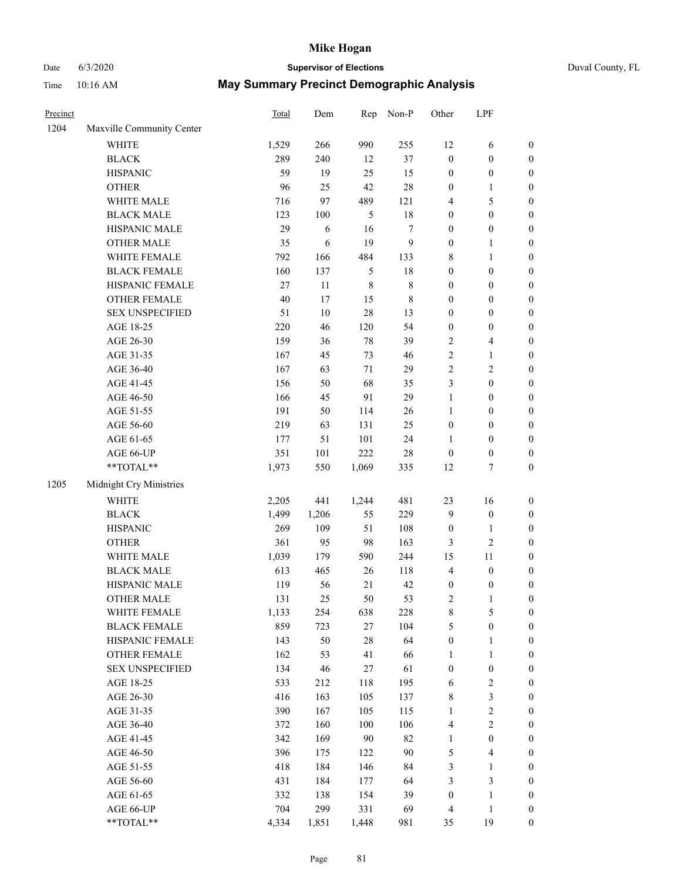# Date 6/3/2020 **Supervisor of Elections** Duval County, FL

| Precinct |                                                             | <b>Total</b> | Dem    | Rep         | Non-P            | Other            | LPF              |                  |
|----------|-------------------------------------------------------------|--------------|--------|-------------|------------------|------------------|------------------|------------------|
| 1204     | Maxville Community Center                                   |              |        |             |                  |                  |                  |                  |
|          | <b>WHITE</b>                                                | 1,529        | 266    | 990         | 255              | 12               | 6                | 0                |
|          | <b>BLACK</b>                                                | 289          | 240    | 12          | 37               | $\boldsymbol{0}$ | $\boldsymbol{0}$ | 0                |
|          | <b>HISPANIC</b>                                             | 59           | 19     | 25          | 15               | $\boldsymbol{0}$ | $\boldsymbol{0}$ | $\boldsymbol{0}$ |
|          | <b>OTHER</b>                                                | 96           | 25     | 42          | $28\,$           | 0                | 1                | $\boldsymbol{0}$ |
|          | WHITE MALE                                                  | 716          | 97     | 489         | 121              | 4                | 5                | $\boldsymbol{0}$ |
|          | <b>BLACK MALE</b>                                           | 123          | 100    | 5           | $18\,$           | $\boldsymbol{0}$ | $\boldsymbol{0}$ | $\boldsymbol{0}$ |
|          | HISPANIC MALE                                               | 29           | 6      | 16          | $\boldsymbol{7}$ | 0                | $\boldsymbol{0}$ | $\boldsymbol{0}$ |
|          | <b>OTHER MALE</b>                                           | 35           | 6      | 19          | $\mathbf{9}$     | $\boldsymbol{0}$ | $\mathbf{1}$     | $\boldsymbol{0}$ |
|          | WHITE FEMALE                                                | 792          | 166    | 484         | 133              | 8                | $\mathbf{1}$     | $\boldsymbol{0}$ |
|          | <b>BLACK FEMALE</b>                                         | 160          | 137    | 5           | 18               | $\boldsymbol{0}$ | $\boldsymbol{0}$ | $\boldsymbol{0}$ |
|          | HISPANIC FEMALE                                             | 27           | 11     | $\,$ 8 $\,$ | $\,$ 8 $\,$      | $\boldsymbol{0}$ | $\boldsymbol{0}$ | $\boldsymbol{0}$ |
|          | <b>OTHER FEMALE</b>                                         | $40\,$       | 17     | 15          | $\,$ 8 $\,$      | 0                | $\boldsymbol{0}$ | $\boldsymbol{0}$ |
|          | <b>SEX UNSPECIFIED</b>                                      | 51           | $10\,$ | 28          | 13               | $\boldsymbol{0}$ | $\boldsymbol{0}$ | $\boldsymbol{0}$ |
|          | AGE 18-25                                                   | 220          | 46     | 120         | 54               | $\boldsymbol{0}$ | $\boldsymbol{0}$ | $\boldsymbol{0}$ |
|          | AGE 26-30                                                   | 159          | 36     | $78\,$      | 39               | 2                | $\overline{4}$   | $\boldsymbol{0}$ |
|          | AGE 31-35                                                   | 167          | 45     | 73          | 46               | $\overline{c}$   | $\mathbf{1}$     | $\boldsymbol{0}$ |
|          | AGE 36-40                                                   | 167          | 63     | 71          | 29               | $\overline{c}$   | $\sqrt{2}$       | $\boldsymbol{0}$ |
|          | AGE 41-45                                                   | 156          | 50     | 68          | 35               | 3                | $\boldsymbol{0}$ | $\boldsymbol{0}$ |
|          | AGE 46-50                                                   | 166          | 45     | 91          | 29               | $\mathbf{1}$     | $\boldsymbol{0}$ | $\boldsymbol{0}$ |
|          | AGE 51-55                                                   | 191          | 50     | 114         | 26               | 1                | $\boldsymbol{0}$ | $\boldsymbol{0}$ |
|          | AGE 56-60                                                   | 219          | 63     | 131         | 25               | $\boldsymbol{0}$ | $\boldsymbol{0}$ | $\boldsymbol{0}$ |
|          | AGE 61-65                                                   | 177          | 51     | 101         | 24               | 1                | $\boldsymbol{0}$ | $\boldsymbol{0}$ |
|          | AGE 66-UP                                                   | 351          | 101    | 222         | $28\,$           | $\boldsymbol{0}$ | $\boldsymbol{0}$ | $\boldsymbol{0}$ |
|          | $\mathrm{*}\mathrm{*} \mathrm{TOTAL} \mathrm{*} \mathrm{*}$ | 1,973        | 550    | 1,069       | 335              | 12               | $\boldsymbol{7}$ | $\boldsymbol{0}$ |
| 1205     | Midnight Cry Ministries                                     |              |        |             |                  |                  |                  |                  |
|          | <b>WHITE</b>                                                | 2,205        | 441    | 1,244       | 481              | 23               | 16               | $\boldsymbol{0}$ |
|          | <b>BLACK</b>                                                | 1,499        | 1,206  | 55          | 229              | 9                | $\boldsymbol{0}$ | $\boldsymbol{0}$ |
|          | <b>HISPANIC</b>                                             | 269          | 109    | 51          | 108              | $\boldsymbol{0}$ | $\mathbf{1}$     | $\boldsymbol{0}$ |
|          | <b>OTHER</b>                                                | 361          | 95     | 98          | 163              | 3                | $\sqrt{2}$       | $\boldsymbol{0}$ |
|          | WHITE MALE                                                  | 1,039        | 179    | 590         | 244              | 15               | 11               | $\boldsymbol{0}$ |
|          | <b>BLACK MALE</b>                                           | 613          | 465    | 26          | 118              | 4                | $\boldsymbol{0}$ | $\boldsymbol{0}$ |
|          | HISPANIC MALE                                               | 119          | 56     | 21          | 42               | $\boldsymbol{0}$ | $\boldsymbol{0}$ | 0                |
|          | <b>OTHER MALE</b>                                           | 131          | 25     | 50          | 53               | 2                | $\mathbf{1}$     | $\boldsymbol{0}$ |
|          | WHITE FEMALE                                                | 1,133        | 254    | 638         | 228              | 8                | 5                | 0                |
|          | <b>BLACK FEMALE</b>                                         | 859          | 723    | 27          | 104              | 5                | $\boldsymbol{0}$ | $\boldsymbol{0}$ |
|          | HISPANIC FEMALE                                             | 143          | 50     | 28          | 64               | $\boldsymbol{0}$ | $\mathbf{1}$     | $\overline{0}$   |
|          | OTHER FEMALE                                                | 162          | 53     | 41          | 66               | 1                | $\mathbf{1}$     | $\overline{0}$   |
|          | <b>SEX UNSPECIFIED</b>                                      | 134          | 46     | 27          | 61               | $\boldsymbol{0}$ | $\boldsymbol{0}$ | 0                |
|          | AGE 18-25                                                   | 533          | 212    | 118         | 195              | 6                | $\sqrt{2}$       | 0                |
|          | AGE 26-30                                                   | 416          | 163    | 105         | 137              | 8                | 3                | 0                |
|          | AGE 31-35                                                   | 390          | 167    | 105         | 115              | 1                | $\sqrt{2}$       | 0                |
|          | AGE 36-40                                                   | 372          | 160    | 100         | 106              | 4                | $\sqrt{2}$       | 0                |
|          | AGE 41-45                                                   | 342          | 169    | 90          | 82               | 1                | $\boldsymbol{0}$ | 0                |
|          | AGE 46-50                                                   | 396          | 175    | 122         | 90               | 5                | $\overline{4}$   | 0                |
|          | AGE 51-55                                                   | 418          | 184    | 146         | 84               | 3                | $\mathbf{1}$     | $\boldsymbol{0}$ |
|          | AGE 56-60                                                   | 431          | 184    | 177         | 64               | 3                | $\mathfrak{Z}$   | $\overline{0}$   |
|          | AGE 61-65                                                   | 332          | 138    | 154         | 39               | $\boldsymbol{0}$ | $\mathbf{1}$     | $\overline{0}$   |
|          | AGE 66-UP                                                   | 704          | 299    | 331         | 69               | 4                | $\mathbf{1}$     | 0                |
|          | **TOTAL**                                                   | 4,334        | 1,851  | 1,448       | 981              | 35               | 19               | $\boldsymbol{0}$ |
|          |                                                             |              |        |             |                  |                  |                  |                  |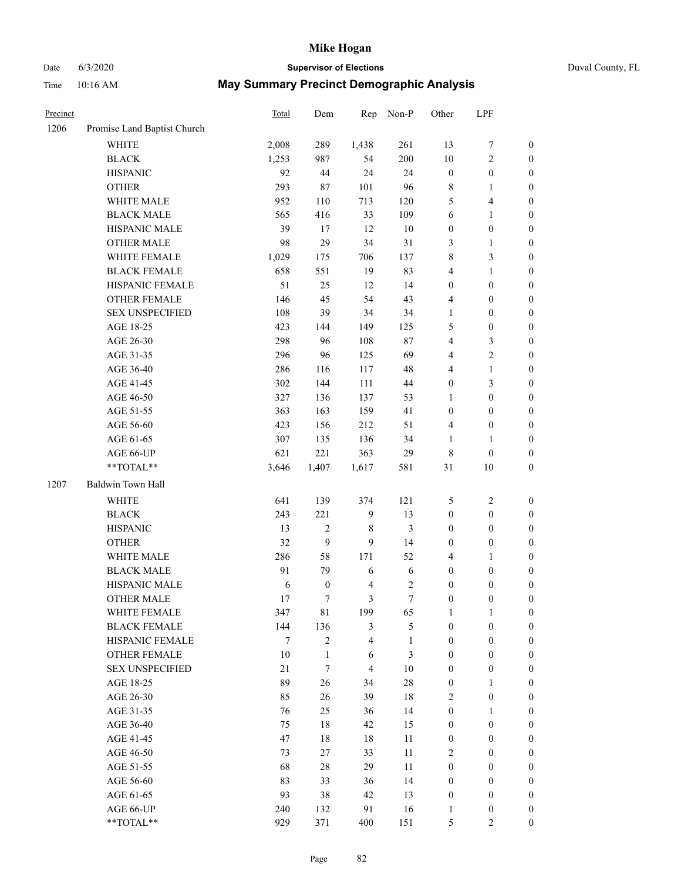## Date 6/3/2020 **Supervisor of Elections** Duval County, FL

| Precinct |                             | Total | Dem              | Rep              | Non-P            | Other            | LPF                     |                  |
|----------|-----------------------------|-------|------------------|------------------|------------------|------------------|-------------------------|------------------|
| 1206     | Promise Land Baptist Church |       |                  |                  |                  |                  |                         |                  |
|          | <b>WHITE</b>                | 2,008 | 289              | 1,438            | 261              | 13               | 7                       | $\boldsymbol{0}$ |
|          | <b>BLACK</b>                | 1,253 | 987              | 54               | 200              | 10               | $\sqrt{2}$              | $\boldsymbol{0}$ |
|          | <b>HISPANIC</b>             | 92    | 44               | 24               | 24               | $\boldsymbol{0}$ | $\boldsymbol{0}$        | $\boldsymbol{0}$ |
|          | <b>OTHER</b>                | 293   | $87\,$           | 101              | 96               | 8                | $\mathbf{1}$            | $\boldsymbol{0}$ |
|          | WHITE MALE                  | 952   | 110              | 713              | 120              | 5                | $\overline{\mathbf{4}}$ | $\boldsymbol{0}$ |
|          | <b>BLACK MALE</b>           | 565   | 416              | 33               | 109              | 6                | $\mathbf{1}$            | $\boldsymbol{0}$ |
|          | HISPANIC MALE               | 39    | 17               | 12               | $10\,$           | $\boldsymbol{0}$ | $\boldsymbol{0}$        | $\boldsymbol{0}$ |
|          | <b>OTHER MALE</b>           | 98    | 29               | 34               | 31               | 3                | $\mathbf{1}$            | $\boldsymbol{0}$ |
|          | WHITE FEMALE                | 1,029 | 175              | 706              | 137              | $\,$ $\,$        | $\mathfrak{Z}$          | 0                |
|          | <b>BLACK FEMALE</b>         | 658   | 551              | 19               | 83               | 4                | $\mathbf{1}$            | 0                |
|          | HISPANIC FEMALE             | 51    | 25               | 12               | 14               | $\boldsymbol{0}$ | $\boldsymbol{0}$        | $\boldsymbol{0}$ |
|          | OTHER FEMALE                | 146   | 45               | 54               | 43               | 4                | $\boldsymbol{0}$        | $\boldsymbol{0}$ |
|          | <b>SEX UNSPECIFIED</b>      | 108   | 39               | 34               | 34               | $\mathbf{1}$     | $\boldsymbol{0}$        | $\boldsymbol{0}$ |
|          | AGE 18-25                   | 423   | 144              | 149              | 125              | 5                | $\boldsymbol{0}$        | $\boldsymbol{0}$ |
|          | AGE 26-30                   | 298   | 96               | 108              | 87               | 4                | $\mathfrak{Z}$          | $\boldsymbol{0}$ |
|          | AGE 31-35                   | 296   | 96               | 125              | 69               | 4                | $\sqrt{2}$              | $\boldsymbol{0}$ |
|          | AGE 36-40                   | 286   | 116              | 117              | 48               | $\overline{4}$   | $\mathbf{1}$            | $\boldsymbol{0}$ |
|          | AGE 41-45                   | 302   | 144              | 111              | 44               | $\boldsymbol{0}$ | $\mathfrak{Z}$          | $\boldsymbol{0}$ |
|          | AGE 46-50                   | 327   | 136              | 137              | 53               | 1                | $\boldsymbol{0}$        | $\boldsymbol{0}$ |
|          | AGE 51-55                   | 363   | 163              | 159              | 41               | $\boldsymbol{0}$ | $\boldsymbol{0}$        | 0                |
|          | AGE 56-60                   | 423   | 156              | 212              | 51               | 4                | $\boldsymbol{0}$        | $\boldsymbol{0}$ |
|          | AGE 61-65                   | 307   | 135              | 136              | 34               | 1                | $\mathbf{1}$            | $\boldsymbol{0}$ |
|          | AGE 66-UP                   | 621   | 221              | 363              | 29               | 8                | $\boldsymbol{0}$        | $\boldsymbol{0}$ |
|          | **TOTAL**                   | 3,646 | 1,407            | 1,617            | 581              | 31               | $10\,$                  | $\boldsymbol{0}$ |
| 1207     | Baldwin Town Hall           |       |                  |                  |                  |                  |                         |                  |
|          | <b>WHITE</b>                | 641   | 139              | 374              | 121              | 5                | $\sqrt{2}$              | $\boldsymbol{0}$ |
|          | <b>BLACK</b>                | 243   | 221              | $\boldsymbol{9}$ | 13               | $\boldsymbol{0}$ | $\boldsymbol{0}$        | $\boldsymbol{0}$ |
|          | <b>HISPANIC</b>             | 13    | $\mathfrak{2}$   | $\,$ 8 $\,$      | 3                | $\boldsymbol{0}$ | $\boldsymbol{0}$        | $\boldsymbol{0}$ |
|          | <b>OTHER</b>                | 32    | 9                | 9                | 14               | $\boldsymbol{0}$ | $\boldsymbol{0}$        | $\boldsymbol{0}$ |
|          | WHITE MALE                  | 286   | 58               | 171              | 52               | 4                | $\mathbf{1}$            | $\boldsymbol{0}$ |
|          | <b>BLACK MALE</b>           | 91    | 79               | 6                | 6                | $\boldsymbol{0}$ | $\boldsymbol{0}$        | $\boldsymbol{0}$ |
|          | HISPANIC MALE               | 6     | $\boldsymbol{0}$ | $\overline{4}$   | $\sqrt{2}$       | $\boldsymbol{0}$ | $\boldsymbol{0}$        | 0                |
|          | <b>OTHER MALE</b>           | 17    | $\tau$           | 3                | $\boldsymbol{7}$ | $\boldsymbol{0}$ | $\boldsymbol{0}$        | $\boldsymbol{0}$ |
|          | WHITE FEMALE                | 347   | $8\sqrt{1}$      | 199              | 65               | $\mathbf{1}$     | $\mathbf{1}$            | $\boldsymbol{0}$ |
|          | <b>BLACK FEMALE</b>         | 144   | 136              | $\mathfrak{Z}$   | $\mathfrak{S}$   | $\boldsymbol{0}$ | $\boldsymbol{0}$        | $\overline{0}$   |
|          | HISPANIC FEMALE             | 7     | 2                | 4                | $\mathbf{1}$     | $\boldsymbol{0}$ | $\boldsymbol{0}$        | $\overline{0}$   |
|          | <b>OTHER FEMALE</b>         | 10    | $\mathbf{1}$     | 6                | $\mathfrak{Z}$   | $\boldsymbol{0}$ | $\boldsymbol{0}$        | $\overline{0}$   |
|          | <b>SEX UNSPECIFIED</b>      | 21    | 7                | $\overline{4}$   | $10\,$           | $\boldsymbol{0}$ | $\boldsymbol{0}$        | $\overline{0}$   |
|          | AGE 18-25                   | 89    | 26               | 34               | $28\,$           | $\boldsymbol{0}$ | $\mathbf{1}$            | $\overline{0}$   |
|          | AGE 26-30                   | 85    | 26               | 39               | $18\,$           | 2                | $\boldsymbol{0}$        | 0                |
|          | AGE 31-35                   | 76    | 25               | 36               | 14               | $\boldsymbol{0}$ | $\mathbf{1}$            | 0                |
|          | AGE 36-40                   | 75    | $18\,$           | 42               | 15               | $\boldsymbol{0}$ | $\boldsymbol{0}$        | 0                |
|          | AGE 41-45                   | 47    | 18               | 18               | 11               | $\boldsymbol{0}$ | $\boldsymbol{0}$        | 0                |
|          | AGE 46-50                   | 73    | 27               | 33               | 11               | 2                | $\boldsymbol{0}$        | $\overline{0}$   |
|          | AGE 51-55                   | 68    | $28\,$           | 29               | 11               | $\boldsymbol{0}$ | $\boldsymbol{0}$        | $\boldsymbol{0}$ |
|          | AGE 56-60                   | 83    | 33               | 36               | 14               | $\boldsymbol{0}$ | $\boldsymbol{0}$        | $\overline{0}$   |
|          | AGE 61-65                   | 93    | 38               | 42               | 13               | $\boldsymbol{0}$ | $\boldsymbol{0}$        | $\boldsymbol{0}$ |
|          | AGE 66-UP                   | 240   | 132              | 91               | 16               | $\mathbf{1}$     | $\boldsymbol{0}$        | 0                |
|          | **TOTAL**                   | 929   | 371              | 400              | 151              | 5                | $\overline{2}$          | $\boldsymbol{0}$ |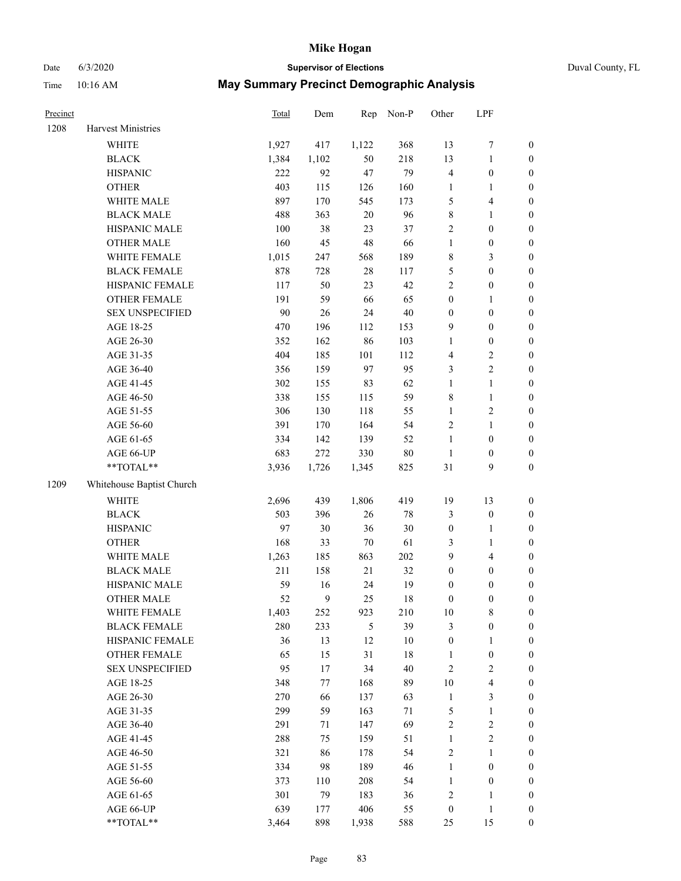# Date 6/3/2020 **Supervisor of Elections** Duval County, FL

| 1208 | Harvest Ministries        |       |       |        |         |                         |                  |                  |
|------|---------------------------|-------|-------|--------|---------|-------------------------|------------------|------------------|
|      |                           |       |       |        |         |                         |                  |                  |
|      | <b>WHITE</b>              | 1,927 | 417   | 1,122  | 368     | 13                      | $\boldsymbol{7}$ | $\boldsymbol{0}$ |
|      | <b>BLACK</b>              | 1,384 | 1,102 | 50     | 218     | 13                      | $\mathbf{1}$     | $\boldsymbol{0}$ |
|      | <b>HISPANIC</b>           | 222   | 92    | 47     | 79      | $\overline{\mathbf{4}}$ | $\boldsymbol{0}$ | $\boldsymbol{0}$ |
|      | <b>OTHER</b>              | 403   | 115   | 126    | 160     | 1                       | 1                | $\boldsymbol{0}$ |
|      | WHITE MALE                | 897   | 170   | 545    | 173     | 5                       | $\overline{4}$   | $\boldsymbol{0}$ |
|      | <b>BLACK MALE</b>         | 488   | 363   | $20\,$ | 96      | 8                       | $\mathbf{1}$     | $\boldsymbol{0}$ |
|      | HISPANIC MALE             | 100   | 38    | 23     | 37      | 2                       | $\boldsymbol{0}$ | $\boldsymbol{0}$ |
|      | <b>OTHER MALE</b>         | 160   | 45    | 48     | 66      | $\mathbf{1}$            | $\boldsymbol{0}$ | $\boldsymbol{0}$ |
|      | WHITE FEMALE              | 1,015 | 247   | 568    | 189     | 8                       | $\mathfrak{Z}$   | $\boldsymbol{0}$ |
|      | <b>BLACK FEMALE</b>       | 878   | 728   | 28     | 117     | 5                       | $\boldsymbol{0}$ | 0                |
|      | HISPANIC FEMALE           | 117   | 50    | 23     | 42      | $\overline{c}$          | $\boldsymbol{0}$ | $\boldsymbol{0}$ |
|      | OTHER FEMALE              | 191   | 59    | 66     | 65      | $\boldsymbol{0}$        | $\mathbf{1}$     | $\boldsymbol{0}$ |
|      | <b>SEX UNSPECIFIED</b>    | 90    | 26    | 24     | 40      | $\boldsymbol{0}$        | $\boldsymbol{0}$ | $\boldsymbol{0}$ |
|      | AGE 18-25                 | 470   | 196   | 112    | 153     | 9                       | $\boldsymbol{0}$ | $\boldsymbol{0}$ |
|      | AGE 26-30                 | 352   | 162   | 86     | 103     | $\mathbf{1}$            | $\boldsymbol{0}$ | $\boldsymbol{0}$ |
|      | AGE 31-35                 | 404   | 185   | 101    | 112     | 4                       | $\sqrt{2}$       | $\boldsymbol{0}$ |
|      | AGE 36-40                 | 356   | 159   | 97     | 95      | 3                       | $\sqrt{2}$       | $\boldsymbol{0}$ |
|      | AGE 41-45                 | 302   | 155   | 83     | 62      | $\mathbf{1}$            | $\mathbf{1}$     | $\boldsymbol{0}$ |
|      | AGE 46-50                 | 338   | 155   | 115    | 59      | 8                       | $\mathbf{1}$     | $\boldsymbol{0}$ |
|      | AGE 51-55                 | 306   | 130   | 118    | 55      | $\mathbf{1}$            | $\sqrt{2}$       | 0                |
|      | AGE 56-60                 | 391   | 170   | 164    | 54      | 2                       | $\mathbf{1}$     | $\boldsymbol{0}$ |
|      | AGE 61-65                 | 334   | 142   | 139    | 52      | $\mathbf{1}$            | $\boldsymbol{0}$ | $\boldsymbol{0}$ |
|      | AGE 66-UP                 | 683   | 272   | 330    | 80      | $\mathbf{1}$            | $\boldsymbol{0}$ | $\boldsymbol{0}$ |
|      | $**TOTAL**$               | 3,936 | 1,726 | 1,345  | 825     | 31                      | 9                | $\boldsymbol{0}$ |
| 1209 | Whitehouse Baptist Church |       |       |        |         |                         |                  |                  |
|      | <b>WHITE</b>              | 2,696 | 439   | 1,806  | 419     | 19                      | 13               | $\boldsymbol{0}$ |
|      | <b>BLACK</b>              | 503   | 396   | 26     | 78      | 3                       | $\boldsymbol{0}$ | $\boldsymbol{0}$ |
|      | <b>HISPANIC</b>           | 97    | 30    | 36     | 30      | $\boldsymbol{0}$        | $\mathbf{1}$     | $\boldsymbol{0}$ |
|      | <b>OTHER</b>              | 168   | 33    | $70\,$ | 61      | 3                       | $\mathbf{1}$     | $\boldsymbol{0}$ |
|      | WHITE MALE                | 1,263 | 185   | 863    | $202\,$ | 9                       | $\overline{4}$   | $\boldsymbol{0}$ |
|      | <b>BLACK MALE</b>         | 211   | 158   | 21     | 32      | $\boldsymbol{0}$        | $\boldsymbol{0}$ | $\boldsymbol{0}$ |
|      | HISPANIC MALE             | 59    | 16    | 24     | 19      | $\boldsymbol{0}$        | $\boldsymbol{0}$ | 0                |
|      | <b>OTHER MALE</b>         | 52    | 9     | 25     | 18      | 0                       | $\boldsymbol{0}$ | $\boldsymbol{0}$ |
|      | WHITE FEMALE              | 1,403 | 252   | 923    | 210     | 10                      | 8                | 0                |
|      | <b>BLACK FEMALE</b>       | 280   | 233   | 5      | 39      | 3                       | $\boldsymbol{0}$ | $\overline{0}$   |
|      | HISPANIC FEMALE           | 36    | 13    | 12     | 10      | $\boldsymbol{0}$        | $\mathbf{1}$     | $\overline{0}$   |
|      | OTHER FEMALE              | 65    | 15    | 31     | 18      | 1                       | $\boldsymbol{0}$ | 0                |
|      | <b>SEX UNSPECIFIED</b>    | 95    | 17    | 34     | 40      | $\overline{c}$          | $\sqrt{2}$       | 0                |
|      | AGE 18-25                 | 348   | 77    | 168    | 89      | $10\,$                  | $\overline{4}$   | 0                |
|      | AGE 26-30                 | 270   | 66    | 137    | 63      | $\mathbf{1}$            | $\sqrt{3}$       | 0                |
|      | AGE 31-35                 | 299   | 59    | 163    | 71      | 5                       | $\mathbf{1}$     | 0                |
|      | AGE 36-40                 | 291   | 71    | 147    | 69      | 2                       | $\sqrt{2}$       | 0                |
|      | AGE 41-45                 | 288   | 75    | 159    | 51      | $\mathbf{1}$            | $\sqrt{2}$       | 0                |
|      | AGE 46-50                 | 321   | 86    | 178    | 54      | 2                       | $\mathbf{1}$     | 0                |
|      | AGE 51-55                 | 334   | 98    | 189    | 46      | $\mathbf{1}$            | $\boldsymbol{0}$ | 0                |
|      | AGE 56-60                 | 373   | 110   | 208    | 54      | 1                       | $\boldsymbol{0}$ | $\boldsymbol{0}$ |
|      | AGE 61-65                 | 301   | 79    | 183    | 36      | $\overline{\mathbf{c}}$ | $\mathbf{1}$     | 0                |
|      | AGE 66-UP                 | 639   | 177   | 406    | 55      | $\boldsymbol{0}$        | $\mathbf{1}$     | 0                |
|      | **TOTAL**                 | 3,464 | 898   | 1,938  | 588     | 25                      | 15               | $\boldsymbol{0}$ |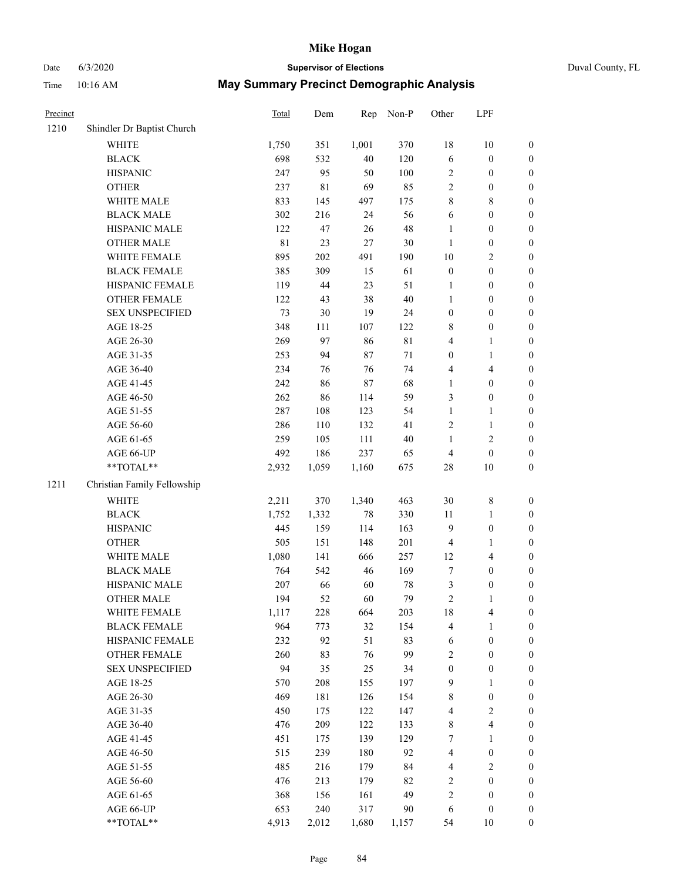# Date 6/3/2020 **Supervisor of Elections** Duval County, FL

| Precinct |                             | <b>Total</b> | Dem         | Rep    | Non-P       | Other            | LPF              |                  |
|----------|-----------------------------|--------------|-------------|--------|-------------|------------------|------------------|------------------|
| 1210     | Shindler Dr Baptist Church  |              |             |        |             |                  |                  |                  |
|          | <b>WHITE</b>                | 1,750        | 351         | 1,001  | 370         | 18               | 10               | 0                |
|          | <b>BLACK</b>                | 698          | 532         | 40     | 120         | $\sqrt{6}$       | $\boldsymbol{0}$ | $\boldsymbol{0}$ |
|          | <b>HISPANIC</b>             | 247          | 95          | 50     | 100         | 2                | $\boldsymbol{0}$ | $\boldsymbol{0}$ |
|          | <b>OTHER</b>                | 237          | $8\sqrt{1}$ | 69     | 85          | 2                | $\boldsymbol{0}$ | $\boldsymbol{0}$ |
|          | WHITE MALE                  | 833          | 145         | 497    | 175         | 8                | $\,$ 8 $\,$      | $\boldsymbol{0}$ |
|          | <b>BLACK MALE</b>           | 302          | 216         | 24     | 56          | 6                | $\boldsymbol{0}$ | $\boldsymbol{0}$ |
|          | HISPANIC MALE               | 122          | 47          | 26     | 48          | $\mathbf{1}$     | $\boldsymbol{0}$ | $\boldsymbol{0}$ |
|          | <b>OTHER MALE</b>           | 81           | 23          | 27     | $30\,$      | $\mathbf{1}$     | $\boldsymbol{0}$ | $\boldsymbol{0}$ |
|          | WHITE FEMALE                | 895          | 202         | 491    | 190         | $10\,$           | $\sqrt{2}$       | $\boldsymbol{0}$ |
|          | <b>BLACK FEMALE</b>         | 385          | 309         | 15     | 61          | $\boldsymbol{0}$ | $\boldsymbol{0}$ | $\boldsymbol{0}$ |
|          | HISPANIC FEMALE             | 119          | 44          | 23     | 51          | 1                | $\boldsymbol{0}$ | $\boldsymbol{0}$ |
|          | <b>OTHER FEMALE</b>         | 122          | 43          | 38     | $40\,$      | $\mathbf{1}$     | $\boldsymbol{0}$ | $\boldsymbol{0}$ |
|          | <b>SEX UNSPECIFIED</b>      | 73           | $30\,$      | 19     | 24          | $\boldsymbol{0}$ | $\boldsymbol{0}$ | $\boldsymbol{0}$ |
|          | AGE 18-25                   | 348          | 111         | 107    | 122         | 8                | $\boldsymbol{0}$ | $\boldsymbol{0}$ |
|          | AGE 26-30                   | 269          | 97          | 86     | $8\sqrt{1}$ | 4                | $\mathbf{1}$     | $\boldsymbol{0}$ |
|          | AGE 31-35                   | 253          | 94          | 87     | 71          | $\boldsymbol{0}$ | $\mathbf{1}$     | $\boldsymbol{0}$ |
|          | AGE 36-40                   | 234          | 76          | 76     | 74          | 4                | $\overline{4}$   | $\boldsymbol{0}$ |
|          | AGE 41-45                   | 242          | 86          | $87\,$ | 68          | $\mathbf{1}$     | $\boldsymbol{0}$ | $\boldsymbol{0}$ |
|          | AGE 46-50                   | 262          | 86          | 114    | 59          | 3                | $\boldsymbol{0}$ | $\boldsymbol{0}$ |
|          | AGE 51-55                   | 287          | 108         | 123    | 54          | $\mathbf{1}$     | 1                | $\boldsymbol{0}$ |
|          | AGE 56-60                   | 286          | 110         | 132    | 41          | 2                | $\mathbf{1}$     | 0                |
|          | AGE 61-65                   | 259          | 105         | 111    | $40\,$      | $\mathbf{1}$     | $\sqrt{2}$       | $\boldsymbol{0}$ |
|          | AGE 66-UP                   | 492          | 186         | 237    | 65          | 4                | $\boldsymbol{0}$ | $\boldsymbol{0}$ |
|          | $**TOTAL**$                 | 2,932        | 1,059       | 1,160  | 675         | $28\,$           | 10               | $\boldsymbol{0}$ |
| 1211     | Christian Family Fellowship |              |             |        |             |                  |                  |                  |
|          | <b>WHITE</b>                | 2,211        | 370         | 1,340  | 463         | 30               | $\,$ $\,$        | $\boldsymbol{0}$ |
|          | <b>BLACK</b>                | 1,752        | 1,332       | $78\,$ | 330         | $11\,$           | $\mathbf{1}$     | $\boldsymbol{0}$ |
|          | <b>HISPANIC</b>             | 445          | 159         | 114    | 163         | 9                | $\boldsymbol{0}$ | $\boldsymbol{0}$ |
|          | <b>OTHER</b>                | 505          | 151         | 148    | 201         | 4                | $\mathbf{1}$     | $\boldsymbol{0}$ |
|          | WHITE MALE                  | 1,080        | 141         | 666    | 257         | 12               | $\overline{4}$   | $\boldsymbol{0}$ |
|          | <b>BLACK MALE</b>           | 764          | 542         | 46     | 169         | 7                | $\boldsymbol{0}$ | $\boldsymbol{0}$ |
|          | HISPANIC MALE               | 207          | 66          | 60     | 78          | 3                | $\boldsymbol{0}$ | $\boldsymbol{0}$ |
|          | <b>OTHER MALE</b>           | 194          | 52          | 60     | 79          | $\overline{c}$   | $\mathbf{1}$     | $\boldsymbol{0}$ |
|          | WHITE FEMALE                | 1,117        | 228         | 664    | 203         | 18               | 4                | 0                |
|          | <b>BLACK FEMALE</b>         | 964          | 773         | 32     | 154         | 4                | $\mathbf{1}$     | $\boldsymbol{0}$ |
|          | HISPANIC FEMALE             | 232          | 92          | 51     | 83          | 6                | $\boldsymbol{0}$ | $\overline{0}$   |
|          | <b>OTHER FEMALE</b>         | 260          | 83          | 76     | 99          | 2                | $\boldsymbol{0}$ | $\overline{0}$   |
|          | <b>SEX UNSPECIFIED</b>      | 94           | 35          | 25     | 34          | $\boldsymbol{0}$ | $\boldsymbol{0}$ | 0                |
|          | AGE 18-25                   | 570          | 208         | 155    | 197         | 9                | $\mathbf{1}$     | $\overline{0}$   |
|          | AGE 26-30                   | 469          | 181         | 126    | 154         | 8                | $\boldsymbol{0}$ | 0                |
|          | AGE 31-35                   | 450          | 175         | 122    | 147         | 4                | $\sqrt{2}$       | 0                |
|          | AGE 36-40                   | 476          | 209         | 122    | 133         | 8                | $\overline{4}$   | 0                |
|          | AGE 41-45                   | 451          | 175         | 139    | 129         | 7                | $\mathbf{1}$     | 0                |
|          | AGE 46-50                   | 515          | 239         | 180    | 92          | 4                | $\boldsymbol{0}$ | 0                |
|          | AGE 51-55                   | 485          | 216         | 179    | 84          | 4                | $\mathfrak{2}$   | 0                |
|          | AGE 56-60                   | 476          | 213         | 179    | 82          | 2                | $\boldsymbol{0}$ | $\overline{0}$   |
|          | AGE 61-65                   | 368          | 156         | 161    | 49          | 2                | $\boldsymbol{0}$ | $\boldsymbol{0}$ |
|          | AGE 66-UP                   | 653          | 240         | 317    | 90          | 6                | $\boldsymbol{0}$ | 0                |
|          | **TOTAL**                   | 4,913        | 2,012       | 1,680  | 1,157       | 54               | 10               | $\boldsymbol{0}$ |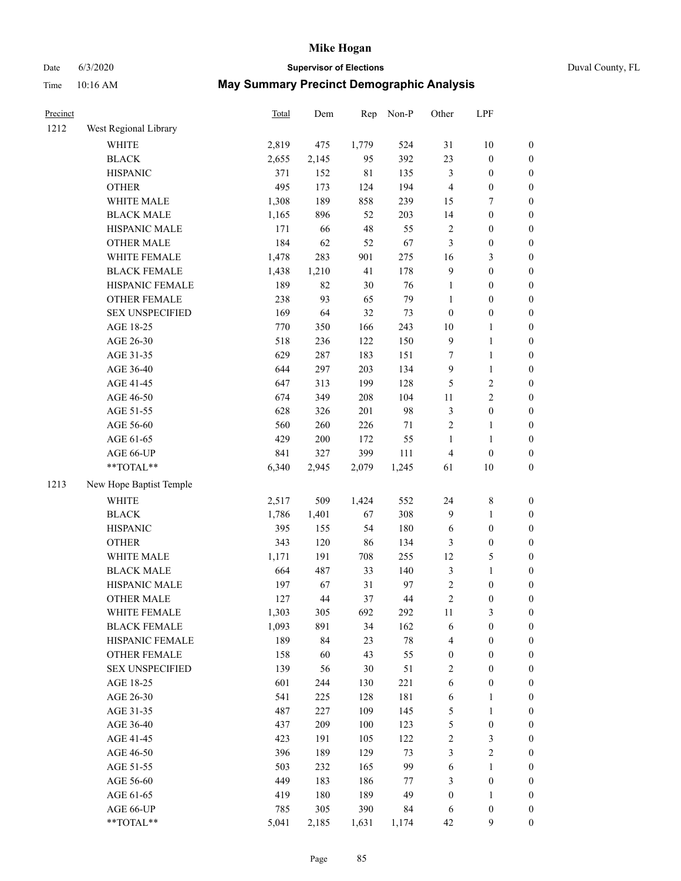|  | Duval County, FL |  |
|--|------------------|--|
|--|------------------|--|

| Date     | 6/3/2020               |                                                  | <b>Supervisor of Elections</b> |       |           |                  |                  |                  | Duval County, FL |
|----------|------------------------|--------------------------------------------------|--------------------------------|-------|-----------|------------------|------------------|------------------|------------------|
| Time     | 10:16 AM               | <b>May Summary Precinct Demographic Analysis</b> |                                |       |           |                  |                  |                  |                  |
| Precinct |                        | Total                                            | Dem                            |       | Rep Non-P | Other            | LPF              |                  |                  |
| 1212     | West Regional Library  |                                                  |                                |       |           |                  |                  |                  |                  |
|          | <b>WHITE</b>           | 2,819                                            | 475                            | 1,779 | 524       | 31               | 10               | 0                |                  |
|          | <b>BLACK</b>           | 2,655                                            | 2,145                          | 95    | 392       | 23               | $\mathbf{0}$     | $\overline{0}$   |                  |
|          | <b>HISPANIC</b>        | 371                                              | 152                            | 81    | 135       | 3                | $\mathbf{0}$     | $\mathbf{0}$     |                  |
|          | <b>OTHER</b>           | 495                                              | 173                            | 124   | 194       | 4                | $\theta$         | $\mathbf{0}$     |                  |
|          | <b>WHITE MALE</b>      | 1,308                                            | 189                            | 858   | 239       | 15               | 7                | $\mathbf{0}$     |                  |
|          | <b>BLACK MALE</b>      | 1,165                                            | 896                            | 52    | 203       | 14               | $\boldsymbol{0}$ | $\overline{0}$   |                  |
|          | <b>HISPANIC MALE</b>   | 171                                              | 66                             | 48    | 55        | 2                | $\theta$         | $\mathbf{0}$     |                  |
|          | <b>OTHER MALE</b>      | 184                                              | 62                             | 52    | 67        | 3                | $\theta$         | $\Omega$         |                  |
|          | WHITE FEMALE           | 1,478                                            | 283                            | 901   | 275       | 16               | 3                | $\mathbf{0}$     |                  |
|          | <b>BLACK FEMALE</b>    | 1,438                                            | 1,210                          | 41    | 178       | 9                | $\boldsymbol{0}$ | $\mathbf{0}$     |                  |
|          | HISPANIC FEMALE        | 189                                              | 82                             | 30    | 76        | 1                | $\overline{0}$   | $\mathbf{0}$     |                  |
|          | <b>OTHER FEMALE</b>    | 238                                              | 93                             | 65    | 79        |                  | $\overline{0}$   | $\mathbf{0}$     |                  |
|          | <b>SEX UNSPECIFIED</b> | 169                                              | 64                             | 32    | 73        | $\boldsymbol{0}$ | $\boldsymbol{0}$ | $\boldsymbol{0}$ |                  |
|          | AGE 18-25              | 770                                              | 350                            | 166   | 243       | 10               |                  | 0                |                  |
|          | AGE 26-30              | 518                                              | 236                            | 122   | 150       | 9                |                  | 0                |                  |
|          | AGE 31-35              | 629                                              | 287                            | 183   | 151       | 7                |                  | 0                |                  |
|          | AGE 36-40              | 644                                              | 297                            | 203   | 134       | 9                |                  | $\mathbf{0}$     |                  |
|          | AGE 41-45              | 647                                              | 313                            | 199   | 128       | 5                | 2                | $\overline{0}$   |                  |
|          | AGE 46-50              | 674                                              | 349                            | 208   | 104       | 11               | 2                | $\overline{0}$   |                  |
|          | AGE 51-55              | 628                                              | 326                            | 201   | 98        | 3                | $\Omega$         | $\Omega$         |                  |

AGE 51-55 628 326 201 98 3 0 0 AGE 56-60 560 260 226 71 2 1 0 AGE 61-65 429 200 172 55 1 1 0 AGE 66-UP 841 327 399 111 4 0 0 \*\*TOTAL\*\* 6,340 2,945 2,079 1,245 61 10 0 1213 New Hope Baptist Temple WHITE 2,517 509 1,424 552 24 8 0 BLACK 1,786 1,401 67 308 9 1 0 HISPANIC 395 155 54 180 6 0 0 OTHER 343 120 86 134 3 0 0 WHITE MALE 1,171 191 708 255 12 5 0 BLACK MALE 664 487 33 140 3 1 0 HISPANIC MALE 197 67 31 97 2 0 0 OTHER MALE 127 44 37 44 2 0 0 WHITE FEMALE 1,303 305 692 292 11 3 0 BLACK FEMALE 1,093 891 34 162 6 0 0 HISPANIC FEMALE 189 84 23 78 4 0 0 OTHER FEMALE 158 60 43 55 0 0 0 SEX UNSPECIFIED 139 56 30 51 2 0 0 AGE 18-25 601 244 130 221 6 0 0 AGE 26-30 541 225 128 181 6 1 0 AGE 31-35 487 227 109 145 5 1 0 AGE 36-40 437 209 100 123 5 0 0 AGE 41-45 423 191 105 122 2 3 0 AGE 46-50 396 189 129 73 3 2 0 AGE 51-55 503 232 165 99 6 1 0 AGE 56-60 449 183 186 77 3 0 0

AGE 61-65 419 180 189 49 0 1 0 AGE 66-UP 785 305 390 84 6 0 0 \*\*TOTAL\*\* 5,041 2,185 1,631 1,174 42 9 0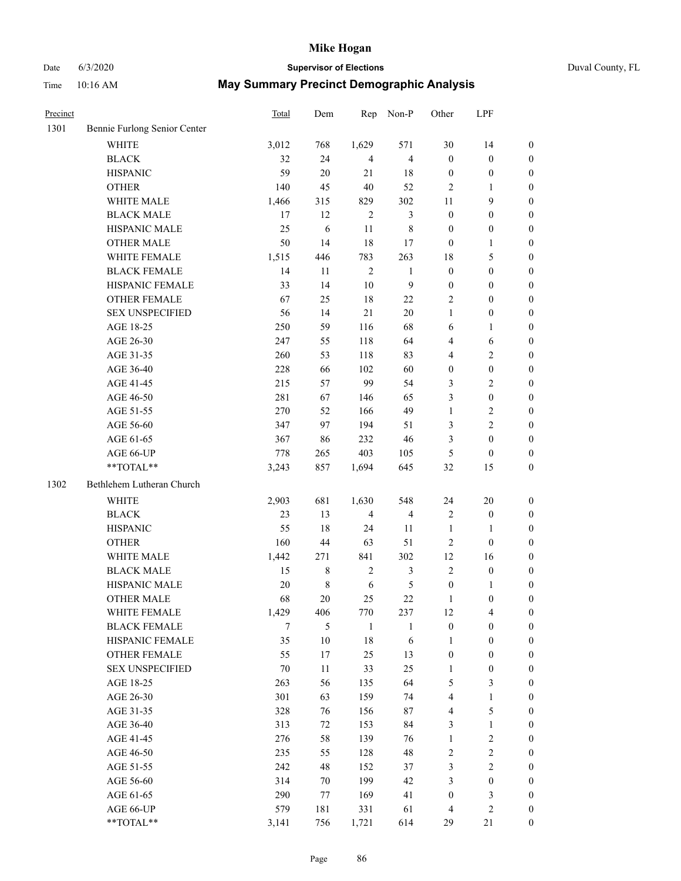## Date 6/3/2020 **Supervisor of Elections** Duval County, FL

| Precinct |                              | Total  | Dem         | Rep            | Non-P                   | Other                   | LPF              |                  |
|----------|------------------------------|--------|-------------|----------------|-------------------------|-------------------------|------------------|------------------|
| 1301     | Bennie Furlong Senior Center |        |             |                |                         |                         |                  |                  |
|          | <b>WHITE</b>                 | 3,012  | 768         | 1,629          | 571                     | 30                      | 14               | $\boldsymbol{0}$ |
|          | <b>BLACK</b>                 | 32     | 24          | $\overline{4}$ | $\overline{4}$          | $\boldsymbol{0}$        | $\boldsymbol{0}$ | $\boldsymbol{0}$ |
|          | <b>HISPANIC</b>              | 59     | 20          | 21             | 18                      | $\boldsymbol{0}$        | $\boldsymbol{0}$ | $\boldsymbol{0}$ |
|          | <b>OTHER</b>                 | 140    | 45          | 40             | 52                      | 2                       | 1                | $\boldsymbol{0}$ |
|          | WHITE MALE                   | 1,466  | 315         | 829            | 302                     | 11                      | $\mathbf{9}$     | $\boldsymbol{0}$ |
|          | <b>BLACK MALE</b>            | 17     | 12          | $\overline{2}$ | $\mathfrak{Z}$          | $\boldsymbol{0}$        | $\boldsymbol{0}$ | $\boldsymbol{0}$ |
|          | HISPANIC MALE                | 25     | 6           | $11\,$         | $8\,$                   | $\boldsymbol{0}$        | $\boldsymbol{0}$ | 0                |
|          | <b>OTHER MALE</b>            | 50     | 14          | 18             | 17                      | $\boldsymbol{0}$        | $\mathbf{1}$     | 0                |
|          | WHITE FEMALE                 | 1,515  | 446         | 783            | 263                     | 18                      | $\mathfrak{S}$   | 0                |
|          | <b>BLACK FEMALE</b>          | 14     | 11          | $\sqrt{2}$     | $\mathbf{1}$            | $\boldsymbol{0}$        | $\boldsymbol{0}$ | $\boldsymbol{0}$ |
|          | HISPANIC FEMALE              | 33     | 14          | $10\,$         | 9                       | $\boldsymbol{0}$        | $\boldsymbol{0}$ | $\boldsymbol{0}$ |
|          | OTHER FEMALE                 | 67     | 25          | 18             | $22\,$                  | 2                       | $\boldsymbol{0}$ | $\boldsymbol{0}$ |
|          | <b>SEX UNSPECIFIED</b>       | 56     | 14          | 21             | 20                      | $\mathbf{1}$            | $\boldsymbol{0}$ | $\boldsymbol{0}$ |
|          | AGE 18-25                    | 250    | 59          | 116            | 68                      | 6                       | $\mathbf{1}$     | $\boldsymbol{0}$ |
|          | AGE 26-30                    | 247    | 55          | 118            | 64                      | 4                       | $\sqrt{6}$       | $\boldsymbol{0}$ |
|          | AGE 31-35                    | 260    | 53          | 118            | 83                      | 4                       | $\sqrt{2}$       | $\boldsymbol{0}$ |
|          | AGE 36-40                    | 228    | 66          | 102            | 60                      | $\boldsymbol{0}$        | $\boldsymbol{0}$ | $\boldsymbol{0}$ |
|          | AGE 41-45                    | 215    | 57          | 99             | 54                      | 3                       | $\overline{2}$   | 0                |
|          | AGE 46-50                    | 281    | 67          | 146            | 65                      | 3                       | $\boldsymbol{0}$ | 0                |
|          | AGE 51-55                    | 270    | 52          | 166            | 49                      | $\mathbf{1}$            | $\sqrt{2}$       | $\boldsymbol{0}$ |
|          | AGE 56-60                    | 347    | 97          | 194            | 51                      | 3                       | $\overline{2}$   | $\boldsymbol{0}$ |
|          | AGE 61-65                    | 367    | 86          | 232            | $46\,$                  | 3                       | $\boldsymbol{0}$ | $\boldsymbol{0}$ |
|          | AGE 66-UP                    | 778    | 265         | 403            | 105                     | 5                       | $\boldsymbol{0}$ | $\boldsymbol{0}$ |
|          | **TOTAL**                    | 3,243  | 857         | 1,694          | 645                     | 32                      | 15               | $\boldsymbol{0}$ |
| 1302     | Bethlehem Lutheran Church    |        |             |                |                         |                         |                  |                  |
|          | <b>WHITE</b>                 | 2,903  | 681         | 1,630          | 548                     | 24                      | $20\,$           | $\boldsymbol{0}$ |
|          | <b>BLACK</b>                 | 23     | 13          | $\overline{4}$ | $\overline{\mathbf{4}}$ | $\sqrt{2}$              | $\boldsymbol{0}$ | $\boldsymbol{0}$ |
|          | <b>HISPANIC</b>              | 55     | $18\,$      | 24             | 11                      | $\mathbf{1}$            | $\mathbf{1}$     | $\boldsymbol{0}$ |
|          | <b>OTHER</b>                 | 160    | 44          | 63             | 51                      | $\mathbf{2}$            | $\boldsymbol{0}$ | $\boldsymbol{0}$ |
|          | WHITE MALE                   | 1,442  | 271         | 841            | 302                     | 12                      | 16               | 0                |
|          | <b>BLACK MALE</b>            | 15     | $\,8\,$     | $\overline{c}$ | 3                       | $\overline{2}$          | $\boldsymbol{0}$ | 0                |
|          | HISPANIC MALE                | 20     | $\,$ 8 $\,$ | 6              | $\mathfrak s$           | $\boldsymbol{0}$        | 1                | 0                |
|          | OTHER MALE                   | 68     | $20\,$      | 25             | $22\,$                  | $\mathbf{1}$            | $\boldsymbol{0}$ | $\boldsymbol{0}$ |
|          | WHITE FEMALE                 | 1,429  | 406         | 770            | 237                     | 12                      | $\overline{4}$   | $\boldsymbol{0}$ |
|          | <b>BLACK FEMALE</b>          | $\tau$ | 5           | $\mathbf{1}$   | $\mathbf{1}$            | $\boldsymbol{0}$        | $\boldsymbol{0}$ | $\overline{0}$   |
|          | HISPANIC FEMALE              | 35     | $10\,$      | 18             | $\sqrt{6}$              | $\mathbf{1}$            | $\boldsymbol{0}$ | $\overline{0}$   |
|          | <b>OTHER FEMALE</b>          | 55     | 17          | 25             | 13                      | $\boldsymbol{0}$        | $\boldsymbol{0}$ | $\theta$         |
|          | <b>SEX UNSPECIFIED</b>       | $70\,$ | 11          | 33             | 25                      | $\mathbf{1}$            | $\boldsymbol{0}$ | 0                |
|          | AGE 18-25                    | 263    | 56          | 135            | 64                      | 5                       | $\mathfrak{Z}$   | 0                |
|          | AGE 26-30                    | 301    | 63          | 159            | 74                      | $\overline{\mathbf{4}}$ | $\mathbf{1}$     | 0                |
|          | AGE 31-35                    | 328    | 76          | 156            | $87\,$                  | $\overline{\mathbf{4}}$ | $\mathfrak{S}$   | 0                |
|          | AGE 36-40                    | 313    | 72          | 153            | 84                      | 3                       | $\mathbf{1}$     | 0                |
|          | AGE 41-45                    | 276    | 58          | 139            | 76                      | $\mathbf{1}$            | $\sqrt{2}$       | 0                |
|          | AGE 46-50                    | 235    | 55          | 128            | 48                      | $\sqrt{2}$              | $\sqrt{2}$       | $\boldsymbol{0}$ |
|          | AGE 51-55                    | 242    | 48          | 152            | 37                      | 3                       | $\overline{2}$   | $\boldsymbol{0}$ |
|          | AGE 56-60                    | 314    | 70          | 199            | 42                      | 3                       | $\boldsymbol{0}$ | $\boldsymbol{0}$ |
|          | AGE 61-65                    | 290    | 77          | 169            | 41                      | $\boldsymbol{0}$        | $\mathfrak{Z}$   | $\overline{0}$   |
|          | AGE 66-UP                    | 579    | 181         | 331            | 61                      | $\overline{\mathbf{4}}$ | $\sqrt{2}$       | $\boldsymbol{0}$ |
|          | **TOTAL**                    | 3,141  | 756         | 1,721          | 614                     | 29                      | 21               | $\boldsymbol{0}$ |
|          |                              |        |             |                |                         |                         |                  |                  |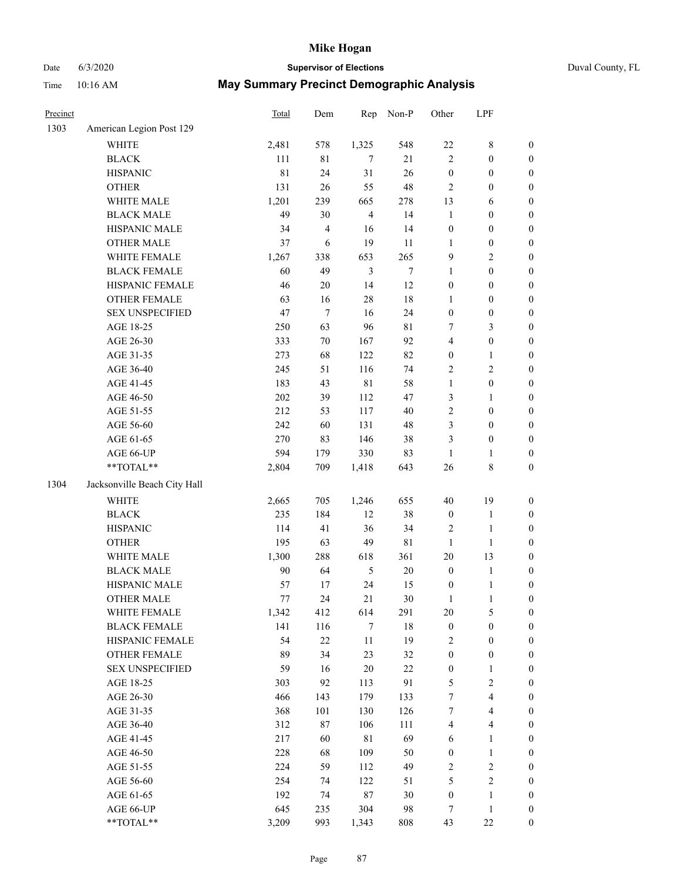### Date 6/3/2020 **Supervisor of Elections** Duval County, FL

| Precinct |                                                           | Total   | Dem            |                | Rep Non-P        | Other            | LPF              |                  |
|----------|-----------------------------------------------------------|---------|----------------|----------------|------------------|------------------|------------------|------------------|
| 1303     | American Legion Post 129                                  |         |                |                |                  |                  |                  |                  |
|          | <b>WHITE</b>                                              | 2,481   | 578            | 1,325          | 548              | $22\,$           | $\,$ 8 $\,$      | $\boldsymbol{0}$ |
|          | <b>BLACK</b>                                              | 111     | $8\sqrt{1}$    | $\tau$         | 21               | $\mathbf{2}$     | $\boldsymbol{0}$ | $\boldsymbol{0}$ |
|          | <b>HISPANIC</b>                                           | 81      | 24             | 31             | 26               | $\boldsymbol{0}$ | $\boldsymbol{0}$ | $\boldsymbol{0}$ |
|          | <b>OTHER</b>                                              | 131     | 26             | 55             | 48               | 2                | $\boldsymbol{0}$ | $\boldsymbol{0}$ |
|          | WHITE MALE                                                | 1,201   | 239            | 665            | 278              | 13               | 6                | $\boldsymbol{0}$ |
|          | <b>BLACK MALE</b>                                         | 49      | 30             | $\overline{4}$ | 14               | $\mathbf{1}$     | $\boldsymbol{0}$ | $\boldsymbol{0}$ |
|          | HISPANIC MALE                                             | 34      | $\overline{4}$ | 16             | 14               | $\boldsymbol{0}$ | $\boldsymbol{0}$ | $\boldsymbol{0}$ |
|          | <b>OTHER MALE</b>                                         | 37      | 6              | 19             | 11               | 1                | $\boldsymbol{0}$ | $\boldsymbol{0}$ |
|          | WHITE FEMALE                                              | 1,267   | 338            | 653            | 265              | 9                | $\sqrt{2}$       | $\boldsymbol{0}$ |
|          | <b>BLACK FEMALE</b>                                       | 60      | 49             | $\mathfrak{Z}$ | $\boldsymbol{7}$ | $\mathbf{1}$     | $\boldsymbol{0}$ | 0                |
|          | HISPANIC FEMALE                                           | 46      | 20             | 14             | 12               | $\boldsymbol{0}$ | $\boldsymbol{0}$ | $\boldsymbol{0}$ |
|          | OTHER FEMALE                                              | 63      | 16             | 28             | 18               | $\mathbf{1}$     | $\boldsymbol{0}$ | $\boldsymbol{0}$ |
|          | <b>SEX UNSPECIFIED</b>                                    | 47      | $\tau$         | 16             | 24               | $\boldsymbol{0}$ | $\boldsymbol{0}$ | $\boldsymbol{0}$ |
|          | AGE 18-25                                                 | 250     | 63             | 96             | $8\sqrt{1}$      | 7                | $\mathfrak{Z}$   | $\boldsymbol{0}$ |
|          | AGE 26-30                                                 | 333     | $70\,$         | 167            | 92               | 4                | $\boldsymbol{0}$ | $\boldsymbol{0}$ |
|          | AGE 31-35                                                 | 273     | 68             | 122            | 82               | $\boldsymbol{0}$ | $\mathbf{1}$     | $\boldsymbol{0}$ |
|          | AGE 36-40                                                 | 245     | 51             | 116            | 74               | 2                | $\mathbf{2}$     | $\boldsymbol{0}$ |
|          | AGE 41-45                                                 | 183     | 43             | $8\sqrt{1}$    | 58               | 1                | $\boldsymbol{0}$ | $\boldsymbol{0}$ |
|          | AGE 46-50                                                 | $202\,$ | 39             | 112            | 47               | 3                | 1                | $\boldsymbol{0}$ |
|          | AGE 51-55                                                 | 212     | 53             | 117            | 40               | $\overline{c}$   | $\boldsymbol{0}$ | 0                |
|          | AGE 56-60                                                 | 242     | 60             | 131            | 48               | 3                | $\boldsymbol{0}$ | $\boldsymbol{0}$ |
|          | AGE 61-65                                                 | 270     | 83             | 146            | 38               | 3                | $\boldsymbol{0}$ | $\boldsymbol{0}$ |
|          | AGE 66-UP                                                 | 594     | 179            | 330            | 83               | $\mathbf{1}$     | 1                | $\boldsymbol{0}$ |
|          | $\mathrm{*}\mathrm{*}\mathrm{TOTAL} \mathrm{*}\mathrm{*}$ | 2,804   | 709            | 1,418          | 643              | 26               | $\,$ $\,$        | $\boldsymbol{0}$ |
| 1304     | Jacksonville Beach City Hall                              |         |                |                |                  |                  |                  |                  |
|          | <b>WHITE</b>                                              | 2,665   | 705            | 1,246          | 655              | 40               | 19               | $\boldsymbol{0}$ |
|          | <b>BLACK</b>                                              | 235     | 184            | 12             | 38               | $\boldsymbol{0}$ | $\mathbf{1}$     | $\boldsymbol{0}$ |
|          | <b>HISPANIC</b>                                           | 114     | 41             | 36             | 34               | 2                | $\mathbf{1}$     | $\boldsymbol{0}$ |
|          | <b>OTHER</b>                                              | 195     | 63             | 49             | 81               | $\mathbf{1}$     | $\mathbf{1}$     | $\boldsymbol{0}$ |
|          | WHITE MALE                                                | 1,300   | 288            | 618            | 361              | $20\,$           | 13               | $\boldsymbol{0}$ |
|          | <b>BLACK MALE</b>                                         | 90      | 64             | 5              | $20\,$           | $\boldsymbol{0}$ | $\mathbf{1}$     | 0                |
|          | HISPANIC MALE                                             | 57      | 17             | 24             | 15               | $\boldsymbol{0}$ | $\mathbf{1}$     | 0                |
|          | <b>OTHER MALE</b>                                         | $77 \,$ | 24             | 21             | 30               | 1                | $\mathbf{1}$     | $\boldsymbol{0}$ |
|          | WHITE FEMALE                                              | 1,342   | 412            | 614            | 291              | $20\,$           | $\mathfrak s$    | $\boldsymbol{0}$ |
|          | <b>BLACK FEMALE</b>                                       | 141     | 116            | $\tau$         | 18               | $\boldsymbol{0}$ | $\boldsymbol{0}$ | $\overline{0}$   |
|          | HISPANIC FEMALE                                           | 54      | $22\,$         | $11\,$         | 19               | 2                | $\boldsymbol{0}$ | $\overline{0}$   |
|          | <b>OTHER FEMALE</b>                                       | 89      | 34             | 23             | 32               | $\boldsymbol{0}$ | $\boldsymbol{0}$ | 0                |
|          | <b>SEX UNSPECIFIED</b>                                    | 59      | 16             | 20             | 22               | $\boldsymbol{0}$ | $\mathbf{1}$     | $\overline{0}$   |
|          | AGE 18-25                                                 | 303     | 92             | 113            | 91               | 5                | $\sqrt{2}$       | 0                |
|          | AGE 26-30                                                 | 466     | 143            | 179            | 133              | 7                | $\overline{4}$   | 0                |
|          | AGE 31-35                                                 | 368     | 101            | 130            | 126              | 7                | $\overline{4}$   | 0                |
|          | AGE 36-40                                                 | 312     | 87             | 106            | 111              | 4                | $\overline{4}$   | 0                |
|          | AGE 41-45                                                 | 217     | 60             | $8\sqrt{1}$    | 69               | 6                | $\mathbf{1}$     | 0                |
|          | AGE 46-50                                                 | 228     | 68             | 109            | 50               | $\boldsymbol{0}$ | $\mathbf{1}$     | $\boldsymbol{0}$ |
|          | AGE 51-55                                                 | 224     | 59             | 112            | 49               | 2                | $\sqrt{2}$       | $\boldsymbol{0}$ |
|          | AGE 56-60                                                 | 254     | 74             | 122            | 51               | 5                | $\sqrt{2}$       | $\overline{0}$   |
|          | AGE 61-65                                                 | 192     | 74             | 87             | 30               | $\boldsymbol{0}$ | $\mathbf{1}$     | $\boldsymbol{0}$ |
|          | AGE 66-UP                                                 | 645     | 235            | 304            | 98               | 7                | $\mathbf{1}$     | 0                |
|          | **TOTAL**                                                 | 3,209   | 993            | 1,343          | 808              | 43               | 22               | $\boldsymbol{0}$ |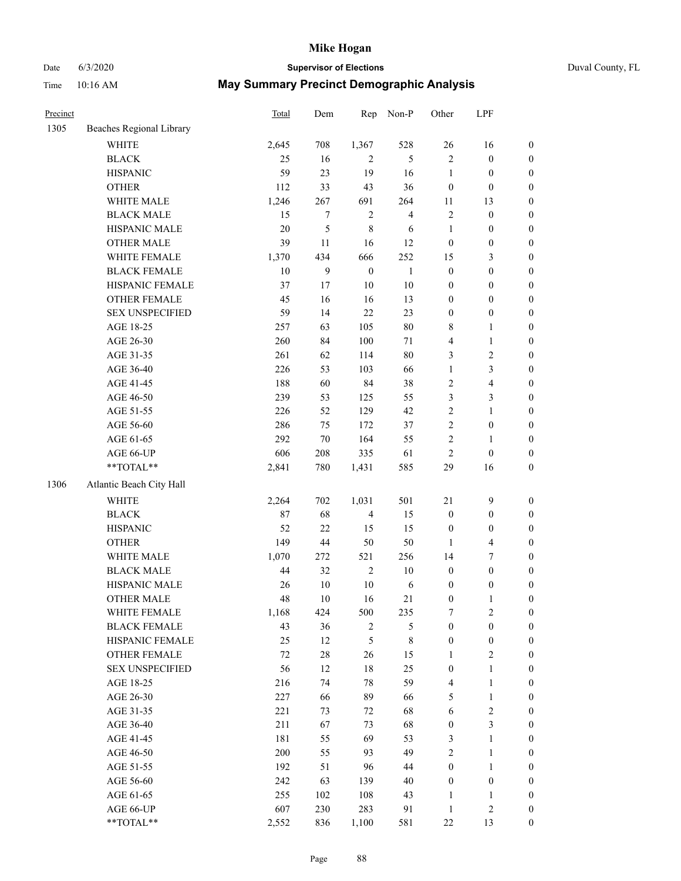### Date 6/3/2020 **Supervisor of Elections** Duval County, FL

| Precinct |                          | <b>Total</b> | Dem            | Rep              | Non-P          | Other            | LPF              |                  |
|----------|--------------------------|--------------|----------------|------------------|----------------|------------------|------------------|------------------|
| 1305     | Beaches Regional Library |              |                |                  |                |                  |                  |                  |
|          | <b>WHITE</b>             | 2,645        | 708            | 1,367            | 528            | 26               | 16               | 0                |
|          | <b>BLACK</b>             | 25           | 16             | $\overline{2}$   | $\sqrt{5}$     | $\overline{c}$   | $\boldsymbol{0}$ | 0                |
|          | <b>HISPANIC</b>          | 59           | 23             | 19               | 16             | $\mathbf{1}$     | $\boldsymbol{0}$ | $\boldsymbol{0}$ |
|          | <b>OTHER</b>             | 112          | 33             | 43               | 36             | $\boldsymbol{0}$ | $\boldsymbol{0}$ | $\boldsymbol{0}$ |
|          | WHITE MALE               | 1,246        | 267            | 691              | 264            | 11               | 13               | $\boldsymbol{0}$ |
|          | <b>BLACK MALE</b>        | 15           | 7              | $\sqrt{2}$       | $\overline{4}$ | $\overline{c}$   | $\boldsymbol{0}$ | $\boldsymbol{0}$ |
|          | HISPANIC MALE            | $20\,$       | $\mathfrak{S}$ | $\,$ 8 $\,$      | 6              | 1                | $\boldsymbol{0}$ | $\boldsymbol{0}$ |
|          | <b>OTHER MALE</b>        | 39           | 11             | 16               | 12             | $\boldsymbol{0}$ | $\boldsymbol{0}$ | $\boldsymbol{0}$ |
|          | WHITE FEMALE             | 1,370        | 434            | 666              | 252            | 15               | $\mathfrak{Z}$   | $\boldsymbol{0}$ |
|          | <b>BLACK FEMALE</b>      | $10\,$       | $\overline{9}$ | $\boldsymbol{0}$ | $\mathbf{1}$   | $\boldsymbol{0}$ | $\boldsymbol{0}$ | $\boldsymbol{0}$ |
|          | HISPANIC FEMALE          | 37           | 17             | 10               | 10             | $\boldsymbol{0}$ | $\boldsymbol{0}$ | $\boldsymbol{0}$ |
|          | <b>OTHER FEMALE</b>      | 45           | 16             | 16               | 13             | $\boldsymbol{0}$ | $\boldsymbol{0}$ | $\boldsymbol{0}$ |
|          | <b>SEX UNSPECIFIED</b>   | 59           | 14             | 22               | 23             | $\boldsymbol{0}$ | $\boldsymbol{0}$ | $\boldsymbol{0}$ |
|          | AGE 18-25                | 257          | 63             | 105              | $80\,$         | 8                | $\mathbf{1}$     | $\boldsymbol{0}$ |
|          | AGE 26-30                | 260          | 84             | 100              | $71\,$         | 4                | $\mathbf{1}$     | $\boldsymbol{0}$ |
|          | AGE 31-35                | 261          | 62             | 114              | 80             | 3                | $\sqrt{2}$       | $\boldsymbol{0}$ |
|          | AGE 36-40                | 226          | 53             | 103              | 66             | $\mathbf{1}$     | 3                | $\boldsymbol{0}$ |
|          | AGE 41-45                | 188          | 60             | 84               | 38             | $\mathbf{2}$     | $\overline{4}$   | $\boldsymbol{0}$ |
|          | AGE 46-50                | 239          | 53             | 125              | 55             | 3                | 3                | $\boldsymbol{0}$ |
|          | AGE 51-55                | 226          | 52             | 129              | 42             | $\mathbf{2}$     | $\mathbf{1}$     | $\boldsymbol{0}$ |
|          | AGE 56-60                | 286          | 75             | 172              | 37             | $\overline{c}$   | $\boldsymbol{0}$ | 0                |
|          | AGE 61-65                | 292          | 70             | 164              | 55             | $\overline{c}$   | 1                | $\boldsymbol{0}$ |
|          | AGE 66-UP                | 606          | 208            | 335              | 61             | $\overline{c}$   | $\boldsymbol{0}$ | $\boldsymbol{0}$ |
|          | $**TOTAL**$              | 2,841        | 780            | 1,431            | 585            | 29               | 16               | $\boldsymbol{0}$ |
| 1306     | Atlantic Beach City Hall |              |                |                  |                |                  |                  |                  |
|          |                          |              |                |                  |                |                  |                  |                  |
|          | <b>WHITE</b>             | 2,264        | 702            | 1,031            | 501            | 21               | $\mathbf{9}$     | $\boldsymbol{0}$ |
|          | <b>BLACK</b>             | 87           | 68             | $\overline{4}$   | 15             | $\boldsymbol{0}$ | $\boldsymbol{0}$ | $\boldsymbol{0}$ |
|          | <b>HISPANIC</b>          | 52           | 22             | 15               | 15             | $\boldsymbol{0}$ | $\boldsymbol{0}$ | $\boldsymbol{0}$ |
|          | <b>OTHER</b>             | 149          | 44             | 50               | 50             | $\mathbf{1}$     | $\overline{4}$   | $\boldsymbol{0}$ |
|          | WHITE MALE               | 1,070        | 272            | 521              | 256            | 14               | $\boldsymbol{7}$ | $\boldsymbol{0}$ |
|          | <b>BLACK MALE</b>        | 44           | 32             | $\sqrt{2}$       | $10\,$         | $\boldsymbol{0}$ | $\boldsymbol{0}$ | $\boldsymbol{0}$ |
|          | HISPANIC MALE            | 26           | $10\,$         | $10\,$           | 6              | $\boldsymbol{0}$ | $\boldsymbol{0}$ | $\boldsymbol{0}$ |
|          | <b>OTHER MALE</b>        | 48           | 10             | 16               | 21             | $\boldsymbol{0}$ | $\mathbf{1}$     | $\boldsymbol{0}$ |
|          | WHITE FEMALE             | 1,168        | 424            | 500              | 235            | 7                | $\overline{c}$   | 0                |
|          | <b>BLACK FEMALE</b>      | 43           | 36             | $\overline{c}$   | 5              | $\boldsymbol{0}$ | $\boldsymbol{0}$ | $\overline{0}$   |
|          | HISPANIC FEMALE          | 25           | 12             | 5                | $\,$ 8 $\,$    | $\boldsymbol{0}$ | $\boldsymbol{0}$ | 0                |
|          | OTHER FEMALE             | $72\,$       | $28\,$         | 26               | 15             | $\mathbf{1}$     | $\sqrt{2}$       | 0                |
|          | <b>SEX UNSPECIFIED</b>   | 56           | 12             | $18\,$           | 25             | $\boldsymbol{0}$ | $\mathbf{1}$     | 0                |
|          | AGE 18-25                | 216          | 74             | 78               | 59             | 4                | $\mathbf{1}$     | 0                |
|          | AGE 26-30                | 227          | 66             | 89               | 66             | 5                | $\mathbf{1}$     | 0                |
|          | AGE 31-35                | 221          | 73             | 72               | 68             | 6                | $\sqrt{2}$       | 0                |
|          | AGE 36-40                | 211          | 67             | 73               | 68             | 0                | 3                | 0                |
|          | AGE 41-45                | 181          | 55             | 69               | 53             | 3                | $\mathbf{1}$     | 0                |
|          | AGE 46-50                | 200          | 55             | 93               | 49             | $\overline{c}$   | $\mathbf{1}$     | 0                |
|          | AGE 51-55                | 192          | 51             | 96               | 44             | $\boldsymbol{0}$ | $\mathbf{1}$     | 0                |
|          | AGE 56-60                | 242          | 63             | 139              | $40\,$         | 0                | $\boldsymbol{0}$ | 0                |
|          | AGE 61-65                | 255          | 102            | 108              | 43             | 1                | 1                | 0                |
|          | AGE 66-UP                | 607          | 230            | 283              | 91             | $\mathbf{1}$     | $\sqrt{2}$       | 0                |
|          | **TOTAL**                | 2,552        | 836            | 1,100            | 581            | 22               | 13               | $\boldsymbol{0}$ |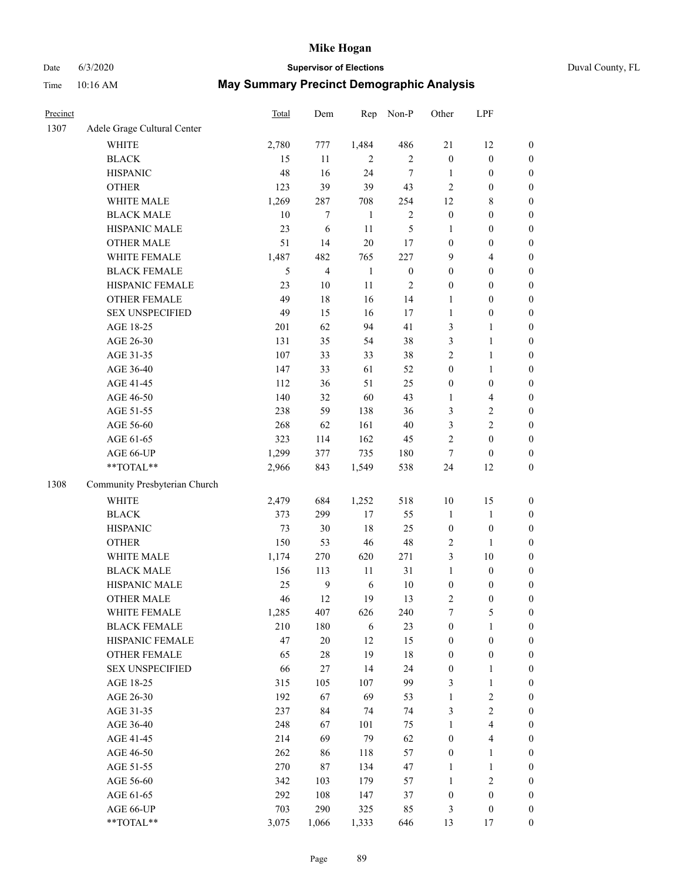# Date 6/3/2020 **Supervisor of Elections** Duval County, FL

| Precinct |                               | <b>Total</b> | Dem            | Rep            | Non-P            | Other                            | LPF                              |                  |
|----------|-------------------------------|--------------|----------------|----------------|------------------|----------------------------------|----------------------------------|------------------|
| 1307     | Adele Grage Cultural Center   |              |                |                |                  |                                  |                                  |                  |
|          | <b>WHITE</b>                  | 2,780        | 777            | 1,484          | 486              | 21                               | 12                               | 0                |
|          | <b>BLACK</b>                  | 15           | 11             | $\overline{2}$ | $\overline{2}$   | $\boldsymbol{0}$                 | $\boldsymbol{0}$                 | $\boldsymbol{0}$ |
|          | <b>HISPANIC</b>               | 48           | 16             | 24             | $\tau$           | $\mathbf{1}$                     | $\boldsymbol{0}$                 | $\boldsymbol{0}$ |
|          | <b>OTHER</b>                  | 123          | 39             | 39             | 43               | $\mathbf{2}$                     | $\boldsymbol{0}$                 | $\boldsymbol{0}$ |
|          | WHITE MALE                    | 1,269        | 287            | 708            | 254              | 12                               | $\,$ 8 $\,$                      | $\boldsymbol{0}$ |
|          | <b>BLACK MALE</b>             | 10           | $\tau$         | $\mathbf{1}$   | $\sqrt{2}$       | $\boldsymbol{0}$                 | $\boldsymbol{0}$                 | $\boldsymbol{0}$ |
|          | HISPANIC MALE                 | 23           | 6              | 11             | 5                | 1                                | $\boldsymbol{0}$                 | $\boldsymbol{0}$ |
|          | <b>OTHER MALE</b>             | 51           | 14             | $20\,$         | 17               | $\boldsymbol{0}$                 | $\boldsymbol{0}$                 | $\boldsymbol{0}$ |
|          | WHITE FEMALE                  | 1,487        | 482            | 765            | 227              | 9                                | $\overline{4}$                   | $\boldsymbol{0}$ |
|          | <b>BLACK FEMALE</b>           | 5            | $\overline{4}$ | $\mathbf{1}$   | $\boldsymbol{0}$ | $\boldsymbol{0}$                 | $\boldsymbol{0}$                 | $\boldsymbol{0}$ |
|          | HISPANIC FEMALE               | 23           | $10\,$         | 11             | $\sqrt{2}$       | $\boldsymbol{0}$                 | $\boldsymbol{0}$                 | $\boldsymbol{0}$ |
|          | <b>OTHER FEMALE</b>           | 49           | 18             | 16             | 14               | 1                                | $\boldsymbol{0}$                 | $\boldsymbol{0}$ |
|          | <b>SEX UNSPECIFIED</b>        | 49           | 15             | 16             | 17               | $\mathbf{1}$                     | $\boldsymbol{0}$                 | $\boldsymbol{0}$ |
|          | AGE 18-25                     | 201          | 62             | 94             | 41               | 3                                | 1                                | $\boldsymbol{0}$ |
|          | AGE 26-30                     | 131          | 35             | 54             | 38               | 3                                | $\mathbf{1}$                     | $\boldsymbol{0}$ |
|          | AGE 31-35                     | 107          | 33             | 33             | 38               | $\overline{c}$                   | $\mathbf{1}$                     | $\boldsymbol{0}$ |
|          | AGE 36-40                     | 147          | 33             | 61             | 52               | $\boldsymbol{0}$                 | $\mathbf{1}$                     | $\boldsymbol{0}$ |
|          | AGE 41-45                     | 112          | 36             | 51             | 25               | $\boldsymbol{0}$                 | $\boldsymbol{0}$                 | $\boldsymbol{0}$ |
|          | AGE 46-50                     | 140          | 32             | 60             | 43               | $\mathbf{1}$                     | $\overline{4}$                   | $\boldsymbol{0}$ |
|          | AGE 51-55                     | 238          | 59             | 138            | 36               | 3                                | $\sqrt{2}$                       | $\boldsymbol{0}$ |
|          | AGE 56-60                     | 268          | 62             | 161            | 40               | 3                                | $\sqrt{2}$                       | 0                |
|          | AGE 61-65                     | 323          | 114            | 162            | 45               | 2                                | $\boldsymbol{0}$                 | $\boldsymbol{0}$ |
|          | AGE 66-UP                     | 1,299        | 377            | 735            | 180              | $\tau$                           | $\boldsymbol{0}$                 | $\boldsymbol{0}$ |
|          | **TOTAL**                     | 2,966        | 843            | 1,549          | 538              | 24                               | 12                               | $\boldsymbol{0}$ |
| 1308     | Community Presbyterian Church |              |                |                |                  |                                  |                                  |                  |
|          |                               |              |                |                |                  |                                  |                                  |                  |
|          | <b>WHITE</b>                  | 2,479        | 684            | 1,252          | 518              | $10\,$                           | 15                               | $\boldsymbol{0}$ |
|          | <b>BLACK</b>                  | 373          | 299            | $17\,$         | 55               | $\mathbf{1}$                     | $\mathbf{1}$                     | $\boldsymbol{0}$ |
|          | <b>HISPANIC</b>               | 73           | $30\,$         | 18             | 25               | $\boldsymbol{0}$                 | $\boldsymbol{0}$                 | $\boldsymbol{0}$ |
|          | <b>OTHER</b>                  | 150          | 53             | 46             | $48\,$           | 2                                | $\mathbf{1}$                     | $\boldsymbol{0}$ |
|          | WHITE MALE                    | 1,174        | 270            | 620            | 271              | 3                                | 10                               | $\boldsymbol{0}$ |
|          | <b>BLACK MALE</b>             | 156          | 113            | 11             | 31               | $\mathbf{1}$                     | $\boldsymbol{0}$                 | $\boldsymbol{0}$ |
|          | HISPANIC MALE                 | 25           | $\overline{9}$ | 6              | $10\,$           | $\boldsymbol{0}$                 | $\boldsymbol{0}$                 | $\boldsymbol{0}$ |
|          | <b>OTHER MALE</b>             | 46           | 12             | 19             | 13               | 2                                | $\boldsymbol{0}$                 | $\boldsymbol{0}$ |
|          | WHITE FEMALE                  | 1,285        | 407            | 626            | 240              | 7                                | 5                                | 0                |
|          | <b>BLACK FEMALE</b>           | 210          | 180            | 6              | 23               | $\boldsymbol{0}$                 | $\mathbf{1}$                     | 0                |
|          | HISPANIC FEMALE               | 47           | $20\,$         | 12             | 15               | $\boldsymbol{0}$                 | $\boldsymbol{0}$                 | 0                |
|          | <b>OTHER FEMALE</b>           | 65           | $28\,$         | 19             | 18               | $\boldsymbol{0}$                 | $\boldsymbol{0}$                 | 0                |
|          | <b>SEX UNSPECIFIED</b>        | 66           | 27             | 14             | 24               | $\boldsymbol{0}$                 | $\mathbf{1}$                     | 0                |
|          | AGE 18-25<br>AGE 26-30        | 315          | 105            | 107            | 99               | 3                                | $\mathbf{1}$                     | 0                |
|          |                               | 192<br>237   | 67<br>84       | 69<br>74       | 53               | $\mathbf{1}$                     | $\sqrt{2}$<br>$\sqrt{2}$         | 0<br>0           |
|          | AGE 31-35                     |              |                |                | 74               | 3                                |                                  |                  |
|          | AGE 36-40                     | 248<br>214   | 67<br>69       | 101<br>79      | 75<br>62         | $\mathbf{1}$<br>$\boldsymbol{0}$ | $\overline{4}$<br>$\overline{4}$ | 0                |
|          | AGE 41-45                     |              |                |                |                  |                                  |                                  | 0                |
|          | AGE 46-50                     | 262          | 86             | 118            | 57               | $\boldsymbol{0}$                 | $\mathbf{1}$                     | 0                |
|          | AGE 51-55                     | 270          | 87             | 134            | 47               | 1                                | $\mathbf{1}$                     | 0                |
|          | AGE 56-60                     | 342          | 103            | 179            | 57               | 1                                | $\sqrt{2}$                       | 0                |
|          | AGE 61-65                     | 292          | 108            | 147            | 37               | $\boldsymbol{0}$                 | $\boldsymbol{0}$                 | 0                |
|          | AGE 66-UP                     | 703          | 290            | 325            | 85               | 3                                | $\boldsymbol{0}$                 | 0                |
|          | **TOTAL**                     | 3,075        | 1,066          | 1,333          | 646              | 13                               | 17                               | $\boldsymbol{0}$ |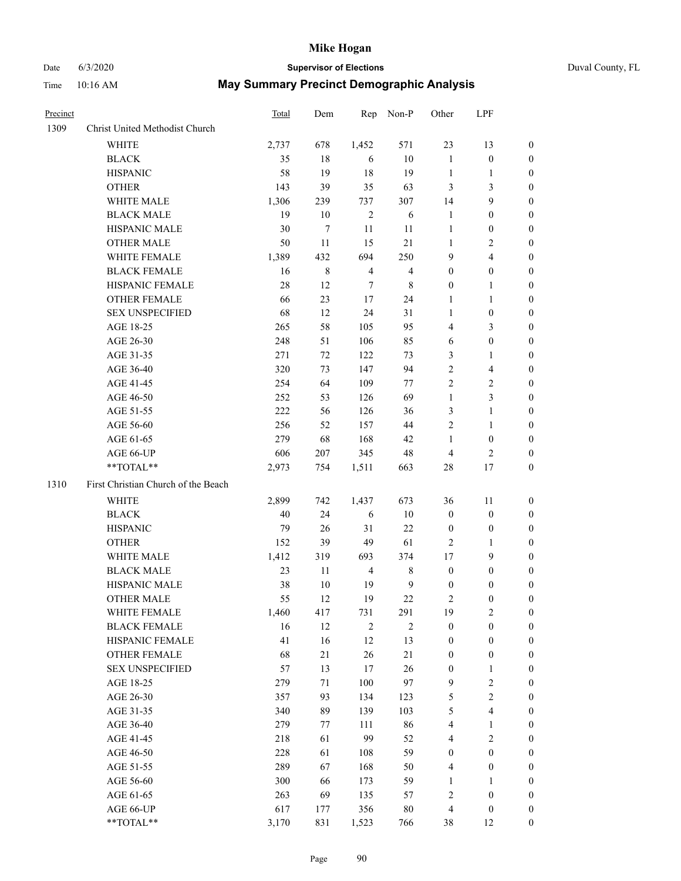# Date 6/3/2020 **Supervisor of Elections**

|  | Duval County, FL |  |
|--|------------------|--|
|--|------------------|--|

| Precinct |                                     | Total | Dem         | Rep                      | Non-P            | Other                   | LPF              |                  |
|----------|-------------------------------------|-------|-------------|--------------------------|------------------|-------------------------|------------------|------------------|
| 1309     | Christ United Methodist Church      |       |             |                          |                  |                         |                  |                  |
|          | <b>WHITE</b>                        | 2,737 | 678         | 1,452                    | 571              | 23                      | 13               | 0                |
|          | <b>BLACK</b>                        | 35    | 18          | 6                        | 10               | $\mathbf{1}$            | $\boldsymbol{0}$ | 0                |
|          | <b>HISPANIC</b>                     | 58    | 19          | 18                       | 19               | $\mathbf{1}$            | $\mathbf{1}$     | 0                |
|          | <b>OTHER</b>                        | 143   | 39          | 35                       | 63               | 3                       | $\mathfrak{Z}$   | $\boldsymbol{0}$ |
|          | WHITE MALE                          | 1,306 | 239         | 737                      | 307              | 14                      | 9                | $\boldsymbol{0}$ |
|          | <b>BLACK MALE</b>                   | 19    | 10          | $\sqrt{2}$               | 6                | $\mathbf{1}$            | $\boldsymbol{0}$ | $\boldsymbol{0}$ |
|          | HISPANIC MALE                       | 30    | 7           | 11                       | 11               | 1                       | $\boldsymbol{0}$ | $\boldsymbol{0}$ |
|          | <b>OTHER MALE</b>                   | 50    | 11          | 15                       | 21               | $\mathbf{1}$            | $\mathbf{2}$     | $\boldsymbol{0}$ |
|          | WHITE FEMALE                        | 1,389 | 432         | 694                      | 250              | 9                       | $\overline{4}$   | 0                |
|          | <b>BLACK FEMALE</b>                 | 16    | $\,$ 8 $\,$ | $\overline{\mathcal{L}}$ | $\overline{4}$   | $\boldsymbol{0}$        | $\boldsymbol{0}$ | 0                |
|          | HISPANIC FEMALE                     | 28    | 12          | 7                        | $\,$ 8 $\,$      | 0                       | 1                | 0                |
|          | OTHER FEMALE                        | 66    | 23          | $17\,$                   | 24               | $\mathbf{1}$            | $\mathbf{1}$     | 0                |
|          | <b>SEX UNSPECIFIED</b>              | 68    | 12          | 24                       | 31               | $\mathbf{1}$            | $\boldsymbol{0}$ | $\boldsymbol{0}$ |
|          | AGE 18-25                           | 265   | 58          | 105                      | 95               | 4                       | $\mathfrak{Z}$   | $\boldsymbol{0}$ |
|          | AGE 26-30                           | 248   | 51          | 106                      | 85               | 6                       | $\boldsymbol{0}$ | $\boldsymbol{0}$ |
|          | AGE 31-35                           | 271   | 72          | 122                      | 73               | 3                       | $\mathbf{1}$     | $\boldsymbol{0}$ |
|          | AGE 36-40                           | 320   | 73          | 147                      | 94               | $\overline{c}$          | $\overline{4}$   | $\boldsymbol{0}$ |
|          | AGE 41-45                           | 254   | 64          | 109                      | 77               | 2                       | $\mathbf{2}$     | 0                |
|          | AGE 46-50                           | 252   | 53          | 126                      | 69               | $\mathbf{1}$            | 3                | 0                |
|          | AGE 51-55                           | 222   | 56          | 126                      | 36               | 3                       | $\mathbf{1}$     | 0                |
|          | AGE 56-60                           | 256   | 52          | 157                      | 44               | 2                       | $\mathbf{1}$     | 0                |
|          | AGE 61-65                           | 279   | 68          | 168                      | 42               | $\mathbf{1}$            | $\boldsymbol{0}$ | 0                |
|          | AGE 66-UP                           | 606   | 207         | 345                      | 48               | 4                       | $\overline{2}$   | 0                |
|          | $**TOTAL**$                         | 2,973 | 754         | 1,511                    | 663              | 28                      | 17               | $\boldsymbol{0}$ |
| 1310     | First Christian Church of the Beach |       |             |                          |                  |                         |                  |                  |
|          | <b>WHITE</b>                        | 2,899 | 742         | 1,437                    | 673              | 36                      | 11               | $\boldsymbol{0}$ |
|          | <b>BLACK</b>                        | 40    | 24          | 6                        | 10               | $\boldsymbol{0}$        | $\boldsymbol{0}$ | $\boldsymbol{0}$ |
|          | <b>HISPANIC</b>                     | 79    | 26          | 31                       | 22               | $\boldsymbol{0}$        | $\boldsymbol{0}$ | $\boldsymbol{0}$ |
|          | <b>OTHER</b>                        | 152   | 39          | 49                       | 61               | 2                       | $\mathbf{1}$     | $\boldsymbol{0}$ |
|          | WHITE MALE                          | 1,412 | 319         | 693                      | 374              | 17                      | 9                | $\boldsymbol{0}$ |
|          | <b>BLACK MALE</b>                   | 23    | 11          | $\overline{4}$           | $\,$ $\,$        | $\boldsymbol{0}$        | $\boldsymbol{0}$ | $\boldsymbol{0}$ |
|          | HISPANIC MALE                       | 38    | 10          | 19                       | $\boldsymbol{9}$ | $\boldsymbol{0}$        | $\boldsymbol{0}$ | 0                |
|          | <b>OTHER MALE</b>                   | 55    | 12          | 19                       | 22               | 2                       | $\boldsymbol{0}$ | 0                |
|          | WHITE FEMALE                        | 1,460 | 417         | 731                      | 291              | 19                      | $\overline{c}$   | 0                |
|          | <b>BLACK FEMALE</b>                 | 16    | 12          | $\mathbf{2}$             | $\mathbf{2}$     | $\boldsymbol{0}$        | $\boldsymbol{0}$ | $\overline{0}$   |
|          | HISPANIC FEMALE                     | 41    | 16          | 12                       | 13               | 0                       | $\boldsymbol{0}$ | $\overline{0}$   |
|          | OTHER FEMALE                        | 68    | $21\,$      | 26                       | 21               | $\boldsymbol{0}$        | $\boldsymbol{0}$ | 0                |
|          | <b>SEX UNSPECIFIED</b>              | 57    | 13          | 17                       | 26               | $\boldsymbol{0}$        | $\mathbf{1}$     | 0                |
|          | AGE 18-25                           | 279   | 71          | 100                      | 97               | 9                       | $\sqrt{2}$       | 0                |
|          | AGE 26-30                           | 357   | 93          | 134                      | 123              | 5                       | $\overline{c}$   | 0                |
|          | AGE 31-35                           | 340   | 89          | 139                      | 103              | 5                       | $\overline{4}$   | 0                |
|          | AGE 36-40                           | 279   | 77          | 111                      | 86               | 4                       | $\mathbf{1}$     | 0                |
|          | AGE 41-45                           | 218   | 61          | 99                       | 52               | 4                       | $\mathbf{2}$     | 0                |
|          | AGE 46-50                           | 228   | 61          | 108                      | 59               | 0                       | $\boldsymbol{0}$ | 0                |
|          | AGE 51-55                           | 289   | 67          | 168                      | 50               | 4                       | $\boldsymbol{0}$ | 0                |
|          | AGE 56-60                           | 300   | 66          | 173                      | 59               | 1                       | 1                | 0                |
|          | AGE 61-65                           | 263   | 69          | 135                      | 57               | $\overline{\mathbf{c}}$ | $\boldsymbol{0}$ | 0                |
|          | AGE 66-UP                           | 617   | 177         | 356                      | 80               | 4                       | $\boldsymbol{0}$ | 0                |
|          | **TOTAL**                           | 3,170 | 831         | 1,523                    | 766              | 38                      | 12               | $\boldsymbol{0}$ |
|          |                                     |       |             |                          |                  |                         |                  |                  |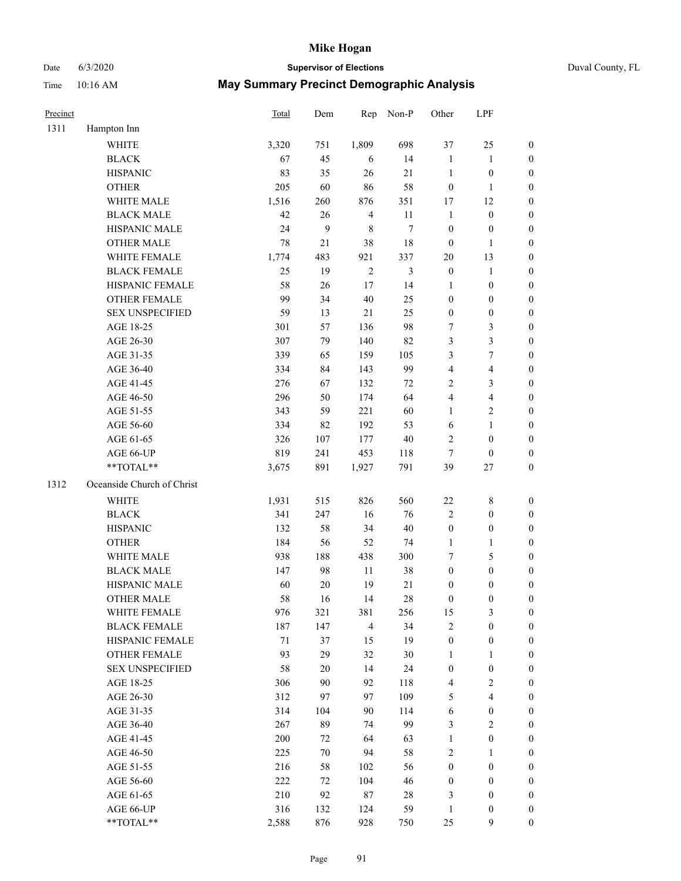Date 6/3/2020 **Supervisor of Elections** Duval County, FL

| Precinct |                            | Total | Dem    | Rep            | Non-P          | Other            | LPF                     |                  |
|----------|----------------------------|-------|--------|----------------|----------------|------------------|-------------------------|------------------|
| 1311     | Hampton Inn                |       |        |                |                |                  |                         |                  |
|          | WHITE                      | 3,320 | 751    | 1,809          | 698            | 37               | 25                      | 0                |
|          | <b>BLACK</b>               | 67    | 45     | 6              | 14             | $\mathbf{1}$     | $\mathbf{1}$            | 0                |
|          | <b>HISPANIC</b>            | 83    | 35     | 26             | 21             | $\mathbf{1}$     | $\boldsymbol{0}$        | $\boldsymbol{0}$ |
|          | <b>OTHER</b>               | 205   | 60     | 86             | 58             | $\boldsymbol{0}$ | $\mathbf{1}$            | $\boldsymbol{0}$ |
|          | WHITE MALE                 | 1,516 | 260    | 876            | 351            | 17               | 12                      | $\boldsymbol{0}$ |
|          | <b>BLACK MALE</b>          | 42    | 26     | $\overline{4}$ | 11             | $\mathbf{1}$     | $\boldsymbol{0}$        | $\boldsymbol{0}$ |
|          | HISPANIC MALE              | 24    | 9      | $\,$ 8 $\,$    | $\tau$         | $\boldsymbol{0}$ | $\boldsymbol{0}$        | $\boldsymbol{0}$ |
|          | <b>OTHER MALE</b>          | 78    | $21\,$ | 38             | $18\,$         | $\boldsymbol{0}$ | $\mathbf{1}$            | $\boldsymbol{0}$ |
|          | WHITE FEMALE               | 1,774 | 483    | 921            | 337            | 20               | 13                      | $\boldsymbol{0}$ |
|          | <b>BLACK FEMALE</b>        | 25    | 19     | $\sqrt{2}$     | $\mathfrak{Z}$ | $\boldsymbol{0}$ | $\mathbf{1}$            | 0                |
|          | HISPANIC FEMALE            | 58    | 26     | 17             | 14             | 1                | $\boldsymbol{0}$        | 0                |
|          | <b>OTHER FEMALE</b>        | 99    | 34     | 40             | 25             | $\boldsymbol{0}$ | $\boldsymbol{0}$        | 0                |
|          | <b>SEX UNSPECIFIED</b>     | 59    | 13     | $21\,$         | 25             | $\boldsymbol{0}$ | $\boldsymbol{0}$        | $\boldsymbol{0}$ |
|          | AGE 18-25                  | 301   | 57     | 136            | 98             | 7                | $\mathfrak{Z}$          | $\boldsymbol{0}$ |
|          | AGE 26-30                  | 307   | 79     | 140            | 82             | 3                | $\mathfrak{Z}$          | $\boldsymbol{0}$ |
|          | AGE 31-35                  | 339   | 65     | 159            | 105            | 3                | $\boldsymbol{7}$        | $\boldsymbol{0}$ |
|          | AGE 36-40                  | 334   | 84     | 143            | 99             | 4                | $\overline{\mathbf{4}}$ | $\boldsymbol{0}$ |
|          | AGE 41-45                  | 276   | 67     | 132            | 72             | 2                | $\mathfrak{Z}$          | $\boldsymbol{0}$ |
|          | AGE 46-50                  | 296   | 50     | 174            | 64             | 4                | $\overline{\mathbf{4}}$ | $\boldsymbol{0}$ |
|          | AGE 51-55                  | 343   | 59     | 221            | 60             | $\mathbf{1}$     | $\sqrt{2}$              | 0                |
|          | AGE 56-60                  | 334   | 82     | 192            | 53             | 6                | $\mathbf{1}$            | 0                |
|          | AGE 61-65                  | 326   | 107    | 177            | $40\,$         | $\mathfrak{2}$   | $\boldsymbol{0}$        | 0                |
|          | AGE 66-UP                  | 819   | 241    | 453            | 118            | $\tau$           | $\boldsymbol{0}$        | $\boldsymbol{0}$ |
|          | **TOTAL**                  | 3,675 | 891    | 1,927          | 791            | 39               | $27\,$                  | $\boldsymbol{0}$ |
| 1312     | Oceanside Church of Christ |       |        |                |                |                  |                         |                  |
|          | <b>WHITE</b>               | 1,931 | 515    | 826            | 560            | $22\,$           | $\,$ 8 $\,$             | $\boldsymbol{0}$ |
|          | <b>BLACK</b>               | 341   | 247    | 16             | 76             | 2                | $\boldsymbol{0}$        | $\boldsymbol{0}$ |
|          | <b>HISPANIC</b>            | 132   | 58     | 34             | 40             | $\boldsymbol{0}$ | $\boldsymbol{0}$        | $\boldsymbol{0}$ |
|          | <b>OTHER</b>               | 184   | 56     | 52             | 74             | $\mathbf{1}$     | $\mathbf{1}$            | $\boldsymbol{0}$ |
|          | WHITE MALE                 | 938   | 188    | 438            | 300            | 7                | $\mathfrak{S}$          | $\boldsymbol{0}$ |
|          | <b>BLACK MALE</b>          | 147   | 98     | $11\,$         | 38             | $\boldsymbol{0}$ | $\boldsymbol{0}$        | $\boldsymbol{0}$ |
|          | HISPANIC MALE              | 60    | $20\,$ | 19             | 21             | $\boldsymbol{0}$ | $\boldsymbol{0}$        | 0                |
|          | <b>OTHER MALE</b>          | 58    | 16     | 14             | 28             | $\boldsymbol{0}$ | $\boldsymbol{0}$        | $\boldsymbol{0}$ |
|          | WHITE FEMALE               | 976   | 321    | 381            | 256            | 15               | 3                       | 0                |
|          | <b>BLACK FEMALE</b>        | 187   | 147    | $\overline{4}$ | 34             | 2                | $\boldsymbol{0}$        | $\boldsymbol{0}$ |
|          | HISPANIC FEMALE            | 71    | 37     | 15             | 19             | $\boldsymbol{0}$ | $\boldsymbol{0}$        | $\overline{0}$   |
|          | OTHER FEMALE               | 93    | 29     | 32             | 30             | $\mathbf{1}$     | $\mathbf{1}$            | $\overline{0}$   |
|          | <b>SEX UNSPECIFIED</b>     | 58    | 20     | 14             | 24             | $\boldsymbol{0}$ | $\boldsymbol{0}$        | 0                |
|          | AGE 18-25                  | 306   | 90     | 92             | 118            | 4                | $\sqrt{2}$              | $\theta$         |
|          | AGE 26-30                  | 312   | 97     | 97             | 109            | 5                | $\overline{\mathbf{4}}$ | 0                |
|          | AGE 31-35                  | 314   | 104    | 90             | 114            | 6                | $\boldsymbol{0}$        | 0                |
|          | AGE 36-40                  | 267   | 89     | 74             | 99             | 3                | $\sqrt{2}$              | 0                |
|          | AGE 41-45                  | 200   | 72     | 64             | 63             | $\mathbf{1}$     | $\boldsymbol{0}$        | 0                |
|          | AGE 46-50                  | 225   | 70     | 94             | 58             | 2                | $\mathbf{1}$            | 0                |
|          | AGE 51-55                  | 216   | 58     | 102            | 56             | $\boldsymbol{0}$ | $\boldsymbol{0}$        | $\overline{0}$   |
|          | AGE 56-60                  | 222   | 72     | 104            | 46             | $\boldsymbol{0}$ | $\boldsymbol{0}$        | $\overline{0}$   |
|          | AGE 61-65                  | 210   | 92     | 87             | 28             | 3                | $\boldsymbol{0}$        | $\overline{0}$   |
|          | AGE 66-UP                  | 316   | 132    | 124            | 59             | $\mathbf{1}$     | $\boldsymbol{0}$        | 0                |
|          | **TOTAL**                  | 2,588 | 876    | 928            | 750            | 25               | $\mathbf{9}$            | $\boldsymbol{0}$ |
|          |                            |       |        |                |                |                  |                         |                  |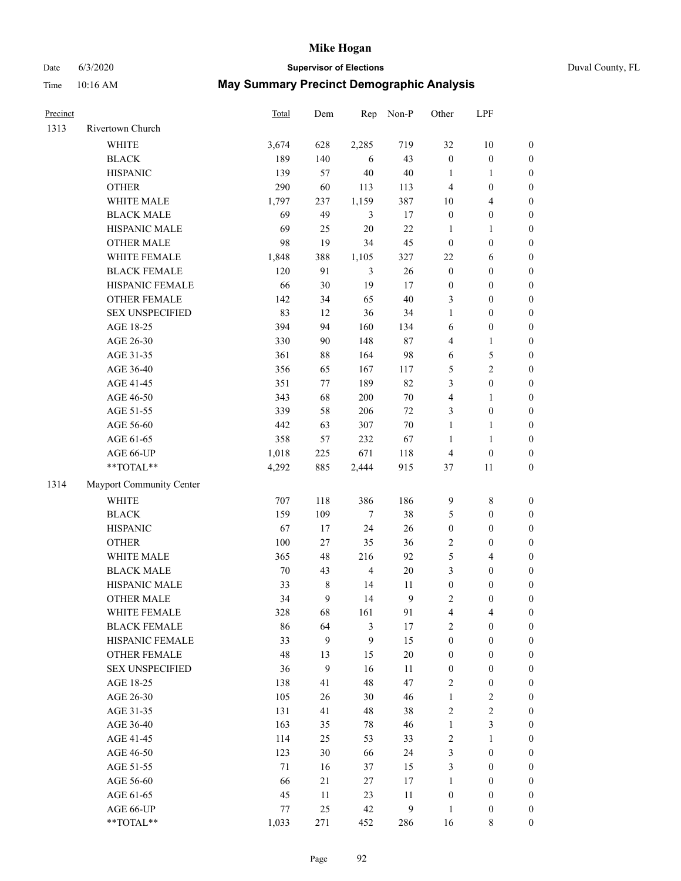## Date 6/3/2020 **Supervisor of Elections** Duval County, FL

| Precinct |                          | Total  | Dem   | Rep            | Non-P            | Other            | LPF              |                  |
|----------|--------------------------|--------|-------|----------------|------------------|------------------|------------------|------------------|
| 1313     | Rivertown Church         |        |       |                |                  |                  |                  |                  |
|          | <b>WHITE</b>             | 3,674  | 628   | 2,285          | 719              | 32               | $10\,$           | 0                |
|          | <b>BLACK</b>             | 189    | 140   | 6              | 43               | $\boldsymbol{0}$ | $\boldsymbol{0}$ | $\boldsymbol{0}$ |
|          | <b>HISPANIC</b>          | 139    | 57    | 40             | $40\,$           | $\mathbf{1}$     | 1                | $\boldsymbol{0}$ |
|          | <b>OTHER</b>             | 290    | 60    | 113            | 113              | 4                | $\boldsymbol{0}$ | $\boldsymbol{0}$ |
|          | WHITE MALE               | 1,797  | 237   | 1,159          | 387              | 10               | $\overline{4}$   | $\boldsymbol{0}$ |
|          | <b>BLACK MALE</b>        | 69     | 49    | 3              | 17               | $\boldsymbol{0}$ | $\boldsymbol{0}$ | $\boldsymbol{0}$ |
|          | HISPANIC MALE            | 69     | 25    | 20             | 22               | $\mathbf{1}$     | $\mathbf{1}$     | $\boldsymbol{0}$ |
|          | <b>OTHER MALE</b>        | 98     | 19    | 34             | 45               | $\boldsymbol{0}$ | $\boldsymbol{0}$ | $\boldsymbol{0}$ |
|          | WHITE FEMALE             | 1,848  | 388   | 1,105          | 327              | $22\,$           | 6                | $\boldsymbol{0}$ |
|          | <b>BLACK FEMALE</b>      | 120    | 91    | 3              | 26               | $\boldsymbol{0}$ | $\boldsymbol{0}$ | $\boldsymbol{0}$ |
|          | HISPANIC FEMALE          | 66     | 30    | 19             | 17               | $\boldsymbol{0}$ | $\boldsymbol{0}$ | 0                |
|          | <b>OTHER FEMALE</b>      | 142    | 34    | 65             | $40\,$           | 3                | $\boldsymbol{0}$ | $\boldsymbol{0}$ |
|          | <b>SEX UNSPECIFIED</b>   | 83     | 12    | 36             | 34               | $\mathbf{1}$     | $\boldsymbol{0}$ | $\boldsymbol{0}$ |
|          | AGE 18-25                | 394    | 94    | 160            | 134              | 6                | $\boldsymbol{0}$ | $\boldsymbol{0}$ |
|          | AGE 26-30                | 330    | 90    | 148            | $87\,$           | 4                | $\mathbf{1}$     | $\boldsymbol{0}$ |
|          | AGE 31-35                | 361    | 88    | 164            | 98               | 6                | $\mathfrak{S}$   | $\boldsymbol{0}$ |
|          | AGE 36-40                | 356    | 65    | 167            | 117              | 5                | $\overline{c}$   | $\boldsymbol{0}$ |
|          | AGE 41-45                | 351    | 77    | 189            | 82               | 3                | $\boldsymbol{0}$ | $\boldsymbol{0}$ |
|          | AGE 46-50                | 343    | 68    | $200\,$        | $70\,$           | 4                | $\mathbf{1}$     | $\boldsymbol{0}$ |
|          | AGE 51-55                | 339    | 58    | 206            | $72\,$           | 3                | $\boldsymbol{0}$ | 0                |
|          | AGE 56-60                | 442    | 63    | 307            | $70\,$           | $\mathbf{1}$     | $\mathbf{1}$     | 0                |
|          | AGE 61-65                | 358    | 57    | 232            | 67               | $\mathbf{1}$     | $\mathbf{1}$     | 0                |
|          | AGE 66-UP                | 1,018  | 225   | 671            | 118              | $\overline{4}$   | $\boldsymbol{0}$ | $\boldsymbol{0}$ |
|          | **TOTAL**                | 4,292  | 885   | 2,444          | 915              | 37               | 11               | $\boldsymbol{0}$ |
| 1314     | Mayport Community Center |        |       |                |                  |                  |                  |                  |
|          | WHITE                    | 707    | 118   | 386            | 186              | $\mathbf{9}$     | $8\,$            | $\boldsymbol{0}$ |
|          | <b>BLACK</b>             | 159    | 109   | $\tau$         | 38               | 5                | $\boldsymbol{0}$ | $\boldsymbol{0}$ |
|          | <b>HISPANIC</b>          | 67     | 17    | 24             | 26               | $\boldsymbol{0}$ | $\boldsymbol{0}$ | $\boldsymbol{0}$ |
|          | <b>OTHER</b>             | 100    | 27    | 35             | 36               | 2                | $\boldsymbol{0}$ | $\boldsymbol{0}$ |
|          | WHITE MALE               | 365    | 48    | 216            | 92               | 5                | $\overline{4}$   | $\boldsymbol{0}$ |
|          | <b>BLACK MALE</b>        | $70\,$ | 43    | $\overline{4}$ | $20\,$           | 3                | $\boldsymbol{0}$ | $\boldsymbol{0}$ |
|          | HISPANIC MALE            | 33     | $8\,$ | 14             | 11               | $\boldsymbol{0}$ | $\boldsymbol{0}$ | $\boldsymbol{0}$ |
|          | OTHER MALE               | 34     | 9     | 14             | 9                | 2                | $\boldsymbol{0}$ | $\boldsymbol{0}$ |
|          | WHITE FEMALE             | 328    | 68    | 161            | 91               | 4                | 4                | 0                |
|          | <b>BLACK FEMALE</b>      | 86     | 64    | 3              | 17               | $\overline{c}$   | $\boldsymbol{0}$ | $\overline{0}$   |
|          | HISPANIC FEMALE          | 33     | 9     | 9              | 15               | $\boldsymbol{0}$ | $\boldsymbol{0}$ | $\overline{0}$   |
|          | OTHER FEMALE             | 48     | 13    | 15             | $20\,$           | $\boldsymbol{0}$ | $\boldsymbol{0}$ | $\overline{0}$   |
|          | <b>SEX UNSPECIFIED</b>   | 36     | 9     | 16             | 11               | $\boldsymbol{0}$ | $\boldsymbol{0}$ | 0                |
|          | AGE 18-25                | 138    | 41    | 48             | 47               | 2                | $\boldsymbol{0}$ | 0                |
|          | AGE 26-30                | 105    | 26    | 30             | 46               | $\mathbf{1}$     | $\sqrt{2}$       | 0                |
|          | AGE 31-35                | 131    | 41    | 48             | 38               | $\overline{c}$   | $\sqrt{2}$       | 0                |
|          | AGE 36-40                | 163    | 35    | 78             | 46               | $\mathbf{1}$     | $\mathfrak{Z}$   | 0                |
|          | AGE 41-45                | 114    | 25    | 53             | 33               | 2                | $\mathbf{1}$     | 0                |
|          | AGE 46-50                | 123    | 30    | 66             | 24               | 3                | $\boldsymbol{0}$ | 0                |
|          | AGE 51-55                | 71     | 16    | 37             | 15               | 3                | $\boldsymbol{0}$ | 0                |
|          | AGE 56-60                | 66     | 21    | 27             | 17               | 1                | $\boldsymbol{0}$ | 0                |
|          | AGE 61-65                | 45     | 11    | 23             | 11               | $\boldsymbol{0}$ | $\boldsymbol{0}$ | 0                |
|          | AGE 66-UP                | 77     | 25    | 42             | $\boldsymbol{9}$ | $\mathbf{1}$     | $\boldsymbol{0}$ | 0                |
|          | **TOTAL**                | 1,033  | 271   | 452            | 286              | 16               | $\,$ 8 $\,$      | $\boldsymbol{0}$ |
|          |                          |        |       |                |                  |                  |                  |                  |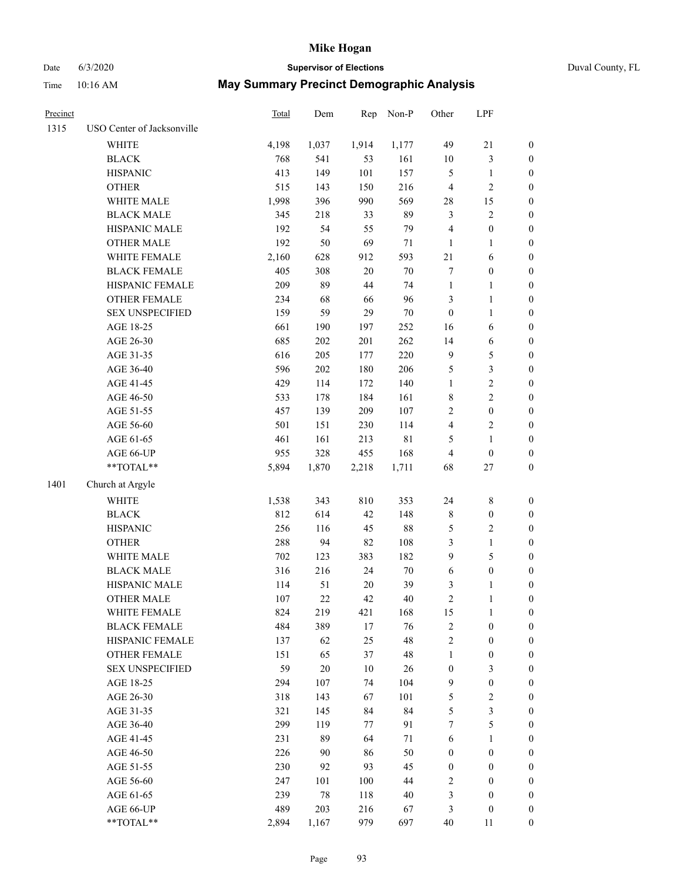Date 6/3/2020 **Supervisor of Elections** Duval County, FL

| Precinct |                            | Total | Dem    | Rep    | Non-P       | Other            | LPF              |                  |
|----------|----------------------------|-------|--------|--------|-------------|------------------|------------------|------------------|
| 1315     | USO Center of Jacksonville |       |        |        |             |                  |                  |                  |
|          | WHITE                      | 4,198 | 1,037  | 1,914  | 1,177       | 49               | $21\,$           | $\boldsymbol{0}$ |
|          | <b>BLACK</b>               | 768   | 541    | 53     | 161         | 10               | $\mathfrak{Z}$   | $\boldsymbol{0}$ |
|          | <b>HISPANIC</b>            | 413   | 149    | 101    | 157         | 5                | $\mathbf{1}$     | $\boldsymbol{0}$ |
|          | <b>OTHER</b>               | 515   | 143    | 150    | 216         | $\overline{4}$   | $\sqrt{2}$       | $\boldsymbol{0}$ |
|          | WHITE MALE                 | 1,998 | 396    | 990    | 569         | 28               | 15               | $\boldsymbol{0}$ |
|          | <b>BLACK MALE</b>          | 345   | 218    | 33     | 89          | 3                | $\sqrt{2}$       | $\boldsymbol{0}$ |
|          | HISPANIC MALE              | 192   | 54     | 55     | 79          | $\overline{4}$   | $\boldsymbol{0}$ | $\boldsymbol{0}$ |
|          | <b>OTHER MALE</b>          | 192   | 50     | 69     | 71          | $\mathbf{1}$     | $\mathbf{1}$     | $\boldsymbol{0}$ |
|          | WHITE FEMALE               | 2,160 | 628    | 912    | 593         | $21\,$           | 6                | 0                |
|          | <b>BLACK FEMALE</b>        | 405   | 308    | $20\,$ | $70\,$      | 7                | $\boldsymbol{0}$ | 0                |
|          | HISPANIC FEMALE            | 209   | 89     | 44     | 74          | $\mathbf{1}$     | $\mathbf{1}$     | $\boldsymbol{0}$ |
|          | OTHER FEMALE               | 234   | 68     | 66     | 96          | 3                | $\mathbf{1}$     | $\boldsymbol{0}$ |
|          | <b>SEX UNSPECIFIED</b>     | 159   | 59     | 29     | $70\,$      | $\boldsymbol{0}$ | $\mathbf{1}$     | $\boldsymbol{0}$ |
|          | AGE 18-25                  | 661   | 190    | 197    | 252         | 16               | 6                | $\boldsymbol{0}$ |
|          | AGE 26-30                  | 685   | 202    | 201    | 262         | 14               | 6                | $\boldsymbol{0}$ |
|          | AGE 31-35                  | 616   | 205    | 177    | 220         | $\overline{9}$   | $\mathfrak{S}$   | $\boldsymbol{0}$ |
|          | AGE 36-40                  | 596   | 202    | 180    | 206         | 5                | $\mathfrak{Z}$   | $\boldsymbol{0}$ |
|          | AGE 41-45                  | 429   | 114    | 172    | 140         | $\mathbf{1}$     | $\sqrt{2}$       | $\boldsymbol{0}$ |
|          | AGE 46-50                  | 533   | 178    | 184    | 161         | 8                | $\sqrt{2}$       | $\boldsymbol{0}$ |
|          | AGE 51-55                  | 457   | 139    | 209    | 107         | 2                | $\boldsymbol{0}$ | 0                |
|          | AGE 56-60                  | 501   | 151    | 230    | 114         | 4                | $\sqrt{2}$       | $\boldsymbol{0}$ |
|          | AGE 61-65                  | 461   | 161    | 213    | $8\sqrt{1}$ | 5                | $\mathbf{1}$     | $\boldsymbol{0}$ |
|          | AGE 66-UP                  | 955   | 328    | 455    | 168         | 4                | $\boldsymbol{0}$ | $\boldsymbol{0}$ |
|          | $**TOTAL**$                | 5,894 | 1,870  | 2,218  | 1,711       | 68               | $27\,$           | $\boldsymbol{0}$ |
| 1401     | Church at Argyle           |       |        |        |             |                  |                  |                  |
|          | <b>WHITE</b>               | 1,538 | 343    | 810    | 353         | 24               | $\,$ 8 $\,$      | $\boldsymbol{0}$ |
|          | <b>BLACK</b>               | 812   | 614    | 42     | 148         | $\,$ $\,$        | $\boldsymbol{0}$ | $\boldsymbol{0}$ |
|          | <b>HISPANIC</b>            | 256   | 116    | 45     | $88\,$      | 5                | $\sqrt{2}$       | $\boldsymbol{0}$ |
|          | <b>OTHER</b>               | 288   | 94     | 82     | 108         | 3                | $\mathbf{1}$     | $\boldsymbol{0}$ |
|          | WHITE MALE                 | 702   | 123    | 383    | 182         | $\boldsymbol{9}$ | $\mathfrak s$    | $\boldsymbol{0}$ |
|          | <b>BLACK MALE</b>          | 316   | 216    | 24     | $70\,$      | 6                | $\boldsymbol{0}$ | $\boldsymbol{0}$ |
|          | HISPANIC MALE              | 114   | 51     | 20     | 39          | 3                | $\mathbf{1}$     | 0                |
|          | <b>OTHER MALE</b>          | 107   | 22     | 42     | 40          | $\mathfrak{2}$   | $\mathbf{1}$     | $\boldsymbol{0}$ |
|          | WHITE FEMALE               | 824   | 219    | 421    | 168         | 15               | $\mathbf{1}$     | $\boldsymbol{0}$ |
|          | <b>BLACK FEMALE</b>        | 484   | 389    | 17     | 76          | $\sqrt{2}$       | $\boldsymbol{0}$ | $\overline{0}$   |
|          | HISPANIC FEMALE            | 137   | 62     | 25     | 48          | $\sqrt{2}$       | $\boldsymbol{0}$ | $\overline{0}$   |
|          | <b>OTHER FEMALE</b>        | 151   | 65     | 37     | 48          | $\mathbf{1}$     | $\boldsymbol{0}$ | $\overline{0}$   |
|          | <b>SEX UNSPECIFIED</b>     | 59    | $20\,$ | $10\,$ | 26          | $\boldsymbol{0}$ | $\mathfrak{Z}$   | $\overline{0}$   |
|          | AGE 18-25                  | 294   | 107    | 74     | 104         | 9                | $\boldsymbol{0}$ | 0                |
|          | AGE 26-30                  | 318   | 143    | 67     | 101         | 5                | $\sqrt{2}$       | 0                |
|          | AGE 31-35                  | 321   | 145    | 84     | 84          | 5                | $\mathfrak{Z}$   | 0                |
|          | AGE 36-40                  | 299   | 119    | 77     | 91          | 7                | $\mathfrak s$    | 0                |
|          | AGE 41-45                  | 231   | 89     | 64     | 71          | 6                | $\mathbf{1}$     | 0                |
|          | AGE 46-50                  | 226   | 90     | 86     | 50          | $\boldsymbol{0}$ | $\boldsymbol{0}$ | $\overline{0}$   |
|          | AGE 51-55                  | 230   | 92     | 93     | 45          | $\boldsymbol{0}$ | $\boldsymbol{0}$ | $\boldsymbol{0}$ |
|          | AGE 56-60                  | 247   | 101    | 100    | 44          | 2                | $\boldsymbol{0}$ | $\overline{0}$   |
|          | AGE 61-65                  | 239   | 78     | 118    | 40          | 3                | $\boldsymbol{0}$ | $\boldsymbol{0}$ |
|          | AGE 66-UP                  | 489   | 203    | 216    | 67          | 3                | $\boldsymbol{0}$ | $\boldsymbol{0}$ |
|          | **TOTAL**                  | 2,894 | 1,167  | 979    | 697         | $40\,$           | 11               | $\boldsymbol{0}$ |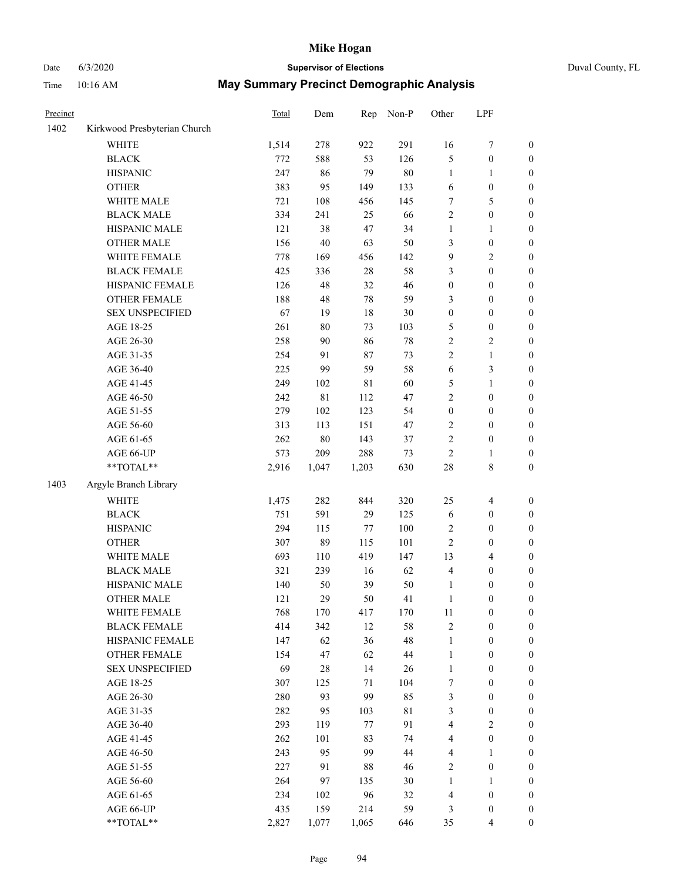# Date 6/3/2020 **Supervisor of Elections**

| Time | $10:16$ AM | <b>May Summary Precinct Demographic Analysis</b> |
|------|------------|--------------------------------------------------|
|      |            |                                                  |

| Precinct |                              | Total | Dem         | Rep         | Non-P  | Other            | LPF                     |                  |
|----------|------------------------------|-------|-------------|-------------|--------|------------------|-------------------------|------------------|
| 1402     | Kirkwood Presbyterian Church |       |             |             |        |                  |                         |                  |
|          | <b>WHITE</b>                 | 1,514 | 278         | 922         | 291    | 16               | $\boldsymbol{7}$        | 0                |
|          | <b>BLACK</b>                 | 772   | 588         | 53          | 126    | 5                | $\boldsymbol{0}$        | 0                |
|          | <b>HISPANIC</b>              | 247   | 86          | 79          | $80\,$ | $\mathbf{1}$     | $\mathbf{1}$            | $\boldsymbol{0}$ |
|          | <b>OTHER</b>                 | 383   | 95          | 149         | 133    | 6                | $\boldsymbol{0}$        | $\boldsymbol{0}$ |
|          | WHITE MALE                   | 721   | 108         | 456         | 145    | 7                | 5                       | $\boldsymbol{0}$ |
|          | <b>BLACK MALE</b>            | 334   | 241         | 25          | 66     | $\sqrt{2}$       | $\boldsymbol{0}$        | $\boldsymbol{0}$ |
|          | HISPANIC MALE                | 121   | 38          | 47          | 34     | $\mathbf{1}$     | $\mathbf{1}$            | $\boldsymbol{0}$ |
|          | <b>OTHER MALE</b>            | 156   | $40\,$      | 63          | 50     | 3                | $\boldsymbol{0}$        | $\boldsymbol{0}$ |
|          | WHITE FEMALE                 | 778   | 169         | 456         | 142    | 9                | $\overline{2}$          | $\boldsymbol{0}$ |
|          | <b>BLACK FEMALE</b>          | 425   | 336         | 28          | 58     | 3                | $\boldsymbol{0}$        | 0                |
|          | HISPANIC FEMALE              | 126   | 48          | 32          | 46     | $\boldsymbol{0}$ | $\boldsymbol{0}$        | 0                |
|          | OTHER FEMALE                 | 188   | 48          | 78          | 59     | 3                | $\boldsymbol{0}$        | $\boldsymbol{0}$ |
|          | <b>SEX UNSPECIFIED</b>       | 67    | 19          | 18          | 30     | $\boldsymbol{0}$ | $\boldsymbol{0}$        | $\boldsymbol{0}$ |
|          | AGE 18-25                    | 261   | $80\,$      | 73          | 103    | 5                | $\boldsymbol{0}$        | $\boldsymbol{0}$ |
|          | AGE 26-30                    | 258   | 90          | 86          | $78\,$ | 2                | $\sqrt{2}$              | $\boldsymbol{0}$ |
|          | AGE 31-35                    | 254   | 91          | 87          | 73     | $\overline{c}$   | $\mathbf{1}$            | $\boldsymbol{0}$ |
|          | AGE 36-40                    | 225   | 99          | 59          | 58     | 6                | $\mathfrak{Z}$          | $\boldsymbol{0}$ |
|          | AGE 41-45                    | 249   | 102         | $8\sqrt{1}$ | 60     | 5                | $\mathbf{1}$            | $\boldsymbol{0}$ |
|          | AGE 46-50                    | 242   | $8\sqrt{1}$ | 112         | 47     | $\overline{c}$   | $\boldsymbol{0}$        | $\boldsymbol{0}$ |
|          | AGE 51-55                    | 279   | 102         | 123         | 54     | $\boldsymbol{0}$ | $\boldsymbol{0}$        | 0                |
|          | AGE 56-60                    | 313   | 113         | 151         | 47     | $\sqrt{2}$       | $\boldsymbol{0}$        | 0                |
|          | AGE 61-65                    | 262   | $80\,$      | 143         | 37     | $\mathbf{2}$     | $\boldsymbol{0}$        | 0                |
|          | AGE 66-UP                    | 573   | 209         | 288         | 73     | $\sqrt{2}$       | $\mathbf{1}$            | $\boldsymbol{0}$ |
|          | **TOTAL**                    | 2,916 | 1,047       | 1,203       | 630    | 28               | $8\,$                   | $\boldsymbol{0}$ |
| 1403     | Argyle Branch Library        |       |             |             |        |                  |                         |                  |
|          | <b>WHITE</b>                 | 1,475 | 282         | 844         | 320    | 25               | $\overline{\mathbf{4}}$ | $\boldsymbol{0}$ |
|          | <b>BLACK</b>                 | 751   | 591         | 29          | 125    | 6                | $\boldsymbol{0}$        | $\boldsymbol{0}$ |
|          | <b>HISPANIC</b>              | 294   | 115         | 77          | 100    | 2                | $\boldsymbol{0}$        | $\boldsymbol{0}$ |
|          | <b>OTHER</b>                 | 307   | 89          | 115         | 101    | $\mathfrak{2}$   | $\boldsymbol{0}$        | $\boldsymbol{0}$ |
|          | WHITE MALE                   | 693   | 110         | 419         | 147    | 13               | $\overline{\mathbf{4}}$ | $\boldsymbol{0}$ |
|          | <b>BLACK MALE</b>            | 321   | 239         | 16          | 62     | 4                | $\boldsymbol{0}$        | $\boldsymbol{0}$ |
|          | HISPANIC MALE                | 140   | 50          | 39          | 50     | $\mathbf{1}$     | $\boldsymbol{0}$        | $\boldsymbol{0}$ |
|          | <b>OTHER MALE</b>            | 121   | 29          | 50          | 41     | $\mathbf{1}$     | $\boldsymbol{0}$        | $\boldsymbol{0}$ |
|          | WHITE FEMALE                 | 768   | 170         | 417         | 170    | 11               | $\boldsymbol{0}$        | 0                |
|          | <b>BLACK FEMALE</b>          | 414   | 342         | 12          | 58     | 2                | $\boldsymbol{0}$        | $\boldsymbol{0}$ |
|          | HISPANIC FEMALE              | 147   | 62          | 36          | 48     | $\mathbf{1}$     | $\boldsymbol{0}$        | $\overline{0}$   |
|          | OTHER FEMALE                 | 154   | 47          | 62          | 44     | $\mathbf{1}$     | $\boldsymbol{0}$        | $\overline{0}$   |
|          | <b>SEX UNSPECIFIED</b>       | 69    | $28\,$      | 14          | 26     | $\mathbf{1}$     | $\boldsymbol{0}$        | 0                |
|          | AGE 18-25                    | 307   | 125         | 71          | 104    | 7                | $\boldsymbol{0}$        | $\overline{0}$   |
|          | AGE 26-30                    | 280   | 93          | 99          | 85     | 3                | $\boldsymbol{0}$        | 0                |
|          | AGE 31-35                    | 282   | 95          | 103         | 81     | 3                | $\boldsymbol{0}$        | 0                |
|          | AGE 36-40                    | 293   | 119         | 77          | 91     | 4                | $\sqrt{2}$              | 0                |
|          | AGE 41-45                    | 262   | 101         | 83          | 74     | $\overline{4}$   | $\boldsymbol{0}$        | 0                |
|          | AGE 46-50                    | 243   | 95          | 99          | 44     | 4                | $\mathbf{1}$            | 0                |
|          | AGE 51-55                    | 227   | 91          | 88          | 46     | 2                | $\boldsymbol{0}$        | 0                |
|          | AGE 56-60                    | 264   | 97          | 135         | 30     | 1                | $\mathbf{1}$            | 0                |
|          | AGE 61-65                    | 234   | 102         | 96          | 32     | 4                | $\boldsymbol{0}$        | $\overline{0}$   |
|          | AGE 66-UP                    | 435   | 159         | 214         | 59     | 3                | $\boldsymbol{0}$        | 0                |
|          | **TOTAL**                    | 2,827 | 1,077       | 1,065       | 646    | 35               | $\overline{4}$          | $\boldsymbol{0}$ |
|          |                              |       |             |             |        |                  |                         |                  |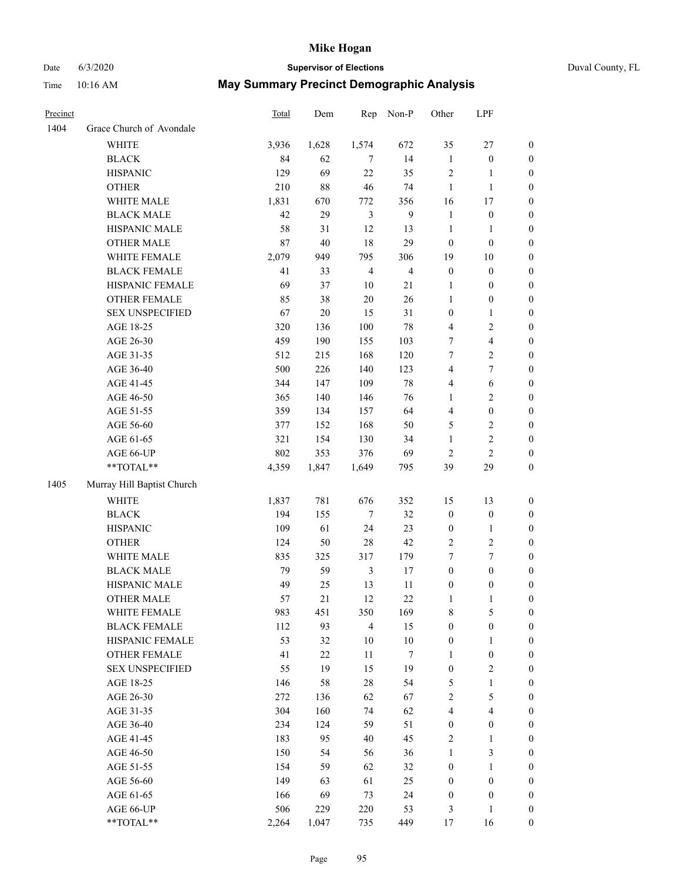### Date 6/3/2020 **Supervisor of Elections** Duval County, FL

| Precinct |                            | Total | Dem    | Rep            | Non-P          | Other                   | LPF                     |                  |
|----------|----------------------------|-------|--------|----------------|----------------|-------------------------|-------------------------|------------------|
| 1404     | Grace Church of Avondale   |       |        |                |                |                         |                         |                  |
|          | <b>WHITE</b>               | 3,936 | 1,628  | 1,574          | 672            | 35                      | $27\,$                  | $\boldsymbol{0}$ |
|          | <b>BLACK</b>               | 84    | 62     | 7              | 14             | $\mathbf{1}$            | $\boldsymbol{0}$        | $\boldsymbol{0}$ |
|          | <b>HISPANIC</b>            | 129   | 69     | 22             | 35             | 2                       | 1                       | $\boldsymbol{0}$ |
|          | <b>OTHER</b>               | 210   | $88\,$ | 46             | 74             | $\mathbf{1}$            | $\mathbf{1}$            | $\boldsymbol{0}$ |
|          | WHITE MALE                 | 1,831 | 670    | 772            | 356            | 16                      | $17\,$                  | $\boldsymbol{0}$ |
|          | <b>BLACK MALE</b>          | 42    | 29     | 3              | $\overline{9}$ | $\mathbf{1}$            | $\boldsymbol{0}$        | $\boldsymbol{0}$ |
|          | HISPANIC MALE              | 58    | 31     | 12             | 13             | $\mathbf{1}$            | $\mathbf{1}$            | $\boldsymbol{0}$ |
|          | OTHER MALE                 | 87    | 40     | 18             | 29             | $\boldsymbol{0}$        | $\boldsymbol{0}$        | $\boldsymbol{0}$ |
|          | WHITE FEMALE               | 2,079 | 949    | 795            | 306            | 19                      | $10\,$                  | 0                |
|          | <b>BLACK FEMALE</b>        | 41    | 33     | $\overline{4}$ | $\overline{4}$ | $\boldsymbol{0}$        | $\boldsymbol{0}$        | 0                |
|          | HISPANIC FEMALE            | 69    | 37     | $10\,$         | 21             | 1                       | $\boldsymbol{0}$        | $\boldsymbol{0}$ |
|          | OTHER FEMALE               | 85    | 38     | $20\,$         | 26             | $\mathbf{1}$            | $\boldsymbol{0}$        | $\boldsymbol{0}$ |
|          | <b>SEX UNSPECIFIED</b>     | 67    | $20\,$ | 15             | 31             | $\boldsymbol{0}$        | $\mathbf{1}$            | $\boldsymbol{0}$ |
|          | AGE 18-25                  | 320   | 136    | 100            | $78\,$         | 4                       | $\sqrt{2}$              | $\boldsymbol{0}$ |
|          | AGE 26-30                  | 459   | 190    | 155            | 103            | 7                       | $\overline{\mathbf{4}}$ | $\boldsymbol{0}$ |
|          | AGE 31-35                  | 512   | 215    | 168            | 120            | 7                       | $\sqrt{2}$              | $\boldsymbol{0}$ |
|          | AGE 36-40                  | 500   | 226    | 140            | 123            | $\overline{4}$          | $\tau$                  | $\boldsymbol{0}$ |
|          | AGE 41-45                  | 344   | 147    | 109            | $78\,$         | 4                       | $\sqrt{6}$              | $\boldsymbol{0}$ |
|          | AGE 46-50                  | 365   | 140    | 146            | 76             | $\mathbf{1}$            | $\sqrt{2}$              | $\boldsymbol{0}$ |
|          | AGE 51-55                  | 359   | 134    | 157            | 64             | $\overline{\mathbf{4}}$ | $\boldsymbol{0}$        | 0                |
|          | AGE 56-60                  | 377   | 152    | 168            | 50             | 5                       | $\sqrt{2}$              | 0                |
|          | AGE 61-65                  | 321   | 154    | 130            | 34             | $\mathbf{1}$            | $\overline{2}$          | $\boldsymbol{0}$ |
|          | AGE 66-UP                  | 802   | 353    | 376            | 69             | $\mathbf{2}$            | $\overline{c}$          | $\boldsymbol{0}$ |
|          | **TOTAL**                  | 4,359 | 1,847  | 1,649          | 795            | 39                      | 29                      | $\boldsymbol{0}$ |
| 1405     | Murray Hill Baptist Church |       |        |                |                |                         |                         |                  |
|          | <b>WHITE</b>               | 1,837 | 781    | 676            | 352            | 15                      | 13                      | $\boldsymbol{0}$ |
|          | <b>BLACK</b>               | 194   | 155    | $\tau$         | 32             | $\boldsymbol{0}$        | $\boldsymbol{0}$        | $\boldsymbol{0}$ |
|          | <b>HISPANIC</b>            | 109   | 61     | 24             | 23             | $\boldsymbol{0}$        | $\mathbf{1}$            | $\boldsymbol{0}$ |
|          | <b>OTHER</b>               | 124   | 50     | 28             | 42             | $\overline{c}$          | $\overline{2}$          | $\boldsymbol{0}$ |
|          | WHITE MALE                 | 835   | 325    | 317            | 179            | 7                       | 7                       | $\boldsymbol{0}$ |
|          | <b>BLACK MALE</b>          | 79    | 59     | $\mathfrak{Z}$ | 17             | $\boldsymbol{0}$        | $\boldsymbol{0}$        | $\boldsymbol{0}$ |
|          | HISPANIC MALE              | 49    | 25     | 13             | 11             | $\boldsymbol{0}$        | $\boldsymbol{0}$        | 0                |
|          | OTHER MALE                 | 57    | 21     | 12             | 22             | $\mathbf{1}$            | $\mathbf{1}$            | $\boldsymbol{0}$ |
|          | WHITE FEMALE               | 983   | 451    | 350            | 169            | 8                       | $\mathfrak{S}$          | $\boldsymbol{0}$ |
|          | <b>BLACK FEMALE</b>        | 112   | 93     | $\overline{4}$ | 15             | $\boldsymbol{0}$        | $\boldsymbol{0}$        | $\overline{0}$   |
|          | HISPANIC FEMALE            | 53    | 32     | 10             | $10\,$         | $\boldsymbol{0}$        | $\mathbf{1}$            | $\overline{0}$   |
|          | <b>OTHER FEMALE</b>        | 41    | $22\,$ | 11             | 7              | $\mathbf{1}$            | $\boldsymbol{0}$        | 0                |
|          | <b>SEX UNSPECIFIED</b>     | 55    | 19     | 15             | 19             | $\boldsymbol{0}$        | $\sqrt{2}$              | 0                |
|          | AGE 18-25                  | 146   | 58     | $28\,$         | 54             | 5                       | $\mathbf{1}$            | 0                |
|          | AGE 26-30                  | 272   | 136    | 62             | 67             | $\overline{c}$          | $\mathfrak s$           | 0                |
|          | AGE 31-35                  | 304   | 160    | 74             | 62             | 4                       | $\overline{\mathbf{4}}$ | 0                |
|          | AGE 36-40                  | 234   | 124    | 59             | 51             | $\boldsymbol{0}$        | $\boldsymbol{0}$        | 0                |
|          | AGE 41-45                  | 183   | 95     | 40             | 45             | 2                       | $\mathbf{1}$            | 0                |
|          | AGE 46-50                  | 150   | 54     | 56             | 36             | $\mathbf{1}$            | $\mathfrak{Z}$          | $\overline{0}$   |
|          | AGE 51-55                  | 154   | 59     | 62             | 32             | $\boldsymbol{0}$        | $\mathbf{1}$            | $\boldsymbol{0}$ |
|          | AGE 56-60                  | 149   | 63     | 61             | 25             | $\boldsymbol{0}$        | $\boldsymbol{0}$        | $\overline{0}$   |
|          | AGE 61-65                  | 166   | 69     | 73             | 24             | $\boldsymbol{0}$        | $\boldsymbol{0}$        | 0                |
|          | AGE 66-UP                  | 506   | 229    | 220            | 53             | 3                       | $\mathbf{1}$            | 0                |
|          | **TOTAL**                  | 2,264 | 1,047  | 735            | 449            | 17                      | 16                      | $\boldsymbol{0}$ |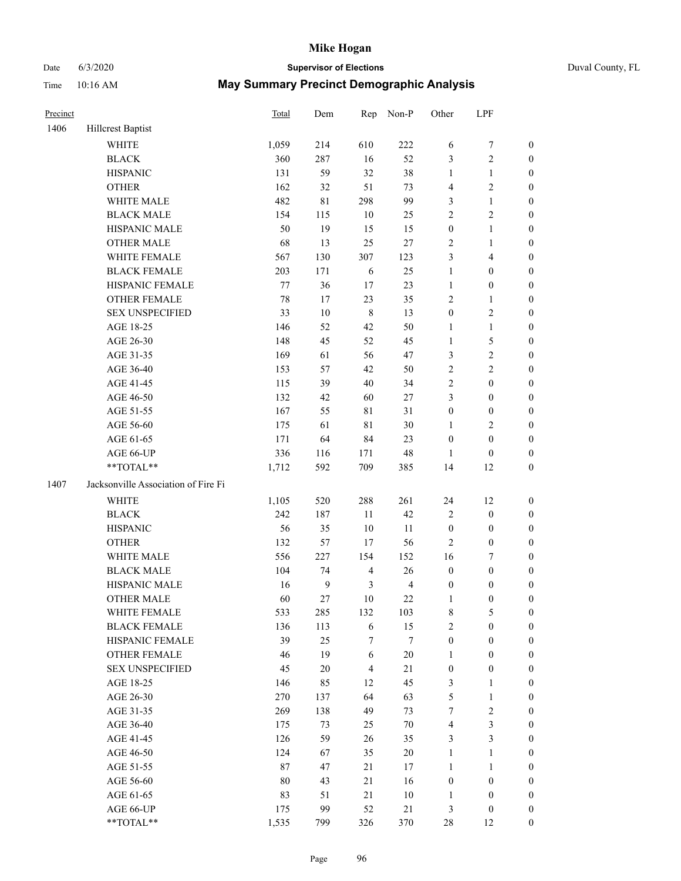# Date 6/3/2020 **Supervisor of Elections** Duval County, FL

| Precinct |                                     | Total  | Dem              | Rep            | Non-P          | Other            | LPF              |                  |
|----------|-------------------------------------|--------|------------------|----------------|----------------|------------------|------------------|------------------|
| 1406     | Hillcrest Baptist                   |        |                  |                |                |                  |                  |                  |
|          | <b>WHITE</b>                        | 1,059  | 214              | 610            | 222            | 6                | $\boldsymbol{7}$ | 0                |
|          | <b>BLACK</b>                        | 360    | 287              | 16             | 52             | 3                | $\sqrt{2}$       | 0                |
|          | <b>HISPANIC</b>                     | 131    | 59               | 32             | 38             | $\mathbf{1}$     | $\mathbf{1}$     | $\boldsymbol{0}$ |
|          | <b>OTHER</b>                        | 162    | 32               | 51             | 73             | $\overline{4}$   | $\sqrt{2}$       | $\boldsymbol{0}$ |
|          | WHITE MALE                          | 482    | $8\sqrt{1}$      | 298            | 99             | 3                | $\mathbf{1}$     | $\boldsymbol{0}$ |
|          | <b>BLACK MALE</b>                   | 154    | 115              | 10             | 25             | $\sqrt{2}$       | $\sqrt{2}$       | $\boldsymbol{0}$ |
|          | HISPANIC MALE                       | 50     | 19               | 15             | 15             | $\boldsymbol{0}$ | $\mathbf{1}$     | $\boldsymbol{0}$ |
|          | <b>OTHER MALE</b>                   | 68     | 13               | 25             | $27\,$         | $\mathbf{2}$     | $\mathbf{1}$     | $\boldsymbol{0}$ |
|          | WHITE FEMALE                        | 567    | 130              | 307            | 123            | 3                | $\overline{4}$   | $\boldsymbol{0}$ |
|          | <b>BLACK FEMALE</b>                 | 203    | 171              | 6              | 25             | $\mathbf{1}$     | $\boldsymbol{0}$ | $\boldsymbol{0}$ |
|          | HISPANIC FEMALE                     | 77     | 36               | $17\,$         | 23             | $\mathbf{1}$     | $\boldsymbol{0}$ | $\boldsymbol{0}$ |
|          | OTHER FEMALE                        | $78\,$ | 17               | 23             | 35             | $\mathbf{2}$     | $\mathbf{1}$     | $\boldsymbol{0}$ |
|          | <b>SEX UNSPECIFIED</b>              | 33     | $10\,$           | $\,8\,$        | 13             | $\boldsymbol{0}$ | $\sqrt{2}$       | $\boldsymbol{0}$ |
|          | AGE 18-25                           | 146    | 52               | 42             | 50             | $\mathbf{1}$     | $\mathbf{1}$     | $\boldsymbol{0}$ |
|          | AGE 26-30                           | 148    | 45               | 52             | 45             | $\mathbf{1}$     | $\mathfrak s$    | $\boldsymbol{0}$ |
|          | AGE 31-35                           | 169    | 61               | 56             | 47             | 3                | $\sqrt{2}$       | $\boldsymbol{0}$ |
|          | AGE 36-40                           | 153    | 57               | 42             | 50             | $\sqrt{2}$       | $\sqrt{2}$       | $\boldsymbol{0}$ |
|          | AGE 41-45                           | 115    | 39               | $40\,$         | 34             | $\sqrt{2}$       | $\boldsymbol{0}$ | $\boldsymbol{0}$ |
|          | AGE 46-50                           | 132    | 42               | 60             | $27\,$         | 3                | $\boldsymbol{0}$ | $\boldsymbol{0}$ |
|          | AGE 51-55                           | 167    | 55               | $8\sqrt{1}$    | 31             | $\boldsymbol{0}$ | $\boldsymbol{0}$ | $\boldsymbol{0}$ |
|          | AGE 56-60                           | 175    | 61               | $8\sqrt{1}$    | $30\,$         | 1                | $\sqrt{2}$       | 0                |
|          | AGE 61-65                           | 171    | 64               | 84             | 23             | $\boldsymbol{0}$ | $\boldsymbol{0}$ | $\boldsymbol{0}$ |
|          | AGE 66-UP                           | 336    | 116              | 171            | $48\,$         | $\mathbf{1}$     | $\boldsymbol{0}$ | $\boldsymbol{0}$ |
|          | **TOTAL**                           | 1,712  | 592              | 709            | 385            | 14               | 12               | $\boldsymbol{0}$ |
| 1407     | Jacksonville Association of Fire Fi |        |                  |                |                |                  |                  |                  |
|          | <b>WHITE</b>                        | 1,105  | 520              | 288            | 261            | 24               | 12               | $\boldsymbol{0}$ |
|          | <b>BLACK</b>                        | 242    | 187              | 11             | 42             | $\overline{c}$   | $\boldsymbol{0}$ | $\boldsymbol{0}$ |
|          | <b>HISPANIC</b>                     | 56     | 35               | $10\,$         | 11             | $\boldsymbol{0}$ | $\boldsymbol{0}$ | $\boldsymbol{0}$ |
|          | <b>OTHER</b>                        | 132    | 57               | 17             | 56             | $\overline{c}$   | $\boldsymbol{0}$ | $\boldsymbol{0}$ |
|          | WHITE MALE                          | 556    | 227              | 154            | 152            | 16               | $\boldsymbol{7}$ | $\boldsymbol{0}$ |
|          | <b>BLACK MALE</b>                   | 104    | 74               | $\overline{4}$ | 26             | $\boldsymbol{0}$ | $\boldsymbol{0}$ | $\boldsymbol{0}$ |
|          | HISPANIC MALE                       | 16     | $\boldsymbol{9}$ | $\mathfrak{Z}$ | $\overline{4}$ | $\boldsymbol{0}$ | $\boldsymbol{0}$ | 0                |
|          | <b>OTHER MALE</b>                   | 60     | 27               | $10\,$         | 22             | $\mathbf{1}$     | $\boldsymbol{0}$ | $\boldsymbol{0}$ |
|          | WHITE FEMALE                        | 533    | 285              | 132            | 103            | 8                | 5                | 0                |
|          | <b>BLACK FEMALE</b>                 | 136    | 113              | 6              | 15             | $\sqrt{2}$       | $\boldsymbol{0}$ | $\overline{0}$   |
|          | HISPANIC FEMALE                     | 39     | 25               | 7              | 7              | $\boldsymbol{0}$ | $\boldsymbol{0}$ | $\overline{0}$   |
|          | OTHER FEMALE                        | 46     | 19               | 6              | $20\,$         | $\mathbf{1}$     | $\boldsymbol{0}$ | 0                |
|          | <b>SEX UNSPECIFIED</b>              | 45     | $20\,$           | $\overline{4}$ | 21             | $\boldsymbol{0}$ | $\boldsymbol{0}$ | 0                |
|          | AGE 18-25                           | 146    | 85               | 12             | 45             | 3                | $\mathbf{1}$     | 0                |
|          | AGE 26-30                           | 270    | 137              | 64             | 63             | 5                | $\mathbf{1}$     | 0                |
|          | AGE 31-35                           | 269    | 138              | 49             | 73             | 7                | $\overline{c}$   | 0                |
|          | AGE 36-40                           | 175    | 73               | 25             | $70\,$         | 4                | $\mathfrak{Z}$   | 0                |
|          | AGE 41-45                           | 126    | 59               | 26             | 35             | 3                | 3                | 0                |
|          | AGE 46-50                           | 124    | 67               | 35             | $20\,$         | $\mathbf{1}$     | $\mathbf{1}$     | 0                |
|          | AGE 51-55                           | 87     | 47               | 21             | 17             | $\mathbf{1}$     | $\mathbf{1}$     | 0                |
|          | AGE 56-60                           | $80\,$ | 43               | 21             | 16             | $\boldsymbol{0}$ | $\boldsymbol{0}$ | 0                |
|          | AGE 61-65                           | 83     | 51               | 21             | $10\,$         | 1                | $\boldsymbol{0}$ | 0                |
|          | AGE 66-UP                           | 175    | 99               | 52             | 21             | 3                | $\boldsymbol{0}$ | 0                |
|          | **TOTAL**                           | 1,535  | 799              | 326            | 370            | 28               | 12               | $\boldsymbol{0}$ |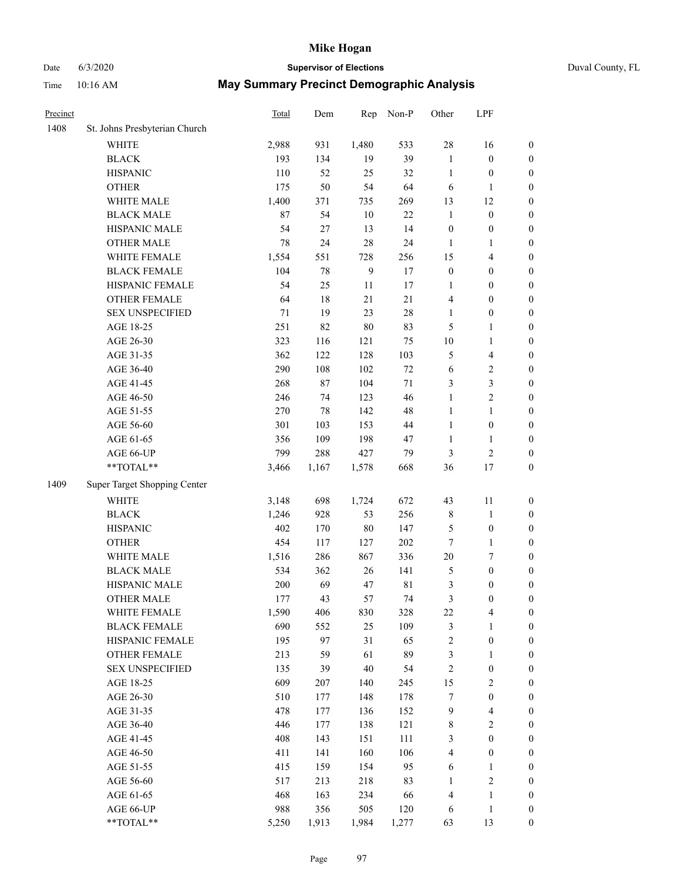# Date 6/3/2020 **Supervisor of Elections** Duval County, FL

| Precinct |                               | Total | Dem    | Rep          | Non-P       | Other                   | LPF              |                  |
|----------|-------------------------------|-------|--------|--------------|-------------|-------------------------|------------------|------------------|
| 1408     | St. Johns Presbyterian Church |       |        |              |             |                         |                  |                  |
|          | <b>WHITE</b>                  | 2,988 | 931    | 1,480        | 533         | 28                      | 16               | 0                |
|          | <b>BLACK</b>                  | 193   | 134    | 19           | 39          | $\mathbf{1}$            | $\boldsymbol{0}$ | 0                |
|          | <b>HISPANIC</b>               | 110   | 52     | 25           | 32          | $\mathbf{1}$            | $\boldsymbol{0}$ | $\boldsymbol{0}$ |
|          | <b>OTHER</b>                  | 175   | 50     | 54           | 64          | 6                       | 1                | $\boldsymbol{0}$ |
|          | WHITE MALE                    | 1,400 | 371    | 735          | 269         | 13                      | 12               | $\boldsymbol{0}$ |
|          | <b>BLACK MALE</b>             | 87    | 54     | 10           | 22          | $\mathbf{1}$            | $\boldsymbol{0}$ | $\boldsymbol{0}$ |
|          | HISPANIC MALE                 | 54    | $27\,$ | 13           | 14          | $\boldsymbol{0}$        | $\boldsymbol{0}$ | $\boldsymbol{0}$ |
|          | <b>OTHER MALE</b>             | 78    | 24     | 28           | 24          | $\mathbf{1}$            | $\mathbf{1}$     | $\boldsymbol{0}$ |
|          | WHITE FEMALE                  | 1,554 | 551    | 728          | 256         | 15                      | $\overline{4}$   | $\boldsymbol{0}$ |
|          | <b>BLACK FEMALE</b>           | 104   | 78     | $\mathbf{9}$ | 17          | $\boldsymbol{0}$        | $\boldsymbol{0}$ | $\boldsymbol{0}$ |
|          | HISPANIC FEMALE               | 54    | 25     | 11           | 17          | 1                       | $\boldsymbol{0}$ | 0                |
|          | OTHER FEMALE                  | 64    | 18     | 21           | 21          | 4                       | $\boldsymbol{0}$ | $\boldsymbol{0}$ |
|          | <b>SEX UNSPECIFIED</b>        | 71    | 19     | 23           | 28          | $\mathbf{1}$            | $\boldsymbol{0}$ | $\boldsymbol{0}$ |
|          | AGE 18-25                     | 251   | 82     | 80           | 83          | 5                       | 1                | $\boldsymbol{0}$ |
|          | AGE 26-30                     | 323   | 116    | 121          | 75          | 10                      | $\mathbf{1}$     | $\boldsymbol{0}$ |
|          | AGE 31-35                     | 362   | 122    | 128          | 103         | 5                       | $\overline{4}$   | $\boldsymbol{0}$ |
|          | AGE 36-40                     | 290   | 108    | 102          | $72\,$      | 6                       | $\sqrt{2}$       | $\boldsymbol{0}$ |
|          | AGE 41-45                     | 268   | 87     | 104          | $71\,$      | 3                       | 3                | $\boldsymbol{0}$ |
|          | AGE 46-50                     | 246   | 74     | 123          | 46          | $\mathbf{1}$            | $\overline{c}$   | $\boldsymbol{0}$ |
|          | AGE 51-55                     | 270   | 78     | 142          | 48          | $\mathbf{1}$            | $\mathbf{1}$     | $\boldsymbol{0}$ |
|          | AGE 56-60                     | 301   | 103    | 153          | 44          | $\mathbf{1}$            | $\boldsymbol{0}$ | 0                |
|          | AGE 61-65                     | 356   | 109    | 198          | 47          | $\mathbf{1}$            | 1                | 0                |
|          | AGE 66-UP                     | 799   | 288    | 427          | 79          | 3                       | $\sqrt{2}$       | $\boldsymbol{0}$ |
|          | $**TOTAL**$                   | 3,466 | 1,167  | 1,578        | 668         | 36                      | 17               | $\boldsymbol{0}$ |
| 1409     | Super Target Shopping Center  |       |        |              |             |                         |                  |                  |
|          | <b>WHITE</b>                  | 3,148 | 698    | 1,724        | 672         | 43                      | 11               | $\boldsymbol{0}$ |
|          | <b>BLACK</b>                  | 1,246 | 928    | 53           | 256         | 8                       | $\mathbf{1}$     | $\boldsymbol{0}$ |
|          | <b>HISPANIC</b>               | 402   | 170    | 80           | 147         | 5                       | $\boldsymbol{0}$ | $\boldsymbol{0}$ |
|          | <b>OTHER</b>                  | 454   | 117    | 127          | 202         | $\boldsymbol{7}$        | $\mathbf{1}$     | $\boldsymbol{0}$ |
|          | WHITE MALE                    | 1,516 | 286    | 867          | 336         | $20\,$                  | $\boldsymbol{7}$ | $\boldsymbol{0}$ |
|          | <b>BLACK MALE</b>             | 534   | 362    | 26           | 141         | 5                       | $\boldsymbol{0}$ | $\boldsymbol{0}$ |
|          | HISPANIC MALE                 | 200   | 69     | 47           | $8\sqrt{1}$ | 3                       | $\boldsymbol{0}$ | $\boldsymbol{0}$ |
|          | <b>OTHER MALE</b>             | 177   | 43     | 57           | 74          | 3                       | $\boldsymbol{0}$ | $\boldsymbol{0}$ |
|          | WHITE FEMALE                  | 1,590 | 406    | 830          | 328         | 22                      | 4                | 0                |
|          | <b>BLACK FEMALE</b>           | 690   | 552    | 25           | 109         | 3                       | $\mathbf{1}$     | $\boldsymbol{0}$ |
|          | HISPANIC FEMALE               | 195   | 97     | 31           | 65          | $\overline{\mathbf{c}}$ | $\boldsymbol{0}$ | $\overline{0}$   |
|          | <b>OTHER FEMALE</b>           | 213   | 59     | 61           | 89          | 3                       | $\mathbf{1}$     | $\overline{0}$   |
|          | <b>SEX UNSPECIFIED</b>        | 135   | 39     | 40           | 54          | $\overline{\mathbf{c}}$ | $\boldsymbol{0}$ | 0                |
|          | AGE 18-25                     | 609   | 207    | 140          | 245         | 15                      | $\sqrt{2}$       | 0                |
|          | AGE 26-30                     | 510   | 177    | 148          | 178         | 7                       | $\boldsymbol{0}$ | 0                |
|          | AGE 31-35                     | 478   | 177    | 136          | 152         | 9                       | $\overline{4}$   | 0                |
|          | AGE 36-40                     | 446   | 177    | 138          | 121         | 8                       | $\sqrt{2}$       | 0                |
|          | AGE 41-45                     | 408   | 143    | 151          | 111         | 3                       | $\boldsymbol{0}$ | 0                |
|          | AGE 46-50                     | 411   | 141    | 160          | 106         | 4                       | $\boldsymbol{0}$ | 0                |
|          | AGE 51-55                     | 415   | 159    | 154          | 95          | 6                       | $\mathbf{1}$     | 0                |
|          | AGE 56-60                     | 517   | 213    | 218          | 83          | 1                       | $\sqrt{2}$       | $\overline{0}$   |
|          | AGE 61-65                     | 468   | 163    | 234          | 66          | 4                       | $\mathbf{1}$     | $\boldsymbol{0}$ |
|          | AGE 66-UP                     | 988   | 356    | 505          | 120         | 6                       | $\mathbf{1}$     | $\boldsymbol{0}$ |
|          | **TOTAL**                     | 5,250 | 1,913  | 1,984        | 1,277       | 63                      | 13               | $\boldsymbol{0}$ |
|          |                               |       |        |              |             |                         |                  |                  |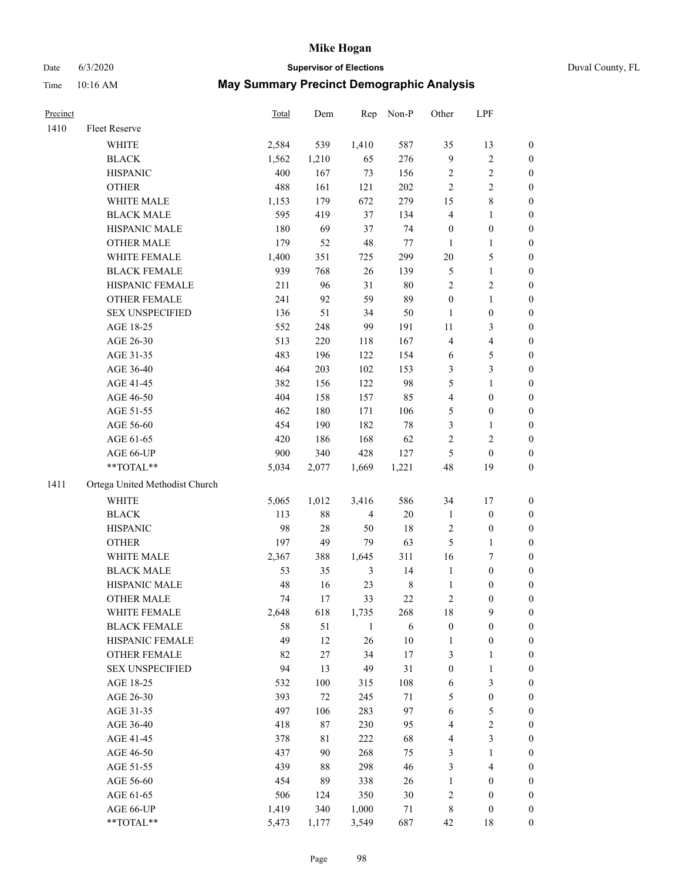# Date 6/3/2020 **Supervisor of Elections** Duval County, FL

| Precinct |                                  | Total | Dem    | Rep            | Non-P       | Other                   | LPF              |                  |
|----------|----------------------------------|-------|--------|----------------|-------------|-------------------------|------------------|------------------|
| 1410     | Fleet Reserve                    |       |        |                |             |                         |                  |                  |
|          | <b>WHITE</b>                     | 2,584 | 539    | 1,410          | 587         | 35                      | 13               | 0                |
|          | <b>BLACK</b>                     | 1,562 | 1,210  | 65             | 276         | 9                       | $\sqrt{2}$       | 0                |
|          | <b>HISPANIC</b>                  | 400   | 167    | 73             | 156         | 2                       | $\sqrt{2}$       | $\boldsymbol{0}$ |
|          | <b>OTHER</b>                     | 488   | 161    | 121            | 202         | $\mathbf{2}$            | $\sqrt{2}$       | $\boldsymbol{0}$ |
|          | WHITE MALE                       | 1,153 | 179    | 672            | 279         | 15                      | $\,$ 8 $\,$      | $\boldsymbol{0}$ |
|          | <b>BLACK MALE</b>                | 595   | 419    | 37             | 134         | 4                       | 1                | $\boldsymbol{0}$ |
|          | HISPANIC MALE                    | 180   | 69     | 37             | 74          | $\boldsymbol{0}$        | $\boldsymbol{0}$ | $\boldsymbol{0}$ |
|          | <b>OTHER MALE</b>                | 179   | 52     | 48             | $77 \,$     | $\mathbf{1}$            | $\mathbf{1}$     | $\boldsymbol{0}$ |
|          | WHITE FEMALE                     | 1,400 | 351    | 725            | 299         | $20\,$                  | 5                | $\boldsymbol{0}$ |
|          | <b>BLACK FEMALE</b>              | 939   | 768    | 26             | 139         | 5                       | $\mathbf{1}$     | 0                |
|          | HISPANIC FEMALE                  | 211   | 96     | 31             | 80          | $\overline{c}$          | $\sqrt{2}$       | 0                |
|          | OTHER FEMALE                     | 241   | 92     | 59             | 89          | $\boldsymbol{0}$        | $\mathbf{1}$     | 0                |
|          | <b>SEX UNSPECIFIED</b>           | 136   | 51     | 34             | 50          | $\mathbf{1}$            | $\boldsymbol{0}$ | $\boldsymbol{0}$ |
|          | AGE 18-25                        | 552   | 248    | 99             | 191         | $11\,$                  | $\mathfrak{Z}$   | $\boldsymbol{0}$ |
|          | AGE 26-30                        | 513   | 220    | 118            | 167         | 4                       | $\overline{4}$   | $\boldsymbol{0}$ |
|          | AGE 31-35                        | 483   | 196    | 122            | 154         | 6                       | $\mathfrak s$    | $\boldsymbol{0}$ |
|          | AGE 36-40                        | 464   | 203    | 102            | 153         | 3                       | 3                | $\boldsymbol{0}$ |
|          | AGE 41-45                        | 382   | 156    | 122            | 98          | 5                       | $\mathbf{1}$     | $\boldsymbol{0}$ |
|          | AGE 46-50                        | 404   | 158    | 157            | 85          | 4                       | $\boldsymbol{0}$ | $\boldsymbol{0}$ |
|          | AGE 51-55                        | 462   | 180    | 171            | 106         | 5                       | $\boldsymbol{0}$ | 0                |
|          | AGE 56-60                        | 454   | 190    | 182            | $78\,$      | 3                       | 1                | 0                |
|          | AGE 61-65                        | 420   | 186    | 168            | 62          | $\mathbf{2}$            | $\sqrt{2}$       | 0                |
|          | AGE 66-UP                        | 900   | 340    | 428            | 127         | 5                       | $\boldsymbol{0}$ | $\boldsymbol{0}$ |
|          | $\mathrm{``TOTAL}^{\mathrm{**}}$ | 5,034 | 2,077  | 1,669          | 1,221       | 48                      | 19               | $\boldsymbol{0}$ |
| 1411     | Ortega United Methodist Church   |       |        |                |             |                         |                  |                  |
|          | <b>WHITE</b>                     | 5,065 | 1,012  | 3,416          | 586         | 34                      | 17               | $\boldsymbol{0}$ |
|          | <b>BLACK</b>                     | 113   | 88     | $\overline{4}$ | 20          | $\mathbf{1}$            | $\boldsymbol{0}$ | $\boldsymbol{0}$ |
|          | <b>HISPANIC</b>                  | 98    | $28\,$ | 50             | 18          | 2                       | $\boldsymbol{0}$ | $\boldsymbol{0}$ |
|          | <b>OTHER</b>                     | 197   | 49     | 79             | 63          | 5                       | $\mathbf{1}$     | $\boldsymbol{0}$ |
|          | WHITE MALE                       | 2,367 | 388    | 1,645          | 311         | 16                      | $\boldsymbol{7}$ | $\boldsymbol{0}$ |
|          | <b>BLACK MALE</b>                | 53    | 35     | $\mathfrak{Z}$ | 14          | $\mathbf{1}$            | $\boldsymbol{0}$ | $\boldsymbol{0}$ |
|          | HISPANIC MALE                    | 48    | 16     | 23             | $\,$ 8 $\,$ | $\mathbf{1}$            | $\boldsymbol{0}$ | 0                |
|          | <b>OTHER MALE</b>                | 74    | 17     | 33             | $22\,$      | 2                       | $\boldsymbol{0}$ | 0                |
|          | WHITE FEMALE                     | 2,648 | 618    | 1,735          | 268         | 18                      | 9                | 0                |
|          | <b>BLACK FEMALE</b>              | 58    | 51     | $\mathbf{1}$   | 6           | $\boldsymbol{0}$        | $\boldsymbol{0}$ | $\boldsymbol{0}$ |
|          | HISPANIC FEMALE                  | 49    | 12     | 26             | 10          | $\mathbf{1}$            | $\boldsymbol{0}$ | $\overline{0}$   |
|          | OTHER FEMALE                     | 82    | $27\,$ | 34             | 17          | 3                       | $\mathbf{1}$     | $\overline{0}$   |
|          | <b>SEX UNSPECIFIED</b>           | 94    | 13     | 49             | 31          | $\boldsymbol{0}$        | $\mathbf{1}$     | 0                |
|          | AGE 18-25                        | 532   | 100    | 315            | 108         | 6                       | $\mathfrak{Z}$   | 0                |
|          | AGE 26-30                        | 393   | 72     | 245            | $71\,$      | 5                       | $\boldsymbol{0}$ | 0                |
|          | AGE 31-35                        | 497   | 106    | 283            | 97          | 6                       | $\mathfrak s$    | 0                |
|          | AGE 36-40                        | 418   | 87     | 230            | 95          | 4                       | $\sqrt{2}$       | 0                |
|          | AGE 41-45                        | 378   | 81     | 222            | 68          | 4                       | $\mathfrak{Z}$   | 0                |
|          | AGE 46-50                        | 437   | 90     | 268            | 75          | 3                       | $\mathbf{1}$     | 0                |
|          | AGE 51-55                        | 439   | 88     | 298            | 46          | 3                       | $\overline{4}$   | 0                |
|          | AGE 56-60                        | 454   | 89     | 338            | 26          | 1                       | $\boldsymbol{0}$ | 0                |
|          | AGE 61-65                        | 506   | 124    | 350            | 30          | $\overline{\mathbf{c}}$ | $\boldsymbol{0}$ | $\boldsymbol{0}$ |
|          | AGE 66-UP                        | 1,419 | 340    | 1,000          | 71          | 8                       | $\boldsymbol{0}$ | 0                |
|          | **TOTAL**                        | 5,473 | 1,177  | 3,549          | 687         | 42                      | 18               | $\boldsymbol{0}$ |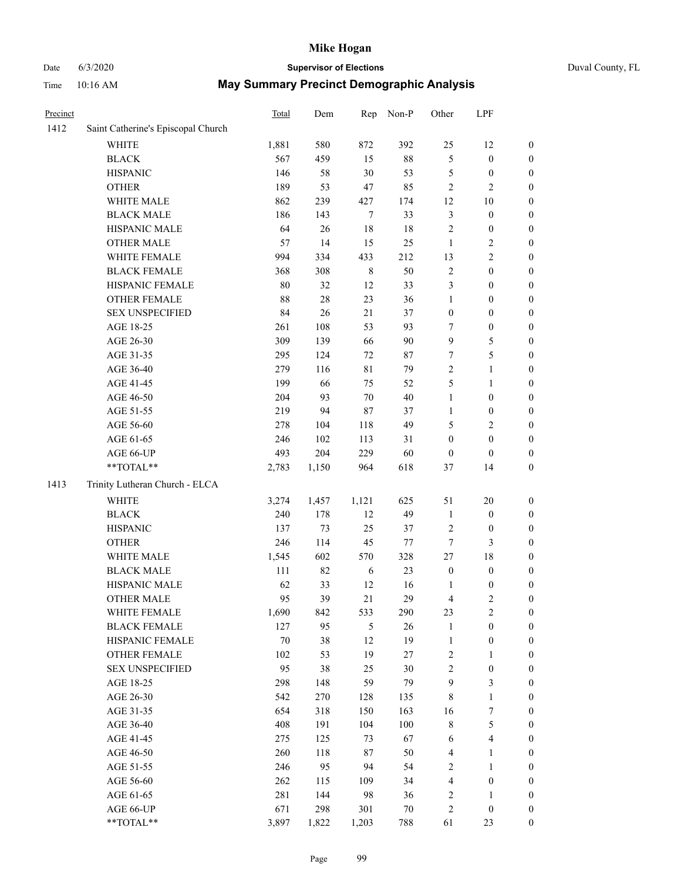# Date 6/3/2020 **Supervisor of Elections** Duval County, FL

| Precinct |                                    | Total  | Dem   | Rep              | Non-P  | Other                   | LPF              |                  |
|----------|------------------------------------|--------|-------|------------------|--------|-------------------------|------------------|------------------|
| 1412     | Saint Catherine's Episcopal Church |        |       |                  |        |                         |                  |                  |
|          | <b>WHITE</b>                       | 1,881  | 580   | 872              | 392    | 25                      | 12               | 0                |
|          | <b>BLACK</b>                       | 567    | 459   | 15               | $88\,$ | 5                       | $\boldsymbol{0}$ | 0                |
|          | <b>HISPANIC</b>                    | 146    | 58    | 30               | 53     | 5                       | $\boldsymbol{0}$ | $\boldsymbol{0}$ |
|          | <b>OTHER</b>                       | 189    | 53    | 47               | 85     | $\overline{c}$          | $\mathfrak{2}$   | $\boldsymbol{0}$ |
|          | WHITE MALE                         | 862    | 239   | 427              | 174    | 12                      | 10               | $\boldsymbol{0}$ |
|          | <b>BLACK MALE</b>                  | 186    | 143   | $\boldsymbol{7}$ | 33     | 3                       | $\boldsymbol{0}$ | $\boldsymbol{0}$ |
|          | HISPANIC MALE                      | 64     | 26    | 18               | 18     | $\overline{c}$          | $\boldsymbol{0}$ | $\boldsymbol{0}$ |
|          | <b>OTHER MALE</b>                  | 57     | 14    | 15               | 25     | $\mathbf{1}$            | $\mathfrak{2}$   | $\boldsymbol{0}$ |
|          | WHITE FEMALE                       | 994    | 334   | 433              | 212    | 13                      | $\sqrt{2}$       | $\boldsymbol{0}$ |
|          | <b>BLACK FEMALE</b>                | 368    | 308   | $\,$ 8 $\,$      | 50     | 2                       | $\boldsymbol{0}$ | $\boldsymbol{0}$ |
|          | HISPANIC FEMALE                    | 80     | 32    | 12               | 33     | 3                       | $\boldsymbol{0}$ | $\boldsymbol{0}$ |
|          | OTHER FEMALE                       | 88     | 28    | 23               | 36     | $\mathbf{1}$            | $\boldsymbol{0}$ | $\boldsymbol{0}$ |
|          | <b>SEX UNSPECIFIED</b>             | 84     | 26    | 21               | 37     | $\boldsymbol{0}$        | $\boldsymbol{0}$ | $\boldsymbol{0}$ |
|          | AGE 18-25                          | 261    | 108   | 53               | 93     | 7                       | $\boldsymbol{0}$ | $\boldsymbol{0}$ |
|          | AGE 26-30                          | 309    | 139   | 66               | 90     | 9                       | $\mathfrak s$    | $\boldsymbol{0}$ |
|          | AGE 31-35                          | 295    | 124   | 72               | 87     | $\boldsymbol{7}$        | 5                | $\boldsymbol{0}$ |
|          | AGE 36-40                          | 279    | 116   | 81               | 79     | $\overline{c}$          | $\mathbf{1}$     | $\boldsymbol{0}$ |
|          | AGE 41-45                          | 199    | 66    | 75               | 52     | 5                       | $\mathbf{1}$     | $\boldsymbol{0}$ |
|          | AGE 46-50                          | 204    | 93    | $70\,$           | $40\,$ | $\mathbf{1}$            | $\boldsymbol{0}$ | $\boldsymbol{0}$ |
|          | AGE 51-55                          | 219    | 94    | 87               | 37     | 1                       | $\boldsymbol{0}$ | $\boldsymbol{0}$ |
|          | AGE 56-60                          | 278    | 104   | 118              | 49     | 5                       | $\mathfrak{2}$   | 0                |
|          | AGE 61-65                          | 246    | 102   | 113              | 31     | $\boldsymbol{0}$        | $\boldsymbol{0}$ | $\boldsymbol{0}$ |
|          | AGE 66-UP                          | 493    | 204   | 229              | 60     | $\boldsymbol{0}$        | $\boldsymbol{0}$ | $\boldsymbol{0}$ |
|          | $**TOTAL**$                        | 2,783  | 1,150 | 964              | 618    | 37                      | 14               | $\boldsymbol{0}$ |
| 1413     | Trinity Lutheran Church - ELCA     |        |       |                  |        |                         |                  |                  |
|          | <b>WHITE</b>                       | 3,274  | 1,457 | 1,121            | 625    | 51                      | 20               | $\boldsymbol{0}$ |
|          | <b>BLACK</b>                       | 240    | 178   | 12               | 49     | $\mathbf{1}$            | $\boldsymbol{0}$ | $\boldsymbol{0}$ |
|          | <b>HISPANIC</b>                    | 137    | 73    | 25               | 37     | 2                       | $\boldsymbol{0}$ | $\boldsymbol{0}$ |
|          | <b>OTHER</b>                       | 246    | 114   | 45               | 77     | $\boldsymbol{7}$        | 3                | $\boldsymbol{0}$ |
|          | WHITE MALE                         | 1,545  | 602   | 570              | 328    | 27                      | 18               | $\boldsymbol{0}$ |
|          | <b>BLACK MALE</b>                  | 111    | 82    | 6                | 23     | $\boldsymbol{0}$        | $\boldsymbol{0}$ | $\boldsymbol{0}$ |
|          | HISPANIC MALE                      | 62     | 33    | 12               | 16     | 1                       | $\boldsymbol{0}$ | 0                |
|          | <b>OTHER MALE</b>                  | 95     | 39    | 21               | 29     | 4                       | $\mathfrak{2}$   | $\boldsymbol{0}$ |
|          | WHITE FEMALE                       | 1,690  | 842   | 533              | 290    | 23                      | $\overline{c}$   | 0                |
|          | <b>BLACK FEMALE</b>                | 127    | 95    | 5                | 26     | $\mathbf{1}$            | $\boldsymbol{0}$ | $\boldsymbol{0}$ |
|          | HISPANIC FEMALE                    | $70\,$ | 38    | 12               | 19     | $\mathbf{1}$            | $\boldsymbol{0}$ | $\overline{0}$   |
|          | <b>OTHER FEMALE</b>                | 102    | 53    | 19               | $27\,$ | 2                       | $\mathbf{1}$     | $\overline{0}$   |
|          | <b>SEX UNSPECIFIED</b>             | 95     | 38    | 25               | 30     | 2                       | $\boldsymbol{0}$ | 0                |
|          | AGE 18-25                          | 298    | 148   | 59               | 79     | 9                       | 3                | 0                |
|          | AGE 26-30                          | 542    | 270   | 128              | 135    | 8                       | $\mathbf{1}$     | 0                |
|          | AGE 31-35                          | 654    | 318   | 150              | 163    | 16                      | $\overline{7}$   | 0                |
|          | AGE 36-40                          | 408    | 191   | 104              | 100    | 8                       | $\mathfrak s$    | 0                |
|          | AGE 41-45                          | 275    | 125   | 73               | 67     | 6                       | $\overline{4}$   | 0                |
|          | AGE 46-50                          | 260    | 118   | 87               | 50     | 4                       | 1                | 0                |
|          | AGE 51-55                          | 246    | 95    | 94               | 54     | 2                       | $\mathbf{1}$     | 0                |
|          | AGE 56-60                          | 262    | 115   | 109              | 34     | 4                       | $\boldsymbol{0}$ | $\overline{0}$   |
|          | AGE 61-65                          | 281    | 144   | 98               | 36     | $\overline{\mathbf{c}}$ | 1                | $\overline{0}$   |
|          | AGE 66-UP                          | 671    | 298   | 301              | 70     | $\overline{\mathbf{c}}$ | $\boldsymbol{0}$ | 0                |
|          | **TOTAL**                          | 3,897  | 1,822 | 1,203            | 788    | 61                      | 23               | $\boldsymbol{0}$ |
|          |                                    |        |       |                  |        |                         |                  |                  |